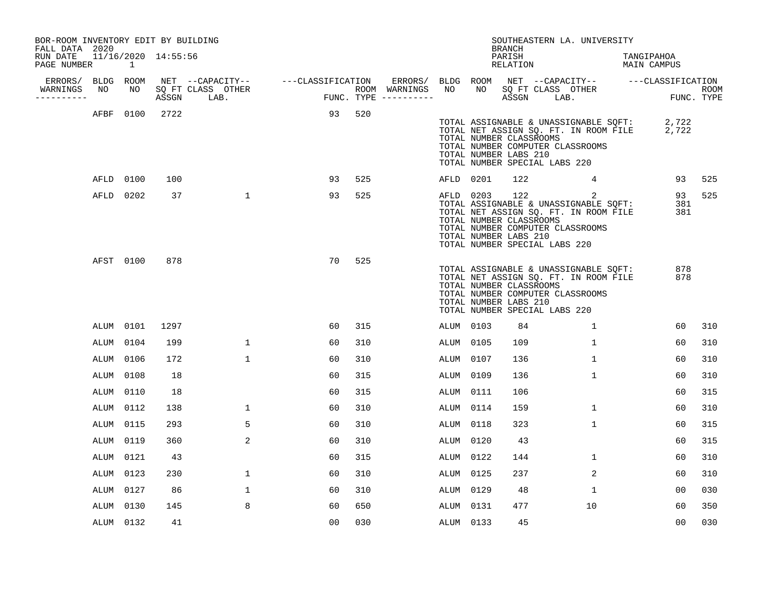| BOR-ROOM INVENTORY EDIT BY BUILDING<br>FALL DATA 2020 |           |                |                     |                                    |                                       |     |                   |           |           | <b>BRANCH</b>                                                                     |            | SOUTHEASTERN LA. UNIVERSITY                                                                                             |                                                                                            |                  |                    |
|-------------------------------------------------------|-----------|----------------|---------------------|------------------------------------|---------------------------------------|-----|-------------------|-----------|-----------|-----------------------------------------------------------------------------------|------------|-------------------------------------------------------------------------------------------------------------------------|--------------------------------------------------------------------------------------------|------------------|--------------------|
| RUN DATE<br>PAGE NUMBER                               |           | $\overline{1}$ | 11/16/2020 14:55:56 |                                    |                                       |     |                   |           |           | PARISH<br>RELATION                                                                |            |                                                                                                                         | TANGIPAHOA<br>MAIN CAMPUS                                                                  |                  |                    |
| ERRORS/                                               | BLDG ROOM |                |                     | NET --CAPACITY-- ---CLASSIFICATION |                                       |     | ERRORS/ BLDG ROOM |           |           |                                                                                   |            |                                                                                                                         | NET --CAPACITY-- ---CLASSIFICATION                                                         |                  |                    |
| WARNINGS<br>----------                                | NO        | NO             |                     | SQ FT CLASS OTHER<br>ASSGN LAB.    | ROOM WARNINGS<br>FUNC. TYPE --------- |     |                   | NO        | NO        |                                                                                   | ASSGN LAB. | SQ FT CLASS OTHER                                                                                                       |                                                                                            |                  | ROOM<br>FUNC. TYPE |
|                                                       |           | AFBF 0100      | 2722                |                                    | 93                                    | 520 |                   |           |           | TOTAL NUMBER CLASSROOMS<br>TOTAL NUMBER LABS 210<br>TOTAL NUMBER SPECIAL LABS 220 |            | TOTAL NUMBER COMPUTER CLASSROOMS                                                                                        | TOTAL ASSIGNABLE & UNASSIGNABLE SQFT: 2,722<br>TOTAL NET ASSIGN SQ. FT. IN ROOM FILE 2,722 |                  |                    |
|                                                       |           | AFLD 0100      | 100                 |                                    | 93                                    | 525 |                   |           | AFLD 0201 | 122                                                                               |            | $4\overline{ }$                                                                                                         |                                                                                            | 93               | 525                |
|                                                       |           | AFLD 0202      | 37                  | $\mathbf{1}$                       | 93                                    | 525 |                   |           | AFLD 0203 | TOTAL NUMBER CLASSROOMS<br>TOTAL NUMBER LABS 210<br>TOTAL NUMBER SPECIAL LABS 220 | 122        | 2<br>TOTAL ASSIGNABLE & UNASSIGNABLE SOFT:<br>TOTAL NET ASSIGN SQ. FT. IN ROOM FILE<br>TOTAL NUMBER COMPUTER CLASSROOMS |                                                                                            | 93<br>381<br>381 | 525                |
|                                                       |           | AFST 0100      | 878                 |                                    | 70                                    | 525 |                   |           |           | TOTAL NUMBER CLASSROOMS<br>TOTAL NUMBER LABS 210<br>TOTAL NUMBER SPECIAL LABS 220 |            | TOTAL ASSIGNABLE & UNASSIGNABLE SQFT:<br>TOTAL NET ASSIGN SQ. FT. IN ROOM FILE<br>TOTAL NUMBER COMPUTER CLASSROOMS      |                                                                                            | 878<br>878       |                    |
|                                                       |           | ALUM 0101      | 1297                |                                    | 60                                    | 315 |                   | ALUM 0103 |           | 84                                                                                |            | $\mathbf{1}$                                                                                                            |                                                                                            | 60               | 310                |
|                                                       | ALUM 0104 |                | 199                 | $\mathbf 1$                        | 60                                    | 310 |                   | ALUM 0105 |           | 109                                                                               |            | 1                                                                                                                       |                                                                                            | 60               | 310                |
|                                                       | ALUM 0106 |                | 172                 | $\mathbf{1}$                       | 60                                    | 310 |                   | ALUM 0107 |           | 136                                                                               |            | $\mathbf{1}$                                                                                                            |                                                                                            | 60               | 310                |
|                                                       | ALUM      | 0108           | 18                  |                                    | 60                                    | 315 |                   | ALUM 0109 |           | 136                                                                               |            | $\mathbf{1}$                                                                                                            |                                                                                            | 60               | 310                |
|                                                       | ALUM      | 0110           | 18                  |                                    | 60                                    | 315 |                   | ALUM 0111 |           | 106                                                                               |            |                                                                                                                         |                                                                                            | 60               | 315                |
|                                                       |           | ALUM 0112      | 138                 | $\mathbf 1$                        | 60                                    | 310 |                   | ALUM 0114 |           | 159                                                                               |            | $\mathbf{1}$                                                                                                            |                                                                                            | 60               | 310                |
|                                                       | ALUM      | 0115           | 293                 | 5                                  | 60                                    | 310 |                   | ALUM 0118 |           | 323                                                                               |            | $\mathbf{1}$                                                                                                            |                                                                                            | 60               | 315                |
|                                                       | ALUM 0119 |                | 360                 | 2                                  | 60                                    | 310 |                   | ALUM 0120 |           | 43                                                                                |            |                                                                                                                         |                                                                                            | 60               | 315                |
|                                                       | ALUM      | 0121           | 43                  |                                    | 60                                    | 315 |                   | ALUM 0122 |           | 144                                                                               |            | $\mathbf{1}$                                                                                                            |                                                                                            | 60               | 310                |
|                                                       | ALUM 0123 |                | 230                 | $\mathbf 1$                        | 60                                    | 310 |                   | ALUM 0125 |           | 237                                                                               |            | $\overline{2}$                                                                                                          |                                                                                            | 60               | 310                |
|                                                       | ALUM      | 0127           | 86                  | $\mathbf 1$                        | 60                                    | 310 |                   | ALUM 0129 |           | 48                                                                                |            | 1                                                                                                                       |                                                                                            | 00               | 030                |
|                                                       |           | ALUM 0130      | 145                 | 8                                  | 60                                    | 650 |                   | ALUM 0131 |           | 477                                                                               |            | 10                                                                                                                      |                                                                                            | 60               | 350                |
|                                                       |           | ALUM 0132      | 41                  |                                    | 0 <sub>0</sub>                        | 030 |                   | ALUM 0133 |           | 45                                                                                |            |                                                                                                                         |                                                                                            | 00               | 030                |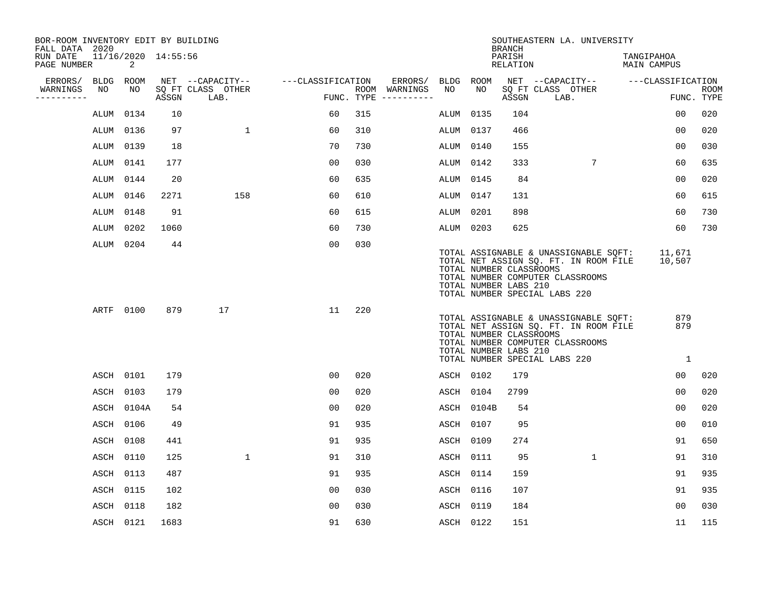| BOR-ROOM INVENTORY EDIT BY BUILDING<br>FALL DATA 2020 |           |                          |       |                           |                   |     |                                      |           |            | <b>BRANCH</b>                                    | SOUTHEASTERN LA. UNIVERSITY                                                                                                                         |                              |                           |
|-------------------------------------------------------|-----------|--------------------------|-------|---------------------------|-------------------|-----|--------------------------------------|-----------|------------|--------------------------------------------------|-----------------------------------------------------------------------------------------------------------------------------------------------------|------------------------------|---------------------------|
| RUN DATE<br>PAGE NUMBER                               |           | 11/16/2020 14:55:56<br>2 |       |                           |                   |     |                                      |           |            | PARISH<br>RELATION                               |                                                                                                                                                     | TANGIPAHOA<br>MAIN CAMPUS    |                           |
| ERRORS/                                               |           | BLDG ROOM                |       | NET --CAPACITY--          | ---CLASSIFICATION |     | ERRORS/                              | BLDG ROOM |            |                                                  | NET --CAPACITY-- ---CLASSIFICATION                                                                                                                  |                              |                           |
| WARNINGS<br>-----------                               | NO        | NO                       | ASSGN | SQ FT CLASS OTHER<br>LAB. |                   |     | ROOM WARNINGS<br>FUNC. TYPE $------$ | NO        | NO         | ASSGN                                            | SQ FT CLASS OTHER<br>LAB.                                                                                                                           |                              | <b>ROOM</b><br>FUNC. TYPE |
|                                                       | ALUM      | 0134                     | 10    |                           | 60                | 315 |                                      | ALUM 0135 |            | 104                                              |                                                                                                                                                     | 0 <sub>0</sub>               | 020                       |
|                                                       |           | ALUM 0136                | 97    | $\mathbf{1}$              | 60                | 310 |                                      | ALUM 0137 |            | 466                                              |                                                                                                                                                     | 0 <sub>0</sub>               | 020                       |
|                                                       | ALUM 0139 |                          | 18    |                           | 70                | 730 |                                      | ALUM 0140 |            | 155                                              |                                                                                                                                                     | 00                           | 030                       |
|                                                       |           | ALUM 0141                | 177   |                           | 0 <sub>0</sub>    | 030 |                                      | ALUM 0142 |            | 333                                              | 7                                                                                                                                                   | 60                           | 635                       |
|                                                       | ALUM 0144 |                          | 20    |                           | 60                | 635 |                                      | ALUM 0145 |            | 84                                               |                                                                                                                                                     | 00                           | 020                       |
|                                                       | ALUM 0146 |                          | 2271  | 158                       | 60                | 610 |                                      | ALUM 0147 |            | 131                                              |                                                                                                                                                     | 60                           | 615                       |
|                                                       | ALUM 0148 |                          | 91    |                           | 60                | 615 |                                      | ALUM 0201 |            | 898                                              |                                                                                                                                                     | 60                           | 730                       |
|                                                       |           | ALUM 0202                | 1060  |                           | 60                | 730 |                                      | ALUM 0203 |            | 625                                              |                                                                                                                                                     | 60                           | 730                       |
|                                                       |           | ALUM 0204                | 44    |                           | 00                | 030 |                                      |           |            | TOTAL NUMBER CLASSROOMS<br>TOTAL NUMBER LABS 210 | TOTAL ASSIGNABLE & UNASSIGNABLE SQFT:<br>TOTAL NET ASSIGN SQ. FT. IN ROOM FILE<br>TOTAL NUMBER COMPUTER CLASSROOMS<br>TOTAL NUMBER SPECIAL LABS 220 | 11,671<br>10,507             |                           |
|                                                       |           | ARTF 0100                | 879   | 17                        | 11                | 220 |                                      |           |            | TOTAL NUMBER CLASSROOMS<br>TOTAL NUMBER LABS 210 | TOTAL ASSIGNABLE & UNASSIGNABLE SQFT:<br>TOTAL NET ASSIGN SO. FT. IN ROOM FILE<br>TOTAL NUMBER COMPUTER CLASSROOMS<br>TOTAL NUMBER SPECIAL LABS 220 | 879<br>879<br>$\overline{1}$ |                           |
|                                                       |           | ASCH 0101                | 179   |                           | 00                | 020 |                                      | ASCH 0102 |            | 179                                              |                                                                                                                                                     | 0 <sub>0</sub>               | 020                       |
|                                                       | ASCH      | 0103                     | 179   |                           | 00                | 020 |                                      |           | ASCH 0104  | 2799                                             |                                                                                                                                                     | 0 <sub>0</sub>               | 020                       |
|                                                       |           | ASCH 0104A               | 54    |                           | 0 <sub>0</sub>    | 020 |                                      |           | ASCH 0104B | 54                                               |                                                                                                                                                     | 00                           | 020                       |
|                                                       | ASCH 0106 |                          | 49    |                           | 91                | 935 |                                      | ASCH 0107 |            | 95                                               |                                                                                                                                                     | 00                           | 010                       |
|                                                       |           | ASCH 0108                | 441   |                           | 91                | 935 |                                      | ASCH 0109 |            | 274                                              |                                                                                                                                                     | 91                           | 650                       |
|                                                       | ASCH 0110 |                          | 125   | $\mathbf{1}$              | 91                | 310 |                                      | ASCH 0111 |            | 95                                               | $\mathbf{1}$                                                                                                                                        | 91                           | 310                       |
|                                                       |           | ASCH 0113                | 487   |                           | 91                | 935 |                                      | ASCH 0114 |            | 159                                              |                                                                                                                                                     | 91                           | 935                       |
|                                                       | ASCH 0115 |                          | 102   |                           | 00                | 030 |                                      | ASCH 0116 |            | 107                                              |                                                                                                                                                     | 91                           | 935                       |
|                                                       | ASCH      | 0118                     | 182   |                           | 0 <sub>0</sub>    | 030 |                                      | ASCH 0119 |            | 184                                              |                                                                                                                                                     | 0 <sub>0</sub>               | 030                       |
|                                                       |           | ASCH 0121                | 1683  |                           | 91                | 630 |                                      | ASCH 0122 |            | 151                                              |                                                                                                                                                     | 11                           | 115                       |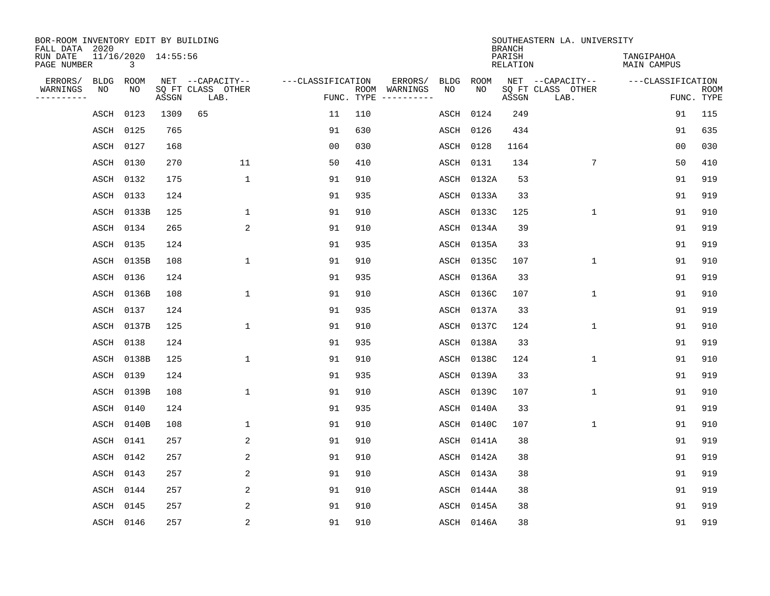| BOR-ROOM INVENTORY EDIT BY BUILDING<br>FALL DATA 2020 |             |                |                     |                           |                   |            |                              |             |             | <b>BRANCH</b>             | SOUTHEASTERN LA. UNIVERSITY |                                  |                           |
|-------------------------------------------------------|-------------|----------------|---------------------|---------------------------|-------------------|------------|------------------------------|-------------|-------------|---------------------------|-----------------------------|----------------------------------|---------------------------|
| RUN DATE<br>PAGE NUMBER                               |             | $\overline{3}$ | 11/16/2020 14:55:56 |                           |                   |            |                              |             |             | PARISH<br><b>RELATION</b> |                             | TANGIPAHOA<br><b>MAIN CAMPUS</b> |                           |
| ERRORS/                                               | <b>BLDG</b> | ROOM           |                     | NET --CAPACITY--          | ---CLASSIFICATION |            | ERRORS/                      | <b>BLDG</b> | <b>ROOM</b> |                           | NET --CAPACITY--            | ---CLASSIFICATION                |                           |
| WARNINGS<br>----------                                | NO          | NO             | ASSGN               | SQ FT CLASS OTHER<br>LAB. |                   | FUNC. TYPE | ROOM WARNINGS<br>----------- | NO          | NO          | ASSGN                     | SQ FT CLASS OTHER<br>LAB.   |                                  | <b>ROOM</b><br>FUNC. TYPE |
|                                                       | ASCH        | 0123           | 1309                | 65                        | 11                | 110        |                              | ASCH        | 0124        | 249                       |                             | 91                               | 115                       |
|                                                       | ASCH        | 0125           | 765                 |                           | 91                | 630        |                              | ASCH        | 0126        | 434                       |                             | 91                               | 635                       |
|                                                       | ASCH        | 0127           | 168                 |                           | 0 <sub>0</sub>    | 030        |                              | ASCH        | 0128        | 1164                      |                             | 0 <sub>0</sub>                   | 030                       |
|                                                       | ASCH        | 0130           | 270                 | 11                        | 50                | 410        |                              | ASCH        | 0131        | 134                       | 7                           | 50                               | 410                       |
|                                                       | ASCH        | 0132           | 175                 | $\mathbf{1}$              | 91                | 910        |                              | ASCH        | 0132A       | 53                        |                             | 91                               | 919                       |
|                                                       | ASCH        | 0133           | 124                 |                           | 91                | 935        |                              | ASCH        | 0133A       | 33                        |                             | 91                               | 919                       |
|                                                       | ASCH        | 0133B          | 125                 | $\mathbf{1}$              | 91                | 910        |                              | ASCH        | 0133C       | 125                       | $\mathbf 1$                 | 91                               | 910                       |
|                                                       | ASCH        | 0134           | 265                 | 2                         | 91                | 910        |                              | ASCH        | 0134A       | 39                        |                             | 91                               | 919                       |
|                                                       | ASCH        | 0135           | 124                 |                           | 91                | 935        |                              | ASCH        | 0135A       | 33                        |                             | 91                               | 919                       |
|                                                       | ASCH        | 0135B          | 108                 | 1                         | 91                | 910        |                              | ASCH        | 0135C       | 107                       | $\mathbf 1$                 | 91                               | 910                       |
|                                                       | ASCH        | 0136           | 124                 |                           | 91                | 935        |                              | ASCH        | 0136A       | 33                        |                             | 91                               | 919                       |
|                                                       | ASCH        | 0136B          | 108                 | $\mathbf{1}$              | 91                | 910        |                              | ASCH        | 0136C       | 107                       | $\mathbf{1}$                | 91                               | 910                       |
|                                                       | ASCH        | 0137           | 124                 |                           | 91                | 935        |                              | ASCH        | 0137A       | 33                        |                             | 91                               | 919                       |
|                                                       | ASCH        | 0137B          | 125                 | $\mathbf{1}$              | 91                | 910        |                              | ASCH        | 0137C       | 124                       | 1                           | 91                               | 910                       |
|                                                       | ASCH        | 0138           | 124                 |                           | 91                | 935        |                              | ASCH        | 0138A       | 33                        |                             | 91                               | 919                       |
|                                                       | ASCH        | 0138B          | 125                 | 1                         | 91                | 910        |                              | ASCH        | 0138C       | 124                       | $\mathbf 1$                 | 91                               | 910                       |
|                                                       | ASCH        | 0139           | 124                 |                           | 91                | 935        |                              | ASCH        | 0139A       | 33                        |                             | 91                               | 919                       |
|                                                       | ASCH        | 0139B          | 108                 | $\mathbf{1}$              | 91                | 910        |                              | ASCH        | 0139C       | 107                       | $\mathbf 1$                 | 91                               | 910                       |
|                                                       | ASCH        | 0140           | 124                 |                           | 91                | 935        |                              | ASCH        | 0140A       | 33                        |                             | 91                               | 919                       |
|                                                       | ASCH        | 0140B          | 108                 | 1                         | 91                | 910        |                              | ASCH        | 0140C       | 107                       | $\mathbf 1$                 | 91                               | 910                       |
|                                                       | ASCH        | 0141           | 257                 | 2                         | 91                | 910        |                              | ASCH        | 0141A       | 38                        |                             | 91                               | 919                       |
|                                                       | ASCH        | 0142           | 257                 | 2                         | 91                | 910        |                              | ASCH        | 0142A       | 38                        |                             | 91                               | 919                       |
|                                                       | ASCH        | 0143           | 257                 | 2                         | 91                | 910        |                              | ASCH        | 0143A       | 38                        |                             | 91                               | 919                       |
|                                                       | ASCH        | 0144           | 257                 | 2                         | 91                | 910        |                              | ASCH        | 0144A       | 38                        |                             | 91                               | 919                       |
|                                                       | ASCH        | 0145           | 257                 | 2                         | 91                | 910        |                              | ASCH        | 0145A       | 38                        |                             | 91                               | 919                       |
|                                                       | ASCH 0146   |                | 257                 | $\overline{c}$            | 91                | 910        |                              |             | ASCH 0146A  | 38                        |                             | 91                               | 919                       |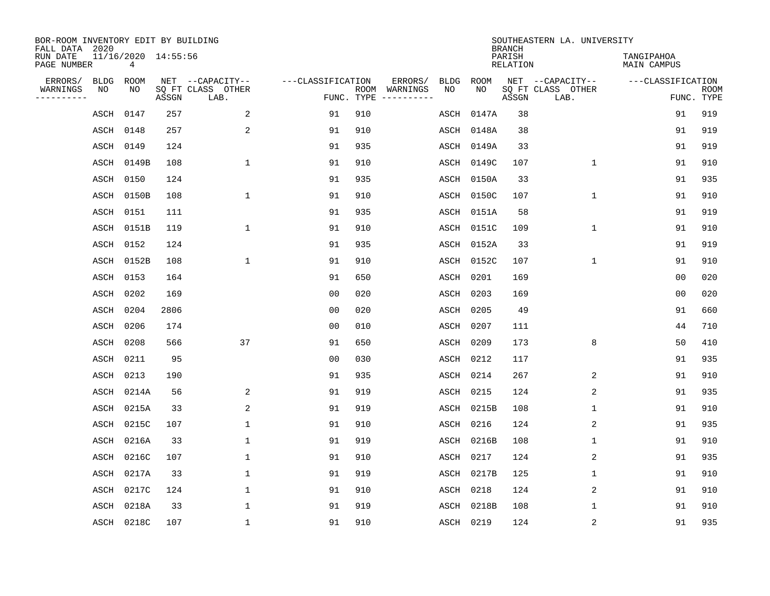| BOR-ROOM INVENTORY EDIT BY BUILDING<br>FALL DATA 2020 |                          |       |                           |                   |            |                              |             |             | <b>BRANCH</b>             | SOUTHEASTERN LA. UNIVERSITY |                                  |                           |
|-------------------------------------------------------|--------------------------|-------|---------------------------|-------------------|------------|------------------------------|-------------|-------------|---------------------------|-----------------------------|----------------------------------|---------------------------|
| RUN DATE<br>PAGE NUMBER                               | 11/16/2020 14:55:56<br>4 |       |                           |                   |            |                              |             |             | PARISH<br><b>RELATION</b> |                             | TANGIPAHOA<br><b>MAIN CAMPUS</b> |                           |
| ERRORS/<br><b>BLDG</b>                                | ROOM                     |       | NET --CAPACITY--          | ---CLASSIFICATION |            | ERRORS/                      | <b>BLDG</b> | <b>ROOM</b> |                           | NET --CAPACITY--            | ---CLASSIFICATION                |                           |
| WARNINGS<br>NO<br>----------                          | NO                       | ASSGN | SQ FT CLASS OTHER<br>LAB. |                   | FUNC. TYPE | ROOM WARNINGS<br>----------- | NO          | NO          | ASSGN                     | SQ FT CLASS OTHER<br>LAB.   |                                  | <b>ROOM</b><br>FUNC. TYPE |
| ASCH                                                  | 0147                     | 257   | 2                         | 91                | 910        |                              | ASCH        | 0147A       | 38                        |                             | 91                               | 919                       |
| ASCH                                                  | 0148                     | 257   | 2                         | 91                | 910        |                              | ASCH        | 0148A       | 38                        |                             | 91                               | 919                       |
| ASCH                                                  | 0149                     | 124   |                           | 91                | 935        |                              | ASCH        | 0149A       | 33                        |                             | 91                               | 919                       |
| ASCH                                                  | 0149B                    | 108   | $\mathbf{1}$              | 91                | 910        |                              | ASCH        | 0149C       | 107                       | $\mathbf{1}$                | 91                               | 910                       |
| ASCH                                                  | 0150                     | 124   |                           | 91                | 935        |                              | ASCH        | 0150A       | 33                        |                             | 91                               | 935                       |
| ASCH                                                  | 0150B                    | 108   | $\mathbf{1}$              | 91                | 910        |                              | ASCH        | 0150C       | 107                       | $\mathbf{1}$                | 91                               | 910                       |
| ASCH                                                  | 0151                     | 111   |                           | 91                | 935        |                              | ASCH        | 0151A       | 58                        |                             | 91                               | 919                       |
|                                                       | ASCH 0151B               | 119   | 1                         | 91                | 910        |                              | ASCH        | 0151C       | 109                       | $\mathbf{1}$                | 91                               | 910                       |
| ASCH                                                  | 0152                     | 124   |                           | 91                | 935        |                              | ASCH        | 0152A       | 33                        |                             | 91                               | 919                       |
|                                                       | ASCH 0152B               | 108   | 1                         | 91                | 910        |                              | ASCH        | 0152C       | 107                       | $\mathbf{1}$                | 91                               | 910                       |
|                                                       | ASCH 0153                | 164   |                           | 91                | 650        |                              | ASCH        | 0201        | 169                       |                             | 0 <sub>0</sub>                   | 020                       |
| ASCH                                                  | 0202                     | 169   |                           | 0 <sub>0</sub>    | 020        |                              | ASCH        | 0203        | 169                       |                             | 0 <sub>0</sub>                   | 020                       |
| ASCH                                                  | 0204                     | 2806  |                           | 0 <sub>0</sub>    | 020        |                              | ASCH        | 0205        | 49                        |                             | 91                               | 660                       |
| ASCH                                                  | 0206                     | 174   |                           | 0 <sub>0</sub>    | 010        |                              | ASCH        | 0207        | 111                       |                             | 44                               | 710                       |
| ASCH                                                  | 0208                     | 566   | 37                        | 91                | 650        |                              | ASCH        | 0209        | 173                       | 8                           | 50                               | 410                       |
| ASCH                                                  | 0211                     | 95    |                           | 0 <sub>0</sub>    | 030        |                              | ASCH        | 0212        | 117                       |                             | 91                               | 935                       |
| ASCH                                                  | 0213                     | 190   |                           | 91                | 935        |                              | ASCH        | 0214        | 267                       | 2                           | 91                               | 910                       |
| ASCH                                                  | 0214A                    | 56    | 2                         | 91                | 919        |                              | ASCH        | 0215        | 124                       | 2                           | 91                               | 935                       |
| ASCH                                                  | 0215A                    | 33    | $\overline{a}$            | 91                | 919        |                              | ASCH        | 0215B       | 108                       | $\mathbf 1$                 | 91                               | 910                       |
| ASCH                                                  | 0215C                    | 107   | 1                         | 91                | 910        |                              | ASCH        | 0216        | 124                       | 2                           | 91                               | 935                       |
| ASCH                                                  | 0216A                    | 33    | 1                         | 91                | 919        |                              | ASCH        | 0216B       | 108                       | 1                           | 91                               | 910                       |
| ASCH                                                  | 0216C                    | 107   | 1                         | 91                | 910        |                              | ASCH        | 0217        | 124                       | 2                           | 91                               | 935                       |
| ASCH                                                  | 0217A                    | 33    | $\mathbf{1}$              | 91                | 919        |                              | ASCH        | 0217B       | 125                       | $\mathbf 1$                 | 91                               | 910                       |
| ASCH                                                  | 0217C                    | 124   | $\mathbf{1}$              | 91                | 910        |                              | ASCH        | 0218        | 124                       | 2                           | 91                               | 910                       |
| ASCH                                                  | 0218A                    | 33    | $\mathbf{1}$              | 91                | 919        |                              | ASCH        | 0218B       | 108                       | $\mathbf 1$                 | 91                               | 910                       |
|                                                       | ASCH 0218C               | 107   | $\mathbf{1}$              | 91                | 910        |                              | ASCH 0219   |             | 124                       | $\sqrt{2}$                  | 91                               | 935                       |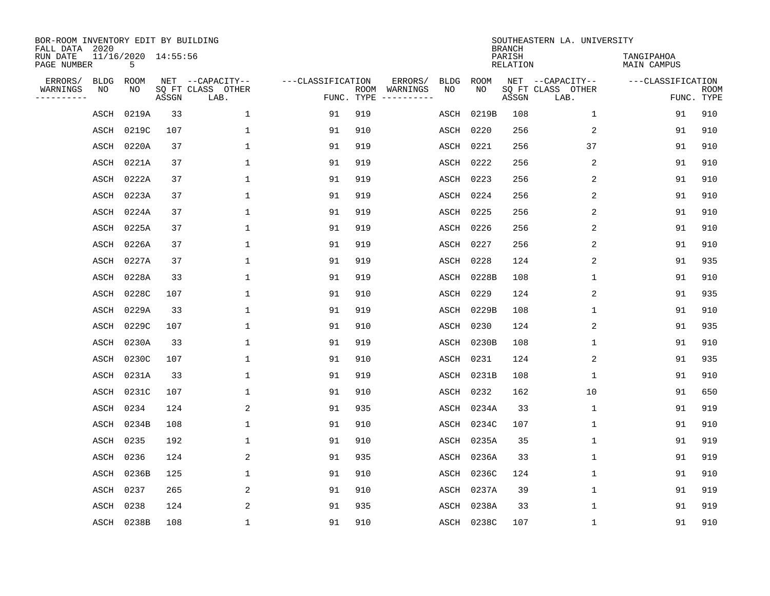| BOR-ROOM INVENTORY EDIT BY BUILDING<br>FALL DATA 2020 |                          |       |                           |                   |            |                              |             |             | <b>BRANCH</b>             | SOUTHEASTERN LA. UNIVERSITY |                           |                           |
|-------------------------------------------------------|--------------------------|-------|---------------------------|-------------------|------------|------------------------------|-------------|-------------|---------------------------|-----------------------------|---------------------------|---------------------------|
| RUN DATE<br>PAGE NUMBER                               | 11/16/2020 14:55:56<br>5 |       |                           |                   |            |                              |             |             | PARISH<br><b>RELATION</b> |                             | TANGIPAHOA<br>MAIN CAMPUS |                           |
| ERRORS/<br><b>BLDG</b>                                | ROOM                     |       | NET --CAPACITY--          | ---CLASSIFICATION |            | ERRORS/                      | <b>BLDG</b> | <b>ROOM</b> |                           | NET --CAPACITY--            | ---CLASSIFICATION         |                           |
| WARNINGS<br>NO<br>----------                          | NO                       | ASSGN | SQ FT CLASS OTHER<br>LAB. |                   | FUNC. TYPE | ROOM WARNINGS<br>----------- | NO          | NO          | ASSGN                     | SQ FT CLASS OTHER<br>LAB.   |                           | <b>ROOM</b><br>FUNC. TYPE |
| ASCH                                                  | 0219A                    | 33    | $\mathbf{1}$              | 91                | 919        |                              | ASCH        | 0219B       | 108                       | $\mathbf{1}$                | 91                        | 910                       |
| ASCH                                                  | 0219C                    | 107   | 1                         | 91                | 910        |                              | ASCH        | 0220        | 256                       | 2                           | 91                        | 910                       |
| ASCH                                                  | 0220A                    | 37    | $\mathbf{1}$              | 91                | 919        |                              | ASCH        | 0221        | 256                       | 37                          | 91                        | 910                       |
| ASCH                                                  | 0221A                    | 37    | $\mathbf 1$               | 91                | 919        |                              | ASCH        | 0222        | 256                       | 2                           | 91                        | 910                       |
| ASCH                                                  | 0222A                    | 37    | $\mathbf{1}$              | 91                | 919        |                              | ASCH        | 0223        | 256                       | 2                           | 91                        | 910                       |
| ASCH                                                  | 0223A                    | 37    | $\mathbf{1}$              | 91                | 919        |                              | ASCH        | 0224        | 256                       | 2                           | 91                        | 910                       |
| ASCH                                                  | 0224A                    | 37    | $\mathbf{1}$              | 91                | 919        |                              | ASCH        | 0225        | 256                       | $\overline{2}$              | 91                        | 910                       |
| ASCH                                                  | 0225A                    | 37    | $\mathbf{1}$              | 91                | 919        |                              | ASCH        | 0226        | 256                       | 2                           | 91                        | 910                       |
| ASCH                                                  | 0226A                    | 37    | $\mathbf{1}$              | 91                | 919        |                              | ASCH        | 0227        | 256                       | 2                           | 91                        | 910                       |
| ASCH                                                  | 0227A                    | 37    | $\mathbf{1}$              | 91                | 919        |                              | ASCH        | 0228        | 124                       | 2                           | 91                        | 935                       |
| ASCH                                                  | 0228A                    | 33    | $\mathbf{1}$              | 91                | 919        |                              | ASCH        | 0228B       | 108                       | $\mathbf 1$                 | 91                        | 910                       |
| ASCH                                                  | 0228C                    | 107   | $\mathbf 1$               | 91                | 910        |                              | ASCH        | 0229        | 124                       | 2                           | 91                        | 935                       |
| ASCH                                                  | 0229A                    | 33    | $\mathbf{1}$              | 91                | 919        |                              | ASCH        | 0229B       | 108                       | $\mathbf 1$                 | 91                        | 910                       |
| ASCH                                                  | 0229C                    | 107   | $\mathbf 1$               | 91                | 910        |                              | ASCH        | 0230        | 124                       | 2                           | 91                        | 935                       |
| ASCH                                                  | 0230A                    | 33    | $\mathbf{1}$              | 91                | 919        |                              | ASCH        | 0230B       | 108                       | $\mathbf 1$                 | 91                        | 910                       |
| ASCH                                                  | 0230C                    | 107   | 1                         | 91                | 910        |                              | ASCH        | 0231        | 124                       | 2                           | 91                        | 935                       |
| ASCH                                                  | 0231A                    | 33    | 1                         | 91                | 919        |                              | ASCH        | 0231B       | 108                       | 1                           | 91                        | 910                       |
| ASCH                                                  | 0231C                    | 107   | 1                         | 91                | 910        |                              | ASCH        | 0232        | 162                       | 10                          | 91                        | 650                       |
| ASCH                                                  | 0234                     | 124   | 2                         | 91                | 935        |                              | ASCH        | 0234A       | 33                        | $\mathbf 1$                 | 91                        | 919                       |
| ASCH                                                  | 0234B                    | 108   | 1                         | 91                | 910        |                              | ASCH        | 0234C       | 107                       | $\mathbf 1$                 | 91                        | 910                       |
| ASCH                                                  | 0235                     | 192   | 1                         | 91                | 910        |                              | ASCH        | 0235A       | 35                        | $\mathbf 1$                 | 91                        | 919                       |
| ASCH                                                  | 0236                     | 124   | 2                         | 91                | 935        |                              | ASCH        | 0236A       | 33                        | $\mathbf 1$                 | 91                        | 919                       |
| ASCH                                                  | 0236B                    | 125   | 1                         | 91                | 910        |                              | ASCH        | 0236C       | 124                       | $\mathbf 1$                 | 91                        | 910                       |
| ASCH                                                  | 0237                     | 265   | 2                         | 91                | 910        |                              | ASCH        | 0237A       | 39                        | $\mathbf 1$                 | 91                        | 919                       |
| ASCH                                                  | 0238                     | 124   | 2                         | 91                | 935        |                              | ASCH        | 0238A       | 33                        | 1                           | 91                        | 919                       |
|                                                       | ASCH 0238B               | 108   | 1                         | 91                | 910        |                              | ASCH        | 0238C       | 107                       | 1                           | 91                        | 910                       |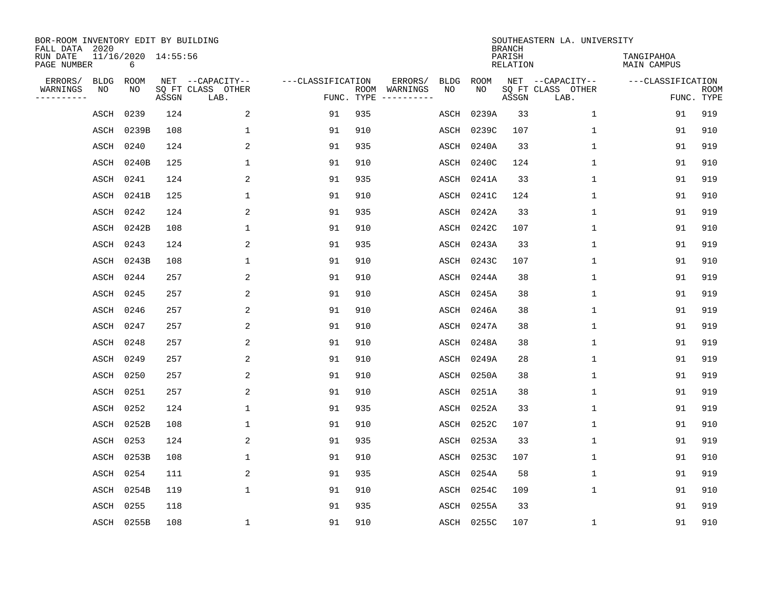| BOR-ROOM INVENTORY EDIT BY BUILDING<br>FALL DATA 2020 |             |                          |       |                           |                   |            |               |             |             | <b>BRANCH</b>             | SOUTHEASTERN LA. UNIVERSITY |                                  |                           |
|-------------------------------------------------------|-------------|--------------------------|-------|---------------------------|-------------------|------------|---------------|-------------|-------------|---------------------------|-----------------------------|----------------------------------|---------------------------|
| RUN DATE<br>PAGE NUMBER                               |             | 11/16/2020 14:55:56<br>6 |       |                           |                   |            |               |             |             | PARISH<br><b>RELATION</b> |                             | TANGIPAHOA<br><b>MAIN CAMPUS</b> |                           |
| ERRORS/                                               | <b>BLDG</b> | <b>ROOM</b>              |       | NET --CAPACITY--          | ---CLASSIFICATION |            | ERRORS/       | <b>BLDG</b> | <b>ROOM</b> |                           | NET --CAPACITY--            | ---CLASSIFICATION                |                           |
| WARNINGS<br>----------                                | NO          | NO                       | ASSGN | SQ FT CLASS OTHER<br>LAB. |                   | FUNC. TYPE | ROOM WARNINGS | NO          | NO          | ASSGN                     | SQ FT CLASS OTHER<br>LAB.   |                                  | <b>ROOM</b><br>FUNC. TYPE |
|                                                       | ASCH        | 0239                     | 124   | 2                         | 91                | 935        |               | ASCH        | 0239A       | 33                        | 1                           | 91                               | 919                       |
|                                                       | ASCH        | 0239B                    | 108   | 1                         | 91                | 910        |               | ASCH        | 0239C       | 107                       | 1                           | 91                               | 910                       |
|                                                       | ASCH        | 0240                     | 124   | 2                         | 91                | 935        |               | ASCH        | 0240A       | 33                        | 1                           | 91                               | 919                       |
|                                                       | ASCH        | 0240B                    | 125   | 1                         | 91                | 910        |               | ASCH        | 0240C       | 124                       | 1                           | 91                               | 910                       |
|                                                       | ASCH        | 0241                     | 124   | 2                         | 91                | 935        |               | ASCH        | 0241A       | 33                        | $\mathbf 1$                 | 91                               | 919                       |
|                                                       | ASCH        | 0241B                    | 125   | 1                         | 91                | 910        |               | ASCH        | 0241C       | 124                       | $\mathbf 1$                 | 91                               | 910                       |
|                                                       | ASCH        | 0242                     | 124   | 2                         | 91                | 935        |               | ASCH        | 0242A       | 33                        | $\mathbf{1}$                | 91                               | 919                       |
|                                                       | ASCH        | 0242B                    | 108   | $\mathbf{1}$              | 91                | 910        |               | ASCH        | 0242C       | 107                       | $\mathbf{1}$                | 91                               | 910                       |
|                                                       | ASCH        | 0243                     | 124   | 2                         | 91                | 935        |               | ASCH        | 0243A       | 33                        | $\mathbf{1}$                | 91                               | 919                       |
|                                                       | ASCH        | 0243B                    | 108   | 1                         | 91                | 910        |               | ASCH        | 0243C       | 107                       | $\mathbf 1$                 | 91                               | 910                       |
|                                                       | ASCH        | 0244                     | 257   | 2                         | 91                | 910        |               | ASCH        | 0244A       | 38                        | $\mathbf 1$                 | 91                               | 919                       |
|                                                       | ASCH        | 0245                     | 257   | 2                         | 91                | 910        |               | ASCH        | 0245A       | 38                        | 1                           | 91                               | 919                       |
|                                                       | ASCH        | 0246                     | 257   | 2                         | 91                | 910        |               | ASCH        | 0246A       | 38                        | $\mathbf 1$                 | 91                               | 919                       |
|                                                       | ASCH        | 0247                     | 257   | 2                         | 91                | 910        |               | ASCH        | 0247A       | 38                        | 1                           | 91                               | 919                       |
|                                                       | ASCH        | 0248                     | 257   | 2                         | 91                | 910        |               | ASCH        | 0248A       | 38                        | 1                           | 91                               | 919                       |
|                                                       | ASCH        | 0249                     | 257   | $\overline{2}$            | 91                | 910        |               | ASCH        | 0249A       | 28                        | $\mathbf 1$                 | 91                               | 919                       |
|                                                       | ASCH        | 0250                     | 257   | 2                         | 91                | 910        |               | ASCH        | 0250A       | 38                        | 1                           | 91                               | 919                       |
|                                                       | ASCH        | 0251                     | 257   | 2                         | 91                | 910        |               | ASCH        | 0251A       | 38                        | 1                           | 91                               | 919                       |
|                                                       | ASCH        | 0252                     | 124   | 1                         | 91                | 935        |               | ASCH        | 0252A       | 33                        | 1                           | 91                               | 919                       |
|                                                       | ASCH        | 0252B                    | 108   | 1                         | 91                | 910        |               | ASCH        | 0252C       | 107                       | 1                           | 91                               | 910                       |
|                                                       | ASCH        | 0253                     | 124   | 2                         | 91                | 935        |               | ASCH        | 0253A       | 33                        | $\mathbf 1$                 | 91                               | 919                       |
|                                                       | ASCH        | 0253B                    | 108   | 1                         | 91                | 910        |               | ASCH        | 0253C       | 107                       | $\mathbf 1$                 | 91                               | 910                       |
|                                                       | ASCH        | 0254                     | 111   | 2                         | 91                | 935        |               | ASCH        | 0254A       | 58                        | $\mathbf 1$                 | 91                               | 919                       |
|                                                       | ASCH        | 0254B                    | 119   | $\mathbf{1}$              | 91                | 910        |               | ASCH        | 0254C       | 109                       | $\mathbf 1$                 | 91                               | 910                       |
|                                                       | ASCH        | 0255                     | 118   |                           | 91                | 935        |               | ASCH        | 0255A       | 33                        |                             | 91                               | 919                       |
|                                                       |             | ASCH 0255B               | 108   | 1                         | 91                | 910        |               |             | ASCH 0255C  | 107                       | 1                           | 91                               | 910                       |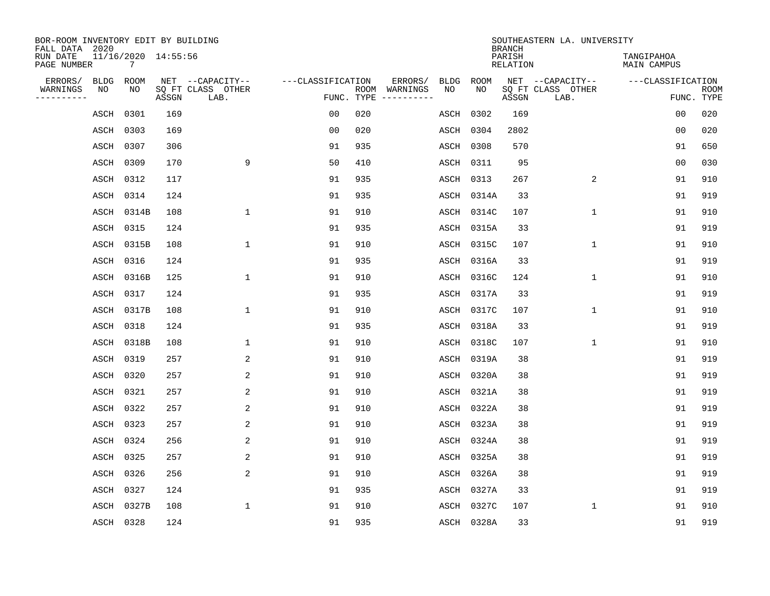| BOR-ROOM INVENTORY EDIT BY BUILDING<br>FALL DATA 2020 |             |                 |                     |                           |                   |            |                              |             |             | <b>BRANCH</b>             | SOUTHEASTERN LA. UNIVERSITY |                                  |                           |
|-------------------------------------------------------|-------------|-----------------|---------------------|---------------------------|-------------------|------------|------------------------------|-------------|-------------|---------------------------|-----------------------------|----------------------------------|---------------------------|
| RUN DATE<br>PAGE NUMBER                               |             | $7\overline{ }$ | 11/16/2020 14:55:56 |                           |                   |            |                              |             |             | PARISH<br><b>RELATION</b> |                             | TANGIPAHOA<br><b>MAIN CAMPUS</b> |                           |
| ERRORS/                                               | <b>BLDG</b> | ROOM            |                     | NET --CAPACITY--          | ---CLASSIFICATION |            | ERRORS/                      | <b>BLDG</b> | <b>ROOM</b> |                           | NET --CAPACITY--            | ---CLASSIFICATION                |                           |
| WARNINGS<br>----------                                | NO          | NO              | ASSGN               | SQ FT CLASS OTHER<br>LAB. |                   | FUNC. TYPE | ROOM WARNINGS<br>----------- | NO          | NO          | ASSGN                     | SQ FT CLASS OTHER<br>LAB.   |                                  | <b>ROOM</b><br>FUNC. TYPE |
|                                                       | ASCH        | 0301            | 169                 |                           | 00                | 020        |                              | ASCH        | 0302        | 169                       |                             | 0 <sub>0</sub>                   | 020                       |
|                                                       | ASCH        | 0303            | 169                 |                           | 0 <sub>0</sub>    | 020        |                              | ASCH        | 0304        | 2802                      |                             | 0 <sub>0</sub>                   | 020                       |
|                                                       | ASCH        | 0307            | 306                 |                           | 91                | 935        |                              | ASCH        | 0308        | 570                       |                             | 91                               | 650                       |
|                                                       | ASCH        | 0309            | 170                 | 9                         | 50                | 410        |                              | ASCH        | 0311        | 95                        |                             | 0 <sub>0</sub>                   | 030                       |
|                                                       | ASCH        | 0312            | 117                 |                           | 91                | 935        |                              | ASCH        | 0313        | 267                       | 2                           | 91                               | 910                       |
|                                                       | ASCH        | 0314            | 124                 |                           | 91                | 935        |                              | ASCH        | 0314A       | 33                        |                             | 91                               | 919                       |
|                                                       | ASCH        | 0314B           | 108                 | $\mathbf{1}$              | 91                | 910        |                              | ASCH        | 0314C       | 107                       | $\mathbf{1}$                | 91                               | 910                       |
|                                                       | ASCH        | 0315            | 124                 |                           | 91                | 935        |                              | ASCH        | 0315A       | 33                        |                             | 91                               | 919                       |
|                                                       | ASCH        | 0315B           | 108                 | $\mathbf{1}$              | 91                | 910        |                              | ASCH        | 0315C       | 107                       | $\mathbf{1}$                | 91                               | 910                       |
|                                                       | ASCH        | 0316            | 124                 |                           | 91                | 935        |                              | ASCH        | 0316A       | 33                        |                             | 91                               | 919                       |
|                                                       | ASCH        | 0316B           | 125                 | 1                         | 91                | 910        |                              | ASCH        | 0316C       | 124                       | $\mathbf 1$                 | 91                               | 910                       |
|                                                       | ASCH        | 0317            | 124                 |                           | 91                | 935        |                              | ASCH        | 0317A       | 33                        |                             | 91                               | 919                       |
|                                                       | ASCH        | 0317B           | 108                 | $\mathbf{1}$              | 91                | 910        |                              | ASCH        | 0317C       | 107                       | $\mathbf 1$                 | 91                               | 910                       |
|                                                       | ASCH 0318   |                 | 124                 |                           | 91                | 935        |                              | ASCH        | 0318A       | 33                        |                             | 91                               | 919                       |
|                                                       |             | ASCH 0318B      | 108                 | $\mathbf{1}$              | 91                | 910        |                              | ASCH        | 0318C       | 107                       | $\mathbf{1}$                | 91                               | 910                       |
|                                                       | ASCH        | 0319            | 257                 | 2                         | 91                | 910        |                              | ASCH        | 0319A       | 38                        |                             | 91                               | 919                       |
|                                                       | ASCH        | 0320            | 257                 | 2                         | 91                | 910        |                              | ASCH        | 0320A       | 38                        |                             | 91                               | 919                       |
|                                                       | ASCH        | 0321            | 257                 | 2                         | 91                | 910        |                              | ASCH        | 0321A       | 38                        |                             | 91                               | 919                       |
|                                                       | ASCH        | 0322            | 257                 | 2                         | 91                | 910        |                              | ASCH        | 0322A       | 38                        |                             | 91                               | 919                       |
|                                                       | ASCH        | 0323            | 257                 | 2                         | 91                | 910        |                              | ASCH        | 0323A       | 38                        |                             | 91                               | 919                       |
|                                                       | ASCH        | 0324            | 256                 | 2                         | 91                | 910        |                              | ASCH        | 0324A       | 38                        |                             | 91                               | 919                       |
|                                                       | ASCH        | 0325            | 257                 | $\overline{a}$            | 91                | 910        |                              | ASCH        | 0325A       | 38                        |                             | 91                               | 919                       |
|                                                       | ASCH        | 0326            | 256                 | $\overline{a}$            | 91                | 910        |                              | ASCH        | 0326A       | 38                        |                             | 91                               | 919                       |
|                                                       | ASCH        | 0327            | 124                 |                           | 91                | 935        |                              | ASCH        | 0327A       | 33                        |                             | 91                               | 919                       |
|                                                       | ASCH        | 0327B           | 108                 | $\mathbf{1}$              | 91                | 910        |                              | ASCH        | 0327C       | 107                       | $\mathbf 1$                 | 91                               | 910                       |
|                                                       | ASCH 0328   |                 | 124                 |                           | 91                | 935        |                              |             | ASCH 0328A  | 33                        |                             | 91                               | 919                       |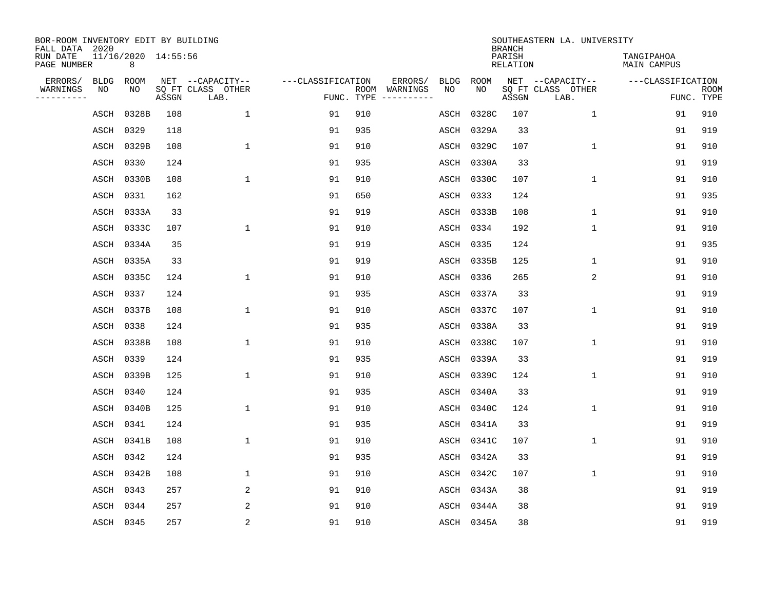| BOR-ROOM INVENTORY EDIT BY BUILDING<br>FALL DATA 2020 |                          |       |                           |                   |            |               |             |             | <b>BRANCH</b>             | SOUTHEASTERN LA. UNIVERSITY |                                  |                           |
|-------------------------------------------------------|--------------------------|-------|---------------------------|-------------------|------------|---------------|-------------|-------------|---------------------------|-----------------------------|----------------------------------|---------------------------|
| RUN DATE<br>PAGE NUMBER                               | 11/16/2020 14:55:56<br>8 |       |                           |                   |            |               |             |             | PARISH<br><b>RELATION</b> |                             | TANGIPAHOA<br><b>MAIN CAMPUS</b> |                           |
| ERRORS/                                               | <b>BLDG</b><br>ROOM      |       | NET --CAPACITY--          | ---CLASSIFICATION |            | ERRORS/       | <b>BLDG</b> | <b>ROOM</b> |                           | NET --CAPACITY--            | ---CLASSIFICATION                |                           |
| WARNINGS<br>----------                                | NO<br>NO                 | ASSGN | SQ FT CLASS OTHER<br>LAB. |                   | FUNC. TYPE | ROOM WARNINGS | NO          | NO          | ASSGN                     | SQ FT CLASS OTHER<br>LAB.   |                                  | <b>ROOM</b><br>FUNC. TYPE |
|                                                       | 0328B<br>ASCH            | 108   | $\mathbf{1}$              | 91                | 910        |               | ASCH        | 0328C       | 107                       | $\mathbf 1$                 | 91                               | 910                       |
|                                                       | ASCH<br>0329             | 118   |                           | 91                | 935        |               | ASCH        | 0329A       | 33                        |                             | 91                               | 919                       |
|                                                       | ASCH<br>0329B            | 108   | $\mathbf{1}$              | 91                | 910        |               | ASCH        | 0329C       | 107                       | $\mathbf{1}$                | 91                               | 910                       |
|                                                       | 0330<br>ASCH             | 124   |                           | 91                | 935        |               | ASCH        | 0330A       | 33                        |                             | 91                               | 919                       |
|                                                       | 0330B<br>ASCH            | 108   | $\mathbf{1}$              | 91                | 910        |               | ASCH        | 0330C       | 107                       | $\mathbf 1$                 | 91                               | 910                       |
|                                                       | 0331<br>ASCH             | 162   |                           | 91                | 650        |               | ASCH        | 0333        | 124                       |                             | 91                               | 935                       |
|                                                       | ASCH<br>0333A            | 33    |                           | 91                | 919        |               | ASCH        | 0333B       | 108                       | $\mathbf{1}$                | 91                               | 910                       |
|                                                       | 0333C<br>ASCH            | 107   | $\mathbf{1}$              | 91                | 910        |               | ASCH        | 0334        | 192                       | $\mathbf{1}$                | 91                               | 910                       |
|                                                       | 0334A<br>ASCH            | 35    |                           | 91                | 919        |               | ASCH        | 0335        | 124                       |                             | 91                               | 935                       |
|                                                       | 0335A<br>ASCH            | 33    |                           | 91                | 919        |               | ASCH        | 0335B       | 125                       | $\mathbf 1$                 | 91                               | 910                       |
|                                                       | 0335C<br>ASCH            | 124   | $\mathbf{1}$              | 91                | 910        |               | ASCH        | 0336        | 265                       | 2                           | 91                               | 910                       |
|                                                       | 0337<br>ASCH             | 124   |                           | 91                | 935        |               | ASCH        | 0337A       | 33                        |                             | 91                               | 919                       |
|                                                       | 0337B<br>ASCH            | 108   | $\mathbf 1$               | 91                | 910        |               | ASCH        | 0337C       | 107                       | 1                           | 91                               | 910                       |
|                                                       | 0338<br>ASCH             | 124   |                           | 91                | 935        |               | ASCH        | 0338A       | 33                        |                             | 91                               | 919                       |
|                                                       | 0338B<br>ASCH            | 108   | $\mathbf{1}$              | 91                | 910        |               | ASCH        | 0338C       | 107                       | $\mathbf 1$                 | 91                               | 910                       |
|                                                       | 0339<br>ASCH             | 124   |                           | 91                | 935        |               | ASCH        | 0339A       | 33                        |                             | 91                               | 919                       |
|                                                       | 0339B<br>ASCH            | 125   | $\mathbf{1}$              | 91                | 910        |               | ASCH        | 0339C       | 124                       | $\mathbf{1}$                | 91                               | 910                       |
|                                                       | 0340<br>ASCH             | 124   |                           | 91                | 935        |               | ASCH        | 0340A       | 33                        |                             | 91                               | 919                       |
|                                                       | 0340B<br>ASCH            | 125   | 1                         | 91                | 910        |               | ASCH        | 0340C       | 124                       | 1                           | 91                               | 910                       |
|                                                       | ASCH<br>0341             | 124   |                           | 91                | 935        |               | ASCH        | 0341A       | 33                        |                             | 91                               | 919                       |
|                                                       | ASCH<br>0341B            | 108   | $\mathbf{1}$              | 91                | 910        |               | ASCH        | 0341C       | 107                       | 1                           | 91                               | 910                       |
|                                                       | 0342<br>ASCH             | 124   |                           | 91                | 935        |               | ASCH        | 0342A       | 33                        |                             | 91                               | 919                       |
|                                                       | ASCH<br>0342B            | 108   | 1                         | 91                | 910        |               | ASCH        | 0342C       | 107                       | $\mathbf 1$                 | 91                               | 910                       |
|                                                       | 0343<br>ASCH             | 257   | 2                         | 91                | 910        |               | ASCH        | 0343A       | 38                        |                             | 91                               | 919                       |
|                                                       | 0344<br>ASCH             | 257   | 2                         | 91                | 910        |               | ASCH        | 0344A       | 38                        |                             | 91                               | 919                       |
|                                                       | ASCH 0345                | 257   | 2                         | 91                | 910        |               |             | ASCH 0345A  | 38                        |                             | 91                               | 919                       |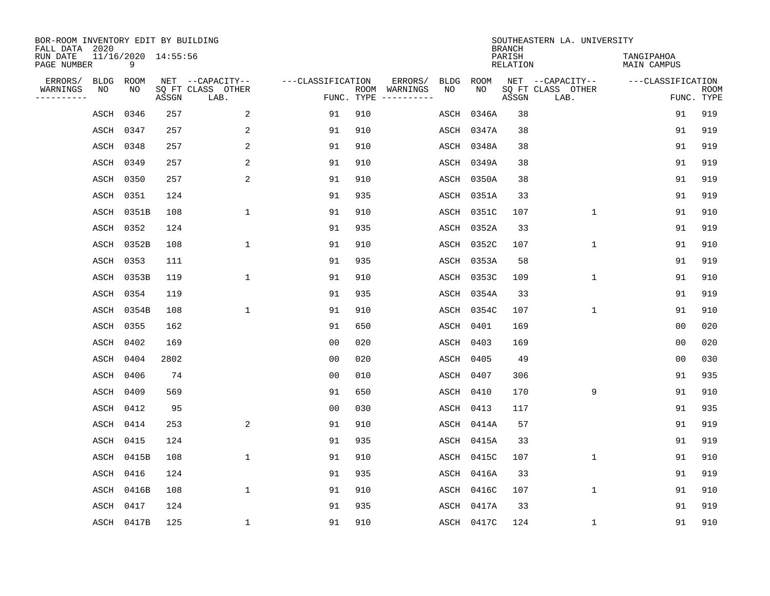| BOR-ROOM INVENTORY EDIT BY BUILDING<br>FALL DATA 2020 |                          |       |                           |                   |     |                                      |             |             | <b>BRANCH</b>             | SOUTHEASTERN LA. UNIVERSITY |                                  |                           |
|-------------------------------------------------------|--------------------------|-------|---------------------------|-------------------|-----|--------------------------------------|-------------|-------------|---------------------------|-----------------------------|----------------------------------|---------------------------|
| RUN DATE<br>PAGE NUMBER                               | 11/16/2020 14:55:56<br>9 |       |                           |                   |     |                                      |             |             | PARISH<br><b>RELATION</b> |                             | TANGIPAHOA<br><b>MAIN CAMPUS</b> |                           |
| ERRORS/<br><b>BLDG</b>                                | ROOM                     |       | NET --CAPACITY--          | ---CLASSIFICATION |     | ERRORS/                              | <b>BLDG</b> | <b>ROOM</b> |                           | NET --CAPACITY--            | ---CLASSIFICATION                |                           |
| WARNINGS<br>NO<br>----------                          | NO                       | ASSGN | SQ FT CLASS OTHER<br>LAB. |                   |     | ROOM WARNINGS<br>FUNC. TYPE $------$ | NO          | NO          | ASSGN                     | SQ FT CLASS OTHER<br>LAB.   |                                  | <b>ROOM</b><br>FUNC. TYPE |
|                                                       | 0346<br>ASCH             | 257   | 2                         | 91                | 910 |                                      | ASCH        | 0346A       | 38                        |                             | 91                               | 919                       |
|                                                       | ASCH<br>0347             | 257   | 2                         | 91                | 910 |                                      | ASCH        | 0347A       | 38                        |                             | 91                               | 919                       |
|                                                       | ASCH<br>0348             | 257   | 2                         | 91                | 910 |                                      | ASCH        | 0348A       | 38                        |                             | 91                               | 919                       |
|                                                       | 0349<br>ASCH             | 257   | 2                         | 91                | 910 |                                      | ASCH        | 0349A       | 38                        |                             | 91                               | 919                       |
|                                                       | ASCH<br>0350             | 257   | $\overline{a}$            | 91                | 910 |                                      | ASCH        | 0350A       | 38                        |                             | 91                               | 919                       |
|                                                       | 0351<br>ASCH             | 124   |                           | 91                | 935 |                                      | ASCH        | 0351A       | 33                        |                             | 91                               | 919                       |
|                                                       | ASCH 0351B               | 108   | $\mathbf{1}$              | 91                | 910 |                                      | ASCH        | 0351C       | 107                       | $\mathbf 1$                 | 91                               | 910                       |
|                                                       | ASCH 0352                | 124   |                           | 91                | 935 |                                      | ASCH        | 0352A       | 33                        |                             | 91                               | 919                       |
|                                                       | ASCH<br>0352B            | 108   | $\mathbf{1}$              | 91                | 910 |                                      | ASCH        | 0352C       | 107                       | $\mathbf 1$                 | 91                               | 910                       |
|                                                       | ASCH 0353                | 111   |                           | 91                | 935 |                                      | ASCH        | 0353A       | 58                        |                             | 91                               | 919                       |
|                                                       | ASCH 0353B               | 119   | $\mathbf{1}$              | 91                | 910 |                                      | ASCH        | 0353C       | 109                       | $\mathbf{1}$                | 91                               | 910                       |
|                                                       | ASCH 0354                | 119   |                           | 91                | 935 |                                      | ASCH        | 0354A       | 33                        |                             | 91                               | 919                       |
|                                                       | 0354B<br>ASCH            | 108   | $\mathbf{1}$              | 91                | 910 |                                      | ASCH        | 0354C       | 107                       | $\mathbf 1$                 | 91                               | 910                       |
|                                                       | ASCH 0355                | 162   |                           | 91                | 650 |                                      | ASCH        | 0401        | 169                       |                             | 0 <sub>0</sub>                   | 020                       |
|                                                       | 0402<br>ASCH             | 169   |                           | 0 <sub>0</sub>    | 020 |                                      | ASCH        | 0403        | 169                       |                             | 0 <sub>0</sub>                   | 020                       |
|                                                       | ASCH<br>0404             | 2802  |                           | 0 <sub>0</sub>    | 020 |                                      | ASCH        | 0405        | 49                        |                             | 0 <sub>0</sub>                   | 030                       |
|                                                       | 0406<br>ASCH             | 74    |                           | 0 <sub>0</sub>    | 010 |                                      | ASCH        | 0407        | 306                       |                             | 91                               | 935                       |
|                                                       | 0409<br>ASCH             | 569   |                           | 91                | 650 |                                      | ASCH        | 0410        | 170                       | 9                           | 91                               | 910                       |
|                                                       | 0412<br>ASCH             | 95    |                           | 0 <sub>0</sub>    | 030 |                                      | ASCH        | 0413        | 117                       |                             | 91                               | 935                       |
|                                                       | 0414<br>ASCH             | 253   | $\overline{a}$            | 91                | 910 |                                      | ASCH        | 0414A       | 57                        |                             | 91                               | 919                       |
|                                                       | 0415<br>ASCH             | 124   |                           | 91                | 935 |                                      | ASCH        | 0415A       | 33                        |                             | 91                               | 919                       |
|                                                       | ASCH<br>0415B            | 108   | $\mathbf{1}$              | 91                | 910 |                                      | ASCH        | 0415C       | 107                       | $\mathbf 1$                 | 91                               | 910                       |
|                                                       | 0416<br>ASCH             | 124   |                           | 91                | 935 |                                      | ASCH        | 0416A       | 33                        |                             | 91                               | 919                       |
|                                                       | ASCH<br>0416B            | 108   | $\mathbf{1}$              | 91                | 910 |                                      | ASCH        | 0416C       | 107                       | $\mathbf{1}$                | 91                               | 910                       |
|                                                       | ASCH<br>0417             | 124   |                           | 91                | 935 |                                      | ASCH        | 0417A       | 33                        |                             | 91                               | 919                       |
|                                                       | ASCH 0417B               | 125   | $\mathbf{1}$              | 91                | 910 |                                      |             | ASCH 0417C  | 124                       | 1                           | 91                               | 910                       |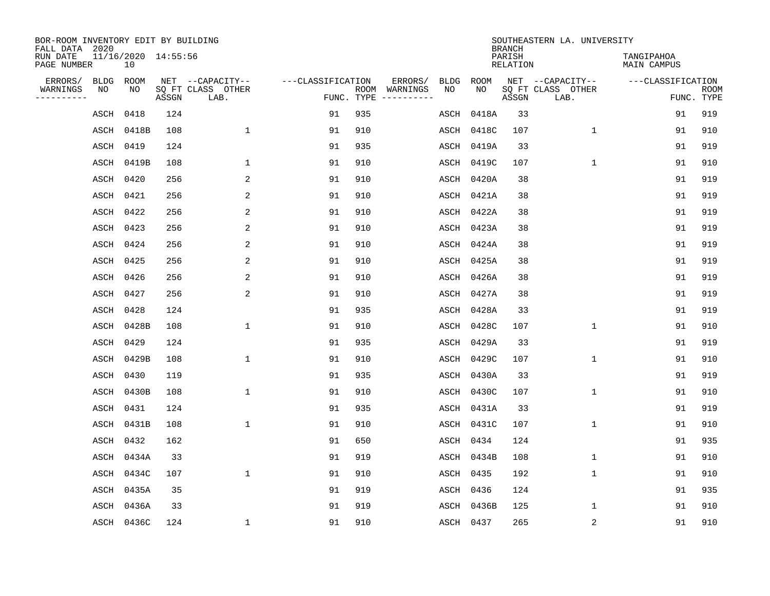| BOR-ROOM INVENTORY EDIT BY BUILDING<br>FALL DATA 2020 |             |                                        |       |                           |                   |            |                              |             |             | <b>BRANCH</b>             | SOUTHEASTERN LA. UNIVERSITY |                                  |                           |
|-------------------------------------------------------|-------------|----------------------------------------|-------|---------------------------|-------------------|------------|------------------------------|-------------|-------------|---------------------------|-----------------------------|----------------------------------|---------------------------|
| RUN DATE<br>PAGE NUMBER                               |             | 11/16/2020 14:55:56<br>10 <sup>°</sup> |       |                           |                   |            |                              |             |             | PARISH<br><b>RELATION</b> |                             | TANGIPAHOA<br><b>MAIN CAMPUS</b> |                           |
| ERRORS/                                               | <b>BLDG</b> | ROOM                                   |       | NET --CAPACITY--          | ---CLASSIFICATION |            | ERRORS/                      | <b>BLDG</b> | <b>ROOM</b> |                           | NET --CAPACITY--            | ---CLASSIFICATION                |                           |
| WARNINGS<br>----------                                | NO          | NO                                     | ASSGN | SQ FT CLASS OTHER<br>LAB. |                   | FUNC. TYPE | ROOM WARNINGS<br>----------- | NO          | NO          | ASSGN                     | SQ FT CLASS OTHER<br>LAB.   |                                  | <b>ROOM</b><br>FUNC. TYPE |
|                                                       | ASCH        | 0418                                   | 124   |                           | 91                | 935        |                              | ASCH        | 0418A       | 33                        |                             | 91                               | 919                       |
|                                                       | ASCH        | 0418B                                  | 108   | $\mathbf 1$               | 91                | 910        |                              | ASCH        | 0418C       | 107                       | $\mathbf 1$                 | 91                               | 910                       |
|                                                       | ASCH        | 0419                                   | 124   |                           | 91                | 935        |                              | ASCH        | 0419A       | 33                        |                             | 91                               | 919                       |
|                                                       | ASCH        | 0419B                                  | 108   | 1                         | 91                | 910        |                              | ASCH        | 0419C       | 107                       | $\mathbf 1$                 | 91                               | 910                       |
|                                                       | ASCH        | 0420                                   | 256   | 2                         | 91                | 910        |                              | ASCH        | 0420A       | 38                        |                             | 91                               | 919                       |
|                                                       | ASCH        | 0421                                   | 256   | 2                         | 91                | 910        |                              | ASCH        | 0421A       | 38                        |                             | 91                               | 919                       |
|                                                       | ASCH        | 0422                                   | 256   | 2                         | 91                | 910        |                              |             | ASCH 0422A  | 38                        |                             | 91                               | 919                       |
|                                                       | ASCH 0423   |                                        | 256   | 2                         | 91                | 910        |                              | ASCH        | 0423A       | 38                        |                             | 91                               | 919                       |
|                                                       | ASCH        | 0424                                   | 256   | 2                         | 91                | 910        |                              | ASCH        | 0424A       | 38                        |                             | 91                               | 919                       |
|                                                       | ASCH 0425   |                                        | 256   | 2                         | 91                | 910        |                              | ASCH        | 0425A       | 38                        |                             | 91                               | 919                       |
|                                                       | ASCH 0426   |                                        | 256   | 2                         | 91                | 910        |                              | ASCH        | 0426A       | 38                        |                             | 91                               | 919                       |
|                                                       | ASCH        | 0427                                   | 256   | 2                         | 91                | 910        |                              | ASCH        | 0427A       | 38                        |                             | 91                               | 919                       |
|                                                       | ASCH        | 0428                                   | 124   |                           | 91                | 935        |                              | ASCH        | 0428A       | 33                        |                             | 91                               | 919                       |
|                                                       |             | ASCH 0428B                             | 108   | $\mathbf{1}$              | 91                | 910        |                              | ASCH        | 0428C       | 107                       | $\mathbf{1}$                | 91                               | 910                       |
|                                                       | ASCH        | 0429                                   | 124   |                           | 91                | 935        |                              | ASCH        | 0429A       | 33                        |                             | 91                               | 919                       |
|                                                       | ASCH        | 0429B                                  | 108   | 1                         | 91                | 910        |                              | ASCH        | 0429C       | 107                       | 1                           | 91                               | 910                       |
|                                                       | ASCH        | 0430                                   | 119   |                           | 91                | 935        |                              | ASCH        | 0430A       | 33                        |                             | 91                               | 919                       |
|                                                       | ASCH        | 0430B                                  | 108   | $\mathbf{1}$              | 91                | 910        |                              | ASCH        | 0430C       | 107                       | 1                           | 91                               | 910                       |
|                                                       | ASCH        | 0431                                   | 124   |                           | 91                | 935        |                              | ASCH        | 0431A       | 33                        |                             | 91                               | 919                       |
|                                                       | ASCH        | 0431B                                  | 108   | $\mathbf{1}$              | 91                | 910        |                              | ASCH        | 0431C       | 107                       | $\mathbf{1}$                | 91                               | 910                       |
|                                                       | ASCH        | 0432                                   | 162   |                           | 91                | 650        |                              | ASCH        | 0434        | 124                       |                             | 91                               | 935                       |
|                                                       | ASCH        | 0434A                                  | 33    |                           | 91                | 919        |                              | ASCH        | 0434B       | 108                       | $\mathbf{1}$                | 91                               | 910                       |
|                                                       | ASCH        | 0434C                                  | 107   | $\mathbf{1}$              | 91                | 910        |                              | ASCH        | 0435        | 192                       | $\mathbf{1}$                | 91                               | 910                       |
|                                                       | ASCH        | 0435A                                  | 35    |                           | 91                | 919        |                              | ASCH        | 0436        | 124                       |                             | 91                               | 935                       |
|                                                       | ASCH        | 0436A                                  | 33    |                           | 91                | 919        |                              | ASCH        | 0436B       | 125                       | 1                           | 91                               | 910                       |
|                                                       |             | ASCH 0436C                             | 124   | $\mathbf{1}$              | 91                | 910        |                              | ASCH 0437   |             | 265                       | 2                           | 91                               | 910                       |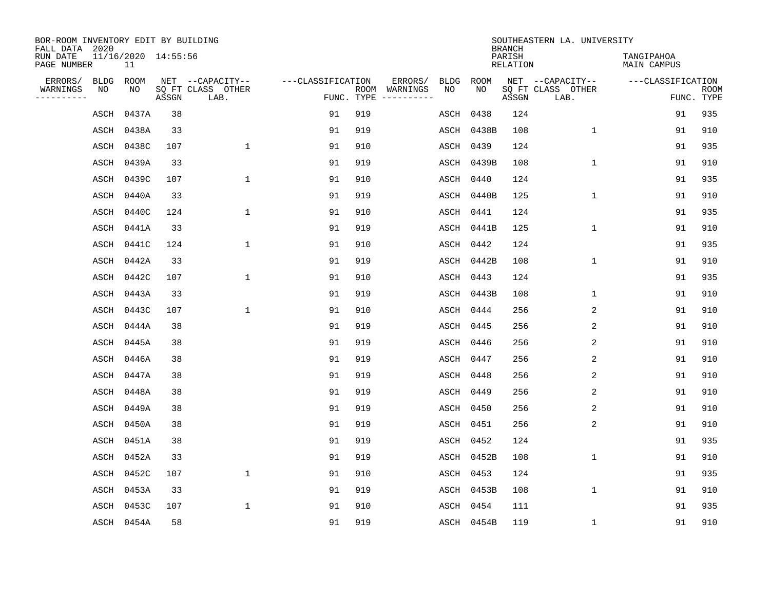| BOR-ROOM INVENTORY EDIT BY BUILDING<br>FALL DATA 2020 |             |                           |       |                           |                   |                             |             |           |             | <b>BRANCH</b>             | SOUTHEASTERN LA. UNIVERSITY |                                  |                           |
|-------------------------------------------------------|-------------|---------------------------|-------|---------------------------|-------------------|-----------------------------|-------------|-----------|-------------|---------------------------|-----------------------------|----------------------------------|---------------------------|
| RUN DATE<br>PAGE NUMBER                               |             | 11/16/2020 14:55:56<br>11 |       |                           |                   |                             |             |           |             | PARISH<br><b>RELATION</b> |                             | TANGIPAHOA<br><b>MAIN CAMPUS</b> |                           |
| ERRORS/                                               | <b>BLDG</b> | ROOM                      |       | NET --CAPACITY--          | ---CLASSIFICATION |                             | ERRORS/     | BLDG      | <b>ROOM</b> |                           | NET --CAPACITY--            | ---CLASSIFICATION                |                           |
| WARNINGS<br>----------                                | NO          | NO                        | ASSGN | SQ FT CLASS OTHER<br>LAB. |                   | ROOM WARNINGS<br>FUNC. TYPE | ----------- | NO        | NO          | ASSGN                     | SQ FT CLASS OTHER<br>LAB.   |                                  | <b>ROOM</b><br>FUNC. TYPE |
|                                                       | ASCH        | 0437A                     | 38    |                           | 91                | 919                         |             | ASCH      | 0438        | 124                       |                             | 91                               | 935                       |
|                                                       | ASCH        | 0438A                     | 33    |                           | 91                | 919                         |             | ASCH      | 0438B       | 108                       | 1                           | 91                               | 910                       |
|                                                       | ASCH        | 0438C                     | 107   | $\mathbf{1}$              | 91                | 910                         |             | ASCH      | 0439        | 124                       |                             | 91                               | 935                       |
|                                                       | ASCH        | 0439A                     | 33    |                           | 91                | 919                         |             |           | ASCH 0439B  | 108                       | 1                           | 91                               | 910                       |
|                                                       | ASCH        | 0439C                     | 107   | $\mathbf 1$               | 91                | 910                         |             | ASCH 0440 |             | 124                       |                             | 91                               | 935                       |
|                                                       | ASCH        | 0440A                     | 33    |                           | 91                | 919                         |             |           | ASCH 0440B  | 125                       | $\mathbf 1$                 | 91                               | 910                       |
|                                                       | ASCH        | 0440C                     | 124   | $\mathbf{1}$              | 91                | 910                         |             | ASCH 0441 |             | 124                       |                             | 91                               | 935                       |
|                                                       | ASCH        | 0441A                     | 33    |                           | 91                | 919                         |             |           | ASCH 0441B  | 125                       | $\mathbf{1}$                | 91                               | 910                       |
|                                                       | ASCH        | 0441C                     | 124   | $\mathbf{1}$              | 91                | 910                         |             | ASCH      | 0442        | 124                       |                             | 91                               | 935                       |
|                                                       | ASCH        | 0442A                     | 33    |                           | 91                | 919                         |             |           | ASCH 0442B  | 108                       | $\mathbf 1$                 | 91                               | 910                       |
|                                                       | ASCH        | 0442C                     | 107   | $\mathbf{1}$              | 91                | 910                         |             | ASCH      | 0443        | 124                       |                             | 91                               | 935                       |
|                                                       | ASCH        | 0443A                     | 33    |                           | 91                | 919                         |             | ASCH      | 0443B       | 108                       | $\mathbf 1$                 | 91                               | 910                       |
|                                                       | ASCH        | 0443C                     | 107   | $\mathbf{1}$              | 91                | 910                         |             | ASCH      | 0444        | 256                       | 2                           | 91                               | 910                       |
|                                                       | ASCH        | 0444A                     | 38    |                           | 91                | 919                         |             | ASCH      | 0445        | 256                       | $\overline{c}$              | 91                               | 910                       |
|                                                       | ASCH        | 0445A                     | 38    |                           | 91                | 919                         |             | ASCH      | 0446        | 256                       | 2                           | 91                               | 910                       |
|                                                       | ASCH        | 0446A                     | 38    |                           | 91                | 919                         |             | ASCH 0447 |             | 256                       | $\overline{c}$              | 91                               | 910                       |
|                                                       | ASCH        | 0447A                     | 38    |                           | 91                | 919                         |             | ASCH      | 0448        | 256                       | 2                           | 91                               | 910                       |
|                                                       | ASCH        | 0448A                     | 38    |                           | 91                | 919                         |             | ASCH 0449 |             | 256                       | 2                           | 91                               | 910                       |
|                                                       | ASCH        | 0449A                     | 38    |                           | 91                | 919                         |             | ASCH      | 0450        | 256                       | 2                           | 91                               | 910                       |
|                                                       | ASCH        | 0450A                     | 38    |                           | 91                | 919                         |             | ASCH 0451 |             | 256                       | 2                           | 91                               | 910                       |
|                                                       | ASCH        | 0451A                     | 38    |                           | 91                | 919                         |             | ASCH      | 0452        | 124                       |                             | 91                               | 935                       |
|                                                       | ASCH        | 0452A                     | 33    |                           | 91                | 919                         |             | ASCH      | 0452B       | 108                       | 1                           | 91                               | 910                       |
|                                                       | ASCH        | 0452C                     | 107   | $\mathbf{1}$              | 91                | 910                         |             | ASCH      | 0453        | 124                       |                             | 91                               | 935                       |
|                                                       | ASCH        | 0453A                     | 33    |                           | 91                | 919                         |             | ASCH      | 0453B       | 108                       | 1                           | 91                               | 910                       |
|                                                       | ASCH        | 0453C                     | 107   | 1                         | 91                | 910                         |             | ASCH      | 0454        | 111                       |                             | 91                               | 935                       |
|                                                       |             | ASCH 0454A                | 58    |                           | 91                | 919                         |             |           | ASCH 0454B  | 119                       | 1                           | 91                               | 910                       |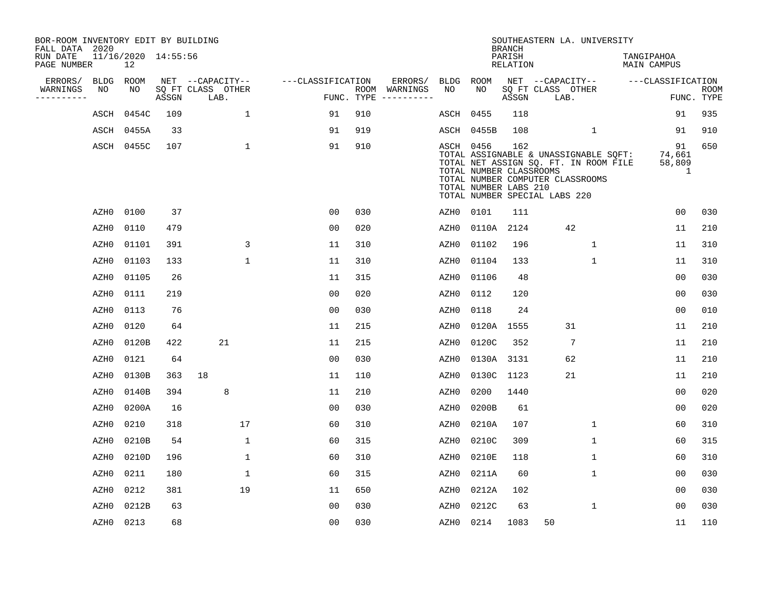| BOR-ROOM INVENTORY EDIT BY BUILDING<br>FALL DATA 2020 |                  |                           |       |                           |              |                   |     |                                      |           |                                                  | <b>BRANCH</b>             | SOUTHEASTERN LA. UNIVERSITY                                                                                                                         |                                  |                                       |                           |
|-------------------------------------------------------|------------------|---------------------------|-------|---------------------------|--------------|-------------------|-----|--------------------------------------|-----------|--------------------------------------------------|---------------------------|-----------------------------------------------------------------------------------------------------------------------------------------------------|----------------------------------|---------------------------------------|---------------------------|
| RUN DATE<br>PAGE NUMBER                               |                  | 11/16/2020 14:55:56<br>12 |       |                           |              |                   |     |                                      |           |                                                  | PARISH<br><b>RELATION</b> |                                                                                                                                                     | TANGIPAHOA<br><b>MAIN CAMPUS</b> |                                       |                           |
| ERRORS/                                               | <b>BLDG</b>      | ROOM                      |       | NET --CAPACITY--          |              | ---CLASSIFICATION |     | ERRORS/                              | BLDG      | ROOM                                             |                           | NET --CAPACITY--                                                                                                                                    | ---CLASSIFICATION                |                                       |                           |
| WARNINGS<br>----------                                | NO               | NO                        | ASSGN | SQ FT CLASS OTHER<br>LAB. |              |                   |     | ROOM WARNINGS<br>FUNC. TYPE $------$ | NO        | NO                                               | ASSGN                     | SQ FT CLASS OTHER<br>LAB.                                                                                                                           |                                  |                                       | <b>ROOM</b><br>FUNC. TYPE |
|                                                       | ASCH             | 0454C                     | 109   |                           | $\mathbf 1$  | 91                | 910 |                                      | ASCH      | 0455                                             | 118                       |                                                                                                                                                     |                                  | 91                                    | 935                       |
|                                                       | ASCH             | 0455A                     | 33    |                           |              | 91                | 919 |                                      | ASCH      | 0455B                                            | 108                       | $\mathbf{1}$                                                                                                                                        |                                  | 91                                    | 910                       |
|                                                       |                  | ASCH 0455C                | 107   |                           | $\mathbf{1}$ | 91                | 910 |                                      | ASCH 0456 | TOTAL NUMBER CLASSROOMS<br>TOTAL NUMBER LABS 210 | 162                       | TOTAL ASSIGNABLE & UNASSIGNABLE SQFT:<br>TOTAL NET ASSIGN SQ. FT. IN ROOM FILE<br>TOTAL NUMBER COMPUTER CLASSROOMS<br>TOTAL NUMBER SPECIAL LABS 220 |                                  | 91<br>74,661<br>58,809<br>$\mathbf 1$ | 650                       |
|                                                       | AZH0             | 0100                      | 37    |                           |              | 0 <sub>0</sub>    | 030 |                                      | AZH0      | 0101                                             | 111                       |                                                                                                                                                     |                                  | 0 <sub>0</sub>                        | 030                       |
|                                                       | AZH0             | 0110                      | 479   |                           |              | 0 <sub>0</sub>    | 020 |                                      | AZH0      | 0110A                                            | 2124                      | 42                                                                                                                                                  |                                  | 11                                    | 210                       |
|                                                       | AZH0             | 01101                     | 391   |                           | 3            | 11                | 310 |                                      | AZH0      | 01102                                            | 196                       | 1                                                                                                                                                   |                                  | 11                                    | 310                       |
|                                                       | AZH0             | 01103                     | 133   |                           | $\mathbf 1$  | 11                | 310 |                                      | AZH0      | 01104                                            | 133                       | $\mathbf 1$                                                                                                                                         |                                  | 11                                    | 310                       |
|                                                       | AZH0             | 01105                     | 26    |                           |              | 11                | 315 |                                      | AZH0      | 01106                                            | 48                        |                                                                                                                                                     |                                  | 0 <sub>0</sub>                        | 030                       |
|                                                       | AZH0             | 0111                      | 219   |                           |              | 0 <sub>0</sub>    | 020 |                                      | AZH0      | 0112                                             | 120                       |                                                                                                                                                     |                                  | 0 <sub>0</sub>                        | 030                       |
|                                                       | AZH0             | 0113                      | 76    |                           |              | 00                | 030 |                                      | AZH0      | 0118                                             | 24                        |                                                                                                                                                     |                                  | 0 <sub>0</sub>                        | 010                       |
|                                                       | AZH0             | 0120                      | 64    |                           |              | 11                | 215 |                                      | AZH0      | 0120A                                            | 1555                      | 31                                                                                                                                                  |                                  | 11                                    | 210                       |
|                                                       | AZH0             | 0120B                     | 422   | 21                        |              | 11                | 215 |                                      | AZH0      | 0120C                                            | 352                       | $7\phantom{.0}$                                                                                                                                     |                                  | 11                                    | 210                       |
|                                                       | AZH0             | 0121                      | 64    |                           |              | 0 <sub>0</sub>    | 030 |                                      | AZH0      | 0130A 3131                                       |                           | 62                                                                                                                                                  |                                  | 11                                    | 210                       |
|                                                       | AZH <sub>0</sub> | 0130B                     | 363   | 18                        |              | 11                | 110 |                                      | AZH0      | 0130C 1123                                       |                           | 21                                                                                                                                                  |                                  | 11                                    | 210                       |
|                                                       | AZH0             | 0140B                     | 394   | 8                         |              | 11                | 210 |                                      | AZH0      | 0200                                             | 1440                      |                                                                                                                                                     |                                  | 0 <sub>0</sub>                        | 020                       |
|                                                       | AZH0             | 0200A                     | 16    |                           |              | 0 <sub>0</sub>    | 030 |                                      | AZH0      | 0200B                                            | 61                        |                                                                                                                                                     |                                  | 00                                    | 020                       |
|                                                       | AZH0             | 0210                      | 318   |                           | 17           | 60                | 310 |                                      | AZH0      | 0210A                                            | 107                       | $\mathbf{1}$                                                                                                                                        |                                  | 60                                    | 310                       |
|                                                       | AZH0             | 0210B                     | 54    |                           | $\mathbf 1$  | 60                | 315 |                                      | AZH0      | 0210C                                            | 309                       | $\mathbf 1$                                                                                                                                         |                                  | 60                                    | 315                       |
|                                                       | AZH0             | 0210D                     | 196   |                           | $\mathbf{1}$ | 60                | 310 |                                      | AZH0      | 0210E                                            | 118                       | $\mathbf{1}$                                                                                                                                        |                                  | 60                                    | 310                       |
|                                                       | AZH0             | 0211                      | 180   |                           | $\mathbf 1$  | 60                | 315 |                                      | AZH0      | 0211A                                            | 60                        | 1                                                                                                                                                   |                                  | 00                                    | 030                       |
|                                                       | AZH0             | 0212                      | 381   |                           | 19           | 11                | 650 |                                      | AZH0      | 0212A                                            | 102                       |                                                                                                                                                     |                                  | 0 <sub>0</sub>                        | 030                       |
|                                                       | AZH0             | 0212B                     | 63    |                           |              | 0 <sub>0</sub>    | 030 |                                      | AZH0      | 0212C                                            | 63                        | $\mathbf{1}$                                                                                                                                        |                                  | 0 <sub>0</sub>                        | 030                       |
|                                                       | AZH0             | 0213                      | 68    |                           |              | 0 <sub>0</sub>    | 030 |                                      | AZH0 0214 |                                                  | 1083                      | 50                                                                                                                                                  |                                  | 11                                    | 110                       |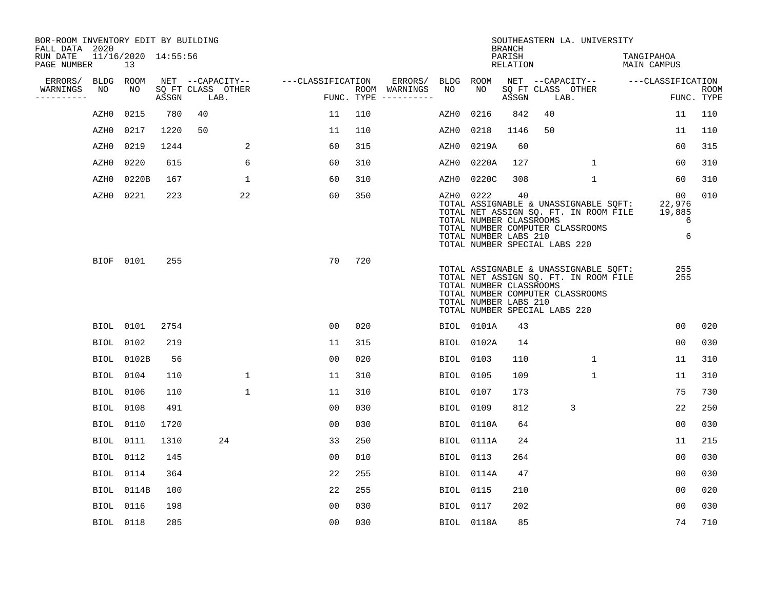| BOR-ROOM INVENTORY EDIT BY BUILDING<br>FALL DATA 2020 |           |                           |       |                           |                   |                |     |                                      |           |                                                                                   | <b>BRANCH</b>      |    | SOUTHEASTERN LA. UNIVERSITY                                                                                        |                                               |                           |
|-------------------------------------------------------|-----------|---------------------------|-------|---------------------------|-------------------|----------------|-----|--------------------------------------|-----------|-----------------------------------------------------------------------------------|--------------------|----|--------------------------------------------------------------------------------------------------------------------|-----------------------------------------------|---------------------------|
| RUN DATE<br>PAGE NUMBER                               |           | 11/16/2020 14:55:56<br>13 |       |                           |                   |                |     |                                      |           |                                                                                   | PARISH<br>RELATION |    |                                                                                                                    | TANGIPAHOA<br>MAIN CAMPUS                     |                           |
| ERRORS/                                               | BLDG ROOM |                           |       | NET --CAPACITY--          | ---CLASSIFICATION |                |     | ERRORS/                              | BLDG      | ROOM                                                                              |                    |    | NET --CAPACITY-- ---CLASSIFICATION                                                                                 |                                               |                           |
| WARNINGS<br>----------                                | NO        | NO                        | ASSGN | SO FT CLASS OTHER<br>LAB. |                   |                |     | ROOM WARNINGS<br>FUNC. TYPE $------$ | NO        | NO.                                                                               | ASSGN              |    | SQ FT CLASS OTHER<br>LAB.                                                                                          |                                               | <b>ROOM</b><br>FUNC. TYPE |
|                                                       | AZH0      | 0215                      | 780   | 40                        |                   | 11             | 110 |                                      | AZH0      | 0216                                                                              | 842                | 40 |                                                                                                                    | 11                                            | 110                       |
|                                                       | AZH0      | 0217                      | 1220  | 50                        |                   | 11             | 110 |                                      | AZH0      | 0218                                                                              | 1146               | 50 |                                                                                                                    | 11                                            | 110                       |
|                                                       | AZH0      | 0219                      | 1244  |                           | 2                 | 60             | 315 |                                      | AZH0      | 0219A                                                                             | 60                 |    |                                                                                                                    | 60                                            | 315                       |
|                                                       | AZH0      | 0220                      | 615   | 6                         | 60                |                | 310 |                                      | AZH0      | 0220A                                                                             | 127                |    | $\mathbf 1$                                                                                                        | 60                                            | 310                       |
|                                                       | AZH0      | 0220B                     | 167   | $\mathbf 1$               |                   | 60             | 310 |                                      | AZH0      | 0220C                                                                             | 308                |    | $\mathbf{1}$                                                                                                       | 60                                            | 310                       |
|                                                       | AZH0      | 0221                      | 223   | 22                        |                   | 60             | 350 |                                      | AZH0 0222 | TOTAL NUMBER CLASSROOMS<br>TOTAL NUMBER LABS 210<br>TOTAL NUMBER SPECIAL LABS 220 | 40                 |    | TOTAL ASSIGNABLE & UNASSIGNABLE SQFT:<br>TOTAL NET ASSIGN SQ. FT. IN ROOM FILE<br>TOTAL NUMBER COMPUTER CLASSROOMS | 00 <sub>o</sub><br>22,976<br>19,885<br>6<br>6 | 010                       |
|                                                       |           | BIOF 0101                 | 255   |                           |                   | 70             | 720 |                                      |           | TOTAL NUMBER CLASSROOMS<br>TOTAL NUMBER LABS 210<br>TOTAL NUMBER SPECIAL LABS 220 |                    |    | TOTAL ASSIGNABLE & UNASSIGNABLE SQFT:<br>TOTAL NET ASSIGN SQ. FT. IN ROOM FILE<br>TOTAL NUMBER COMPUTER CLASSROOMS | 255<br>255                                    |                           |
|                                                       |           | BIOL 0101                 | 2754  |                           |                   | 00             | 020 |                                      |           | BIOL 0101A                                                                        | 43                 |    |                                                                                                                    | 00                                            | 020                       |
|                                                       |           | BIOL 0102                 | 219   |                           | 11                |                | 315 |                                      |           | BIOL 0102A                                                                        | 14                 |    |                                                                                                                    | 0 <sub>0</sub>                                | 030                       |
|                                                       |           | <b>BIOL 0102B</b>         | 56    |                           | 00                |                | 020 |                                      | BIOL 0103 |                                                                                   | 110                |    | $\mathbf{1}$                                                                                                       | 11                                            | 310                       |
|                                                       |           | BIOL 0104                 | 110   | $\mathbf{1}$              | 11                |                | 310 |                                      | BIOL 0105 |                                                                                   | 109                |    | $\mathbf{1}$                                                                                                       | 11                                            | 310                       |
|                                                       | BIOL      | 0106                      | 110   | $\mathbf 1$               | 11                |                | 310 |                                      | BIOL 0107 |                                                                                   | 173                |    |                                                                                                                    | 75                                            | 730                       |
|                                                       |           | BIOL 0108                 | 491   |                           | 0 <sub>0</sub>    |                | 030 |                                      | BIOL 0109 |                                                                                   | 812                |    | 3                                                                                                                  | 22                                            | 250                       |
|                                                       |           | BIOL 0110                 | 1720  |                           | 0 <sub>0</sub>    |                | 030 |                                      |           | BIOL 0110A                                                                        | 64                 |    |                                                                                                                    | 0 <sub>0</sub>                                | 030                       |
|                                                       |           | BIOL 0111                 | 1310  | 24                        |                   | 33             | 250 |                                      |           | BIOL 0111A                                                                        | 24                 |    |                                                                                                                    | 11                                            | 215                       |
|                                                       |           | BIOL 0112                 | 145   |                           | 00                |                | 010 |                                      | BIOL      | 0113                                                                              | 264                |    |                                                                                                                    | 0 <sub>0</sub>                                | 030                       |
|                                                       |           | BIOL 0114                 | 364   |                           |                   | 22             | 255 |                                      |           | BIOL 0114A                                                                        | 47                 |    |                                                                                                                    | 00                                            | 030                       |
|                                                       |           | BIOL 0114B                | 100   |                           |                   | 22             | 255 |                                      | BIOL      | 0115                                                                              | 210                |    |                                                                                                                    | 00                                            | 020                       |
|                                                       |           | <b>BIOL</b> 0116          | 198   |                           | 0 <sub>0</sub>    |                | 030 |                                      | BIOL 0117 |                                                                                   | 202                |    |                                                                                                                    | 0 <sub>0</sub>                                | 030                       |
|                                                       |           | <b>BIOL</b> 0118          | 285   |                           |                   | 0 <sub>0</sub> | 030 |                                      |           | BIOL 0118A                                                                        | 85                 |    |                                                                                                                    | 74                                            | 710                       |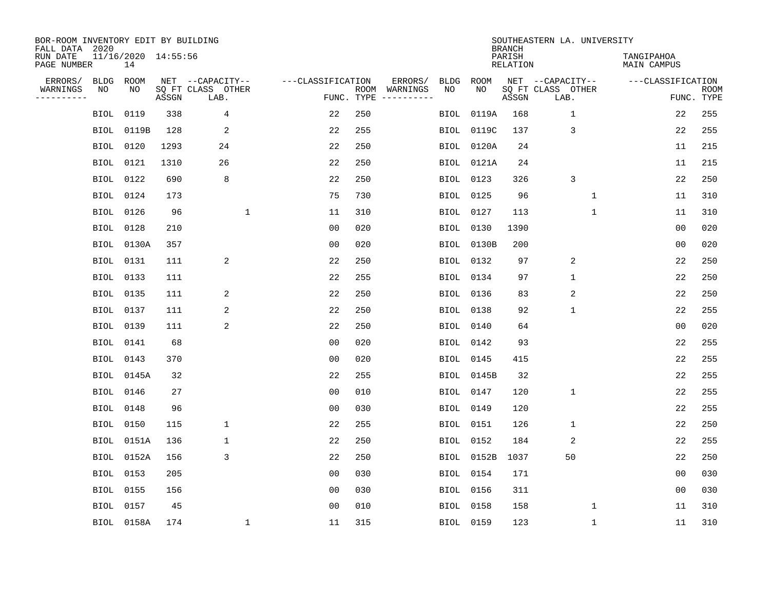| BOR-ROOM INVENTORY EDIT BY BUILDING<br>FALL DATA 2020 |                           |       |                           |                   |            |               |             |             | <b>BRANCH</b>             | SOUTHEASTERN LA. UNIVERSITY |                                  |                           |
|-------------------------------------------------------|---------------------------|-------|---------------------------|-------------------|------------|---------------|-------------|-------------|---------------------------|-----------------------------|----------------------------------|---------------------------|
| RUN DATE<br>PAGE NUMBER                               | 11/16/2020 14:55:56<br>14 |       |                           |                   |            |               |             |             | PARISH<br><b>RELATION</b> |                             | TANGIPAHOA<br><b>MAIN CAMPUS</b> |                           |
| ERRORS/<br><b>BLDG</b>                                | ROOM                      |       | NET --CAPACITY--          | ---CLASSIFICATION |            | ERRORS/       | <b>BLDG</b> | <b>ROOM</b> |                           | NET --CAPACITY--            | ---CLASSIFICATION                |                           |
| WARNINGS<br>NO<br>----------                          | NO                        | ASSGN | SQ FT CLASS OTHER<br>LAB. |                   | FUNC. TYPE | ROOM WARNINGS | NO          | NO          | ASSGN                     | SQ FT CLASS OTHER<br>LAB.   |                                  | <b>ROOM</b><br>FUNC. TYPE |
| <b>BIOL</b>                                           | 0119                      | 338   | 4                         | 22                | 250        |               | <b>BIOL</b> | 0119A       | 168                       | $\mathbf{1}$                | 22                               | 255                       |
| <b>BIOL</b>                                           | 0119B                     | 128   | 2                         | 22                | 255        |               | BIOL        | 0119C       | 137                       | 3                           | 22                               | 255                       |
| BIOL                                                  | 0120                      | 1293  | 24                        | 22                | 250        |               | BIOL        | 0120A       | 24                        |                             | 11                               | 215                       |
| <b>BIOL</b>                                           | 0121                      | 1310  | 26                        | 22                | 250        |               | BIOL        | 0121A       | 24                        |                             | 11                               | 215                       |
| <b>BIOL</b>                                           | 0122                      | 690   | 8                         | 22                | 250        |               | BIOL        | 0123        | 326                       | 3                           | 22                               | 250                       |
| <b>BIOL</b>                                           | 0124                      | 173   |                           | 75                | 730        |               | BIOL        | 0125        | 96                        | $\mathbf 1$                 | 11                               | 310                       |
| <b>BIOL</b>                                           | 0126                      | 96    | $\mathbf{1}$              | 11                | 310        |               | BIOL        | 0127        | 113                       | $\mathbf 1$                 | 11                               | 310                       |
| <b>BIOL</b>                                           | 0128                      | 210   |                           | 0 <sub>0</sub>    | 020        |               | BIOL        | 0130        | 1390                      |                             | 0 <sub>0</sub>                   | 020                       |
| <b>BIOL</b>                                           | 0130A                     | 357   |                           | 0 <sub>0</sub>    | 020        |               | BIOL        | 0130B       | 200                       |                             | 0 <sub>0</sub>                   | 020                       |
| <b>BIOL</b>                                           | 0131                      | 111   | 2                         | 22                | 250        |               | BIOL        | 0132        | 97                        | 2                           | 22                               | 250                       |
| <b>BIOL</b>                                           | 0133                      | 111   |                           | 22                | 255        |               | BIOL        | 0134        | 97                        | $\mathbf{1}$                | 22                               | 250                       |
| <b>BIOL</b>                                           | 0135                      | 111   | 2                         | 22                | 250        |               | BIOL        | 0136        | 83                        | 2                           | 22                               | 250                       |
| BIOL                                                  | 0137                      | 111   | 2                         | 22                | 250        |               | BIOL        | 0138        | 92                        | $\mathbf{1}$                | 22                               | 255                       |
| BIOL                                                  | 0139                      | 111   | 2                         | 22                | 250        |               | BIOL        | 0140        | 64                        |                             | 0 <sub>0</sub>                   | 020                       |
| <b>BIOL</b>                                           | 0141                      | 68    |                           | 00                | 020        |               | BIOL        | 0142        | 93                        |                             | 22                               | 255                       |
| <b>BIOL</b>                                           | 0143                      | 370   |                           | 0 <sub>0</sub>    | 020        |               | BIOL        | 0145        | 415                       |                             | 22                               | 255                       |
| <b>BIOL</b>                                           | 0145A                     | 32    |                           | 22                | 255        |               | BIOL        | 0145B       | 32                        |                             | 22                               | 255                       |
| <b>BIOL</b>                                           | 0146                      | 27    |                           | 0 <sub>0</sub>    | 010        |               | BIOL        | 0147        | 120                       | $\mathbf{1}$                | 22                               | 255                       |
| <b>BIOL</b>                                           | 0148                      | 96    |                           | 0 <sub>0</sub>    | 030        |               | BIOL        | 0149        | 120                       |                             | 22                               | 255                       |
| <b>BIOL</b>                                           | 0150                      | 115   | $\mathbf{1}$              | 22                | 255        |               | BIOL        | 0151        | 126                       | $\mathbf{1}$                | 22                               | 250                       |
| <b>BIOL</b>                                           | 0151A                     | 136   | 1                         | 22                | 250        |               | BIOL        | 0152        | 184                       | 2                           | 22                               | 255                       |
| <b>BIOL</b>                                           | 0152A                     | 156   | 3                         | 22                | 250        |               | BIOL        | 0152B       | 1037                      | 50                          | 22                               | 250                       |
| <b>BIOL</b>                                           | 0153                      | 205   |                           | 0 <sub>0</sub>    | 030        |               | BIOL        | 0154        | 171                       |                             | 0 <sub>0</sub>                   | 030                       |
| <b>BIOL</b>                                           | 0155                      | 156   |                           | 0 <sub>0</sub>    | 030        |               | BIOL        | 0156        | 311                       |                             | 00                               | 030                       |
| BIOL                                                  | 0157                      | 45    |                           | 0 <sub>0</sub>    | 010        |               | BIOL        | 0158        | 158                       | 1                           | 11                               | 310                       |
|                                                       | BIOL 0158A                | 174   | $\mathbf{1}$              | 11                | 315        |               |             | BIOL 0159   | 123                       | $\mathbf 1$                 | 11                               | 310                       |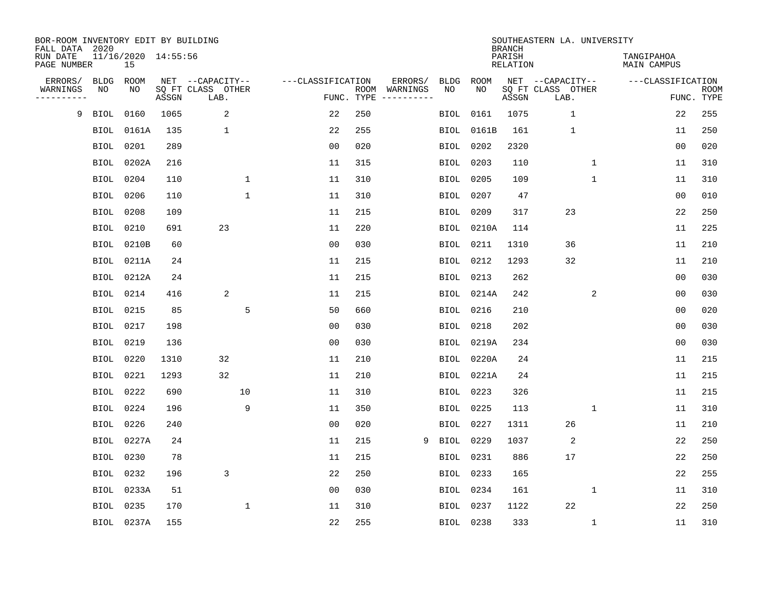| BOR-ROOM INVENTORY EDIT BY BUILDING<br>FALL DATA 2020 |             |                           |       |                           |              |                   |            |                              |             |             | <b>BRANCH</b>             | SOUTHEASTERN LA. UNIVERSITY |              |                                  |                           |
|-------------------------------------------------------|-------------|---------------------------|-------|---------------------------|--------------|-------------------|------------|------------------------------|-------------|-------------|---------------------------|-----------------------------|--------------|----------------------------------|---------------------------|
| RUN DATE<br>PAGE NUMBER                               |             | 11/16/2020 14:55:56<br>15 |       |                           |              |                   |            |                              |             |             | PARISH<br><b>RELATION</b> |                             |              | TANGIPAHOA<br><b>MAIN CAMPUS</b> |                           |
| ERRORS/                                               | <b>BLDG</b> | ROOM                      |       | NET --CAPACITY--          |              | ---CLASSIFICATION |            | ERRORS/                      | <b>BLDG</b> | <b>ROOM</b> |                           | NET --CAPACITY--            |              | ---CLASSIFICATION                |                           |
| WARNINGS<br>---------                                 | NO          | NO                        | ASSGN | SQ FT CLASS OTHER<br>LAB. |              |                   | FUNC. TYPE | ROOM WARNINGS<br>----------- | NO          | NO          | ASSGN                     | SQ FT CLASS OTHER<br>LAB.   |              |                                  | <b>ROOM</b><br>FUNC. TYPE |
| 9                                                     | <b>BIOL</b> | 0160                      | 1065  | 2                         |              | 22                | 250        |                              | BIOL        | 0161        | 1075                      | $\mathbf{1}$                |              | 22                               | 255                       |
|                                                       | BIOL        | 0161A                     | 135   | $\mathbf 1$               |              | 22                | 255        |                              | BIOL        | 0161B       | 161                       | $\mathbf 1$                 |              | 11                               | 250                       |
|                                                       | <b>BIOL</b> | 0201                      | 289   |                           |              | 0 <sub>0</sub>    | 020        |                              | BIOL        | 0202        | 2320                      |                             |              | 0 <sub>0</sub>                   | 020                       |
|                                                       |             | BIOL 0202A                | 216   |                           |              | 11                | 315        |                              | <b>BIOL</b> | 0203        | 110                       |                             | $\mathbf{1}$ | 11                               | 310                       |
|                                                       | <b>BIOL</b> | 0204                      | 110   |                           | $\mathbf 1$  | 11                | 310        |                              | <b>BIOL</b> | 0205        | 109                       |                             | $\mathbf{1}$ | 11                               | 310                       |
|                                                       | BIOL 0206   |                           | 110   |                           | $\mathbf{1}$ | 11                | 310        |                              | BIOL        | 0207        | 47                        |                             |              | 0 <sub>0</sub>                   | 010                       |
|                                                       | <b>BIOL</b> | 0208                      | 109   |                           |              | 11                | 215        |                              | BIOL        | 0209        | 317                       | 23                          |              | 22                               | 250                       |
|                                                       | BIOL        | 0210                      | 691   | 23                        |              | 11                | 220        |                              |             | BIOL 0210A  | 114                       |                             |              | 11                               | 225                       |
|                                                       | <b>BIOL</b> | 0210B                     | 60    |                           |              | 0 <sub>0</sub>    | 030        |                              | BIOL        | 0211        | 1310                      | 36                          |              | 11                               | 210                       |
|                                                       |             | BIOL 0211A                | 24    |                           |              | 11                | 215        |                              |             | BIOL 0212   | 1293                      | 32                          |              | 11                               | 210                       |
|                                                       |             | BIOL 0212A                | 24    |                           |              | 11                | 215        |                              |             | BIOL 0213   | 262                       |                             |              | 0 <sub>0</sub>                   | 030                       |
|                                                       | BIOL 0214   |                           | 416   | 2                         |              | 11                | 215        |                              |             | BIOL 0214A  | 242                       |                             | 2            | 0 <sub>0</sub>                   | 030                       |
|                                                       | <b>BIOL</b> | 0215                      | 85    |                           | 5            | 50                | 660        |                              | BIOL        | 0216        | 210                       |                             |              | 0 <sub>0</sub>                   | 020                       |
|                                                       | BIOL        | 0217                      | 198   |                           |              | 0 <sub>0</sub>    | 030        |                              | BIOL        | 0218        | 202                       |                             |              | 0 <sub>0</sub>                   | 030                       |
|                                                       | <b>BIOL</b> | 0219                      | 136   |                           |              | 0 <sub>0</sub>    | 030        |                              | BIOL        | 0219A       | 234                       |                             |              | 0 <sub>0</sub>                   | 030                       |
|                                                       | BIOL        | 0220                      | 1310  | 32                        |              | 11                | 210        |                              | BIOL        | 0220A       | 24                        |                             |              | 11                               | 215                       |
|                                                       | <b>BIOL</b> | 0221                      | 1293  | 32                        |              | 11                | 210        |                              | BIOL        | 0221A       | 24                        |                             |              | 11                               | 215                       |
|                                                       | <b>BIOL</b> | 0222                      | 690   |                           | 10           | 11                | 310        |                              | BIOL        | 0223        | 326                       |                             |              | 11                               | 215                       |
|                                                       | BIOL        | 0224                      | 196   |                           | 9            | 11                | 350        |                              |             | BIOL 0225   | 113                       |                             | 1            | 11                               | 310                       |
|                                                       | <b>BIOL</b> | 0226                      | 240   |                           |              | 0 <sub>0</sub>    | 020        |                              | BIOL        | 0227        | 1311                      | 26                          |              | 11                               | 210                       |
|                                                       | <b>BIOL</b> | 0227A                     | 24    |                           |              | 11                | 215        | 9                            | BIOL        | 0229        | 1037                      | 2                           |              | 22                               | 250                       |
|                                                       | <b>BIOL</b> | 0230                      | 78    |                           |              | 11                | 215        |                              | BIOL        | 0231        | 886                       | 17                          |              | 22                               | 250                       |
|                                                       | <b>BIOL</b> | 0232                      | 196   | 3                         |              | 22                | 250        |                              |             | BIOL 0233   | 165                       |                             |              | 22                               | 255                       |
|                                                       | <b>BIOL</b> | 0233A                     | 51    |                           |              | 0 <sub>0</sub>    | 030        |                              | BIOL        | 0234        | 161                       |                             | $\mathbf 1$  | 11                               | 310                       |
|                                                       | <b>BIOL</b> | 0235                      | 170   |                           | $\mathbf{1}$ | 11                | 310        |                              | BIOL        | 0237        | 1122                      | 22                          |              | 22                               | 250                       |
|                                                       |             | BIOL 0237A                | 155   |                           |              | 22                | 255        |                              |             | BIOL 0238   | 333                       |                             | $\mathbf{1}$ | 11                               | 310                       |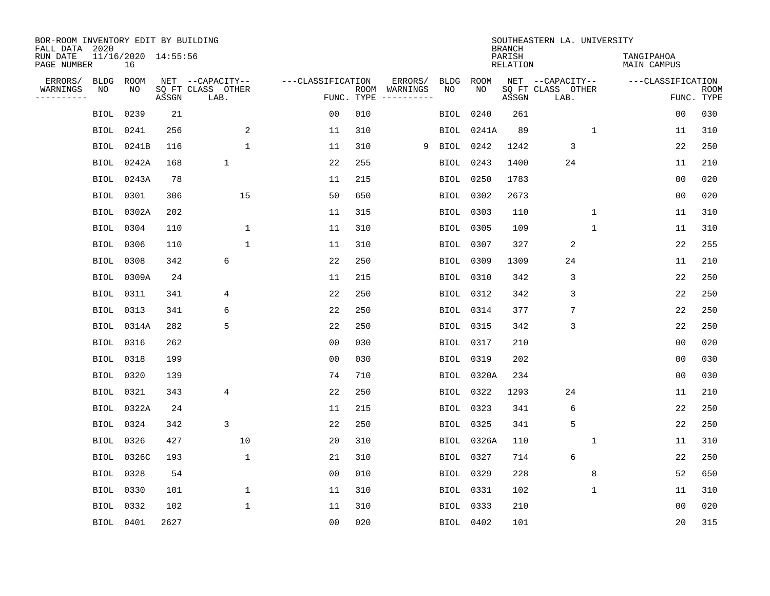| BOR-ROOM INVENTORY EDIT BY BUILDING<br>FALL DATA 2020 |             |             |                     |                           |                   |            |                              |             |             | <b>BRANCH</b>             | SOUTHEASTERN LA. UNIVERSITY |              |                                  |                           |
|-------------------------------------------------------|-------------|-------------|---------------------|---------------------------|-------------------|------------|------------------------------|-------------|-------------|---------------------------|-----------------------------|--------------|----------------------------------|---------------------------|
| RUN DATE<br>PAGE NUMBER                               |             | 16          | 11/16/2020 14:55:56 |                           |                   |            |                              |             |             | PARISH<br><b>RELATION</b> |                             |              | TANGIPAHOA<br><b>MAIN CAMPUS</b> |                           |
| ERRORS/                                               | BLDG        | <b>ROOM</b> |                     | NET --CAPACITY--          | ---CLASSIFICATION |            | ERRORS/                      | <b>BLDG</b> | <b>ROOM</b> |                           | NET --CAPACITY--            |              | ---CLASSIFICATION                |                           |
| WARNINGS<br>----------                                | NO          | NO          | ASSGN               | SQ FT CLASS OTHER<br>LAB. |                   | FUNC. TYPE | ROOM WARNINGS<br>----------- | NO          | NO          | ASSGN                     | SQ FT CLASS OTHER<br>LAB.   |              |                                  | <b>ROOM</b><br>FUNC. TYPE |
|                                                       | BIOL        | 0239        | 21                  |                           | 0 <sub>0</sub>    | 010        |                              | <b>BIOL</b> | 0240        | 261                       |                             |              | 0 <sub>0</sub>                   | 030                       |
|                                                       | BIOL        | 0241        | 256                 | 2                         | 11                | 310        |                              | BIOL        | 0241A       | 89                        |                             | 1            | 11                               | 310                       |
|                                                       | BIOL        | 0241B       | 116                 | $\mathbf{1}$              | 11                | 310        | 9                            | BIOL        | 0242        | 1242                      | 3                           |              | 22                               | 250                       |
|                                                       | <b>BIOL</b> | 0242A       | 168                 | $\mathbf 1$               | 22                | 255        |                              | <b>BIOL</b> | 0243        | 1400                      | 24                          |              | 11                               | 210                       |
|                                                       | <b>BIOL</b> | 0243A       | 78                  |                           | 11                | 215        |                              | <b>BIOL</b> | 0250        | 1783                      |                             |              | 0 <sub>0</sub>                   | 020                       |
|                                                       | <b>BIOL</b> | 0301        | 306                 | 15                        | 50                | 650        |                              | BIOL        | 0302        | 2673                      |                             |              | 0 <sub>0</sub>                   | 020                       |
|                                                       | BIOL        | 0302A       | 202                 |                           | 11                | 315        |                              | BIOL        | 0303        | 110                       |                             | $\mathbf 1$  | 11                               | 310                       |
|                                                       | BIOL        | 0304        | 110                 | 1                         | 11                | 310        |                              | <b>BIOL</b> | 0305        | 109                       |                             | $\mathbf{1}$ | 11                               | 310                       |
|                                                       | <b>BIOL</b> | 0306        | 110                 | $\mathbf 1$               | 11                | 310        |                              | <b>BIOL</b> | 0307        | 327                       | 2                           |              | 22                               | 255                       |
|                                                       | <b>BIOL</b> | 0308        | 342                 | 6                         | 22                | 250        |                              | BIOL        | 0309        | 1309                      | 24                          |              | 11                               | 210                       |
|                                                       | <b>BIOL</b> | 0309A       | 24                  |                           | 11                | 215        |                              | <b>BIOL</b> | 0310        | 342                       | 3                           |              | 22                               | 250                       |
|                                                       | <b>BIOL</b> | 0311        | 341                 | 4                         | 22                | 250        |                              | <b>BIOL</b> | 0312        | 342                       | 3                           |              | 22                               | 250                       |
|                                                       | BIOL        | 0313        | 341                 | 6                         | 22                | 250        |                              | BIOL        | 0314        | 377                       | 7                           |              | 22                               | 250                       |
|                                                       | BIOL        | 0314A       | 282                 | 5                         | 22                | 250        |                              | BIOL        | 0315        | 342                       | 3                           |              | 22                               | 250                       |
|                                                       | BIOL        | 0316        | 262                 |                           | 0 <sub>0</sub>    | 030        |                              | BIOL        | 0317        | 210                       |                             |              | 0 <sub>0</sub>                   | 020                       |
|                                                       | <b>BIOL</b> | 0318        | 199                 |                           | 0 <sub>0</sub>    | 030        |                              | <b>BIOL</b> | 0319        | 202                       |                             |              | 0 <sub>0</sub>                   | 030                       |
|                                                       | <b>BIOL</b> | 0320        | 139                 |                           | 74                | 710        |                              | <b>BIOL</b> | 0320A       | 234                       |                             |              | 0 <sub>0</sub>                   | 030                       |
|                                                       | <b>BIOL</b> | 0321        | 343                 | 4                         | 22                | 250        |                              | BIOL        | 0322        | 1293                      | 24                          |              | 11                               | 210                       |
|                                                       | <b>BIOL</b> | 0322A       | 24                  |                           | 11                | 215        |                              | <b>BIOL</b> | 0323        | 341                       | 6                           |              | 22                               | 250                       |
|                                                       | BIOL        | 0324        | 342                 | 3                         | 22                | 250        |                              | BIOL        | 0325        | 341                       | 5                           |              | 22                               | 250                       |
|                                                       | <b>BIOL</b> | 0326        | 427                 | 10                        | 20                | 310        |                              | BIOL        | 0326A       | 110                       |                             | 1            | 11                               | 310                       |
|                                                       | <b>BIOL</b> | 0326C       | 193                 | $\mathbf{1}$              | 21                | 310        |                              | BIOL        | 0327        | 714                       | 6                           |              | 22                               | 250                       |
|                                                       | <b>BIOL</b> | 0328        | 54                  |                           | 0 <sub>0</sub>    | 010        |                              | BIOL        | 0329        | 228                       |                             | 8            | 52                               | 650                       |
|                                                       | BIOL        | 0330        | 101                 | $\mathbf 1$               | 11                | 310        |                              | BIOL        | 0331        | 102                       |                             | $\mathbf 1$  | 11                               | 310                       |
|                                                       | <b>BIOL</b> | 0332        | 102                 | $\mathbf{1}$              | 11                | 310        |                              | BIOL        | 0333        | 210                       |                             |              | 0 <sub>0</sub>                   | 020                       |
|                                                       | BIOL 0401   |             | 2627                |                           | 0 <sub>0</sub>    | 020        |                              |             | BIOL 0402   | 101                       |                             |              | 20                               | 315                       |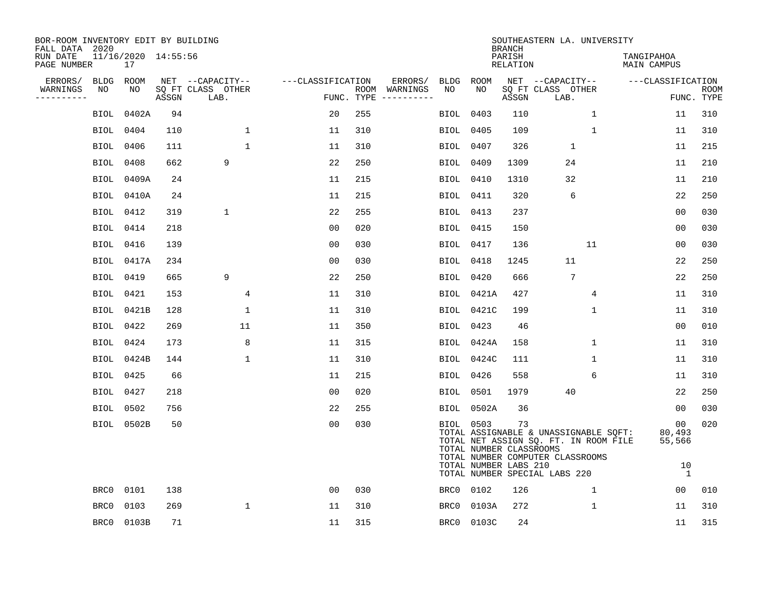| BOR-ROOM INVENTORY EDIT BY BUILDING<br>FALL DATA 2020 |             |                           |       |                           |                   |     |                                      |                  |                                                               | <b>BRANCH</b>             | SOUTHEASTERN LA. UNIVERSITY                                                                                                                         |              |                                              |                           |
|-------------------------------------------------------|-------------|---------------------------|-------|---------------------------|-------------------|-----|--------------------------------------|------------------|---------------------------------------------------------------|---------------------------|-----------------------------------------------------------------------------------------------------------------------------------------------------|--------------|----------------------------------------------|---------------------------|
| RUN DATE<br>PAGE NUMBER                               |             | 11/16/2020 14:55:56<br>17 |       |                           |                   |     |                                      |                  |                                                               | PARISH<br><b>RELATION</b> |                                                                                                                                                     |              | TANGIPAHOA<br><b>MAIN CAMPUS</b>             |                           |
| ERRORS/                                               | BLDG        | <b>ROOM</b>               |       | NET --CAPACITY--          | ---CLASSIFICATION |     | ERRORS/                              | <b>BLDG</b>      | ROOM                                                          |                           | NET --CAPACITY--                                                                                                                                    |              | ---CLASSIFICATION                            |                           |
| WARNINGS<br>----------                                | NO          | NO                        | ASSGN | SQ FT CLASS OTHER<br>LAB. |                   |     | ROOM WARNINGS<br>FUNC. TYPE $------$ | NO               | NO                                                            | ASSGN                     | SQ FT CLASS OTHER<br>LAB.                                                                                                                           |              |                                              | <b>ROOM</b><br>FUNC. TYPE |
|                                                       | BIOL        | 0402A                     | 94    |                           | 20                | 255 |                                      | BIOL             | 0403                                                          | 110                       |                                                                                                                                                     | $\mathbf{1}$ | 11                                           | 310                       |
|                                                       | BIOL        | 0404                      | 110   | 1                         | 11                | 310 |                                      | BIOL             | 0405                                                          | 109                       |                                                                                                                                                     | $\mathbf 1$  | 11                                           | 310                       |
|                                                       | BIOL        | 0406                      | 111   | 1                         | 11                | 310 |                                      | BIOL 0407        |                                                               | 326                       | $\mathbf{1}$                                                                                                                                        |              | 11                                           | 215                       |
|                                                       | BIOL        | 0408                      | 662   | 9                         | 22                | 250 |                                      | BIOL             | 0409                                                          | 1309                      | 24                                                                                                                                                  |              | 11                                           | 210                       |
|                                                       | <b>BIOL</b> | 0409A                     | 24    |                           | 11                | 215 |                                      | <b>BIOL</b> 0410 |                                                               | 1310                      | 32                                                                                                                                                  |              | 11                                           | 210                       |
|                                                       |             | BIOL 0410A                | 24    |                           | 11                | 215 |                                      | BIOL 0411        |                                                               | 320                       | 6                                                                                                                                                   |              | 22                                           | 250                       |
|                                                       | BIOL        | 0412                      | 319   | $\mathbf{1}$              | 22                | 255 |                                      |                  | BIOL 0413                                                     | 237                       |                                                                                                                                                     |              | 00                                           | 030                       |
|                                                       | BIOL        | 0414                      | 218   |                           | 0 <sub>0</sub>    | 020 |                                      | BIOL 0415        |                                                               | 150                       |                                                                                                                                                     |              | 0 <sub>0</sub>                               | 030                       |
|                                                       | BIOL        | 0416                      | 139   |                           | 0 <sub>0</sub>    | 030 |                                      | BIOL 0417        |                                                               | 136                       |                                                                                                                                                     | 11           | 0 <sub>0</sub>                               | 030                       |
|                                                       |             | BIOL 0417A                | 234   |                           | 0 <sub>0</sub>    | 030 |                                      |                  | BIOL 0418                                                     | 1245                      | 11                                                                                                                                                  |              | 22                                           | 250                       |
|                                                       | BIOL        | 0419                      | 665   | 9                         | 22                | 250 |                                      | BIOL 0420        |                                                               | 666                       | 7                                                                                                                                                   |              | 22                                           | 250                       |
|                                                       | BIOL        | 0421                      | 153   | 4                         | 11                | 310 |                                      |                  | BIOL 0421A                                                    | 427                       |                                                                                                                                                     | 4            | 11                                           | 310                       |
|                                                       | BIOL        | 0421B                     | 128   | $\mathbf{1}$              | 11                | 310 |                                      |                  | <b>BIOL</b> 0421C                                             | 199                       |                                                                                                                                                     | $\mathbf 1$  | 11                                           | 310                       |
|                                                       | BIOL 0422   |                           | 269   | 11                        | 11                | 350 |                                      |                  | BIOL 0423                                                     | 46                        |                                                                                                                                                     |              | 0 <sub>0</sub>                               | 010                       |
|                                                       | BIOL 0424   |                           | 173   | 8                         | 11                | 315 |                                      |                  | BIOL 0424A                                                    | 158                       |                                                                                                                                                     | $\mathbf 1$  | 11                                           | 310                       |
|                                                       |             | BIOL 0424B                | 144   | 1                         | 11                | 310 |                                      |                  | BIOL 0424C                                                    | 111                       |                                                                                                                                                     | 1            | 11                                           | 310                       |
|                                                       | BIOL        | 0425                      | 66    |                           | 11                | 215 |                                      | BIOL             | 0426                                                          | 558                       |                                                                                                                                                     | 6            | 11                                           | 310                       |
|                                                       | BIOL 0427   |                           | 218   |                           | 0 <sub>0</sub>    | 020 |                                      | BIOL             | 0501                                                          | 1979                      | 40                                                                                                                                                  |              | 22                                           | 250                       |
|                                                       | BIOL 0502   |                           | 756   |                           | 22                | 255 |                                      |                  | BIOL 0502A                                                    | 36                        |                                                                                                                                                     |              | 00                                           | 030                       |
|                                                       |             | BIOL 0502B                | 50    |                           | 0 <sub>0</sub>    | 030 |                                      |                  | BIOL 0503<br>TOTAL NUMBER CLASSROOMS<br>TOTAL NUMBER LABS 210 | 73                        | TOTAL ASSIGNABLE & UNASSIGNABLE SQFT:<br>TOTAL NET ASSIGN SQ. FT. IN ROOM FILE<br>TOTAL NUMBER COMPUTER CLASSROOMS<br>TOTAL NUMBER SPECIAL LABS 220 |              | 00<br>80,493<br>55,566<br>10<br><sup>1</sup> | 020                       |
|                                                       | BRC0        | 0101                      | 138   |                           | 0 <sub>0</sub>    | 030 |                                      | BRC0             | 0102                                                          | 126                       |                                                                                                                                                     | $\mathbf{1}$ | 00                                           | 010                       |
|                                                       | BRC0        | 0103                      | 269   | $\mathbf{1}$              | 11                | 310 |                                      | BRC0             | 0103A                                                         | 272                       |                                                                                                                                                     | 1            | 11                                           | 310                       |
|                                                       |             | BRC0 0103B                | 71    |                           | 11                | 315 |                                      | BRC0             | 0103C                                                         | 24                        |                                                                                                                                                     |              | 11                                           | 315                       |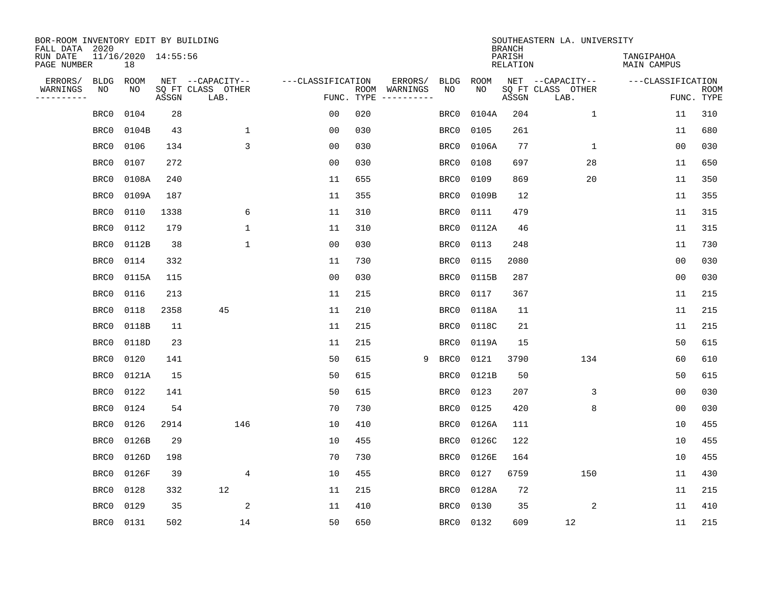| BOR-ROOM INVENTORY EDIT BY BUILDING<br>FALL DATA 2020 |             |                           |       |                           |                   |                    |          |             |             | <b>BRANCH</b>             | SOUTHEASTERN LA. UNIVERSITY |                                  |                           |
|-------------------------------------------------------|-------------|---------------------------|-------|---------------------------|-------------------|--------------------|----------|-------------|-------------|---------------------------|-----------------------------|----------------------------------|---------------------------|
| RUN DATE<br>PAGE NUMBER                               |             | 11/16/2020 14:55:56<br>18 |       |                           |                   |                    |          |             |             | PARISH<br><b>RELATION</b> |                             | TANGIPAHOA<br><b>MAIN CAMPUS</b> |                           |
| ERRORS/                                               | <b>BLDG</b> | ROOM                      |       | NET --CAPACITY--          | ---CLASSIFICATION |                    | ERRORS/  | <b>BLDG</b> | <b>ROOM</b> |                           | NET --CAPACITY--            | ---CLASSIFICATION                |                           |
| WARNINGS<br>----------                                | NO          | NO                        | ASSGN | SQ FT CLASS OTHER<br>LAB. |                   | ROOM<br>FUNC. TYPE | WARNINGS | NO          | NO          | ASSGN                     | SQ FT CLASS OTHER<br>LAB.   |                                  | <b>ROOM</b><br>FUNC. TYPE |
|                                                       | BRC0        | 0104                      | 28    |                           | 00                | 020                |          | BRC0        | 0104A       | 204                       | $\mathbf 1$                 | 11                               | 310                       |
|                                                       | BRC0        | 0104B                     | 43    | 1                         | 00                | 030                |          | BRC0        | 0105        | 261                       |                             | 11                               | 680                       |
|                                                       | BRC0        | 0106                      | 134   | 3                         | 0 <sub>0</sub>    | 030                |          | BRC0        | 0106A       | 77                        | $\mathbf 1$                 | 0 <sub>0</sub>                   | 030                       |
|                                                       | BRC0        | 0107                      | 272   |                           | 0 <sub>0</sub>    | 030                |          | BRC0        | 0108        | 697                       | 28                          | 11                               | 650                       |
|                                                       | BRC0        | 0108A                     | 240   |                           | 11                | 655                |          | BRC0        | 0109        | 869                       | 20                          | 11                               | 350                       |
|                                                       | BRC0        | 0109A                     | 187   |                           | 11                | 355                |          | BRC0        | 0109B       | 12                        |                             | 11                               | 355                       |
|                                                       | BRC0        | 0110                      | 1338  | 6                         | 11                | 310                |          | BRC0        | 0111        | 479                       |                             | 11                               | 315                       |
|                                                       | BRC0        | 0112                      | 179   | 1                         | 11                | 310                |          | BRC0        | 0112A       | 46                        |                             | 11                               | 315                       |
|                                                       | BRC0        | 0112B                     | 38    | $\mathbf{1}$              | 0 <sub>0</sub>    | 030                |          | BRC0        | 0113        | 248                       |                             | 11                               | 730                       |
|                                                       | BRC0        | 0114                      | 332   |                           | 11                | 730                |          | BRC0        | 0115        | 2080                      |                             | 0 <sub>0</sub>                   | 030                       |
|                                                       | BRC0        | 0115A                     | 115   |                           | 0 <sub>0</sub>    | 030                |          | BRC0        | 0115B       | 287                       |                             | 0 <sub>0</sub>                   | 030                       |
|                                                       | BRC0        | 0116                      | 213   |                           | 11                | 215                |          | BRC0        | 0117        | 367                       |                             | 11                               | 215                       |
|                                                       | BRC0        | 0118                      | 2358  | 45                        | 11                | 210                |          | BRC0        | 0118A       | 11                        |                             | 11                               | 215                       |
|                                                       | BRC0        | 0118B                     | 11    |                           | 11                | 215                |          | BRC0        | 0118C       | 21                        |                             | 11                               | 215                       |
|                                                       | BRC0        | 0118D                     | 23    |                           | 11                | 215                |          | BRC0        | 0119A       | 15                        |                             | 50                               | 615                       |
|                                                       | BRC0        | 0120                      | 141   |                           | 50                | 615                | 9        | BRC0        | 0121        | 3790                      | 134                         | 60                               | 610                       |
|                                                       | BRC0        | 0121A                     | 15    |                           | 50                | 615                |          | BRC0        | 0121B       | 50                        |                             | 50                               | 615                       |
|                                                       | BRC0        | 0122                      | 141   |                           | 50                | 615                |          | BRC0        | 0123        | 207                       | 3                           | 0 <sub>0</sub>                   | 030                       |
|                                                       | BRC0        | 0124                      | 54    |                           | 70                | 730                |          | BRC0        | 0125        | 420                       | 8                           | 0 <sub>0</sub>                   | 030                       |
|                                                       | BRC0        | 0126                      | 2914  | 146                       | 10                | 410                |          | BRC0        | 0126A       | 111                       |                             | 10                               | 455                       |
|                                                       | BRC0        | 0126B                     | 29    |                           | 10                | 455                |          | BRC0        | 0126C       | 122                       |                             | 10                               | 455                       |
|                                                       | BRC0        | 0126D                     | 198   |                           | 70                | 730                |          | BRC0        | 0126E       | 164                       |                             | 10                               | 455                       |
|                                                       | BRC0        | 0126F                     | 39    | 4                         | 10                | 455                |          | BRC0        | 0127        | 6759                      | 150                         | 11                               | 430                       |
|                                                       | BRC0        | 0128                      | 332   | 12                        | 11                | 215                |          | BRC0        | 0128A       | 72                        |                             | 11                               | 215                       |
|                                                       | BRC0        | 0129                      | 35    | 2                         | 11                | 410                |          | BRC0        | 0130        | 35                        | 2                           | 11                               | 410                       |
|                                                       | BRC0        | 0131                      | 502   | 14                        | 50                | 650                |          | BRC0        | 0132        | 609                       | 12                          | 11                               | 215                       |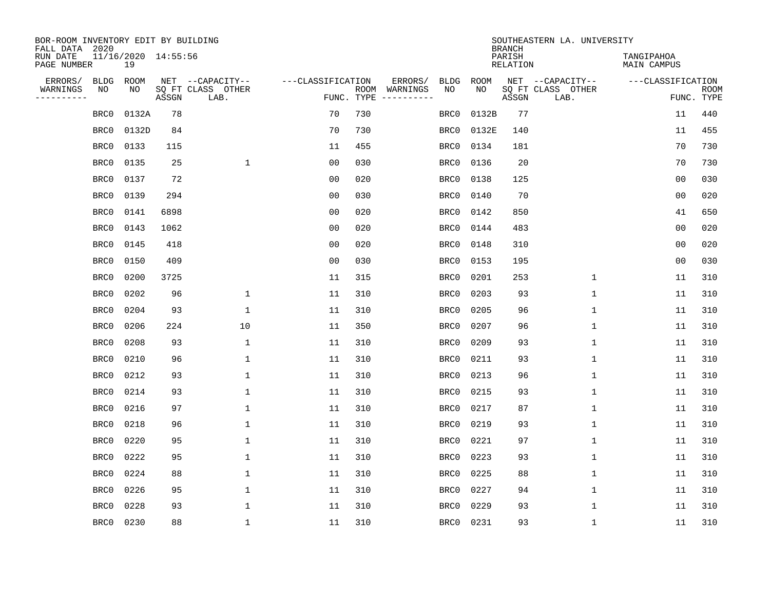| BOR-ROOM INVENTORY EDIT BY BUILDING<br>FALL DATA 2020 |                           |       |                           |                   |            |                              |             |             | <b>BRANCH</b>             | SOUTHEASTERN LA. UNIVERSITY |                                  |                           |
|-------------------------------------------------------|---------------------------|-------|---------------------------|-------------------|------------|------------------------------|-------------|-------------|---------------------------|-----------------------------|----------------------------------|---------------------------|
| RUN DATE<br>PAGE NUMBER                               | 11/16/2020 14:55:56<br>19 |       |                           |                   |            |                              |             |             | PARISH<br><b>RELATION</b> |                             | TANGIPAHOA<br><b>MAIN CAMPUS</b> |                           |
| ERRORS/<br><b>BLDG</b>                                | ROOM                      |       | NET --CAPACITY--          | ---CLASSIFICATION |            | ERRORS/                      | <b>BLDG</b> | <b>ROOM</b> |                           | NET --CAPACITY--            | ---CLASSIFICATION                |                           |
| WARNINGS<br>NO<br>----------                          | NO                        | ASSGN | SQ FT CLASS OTHER<br>LAB. |                   | FUNC. TYPE | ROOM WARNINGS<br>----------- | NO          | NO          | ASSGN                     | SQ FT CLASS OTHER<br>LAB.   |                                  | <b>ROOM</b><br>FUNC. TYPE |
| BRC0                                                  | 0132A                     | 78    |                           | 70                | 730        |                              | BRC0        | 0132B       | 77                        |                             | 11                               | 440                       |
| BRC0                                                  | 0132D                     | 84    |                           | 70                | 730        |                              | BRC0        | 0132E       | 140                       |                             | 11                               | 455                       |
| BRC0                                                  | 0133                      | 115   |                           | 11                | 455        |                              | BRC0        | 0134        | 181                       |                             | 70                               | 730                       |
| BRC0                                                  | 0135                      | 25    | $\mathbf{1}$              | 0 <sub>0</sub>    | 030        |                              | BRC0        | 0136        | 20                        |                             | 70                               | 730                       |
| BRC0                                                  | 0137                      | 72    |                           | 0 <sub>0</sub>    | 020        |                              | BRC0        | 0138        | 125                       |                             | 0 <sub>0</sub>                   | 030                       |
| BRC0                                                  | 0139                      | 294   |                           | 0 <sub>0</sub>    | 030        |                              | BRC0        | 0140        | 70                        |                             | 0 <sub>0</sub>                   | 020                       |
| BRC0                                                  | 0141                      | 6898  |                           | 0 <sub>0</sub>    | 020        |                              | BRC0        | 0142        | 850                       |                             | 41                               | 650                       |
| BRC0                                                  | 0143                      | 1062  |                           | 0 <sub>0</sub>    | 020        |                              | BRC0        | 0144        | 483                       |                             | 0 <sub>0</sub>                   | 020                       |
| BRC0                                                  | 0145                      | 418   |                           | 0 <sub>0</sub>    | 020        |                              | BRC0        | 0148        | 310                       |                             | 0 <sub>0</sub>                   | 020                       |
| BRC0                                                  | 0150                      | 409   |                           | 0 <sub>0</sub>    | 030        |                              | BRC0        | 0153        | 195                       |                             | 0 <sub>0</sub>                   | 030                       |
| BRC0                                                  | 0200                      | 3725  |                           | 11                | 315        |                              | BRC0        | 0201        | 253                       | $\mathbf{1}$                | 11                               | 310                       |
| BRC0                                                  | 0202                      | 96    | $\mathbf{1}$              | 11                | 310        |                              | BRC0        | 0203        | 93                        | $\mathbf{1}$                | 11                               | 310                       |
| BRC0                                                  | 0204                      | 93    | $\mathbf{1}$              | 11                | 310        |                              | BRC0        | 0205        | 96                        | $\mathbf 1$                 | 11                               | 310                       |
| BRC0                                                  | 0206                      | 224   | 10                        | 11                | 350        |                              | BRC0        | 0207        | 96                        | 1                           | 11                               | 310                       |
| BRC0                                                  | 0208                      | 93    | 1                         | 11                | 310        |                              | BRC0        | 0209        | 93                        | 1                           | 11                               | 310                       |
| BRC0                                                  | 0210                      | 96    | 1                         | 11                | 310        |                              | BRC0        | 0211        | 93                        | $\mathbf 1$                 | 11                               | 310                       |
| BRC0                                                  | 0212                      | 93    | 1                         | 11                | 310        |                              | BRC0        | 0213        | 96                        | 1                           | 11                               | 310                       |
| BRC0                                                  | 0214                      | 93    | $\mathbf{1}$              | 11                | 310        |                              | BRC0        | 0215        | 93                        | $\mathbf 1$                 | 11                               | 310                       |
| BRC0                                                  | 0216                      | 97    | $\mathbf{1}$              | 11                | 310        |                              | BRC0        | 0217        | 87                        | $\mathbf 1$                 | 11                               | 310                       |
| BRC0                                                  | 0218                      | 96    | 1                         | 11                | 310        |                              | BRC0        | 0219        | 93                        | $\mathbf 1$                 | 11                               | 310                       |
| BRC0                                                  | 0220                      | 95    | $\mathbf{1}$              | 11                | 310        |                              | BRC0        | 0221        | 97                        | $\mathbf 1$                 | 11                               | 310                       |
| BRC0                                                  | 0222                      | 95    | $\mathbf{1}$              | 11                | 310        |                              | BRC0        | 0223        | 93                        | $\mathbf 1$                 | 11                               | 310                       |
| BRC0                                                  | 0224                      | 88    | $\mathbf{1}$              | 11                | 310        |                              | BRC0        | 0225        | 88                        | $\mathbf 1$                 | 11                               | 310                       |
| BRC0                                                  | 0226                      | 95    | $\mathbf{1}$              | 11                | 310        |                              | BRC0        | 0227        | 94                        | $\mathbf 1$                 | 11                               | 310                       |
| BRC0                                                  | 0228                      | 93    | 1                         | 11                | 310        |                              | BRC0        | 0229        | 93                        | $\mathbf 1$                 | 11                               | 310                       |
| BRC0                                                  | 0230                      | 88    | $\mathbf{1}$              | 11                | 310        |                              | BRC0        | 0231        | 93                        | $\mathbf 1$                 | 11                               | 310                       |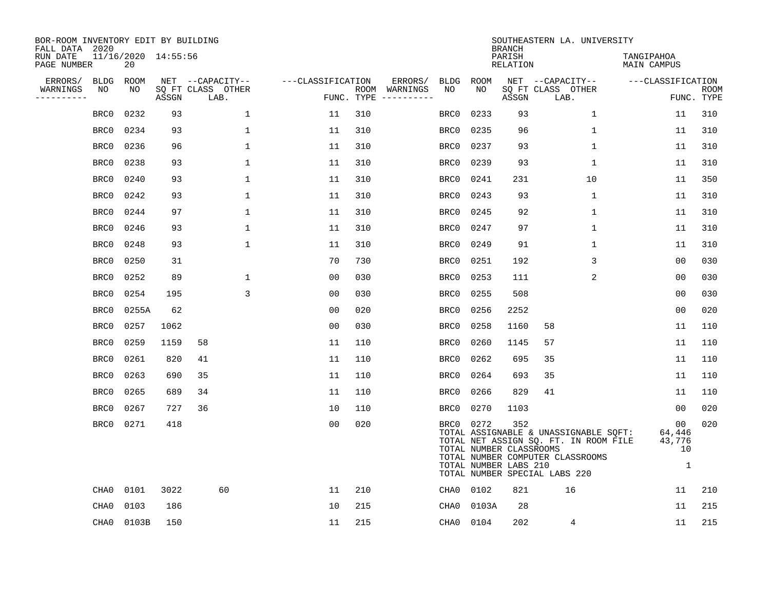| BOR-ROOM INVENTORY EDIT BY BUILDING<br>FALL DATA 2020 |                           |       |                           |                   |            |               |      |           | <b>BRANCH</b>                                           | SOUTHEASTERN LA. UNIVERSITY                                                                                                                         |                                             |                           |
|-------------------------------------------------------|---------------------------|-------|---------------------------|-------------------|------------|---------------|------|-----------|---------------------------------------------------------|-----------------------------------------------------------------------------------------------------------------------------------------------------|---------------------------------------------|---------------------------|
| RUN DATE<br>PAGE NUMBER                               | 11/16/2020 14:55:56<br>20 |       |                           |                   |            |               |      |           | PARISH<br><b>RELATION</b>                               |                                                                                                                                                     | TANGIPAHOA<br><b>MAIN CAMPUS</b>            |                           |
| ERRORS/<br><b>BLDG</b>                                | ROOM                      |       | NET --CAPACITY--          | ---CLASSIFICATION |            | ERRORS/       | BLDG | ROOM      |                                                         | NET --CAPACITY--                                                                                                                                    | ---CLASSIFICATION                           |                           |
| NO<br>WARNINGS<br>----------                          | NO                        | ASSGN | SQ FT CLASS OTHER<br>LAB. |                   | FUNC. TYPE | ROOM WARNINGS | NO   | NO        | ASSGN                                                   | SQ FT CLASS OTHER<br>LAB.                                                                                                                           |                                             | <b>ROOM</b><br>FUNC. TYPE |
| BRC0                                                  | 0232                      | 93    | $\mathbf{1}$              | 11                | 310        |               | BRC0 | 0233      | 93                                                      | $\mathbf 1$                                                                                                                                         | 11                                          | 310                       |
| BRC0                                                  | 0234                      | 93    | $\mathbf 1$               | 11                | 310        |               | BRC0 | 0235      | 96                                                      | 1                                                                                                                                                   | 11                                          | 310                       |
| BRC0                                                  | 0236                      | 96    | 1                         | 11                | 310        |               | BRC0 | 0237      | 93                                                      | 1                                                                                                                                                   | 11                                          | 310                       |
| BRC0                                                  | 0238                      | 93    | $\mathbf 1$               | 11                | 310        |               | BRC0 | 0239      | 93                                                      | 1                                                                                                                                                   | 11                                          | 310                       |
| BRC0                                                  | 0240                      | 93    | $\mathbf 1$               | 11                | 310        |               | BRC0 | 0241      | 231                                                     | 10                                                                                                                                                  | 11                                          | 350                       |
| BRC0                                                  | 0242                      | 93    | $\mathbf 1$               | 11                | 310        |               | BRC0 | 0243      | 93                                                      | 1                                                                                                                                                   | 11                                          | 310                       |
| BRC0                                                  | 0244                      | 97    | $\mathbf{1}$              | 11                | 310        |               | BRC0 | 0245      | 92                                                      | $\mathbf{1}$                                                                                                                                        | 11                                          | 310                       |
| BRC0                                                  | 0246                      | 93    | $\mathbf{1}$              | 11                | 310        |               | BRC0 | 0247      | 97                                                      | $\mathbf{1}$                                                                                                                                        | 11                                          | 310                       |
| BRC0                                                  | 0248                      | 93    | $\mathbf 1$               | 11                | 310        |               | BRC0 | 0249      | 91                                                      | 1                                                                                                                                                   | 11                                          | 310                       |
| BRC0                                                  | 0250                      | 31    |                           | 70                | 730        |               | BRC0 | 0251      | 192                                                     | 3                                                                                                                                                   | 0 <sub>0</sub>                              | 030                       |
| BRC0                                                  | 0252                      | 89    | $\mathbf 1$               | 0 <sub>0</sub>    | 030        |               | BRC0 | 0253      | 111                                                     | 2                                                                                                                                                   | 0 <sub>0</sub>                              | 030                       |
| BRC0                                                  | 0254                      | 195   | 3                         | 0 <sub>0</sub>    | 030        |               | BRC0 | 0255      | 508                                                     |                                                                                                                                                     | 0 <sub>0</sub>                              | 030                       |
| BRC0                                                  | 0255A                     | 62    |                           | 0 <sub>0</sub>    | 020        |               | BRC0 | 0256      | 2252                                                    |                                                                                                                                                     | 0 <sub>0</sub>                              | 020                       |
| BRC0                                                  | 0257                      | 1062  |                           | 0 <sub>0</sub>    | 030        |               | BRC0 | 0258      | 1160                                                    | 58                                                                                                                                                  | 11                                          | 110                       |
| BRC0                                                  | 0259                      | 1159  | 58                        | 11                | 110        |               | BRC0 | 0260      | 1145                                                    | 57                                                                                                                                                  | 11                                          | 110                       |
| BRC0                                                  | 0261                      | 820   | 41                        | 11                | 110        |               | BRC0 | 0262      | 695                                                     | 35                                                                                                                                                  | 11                                          | 110                       |
| BRC0                                                  | 0263                      | 690   | 35                        | 11                | 110        |               | BRC0 | 0264      | 693                                                     | 35                                                                                                                                                  | 11                                          | 110                       |
| BRC0                                                  | 0265                      | 689   | 34                        | 11                | 110        |               | BRC0 | 0266      | 829                                                     | 41                                                                                                                                                  | 11                                          | 110                       |
| BRC0                                                  | 0267                      | 727   | 36                        | 10                | 110        |               | BRC0 | 0270      | 1103                                                    |                                                                                                                                                     | 0 <sub>0</sub>                              | 020                       |
| BRC0                                                  | 0271                      | 418   |                           | 0 <sub>0</sub>    | 020        |               |      | BRC0 0272 | 352<br>TOTAL NUMBER CLASSROOMS<br>TOTAL NUMBER LABS 210 | TOTAL ASSIGNABLE & UNASSIGNABLE SQFT:<br>TOTAL NET ASSIGN SQ. FT. IN ROOM FILE<br>TOTAL NUMBER COMPUTER CLASSROOMS<br>TOTAL NUMBER SPECIAL LABS 220 | 00<br>64,446<br>43,776<br>10<br>$\mathbf 1$ | 020                       |
| CHA0                                                  | 0101                      | 3022  | 60                        | 11                | 210        |               | CHA0 | 0102      | 821                                                     | 16                                                                                                                                                  | 11                                          | 210                       |
| CHA0                                                  | 0103                      | 186   |                           | 10                | 215        |               | CHA0 | 0103A     | 28                                                      |                                                                                                                                                     | 11                                          | 215                       |
| CHA0                                                  | 0103B                     | 150   |                           | 11                | 215        |               | CHA0 | 0104      | 202                                                     | 4                                                                                                                                                   | 11                                          | 215                       |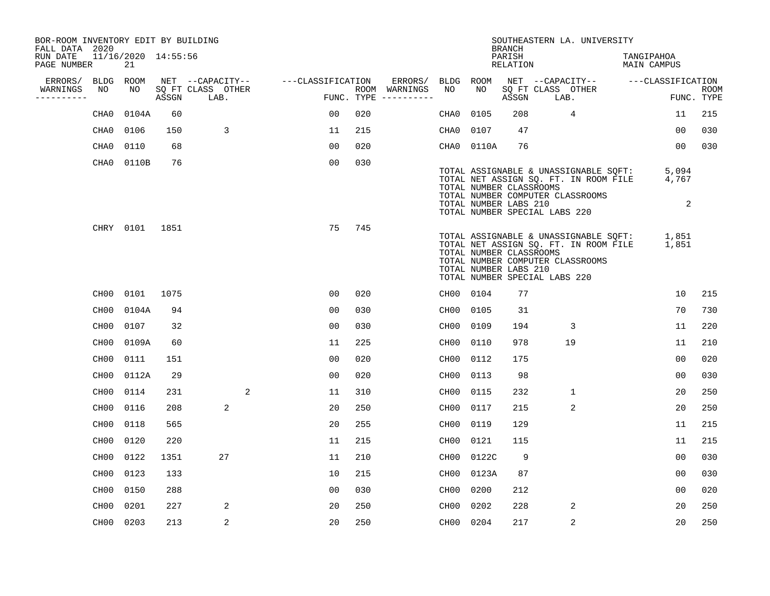| BOR-ROOM INVENTORY EDIT BY BUILDING<br>FALL DATA 2020 |                  |                           |       |                           |    |   |                   |                |     |                                      |           |                                                                                   | <b>BRANCH</b>      | SOUTHEASTERN LA. UNIVERSITY                                                                                        |                           |                     |                           |
|-------------------------------------------------------|------------------|---------------------------|-------|---------------------------|----|---|-------------------|----------------|-----|--------------------------------------|-----------|-----------------------------------------------------------------------------------|--------------------|--------------------------------------------------------------------------------------------------------------------|---------------------------|---------------------|---------------------------|
| RUN DATE<br>PAGE NUMBER                               |                  | 11/16/2020 14:55:56<br>21 |       |                           |    |   |                   |                |     |                                      |           |                                                                                   | PARISH<br>RELATION |                                                                                                                    | TANGIPAHOA<br>MAIN CAMPUS |                     |                           |
| ERRORS/                                               |                  | BLDG ROOM                 |       | NET --CAPACITY--          |    |   | ---CLASSIFICATION |                |     | ERRORS/                              | BLDG      | ROOM                                                                              |                    | NET --CAPACITY--                                                                                                   |                           | ---CLASSIFICATION   |                           |
| WARNINGS<br>----------                                | NO               | NO                        | ASSGN | SQ FT CLASS OTHER<br>LAB. |    |   |                   |                |     | ROOM WARNINGS<br>FUNC. TYPE $------$ | NO        | NO.                                                                               | ASSGN              | SQ FT CLASS OTHER<br>LAB.                                                                                          |                           |                     | <b>ROOM</b><br>FUNC. TYPE |
|                                                       | CHA0             | 0104A                     | 60    |                           |    |   |                   | 0 <sub>0</sub> | 020 |                                      | CHA0      | 0105                                                                              | 208                | 4                                                                                                                  |                           | 11                  | 215                       |
|                                                       | CHA0             | 0106                      | 150   |                           | 3  |   |                   | 11             | 215 |                                      | CHA0      | 0107                                                                              | 47                 |                                                                                                                    |                           | 00                  | 030                       |
|                                                       | CHA0             | 0110                      | 68    |                           |    |   |                   | 00             | 020 |                                      |           | CHA0 0110A                                                                        | 76                 |                                                                                                                    |                           | 00                  | 030                       |
|                                                       | CHA0             | 0110B                     | 76    |                           |    |   |                   | 0 <sub>0</sub> | 030 |                                      |           | TOTAL NUMBER CLASSROOMS<br>TOTAL NUMBER LABS 210<br>TOTAL NUMBER SPECIAL LABS 220 |                    | TOTAL ASSIGNABLE & UNASSIGNABLE SOFT:<br>TOTAL NET ASSIGN SQ. FT. IN ROOM FILE<br>TOTAL NUMBER COMPUTER CLASSROOMS |                           | 5,094<br>4,767<br>2 |                           |
|                                                       |                  | CHRY 0101 1851            |       |                           |    |   |                   | 75             | 745 |                                      |           | TOTAL NUMBER CLASSROOMS<br>TOTAL NUMBER LABS 210<br>TOTAL NUMBER SPECIAL LABS 220 |                    | TOTAL ASSIGNABLE & UNASSIGNABLE SQFT:<br>TOTAL NET ASSIGN SQ. FT. IN ROOM FILE<br>TOTAL NUMBER COMPUTER CLASSROOMS |                           | 1,851<br>1,851      |                           |
|                                                       | CH00             | 0101                      | 1075  |                           |    |   |                   | 0 <sub>0</sub> | 020 |                                      | CH00 0104 |                                                                                   | 77                 |                                                                                                                    |                           | 10                  | 215                       |
|                                                       | CH00             | 0104A                     | 94    |                           |    |   |                   | 0 <sub>0</sub> | 030 |                                      | CH00 0105 |                                                                                   | 31                 |                                                                                                                    |                           | 70                  | 730                       |
|                                                       | CH00             | 0107                      | 32    |                           |    |   |                   | 0 <sub>0</sub> | 030 |                                      | CH00 0109 |                                                                                   | 194                | 3                                                                                                                  |                           | 11                  | 220                       |
|                                                       | CH00             | 0109A                     | 60    |                           |    |   |                   | 11             | 225 |                                      | CH00      | 0110                                                                              | 978                | 19                                                                                                                 |                           | 11                  | 210                       |
|                                                       | CH00             | 0111                      | 151   |                           |    |   |                   | 0 <sub>0</sub> | 020 |                                      | CH00      | 0112                                                                              | 175                |                                                                                                                    |                           | 0 <sub>0</sub>      | 020                       |
|                                                       | CH <sub>00</sub> | 0112A                     | 29    |                           |    |   |                   | 0 <sub>0</sub> | 020 |                                      | CH00      | 0113                                                                              | 98                 |                                                                                                                    |                           | 00                  | 030                       |
|                                                       | CH00             | 0114                      | 231   |                           |    | 2 |                   | 11             | 310 |                                      | CH00      | 0115                                                                              | 232                | $\mathbf{1}$                                                                                                       |                           | 20                  | 250                       |
|                                                       | CH00             | 0116                      | 208   |                           | 2  |   |                   | 20             | 250 |                                      | CH00      | 0117                                                                              | 215                | 2                                                                                                                  |                           | 20                  | 250                       |
|                                                       | CH00             | 0118                      | 565   |                           |    |   |                   | 20             | 255 |                                      | CH00      | 0119                                                                              | 129                |                                                                                                                    |                           | 11                  | 215                       |
|                                                       | CH00             | 0120                      | 220   |                           |    |   |                   | 11             | 215 |                                      | CH00      | 0121                                                                              | 115                |                                                                                                                    |                           | 11                  | 215                       |
|                                                       | CH00             | 0122                      | 1351  |                           | 27 |   |                   | 11             | 210 |                                      | CH00      | 0122C                                                                             | 9                  |                                                                                                                    |                           | 00                  | 030                       |
|                                                       | CH00             | 0123                      | 133   |                           |    |   |                   | 10             | 215 |                                      |           | CH00 0123A                                                                        | 87                 |                                                                                                                    |                           | 00                  | 030                       |
|                                                       | CH00             | 0150                      | 288   |                           |    |   |                   | 0 <sub>0</sub> | 030 |                                      | CH00      | 0200                                                                              | 212                |                                                                                                                    |                           | 00                  | 020                       |
|                                                       | CH <sub>00</sub> | 0201                      | 227   |                           | 2  |   |                   | 20             | 250 |                                      | CH00      | 0202                                                                              | 228                | 2                                                                                                                  |                           | 20                  | 250                       |
|                                                       | CH00 0203        |                           | 213   |                           | 2  |   |                   | 20             | 250 |                                      | CH00 0204 |                                                                                   | 217                | $\overline{a}$                                                                                                     |                           | 20                  | 250                       |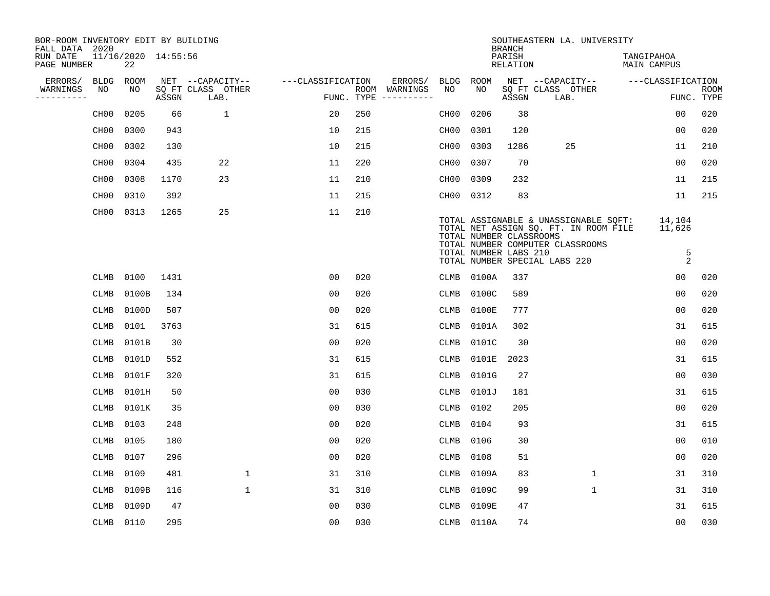| BOR-ROOM INVENTORY EDIT BY BUILDING<br>FALL DATA 2020 |                   |       |                     |                           |                   |     |                                      |                   |                                                  | <b>BRANCH</b>      | SOUTHEASTERN LA. UNIVERSITY                                                                                                                         |                                   |                           |
|-------------------------------------------------------|-------------------|-------|---------------------|---------------------------|-------------------|-----|--------------------------------------|-------------------|--------------------------------------------------|--------------------|-----------------------------------------------------------------------------------------------------------------------------------------------------|-----------------------------------|---------------------------|
| RUN DATE<br>PAGE NUMBER                               |                   | 22    | 11/16/2020 14:55:56 |                           |                   |     |                                      |                   |                                                  | PARISH<br>RELATION |                                                                                                                                                     | TANGIPAHOA<br><b>MAIN CAMPUS</b>  |                           |
| ERRORS/                                               | <b>BLDG</b>       | ROOM  |                     | NET --CAPACITY--          | ---CLASSIFICATION |     | ERRORS/                              | <b>BLDG</b>       | ROOM                                             |                    | NET --CAPACITY--                                                                                                                                    | ---CLASSIFICATION                 |                           |
| WARNINGS<br>----------                                | NO                | NO    | ASSGN               | SQ FT CLASS OTHER<br>LAB. |                   |     | ROOM WARNINGS<br>FUNC. TYPE $------$ | NO                | NO                                               | ASSGN              | SQ FT CLASS OTHER<br>LAB.                                                                                                                           |                                   | <b>ROOM</b><br>FUNC. TYPE |
|                                                       | CH <sub>00</sub>  | 0205  | 66                  | $\mathbf 1$               | 20                | 250 |                                      | CH <sub>0</sub> 0 | 0206                                             | 38                 |                                                                                                                                                     | 0 <sub>0</sub>                    | 020                       |
|                                                       | CH <sub>0</sub> 0 | 0300  | 943                 |                           | 10                | 215 |                                      | CH00              | 0301                                             | 120                |                                                                                                                                                     | 0 <sub>0</sub>                    | 020                       |
|                                                       | CH00              | 0302  | 130                 |                           | 10                | 215 |                                      | CH00              | 0303                                             | 1286               | 25                                                                                                                                                  | 11                                | 210                       |
|                                                       | CH <sub>0</sub> 0 | 0304  | 435                 | 22                        | 11                | 220 |                                      | CH00              | 0307                                             | 70                 |                                                                                                                                                     | 0 <sub>0</sub>                    | 020                       |
|                                                       | CH <sub>0</sub> 0 | 0308  | 1170                | 23                        | 11                | 210 |                                      | CH00              | 0309                                             | 232                |                                                                                                                                                     | 11                                | 215                       |
|                                                       | CH00              | 0310  | 392                 |                           | 11                | 215 |                                      | CH00 0312         |                                                  | 83                 |                                                                                                                                                     | 11                                | 215                       |
|                                                       | CH00 0313         |       | 1265                | 25                        | 11                | 210 |                                      |                   | TOTAL NUMBER CLASSROOMS<br>TOTAL NUMBER LABS 210 |                    | TOTAL ASSIGNABLE & UNASSIGNABLE SQFT:<br>TOTAL NET ASSIGN SQ. FT. IN ROOM FILE<br>TOTAL NUMBER COMPUTER CLASSROOMS<br>TOTAL NUMBER SPECIAL LABS 220 | 14,104<br>11,626<br>$\frac{5}{2}$ |                           |
|                                                       | CLMB              | 0100  | 1431                |                           | 0 <sub>0</sub>    | 020 |                                      |                   | CLMB 0100A                                       | 337                |                                                                                                                                                     | 0 <sub>0</sub>                    | 020                       |
|                                                       | CLMB              | 0100B | 134                 |                           | 0 <sub>0</sub>    | 020 |                                      | <b>CLMB</b>       | 0100C                                            | 589                |                                                                                                                                                     | 0 <sub>0</sub>                    | 020                       |
|                                                       | CLMB              | 0100D | 507                 |                           | 0 <sub>0</sub>    | 020 |                                      | CLMB              | 0100E                                            | 777                |                                                                                                                                                     | 0 <sub>0</sub>                    | 020                       |
|                                                       | CLMB              | 0101  | 3763                |                           | 31                | 615 |                                      | CLMB              | 0101A                                            | 302                |                                                                                                                                                     | 31                                | 615                       |
|                                                       | CLMB              | 0101B | 30                  |                           | 0 <sub>0</sub>    | 020 |                                      | CLMB              | 0101C                                            | 30                 |                                                                                                                                                     | 0 <sub>0</sub>                    | 020                       |
|                                                       | <b>CLMB</b>       | 0101D | 552                 |                           | 31                | 615 |                                      | CLMB              | 0101E 2023                                       |                    |                                                                                                                                                     | 31                                | 615                       |
|                                                       | <b>CLMB</b>       | 0101F | 320                 |                           | 31                | 615 |                                      | <b>CLMB</b>       | 0101G                                            | 27                 |                                                                                                                                                     | 0 <sub>0</sub>                    | 030                       |
|                                                       | CLMB              | 0101H | 50                  |                           | 0 <sub>0</sub>    | 030 |                                      | <b>CLMB</b>       | 0101J                                            | 181                |                                                                                                                                                     | 31                                | 615                       |
|                                                       | CLMB              | 0101K | 35                  |                           | 0 <sub>0</sub>    | 030 |                                      | CLMB              | 0102                                             | 205                |                                                                                                                                                     | 0 <sub>0</sub>                    | 020                       |
|                                                       | CLMB              | 0103  | 248                 |                           | 0 <sub>0</sub>    | 020 |                                      | CLMB              | 0104                                             | 93                 |                                                                                                                                                     | 31                                | 615                       |
|                                                       | <b>CLMB</b>       | 0105  | 180                 |                           | 0 <sub>0</sub>    | 020 |                                      | <b>CLMB</b>       | 0106                                             | 30                 |                                                                                                                                                     | 0 <sub>0</sub>                    | 010                       |
|                                                       | CLMB              | 0107  | 296                 |                           | 00                | 020 |                                      | CLMB              | 0108                                             | 51                 |                                                                                                                                                     | 0 <sub>0</sub>                    | 020                       |
|                                                       | CLMB              | 0109  | 481                 | 1                         | 31                | 310 |                                      | CLMB              | 0109A                                            | 83                 | $\mathbf 1$                                                                                                                                         | 31                                | 310                       |
|                                                       | CLMB              | 0109B | 116                 | $\mathbf 1$               | 31                | 310 |                                      | CLMB              | 0109C                                            | 99                 | $\mathbf{1}$                                                                                                                                        | 31                                | 310                       |
|                                                       | CLMB              | 0109D | 47                  |                           | 0 <sub>0</sub>    | 030 |                                      | <b>CLMB</b>       | 0109E                                            | 47                 |                                                                                                                                                     | 31                                | 615                       |
|                                                       | CLMB 0110         |       | 295                 |                           | 0 <sub>0</sub>    | 030 |                                      |                   | CLMB 0110A                                       | 74                 |                                                                                                                                                     | 0 <sub>0</sub>                    | 030                       |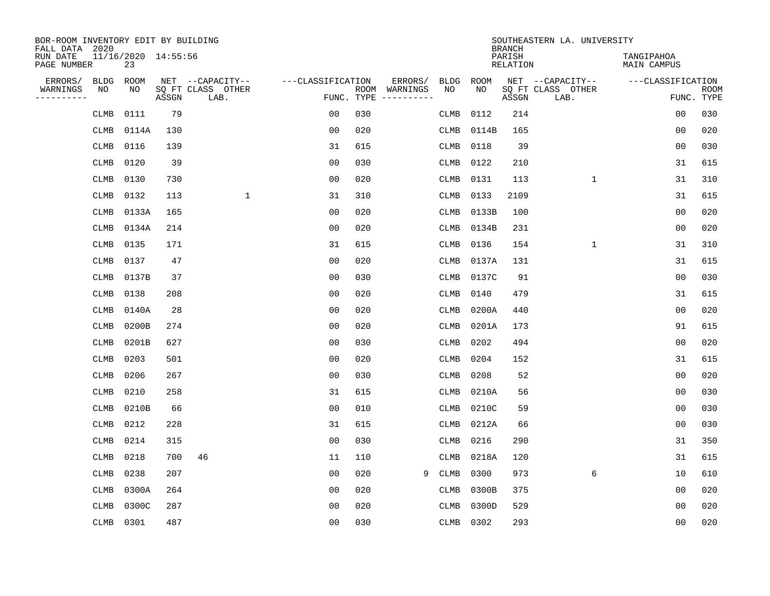| BOR-ROOM INVENTORY EDIT BY BUILDING<br>FALL DATA 2020 |                           |       |                           |                   |            |                              |             |             | <b>BRANCH</b>             | SOUTHEASTERN LA. UNIVERSITY |                                  |                           |
|-------------------------------------------------------|---------------------------|-------|---------------------------|-------------------|------------|------------------------------|-------------|-------------|---------------------------|-----------------------------|----------------------------------|---------------------------|
| RUN DATE<br>PAGE NUMBER                               | 11/16/2020 14:55:56<br>23 |       |                           |                   |            |                              |             |             | PARISH<br><b>RELATION</b> |                             | TANGIPAHOA<br><b>MAIN CAMPUS</b> |                           |
| ERRORS/<br><b>BLDG</b>                                | ROOM                      |       | NET --CAPACITY--          | ---CLASSIFICATION |            | ERRORS/                      | <b>BLDG</b> | <b>ROOM</b> |                           | NET --CAPACITY--            | ---CLASSIFICATION                |                           |
| WARNINGS<br>NO<br>----------                          | NO                        | ASSGN | SQ FT CLASS OTHER<br>LAB. |                   | FUNC. TYPE | ROOM WARNINGS<br>----------- | NO          | NO          | ASSGN                     | SQ FT CLASS OTHER<br>LAB.   |                                  | <b>ROOM</b><br>FUNC. TYPE |
| CLMB                                                  | 0111                      | 79    |                           | 00                | 030        |                              | <b>CLMB</b> | 0112        | 214                       |                             | 0 <sub>0</sub>                   | 030                       |
| CLMB                                                  | 0114A                     | 130   |                           | 0 <sub>0</sub>    | 020        |                              | CLMB        | 0114B       | 165                       |                             | 0 <sub>0</sub>                   | 020                       |
| CLMB                                                  | 0116                      | 139   |                           | 31                | 615        |                              | CLMB        | 0118        | 39                        |                             | 0 <sub>0</sub>                   | 030                       |
| CLMB                                                  | 0120                      | 39    |                           | 0 <sub>0</sub>    | 030        |                              | CLMB        | 0122        | 210                       |                             | 31                               | 615                       |
| CLMB                                                  | 0130                      | 730   |                           | 0 <sub>0</sub>    | 020        |                              | CLMB        | 0131        | 113                       | $\mathbf{1}$                | 31                               | 310                       |
| CLMB                                                  | 0132                      | 113   | $\mathbf{1}$              | 31                | 310        |                              | CLMB        | 0133        | 2109                      |                             | 31                               | 615                       |
| CLMB                                                  | 0133A                     | 165   |                           | 0 <sub>0</sub>    | 020        |                              | CLMB        | 0133B       | 100                       |                             | 0 <sub>0</sub>                   | 020                       |
| CLMB                                                  | 0134A                     | 214   |                           | 0 <sub>0</sub>    | 020        |                              | CLMB        | 0134B       | 231                       |                             | 0 <sub>0</sub>                   | 020                       |
| CLMB                                                  | 0135                      | 171   |                           | 31                | 615        |                              | <b>CLMB</b> | 0136        | 154                       | $\mathbf{1}$                | 31                               | 310                       |
| CLMB                                                  | 0137                      | 47    |                           | 0 <sub>0</sub>    | 020        |                              | CLMB        | 0137A       | 131                       |                             | 31                               | 615                       |
| CLMB                                                  | 0137B                     | 37    |                           | 0 <sub>0</sub>    | 030        |                              | <b>CLMB</b> | 0137C       | 91                        |                             | 0 <sub>0</sub>                   | 030                       |
| <b>CLMB</b>                                           | 0138                      | 208   |                           | 0 <sub>0</sub>    | 020        |                              | <b>CLMB</b> | 0140        | 479                       |                             | 31                               | 615                       |
| CLMB                                                  | 0140A                     | 28    |                           | 0 <sub>0</sub>    | 020        |                              | <b>CLMB</b> | 0200A       | 440                       |                             | 0 <sub>0</sub>                   | 020                       |
| <b>CLMB</b>                                           | 0200B                     | 274   |                           | 0 <sub>0</sub>    | 020        |                              | CLMB        | 0201A       | 173                       |                             | 91                               | 615                       |
| CLMB                                                  | 0201B                     | 627   |                           | 0 <sub>0</sub>    | 030        |                              | <b>CLMB</b> | 0202        | 494                       |                             | 0 <sub>0</sub>                   | 020                       |
| CLMB                                                  | 0203                      | 501   |                           | 00                | 020        |                              | CLMB        | 0204        | 152                       |                             | 31                               | 615                       |
| CLMB                                                  | 0206                      | 267   |                           | 0 <sub>0</sub>    | 030        |                              | CLMB        | 0208        | 52                        |                             | 00                               | 020                       |
| CLMB                                                  | 0210                      | 258   |                           | 31                | 615        |                              | CLMB        | 0210A       | 56                        |                             | 0 <sub>0</sub>                   | 030                       |
| <b>CLMB</b>                                           | 0210B                     | 66    |                           | 0 <sub>0</sub>    | 010        |                              | CLMB        | 0210C       | 59                        |                             | 0 <sub>0</sub>                   | 030                       |
| <b>CLMB</b>                                           | 0212                      | 228   |                           | 31                | 615        |                              | CLMB        | 0212A       | 66                        |                             | 0 <sub>0</sub>                   | 030                       |
| <b>CLMB</b>                                           | 0214                      | 315   |                           | 0 <sub>0</sub>    | 030        |                              | <b>CLMB</b> | 0216        | 290                       |                             | 31                               | 350                       |
| <b>CLMB</b>                                           | 0218                      | 700   | 46                        | 11                | 110        |                              | <b>CLMB</b> | 0218A       | 120                       |                             | 31                               | 615                       |
| <b>CLMB</b>                                           | 0238                      | 207   |                           | 0 <sub>0</sub>    | 020        | 9                            | <b>CLMB</b> | 0300        | 973                       | 6                           | 10                               | 610                       |
| <b>CLMB</b>                                           | 0300A                     | 264   |                           | 0 <sub>0</sub>    | 020        |                              | <b>CLMB</b> | 0300B       | 375                       |                             | 0 <sub>0</sub>                   | 020                       |
| CLMB                                                  | 0300C                     | 287   |                           | 0 <sub>0</sub>    | 020        |                              | <b>CLMB</b> | 0300D       | 529                       |                             | 0 <sub>0</sub>                   | 020                       |
| CLMB                                                  | 0301                      | 487   |                           | 0 <sub>0</sub>    | 030        |                              |             | CLMB 0302   | 293                       |                             | 0 <sub>0</sub>                   | 020                       |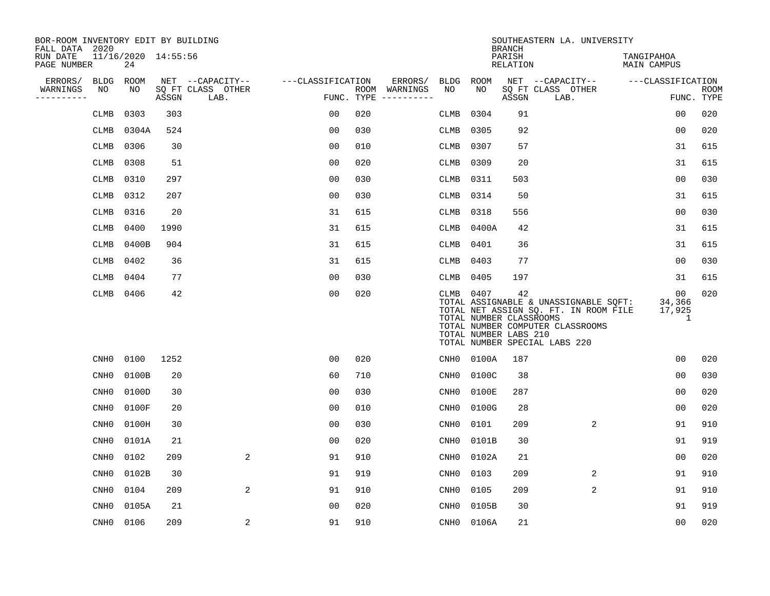| BOR-ROOM INVENTORY EDIT BY BUILDING<br>FALL DATA 2020 |                  |                           |       |                           |                   |     |                                      |                  |                                                          | <b>BRANCH</b>      | SOUTHEASTERN LA. UNIVERSITY                                                                                                                         |                             |                           |
|-------------------------------------------------------|------------------|---------------------------|-------|---------------------------|-------------------|-----|--------------------------------------|------------------|----------------------------------------------------------|--------------------|-----------------------------------------------------------------------------------------------------------------------------------------------------|-----------------------------|---------------------------|
| RUN DATE<br>PAGE NUMBER                               |                  | 11/16/2020 14:55:56<br>24 |       |                           |                   |     |                                      |                  |                                                          | PARISH<br>RELATION |                                                                                                                                                     | TANGIPAHOA<br>MAIN CAMPUS   |                           |
| ERRORS/                                               | BLDG             | ROOM                      |       | NET --CAPACITY--          | ---CLASSIFICATION |     | ERRORS/                              | BLDG             | ROOM                                                     |                    | NET --CAPACITY--                                                                                                                                    | ---CLASSIFICATION           |                           |
| WARNINGS<br>----------                                | NO               | NO                        | ASSGN | SQ FT CLASS OTHER<br>LAB. |                   |     | ROOM WARNINGS<br>FUNC. TYPE $------$ | NO               | NO                                                       | ASSGN              | SQ FT CLASS OTHER<br>LAB.                                                                                                                           |                             | <b>ROOM</b><br>FUNC. TYPE |
|                                                       | CLMB             | 0303                      | 303   |                           | 0 <sub>0</sub>    | 020 |                                      | CLMB             | 0304                                                     | 91                 |                                                                                                                                                     | 0 <sub>0</sub>              | 020                       |
|                                                       | CLMB             | 0304A                     | 524   |                           | 0 <sub>0</sub>    | 030 |                                      | CLMB             | 0305                                                     | 92                 |                                                                                                                                                     | 0 <sub>0</sub>              | 020                       |
|                                                       | <b>CLMB</b>      | 0306                      | 30    |                           | 0 <sub>0</sub>    | 010 |                                      | <b>CLMB</b>      | 0307                                                     | 57                 |                                                                                                                                                     | 31                          | 615                       |
|                                                       | <b>CLMB</b>      | 0308                      | 51    |                           | 0 <sub>0</sub>    | 020 |                                      | <b>CLMB</b>      | 0309                                                     | 20                 |                                                                                                                                                     | 31                          | 615                       |
|                                                       | CLMB             | 0310                      | 297   |                           | 0 <sub>0</sub>    | 030 |                                      | CLMB             | 0311                                                     | 503                |                                                                                                                                                     | 0 <sub>0</sub>              | 030                       |
|                                                       | <b>CLMB</b>      | 0312                      | 207   |                           | 0 <sub>0</sub>    | 030 |                                      | CLMB             | 0314                                                     | 50                 |                                                                                                                                                     | 31                          | 615                       |
|                                                       | <b>CLMB</b>      | 0316                      | 20    |                           | 31                | 615 |                                      | <b>CLMB</b>      | 0318                                                     | 556                |                                                                                                                                                     | 0 <sub>0</sub>              | 030                       |
|                                                       | CLMB             | 0400                      | 1990  |                           | 31                | 615 |                                      | CLMB             | 0400A                                                    | 42                 |                                                                                                                                                     | 31                          | 615                       |
|                                                       | CLMB             | 0400B                     | 904   |                           | 31                | 615 |                                      | CLMB             | 0401                                                     | 36                 |                                                                                                                                                     | 31                          | 615                       |
|                                                       | <b>CLMB</b>      | 0402                      | 36    |                           | 31                | 615 |                                      | CLMB             | 0403                                                     | 77                 |                                                                                                                                                     | 0 <sub>0</sub>              | 030                       |
|                                                       | CLMB             | 0404                      | 77    |                           | 00                | 030 |                                      | CLMB             | 0405                                                     | 197                |                                                                                                                                                     | 31                          | 615                       |
|                                                       | CLMB             | 0406                      | 42    |                           | 0 <sub>0</sub>    | 020 |                                      | CLMB             | 0407<br>TOTAL NUMBER CLASSROOMS<br>TOTAL NUMBER LABS 210 | 42                 | TOTAL ASSIGNABLE & UNASSIGNABLE SQFT:<br>TOTAL NET ASSIGN SQ. FT. IN ROOM FILE<br>TOTAL NUMBER COMPUTER CLASSROOMS<br>TOTAL NUMBER SPECIAL LABS 220 | 00<br>34,366<br>17,925<br>1 | 020                       |
|                                                       | CNH <sub>0</sub> | 0100                      | 1252  |                           | 0 <sub>0</sub>    | 020 |                                      | CNH0             | 0100A                                                    | 187                |                                                                                                                                                     | 00                          | 020                       |
|                                                       | CNH <sub>0</sub> | 0100B                     | 20    |                           | 60                | 710 |                                      | CNHO             | 0100C                                                    | 38                 |                                                                                                                                                     | 0 <sub>0</sub>              | 030                       |
|                                                       | CNH <sub>0</sub> | 0100D                     | 30    |                           | 0 <sub>0</sub>    | 030 |                                      | $\texttt{CNH0}$  | 0100E                                                    | 287                |                                                                                                                                                     | 0 <sub>0</sub>              | 020                       |
|                                                       | CNH <sub>0</sub> | 0100F                     | 20    |                           | 0 <sub>0</sub>    | 010 |                                      | $\texttt{CNH0}$  | 0100G                                                    | 28                 |                                                                                                                                                     | 0 <sub>0</sub>              | 020                       |
|                                                       | CNH <sub>0</sub> | 0100H                     | 30    |                           | 0 <sub>0</sub>    | 030 |                                      | $\texttt{CNH0}$  | 0101                                                     | 209                | 2                                                                                                                                                   | 91                          | 910                       |
|                                                       | CNH <sub>0</sub> | 0101A                     | 21    |                           | 0 <sub>0</sub>    | 020 |                                      | CNH <sub>0</sub> | 0101B                                                    | 30                 |                                                                                                                                                     | 91                          | 919                       |
|                                                       | CNHO             | 0102                      | 209   | 2                         | 91                | 910 |                                      | CNHO             | 0102A                                                    | 21                 |                                                                                                                                                     | 00                          | 020                       |
|                                                       | CNH <sub>0</sub> | 0102B                     | 30    |                           | 91                | 919 |                                      | CNHO             | 0103                                                     | 209                | $\overline{2}$                                                                                                                                      | 91                          | 910                       |
|                                                       | CNH <sub>0</sub> | 0104                      | 209   | 2                         | 91                | 910 |                                      | CNH0             | 0105                                                     | 209                | $\overline{2}$                                                                                                                                      | 91                          | 910                       |
|                                                       | CNH <sub>0</sub> | 0105A                     | 21    |                           | 0 <sub>0</sub>    | 020 |                                      | $\texttt{CNH0}$  | 0105B                                                    | 30                 |                                                                                                                                                     | 91                          | 919                       |
|                                                       | CNHO             | 0106                      | 209   | 2                         | 91                | 910 |                                      | CNHO             | 0106A                                                    | 21                 |                                                                                                                                                     | 00                          | 020                       |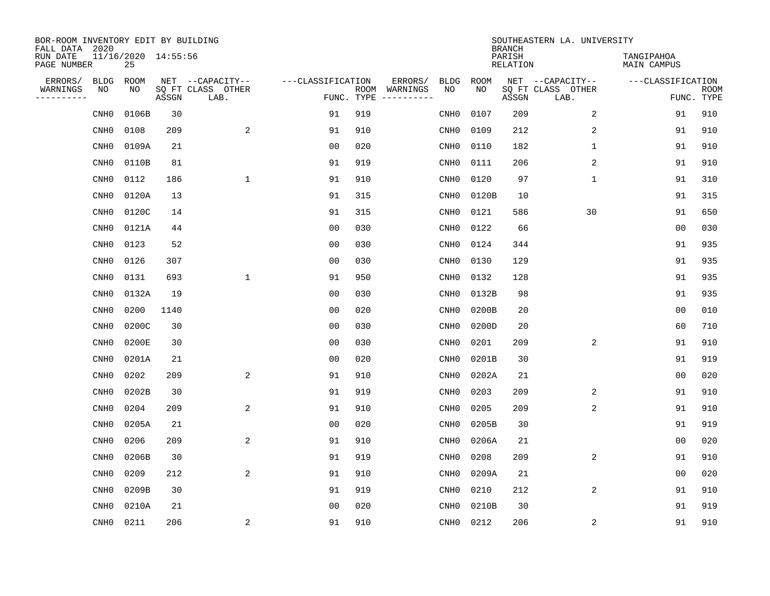| BOR-ROOM INVENTORY EDIT BY BUILDING<br>FALL DATA 2020 |                  |                           |       |                           |                   |                    |          |                  |             | <b>BRANCH</b>             | SOUTHEASTERN LA. UNIVERSITY |                                  |                           |
|-------------------------------------------------------|------------------|---------------------------|-------|---------------------------|-------------------|--------------------|----------|------------------|-------------|---------------------------|-----------------------------|----------------------------------|---------------------------|
| RUN DATE<br>PAGE NUMBER                               |                  | 11/16/2020 14:55:56<br>25 |       |                           |                   |                    |          |                  |             | PARISH<br><b>RELATION</b> |                             | TANGIPAHOA<br><b>MAIN CAMPUS</b> |                           |
| ERRORS/                                               | BLDG             | ROOM                      |       | NET --CAPACITY--          | ---CLASSIFICATION |                    | ERRORS/  | <b>BLDG</b>      | <b>ROOM</b> |                           | NET --CAPACITY--            | ---CLASSIFICATION                |                           |
| WARNINGS<br>----------                                | ΝO               | NO                        | ASSGN | SQ FT CLASS OTHER<br>LAB. |                   | ROOM<br>FUNC. TYPE | WARNINGS | NO               | NO          | ASSGN                     | SQ FT CLASS OTHER<br>LAB.   |                                  | <b>ROOM</b><br>FUNC. TYPE |
|                                                       | CNH <sub>0</sub> | 0106B                     | 30    |                           | 91                | 919                |          | CNH <sub>0</sub> | 0107        | 209                       | 2                           | 91                               | 910                       |
|                                                       | CNH <sub>0</sub> | 0108                      | 209   | $\overline{\mathbf{c}}$   | 91                | 910                |          | CNH <sub>0</sub> | 0109        | 212                       | 2                           | 91                               | 910                       |
|                                                       | CNH <sub>0</sub> | 0109A                     | 21    |                           | 0 <sub>0</sub>    | 020                |          | CNH <sub>0</sub> | 0110        | 182                       | 1                           | 91                               | 910                       |
|                                                       | CNH <sub>0</sub> | 0110B                     | 81    |                           | 91                | 919                |          | CNHO             | 0111        | 206                       | 2                           | 91                               | 910                       |
|                                                       | CNH <sub>0</sub> | 0112                      | 186   | $\mathbf{1}$              | 91                | 910                |          | CNHO             | 0120        | 97                        | $\mathbf{1}$                | 91                               | 310                       |
|                                                       | CNH <sub>0</sub> | 0120A                     | 13    |                           | 91                | 315                |          | CNHO             | 0120B       | 10                        |                             | 91                               | 315                       |
|                                                       | CNH <sub>0</sub> | 0120C                     | 14    |                           | 91                | 315                |          | CNH <sub>0</sub> | 0121        | 586                       | 30                          | 91                               | 650                       |
|                                                       | CNH <sub>0</sub> | 0121A                     | 44    |                           | 0 <sub>0</sub>    | 030                |          | CNH <sub>0</sub> | 0122        | 66                        |                             | 0 <sub>0</sub>                   | 030                       |
|                                                       | CNH <sub>0</sub> | 0123                      | 52    |                           | 0 <sub>0</sub>    | 030                |          | CNH <sub>0</sub> | 0124        | 344                       |                             | 91                               | 935                       |
|                                                       | CNH0             | 0126                      | 307   |                           | 0 <sub>0</sub>    | 030                |          | CNH <sub>0</sub> | 0130        | 129                       |                             | 91                               | 935                       |
|                                                       | CNH0             | 0131                      | 693   | $\mathbf{1}$              | 91                | 950                |          | CNH <sub>0</sub> | 0132        | 128                       |                             | 91                               | 935                       |
|                                                       | CNH0             | 0132A                     | 19    |                           | 0 <sub>0</sub>    | 030                |          | CNH <sub>0</sub> | 0132B       | 98                        |                             | 91                               | 935                       |
|                                                       | CNH0             | 0200                      | 1140  |                           | 0 <sub>0</sub>    | 020                |          | CNH <sub>0</sub> | 0200B       | 20                        |                             | 0 <sub>0</sub>                   | 010                       |
|                                                       | CNH <sub>0</sub> | 0200C                     | 30    |                           | 0 <sub>0</sub>    | 030                |          | CNH <sub>0</sub> | 0200D       | 20                        |                             | 60                               | 710                       |
|                                                       | CNH <sub>0</sub> | 0200E                     | 30    |                           | 0 <sub>0</sub>    | 030                |          | CNH <sub>0</sub> | 0201        | 209                       | 2                           | 91                               | 910                       |
|                                                       | CNH <sub>0</sub> | 0201A                     | 21    |                           | 0 <sub>0</sub>    | 020                |          | CNHO             | 0201B       | 30                        |                             | 91                               | 919                       |
|                                                       | CNH <sub>0</sub> | 0202                      | 209   | $\overline{a}$            | 91                | 910                |          | CNH <sub>0</sub> | 0202A       | 21                        |                             | 0 <sub>0</sub>                   | 020                       |
|                                                       | CNH <sub>0</sub> | 0202B                     | 30    |                           | 91                | 919                |          | CNH <sub>0</sub> | 0203        | 209                       | 2                           | 91                               | 910                       |
|                                                       | CNH <sub>0</sub> | 0204                      | 209   | $\overline{a}$            | 91                | 910                |          | CNH <sub>0</sub> | 0205        | 209                       | 2                           | 91                               | 910                       |
|                                                       | CNH <sub>0</sub> | 0205A                     | 21    |                           | 0 <sub>0</sub>    | 020                |          | CNH <sub>0</sub> | 0205B       | 30                        |                             | 91                               | 919                       |
|                                                       | CNH <sub>0</sub> | 0206                      | 209   | 2                         | 91                | 910                |          | CNH <sub>0</sub> | 0206A       | 21                        |                             | 0 <sub>0</sub>                   | 020                       |
|                                                       | CNH <sub>0</sub> | 0206B                     | 30    |                           | 91                | 919                |          | CNH <sub>0</sub> | 0208        | 209                       | 2                           | 91                               | 910                       |
|                                                       | CNH <sub>0</sub> | 0209                      | 212   | $\overline{a}$            | 91                | 910                |          | CNH <sub>0</sub> | 0209A       | 21                        |                             | 0 <sub>0</sub>                   | 020                       |
|                                                       | CNH <sub>0</sub> | 0209B                     | 30    |                           | 91                | 919                |          | CNH <sub>0</sub> | 0210        | 212                       | 2                           | 91                               | 910                       |
|                                                       | CNH <sub>0</sub> | 0210A                     | 21    |                           | 0 <sub>0</sub>    | 020                |          | CNH <sub>0</sub> | 0210B       | 30                        |                             | 91                               | 919                       |
|                                                       | CNH0             | 0211                      | 206   | $\sqrt{2}$                | 91                | 910                |          | $\text{CNH0}$    | 0212        | 206                       | $\sqrt{2}$                  | 91                               | 910                       |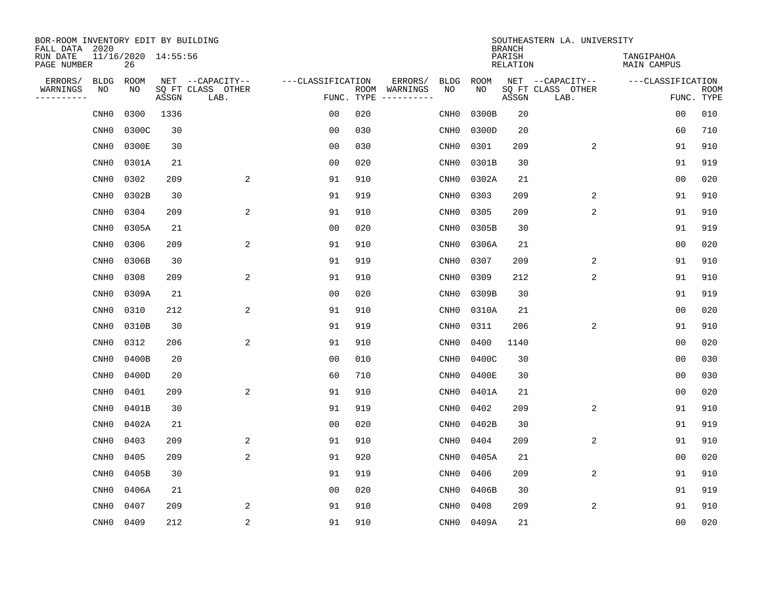| BOR-ROOM INVENTORY EDIT BY BUILDING<br>FALL DATA 2020 |                           |       |                           |                   |     |                              |                  |             | <b>BRANCH</b>             | SOUTHEASTERN LA. UNIVERSITY |                                  |                           |
|-------------------------------------------------------|---------------------------|-------|---------------------------|-------------------|-----|------------------------------|------------------|-------------|---------------------------|-----------------------------|----------------------------------|---------------------------|
| RUN DATE<br>PAGE NUMBER                               | 11/16/2020 14:55:56<br>26 |       |                           |                   |     |                              |                  |             | PARISH<br><b>RELATION</b> |                             | TANGIPAHOA<br><b>MAIN CAMPUS</b> |                           |
| ERRORS/<br><b>BLDG</b>                                | ROOM                      |       | NET --CAPACITY--          | ---CLASSIFICATION |     | ERRORS/                      | <b>BLDG</b>      | <b>ROOM</b> |                           | NET --CAPACITY--            | ---CLASSIFICATION                |                           |
| WARNINGS<br>NO<br>----------                          | NO                        | ASSGN | SQ FT CLASS OTHER<br>LAB. | FUNC. TYPE        |     | ROOM WARNINGS<br>----------- | NO               | NO          | ASSGN                     | SQ FT CLASS OTHER<br>LAB.   |                                  | <b>ROOM</b><br>FUNC. TYPE |
| CNH <sub>0</sub>                                      | 0300                      | 1336  |                           | 0 <sub>0</sub>    | 020 |                              | CNH <sub>0</sub> | 0300B       | 20                        |                             | 0 <sub>0</sub>                   | 010                       |
| CNH <sub>0</sub>                                      | 0300C                     | 30    |                           | 0 <sub>0</sub>    | 030 |                              | CNH <sub>0</sub> | 0300D       | 20                        |                             | 60                               | 710                       |
| CNH <sub>0</sub>                                      | 0300E                     | 30    |                           | 0 <sub>0</sub>    | 030 |                              | CNH <sub>0</sub> | 0301        | 209                       | 2                           | 91                               | 910                       |
| CNH <sub>0</sub>                                      | 0301A                     | 21    |                           | 0 <sub>0</sub>    | 020 |                              | CNHO             | 0301B       | 30                        |                             | 91                               | 919                       |
| CNH <sub>0</sub>                                      | 0302                      | 209   | 2                         | 91                | 910 |                              | CNHO             | 0302A       | 21                        |                             | 0 <sub>0</sub>                   | 020                       |
| CNH <sub>0</sub>                                      | 0302B                     | 30    |                           | 91                | 919 |                              | CNH <sub>0</sub> | 0303        | 209                       | 2                           | 91                               | 910                       |
| CNH <sub>0</sub>                                      | 0304                      | 209   | 2                         | 91                | 910 |                              | CNH <sub>0</sub> | 0305        | 209                       | 2                           | 91                               | 910                       |
| CNH <sub>0</sub>                                      | 0305A                     | 21    |                           | 0 <sub>0</sub>    | 020 |                              | CNHO             | 0305B       | 30                        |                             | 91                               | 919                       |
| CNH <sub>0</sub>                                      | 0306                      | 209   | 2                         | 91                | 910 |                              | CNHO             | 0306A       | 21                        |                             | 0 <sub>0</sub>                   | 020                       |
| CNH <sub>0</sub>                                      | 0306B                     | 30    |                           | 91                | 919 |                              | CNHO             | 0307        | 209                       | 2                           | 91                               | 910                       |
| CNH <sub>0</sub>                                      | 0308                      | 209   | 2                         | 91                | 910 |                              | CNH <sub>0</sub> | 0309        | 212                       | 2                           | 91                               | 910                       |
| CNH <sub>0</sub>                                      | 0309A                     | 21    |                           | 0 <sub>0</sub>    | 020 |                              | CNHO             | 0309B       | 30                        |                             | 91                               | 919                       |
| CNH <sub>0</sub>                                      | 0310                      | 212   | $\overline{a}$            | 91                | 910 |                              | CNH <sub>0</sub> | 0310A       | 21                        |                             | 0 <sub>0</sub>                   | 020                       |
| CNH <sub>0</sub>                                      | 0310B                     | 30    |                           | 91                | 919 |                              | CNH <sub>0</sub> | 0311        | 206                       | $\overline{c}$              | 91                               | 910                       |
| CNH0                                                  | 0312                      | 206   | $\overline{a}$            | 91                | 910 |                              | CNH <sub>0</sub> | 0400        | 1140                      |                             | 0 <sub>0</sub>                   | 020                       |
| CNH <sub>0</sub>                                      | 0400B                     | 20    |                           | 0 <sub>0</sub>    | 010 |                              | CNHO             | 0400C       | 30                        |                             | 0 <sub>0</sub>                   | 030                       |
| CNH <sub>0</sub>                                      | 0400D                     | 20    |                           | 60                | 710 |                              | CNHO             | 0400E       | 30                        |                             | 0 <sub>0</sub>                   | 030                       |
| CNH <sub>0</sub>                                      | 0401                      | 209   | $\overline{a}$            | 91                | 910 |                              | CNHO             | 0401A       | 21                        |                             | 0 <sub>0</sub>                   | 020                       |
| CNH <sub>0</sub>                                      | 0401B                     | 30    |                           | 91                | 919 |                              | CNH <sub>0</sub> | 0402        | 209                       | 2                           | 91                               | 910                       |
| CNH <sub>0</sub>                                      | 0402A                     | 21    |                           | 0 <sub>0</sub>    | 020 |                              | CNH <sub>0</sub> | 0402B       | 30                        |                             | 91                               | 919                       |
| CNH <sub>0</sub>                                      | 0403                      | 209   | 2                         | 91                | 910 |                              | CNH <sub>0</sub> | 0404        | 209                       | 2                           | 91                               | 910                       |
| CNH <sub>0</sub>                                      | 0405                      | 209   | 2                         | 91                | 920 |                              | CNHO             | 0405A       | 21                        |                             | 0 <sub>0</sub>                   | 020                       |
| CNH <sub>0</sub>                                      | 0405B                     | 30    |                           | 91                | 919 |                              | CNH <sub>0</sub> | 0406        | 209                       | 2                           | 91                               | 910                       |
| CNH <sub>0</sub>                                      | 0406A                     | 21    |                           | 0 <sub>0</sub>    | 020 |                              | CNH <sub>0</sub> | 0406B       | 30                        |                             | 91                               | 919                       |
| CNH <sub>0</sub>                                      | 0407                      | 209   | 2                         | 91                | 910 |                              | CNHO             | 0408        | 209                       | $\overline{2}$              | 91                               | 910                       |
| CNHO                                                  | 0409                      | 212   | $\overline{c}$            | 91                | 910 |                              | CNHO             | 0409A       | 21                        |                             | 0 <sub>0</sub>                   | 020                       |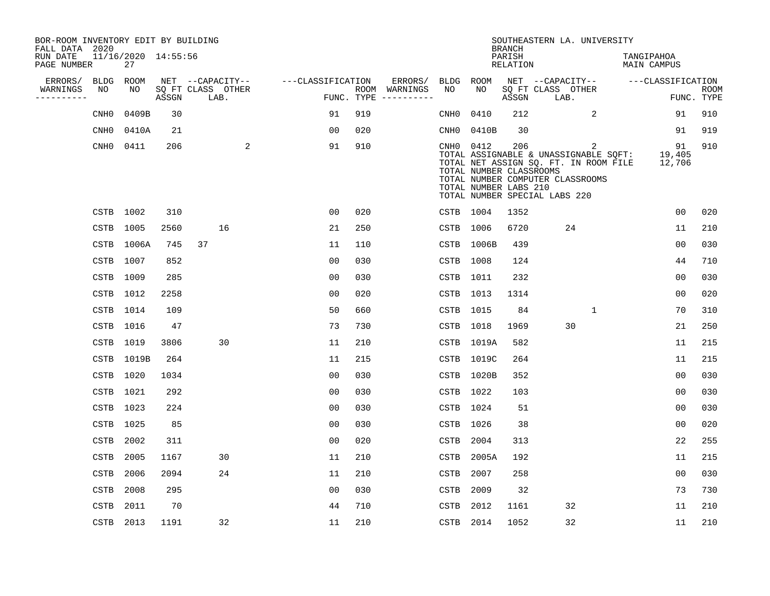| BOR-ROOM INVENTORY EDIT BY BUILDING       |                  |                           |       |                           |                   |                    |                         |                  |                                                               |                                            | SOUTHEASTERN LA. UNIVERSITY                                                                                                                              |                                  |                           |
|-------------------------------------------|------------------|---------------------------|-------|---------------------------|-------------------|--------------------|-------------------------|------------------|---------------------------------------------------------------|--------------------------------------------|----------------------------------------------------------------------------------------------------------------------------------------------------------|----------------------------------|---------------------------|
| FALL DATA 2020<br>RUN DATE<br>PAGE NUMBER |                  | 11/16/2020 14:55:56<br>27 |       |                           |                   |                    |                         |                  |                                                               | <b>BRANCH</b><br>PARISH<br><b>RELATION</b> |                                                                                                                                                          | TANGIPAHOA<br><b>MAIN CAMPUS</b> |                           |
| ERRORS/                                   | <b>BLDG</b>      | ROOM                      |       | NET --CAPACITY--          | ---CLASSIFICATION |                    | ERRORS/                 | BLDG             | <b>ROOM</b>                                                   |                                            | NET --CAPACITY--                                                                                                                                         | ---CLASSIFICATION                |                           |
| WARNINGS<br>-----------                   | NO               | NO                        | ASSGN | SQ FT CLASS OTHER<br>LAB. |                   | ROOM<br>FUNC. TYPE | WARNINGS<br>----------- | NO               | NO                                                            | ASSGN                                      | SQ FT CLASS OTHER<br>LAB.                                                                                                                                |                                  | <b>ROOM</b><br>FUNC. TYPE |
|                                           | CNH <sub>0</sub> | 0409B                     | 30    |                           | 91                | 919                |                         | CNH <sub>0</sub> | 0410                                                          | 212                                        | 2                                                                                                                                                        | 91                               | 910                       |
|                                           | CNH <sub>0</sub> | 0410A                     | 21    |                           | 00                | 020                |                         | CNH0             | 0410B                                                         | 30                                         |                                                                                                                                                          | 91                               | 919                       |
|                                           | $\mathtt{CNH0}$  | 0411                      | 206   | 2                         | 91                | 910                |                         |                  | CNH0 0412<br>TOTAL NUMBER CLASSROOMS<br>TOTAL NUMBER LABS 210 | 206                                        | 2<br>TOTAL ASSIGNABLE & UNASSIGNABLE SQFT:<br>TOTAL NET ASSIGN SQ. FT. IN ROOM FILE<br>TOTAL NUMBER COMPUTER CLASSROOMS<br>TOTAL NUMBER SPECIAL LABS 220 | 91<br>19,405<br>12,706           | 910                       |
|                                           |                  | CSTB 1002                 | 310   |                           | 00                | 020                |                         |                  | CSTB 1004                                                     | 1352                                       |                                                                                                                                                          | 0 <sub>0</sub>                   | 020                       |
|                                           | <b>CSTB</b>      | 1005                      | 2560  | 16                        | 21                | 250                |                         | CSTB             | 1006                                                          | 6720                                       | 24                                                                                                                                                       | 11                               | 210                       |
|                                           | CSTB             | 1006A                     | 745   | 37                        | 11                | 110                |                         | CSTB             | 1006B                                                         | 439                                        |                                                                                                                                                          | 0 <sub>0</sub>                   | 030                       |
|                                           | CSTB             | 1007                      | 852   |                           | 00                | 030                |                         | CSTB             | 1008                                                          | 124                                        |                                                                                                                                                          | 44                               | 710                       |
|                                           | CSTB             | 1009                      | 285   |                           | 0 <sub>0</sub>    | 030                |                         | CSTB             | 1011                                                          | 232                                        |                                                                                                                                                          | 0 <sub>0</sub>                   | 030                       |
|                                           | CSTB             | 1012                      | 2258  |                           | 0 <sub>0</sub>    | 020                |                         | CSTB             | 1013                                                          | 1314                                       |                                                                                                                                                          | 0 <sub>0</sub>                   | 020                       |
|                                           | CSTB             | 1014                      | 109   |                           | 50                | 660                |                         | CSTB             | 1015                                                          | 84                                         | $\mathbf 1$                                                                                                                                              | 70                               | 310                       |
|                                           | CSTB             | 1016                      | 47    |                           | 73                | 730                |                         | CSTB             | 1018                                                          | 1969                                       | 30                                                                                                                                                       | 21                               | 250                       |
|                                           | CSTB             | 1019                      | 3806  | 30                        | 11                | 210                |                         |                  | CSTB 1019A                                                    | 582                                        |                                                                                                                                                          | 11                               | 215                       |
|                                           | CSTB             | 1019B                     | 264   |                           | 11                | 215                |                         |                  | CSTB 1019C                                                    | 264                                        |                                                                                                                                                          | 11                               | 215                       |
|                                           | CSTB             | 1020                      | 1034  |                           | 0 <sub>0</sub>    | 030                |                         | CSTB             | 1020B                                                         | 352                                        |                                                                                                                                                          | 0 <sub>0</sub>                   | 030                       |
|                                           | CSTB             | 1021                      | 292   |                           | 0 <sub>0</sub>    | 030                |                         |                  | CSTB 1022                                                     | 103                                        |                                                                                                                                                          | 00                               | 030                       |
|                                           | CSTB             | 1023                      | 224   |                           | 0 <sub>0</sub>    | 030                |                         |                  | CSTB 1024                                                     | 51                                         |                                                                                                                                                          | 0 <sub>0</sub>                   | 030                       |
|                                           | CSTB             | 1025                      | 85    |                           | 0 <sub>0</sub>    | 030                |                         | CSTB             | 1026                                                          | 38                                         |                                                                                                                                                          | 0 <sub>0</sub>                   | 020                       |
|                                           | <b>CSTB</b>      | 2002                      | 311   |                           | 0 <sub>0</sub>    | 020                |                         | <b>CSTB</b>      | 2004                                                          | 313                                        |                                                                                                                                                          | 22                               | 255                       |
|                                           | <b>CSTB</b>      | 2005                      | 1167  | 30                        | 11                | 210                |                         | <b>CSTB</b>      | 2005A                                                         | 192                                        |                                                                                                                                                          | 11                               | 215                       |
|                                           | CSTB             | 2006                      | 2094  | 24                        | 11                | 210                |                         | CSTB             | 2007                                                          | 258                                        |                                                                                                                                                          | 0 <sub>0</sub>                   | 030                       |
|                                           | <b>CSTB</b>      | 2008                      | 295   |                           | 0 <sub>0</sub>    | 030                |                         | <b>CSTB</b>      | 2009                                                          | 32                                         |                                                                                                                                                          | 73                               | 730                       |
|                                           | <b>CSTB</b>      | 2011                      | 70    |                           | 44                | 710                |                         | <b>CSTB</b>      | 2012                                                          | 1161                                       | 32                                                                                                                                                       | 11                               | 210                       |
|                                           |                  | CSTB 2013                 | 1191  | 32                        | 11                | 210                |                         | CSTB             | 2014                                                          | 1052                                       | 32                                                                                                                                                       | 11                               | 210                       |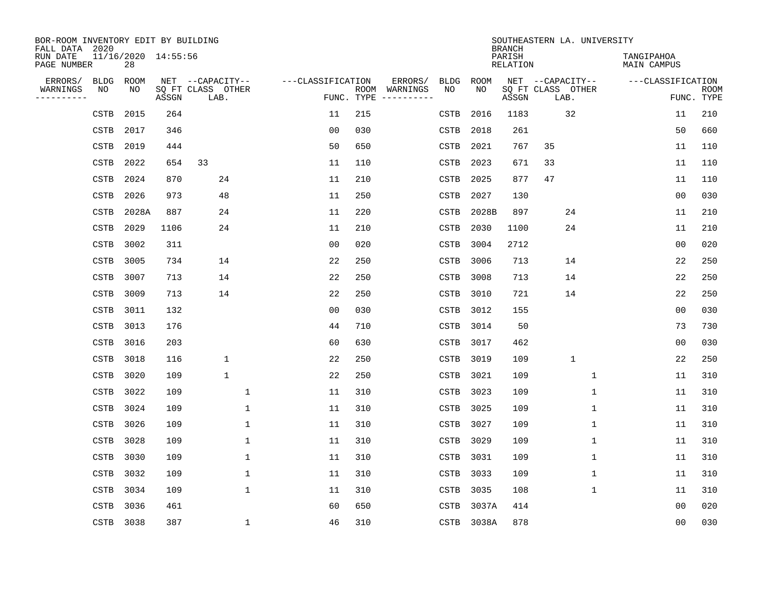| BOR-ROOM INVENTORY EDIT BY BUILDING<br>FALL DATA 2020 |             |                           |       |                           |                   |                    |          |                          |             | <b>BRANCH</b>             | SOUTHEASTERN LA. UNIVERSITY |                                  |                           |
|-------------------------------------------------------|-------------|---------------------------|-------|---------------------------|-------------------|--------------------|----------|--------------------------|-------------|---------------------------|-----------------------------|----------------------------------|---------------------------|
| RUN DATE<br>PAGE NUMBER                               |             | 11/16/2020 14:55:56<br>28 |       |                           |                   |                    |          |                          |             | PARISH<br><b>RELATION</b> |                             | TANGIPAHOA<br><b>MAIN CAMPUS</b> |                           |
| ERRORS/                                               | <b>BLDG</b> | ROOM                      |       | NET --CAPACITY--          | ---CLASSIFICATION |                    | ERRORS/  | <b>BLDG</b>              | <b>ROOM</b> |                           | NET --CAPACITY--            | ---CLASSIFICATION                |                           |
| WARNINGS<br>----------                                | NO          | NO                        | ASSGN | SQ FT CLASS OTHER<br>LAB. |                   | ROOM<br>FUNC. TYPE | WARNINGS | NO                       | NO          | ASSGN                     | SQ FT CLASS OTHER<br>LAB.   |                                  | <b>ROOM</b><br>FUNC. TYPE |
|                                                       | CSTB        | 2015                      | 264   |                           | 11                | 215                |          | <b>CSTB</b>              | 2016        | 1183                      | 32                          | 11                               | 210                       |
|                                                       | CSTB        | 2017                      | 346   |                           | 0 <sub>0</sub>    | 030                |          | CSTB                     | 2018        | 261                       |                             | 50                               | 660                       |
|                                                       | CSTB        | 2019                      | 444   |                           | 50                | 650                |          | CSTB                     | 2021        | 767                       | 35                          | 11                               | 110                       |
|                                                       | <b>CSTB</b> | 2022                      | 654   | 33                        | 11                | 110                |          | CSTB                     | 2023        | 671                       | 33                          | 11                               | 110                       |
|                                                       | <b>CSTB</b> | 2024                      | 870   | 24                        | 11                | 210                |          | <b>CSTB</b>              | 2025        | 877                       | 47                          | 11                               | 110                       |
|                                                       | <b>CSTB</b> | 2026                      | 973   | 48                        | 11                | 250                |          | <b>CSTB</b>              | 2027        | 130                       |                             | 0 <sub>0</sub>                   | 030                       |
|                                                       | CSTB        | 2028A                     | 887   | 24                        | 11                | 220                |          | $\mathop{\mathtt{CSTB}}$ | 2028B       | 897                       | 24                          | 11                               | 210                       |
|                                                       | CSTB        | 2029                      | 1106  | 24                        | 11                | 210                |          | <b>CSTB</b>              | 2030        | 1100                      | 24                          | 11                               | 210                       |
|                                                       | CSTB        | 3002                      | 311   |                           | 0 <sub>0</sub>    | 020                |          | <b>CSTB</b>              | 3004        | 2712                      |                             | 0 <sub>0</sub>                   | 020                       |
|                                                       | CSTB        | 3005                      | 734   | 14                        | 22                | 250                |          | <b>CSTB</b>              | 3006        | 713                       | 14                          | 22                               | 250                       |
|                                                       | CSTB        | 3007                      | 713   | 14                        | 22                | 250                |          | CSTB                     | 3008        | 713                       | 14                          | 22                               | 250                       |
|                                                       | <b>CSTB</b> | 3009                      | 713   | 14                        | 22                | 250                |          | CSTB                     | 3010        | 721                       | 14                          | 22                               | 250                       |
|                                                       | CSTB        | 3011                      | 132   |                           | 0 <sub>0</sub>    | 030                |          | CSTB                     | 3012        | 155                       |                             | 0 <sub>0</sub>                   | 030                       |
|                                                       | CSTB        | 3013                      | 176   |                           | 44                | 710                |          | CSTB                     | 3014        | 50                        |                             | 73                               | 730                       |
|                                                       | <b>CSTB</b> | 3016                      | 203   |                           | 60                | 630                |          | CSTB                     | 3017        | 462                       |                             | 0 <sub>0</sub>                   | 030                       |
|                                                       | <b>CSTB</b> | 3018                      | 116   | $\mathbf 1$               | 22                | 250                |          | CSTB                     | 3019        | 109                       | $\mathbf{1}$                | 22                               | 250                       |
|                                                       | <b>CSTB</b> | 3020                      | 109   | $\mathbf 1$               | 22                | 250                |          | CSTB                     | 3021        | 109                       | 1                           | 11                               | 310                       |
|                                                       | <b>CSTB</b> | 3022                      | 109   | $\mathbf{1}$              | 11                | 310                |          | CSTB                     | 3023        | 109                       | 1                           | 11                               | 310                       |
|                                                       | CSTB        | 3024                      | 109   | 1                         | 11                | 310                |          | CSTB                     | 3025        | 109                       | 1                           | 11                               | 310                       |
|                                                       | CSTB        | 3026                      | 109   | $\mathbf{1}$              | 11                | 310                |          | <b>CSTB</b>              | 3027        | 109                       | 1                           | 11                               | 310                       |
|                                                       | CSTB        | 3028                      | 109   | 1                         | 11                | 310                |          | CSTB                     | 3029        | 109                       | 1                           | 11                               | 310                       |
|                                                       | CSTB        | 3030                      | 109   | $\mathbf 1$               | 11                | 310                |          | <b>CSTB</b>              | 3031        | 109                       | 1                           | 11                               | 310                       |
|                                                       | CSTB        | 3032                      | 109   | $\mathbf 1$               | 11                | 310                |          | CSTB                     | 3033        | 109                       | 1                           | 11                               | 310                       |
|                                                       | CSTB        | 3034                      | 109   | $\mathbf{1}$              | 11                | 310                |          | CSTB                     | 3035        | 108                       | $\mathbf 1$                 | 11                               | 310                       |
|                                                       | <b>CSTB</b> | 3036                      | 461   |                           | 60                | 650                |          | <b>CSTB</b>              | 3037A       | 414                       |                             | 0 <sub>0</sub>                   | 020                       |
|                                                       | CSTB 3038   |                           | 387   | $\mathbf 1$               | 46                | 310                |          | CSTB                     | 3038A       | 878                       |                             | 0 <sub>0</sub>                   | 030                       |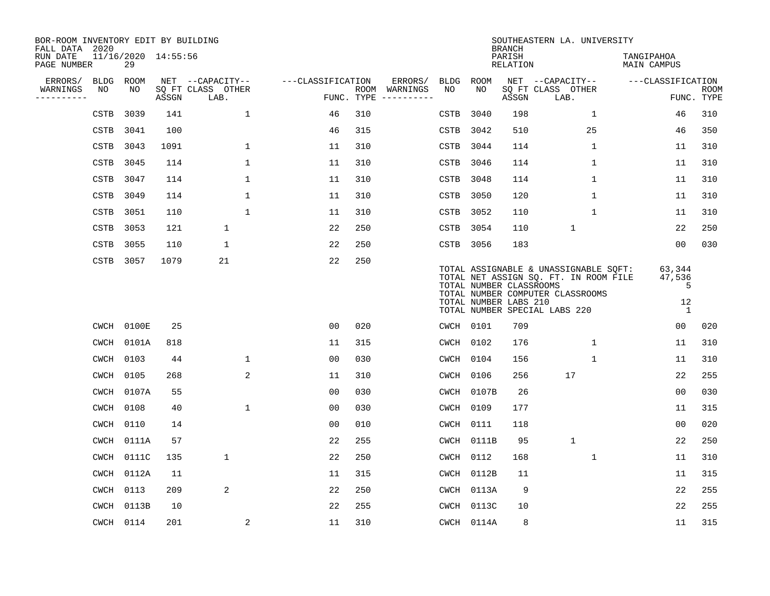| BOR-ROOM INVENTORY EDIT BY BUILDING<br>FALL DATA 2020 |             |            |                     |                           |                   |            |                              |             |             | <b>BRANCH</b>                                    | SOUTHEASTERN LA. UNIVERSITY                                                                                                                         |                                  |                           |
|-------------------------------------------------------|-------------|------------|---------------------|---------------------------|-------------------|------------|------------------------------|-------------|-------------|--------------------------------------------------|-----------------------------------------------------------------------------------------------------------------------------------------------------|----------------------------------|---------------------------|
| RUN DATE<br>PAGE NUMBER                               |             | 29         | 11/16/2020 14:55:56 |                           |                   |            |                              |             |             | PARISH<br><b>RELATION</b>                        |                                                                                                                                                     | TANGIPAHOA<br><b>MAIN CAMPUS</b> |                           |
| ERRORS/                                               | BLDG        | ROOM       |                     | NET --CAPACITY--          | ---CLASSIFICATION |            | ERRORS/                      | <b>BLDG</b> | <b>ROOM</b> |                                                  | NET --CAPACITY--                                                                                                                                    | ---CLASSIFICATION                |                           |
| WARNINGS<br>----------                                | NO          | NO         | ASSGN               | SQ FT CLASS OTHER<br>LAB. |                   | FUNC. TYPE | ROOM WARNINGS<br>----------- | NO          | NO          | ASSGN                                            | SQ FT CLASS OTHER<br>LAB.                                                                                                                           |                                  | <b>ROOM</b><br>FUNC. TYPE |
|                                                       | CSTB        | 3039       | 141                 | 1                         | 46                | 310        |                              | CSTB        | 3040        | 198                                              | $\mathbf{1}$                                                                                                                                        | 46                               | 310                       |
|                                                       | CSTB        | 3041       | 100                 |                           | 46                | 315        |                              | CSTB        | 3042        | 510                                              | 25                                                                                                                                                  | 46                               | 350                       |
|                                                       | CSTB        | 3043       | 1091                | $\mathbf 1$               | 11                | 310        |                              | CSTB        | 3044        | 114                                              | $\mathbf 1$                                                                                                                                         | 11                               | 310                       |
|                                                       | CSTB        | 3045       | 114                 | $\mathbf{1}$              | 11                | 310        |                              | CSTB        | 3046        | 114                                              | 1                                                                                                                                                   | 11                               | 310                       |
|                                                       | <b>CSTB</b> | 3047       | 114                 | $\mathbf{1}$              | 11                | 310        |                              | CSTB        | 3048        | 114                                              | $\mathbf{1}$                                                                                                                                        | 11                               | 310                       |
|                                                       | <b>CSTB</b> | 3049       | 114                 | $\mathbf{1}$              | 11                | 310        |                              | CSTB        | 3050        | 120                                              | $\mathbf{1}$                                                                                                                                        | 11                               | 310                       |
|                                                       | CSTB        | 3051       | 110                 | $\mathbf{1}$              | 11                | 310        |                              | CSTB        | 3052        | 110                                              | $\mathbf{1}$                                                                                                                                        | 11                               | 310                       |
|                                                       | CSTB        | 3053       | 121                 | $\mathbf 1$               | 22                | 250        |                              | CSTB        | 3054        | 110                                              | $\mathbf{1}$                                                                                                                                        | 22                               | 250                       |
|                                                       | CSTB        | 3055       | 110                 | $\mathbf 1$               | 22                | 250        |                              | CSTB        | 3056        | 183                                              |                                                                                                                                                     | 0 <sub>0</sub>                   | 030                       |
|                                                       | CSTB        | 3057       | 1079                | 21                        | 22                | 250        |                              |             |             | TOTAL NUMBER CLASSROOMS<br>TOTAL NUMBER LABS 210 | TOTAL ASSIGNABLE & UNASSIGNABLE SQFT:<br>TOTAL NET ASSIGN SQ. FT. IN ROOM FILE<br>TOTAL NUMBER COMPUTER CLASSROOMS<br>TOTAL NUMBER SPECIAL LABS 220 | 63,344<br>47,536<br>5<br>12<br>1 |                           |
|                                                       |             | CWCH 0100E | 25                  |                           | 00                | 020        |                              | CWCH 0101   |             | 709                                              |                                                                                                                                                     | 0 <sub>0</sub>                   | 020                       |
|                                                       |             | CWCH 0101A | 818                 |                           | 11                | 315        |                              | CWCH        | 0102        | 176                                              | 1                                                                                                                                                   | 11                               | 310                       |
|                                                       | CWCH 0103   |            | 44                  | $\mathbf 1$               | 0 <sub>0</sub>    | 030        |                              | CWCH        | 0104        | 156                                              | 1                                                                                                                                                   | 11                               | 310                       |
|                                                       | CWCH        | 0105       | 268                 | 2                         | 11                | 310        |                              | CWCH        | 0106        | 256                                              | 17                                                                                                                                                  | 22                               | 255                       |
|                                                       | CWCH        | 0107A      | 55                  |                           | 0 <sub>0</sub>    | 030        |                              |             | CWCH 0107B  | 26                                               |                                                                                                                                                     | 0 <sub>0</sub>                   | 030                       |
|                                                       | CWCH        | 0108       | 40                  | $\mathbf{1}$              | 0 <sub>0</sub>    | 030        |                              | CWCH        | 0109        | 177                                              |                                                                                                                                                     | 11                               | 315                       |
|                                                       | CWCH        | 0110       | 14                  |                           | 0 <sub>0</sub>    | 010        |                              | CWCH        | 0111        | 118                                              |                                                                                                                                                     | 0 <sub>0</sub>                   | 020                       |
|                                                       | CWCH        | 0111A      | 57                  |                           | 22                | 255        |                              | CWCH        | 0111B       | 95                                               | $\mathbf{1}$                                                                                                                                        | 22                               | 250                       |
|                                                       | CWCH        | 0111C      | 135                 | $\mathbf 1$               | 22                | 250        |                              | CWCH        | 0112        | 168                                              | $\mathbf 1$                                                                                                                                         | 11                               | 310                       |
|                                                       | CWCH        | 0112A      | 11                  |                           | 11                | 315        |                              | CWCH        | 0112B       | 11                                               |                                                                                                                                                     | 11                               | 315                       |
|                                                       | CWCH        | 0113       | 209                 | 2                         | 22                | 250        |                              | CWCH        | 0113A       | 9                                                |                                                                                                                                                     | 22                               | 255                       |
|                                                       | CWCH        | 0113B      | 10                  |                           | 22                | 255        |                              | <b>CWCH</b> | 0113C       | 10                                               |                                                                                                                                                     | 22                               | 255                       |
|                                                       |             | CWCH 0114  | 201                 | $\overline{\mathbf{c}}$   | 11                | 310        |                              |             | CWCH 0114A  | 8                                                |                                                                                                                                                     | 11                               | 315                       |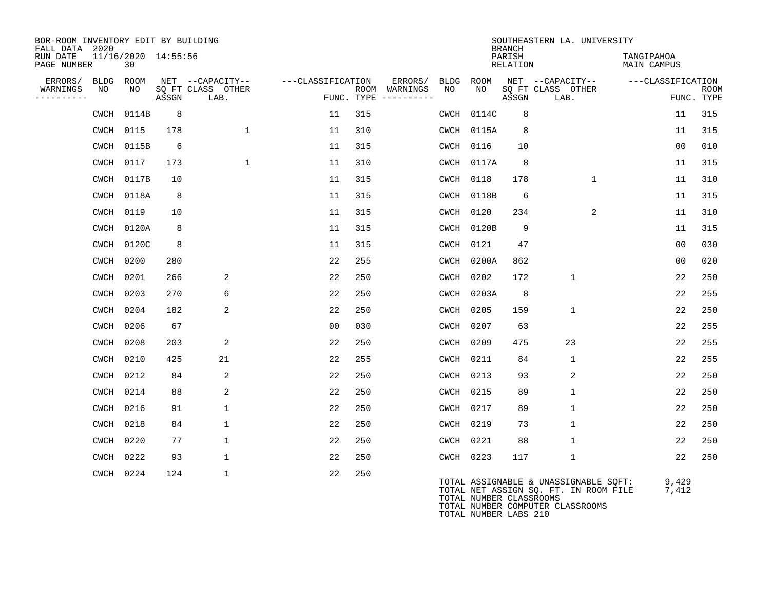| BOR-ROOM INVENTORY EDIT BY BUILDING<br>FALL DATA 2020 |             |                           |       |                                               |                   |                    |                                    |            |            | <b>BRANCH</b>      | SOUTHEASTERN LA. UNIVERSITY                                                    |                                  |                           |
|-------------------------------------------------------|-------------|---------------------------|-------|-----------------------------------------------|-------------------|--------------------|------------------------------------|------------|------------|--------------------|--------------------------------------------------------------------------------|----------------------------------|---------------------------|
| RUN DATE<br>PAGE NUMBER                               |             | 11/16/2020 14:55:56<br>30 |       |                                               |                   |                    |                                    |            |            | PARISH<br>RELATION |                                                                                | TANGIPAHOA<br><b>MAIN CAMPUS</b> |                           |
| ERRORS/<br>WARNINGS<br>----------                     | BLDG<br>NO  | ROOM<br>NO.               | ASSGN | NET --CAPACITY--<br>SQ FT CLASS OTHER<br>LAB. | ---CLASSIFICATION | ROOM<br>FUNC. TYPE | ERRORS/<br>WARNINGS<br>----------- | BLDG<br>NO | ROOM<br>NO | ASSGN              | NET --CAPACITY--<br>SQ FT CLASS OTHER<br>LAB.                                  | ---CLASSIFICATION                | <b>ROOM</b><br>FUNC. TYPE |
|                                                       | <b>CWCH</b> | 0114B                     | 8     |                                               | 11                | 315                |                                    | CWCH       | 0114C      | 8                  |                                                                                | 11                               | 315                       |
|                                                       | CWCH        | 0115                      | 178   | $\mathbf{1}$                                  | 11                | 310                |                                    |            | CWCH 0115A | 8                  |                                                                                | 11                               | 315                       |
|                                                       | <b>CWCH</b> | 0115B                     | 6     |                                               | 11                | 315                |                                    |            | CWCH 0116  | 10                 |                                                                                | 0 <sub>0</sub>                   | 010                       |
|                                                       | <b>CWCH</b> | 0117                      | 173   | $\mathbf{1}$                                  | 11                | 310                |                                    |            | CWCH 0117A | 8                  |                                                                                | 11                               | 315                       |
|                                                       | CWCH        | 0117B                     | 10    |                                               | 11                | 315                |                                    |            | CWCH 0118  | 178                | $\mathbf{1}$                                                                   | 11                               | 310                       |
|                                                       | CWCH        | 0118A                     | 8     |                                               | 11                | 315                |                                    |            | CWCH 0118B | 6                  |                                                                                | 11                               | 315                       |
|                                                       | <b>CWCH</b> | 0119                      | 10    |                                               | 11                | 315                |                                    |            | CWCH 0120  | 234                | 2                                                                              | 11                               | 310                       |
|                                                       | <b>CWCH</b> | 0120A                     | 8     |                                               | 11                | 315                |                                    | CWCH       | 0120B      | 9                  |                                                                                | 11                               | 315                       |
|                                                       | <b>CWCH</b> | 0120C                     | 8     |                                               | 11                | 315                |                                    | CWCH       | 0121       | 47                 |                                                                                | 0 <sub>0</sub>                   | 030                       |
|                                                       | CWCH        | 0200                      | 280   |                                               | 22                | 255                |                                    |            | CWCH 0200A | 862                |                                                                                | 0 <sub>0</sub>                   | 020                       |
|                                                       | CWCH        | 0201                      | 266   | $\overline{c}$                                | 22                | 250                |                                    | CWCH       | 0202       | 172                | $\mathbf{1}$                                                                   | 22                               | 250                       |
|                                                       | CWCH        | 0203                      | 270   | 6                                             | 22                | 250                |                                    |            | CWCH 0203A | 8                  |                                                                                | 22                               | 255                       |
|                                                       | CWCH        | 0204                      | 182   | 2                                             | 22                | 250                |                                    |            | CWCH 0205  | 159                | $\mathbf{1}$                                                                   | 22                               | 250                       |
|                                                       | <b>CWCH</b> | 0206                      | 67    |                                               | 0 <sub>0</sub>    | 030                |                                    | CWCH       | 0207       | 63                 |                                                                                | 22                               | 255                       |
|                                                       | <b>CWCH</b> | 0208                      | 203   | 2                                             | 22                | 250                |                                    |            | CWCH 0209  | 475                | 23                                                                             | 22                               | 255                       |
|                                                       | <b>CWCH</b> | 0210                      | 425   | 21                                            | 22                | 255                |                                    |            | CWCH 0211  | 84                 | $\mathbf{1}$                                                                   | 22                               | 255                       |
|                                                       | <b>CWCH</b> | 0212                      | 84    | 2                                             | 22                | 250                |                                    |            | CWCH 0213  | 93                 | 2                                                                              | 22                               | 250                       |
|                                                       | <b>CWCH</b> | 0214                      | 88    | 2                                             | 22                | 250                |                                    |            | CWCH 0215  | 89                 | $\mathbf{1}$                                                                   | 22                               | 250                       |
|                                                       | <b>CWCH</b> | 0216                      | 91    | $\mathbf 1$                                   | 22                | 250                |                                    |            | CWCH 0217  | 89                 | $\mathbf{1}$                                                                   | 22                               | 250                       |
|                                                       | <b>CWCH</b> | 0218                      | 84    | $\mathbf 1$                                   | 22                | 250                |                                    |            | CWCH 0219  | 73                 | $\mathbf{1}$                                                                   | 22                               | 250                       |
|                                                       | <b>CWCH</b> | 0220                      | 77    | $\mathbf{1}$                                  | 22                | 250                |                                    |            | CWCH 0221  | 88                 | 1                                                                              | 22                               | 250                       |
|                                                       | <b>CWCH</b> | 0222                      | 93    | 1                                             | 22                | 250                |                                    |            | CWCH 0223  | 117                | $\mathbf{1}$                                                                   | 22                               | 250                       |
|                                                       | <b>CWCH</b> | 0224                      | 124   | $\mathbf 1$                                   | 22                | 250                |                                    |            |            |                    | TOTAL ASSIGNABLE & UNASSIGNABLE SQFT:<br>TOTAL NET ASSIGN SO. FT. IN ROOM FILE | 9,429<br>7.412                   |                           |

TOTAL NET ASSIGN SQ. FT. IN ROOM FILE 7,412 TOTAL NUMBER CLASSROOMS TOTAL NUMBER COMPUTER CLASSROOMS TOTAL NUMBER LABS 210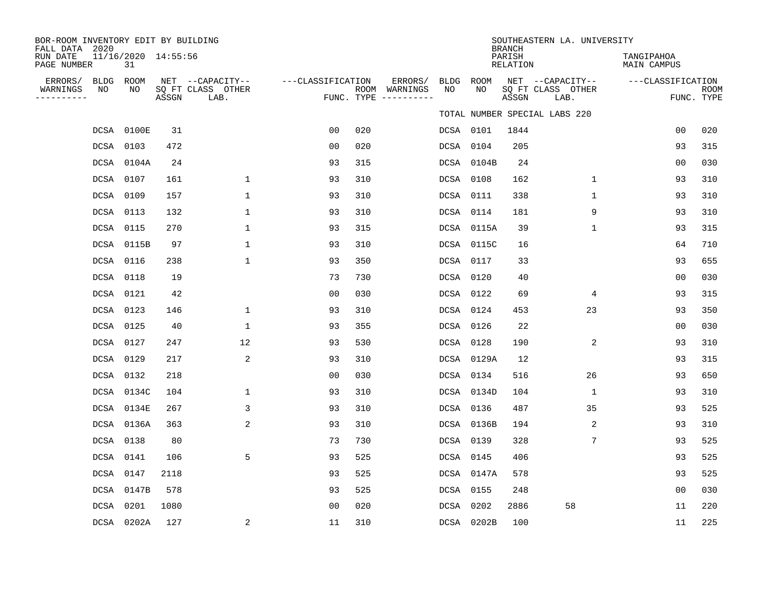| BOR-ROOM INVENTORY EDIT BY BUILDING<br>FALL DATA 2020 |                           |       |                                               |                   |     |                                                 |            |            | <b>BRANCH</b>      | SOUTHEASTERN LA. UNIVERSITY                   |                                  |                           |
|-------------------------------------------------------|---------------------------|-------|-----------------------------------------------|-------------------|-----|-------------------------------------------------|------------|------------|--------------------|-----------------------------------------------|----------------------------------|---------------------------|
| RUN DATE<br>PAGE NUMBER                               | 11/16/2020 14:55:56<br>31 |       |                                               |                   |     |                                                 |            |            | PARISH<br>RELATION |                                               | TANGIPAHOA<br><b>MAIN CAMPUS</b> |                           |
| ERRORS/<br>BLDG<br>WARNINGS<br>ΝO<br>---------        | ROOM<br>NO                | ASSGN | NET --CAPACITY--<br>SQ FT CLASS OTHER<br>LAB. | ---CLASSIFICATION |     | ERRORS/<br>ROOM WARNINGS<br>FUNC. TYPE $------$ | BLDG<br>NO | ROOM<br>NO | ASSGN              | NET --CAPACITY--<br>SQ FT CLASS OTHER<br>LAB. | ---CLASSIFICATION                | <b>ROOM</b><br>FUNC. TYPE |
|                                                       |                           |       |                                               |                   |     |                                                 |            |            |                    | TOTAL NUMBER SPECIAL LABS 220                 |                                  |                           |
|                                                       | DCSA 0100E                | 31    |                                               | 0 <sub>0</sub>    | 020 |                                                 |            | DCSA 0101  | 1844               |                                               | 0 <sub>0</sub>                   | 020                       |
|                                                       | DCSA 0103                 | 472   |                                               | 0 <sub>0</sub>    | 020 |                                                 |            | DCSA 0104  | 205                |                                               | 93                               | 315                       |
|                                                       | DCSA 0104A                | 24    |                                               | 93                | 315 |                                                 |            | DCSA 0104B | 24                 |                                               | 0 <sub>0</sub>                   | 030                       |
|                                                       | DCSA 0107                 | 161   | $\mathbf 1$                                   | 93                | 310 |                                                 |            | DCSA 0108  | 162                | $\mathbf 1$                                   | 93                               | 310                       |
|                                                       | DCSA 0109                 | 157   | $\mathbf{1}$                                  | 93                | 310 |                                                 |            | DCSA 0111  | 338                | $\mathbf{1}$                                  | 93                               | 310                       |
|                                                       | DCSA 0113                 | 132   | $\mathbf{1}$                                  | 93                | 310 |                                                 |            | DCSA 0114  | 181                | 9                                             | 93                               | 310                       |
|                                                       | DCSA 0115                 | 270   | 1                                             | 93                | 315 |                                                 |            | DCSA 0115A | 39                 | $\mathbf 1$                                   | 93                               | 315                       |
|                                                       | DCSA 0115B                | 97    | 1                                             | 93                | 310 |                                                 |            | DCSA 0115C | 16                 |                                               | 64                               | 710                       |
|                                                       | DCSA 0116                 | 238   | 1                                             | 93                | 350 |                                                 |            | DCSA 0117  | 33                 |                                               | 93                               | 655                       |
|                                                       | DCSA 0118                 | 19    |                                               | 73                | 730 |                                                 |            | DCSA 0120  | 40                 |                                               | 0 <sub>0</sub>                   | 030                       |
|                                                       | DCSA 0121                 | 42    |                                               | 0 <sub>0</sub>    | 030 |                                                 |            | DCSA 0122  | 69                 | 4                                             | 93                               | 315                       |
|                                                       | DCSA 0123                 | 146   | $\mathbf{1}$                                  | 93                | 310 |                                                 |            | DCSA 0124  | 453                | 23                                            | 93                               | 350                       |
|                                                       | DCSA 0125                 | 40    | $\mathbf{1}$                                  | 93                | 355 |                                                 |            | DCSA 0126  | 22                 |                                               | 0 <sub>0</sub>                   | 030                       |
|                                                       | DCSA 0127                 | 247   | 12                                            | 93                | 530 |                                                 |            | DCSA 0128  | 190                | 2                                             | 93                               | 310                       |
|                                                       | DCSA 0129                 | 217   | 2                                             | 93                | 310 |                                                 |            | DCSA 0129A | 12                 |                                               | 93                               | 315                       |
|                                                       | DCSA 0132                 | 218   |                                               | 0 <sub>0</sub>    | 030 |                                                 |            | DCSA 0134  | 516                | 26                                            | 93                               | 650                       |
|                                                       | DCSA 0134C                | 104   | $\mathbf{1}$                                  | 93                | 310 |                                                 |            | DCSA 0134D | 104                | $\mathbf 1$                                   | 93                               | 310                       |
|                                                       | DCSA 0134E                | 267   | 3                                             | 93                | 310 |                                                 |            | DCSA 0136  | 487                | 35                                            | 93                               | 525                       |
|                                                       | DCSA 0136A                | 363   | 2                                             | 93                | 310 |                                                 |            | DCSA 0136B | 194                | $\overline{2}$                                | 93                               | 310                       |
|                                                       | DCSA 0138                 | 80    |                                               | 73                | 730 |                                                 |            | DCSA 0139  | 328                | 7                                             | 93                               | 525                       |
|                                                       | DCSA 0141                 | 106   | 5                                             | 93                | 525 |                                                 |            | DCSA 0145  | 406                |                                               | 93                               | 525                       |
|                                                       | DCSA 0147                 | 2118  |                                               | 93                | 525 |                                                 |            | DCSA 0147A | 578                |                                               | 93                               | 525                       |
|                                                       | DCSA 0147B                | 578   |                                               | 93                | 525 |                                                 |            | DCSA 0155  | 248                |                                               | 0 <sub>0</sub>                   | 030                       |
|                                                       | DCSA 0201                 | 1080  |                                               | 0 <sub>0</sub>    | 020 |                                                 |            | DCSA 0202  | 2886               | 58                                            | 11                               | 220                       |
|                                                       | DCSA 0202A                | 127   | 2                                             | 11                | 310 |                                                 |            | DCSA 0202B | 100                |                                               | 11                               | 225                       |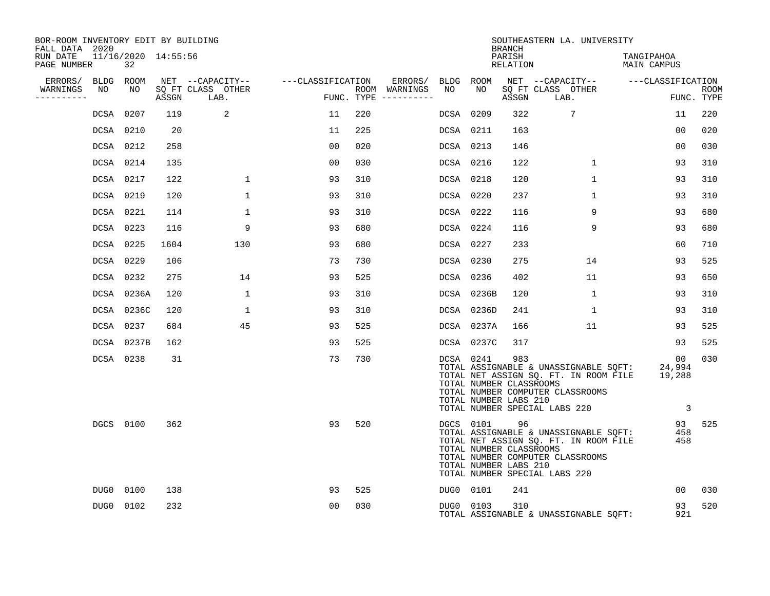| BOR-ROOM INVENTORY EDIT BY BUILDING<br>FALL DATA 2020 |           |                           |       |                           |                                    |     |                                      |           |            | <b>BRANCH</b>                                           | SOUTHEASTERN LA. UNIVERSITY                                                                                                                                |                                         |                           |
|-------------------------------------------------------|-----------|---------------------------|-------|---------------------------|------------------------------------|-----|--------------------------------------|-----------|------------|---------------------------------------------------------|------------------------------------------------------------------------------------------------------------------------------------------------------------|-----------------------------------------|---------------------------|
| RUN DATE<br>PAGE NUMBER                               |           | 11/16/2020 14:55:56<br>32 |       |                           |                                    |     |                                      |           |            | PARISH<br>RELATION                                      |                                                                                                                                                            | TANGIPAHOA<br>MAIN CAMPUS               |                           |
| ERRORS/ BLDG ROOM                                     |           |                           |       |                           | NET --CAPACITY-- ---CLASSIFICATION |     | ERRORS/ BLDG ROOM                    |           |            |                                                         | NET --CAPACITY-- ---CLASSIFICATION                                                                                                                         |                                         |                           |
| WARNINGS<br>----------                                | NO        | NO                        | ASSGN | SO FT CLASS OTHER<br>LAB. | د میں معاشر ہوتا ہے۔<br>معاشر      |     | ROOM WARNINGS<br>FUNC. TYPE $------$ | NO        | NO         | ASSGN                                                   | SQ FT CLASS OTHER<br>LAB.                                                                                                                                  |                                         | <b>ROOM</b><br>FUNC. TYPE |
|                                                       | DCSA 0207 |                           | 119   | 2                         | 11                                 | 220 |                                      | DCSA 0209 |            | 322                                                     | 7                                                                                                                                                          | 11                                      | 220                       |
|                                                       | DCSA 0210 |                           | 20    |                           | 11                                 | 225 |                                      | DCSA 0211 |            | 163                                                     |                                                                                                                                                            | 00                                      | 020                       |
|                                                       | DCSA 0212 |                           | 258   |                           | 0 <sub>0</sub>                     | 020 |                                      | DCSA 0213 |            | 146                                                     |                                                                                                                                                            | 00                                      | 030                       |
|                                                       | DCSA 0214 |                           | 135   |                           | 00                                 | 030 |                                      | DCSA 0216 |            | 122                                                     | $\mathbf{1}$                                                                                                                                               | 93                                      | 310                       |
|                                                       | DCSA 0217 |                           | 122   | $\mathbf 1$               | 93                                 | 310 |                                      | DCSA 0218 |            | 120                                                     | $\mathbf{1}$                                                                                                                                               | 93                                      | 310                       |
|                                                       | DCSA 0219 |                           | 120   | $\mathbf{1}$              | 93                                 | 310 |                                      | DCSA 0220 |            | 237                                                     | $\mathbf{1}$                                                                                                                                               | 93                                      | 310                       |
|                                                       | DCSA 0221 |                           | 114   | $\mathbf 1$               | 93                                 | 310 |                                      | DCSA 0222 |            | 116                                                     | 9                                                                                                                                                          | 93                                      | 680                       |
|                                                       | DCSA 0223 |                           | 116   | 9                         | 93                                 | 680 |                                      | DCSA 0224 |            | 116                                                     | 9                                                                                                                                                          | 93                                      | 680                       |
|                                                       | DCSA 0225 |                           | 1604  | 130                       | 93                                 | 680 |                                      | DCSA 0227 |            | 233                                                     |                                                                                                                                                            | 60                                      | 710                       |
|                                                       | DCSA 0229 |                           | 106   |                           | 73                                 | 730 |                                      | DCSA 0230 |            | 275                                                     | 14                                                                                                                                                         | 93                                      | 525                       |
|                                                       | DCSA 0232 |                           | 275   | 14                        | 93                                 | 525 |                                      | DCSA 0236 |            | 402                                                     | 11                                                                                                                                                         | 93                                      | 650                       |
|                                                       |           | DCSA 0236A                | 120   | $\mathbf{1}$              | 93                                 | 310 |                                      |           | DCSA 0236B | 120                                                     | 1                                                                                                                                                          | 93                                      | 310                       |
|                                                       |           | DCSA 0236C                | 120   | $\mathbf{1}$              | 93                                 | 310 |                                      |           | DCSA 0236D | 241                                                     | 1                                                                                                                                                          | 93                                      | 310                       |
|                                                       | DCSA 0237 |                           | 684   | 45                        | 93                                 | 525 |                                      |           | DCSA 0237A | 166                                                     | 11                                                                                                                                                         | 93                                      | 525                       |
|                                                       |           | DCSA 0237B                | 162   |                           | 93                                 | 525 |                                      |           | DCSA 0237C | 317                                                     |                                                                                                                                                            | 93                                      | 525                       |
|                                                       | DCSA 0238 |                           | 31    |                           | 73                                 | 730 |                                      |           | DCSA 0241  | 983<br>TOTAL NUMBER CLASSROOMS<br>TOTAL NUMBER LABS 210 | TOTAL ASSIGNABLE & UNASSIGNABLE SQFT:<br>TOTAL NET ASSIGN SQ. FT. IN ROOM FILE 19,288<br>TOTAL NUMBER COMPUTER CLASSROOMS<br>TOTAL NUMBER SPECIAL LABS 220 | 00<br>24,994<br>$\overline{\mathbf{3}}$ | 030                       |
|                                                       |           | DGCS 0100                 | 362   |                           | 93                                 | 520 |                                      |           | DGCS 0101  | 96<br>TOTAL NUMBER CLASSROOMS<br>TOTAL NUMBER LABS 210  | TOTAL ASSIGNABLE & UNASSIGNABLE SQFT:<br>TOTAL NET ASSIGN SQ. FT. IN ROOM FILE<br>TOTAL NUMBER COMPUTER CLASSROOMS<br>TOTAL NUMBER SPECIAL LABS 220        | 93<br>458<br>458                        | 525                       |
|                                                       | DUG0 0100 |                           | 138   |                           | 93                                 | 525 |                                      |           | DUG0 0101  | 241                                                     |                                                                                                                                                            | 00                                      | 030                       |
|                                                       | DUG0 0102 |                           | 232   |                           | 0 <sub>0</sub>                     | 030 |                                      | DUG0 0103 |            | 310                                                     | TOTAL ASSIGNABLE & UNASSIGNABLE SQFT:                                                                                                                      | 93<br>921                               | 520                       |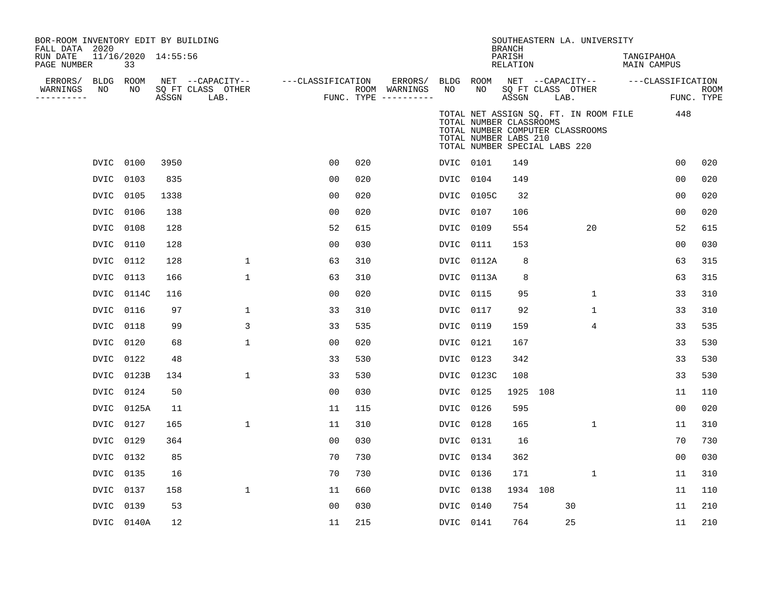|      | 33                   |                                                                                                                                                                                            |              |                                                                                 |                  |                   |                                      |      |                                                                                                                                                      |                         |                                                                                 |                                                                                                                                |                                                                      |                                                       |
|------|----------------------|--------------------------------------------------------------------------------------------------------------------------------------------------------------------------------------------|--------------|---------------------------------------------------------------------------------|------------------|-------------------|--------------------------------------|------|------------------------------------------------------------------------------------------------------------------------------------------------------|-------------------------|---------------------------------------------------------------------------------|--------------------------------------------------------------------------------------------------------------------------------|----------------------------------------------------------------------|-------------------------------------------------------|
|      |                      |                                                                                                                                                                                            |              |                                                                                 |                  | ERRORS/           |                                      |      |                                                                                                                                                      |                         |                                                                                 |                                                                                                                                |                                                                      |                                                       |
|      |                      | ASSGN                                                                                                                                                                                      | LAB.         |                                                                                 |                  |                   |                                      |      | ASSGN                                                                                                                                                |                         |                                                                                 |                                                                                                                                |                                                                      | <b>ROOM</b><br>FUNC. TYPE                             |
|      |                      |                                                                                                                                                                                            |              |                                                                                 |                  |                   |                                      |      |                                                                                                                                                      |                         |                                                                                 |                                                                                                                                | 448                                                                  |                                                       |
|      |                      | 3950                                                                                                                                                                                       |              | 00                                                                              | 020              |                   |                                      |      | 149                                                                                                                                                  |                         |                                                                                 |                                                                                                                                | 0 <sub>0</sub>                                                       | 020                                                   |
| DVIC | 0103                 | 835                                                                                                                                                                                        |              | 0 <sub>0</sub>                                                                  | 020              |                   |                                      |      | 149                                                                                                                                                  |                         |                                                                                 |                                                                                                                                | 0 <sub>0</sub>                                                       | 020                                                   |
|      |                      | 1338                                                                                                                                                                                       |              | 0 <sub>0</sub>                                                                  | 020              |                   |                                      |      | 32                                                                                                                                                   |                         |                                                                                 |                                                                                                                                | 0 <sub>0</sub>                                                       | 020                                                   |
| DVIC | 0106                 | 138                                                                                                                                                                                        |              | 00                                                                              | 020              |                   | DVIC                                 | 0107 | 106                                                                                                                                                  |                         |                                                                                 |                                                                                                                                | 00                                                                   | 020                                                   |
|      |                      | 128                                                                                                                                                                                        |              | 52                                                                              | 615              |                   | DVIC                                 |      | 554                                                                                                                                                  |                         | 20                                                                              |                                                                                                                                | 52                                                                   | 615                                                   |
| DVIC | 0110                 | 128                                                                                                                                                                                        |              | 0 <sub>0</sub>                                                                  | 030              |                   | DVIC                                 | 0111 | 153                                                                                                                                                  |                         |                                                                                 |                                                                                                                                | 0 <sub>0</sub>                                                       | 030                                                   |
|      |                      | 128                                                                                                                                                                                        | 1            | 63                                                                              | 310              |                   | DVIC                                 |      | 8                                                                                                                                                    |                         |                                                                                 |                                                                                                                                | 63                                                                   | 315                                                   |
| DVIC | 0113                 | 166                                                                                                                                                                                        | $\mathbf{1}$ | 63                                                                              | 310              |                   |                                      |      | 8                                                                                                                                                    |                         |                                                                                 |                                                                                                                                | 63                                                                   | 315                                                   |
|      |                      | 116                                                                                                                                                                                        |              | 0 <sub>0</sub>                                                                  | 020              |                   | DVIC                                 | 0115 | 95                                                                                                                                                   |                         | $\mathbf{1}$                                                                    |                                                                                                                                | 33                                                                   | 310                                                   |
| DVIC | 0116                 | 97                                                                                                                                                                                         | 1            | 33                                                                              | 310              |                   | <b>DVIC</b>                          | 0117 | 92                                                                                                                                                   |                         | $\mathbf{1}$                                                                    |                                                                                                                                | 33                                                                   | 310                                                   |
|      |                      | 99                                                                                                                                                                                         | 3            | 33                                                                              | 535              |                   | DVIC                                 |      | 159                                                                                                                                                  |                         | 4                                                                               |                                                                                                                                | 33                                                                   | 535                                                   |
| DVIC | 0120                 | 68                                                                                                                                                                                         | $\mathbf 1$  | 0 <sub>0</sub>                                                                  | 020              |                   | DVIC                                 |      | 167                                                                                                                                                  |                         |                                                                                 |                                                                                                                                | 33                                                                   | 530                                                   |
| DVIC |                      | 48                                                                                                                                                                                         |              | 33                                                                              | 530              |                   | DVIC                                 | 0123 | 342                                                                                                                                                  |                         |                                                                                 |                                                                                                                                | 33                                                                   | 530                                                   |
|      |                      | 134                                                                                                                                                                                        | 1            | 33                                                                              | 530              |                   | DVIC                                 |      | 108                                                                                                                                                  |                         |                                                                                 |                                                                                                                                | 33                                                                   | 530                                                   |
| DVIC |                      | 50                                                                                                                                                                                         |              | 0 <sub>0</sub>                                                                  | 030              |                   | <b>DVIC</b>                          | 0125 | 1925                                                                                                                                                 | 108                     |                                                                                 |                                                                                                                                | 11                                                                   | 110                                                   |
|      |                      | 11                                                                                                                                                                                         |              | 11                                                                              | 115              |                   | <b>DVIC</b>                          |      | 595                                                                                                                                                  |                         |                                                                                 |                                                                                                                                | 0 <sub>0</sub>                                                       | 020                                                   |
| DVIC | 0127                 | 165                                                                                                                                                                                        | $\mathbf 1$  | 11                                                                              | 310              |                   | DVIC                                 | 0128 | 165                                                                                                                                                  |                         | $\mathbf{1}$                                                                    |                                                                                                                                | 11                                                                   | 310                                                   |
|      |                      | 364                                                                                                                                                                                        |              | 0 <sub>0</sub>                                                                  | 030              |                   | DVIC                                 |      | 16                                                                                                                                                   |                         |                                                                                 |                                                                                                                                | 70                                                                   | 730                                                   |
| DVIC | 0132                 | 85                                                                                                                                                                                         |              | 70                                                                              | 730              |                   | DVIC                                 | 0134 | 362                                                                                                                                                  |                         |                                                                                 |                                                                                                                                | 00                                                                   | 030                                                   |
|      |                      | 16                                                                                                                                                                                         |              | 70                                                                              | 730              |                   | <b>DVIC</b>                          |      | 171                                                                                                                                                  |                         | $\mathbf{1}$                                                                    |                                                                                                                                | 11                                                                   | 310                                                   |
| DVIC | 0137                 | 158                                                                                                                                                                                        | $\mathbf{1}$ | 11                                                                              | 660              |                   | DVIC                                 | 0138 |                                                                                                                                                      |                         |                                                                                 |                                                                                                                                | 11                                                                   | 110                                                   |
| DVIC |                      | 53                                                                                                                                                                                         |              | 0 <sub>0</sub>                                                                  | 030              |                   | DVIC                                 | 0140 | 754                                                                                                                                                  |                         |                                                                                 |                                                                                                                                | 11                                                                   | 210                                                   |
|      |                      | 12                                                                                                                                                                                         |              | 11                                                                              | 215              |                   |                                      |      | 764                                                                                                                                                  |                         |                                                                                 |                                                                                                                                | 11                                                                   | 210                                                   |
|      | FALL DATA 2020<br>NO | BLDG ROOM<br>NO<br>DVIC 0100<br>DVIC 0105<br>DVIC 0108<br>DVIC 0112<br>DVIC 0114C<br>DVIC 0118<br>0122<br>DVIC 0123B<br>0124<br>DVIC 0125A<br>DVIC 0129<br>DVIC 0135<br>0139<br>DVIC 0140A |              | BOR-ROOM INVENTORY EDIT BY BUILDING<br>11/16/2020 14:55:56<br>SQ FT CLASS OTHER | NET --CAPACITY-- | ---CLASSIFICATION | ROOM WARNINGS<br>FUNC. TYPE $------$ | NO   | BLDG ROOM<br>NO<br>DVIC 0101<br>DVIC 0104<br>DVIC 0105C<br>0109<br>0112A<br>DVIC 0113A<br>0119<br>0121<br>0123C<br>0126<br>0131<br>0136<br>DVIC 0141 | <b>BRANCH</b><br>PARISH | <b>RELATION</b><br>TOTAL NUMBER CLASSROOMS<br>TOTAL NUMBER LABS 210<br>1934 108 | NET --CAPACITY--<br>SQ FT CLASS OTHER<br>LAB.<br>TOTAL NUMBER COMPUTER CLASSROOMS<br>TOTAL NUMBER SPECIAL LABS 220<br>30<br>25 | SOUTHEASTERN LA. UNIVERSITY<br>TOTAL NET ASSIGN SQ. FT. IN ROOM FILE | TANGIPAHOA<br><b>MAIN CAMPUS</b><br>---CLASSIFICATION |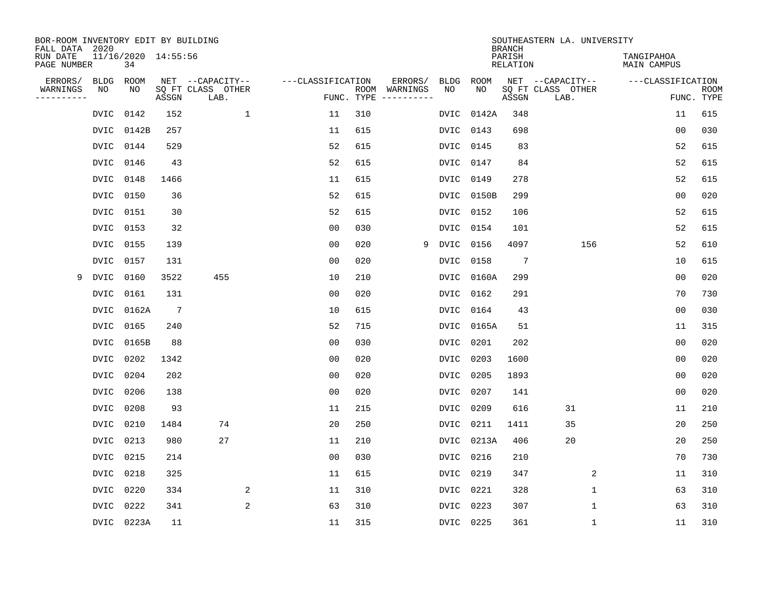| BOR-ROOM INVENTORY EDIT BY BUILDING<br>FALL DATA 2020 |             |                           |                 |                           |                   |     |                                      |             |             | <b>BRANCH</b>             | SOUTHEASTERN LA. UNIVERSITY |                                  |                           |
|-------------------------------------------------------|-------------|---------------------------|-----------------|---------------------------|-------------------|-----|--------------------------------------|-------------|-------------|---------------------------|-----------------------------|----------------------------------|---------------------------|
| RUN DATE<br>PAGE NUMBER                               |             | 11/16/2020 14:55:56<br>34 |                 |                           |                   |     |                                      |             |             | PARISH<br><b>RELATION</b> |                             | TANGIPAHOA<br><b>MAIN CAMPUS</b> |                           |
| ERRORS/                                               | <b>BLDG</b> | ROOM                      |                 | NET --CAPACITY--          | ---CLASSIFICATION |     | ERRORS/                              | <b>BLDG</b> | <b>ROOM</b> |                           | NET --CAPACITY--            | ---CLASSIFICATION                |                           |
| WARNINGS<br>----------                                | NO          | NO                        | ASSGN           | SQ FT CLASS OTHER<br>LAB. |                   |     | ROOM WARNINGS<br>FUNC. TYPE $------$ | NO          | NO          | ASSGN                     | SQ FT CLASS OTHER<br>LAB.   |                                  | <b>ROOM</b><br>FUNC. TYPE |
|                                                       | DVIC        | 0142                      | 152             | $\mathbf{1}$              | 11                | 310 |                                      | DVIC        | 0142A       | 348                       |                             | 11                               | 615                       |
|                                                       | DVIC        | 0142B                     | 257             |                           | 11                | 615 |                                      | DVIC        | 0143        | 698                       |                             | 0 <sub>0</sub>                   | 030                       |
|                                                       | <b>DVIC</b> | 0144                      | 529             |                           | 52                | 615 |                                      | DVIC        | 0145        | 83                        |                             | 52                               | 615                       |
|                                                       | <b>DVIC</b> | 0146                      | 43              |                           | 52                | 615 |                                      | DVIC        | 0147        | 84                        |                             | 52                               | 615                       |
|                                                       | <b>DVIC</b> | 0148                      | 1466            |                           | 11                | 615 |                                      | DVIC        | 0149        | 278                       |                             | 52                               | 615                       |
|                                                       | DVIC        | 0150                      | 36              |                           | 52                | 615 |                                      | DVIC        | 0150B       | 299                       |                             | 0 <sub>0</sub>                   | 020                       |
|                                                       | DVIC        | 0151                      | 30              |                           | 52                | 615 |                                      | DVIC        | 0152        | 106                       |                             | 52                               | 615                       |
|                                                       | DVIC        | 0153                      | 32              |                           | 0 <sub>0</sub>    | 030 |                                      | DVIC        | 0154        | 101                       |                             | 52                               | 615                       |
|                                                       | <b>DVIC</b> | 0155                      | 139             |                           | 0 <sub>0</sub>    | 020 | 9                                    | DVIC        | 0156        | 4097                      | 156                         | 52                               | 610                       |
|                                                       |             | DVIC 0157                 | 131             |                           | 0 <sub>0</sub>    | 020 |                                      | DVIC        | 0158        | 7                         |                             | 10                               | 615                       |
| 9                                                     | DVIC        | 0160                      | 3522            | 455                       | 10                | 210 |                                      | DVIC        | 0160A       | 299                       |                             | 0 <sub>0</sub>                   | 020                       |
|                                                       | DVIC        | 0161                      | 131             |                           | 0 <sub>0</sub>    | 020 |                                      | DVIC        | 0162        | 291                       |                             | 70                               | 730                       |
|                                                       | DVIC        | 0162A                     | $7\phantom{.0}$ |                           | 10                | 615 |                                      | DVIC        | 0164        | 43                        |                             | 0 <sub>0</sub>                   | 030                       |
|                                                       | DVIC        | 0165                      | 240             |                           | 52                | 715 |                                      |             | DVIC 0165A  | 51                        |                             | 11                               | 315                       |
|                                                       | DVIC        | 0165B                     | 88              |                           | 0 <sub>0</sub>    | 030 |                                      | DVIC        | 0201        | 202                       |                             | 0 <sub>0</sub>                   | 020                       |
|                                                       | <b>DVIC</b> | 0202                      | 1342            |                           | 0 <sub>0</sub>    | 020 |                                      | DVIC        | 0203        | 1600                      |                             | 00                               | 020                       |
|                                                       | <b>DVIC</b> | 0204                      | 202             |                           | 0 <sub>0</sub>    | 020 |                                      | <b>DVIC</b> | 0205        | 1893                      |                             | 00                               | 020                       |
|                                                       | <b>DVIC</b> | 0206                      | 138             |                           | 0 <sub>0</sub>    | 020 |                                      | DVIC        | 0207        | 141                       |                             | 0 <sub>0</sub>                   | 020                       |
|                                                       | DVIC        | 0208                      | 93              |                           | 11                | 215 |                                      | DVIC        | 0209        | 616                       | 31                          | 11                               | 210                       |
|                                                       | DVIC        | 0210                      | 1484            | 74                        | 20                | 250 |                                      | DVIC        | 0211        | 1411                      | 35                          | 20                               | 250                       |
|                                                       | <b>DVIC</b> | 0213                      | 980             | 27                        | 11                | 210 |                                      | DVIC        | 0213A       | 406                       | 20                          | 20                               | 250                       |
|                                                       | <b>DVIC</b> | 0215                      | 214             |                           | 0 <sub>0</sub>    | 030 |                                      | DVIC        | 0216        | 210                       |                             | 70                               | 730                       |
|                                                       | <b>DVIC</b> | 0218                      | 325             |                           | 11                | 615 |                                      | DVIC        | 0219        | 347                       | 2                           | 11                               | 310                       |
|                                                       | <b>DVIC</b> | 0220                      | 334             | 2                         | 11                | 310 |                                      | DVIC        | 0221        | 328                       | 1                           | 63                               | 310                       |
|                                                       | <b>DVIC</b> | 0222                      | 341             | 2                         | 63                | 310 |                                      | DVIC        | 0223        | 307                       | $\mathbf{1}$                | 63                               | 310                       |
|                                                       |             | DVIC 0223A                | 11              |                           | 11                | 315 |                                      | DVIC 0225   |             | 361                       | $\mathbf 1$                 | 11                               | 310                       |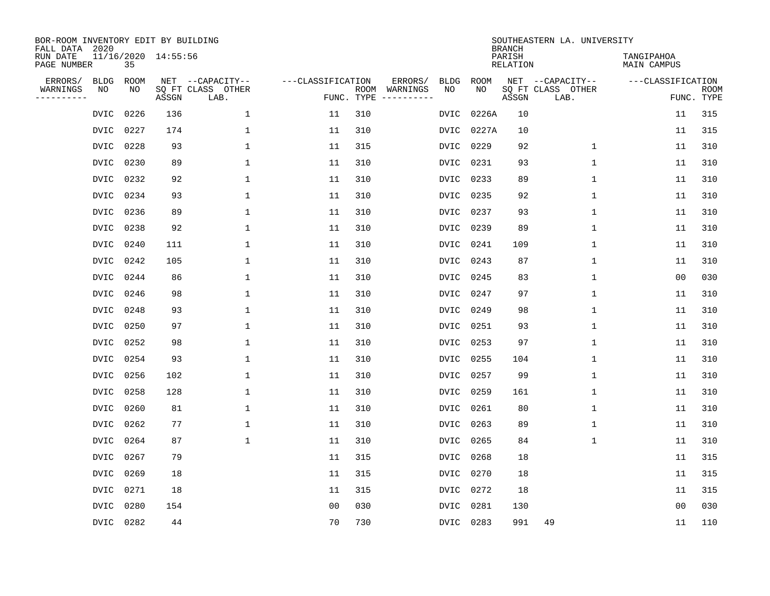| BOR-ROOM INVENTORY EDIT BY BUILDING<br>FALL DATA 2020 |           |                     |                           |                   |            |                              |             |             | <b>BRANCH</b>             | SOUTHEASTERN LA. UNIVERSITY |                                  |                           |
|-------------------------------------------------------|-----------|---------------------|---------------------------|-------------------|------------|------------------------------|-------------|-------------|---------------------------|-----------------------------|----------------------------------|---------------------------|
| RUN DATE<br>PAGE NUMBER                               | 35        | 11/16/2020 14:55:56 |                           |                   |            |                              |             |             | PARISH<br><b>RELATION</b> |                             | TANGIPAHOA<br><b>MAIN CAMPUS</b> |                           |
| ERRORS/<br><b>BLDG</b>                                | ROOM      |                     | NET --CAPACITY--          | ---CLASSIFICATION |            | ERRORS/                      | <b>BLDG</b> | <b>ROOM</b> |                           | NET --CAPACITY--            | ---CLASSIFICATION                |                           |
| WARNINGS<br>NO<br>----------                          | NO        | ASSGN               | SQ FT CLASS OTHER<br>LAB. |                   | FUNC. TYPE | ROOM WARNINGS<br>----------- | NO          | NO          | ASSGN                     | SQ FT CLASS OTHER<br>LAB.   |                                  | <b>ROOM</b><br>FUNC. TYPE |
| DVIC                                                  | 0226      | 136                 | $\mathbf 1$               | 11                | 310        |                              | DVIC        | 0226A       | 10                        |                             | 11                               | 315                       |
| DVIC                                                  | 0227      | 174                 | 1                         | 11                | 310        |                              | DVIC        | 0227A       | 10                        |                             | 11                               | 315                       |
| <b>DVIC</b>                                           | 0228      | 93                  | $\mathbf{1}$              | 11                | 315        |                              | <b>DVIC</b> | 0229        | 92                        | $\mathbf 1$                 | 11                               | 310                       |
| <b>DVIC</b>                                           | 0230      | 89                  | $\mathbf{1}$              | 11                | 310        |                              | DVIC        | 0231        | 93                        | $\mathbf{1}$                | 11                               | 310                       |
| <b>DVIC</b>                                           | 0232      | 92                  | $\mathbf 1$               | 11                | 310        |                              | DVIC        | 0233        | 89                        | $\mathbf{1}$                | 11                               | 310                       |
| DVIC                                                  | 0234      | 93                  | 1                         | 11                | 310        |                              | DVIC        | 0235        | 92                        | $\mathbf{1}$                | 11                               | 310                       |
| DVIC                                                  | 0236      | 89                  | $\mathbf 1$               | 11                | 310        |                              | DVIC        | 0237        | 93                        | $\mathbf 1$                 | 11                               | 310                       |
| DVIC                                                  | 0238      | 92                  | $\mathbf{1}$              | 11                | 310        |                              | DVIC        | 0239        | 89                        | $\mathbf{1}$                | 11                               | 310                       |
| <b>DVIC</b>                                           | 0240      | 111                 | $\mathbf 1$               | 11                | 310        |                              | <b>DVIC</b> | 0241        | 109                       | $\mathbf 1$                 | 11                               | 310                       |
| DVIC                                                  | 0242      | 105                 | 1                         | 11                | 310        |                              | DVIC        | 0243        | 87                        | $\mathbf 1$                 | 11                               | 310                       |
| <b>DVIC</b>                                           | 0244      | 86                  | $\mathbf{1}$              | 11                | 310        |                              | <b>DVIC</b> | 0245        | 83                        | $\mathbf{1}$                | 0 <sub>0</sub>                   | 030                       |
| DVIC                                                  | 0246      | 98                  | $\mathbf{1}$              | 11                | 310        |                              | DVIC        | 0247        | 97                        | $\mathbf{1}$                | 11                               | 310                       |
| DVIC                                                  | 0248      | 93                  | 1                         | 11                | 310        |                              | DVIC        | 0249        | 98                        | $\mathbf 1$                 | 11                               | 310                       |
| DVIC                                                  | 0250      | 97                  | 1                         | 11                | 310        |                              | DVIC        | 0251        | 93                        | 1                           | 11                               | 310                       |
| DVIC                                                  | 0252      | 98                  | 1                         | 11                | 310        |                              | DVIC        | 0253        | 97                        | 1                           | 11                               | 310                       |
| DVIC                                                  | 0254      | 93                  | $\mathbf{1}$              | 11                | 310        |                              | DVIC        | 0255        | 104                       | $\mathbf 1$                 | 11                               | 310                       |
| <b>DVIC</b>                                           | 0256      | 102                 | $\mathbf{1}$              | 11                | 310        |                              | <b>DVIC</b> | 0257        | 99                        | $\mathbf 1$                 | 11                               | 310                       |
| <b>DVIC</b>                                           | 0258      | 128                 | $\mathbf{1}$              | 11                | 310        |                              | DVIC        | 0259        | 161                       | $\mathbf 1$                 | 11                               | 310                       |
| <b>DVIC</b>                                           | 0260      | 81                  | $\mathbf{1}$              | 11                | 310        |                              | DVIC        | 0261        | 80                        | $\mathbf 1$                 | 11                               | 310                       |
| DVIC                                                  | 0262      | 77                  | 1                         | 11                | 310        |                              | DVIC        | 0263        | 89                        | 1                           | 11                               | 310                       |
| <b>DVIC</b>                                           | 0264      | 87                  | $\mathbf{1}$              | 11                | 310        |                              | DVIC        | 0265        | 84                        | $\mathbf 1$                 | 11                               | 310                       |
| <b>DVIC</b>                                           | 0267      | 79                  |                           | 11                | 315        |                              | DVIC        | 0268        | 18                        |                             | 11                               | 315                       |
| <b>DVIC</b>                                           | 0269      | 18                  |                           | 11                | 315        |                              | DVIC        | 0270        | 18                        |                             | 11                               | 315                       |
| DVIC                                                  | 0271      | 18                  |                           | 11                | 315        |                              | DVIC        | 0272        | 18                        |                             | 11                               | 315                       |
| <b>DVIC</b>                                           | 0280      | 154                 |                           | 0 <sub>0</sub>    | 030        |                              | <b>DVIC</b> | 0281        | 130                       |                             | 0 <sub>0</sub>                   | 030                       |
|                                                       | DVIC 0282 | 44                  |                           | 70                | 730        |                              |             | DVIC 0283   | 991                       | 49                          | 11                               | 110                       |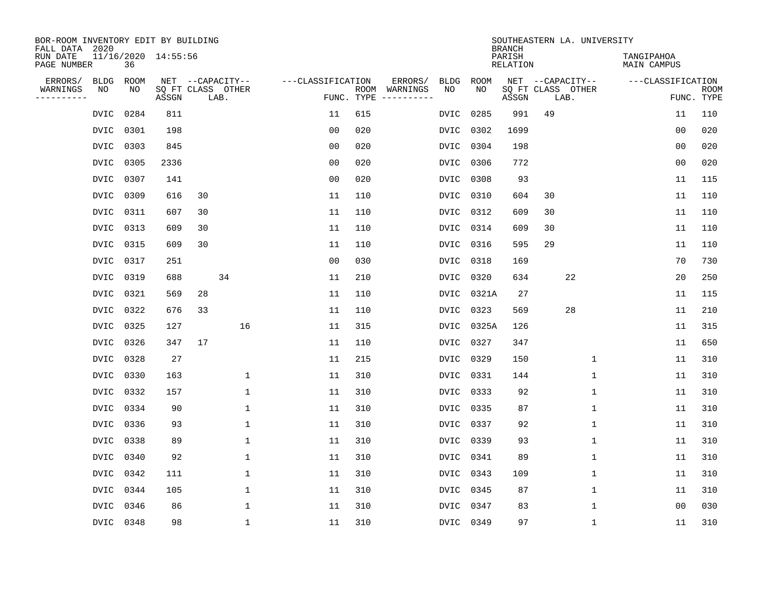| BOR-ROOM INVENTORY EDIT BY BUILDING<br>FALL DATA 2020 |                           |       |                           |                   |     |                                      |             |             | <b>BRANCH</b>             | SOUTHEASTERN LA. UNIVERSITY |                                  |                           |
|-------------------------------------------------------|---------------------------|-------|---------------------------|-------------------|-----|--------------------------------------|-------------|-------------|---------------------------|-----------------------------|----------------------------------|---------------------------|
| RUN DATE<br>PAGE NUMBER                               | 11/16/2020 14:55:56<br>36 |       |                           |                   |     |                                      |             |             | PARISH<br><b>RELATION</b> |                             | TANGIPAHOA<br><b>MAIN CAMPUS</b> |                           |
| ERRORS/<br><b>BLDG</b>                                | ROOM                      |       | NET --CAPACITY--          | ---CLASSIFICATION |     | ERRORS/                              | <b>BLDG</b> | <b>ROOM</b> |                           | NET --CAPACITY--            | ---CLASSIFICATION                |                           |
| WARNINGS<br>NO<br>----------                          | NO                        | ASSGN | SQ FT CLASS OTHER<br>LAB. |                   |     | ROOM WARNINGS<br>FUNC. TYPE $------$ | NO          | NO          | ASSGN                     | SQ FT CLASS OTHER<br>LAB.   |                                  | <b>ROOM</b><br>FUNC. TYPE |
| DVIC                                                  | 0284                      | 811   |                           | 11                | 615 |                                      | DVIC        | 0285        | 991                       | 49                          | 11                               | 110                       |
| DVIC                                                  | 0301                      | 198   |                           | 0 <sub>0</sub>    | 020 |                                      | DVIC        | 0302        | 1699                      |                             | 0 <sub>0</sub>                   | 020                       |
| DVIC                                                  | 0303                      | 845   |                           | 00                | 020 |                                      | DVIC        | 0304        | 198                       |                             | 00                               | 020                       |
| DVIC                                                  | 0305                      | 2336  |                           | 0 <sub>0</sub>    | 020 |                                      | DVIC        | 0306        | 772                       |                             | 0 <sub>0</sub>                   | 020                       |
| DVIC                                                  | 0307                      | 141   |                           | 0 <sub>0</sub>    | 020 |                                      | DVIC        | 0308        | 93                        |                             | 11                               | 115                       |
|                                                       | DVIC 0309                 | 616   | 30                        | 11                | 110 |                                      | DVIC 0310   |             | 604                       | 30                          | 11                               | 110                       |
| DVIC                                                  | 0311                      | 607   | 30                        | 11                | 110 |                                      | DVIC        | 0312        | 609                       | 30                          | 11                               | 110                       |
|                                                       | DVIC 0313                 | 609   | 30                        | 11                | 110 |                                      | DVIC        | 0314        | 609                       | 30                          | 11                               | 110                       |
| DVIC                                                  | 0315                      | 609   | 30                        | 11                | 110 |                                      | DVIC        | 0316        | 595                       | 29                          | 11                               | 110                       |
|                                                       | DVIC 0317                 | 251   |                           | 0 <sub>0</sub>    | 030 |                                      | DVIC 0318   |             | 169                       |                             | 70                               | 730                       |
| <b>DVIC</b>                                           | 0319                      | 688   | 34                        | 11                | 210 |                                      | DVIC        | 0320        | 634                       | 22                          | 20                               | 250                       |
| DVIC                                                  | 0321                      | 569   | 28                        | 11                | 110 |                                      |             | DVIC 0321A  | 27                        |                             | 11                               | 115                       |
| DVIC                                                  | 0322                      | 676   | 33                        | 11                | 110 |                                      | DVIC        | 0323        | 569                       | 28                          | 11                               | 210                       |
| DVIC                                                  | 0325                      | 127   | 16                        | 11                | 315 |                                      |             | DVIC 0325A  | 126                       |                             | 11                               | 315                       |
|                                                       | DVIC 0326                 | 347   | 17                        | 11                | 110 |                                      | DVIC 0327   |             | 347                       |                             | 11                               | 650                       |
| DVIC                                                  | 0328                      | 27    |                           | 11                | 215 |                                      | DVIC 0329   |             | 150                       | 1                           | 11                               | 310                       |
|                                                       | DVIC 0330                 | 163   | $\mathbf{1}$              | 11                | 310 |                                      | DVIC 0331   |             | 144                       | 1                           | 11                               | 310                       |
| DVIC                                                  | 0332                      | 157   | $\mathbf 1$               | 11                | 310 |                                      | DVIC 0333   |             | 92                        | 1                           | 11                               | 310                       |
|                                                       | DVIC 0334                 | 90    | 1                         | 11                | 310 |                                      | DVIC 0335   |             | 87                        | 1                           | 11                               | 310                       |
| <b>DVIC</b>                                           | 0336                      | 93    | $\mathbf{1}$              | 11                | 310 |                                      | DVIC 0337   |             | 92                        | $\mathbf 1$                 | 11                               | 310                       |
| DVIC                                                  | 0338                      | 89    | 1                         | 11                | 310 |                                      | DVIC 0339   |             | 93                        | 1                           | 11                               | 310                       |
| DVIC                                                  | 0340                      | 92    | $\mathbf{1}$              | 11                | 310 |                                      | DVIC        | 0341        | 89                        | 1                           | 11                               | 310                       |
| DVIC                                                  | 0342                      | 111   | 1                         | 11                | 310 |                                      | DVIC 0343   |             | 109                       | 1                           | 11                               | 310                       |
| DVIC                                                  | 0344                      | 105   | $\mathbf{1}$              | 11                | 310 |                                      | DVIC        | 0345        | 87                        | 1                           | 11                               | 310                       |
| DVIC                                                  | 0346                      | 86    | $\mathbf{1}$              | 11                | 310 |                                      | DVIC        | 0347        | 83                        | 1                           | 0 <sub>0</sub>                   | 030                       |
|                                                       | DVIC 0348                 | 98    | $\mathbf{1}$              | 11                | 310 |                                      | DVIC 0349   |             | 97                        | $\mathbf{1}$                | 11                               | 310                       |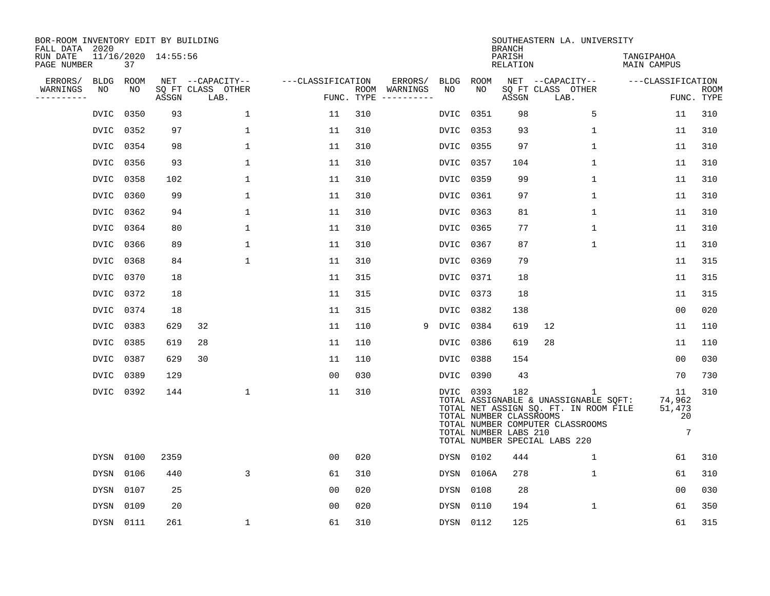| BOR-ROOM INVENTORY EDIT BY BUILDING<br>FALL DATA 2020 |                           |       |                           |                   |     |                                      |           |           | <b>BRANCH</b>                                           | SOUTHEASTERN LA. UNIVERSITY                                                                                                                              |                                                |                           |
|-------------------------------------------------------|---------------------------|-------|---------------------------|-------------------|-----|--------------------------------------|-----------|-----------|---------------------------------------------------------|----------------------------------------------------------------------------------------------------------------------------------------------------------|------------------------------------------------|---------------------------|
| RUN DATE<br>PAGE NUMBER                               | 11/16/2020 14:55:56<br>37 |       |                           |                   |     |                                      |           |           | PARISH<br>RELATION                                      |                                                                                                                                                          | TANGIPAHOA<br>MAIN CAMPUS                      |                           |
| ERRORS/<br><b>BLDG</b>                                | ROOM                      |       | NET --CAPACITY--          | ---CLASSIFICATION |     | ERRORS/                              |           | BLDG ROOM |                                                         | NET --CAPACITY--                                                                                                                                         | ---CLASSIFICATION                              |                           |
| WARNINGS<br>NO<br>---------                           | NO                        | ASSGN | SQ FT CLASS OTHER<br>LAB. |                   |     | ROOM WARNINGS<br>FUNC. TYPE $------$ | NO        | NO        | ASSGN                                                   | SQ FT CLASS OTHER<br>LAB.                                                                                                                                |                                                | <b>ROOM</b><br>FUNC. TYPE |
| DVIC                                                  | 0350                      | 93    | $\mathbf 1$               | 11                | 310 |                                      | DVIC      | 0351      | 98                                                      | 5                                                                                                                                                        | 11                                             | 310                       |
| DVIC                                                  | 0352                      | 97    | 1                         | 11                | 310 |                                      | DVIC      | 0353      | 93                                                      | 1                                                                                                                                                        | 11                                             | 310                       |
| DVIC                                                  | 0354                      | 98    | $\mathbf 1$               | 11                | 310 |                                      | DVIC      | 0355      | 97                                                      | $\mathbf 1$                                                                                                                                              | 11                                             | 310                       |
| DVIC                                                  | 0356                      | 93    | $\mathbf 1$               | 11                | 310 |                                      |           | DVIC 0357 | 104                                                     | $\mathbf{1}$                                                                                                                                             | 11                                             | 310                       |
| DVIC                                                  | 0358                      | 102   | 1                         | 11                | 310 |                                      | DVIC      | 0359      | 99                                                      | 1                                                                                                                                                        | 11                                             | 310                       |
| DVIC                                                  | 0360                      | 99    | 1                         | 11                | 310 |                                      | DVIC 0361 |           | 97                                                      | 1                                                                                                                                                        | 11                                             | 310                       |
|                                                       | DVIC 0362                 | 94    | $\mathbf 1$               | 11                | 310 |                                      |           | DVIC 0363 | 81                                                      | $\mathbf 1$                                                                                                                                              | 11                                             | 310                       |
|                                                       | DVIC 0364                 | 80    | 1                         | 11                | 310 |                                      | DVIC      | 0365      | 77                                                      | $\mathbf{1}$                                                                                                                                             | 11                                             | 310                       |
| DVIC                                                  | 0366                      | 89    | 1                         | 11                | 310 |                                      | DVIC      | 0367      | 87                                                      | 1                                                                                                                                                        | 11                                             | 310                       |
| DVIC                                                  | 0368                      | 84    | $\mathbf 1$               | 11                | 310 |                                      | DVIC 0369 |           | 79                                                      |                                                                                                                                                          | 11                                             | 315                       |
| <b>DVIC</b>                                           | 0370                      | 18    |                           | 11                | 315 |                                      | DVIC      | 0371      | 18                                                      |                                                                                                                                                          | 11                                             | 315                       |
| DVIC                                                  | 0372                      | 18    |                           | 11                | 315 |                                      |           | DVIC 0373 | 18                                                      |                                                                                                                                                          | 11                                             | 315                       |
| DVIC                                                  | 0374                      | 18    |                           | 11                | 315 |                                      |           | DVIC 0382 | 138                                                     |                                                                                                                                                          | 00                                             | 020                       |
| DVIC                                                  | 0383                      | 629   | 32                        | 11                | 110 | 9                                    | DVIC 0384 |           | 619                                                     | 12                                                                                                                                                       | 11                                             | 110                       |
| DVIC                                                  | 0385                      | 619   | 28                        | 11                | 110 |                                      | DVIC      | 0386      | 619                                                     | 28                                                                                                                                                       | 11                                             | 110                       |
|                                                       | DVIC 0387                 | 629   | 30                        | 11                | 110 |                                      | DVIC 0388 |           | 154                                                     |                                                                                                                                                          | 0 <sub>0</sub>                                 | 030                       |
| DVIC                                                  | 0389                      | 129   |                           | 0 <sub>0</sub>    | 030 |                                      | DVIC      | 0390      | 43                                                      |                                                                                                                                                          | 70                                             | 730                       |
|                                                       | DVIC 0392                 | 144   | $\mathbf 1$               | 11                | 310 |                                      |           | DVIC 0393 | 182<br>TOTAL NUMBER CLASSROOMS<br>TOTAL NUMBER LABS 210 | 1<br>TOTAL ASSIGNABLE & UNASSIGNABLE SQFT:<br>TOTAL NET ASSIGN SQ. FT. IN ROOM FILE<br>TOTAL NUMBER COMPUTER CLASSROOMS<br>TOTAL NUMBER SPECIAL LABS 220 | 11<br>74,962<br>51,473<br>20<br>$\overline{7}$ | 310                       |
| DYSN                                                  | 0100                      | 2359  |                           | 00                | 020 |                                      |           | DYSN 0102 | 444                                                     | $\mathbf 1$                                                                                                                                              | 61                                             | 310                       |
| DYSN                                                  | 0106                      | 440   | 3                         | 61                | 310 |                                      | DYSN      | 0106A     | 278                                                     | 1                                                                                                                                                        | 61                                             | 310                       |
| DYSN                                                  | 0107                      | 25    |                           | 00                | 020 |                                      | DYSN      | 0108      | 28                                                      |                                                                                                                                                          | 00                                             | 030                       |
| <b>DYSN</b>                                           | 0109                      | 20    |                           | 0 <sub>0</sub>    | 020 |                                      | DYSN      | 0110      | 194                                                     | $\mathbf 1$                                                                                                                                              | 61                                             | 350                       |
|                                                       | DYSN 0111                 | 261   | 1                         | 61                | 310 |                                      |           | DYSN 0112 | 125                                                     |                                                                                                                                                          | 61                                             | 315                       |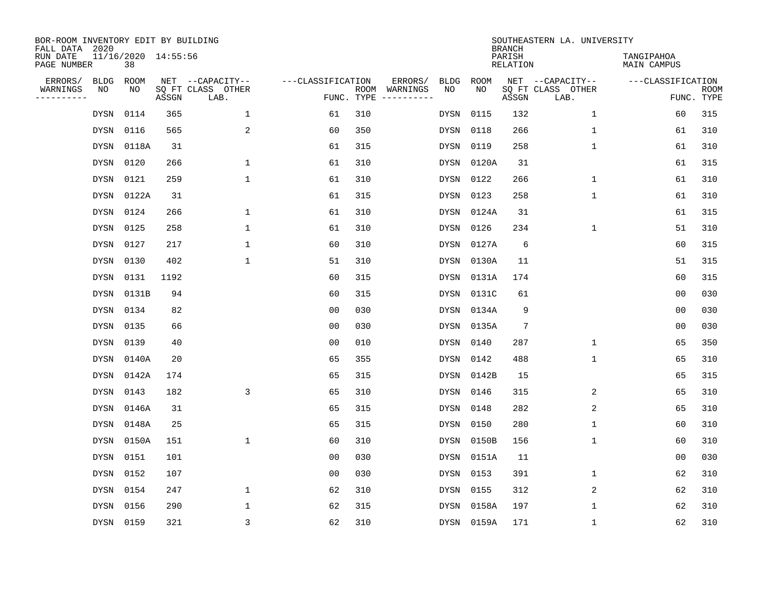| BOR-ROOM INVENTORY EDIT BY BUILDING<br>FALL DATA 2020 |                           |       |                           |                   |            |                              |             |             | <b>BRANCH</b>             | SOUTHEASTERN LA. UNIVERSITY |                                  |                           |
|-------------------------------------------------------|---------------------------|-------|---------------------------|-------------------|------------|------------------------------|-------------|-------------|---------------------------|-----------------------------|----------------------------------|---------------------------|
| RUN DATE<br>PAGE NUMBER                               | 11/16/2020 14:55:56<br>38 |       |                           |                   |            |                              |             |             | PARISH<br><b>RELATION</b> |                             | TANGIPAHOA<br><b>MAIN CAMPUS</b> |                           |
| ERRORS/<br><b>BLDG</b>                                | ROOM                      |       | NET --CAPACITY--          | ---CLASSIFICATION |            | ERRORS/                      | <b>BLDG</b> | <b>ROOM</b> |                           | NET --CAPACITY--            | ---CLASSIFICATION                |                           |
| WARNINGS<br>NO<br>----------                          | NO                        | ASSGN | SQ FT CLASS OTHER<br>LAB. |                   | FUNC. TYPE | ROOM WARNINGS<br>----------- | NO          | NO          | ASSGN                     | SQ FT CLASS OTHER<br>LAB.   |                                  | <b>ROOM</b><br>FUNC. TYPE |
| DYSN                                                  | 0114                      | 365   | $\mathbf 1$               | 61                | 310        |                              | DYSN        | 0115        | 132                       | $\mathbf 1$                 | 60                               | 315                       |
| DYSN                                                  | 0116                      | 565   | 2                         | 60                | 350        |                              | DYSN        | 0118        | 266                       | $\mathbf 1$                 | 61                               | 310                       |
| DYSN                                                  | 0118A                     | 31    |                           | 61                | 315        |                              | DYSN        | 0119        | 258                       | $\mathbf{1}$                | 61                               | 310                       |
| <b>DYSN</b>                                           | 0120                      | 266   | $\mathbf{1}$              | 61                | 310        |                              | DYSN        | 0120A       | 31                        |                             | 61                               | 315                       |
| <b>DYSN</b>                                           | 0121                      | 259   | $\mathbf{1}$              | 61                | 310        |                              | DYSN        | 0122        | 266                       | $\mathbf{1}$                | 61                               | 310                       |
| DYSN                                                  | 0122A                     | 31    |                           | 61                | 315        |                              | DYSN        | 0123        | 258                       | $\mathbf{1}$                | 61                               | 310                       |
| DYSN                                                  | 0124                      | 266   | $\mathbf{1}$              | 61                | 310        |                              | DYSN        | 0124A       | 31                        |                             | 61                               | 315                       |
| <b>DYSN</b>                                           | 0125                      | 258   | $\mathbf{1}$              | 61                | 310        |                              | <b>DYSN</b> | 0126        | 234                       | $\mathbf{1}$                | 51                               | 310                       |
| <b>DYSN</b>                                           | 0127                      | 217   | $\mathbf{1}$              | 60                | 310        |                              | <b>DYSN</b> | 0127A       | 6                         |                             | 60                               | 315                       |
| DYSN                                                  | 0130                      | 402   | $\mathbf{1}$              | 51                | 310        |                              | DYSN        | 0130A       | 11                        |                             | 51                               | 315                       |
| <b>DYSN</b>                                           | 0131                      | 1192  |                           | 60                | 315        |                              | <b>DYSN</b> | 0131A       | 174                       |                             | 60                               | 315                       |
| <b>DYSN</b>                                           | 0131B                     | 94    |                           | 60                | 315        |                              | DYSN        | 0131C       | 61                        |                             | 0 <sub>0</sub>                   | 030                       |
| DYSN                                                  | 0134                      | 82    |                           | 0 <sub>0</sub>    | 030        |                              | DYSN        | 0134A       | 9                         |                             | 0 <sub>0</sub>                   | 030                       |
| DYSN                                                  | 0135                      | 66    |                           | 00                | 030        |                              | DYSN        | 0135A       | $7\phantom{.0}$           |                             | 0 <sub>0</sub>                   | 030                       |
| DYSN                                                  | 0139                      | 40    |                           | 0 <sub>0</sub>    | 010        |                              | DYSN        | 0140        | 287                       | $\mathbf 1$                 | 65                               | 350                       |
| DYSN                                                  | 0140A                     | 20    |                           | 65                | 355        |                              | DYSN        | 0142        | 488                       | $\mathbf{1}$                | 65                               | 310                       |
| DYSN                                                  | 0142A                     | 174   |                           | 65                | 315        |                              | DYSN        | 0142B       | 15                        |                             | 65                               | 315                       |
| <b>DYSN</b>                                           | 0143                      | 182   | 3                         | 65                | 310        |                              | DYSN        | 0146        | 315                       | 2                           | 65                               | 310                       |
| <b>DYSN</b>                                           | 0146A                     | 31    |                           | 65                | 315        |                              | DYSN        | 0148        | 282                       | 2                           | 65                               | 310                       |
| DYSN                                                  | 0148A                     | 25    |                           | 65                | 315        |                              | DYSN        | 0150        | 280                       | 1                           | 60                               | 310                       |
| DYSN                                                  | 0150A                     | 151   | 1                         | 60                | 310        |                              | DYSN        | 0150B       | 156                       | $\mathbf 1$                 | 60                               | 310                       |
| <b>DYSN</b>                                           | 0151                      | 101   |                           | 0 <sub>0</sub>    | 030        |                              | DYSN        | 0151A       | 11                        |                             | 0 <sub>0</sub>                   | 030                       |
| <b>DYSN</b>                                           | 0152                      | 107   |                           | 0 <sub>0</sub>    | 030        |                              | DYSN        | 0153        | 391                       | $\mathbf{1}$                | 62                               | 310                       |
| DYSN                                                  | 0154                      | 247   | $\mathbf{1}$              | 62                | 310        |                              | DYSN        | 0155        | 312                       | 2                           | 62                               | 310                       |
| <b>DYSN</b>                                           | 0156                      | 290   | $\mathbf{1}$              | 62                | 315        |                              | DYSN        | 0158A       | 197                       | $\mathbf 1$                 | 62                               | 310                       |
|                                                       | DYSN 0159                 | 321   | 3                         | 62                | 310        |                              |             | DYSN 0159A  | 171                       | $\mathbf{1}$                | 62                               | 310                       |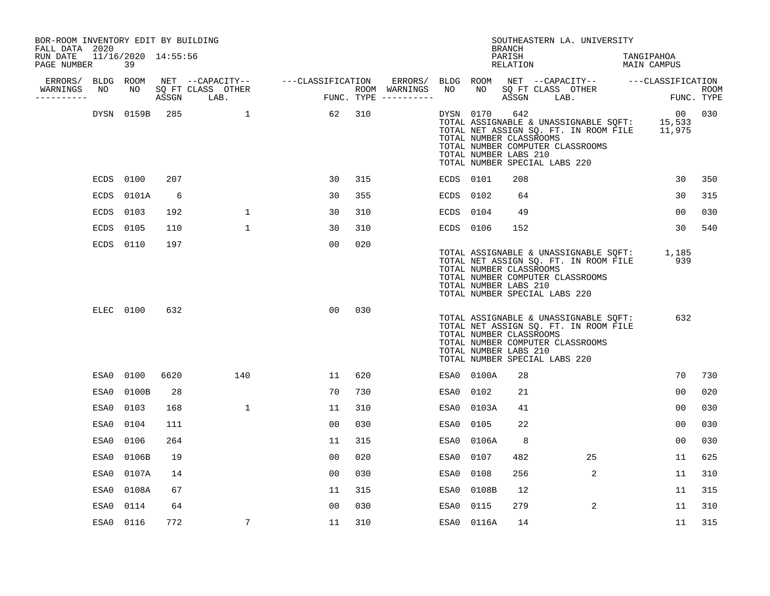| BOR-ROOM INVENTORY EDIT BY BUILDING<br>FALL DATA 2020 |      |            |      |                                     |                                       |     |                   |           |            | <b>BRANCH</b>                                           | SOUTHEASTERN LA. UNIVERSITY                                                                                                                                       |                           |             |
|-------------------------------------------------------|------|------------|------|-------------------------------------|---------------------------------------|-----|-------------------|-----------|------------|---------------------------------------------------------|-------------------------------------------------------------------------------------------------------------------------------------------------------------------|---------------------------|-------------|
| RUN DATE 11/16/2020 14:55:56<br>PAGE NUMBER           |      | 39         |      |                                     |                                       |     |                   |           |            | PARISH<br>RELATION                                      |                                                                                                                                                                   | TANGIPAHOA<br>MAIN CAMPUS |             |
| ERRORS/ BLDG ROOM                                     |      |            |      | NET --CAPACITY-- ----CLASSIFICATION |                                       |     | ERRORS/ BLDG ROOM |           |            |                                                         | NET --CAPACITY-- ---CLASSIFICATION                                                                                                                                |                           |             |
| WARNINGS<br>----------                                | NO   | NO         |      | SQ FT CLASS OTHER<br>ASSGN LAB.     | ROOM WARNINGS<br>FUNC. TYPE --------- |     | ROOM WARNINGS     | NO        | NO 11      |                                                         | SQ FT CLASS OTHER<br>ASSGN LAB.                                                                                                                                   | FUNC. TYPE                | <b>ROOM</b> |
|                                                       |      | DYSN 0159B | 285  |                                     | 62                                    | 310 |                   |           | DYSN 0170  | 642<br>TOTAL NUMBER CLASSROOMS<br>TOTAL NUMBER LABS 210 | TOTAL ASSIGNABLE & UNASSIGNABLE SQFT: 15,533<br>TOTAL NET ASSIGN SQ. FT. IN ROOM FILE 11,975<br>TOTAL NUMBER COMPUTER CLASSROOMS<br>TOTAL NUMBER SPECIAL LABS 220 | 00                        | 030         |
|                                                       |      | ECDS 0100  | 207  |                                     | 30                                    | 315 |                   | ECDS 0101 |            | 208                                                     |                                                                                                                                                                   | 30                        | 350         |
|                                                       | ECDS | 0101A      | 6    |                                     | 30                                    | 355 |                   | ECDS 0102 |            | 64                                                      |                                                                                                                                                                   | 30                        | 315         |
|                                                       | ECDS | 0103       | 192  | $\mathbf{1}$                        | 30                                    | 310 |                   | ECDS 0104 |            | 49                                                      |                                                                                                                                                                   | 00                        | 030         |
|                                                       | ECDS | 0105       | 110  | $\mathbf{1}$                        | 30                                    | 310 |                   | ECDS 0106 |            | 152                                                     |                                                                                                                                                                   | 30                        | 540         |
|                                                       |      | ECDS 0110  | 197  |                                     | 00                                    | 020 |                   |           |            | TOTAL NUMBER CLASSROOMS<br>TOTAL NUMBER LABS 210        | TOTAL ASSIGNABLE & UNASSIGNABLE SQFT: 1,185<br>TOTAL NET ASSIGN SQ. FT. IN ROOM FILE<br>TOTAL NUMBER COMPUTER CLASSROOMS<br>TOTAL NUMBER SPECIAL LABS 220         | 939                       |             |
|                                                       |      | ELEC 0100  | 632  |                                     | 00                                    | 030 |                   |           |            | TOTAL NUMBER CLASSROOMS<br>TOTAL NUMBER LABS 210        | TOTAL ASSIGNABLE & UNASSIGNABLE SQFT:<br>TOTAL NET ASSIGN SQ. FT. IN ROOM FILE<br>TOTAL NUMBER COMPUTER CLASSROOMS<br>TOTAL NUMBER SPECIAL LABS 220               | 632                       |             |
|                                                       | ESA0 | 0100       | 6620 | 140                                 | 11                                    | 620 |                   |           | ESA0 0100A | 28                                                      |                                                                                                                                                                   | 70                        | 730         |
|                                                       | ESA0 | 0100B      | 28   |                                     | 70                                    | 730 |                   | ESA0 0102 |            | 21                                                      |                                                                                                                                                                   | 00                        | 020         |
|                                                       | ESA0 | 0103       | 168  | $\mathbf{1}$                        | 11                                    | 310 |                   |           | ESA0 0103A | 41                                                      |                                                                                                                                                                   | 00                        | 030         |
|                                                       | ESA0 | 0104       | 111  |                                     | 00                                    | 030 |                   | ESA0 0105 |            | 22                                                      |                                                                                                                                                                   | 00                        | 030         |
|                                                       | ESA0 | 0106       | 264  |                                     | 11                                    | 315 |                   | ESA0      | 0106A      | 8                                                       |                                                                                                                                                                   | 00                        | 030         |
|                                                       | ESA0 | 0106B      | 19   |                                     | 00                                    | 020 |                   | ESA0      | 0107       | 482                                                     | 25                                                                                                                                                                | 11                        | 625         |
|                                                       | ESA0 | 0107A      | 14   |                                     | 00                                    | 030 |                   | ESA0      | 0108       | 256                                                     | 2                                                                                                                                                                 | 11                        | 310         |
|                                                       | ESA0 | 0108A      | 67   |                                     | 11                                    | 315 |                   |           | ESA0 0108B | 12                                                      |                                                                                                                                                                   | 11                        | 315         |
|                                                       | ESA0 | 0114       | 64   |                                     | 00                                    | 030 |                   | ESA0      | 0115       | 279                                                     | 2                                                                                                                                                                 | 11                        | 310         |
|                                                       |      | ESA0 0116  | 772  | 7                                   | 11                                    | 310 |                   |           | ESA0 0116A | 14                                                      |                                                                                                                                                                   | 11                        | 315         |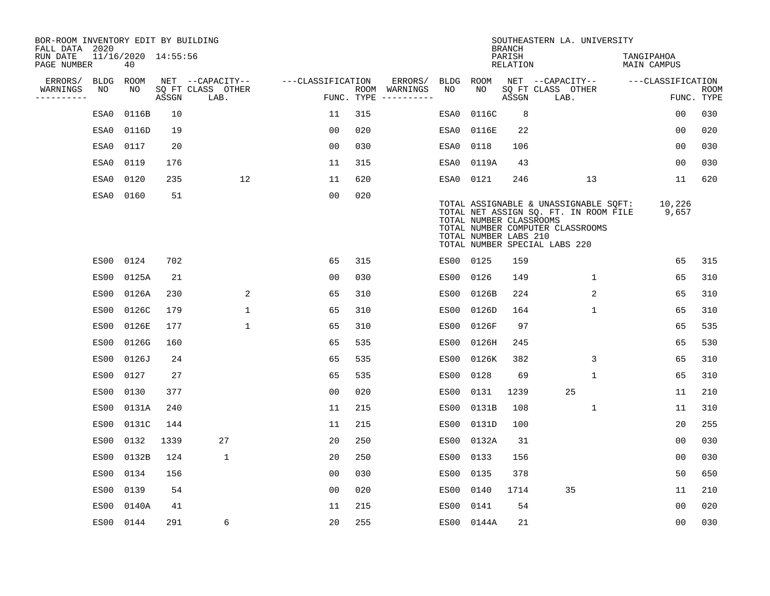| BOR-ROOM INVENTORY EDIT BY BUILDING<br>FALL DATA 2020 |             |                           |       |                           |                   |            |                              |      |                                                  | <b>BRANCH</b>             | SOUTHEASTERN LA. UNIVERSITY                                                                                                                         |                                  |                           |
|-------------------------------------------------------|-------------|---------------------------|-------|---------------------------|-------------------|------------|------------------------------|------|--------------------------------------------------|---------------------------|-----------------------------------------------------------------------------------------------------------------------------------------------------|----------------------------------|---------------------------|
| RUN DATE<br>PAGE NUMBER                               |             | 11/16/2020 14:55:56<br>40 |       |                           |                   |            |                              |      |                                                  | PARISH<br><b>RELATION</b> |                                                                                                                                                     | TANGIPAHOA<br><b>MAIN CAMPUS</b> |                           |
| ERRORS/                                               | <b>BLDG</b> | ROOM                      |       | NET --CAPACITY--          | ---CLASSIFICATION |            | ERRORS/                      | BLDG | <b>ROOM</b>                                      |                           | NET --CAPACITY--                                                                                                                                    | ---CLASSIFICATION                |                           |
| WARNINGS<br>----------                                | NO          | NO                        | ASSGN | SQ FT CLASS OTHER<br>LAB. |                   | FUNC. TYPE | ROOM WARNINGS<br>----------- | NO   | NO                                               | ASSGN                     | SQ FT CLASS OTHER<br>LAB.                                                                                                                           |                                  | <b>ROOM</b><br>FUNC. TYPE |
|                                                       | ESA0        | 0116B                     | 10    |                           | 11                | 315        |                              | ESA0 | 0116C                                            | 8                         |                                                                                                                                                     | 00                               | 030                       |
|                                                       | ESA0        | 0116D                     | 19    |                           | 0 <sub>0</sub>    | 020        |                              | ESA0 | 0116E                                            | 22                        |                                                                                                                                                     | 00                               | 020                       |
|                                                       | ESA0        | 0117                      | 20    |                           | 0 <sub>0</sub>    | 030        |                              | ESA0 | 0118                                             | 106                       |                                                                                                                                                     | 00                               | 030                       |
|                                                       | ESA0        | 0119                      | 176   |                           | 11                | 315        |                              | ESA0 | 0119A                                            | 43                        |                                                                                                                                                     | 0 <sub>0</sub>                   | 030                       |
|                                                       | ESA0        | 0120                      | 235   | 12                        | 11                | 620        |                              | ESA0 | 0121                                             | 246                       | 13                                                                                                                                                  | 11                               | 620                       |
|                                                       | ESA0        | 0160                      | 51    |                           | 0 <sub>0</sub>    | 020        |                              |      | TOTAL NUMBER CLASSROOMS<br>TOTAL NUMBER LABS 210 |                           | TOTAL ASSIGNABLE & UNASSIGNABLE SQFT:<br>TOTAL NET ASSIGN SQ. FT. IN ROOM FILE<br>TOTAL NUMBER COMPUTER CLASSROOMS<br>TOTAL NUMBER SPECIAL LABS 220 | 10,226<br>9,657                  |                           |
|                                                       |             | ES00 0124                 | 702   |                           | 65                | 315        |                              |      | ES00 0125                                        | 159                       |                                                                                                                                                     | 65                               | 315                       |
|                                                       | ES00        | 0125A                     | 21    |                           | 0 <sub>0</sub>    | 030        |                              | ES00 | 0126                                             | 149                       | $\mathbf{1}$                                                                                                                                        | 65                               | 310                       |
|                                                       | ES00        | 0126A                     | 230   | 2                         | 65                | 310        |                              | ES00 | 0126B                                            | 224                       | 2                                                                                                                                                   | 65                               | 310                       |
|                                                       | ES00        | 0126C                     | 179   | 1                         | 65                | 310        |                              | ES00 | 0126D                                            | 164                       | 1                                                                                                                                                   | 65                               | 310                       |
|                                                       | ES00        | 0126E                     | 177   | $\mathbf{1}$              | 65                | 310        |                              | ES00 | 0126F                                            | 97                        |                                                                                                                                                     | 65                               | 535                       |
|                                                       | ES00        | 0126G                     | 160   |                           | 65                | 535        |                              | ES00 | 0126H                                            | 245                       |                                                                                                                                                     | 65                               | 530                       |
|                                                       | ES00        | 0126J                     | 24    |                           | 65                | 535        |                              | ES00 | 0126K                                            | 382                       | 3                                                                                                                                                   | 65                               | 310                       |
|                                                       | ES00        | 0127                      | 27    |                           | 65                | 535        |                              | ES00 | 0128                                             | 69                        | 1                                                                                                                                                   | 65                               | 310                       |
|                                                       | ES00        | 0130                      | 377   |                           | 0 <sub>0</sub>    | 020        |                              | ES00 | 0131                                             | 1239                      | 25                                                                                                                                                  | 11                               | 210                       |
|                                                       | ES00        | 0131A                     | 240   |                           | 11                | 215        |                              | ES00 | 0131B                                            | 108                       | 1                                                                                                                                                   | 11                               | 310                       |
|                                                       | ES00        | 0131C                     | 144   |                           | 11                | 215        |                              | ES00 | 0131D                                            | 100                       |                                                                                                                                                     | 20                               | 255                       |
|                                                       | ES00        | 0132                      | 1339  | 27                        | 20                | 250        |                              | ES00 | 0132A                                            | 31                        |                                                                                                                                                     | 0 <sub>0</sub>                   | 030                       |
|                                                       | ES00        | 0132B                     | 124   | $\mathbf 1$               | 20                | 250        |                              | ES00 | 0133                                             | 156                       |                                                                                                                                                     | 0 <sub>0</sub>                   | 030                       |
|                                                       | ES00        | 0134                      | 156   |                           | 0 <sub>0</sub>    | 030        |                              | ES00 | 0135                                             | 378                       |                                                                                                                                                     | 50                               | 650                       |
|                                                       | ES00        | 0139                      | 54    |                           | 0 <sub>0</sub>    | 020        |                              | ES00 | 0140                                             | 1714                      | 35                                                                                                                                                  | 11                               | 210                       |
|                                                       | ES00        | 0140A                     | 41    |                           | 11                | 215        |                              | ES00 | 0141                                             | 54                        |                                                                                                                                                     | 0 <sub>0</sub>                   | 020                       |
|                                                       |             | ES00 0144                 | 291   | 6                         | 20                | 255        |                              |      | ES00 0144A                                       | 21                        |                                                                                                                                                     | 0 <sub>0</sub>                   | 030                       |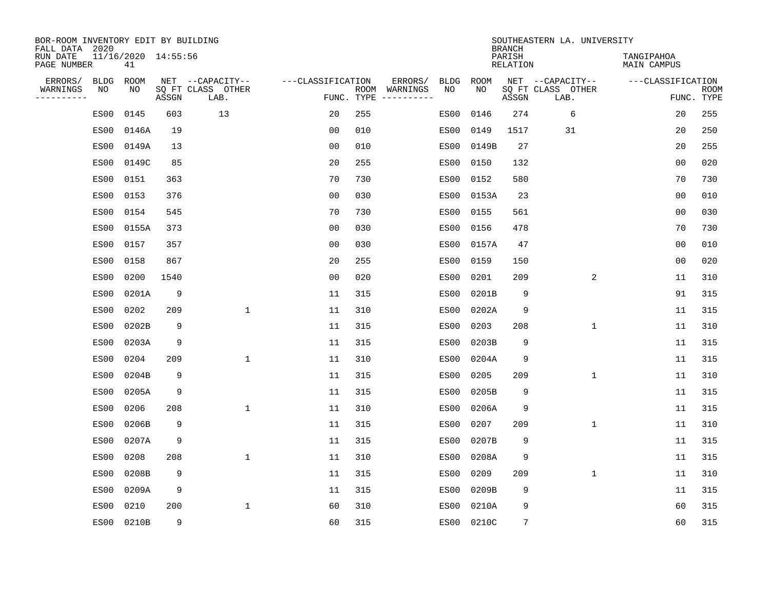| BOR-ROOM INVENTORY EDIT BY BUILDING<br>FALL DATA 2020 |             |                           |       |                           |                   |                    |          |             |             | <b>BRANCH</b>             | SOUTHEASTERN LA. UNIVERSITY |                                  |                           |
|-------------------------------------------------------|-------------|---------------------------|-------|---------------------------|-------------------|--------------------|----------|-------------|-------------|---------------------------|-----------------------------|----------------------------------|---------------------------|
| RUN DATE<br>PAGE NUMBER                               |             | 11/16/2020 14:55:56<br>41 |       |                           |                   |                    |          |             |             | PARISH<br><b>RELATION</b> |                             | TANGIPAHOA<br><b>MAIN CAMPUS</b> |                           |
| ERRORS/                                               | <b>BLDG</b> | ROOM                      |       | NET --CAPACITY--          | ---CLASSIFICATION |                    | ERRORS/  | <b>BLDG</b> | <b>ROOM</b> |                           | NET --CAPACITY--            | ---CLASSIFICATION                |                           |
| WARNINGS<br>----------                                | NO          | NO                        | ASSGN | SQ FT CLASS OTHER<br>LAB. |                   | ROOM<br>FUNC. TYPE | WARNINGS | NO          | NO          | ASSGN                     | SQ FT CLASS OTHER<br>LAB.   |                                  | <b>ROOM</b><br>FUNC. TYPE |
|                                                       | ES00        | 0145                      | 603   | 13                        | 20                | 255                |          | ES00        | 0146        | 274                       | 6                           | 20                               | 255                       |
|                                                       | ES00        | 0146A                     | 19    |                           | 00                | 010                |          | ES00        | 0149        | 1517                      | 31                          | 20                               | 250                       |
|                                                       | ES00        | 0149A                     | 13    |                           | 0 <sub>0</sub>    | 010                |          | ES00        | 0149B       | 27                        |                             | 20                               | 255                       |
|                                                       | ES00        | 0149C                     | 85    |                           | 20                | 255                |          | ES00        | 0150        | 132                       |                             | 0 <sub>0</sub>                   | 020                       |
|                                                       | ES00        | 0151                      | 363   |                           | 70                | 730                |          | ES00        | 0152        | 580                       |                             | 70                               | 730                       |
|                                                       | ES00        | 0153                      | 376   |                           | 0 <sub>0</sub>    | 030                |          |             | ES00 0153A  | 23                        |                             | 0 <sub>0</sub>                   | 010                       |
|                                                       | ES00        | 0154                      | 545   |                           | 70                | 730                |          | ES00        | 0155        | 561                       |                             | 0 <sub>0</sub>                   | 030                       |
|                                                       | ES00        | 0155A                     | 373   |                           | 0 <sub>0</sub>    | 030                |          | ES00        | 0156        | 478                       |                             | 70                               | 730                       |
|                                                       | ES00        | 0157                      | 357   |                           | 0 <sub>0</sub>    | 030                |          | ES00        | 0157A       | 47                        |                             | 0 <sub>0</sub>                   | 010                       |
|                                                       | ES00        | 0158                      | 867   |                           | 20                | 255                |          | ES00        | 0159        | 150                       |                             | 0 <sub>0</sub>                   | 020                       |
|                                                       | ES00        | 0200                      | 1540  |                           | 0 <sub>0</sub>    | 020                |          | ES00        | 0201        | 209                       | 2                           | 11                               | 310                       |
|                                                       | ES00        | 0201A                     | 9     |                           | 11                | 315                |          | ES00        | 0201B       | 9                         |                             | 91                               | 315                       |
|                                                       | ES00        | 0202                      | 209   | $\mathbf{1}$              | 11                | 310                |          | ES00        | 0202A       | 9                         |                             | 11                               | 315                       |
|                                                       | ES00        | 0202B                     | 9     |                           | 11                | 315                |          | ES00        | 0203        | 208                       | 1                           | 11                               | 310                       |
|                                                       | ES00        | 0203A                     | 9     |                           | 11                | 315                |          | ES00        | 0203B       | 9                         |                             | 11                               | 315                       |
|                                                       | ES00        | 0204                      | 209   | $\mathbf{1}$              | 11                | 310                |          | ES00        | 0204A       | 9                         |                             | 11                               | 315                       |
|                                                       | ES00        | 0204B                     | 9     |                           | 11                | 315                |          | ES00        | 0205        | 209                       | 1                           | 11                               | 310                       |
|                                                       | ES00        | 0205A                     | 9     |                           | 11                | 315                |          | ES00        | 0205B       | 9                         |                             | 11                               | 315                       |
|                                                       | ES00        | 0206                      | 208   | 1                         | 11                | 310                |          | ES00        | 0206A       | 9                         |                             | 11                               | 315                       |
|                                                       | ES00        | 0206B                     | 9     |                           | 11                | 315                |          | ES00        | 0207        | 209                       | $\mathbf 1$                 | 11                               | 310                       |
|                                                       | ES00        | 0207A                     | 9     |                           | 11                | 315                |          | ES00        | 0207B       | 9                         |                             | 11                               | 315                       |
|                                                       | ES00        | 0208                      | 208   | 1                         | 11                | 310                |          | ES00        | 0208A       | 9                         |                             | 11                               | 315                       |
|                                                       | ES00        | 0208B                     | 9     |                           | 11                | 315                |          | ES00        | 0209        | 209                       | 1                           | 11                               | 310                       |
|                                                       | ES00        | 0209A                     | 9     |                           | 11                | 315                |          | ES00        | 0209B       | 9                         |                             | 11                               | 315                       |
|                                                       | ES00        | 0210                      | 200   | $\mathbf{1}$              | 60                | 310                |          | ES00        | 0210A       | 9                         |                             | 60                               | 315                       |
|                                                       | ES00        | 0210B                     | 9     |                           | 60                | 315                |          |             | ES00 0210C  | 7                         |                             | 60                               | 315                       |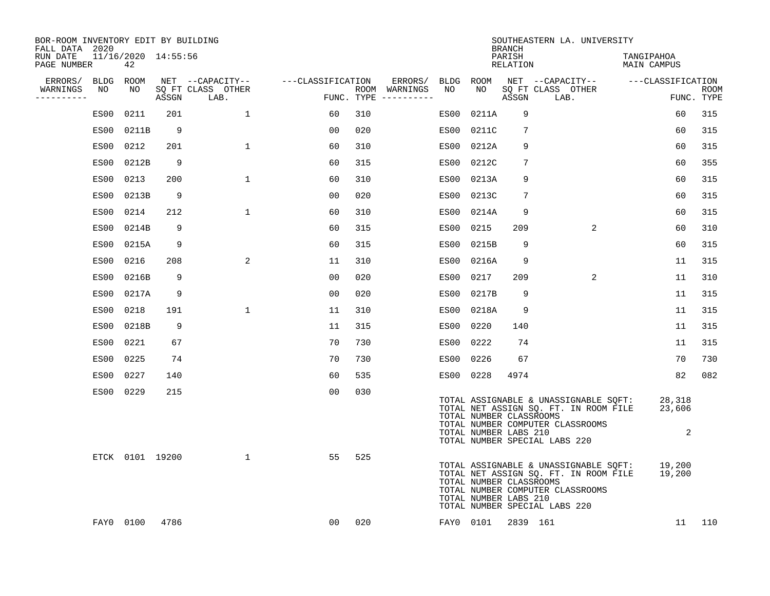| BOR-ROOM INVENTORY EDIT BY BUILDING<br>FALL DATA 2020 |      |                           |       |                           |                   |     |                                      |           |                                                  | <b>BRANCH</b>      | SOUTHEASTERN LA. UNIVERSITY                                                                                                                         |                           |                           |
|-------------------------------------------------------|------|---------------------------|-------|---------------------------|-------------------|-----|--------------------------------------|-----------|--------------------------------------------------|--------------------|-----------------------------------------------------------------------------------------------------------------------------------------------------|---------------------------|---------------------------|
| RUN DATE<br>PAGE NUMBER                               |      | 11/16/2020 14:55:56<br>42 |       |                           |                   |     |                                      |           |                                                  | PARISH<br>RELATION |                                                                                                                                                     | TANGIPAHOA<br>MAIN CAMPUS |                           |
| ERRORS/                                               |      | BLDG ROOM                 |       | NET --CAPACITY--          | ---CLASSIFICATION |     | ERRORS/                              | BLDG ROOM |                                                  |                    | NET --CAPACITY-- - ---CLASSIFICATION                                                                                                                |                           |                           |
| WARNINGS<br>----------                                | NO   | NO                        | ASSGN | SQ FT CLASS OTHER<br>LAB. |                   |     | ROOM WARNINGS<br>FUNC. TYPE $------$ | NO        | NO                                               | ASSGN              | SQ FT CLASS OTHER<br>LAB.                                                                                                                           |                           | <b>ROOM</b><br>FUNC. TYPE |
|                                                       | ES00 | 0211                      | 201   | $\mathbf{1}$              | 60                | 310 |                                      | ES00      | 0211A                                            | 9                  |                                                                                                                                                     | 60                        | 315                       |
|                                                       | ES00 | 0211B                     | 9     |                           | 00                | 020 |                                      | ES00      | 0211C                                            | 7                  |                                                                                                                                                     | 60                        | 315                       |
|                                                       | ES00 | 0212                      | 201   | $\mathbf 1$               | 60                | 310 |                                      | ES00      | 0212A                                            | 9                  |                                                                                                                                                     | 60                        | 315                       |
|                                                       | ES00 | 0212B                     | 9     |                           | 60                | 315 |                                      |           | ES00 0212C                                       | 7                  |                                                                                                                                                     | 60                        | 355                       |
|                                                       | ES00 | 0213                      | 200   | $\mathbf 1$               | 60                | 310 |                                      | ES00      | 0213A                                            | 9                  |                                                                                                                                                     | 60                        | 315                       |
|                                                       | ES00 | 0213B                     | 9     |                           | 0 <sub>0</sub>    | 020 |                                      |           | ES00 0213C                                       | 7                  |                                                                                                                                                     | 60                        | 315                       |
|                                                       | ES00 | 0214                      | 212   | $\mathbf{1}$              | 60                | 310 |                                      |           | ES00 0214A                                       | 9                  |                                                                                                                                                     | 60                        | 315                       |
|                                                       | ES00 | 0214B                     | 9     |                           | 60                | 315 |                                      | ES00      | 0215                                             | 209                | 2                                                                                                                                                   | 60                        | 310                       |
|                                                       | ES00 | 0215A                     | 9     |                           | 60                | 315 |                                      |           | ES00 0215B                                       | 9                  |                                                                                                                                                     | 60                        | 315                       |
|                                                       | ES00 | 0216                      | 208   | 2                         | 11                | 310 |                                      |           | ES00 0216A                                       | 9                  |                                                                                                                                                     | 11                        | 315                       |
|                                                       | ES00 | 0216B                     | 9     |                           | 00                | 020 |                                      | ES00 0217 |                                                  | 209                | $\overline{a}$                                                                                                                                      | 11                        | 310                       |
|                                                       | ES00 | 0217A                     | 9     |                           | 0 <sub>0</sub>    | 020 |                                      |           | ES00 0217B                                       | 9                  |                                                                                                                                                     | 11                        | 315                       |
|                                                       | ES00 | 0218                      | 191   | $\mathbf{1}$              | 11                | 310 |                                      |           | ES00 0218A                                       | 9                  |                                                                                                                                                     | 11                        | 315                       |
|                                                       | ES00 | 0218B                     | 9     |                           | 11                | 315 |                                      | ES00 0220 |                                                  | 140                |                                                                                                                                                     | 11                        | 315                       |
|                                                       | ES00 | 0221                      | 67    |                           | 70                | 730 |                                      | ES00 0222 |                                                  | 74                 |                                                                                                                                                     | 11                        | 315                       |
|                                                       | ES00 | 0225                      | 74    |                           | 70                | 730 |                                      | ES00 0226 |                                                  | 67                 |                                                                                                                                                     | 70                        | 730                       |
|                                                       | ES00 | 0227                      | 140   |                           | 60                | 535 |                                      | ES00 0228 |                                                  | 4974               |                                                                                                                                                     | 82                        | 082                       |
|                                                       |      | ES00 0229                 | 215   |                           | 0 <sub>0</sub>    | 030 |                                      |           | TOTAL NUMBER CLASSROOMS<br>TOTAL NUMBER LABS 210 |                    | TOTAL ASSIGNABLE & UNASSIGNABLE SQFT:<br>TOTAL NET ASSIGN SQ. FT. IN ROOM FILE<br>TOTAL NUMBER COMPUTER CLASSROOMS<br>TOTAL NUMBER SPECIAL LABS 220 | 28,318<br>23,606<br>2     |                           |
|                                                       |      | ETCK 0101 19200           |       | 1                         | 55                | 525 |                                      |           | TOTAL NUMBER CLASSROOMS<br>TOTAL NUMBER LABS 210 |                    | TOTAL ASSIGNABLE & UNASSIGNABLE SQFT:<br>TOTAL NET ASSIGN SQ. FT. IN ROOM FILE<br>TOTAL NUMBER COMPUTER CLASSROOMS<br>TOTAL NUMBER SPECIAL LABS 220 | 19,200<br>19,200          |                           |
|                                                       |      | FAY0 0100                 | 4786  |                           | 00                | 020 |                                      |           | FAY0 0101                                        | 2839 161           |                                                                                                                                                     | 11                        | 110                       |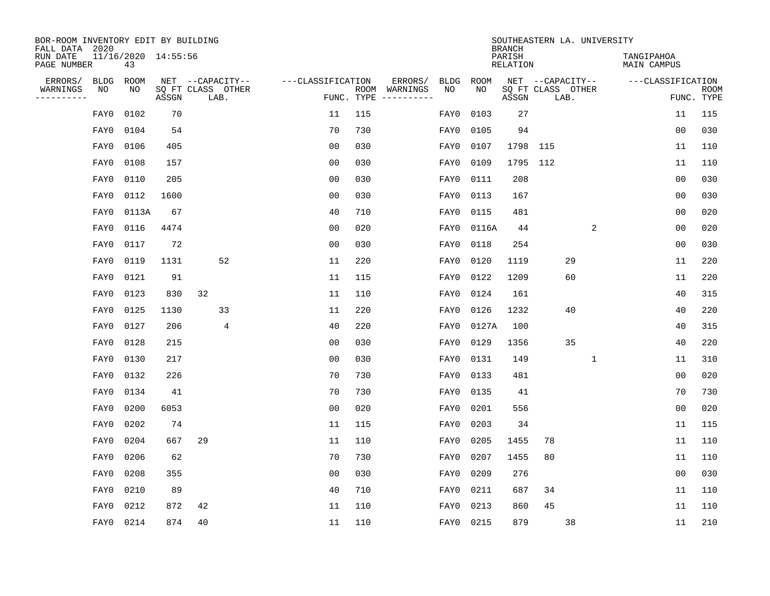| BOR-ROOM INVENTORY EDIT BY BUILDING<br>FALL DATA 2020 |      |       |                     |                           |                   |            |                              |             |             | SOUTHEASTERN LA. UNIVERSITY<br><b>BRANCH</b> |                   |      |   |                                  |                |                           |
|-------------------------------------------------------|------|-------|---------------------|---------------------------|-------------------|------------|------------------------------|-------------|-------------|----------------------------------------------|-------------------|------|---|----------------------------------|----------------|---------------------------|
| RUN DATE<br>PAGE NUMBER                               |      | 43    | 11/16/2020 14:55:56 |                           |                   |            |                              |             |             | PARISH<br><b>RELATION</b>                    |                   |      |   | TANGIPAHOA<br><b>MAIN CAMPUS</b> |                |                           |
| ERRORS/                                               | BLDG | ROOM  |                     | NET --CAPACITY--          | ---CLASSIFICATION |            | ERRORS/                      | <b>BLDG</b> | <b>ROOM</b> |                                              | NET --CAPACITY--  |      |   | ---CLASSIFICATION                |                |                           |
| WARNINGS<br>----------                                | NO   | NO    | ASSGN               | SQ FT CLASS OTHER<br>LAB. |                   | FUNC. TYPE | ROOM WARNINGS<br>----------- | NO          | NO          | ASSGN                                        | SQ FT CLASS OTHER | LAB. |   |                                  |                | <b>ROOM</b><br>FUNC. TYPE |
|                                                       | FAY0 | 0102  | 70                  |                           | 11                | 115        |                              | FAY0        | 0103        | 27                                           |                   |      |   |                                  | 11             | 115                       |
|                                                       | FAY0 | 0104  | 54                  |                           | 70                | 730        |                              | FAY0        | 0105        | 94                                           |                   |      |   |                                  | 0 <sub>0</sub> | 030                       |
|                                                       | FAY0 | 0106  | 405                 |                           | 0 <sub>0</sub>    | 030        |                              | FAY0        | 0107        | 1798                                         | 115               |      |   |                                  | 11             | 110                       |
|                                                       | FAY0 | 0108  | 157                 |                           | 0 <sub>0</sub>    | 030        |                              | FAY0        | 0109        | 1795                                         | 112               |      |   |                                  | 11             | 110                       |
|                                                       | FAY0 | 0110  | 205                 |                           | 0 <sub>0</sub>    | 030        |                              | FAY0        | 0111        | 208                                          |                   |      |   |                                  | 0 <sub>0</sub> | 030                       |
|                                                       | FAY0 | 0112  | 1600                |                           | 0 <sub>0</sub>    | 030        |                              | FAY0        | 0113        | 167                                          |                   |      |   |                                  | 0 <sub>0</sub> | 030                       |
|                                                       | FAY0 | 0113A | 67                  |                           | 40                | 710        |                              | FAY0        | 0115        | 481                                          |                   |      |   |                                  | 0 <sub>0</sub> | 020                       |
|                                                       | FAY0 | 0116  | 4474                |                           | 0 <sub>0</sub>    | 020        |                              | FAY0        | 0116A       | 44                                           |                   |      | 2 |                                  | 0 <sub>0</sub> | 020                       |
|                                                       | FAY0 | 0117  | 72                  |                           | 0 <sub>0</sub>    | 030        |                              | FAY0        | 0118        | 254                                          |                   |      |   |                                  | 0 <sub>0</sub> | 030                       |
|                                                       | FAY0 | 0119  | 1131                | 52                        | 11                | 220        |                              | FAY0        | 0120        | 1119                                         |                   | 29   |   |                                  | 11             | 220                       |
|                                                       | FAY0 | 0121  | 91                  |                           | 11                | 115        |                              | FAY0        | 0122        | 1209                                         |                   | 60   |   |                                  | 11             | 220                       |
|                                                       | FAY0 | 0123  | 830                 | 32                        | 11                | 110        |                              | FAY0        | 0124        | 161                                          |                   |      |   |                                  | 40             | 315                       |
|                                                       | FAY0 | 0125  | 1130                | 33                        | 11                | 220        |                              | FAY0        | 0126        | 1232                                         |                   | 40   |   |                                  | 40             | 220                       |
|                                                       | FAY0 | 0127  | 206                 | $\overline{4}$            | 40                | 220        |                              | FAY0        | 0127A       | 100                                          |                   |      |   |                                  | 40             | 315                       |
|                                                       | FAY0 | 0128  | 215                 |                           | 0 <sub>0</sub>    | 030        |                              | FAY0        | 0129        | 1356                                         |                   | 35   |   |                                  | 40             | 220                       |
|                                                       | FAY0 | 0130  | 217                 |                           | 0 <sub>0</sub>    | 030        |                              | FAY0        | 0131        | 149                                          |                   |      | 1 |                                  | 11             | 310                       |
|                                                       | FAY0 | 0132  | 226                 |                           | 70                | 730        |                              | FAY0        | 0133        | 481                                          |                   |      |   |                                  | 0 <sub>0</sub> | 020                       |
|                                                       | FAY0 | 0134  | 41                  |                           | 70                | 730        |                              | FAY0        | 0135        | 41                                           |                   |      |   |                                  | 70             | 730                       |
|                                                       | FAY0 | 0200  | 6053                |                           | 0 <sub>0</sub>    | 020        |                              | FAY0        | 0201        | 556                                          |                   |      |   |                                  | 0 <sub>0</sub> | 020                       |
|                                                       | FAY0 | 0202  | 74                  |                           | 11                | 115        |                              | FAY0        | 0203        | 34                                           |                   |      |   |                                  | 11             | 115                       |
|                                                       | FAY0 | 0204  | 667                 | 29                        | 11                | 110        |                              | FAY0        | 0205        | 1455                                         | 78                |      |   |                                  | 11             | 110                       |
|                                                       | FAY0 | 0206  | 62                  |                           | 70                | 730        |                              | FAY0        | 0207        | 1455                                         | 80                |      |   |                                  | 11             | 110                       |
|                                                       | FAY0 | 0208  | 355                 |                           | 0 <sub>0</sub>    | 030        |                              | FAY0        | 0209        | 276                                          |                   |      |   |                                  | 0 <sub>0</sub> | 030                       |
|                                                       | FAY0 | 0210  | 89                  |                           | 40                | 710        |                              | FAY0        | 0211        | 687                                          | 34                |      |   |                                  | 11             | 110                       |
|                                                       | FAY0 | 0212  | 872                 | 42                        | 11                | 110        |                              | FAY0        | 0213        | 860                                          | 45                |      |   |                                  | 11             | 110                       |
|                                                       | FAY0 | 0214  | 874                 | 40                        | 11                | 110        |                              |             | FAY0 0215   | 879                                          |                   | 38   |   |                                  | 11             | 210                       |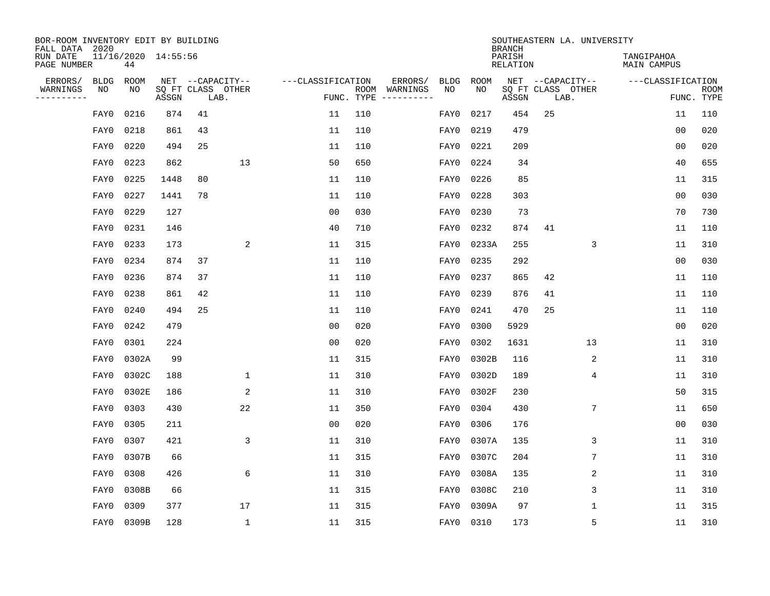| BOR-ROOM INVENTORY EDIT BY BUILDING<br>FALL DATA 2020 |             |       |                     |    |                           |                   |     |                                      |             |             | <b>BRANCH</b>             |    | SOUTHEASTERN LA. UNIVERSITY |                                  |                |                           |
|-------------------------------------------------------|-------------|-------|---------------------|----|---------------------------|-------------------|-----|--------------------------------------|-------------|-------------|---------------------------|----|-----------------------------|----------------------------------|----------------|---------------------------|
| RUN DATE<br>PAGE NUMBER                               |             | 44    | 11/16/2020 14:55:56 |    |                           |                   |     |                                      |             |             | PARISH<br><b>RELATION</b> |    |                             | TANGIPAHOA<br><b>MAIN CAMPUS</b> |                |                           |
| ERRORS/                                               | <b>BLDG</b> | ROOM  |                     |    | NET --CAPACITY--          | ---CLASSIFICATION |     | ERRORS/                              | <b>BLDG</b> | <b>ROOM</b> |                           |    | NET --CAPACITY--            | ---CLASSIFICATION                |                |                           |
| WARNINGS<br>----------                                | NO          | NO    | ASSGN               |    | SQ FT CLASS OTHER<br>LAB. |                   |     | ROOM WARNINGS<br>FUNC. TYPE $------$ | NO          | NO          | ASSGN                     |    | SQ FT CLASS OTHER<br>LAB.   |                                  |                | <b>ROOM</b><br>FUNC. TYPE |
|                                                       | FAY0        | 0216  | 874                 | 41 |                           | 11                | 110 |                                      | FAY0        | 0217        | 454                       | 25 |                             |                                  | 11             | 110                       |
|                                                       | FAY0        | 0218  | 861                 | 43 |                           | 11                | 110 |                                      | FAY0        | 0219        | 479                       |    |                             |                                  | 00             | 020                       |
|                                                       | FAY0        | 0220  | 494                 | 25 |                           | 11                | 110 |                                      | FAY0        | 0221        | 209                       |    |                             |                                  | 0 <sub>0</sub> | 020                       |
|                                                       | FAY0        | 0223  | 862                 |    | 13                        | 50                | 650 |                                      | FAY0        | 0224        | 34                        |    |                             |                                  | 40             | 655                       |
|                                                       | FAY0        | 0225  | 1448                | 80 |                           | 11                | 110 |                                      | FAY0        | 0226        | 85                        |    |                             |                                  | 11             | 315                       |
|                                                       | FAY0        | 0227  | 1441                | 78 |                           | 11                | 110 |                                      | FAY0        | 0228        | 303                       |    |                             |                                  | 0 <sub>0</sub> | 030                       |
|                                                       | FAY0        | 0229  | 127                 |    |                           | 0 <sub>0</sub>    | 030 |                                      | FAY0        | 0230        | 73                        |    |                             |                                  | 70             | 730                       |
|                                                       | FAY0        | 0231  | 146                 |    |                           | 40                | 710 |                                      | FAY0        | 0232        | 874                       | 41 |                             |                                  | 11             | 110                       |
|                                                       | FAY0        | 0233  | 173                 |    | 2                         | 11                | 315 |                                      | FAY0        | 0233A       | 255                       |    | 3                           |                                  | 11             | 310                       |
|                                                       | FAY0        | 0234  | 874                 | 37 |                           | 11                | 110 |                                      | FAY0        | 0235        | 292                       |    |                             |                                  | 0 <sub>0</sub> | 030                       |
|                                                       | FAY0        | 0236  | 874                 | 37 |                           | 11                | 110 |                                      | FAY0        | 0237        | 865                       | 42 |                             |                                  | 11             | 110                       |
|                                                       | FAY0        | 0238  | 861                 | 42 |                           | 11                | 110 |                                      | FAY0        | 0239        | 876                       | 41 |                             |                                  | 11             | 110                       |
|                                                       | FAY0        | 0240  | 494                 | 25 |                           | 11                | 110 |                                      | FAY0        | 0241        | 470                       | 25 |                             |                                  | 11             | 110                       |
|                                                       | FAY0        | 0242  | 479                 |    |                           | 0 <sub>0</sub>    | 020 |                                      | FAY0        | 0300        | 5929                      |    |                             |                                  | 0 <sub>0</sub> | 020                       |
|                                                       | FAY0        | 0301  | 224                 |    |                           | 0 <sub>0</sub>    | 020 |                                      | FAY0        | 0302        | 1631                      |    | 13                          |                                  | 11             | 310                       |
|                                                       | FAY0        | 0302A | 99                  |    |                           | 11                | 315 |                                      | FAY0        | 0302B       | 116                       |    | $\overline{c}$              |                                  | 11             | 310                       |
|                                                       | FAY0        | 0302C | 188                 |    | 1                         | 11                | 310 |                                      | FAY0        | 0302D       | 189                       |    | 4                           |                                  | 11             | 310                       |
|                                                       | FAY0        | 0302E | 186                 |    | 2                         | 11                | 310 |                                      | FAY0        | 0302F       | 230                       |    |                             |                                  | 50             | 315                       |
|                                                       | FAY0        | 0303  | 430                 |    | 22                        | 11                | 350 |                                      | FAY0        | 0304        | 430                       |    | 7                           |                                  | 11             | 650                       |
|                                                       | FAY0        | 0305  | 211                 |    |                           | 0 <sub>0</sub>    | 020 |                                      | FAY0        | 0306        | 176                       |    |                             |                                  | 0 <sub>0</sub> | 030                       |
|                                                       | FAY0        | 0307  | 421                 |    | 3                         | 11                | 310 |                                      | FAY0        | 0307A       | 135                       |    | 3                           |                                  | 11             | 310                       |
|                                                       | FAY0        | 0307B | 66                  |    |                           | 11                | 315 |                                      | FAY0        | 0307C       | 204                       |    | 7                           |                                  | 11             | 310                       |
|                                                       | FAY0        | 0308  | 426                 |    | 6                         | 11                | 310 |                                      | FAY0        | 0308A       | 135                       |    | 2                           |                                  | 11             | 310                       |
|                                                       | FAY0        | 0308B | 66                  |    |                           | 11                | 315 |                                      | FAY0        | 0308C       | 210                       |    | 3                           |                                  | 11             | 310                       |
|                                                       | FAY0        | 0309  | 377                 |    | 17                        | 11                | 315 |                                      | FAY0        | 0309A       | 97                        |    | $\mathbf{1}$                |                                  | 11             | 315                       |
|                                                       | FAY0        | 0309B | 128                 |    | $\mathbf{1}$              | 11                | 315 |                                      | FAY0 0310   |             | 173                       |    | 5                           |                                  | 11             | 310                       |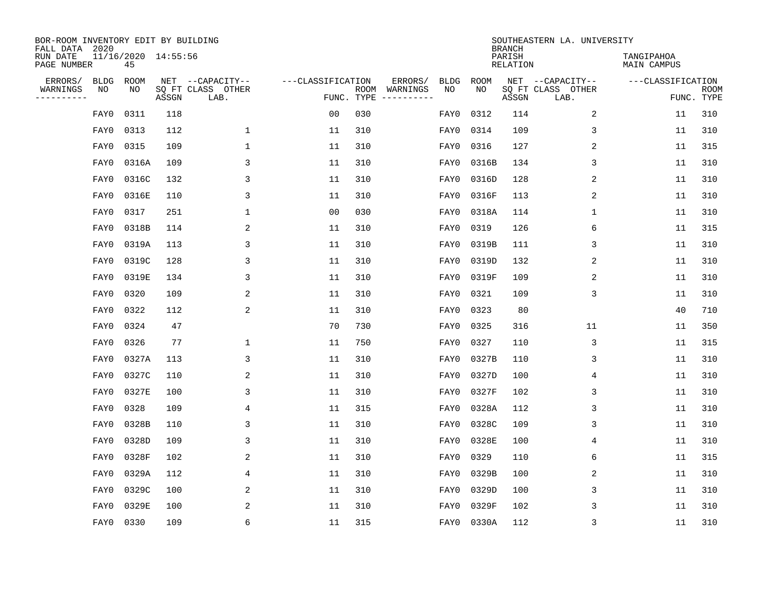| BOR-ROOM INVENTORY EDIT BY BUILDING<br>FALL DATA 2020 |                   |                           |       |                           |                   |                    |                         |                   |                   | <b>BRANCH</b>             | SOUTHEASTERN LA. UNIVERSITY |                                  |                           |
|-------------------------------------------------------|-------------------|---------------------------|-------|---------------------------|-------------------|--------------------|-------------------------|-------------------|-------------------|---------------------------|-----------------------------|----------------------------------|---------------------------|
| RUN DATE<br>PAGE NUMBER                               |                   | 11/16/2020 14:55:56<br>45 |       |                           |                   |                    |                         |                   |                   | PARISH<br><b>RELATION</b> |                             | TANGIPAHOA<br><b>MAIN CAMPUS</b> |                           |
| ERRORS/                                               | <b>BLDG</b><br>NO | ROOM                      |       | NET --CAPACITY--          | ---CLASSIFICATION |                    | ERRORS/                 | <b>BLDG</b><br>NO | <b>ROOM</b><br>NO |                           | NET --CAPACITY--            | ---CLASSIFICATION                |                           |
| WARNINGS<br>----------                                |                   | NO                        | ASSGN | SQ FT CLASS OTHER<br>LAB. |                   | ROOM<br>FUNC. TYPE | WARNINGS<br>----------- |                   |                   | ASSGN                     | SQ FT CLASS OTHER<br>LAB.   |                                  | <b>ROOM</b><br>FUNC. TYPE |
|                                                       | FAY0              | 0311                      | 118   |                           | 0 <sub>0</sub>    | 030                |                         | FAY0              | 0312              | 114                       | 2                           | 11                               | 310                       |
|                                                       | FAY0              | 0313                      | 112   | 1                         | 11                | 310                |                         | FAY0              | 0314              | 109                       | 3                           | 11                               | 310                       |
|                                                       | FAY0              | 0315                      | 109   | $\mathbf 1$               | 11                | 310                |                         | FAY0              | 0316              | 127                       | 2                           | 11                               | 315                       |
|                                                       | FAY0              | 0316A                     | 109   | 3                         | 11                | 310                |                         | FAY0              | 0316B             | 134                       | 3                           | 11                               | 310                       |
|                                                       | FAY0              | 0316C                     | 132   | 3                         | 11                | 310                |                         | FAY0              | 0316D             | 128                       | 2                           | 11                               | 310                       |
|                                                       | FAY0              | 0316E                     | 110   | 3                         | 11                | 310                |                         | FAY0              | 0316F             | 113                       | 2                           | 11                               | 310                       |
|                                                       | FAY0              | 0317                      | 251   | $\mathbf{1}$              | 0 <sub>0</sub>    | 030                |                         | FAY0              | 0318A             | 114                       | $\mathbf 1$                 | 11                               | 310                       |
|                                                       | FAY0              | 0318B                     | 114   | 2                         | 11                | 310                |                         | FAY0              | 0319              | 126                       | 6                           | 11                               | 315                       |
|                                                       | FAY0              | 0319A                     | 113   | 3                         | 11                | 310                |                         | FAY0              | 0319B             | 111                       | 3                           | 11                               | 310                       |
|                                                       | FAY0              | 0319C                     | 128   | 3                         | 11                | 310                |                         | FAY0              | 0319D             | 132                       | 2                           | 11                               | 310                       |
|                                                       | FAY0              | 0319E                     | 134   | 3                         | 11                | 310                |                         | FAY0              | 0319F             | 109                       | 2                           | 11                               | 310                       |
|                                                       | FAY0              | 0320                      | 109   | 2                         | 11                | 310                |                         | FAY0              | 0321              | 109                       | 3                           | 11                               | 310                       |
|                                                       | FAY0              | 0322                      | 112   | 2                         | 11                | 310                |                         | FAY0              | 0323              | 80                        |                             | 40                               | 710                       |
|                                                       | FAY0              | 0324                      | 47    |                           | 70                | 730                |                         | FAY0              | 0325              | 316                       | 11                          | 11                               | 350                       |
|                                                       | FAY0              | 0326                      | 77    | 1                         | 11                | 750                |                         | FAY0              | 0327              | 110                       | 3                           | 11                               | 315                       |
|                                                       | FAY0              | 0327A                     | 113   | 3                         | 11                | 310                |                         | FAY0              | 0327B             | 110                       | 3                           | 11                               | 310                       |
|                                                       | FAY0              | 0327C                     | 110   | 2                         | 11                | 310                |                         | FAY0              | 0327D             | 100                       | 4                           | 11                               | 310                       |
|                                                       | FAY0              | 0327E                     | 100   | 3                         | 11                | 310                |                         | FAY0              | 0327F             | 102                       | 3                           | 11                               | 310                       |
|                                                       | FAY0              | 0328                      | 109   | 4                         | 11                | 315                |                         | FAY0              | 0328A             | 112                       | 3                           | 11                               | 310                       |
|                                                       | FAY0              | 0328B                     | 110   | 3                         | 11                | 310                |                         | FAY0              | 0328C             | 109                       | 3                           | 11                               | 310                       |
|                                                       | FAY0              | 0328D                     | 109   | 3                         | 11                | 310                |                         | FAY0              | 0328E             | 100                       | 4                           | 11                               | 310                       |
|                                                       | FAY0              | 0328F                     | 102   | 2                         | 11                | 310                |                         | FAY0              | 0329              | 110                       | 6                           | 11                               | 315                       |
|                                                       | FAY0              | 0329A                     | 112   | 4                         | 11                | 310                |                         | FAY0              | 0329B             | 100                       | 2                           | 11                               | 310                       |
|                                                       | FAY0              | 0329C                     | 100   | 2                         | 11                | 310                |                         | FAY0              | 0329D             | 100                       | 3                           | 11                               | 310                       |
|                                                       | FAY0              | 0329E                     | 100   | 2                         | 11                | 310                |                         | FAY0              | 0329F             | 102                       | 3                           | 11                               | 310                       |
|                                                       | FAY0              | 0330                      | 109   | 6                         | 11                | 315                |                         |                   | FAY0 0330A        | 112                       | 3                           | 11                               | 310                       |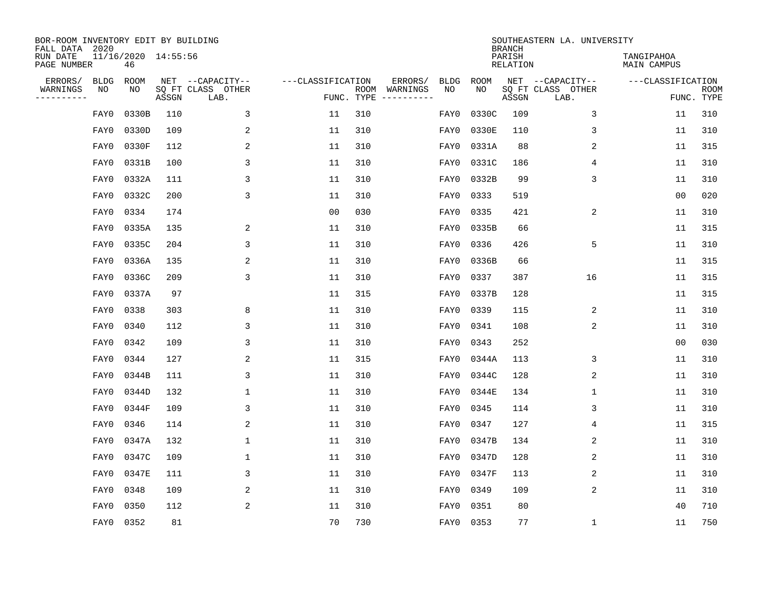| BOR-ROOM INVENTORY EDIT BY BUILDING<br>FALL DATA 2020 |             |                           |       |                           |                   |                    |                         |             |           | <b>BRANCH</b>             | SOUTHEASTERN LA. UNIVERSITY |                                  |                           |
|-------------------------------------------------------|-------------|---------------------------|-------|---------------------------|-------------------|--------------------|-------------------------|-------------|-----------|---------------------------|-----------------------------|----------------------------------|---------------------------|
| RUN DATE<br>PAGE NUMBER                               |             | 11/16/2020 14:55:56<br>46 |       |                           |                   |                    |                         |             |           | PARISH<br><b>RELATION</b> |                             | TANGIPAHOA<br><b>MAIN CAMPUS</b> |                           |
| ERRORS/                                               | <b>BLDG</b> | ROOM                      |       | NET --CAPACITY--          | ---CLASSIFICATION |                    | ERRORS/                 | <b>BLDG</b> | ROOM      |                           | NET --CAPACITY--            | ---CLASSIFICATION                |                           |
| WARNINGS<br>----------                                | NO          | NO                        | ASSGN | SQ FT CLASS OTHER<br>LAB. |                   | ROOM<br>FUNC. TYPE | WARNINGS<br>----------- | NO          | NO        | ASSGN                     | SQ FT CLASS OTHER<br>LAB.   |                                  | <b>ROOM</b><br>FUNC. TYPE |
|                                                       | FAY0        | 0330B                     | 110   | 3                         | 11                | 310                |                         | FAY0        | 0330C     | 109                       | 3                           | 11                               | 310                       |
|                                                       | FAY0        | 0330D                     | 109   | 2                         | 11                | 310                |                         | FAY0        | 0330E     | 110                       | 3                           | 11                               | 310                       |
|                                                       | FAY0        | 0330F                     | 112   | 2                         | 11                | 310                |                         | FAY0        | 0331A     | 88                        | $\overline{2}$              | 11                               | 315                       |
|                                                       | FAY0        | 0331B                     | 100   | 3                         | 11                | 310                |                         | FAY0        | 0331C     | 186                       | 4                           | 11                               | 310                       |
|                                                       | FAY0        | 0332A                     | 111   | 3                         | 11                | 310                |                         | FAY0        | 0332B     | 99                        | 3                           | 11                               | 310                       |
|                                                       | FAY0        | 0332C                     | 200   | 3                         | 11                | 310                |                         | FAY0        | 0333      | 519                       |                             | 0 <sub>0</sub>                   | 020                       |
|                                                       | FAY0        | 0334                      | 174   |                           | 0 <sub>0</sub>    | 030                |                         | FAY0        | 0335      | 421                       | 2                           | 11                               | 310                       |
|                                                       | FAY0        | 0335A                     | 135   | 2                         | 11                | 310                |                         | FAY0        | 0335B     | 66                        |                             | 11                               | 315                       |
|                                                       | FAY0        | 0335C                     | 204   | 3                         | 11                | 310                |                         | FAY0        | 0336      | 426                       | 5                           | 11                               | 310                       |
|                                                       | FAY0        | 0336A                     | 135   | 2                         | 11                | 310                |                         | FAY0        | 0336B     | 66                        |                             | 11                               | 315                       |
|                                                       | FAY0        | 0336C                     | 209   | 3                         | 11                | 310                |                         | FAY0        | 0337      | 387                       | 16                          | 11                               | 315                       |
|                                                       | FAY0        | 0337A                     | 97    |                           | 11                | 315                |                         | FAY0        | 0337B     | 128                       |                             | 11                               | 315                       |
|                                                       | FAY0        | 0338                      | 303   | 8                         | 11                | 310                |                         | FAY0        | 0339      | 115                       | 2                           | 11                               | 310                       |
|                                                       | FAY0        | 0340                      | 112   | 3                         | 11                | 310                |                         | FAY0        | 0341      | 108                       | 2                           | 11                               | 310                       |
|                                                       | FAY0        | 0342                      | 109   | 3                         | 11                | 310                |                         | FAY0        | 0343      | 252                       |                             | 0 <sub>0</sub>                   | 030                       |
|                                                       | FAY0        | 0344                      | 127   | 2                         | 11                | 315                |                         | FAY0        | 0344A     | 113                       | 3                           | 11                               | 310                       |
|                                                       | FAY0        | 0344B                     | 111   | 3                         | 11                | 310                |                         | FAY0        | 0344C     | 128                       | 2                           | 11                               | 310                       |
|                                                       | FAY0        | 0344D                     | 132   | 1                         | 11                | 310                |                         | FAY0        | 0344E     | 134                       | 1                           | 11                               | 310                       |
|                                                       | FAY0        | 0344F                     | 109   | 3                         | 11                | 310                |                         | FAY0        | 0345      | 114                       | 3                           | 11                               | 310                       |
|                                                       | FAY0        | 0346                      | 114   | 2                         | 11                | 310                |                         | FAY0        | 0347      | 127                       | 4                           | 11                               | 315                       |
|                                                       | FAY0        | 0347A                     | 132   | 1                         | 11                | 310                |                         | FAY0        | 0347B     | 134                       | 2                           | 11                               | 310                       |
|                                                       | FAY0        | 0347C                     | 109   | 1                         | 11                | 310                |                         | FAY0        | 0347D     | 128                       | 2                           | 11                               | 310                       |
|                                                       | FAY0        | 0347E                     | 111   | 3                         | 11                | 310                |                         | FAY0        | 0347F     | 113                       | 2                           | 11                               | 310                       |
|                                                       | FAY0        | 0348                      | 109   | 2                         | 11                | 310                |                         | FAY0        | 0349      | 109                       | 2                           | 11                               | 310                       |
|                                                       | FAY0        | 0350                      | 112   | 2                         | 11                | 310                |                         | FAY0        | 0351      | 80                        |                             | 40                               | 710                       |
|                                                       |             | FAY0 0352                 | 81    |                           | 70                | 730                |                         |             | FAY0 0353 | 77                        | 1                           | 11                               | 750                       |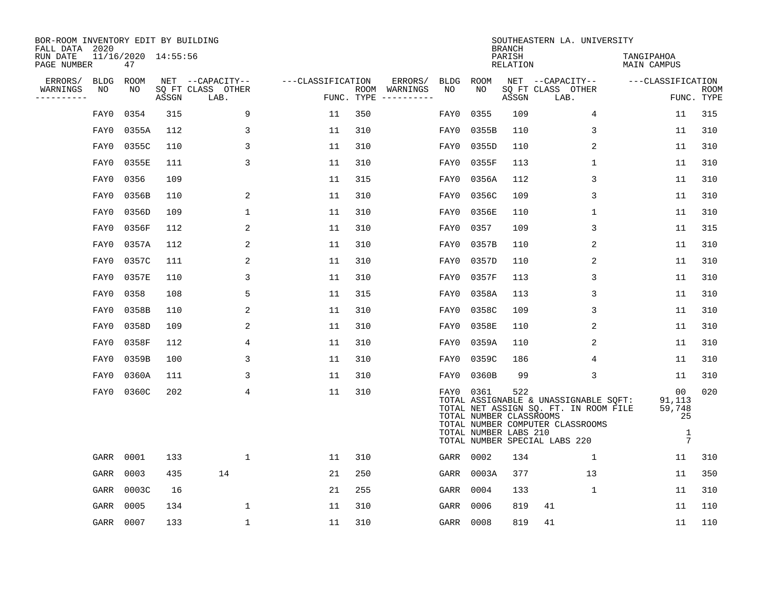| BOR-ROOM INVENTORY EDIT BY BUILDING<br>FALL DATA 2020 |             |       |                     |                           |                   |     |                                      |           |                                                  |                                     | SOUTHEASTERN LA. UNIVERSITY                                                                                                                         |                                                     |                           |
|-------------------------------------------------------|-------------|-------|---------------------|---------------------------|-------------------|-----|--------------------------------------|-----------|--------------------------------------------------|-------------------------------------|-----------------------------------------------------------------------------------------------------------------------------------------------------|-----------------------------------------------------|---------------------------|
| RUN DATE<br>PAGE NUMBER                               |             | 47    | 11/16/2020 14:55:56 |                           |                   |     |                                      |           |                                                  | <b>BRANCH</b><br>PARISH<br>RELATION |                                                                                                                                                     | TANGIPAHOA<br>MAIN CAMPUS                           |                           |
| ERRORS/                                               | <b>BLDG</b> | ROOM  |                     | NET --CAPACITY--          | ---CLASSIFICATION |     | ERRORS/                              |           | BLDG ROOM                                        |                                     | NET --CAPACITY--                                                                                                                                    | ---CLASSIFICATION                                   |                           |
| WARNINGS<br>----------                                | NO          | NO    | ASSGN               | SQ FT CLASS OTHER<br>LAB. |                   |     | ROOM WARNINGS<br>FUNC. TYPE $------$ | NO        | NO                                               | ASSGN                               | SQ FT CLASS OTHER<br>LAB.                                                                                                                           |                                                     | <b>ROOM</b><br>FUNC. TYPE |
|                                                       | FAY0        | 0354  | 315                 | 9                         | 11                | 350 |                                      | FAY0      | 0355                                             | 109                                 | $\overline{4}$                                                                                                                                      | 11                                                  | 315                       |
|                                                       | FAY0        | 0355A | 112                 | 3                         | 11                | 310 |                                      | FAY0      | 0355B                                            | 110                                 | 3                                                                                                                                                   | 11                                                  | 310                       |
|                                                       | FAY0        | 0355C | 110                 | 3                         | 11                | 310 |                                      | FAY0      | 0355D                                            | 110                                 | 2                                                                                                                                                   | 11                                                  | 310                       |
|                                                       | FAY0        | 0355E | 111                 | 3                         | 11                | 310 |                                      | FAY0      | 0355F                                            | 113                                 | $\mathbf 1$                                                                                                                                         | 11                                                  | 310                       |
|                                                       | FAY0        | 0356  | 109                 |                           | 11                | 315 |                                      | FAY0      | 0356A                                            | 112                                 | 3                                                                                                                                                   | 11                                                  | 310                       |
|                                                       | FAY0        | 0356B | 110                 | 2                         | 11                | 310 |                                      | FAY0      | 0356C                                            | 109                                 | 3                                                                                                                                                   | 11                                                  | 310                       |
|                                                       | FAY0        | 0356D | 109                 | 1                         | 11                | 310 |                                      | FAY0      | 0356E                                            | 110                                 | $\mathbf 1$                                                                                                                                         | 11                                                  | 310                       |
|                                                       | FAY0        | 0356F | 112                 | $\overline{2}$            | 11                | 310 |                                      | FAY0      | 0357                                             | 109                                 | 3                                                                                                                                                   | 11                                                  | 315                       |
|                                                       | FAY0        | 0357A | 112                 | 2                         | 11                | 310 |                                      | FAY0      | 0357B                                            | 110                                 | 2                                                                                                                                                   | 11                                                  | 310                       |
|                                                       | FAY0        | 0357C | 111                 | 2                         | 11                | 310 |                                      | FAY0      | 0357D                                            | 110                                 | 2                                                                                                                                                   | 11                                                  | 310                       |
|                                                       | FAY0        | 0357E | 110                 | 3                         | 11                | 310 |                                      | FAY0      | 0357F                                            | 113                                 | 3                                                                                                                                                   | 11                                                  | 310                       |
|                                                       | FAY0        | 0358  | 108                 | 5                         | 11                | 315 |                                      | FAY0      | 0358A                                            | 113                                 | 3                                                                                                                                                   | 11                                                  | 310                       |
|                                                       | FAY0        | 0358B | 110                 | 2                         | 11                | 310 |                                      | FAY0      | 0358C                                            | 109                                 | 3                                                                                                                                                   | 11                                                  | 310                       |
|                                                       | FAY0        | 0358D | 109                 | 2                         | 11                | 310 |                                      | FAY0      | 0358E                                            | 110                                 | 2                                                                                                                                                   | 11                                                  | 310                       |
|                                                       | FAY0        | 0358F | 112                 | 4                         | 11                | 310 |                                      | FAY0      | 0359A                                            | 110                                 | 2                                                                                                                                                   | 11                                                  | 310                       |
|                                                       | FAY0        | 0359B | 100                 | 3                         | 11                | 310 |                                      | FAY0      | 0359C                                            | 186                                 | 4                                                                                                                                                   | 11                                                  | 310                       |
|                                                       | FAY0        | 0360A | 111                 | 3                         | 11                | 310 |                                      | FAY0      | 0360B                                            | 99                                  | 3                                                                                                                                                   | 11                                                  | 310                       |
|                                                       | FAY0        | 0360C | 202                 | 4                         | 11                | 310 |                                      | FAY0 0361 | TOTAL NUMBER CLASSROOMS<br>TOTAL NUMBER LABS 210 | 522                                 | TOTAL ASSIGNABLE & UNASSIGNABLE SQFT:<br>TOTAL NET ASSIGN SQ. FT. IN ROOM FILE<br>TOTAL NUMBER COMPUTER CLASSROOMS<br>TOTAL NUMBER SPECIAL LABS 220 | 00<br>91,113<br>59,748<br>25<br>1<br>$\overline{7}$ | 020                       |
|                                                       | GARR        | 0001  | 133                 | $\mathbf{1}$              | 11                | 310 |                                      |           | GARR 0002                                        | 134                                 | $\mathbf{1}$                                                                                                                                        | 11                                                  | 310                       |
|                                                       | GARR        | 0003  | 435                 | 14                        | 21                | 250 |                                      | GARR      | 0003A                                            | 377                                 | 13                                                                                                                                                  | 11                                                  | 350                       |
|                                                       | GARR        | 0003C | 16                  |                           | 21                | 255 |                                      |           | GARR 0004                                        | 133                                 | $\mathbf 1$                                                                                                                                         | 11                                                  | 310                       |
|                                                       | GARR        | 0005  | 134                 | 1                         | 11                | 310 |                                      | GARR      | 0006                                             | 819                                 | 41                                                                                                                                                  | 11                                                  | 110                       |
|                                                       | GARR 0007   |       | 133                 | $\mathbf{1}$              | 11                | 310 |                                      | GARR 0008 |                                                  | 819                                 | 41                                                                                                                                                  | 11                                                  | 110                       |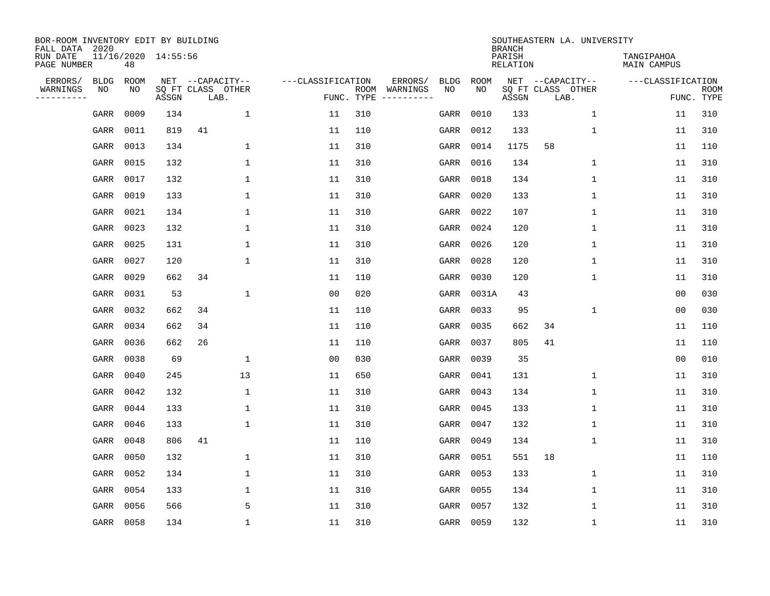| BOR-ROOM INVENTORY EDIT BY BUILDING<br>FALL DATA 2020 |                           |       |                           |                   |            |                              |             |             | <b>BRANCH</b>             | SOUTHEASTERN LA. UNIVERSITY |                           |                           |
|-------------------------------------------------------|---------------------------|-------|---------------------------|-------------------|------------|------------------------------|-------------|-------------|---------------------------|-----------------------------|---------------------------|---------------------------|
| RUN DATE<br>PAGE NUMBER                               | 11/16/2020 14:55:56<br>48 |       |                           |                   |            |                              |             |             | PARISH<br><b>RELATION</b> |                             | TANGIPAHOA<br>MAIN CAMPUS |                           |
| ERRORS/<br><b>BLDG</b>                                | <b>ROOM</b>               |       | NET --CAPACITY--          | ---CLASSIFICATION |            | ERRORS/                      | <b>BLDG</b> | <b>ROOM</b> |                           | NET --CAPACITY--            | ---CLASSIFICATION         |                           |
| WARNINGS<br>NO<br>----------                          | NO                        | ASSGN | SQ FT CLASS OTHER<br>LAB. |                   | FUNC. TYPE | ROOM WARNINGS<br>----------- | NO          | NO          | ASSGN                     | SQ FT CLASS OTHER<br>LAB.   |                           | <b>ROOM</b><br>FUNC. TYPE |
| GARR                                                  | 0009                      | 134   | 1                         | 11                | 310        |                              | GARR        | 0010        | 133                       | $\mathbf 1$                 | 11                        | 310                       |
| GARR                                                  | 0011                      | 819   | 41                        | 11                | 110        |                              | GARR        | 0012        | 133                       | 1                           | 11                        | 310                       |
| GARR                                                  | 0013                      | 134   | 1                         | 11                | 310        |                              | GARR        | 0014        | 1175                      | 58                          | 11                        | 110                       |
| GARR                                                  | 0015                      | 132   | $\mathbf{1}$              | 11                | 310        |                              | GARR        | 0016        | 134                       | $\mathbf 1$                 | 11                        | 310                       |
| GARR                                                  | 0017                      | 132   | $\mathbf{1}$              | 11                | 310        |                              | GARR        | 0018        | 134                       | 1                           | 11                        | 310                       |
| GARR                                                  | 0019                      | 133   | $\mathbf{1}$              | 11                | 310        |                              | GARR        | 0020        | 133                       | 1                           | 11                        | 310                       |
| GARR                                                  | 0021                      | 134   | $\mathbf{1}$              | 11                | 310        |                              | GARR        | 0022        | 107                       | $\mathbf{1}$                | 11                        | 310                       |
| GARR                                                  | 0023                      | 132   | $\mathbf{1}$              | 11                | 310        |                              | GARR        | 0024        | 120                       | $\mathbf{1}$                | 11                        | 310                       |
| GARR                                                  | 0025                      | 131   | $\mathbf{1}$              | 11                | 310        |                              | GARR        | 0026        | 120                       | $\mathbf{1}$                | 11                        | 310                       |
| GARR                                                  | 0027                      | 120   | $\mathbf{1}$              | 11                | 310        |                              | GARR        | 0028        | 120                       | $\mathbf 1$                 | 11                        | 310                       |
| GARR                                                  | 0029                      | 662   | 34                        | 11                | 110        |                              | GARR        | 0030        | 120                       | $\mathbf 1$                 | 11                        | 310                       |
| GARR                                                  | 0031                      | 53    | $\mathbf{1}$              | 0 <sub>0</sub>    | 020        |                              | GARR        | 0031A       | 43                        |                             | 0 <sub>0</sub>            | 030                       |
| GARR                                                  | 0032                      | 662   | 34                        | 11                | 110        |                              | GARR        | 0033        | 95                        | $\mathbf 1$                 | 0 <sub>0</sub>            | 030                       |
| GARR                                                  | 0034                      | 662   | 34                        | 11                | 110        |                              | GARR        | 0035        | 662                       | 34                          | 11                        | 110                       |
| GARR                                                  | 0036                      | 662   | 26                        | 11                | 110        |                              | GARR        | 0037        | 805                       | 41                          | 11                        | 110                       |
| GARR                                                  | 0038                      | 69    | 1                         | 00                | 030        |                              | GARR        | 0039        | 35                        |                             | 00                        | 010                       |
| GARR                                                  | 0040                      | 245   | 13                        | 11                | 650        |                              | GARR        | 0041        | 131                       | 1                           | 11                        | 310                       |
| GARR                                                  | 0042                      | 132   | 1                         | 11                | 310        |                              | GARR        | 0043        | 134                       | 1                           | 11                        | 310                       |
| GARR                                                  | 0044                      | 133   | 1                         | 11                | 310        |                              | GARR        | 0045        | 133                       | 1                           | 11                        | 310                       |
| GARR                                                  | 0046                      | 133   | $\mathbf{1}$              | 11                | 310        |                              | GARR        | 0047        | 132                       | 1                           | 11                        | 310                       |
| GARR                                                  | 0048                      | 806   | 41                        | 11                | 110        |                              | GARR        | 0049        | 134                       | $\mathbf 1$                 | 11                        | 310                       |
| GARR                                                  | 0050                      | 132   | $\mathbf{1}$              | 11                | 310        |                              | GARR        | 0051        | 551                       | 18                          | 11                        | 110                       |
| GARR                                                  | 0052                      | 134   | $\mathbf{1}$              | 11                | 310        |                              | GARR        | 0053        | 133                       | $\mathbf 1$                 | 11                        | 310                       |
| GARR                                                  | 0054                      | 133   | $\mathbf{1}$              | 11                | 310        |                              | GARR        | 0055        | 134                       | 1                           | 11                        | 310                       |
| GARR                                                  | 0056                      | 566   | 5                         | 11                | 310        |                              | GARR        | 0057        | 132                       | 1                           | 11                        | 310                       |
|                                                       | GARR 0058                 | 134   | $\mathbf{1}$              | 11                | 310        |                              |             | GARR 0059   | 132                       | 1                           | 11                        | 310                       |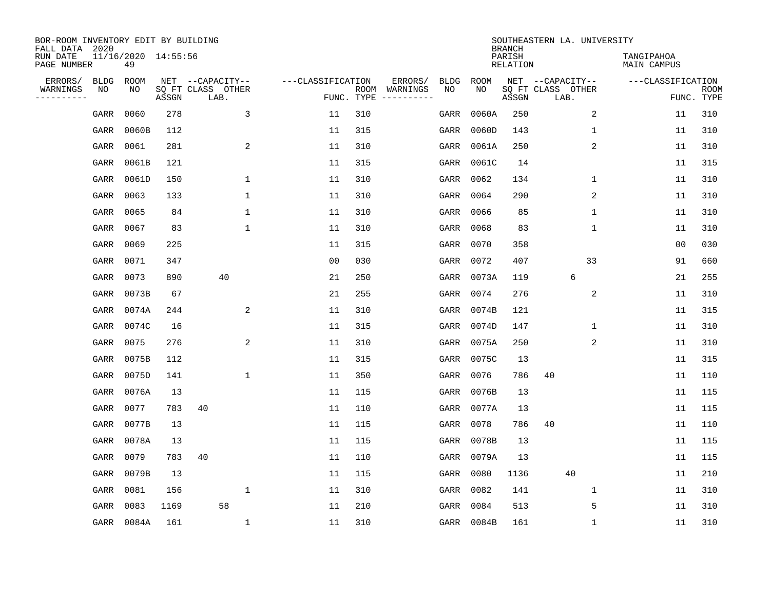| BOR-ROOM INVENTORY EDIT BY BUILDING<br>FALL DATA 2020 |             |                           |       |                           |                   |                    |          |             |            | <b>BRANCH</b>             | SOUTHEASTERN LA. UNIVERSITY |                                  |                           |
|-------------------------------------------------------|-------------|---------------------------|-------|---------------------------|-------------------|--------------------|----------|-------------|------------|---------------------------|-----------------------------|----------------------------------|---------------------------|
| RUN DATE<br>PAGE NUMBER                               |             | 11/16/2020 14:55:56<br>49 |       |                           |                   |                    |          |             |            | PARISH<br><b>RELATION</b> |                             | TANGIPAHOA<br><b>MAIN CAMPUS</b> |                           |
| ERRORS/                                               | <b>BLDG</b> | ROOM                      |       | NET --CAPACITY--          | ---CLASSIFICATION |                    | ERRORS/  | <b>BLDG</b> | ROOM       |                           | NET --CAPACITY--            | ---CLASSIFICATION                |                           |
| WARNINGS<br>----------                                | ΝO          | NO                        | ASSGN | SQ FT CLASS OTHER<br>LAB. |                   | ROOM<br>FUNC. TYPE | WARNINGS | NO          | NO         | ASSGN                     | SQ FT CLASS OTHER<br>LAB.   |                                  | <b>ROOM</b><br>FUNC. TYPE |
|                                                       | GARR        | 0060                      | 278   | 3                         | 11                | 310                |          | GARR        | 0060A      | 250                       | 2                           | 11                               | 310                       |
|                                                       | GARR        | 0060B                     | 112   |                           | 11                | 315                |          | GARR        | 0060D      | 143                       | 1                           | 11                               | 310                       |
|                                                       | GARR        | 0061                      | 281   | $\overline{\mathbf{c}}$   | 11                | 310                |          | GARR        | 0061A      | 250                       | $\sqrt{2}$                  | 11                               | 310                       |
|                                                       | GARR        | 0061B                     | 121   |                           | 11                | 315                |          | GARR        | 0061C      | 14                        |                             | 11                               | 315                       |
|                                                       | GARR        | 0061D                     | 150   | $\mathbf 1$               | 11                | 310                |          | GARR        | 0062       | 134                       | 1                           | 11                               | 310                       |
|                                                       | GARR        | 0063                      | 133   | $\mathbf{1}$              | 11                | 310                |          | GARR        | 0064       | 290                       | $\overline{c}$              | 11                               | 310                       |
|                                                       | GARR        | 0065                      | 84    | $\mathbf{1}$              | 11                | 310                |          | GARR        | 0066       | 85                        | $\mathbf{1}$                | 11                               | 310                       |
|                                                       | GARR        | 0067                      | 83    | $\mathbf{1}$              | 11                | 310                |          | GARR        | 0068       | 83                        | $\mathbf 1$                 | 11                               | 310                       |
|                                                       | GARR        | 0069                      | 225   |                           | 11                | 315                |          | GARR        | 0070       | 358                       |                             | 0 <sub>0</sub>                   | 030                       |
|                                                       | GARR        | 0071                      | 347   |                           | 0 <sub>0</sub>    | 030                |          | GARR        | 0072       | 407                       | 33                          | 91                               | 660                       |
|                                                       | GARR        | 0073                      | 890   | 40                        | 21                | 250                |          | GARR        | 0073A      | 119                       | 6                           | 21                               | 255                       |
|                                                       | GARR        | 0073B                     | 67    |                           | 21                | 255                |          | GARR        | 0074       | 276                       | 2                           | 11                               | 310                       |
|                                                       | GARR        | 0074A                     | 244   | 2                         | 11                | 310                |          | GARR        | 0074B      | 121                       |                             | 11                               | 315                       |
|                                                       | GARR        | 0074C                     | 16    |                           | 11                | 315                |          | GARR        | 0074D      | 147                       | 1                           | 11                               | 310                       |
|                                                       | GARR        | 0075                      | 276   | $\overline{a}$            | 11                | 310                |          | GARR        | 0075A      | 250                       | 2                           | 11                               | 310                       |
|                                                       | GARR        | 0075B                     | 112   |                           | 11                | 315                |          | GARR        | 0075C      | 13                        |                             | 11                               | 315                       |
|                                                       | GARR        | 0075D                     | 141   | $\mathbf{1}$              | 11                | 350                |          | GARR        | 0076       | 786                       | 40                          | 11                               | 110                       |
|                                                       | GARR        | 0076A                     | 13    |                           | 11                | 115                |          | GARR        | 0076B      | 13                        |                             | 11                               | 115                       |
|                                                       | GARR        | 0077                      | 783   | 40                        | 11                | 110                |          | GARR        | 0077A      | 13                        |                             | 11                               | 115                       |
|                                                       | GARR        | 0077B                     | 13    |                           | 11                | 115                |          | GARR        | 0078       | 786                       | 40                          | 11                               | 110                       |
|                                                       | GARR        | 0078A                     | 13    |                           | 11                | 115                |          | GARR        | 0078B      | 13                        |                             | 11                               | 115                       |
|                                                       | GARR        | 0079                      | 783   | 40                        | 11                | 110                |          | GARR        | 0079A      | 13                        |                             | 11                               | 115                       |
|                                                       | GARR        | 0079B                     | 13    |                           | 11                | 115                |          | GARR        | 0080       | 1136                      | 40                          | 11                               | 210                       |
|                                                       | GARR        | 0081                      | 156   | 1                         | 11                | 310                |          | GARR        | 0082       | 141                       | 1                           | 11                               | 310                       |
|                                                       | GARR        | 0083                      | 1169  | 58                        | 11                | 210                |          | GARR        | 0084       | 513                       | 5                           | 11                               | 310                       |
|                                                       |             | GARR 0084A                | 161   | $\mathbf{1}$              | 11                | 310                |          |             | GARR 0084B | 161                       | 1                           | 11                               | 310                       |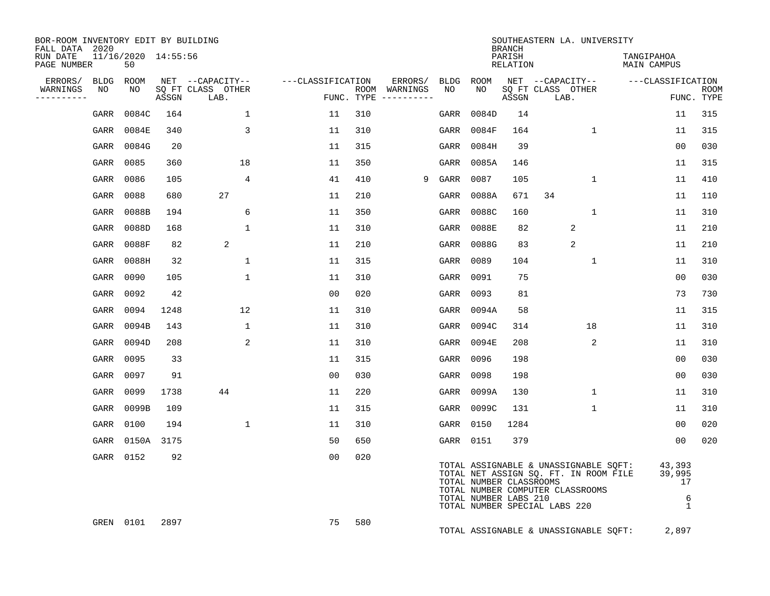| BOR-ROOM INVENTORY EDIT BY BUILDING<br>FALL DATA 2020 |                           |            |                                       |                   |            |                          |            |                                                  | <b>BRANCH</b>             | SOUTHEASTERN LA. UNIVERSITY                                                                                                                         |                                             |             |
|-------------------------------------------------------|---------------------------|------------|---------------------------------------|-------------------|------------|--------------------------|------------|--------------------------------------------------|---------------------------|-----------------------------------------------------------------------------------------------------------------------------------------------------|---------------------------------------------|-------------|
| RUN DATE<br>PAGE NUMBER                               | 11/16/2020 14:55:56<br>50 |            |                                       |                   |            |                          |            |                                                  | PARISH<br><b>RELATION</b> |                                                                                                                                                     | TANGIPAHOA<br>MAIN CAMPUS                   |             |
| ERRORS/<br><b>BLDG</b><br>WARNINGS<br>NO              | ROOM<br>NO                |            | NET --CAPACITY--<br>SO FT CLASS OTHER | ---CLASSIFICATION |            | ERRORS/<br>ROOM WARNINGS | BLDG<br>NO | ROOM<br>NO.                                      |                           | NET --CAPACITY--<br>SO FT CLASS OTHER                                                                                                               | ---CLASSIFICATION                           | <b>ROOM</b> |
| ----------                                            |                           | ASSGN      | LAB.                                  |                   | FUNC. TYPE |                          |            |                                                  | ASSGN                     | LAB.                                                                                                                                                |                                             | FUNC. TYPE  |
| GARR                                                  | 0084C                     | 164        | $\mathbf{1}$                          | 11                | 310        |                          | GARR       | 0084D                                            | 14                        |                                                                                                                                                     | 11                                          | 315         |
| GARR                                                  | 0084E                     | 340        | 3                                     | 11                | 310        |                          | GARR       | 0084F                                            | 164                       | 1                                                                                                                                                   | 11                                          | 315         |
| GARR                                                  | 0084G                     | 20         |                                       | 11                | 315        |                          | GARR       | 0084H                                            | 39                        |                                                                                                                                                     | 0 <sub>0</sub>                              | 030         |
| GARR                                                  | 0085                      | 360        | 18                                    | 11                | 350        |                          | GARR       | 0085A                                            | 146                       |                                                                                                                                                     | 11                                          | 315         |
| GARR                                                  | 0086                      | 105        | 4                                     | 41                | 410        | 9                        | GARR       | 0087                                             | 105                       | $\mathbf 1$                                                                                                                                         | 11                                          | 410         |
| GARR                                                  | 0088                      | 680        | 27                                    | 11                | 210        |                          | GARR       | 0088A                                            | 671                       | 34                                                                                                                                                  | 11                                          | 110         |
| GARR                                                  | 0088B                     | 194        | 6                                     | 11                | 350        |                          | GARR       | 0088C                                            | 160                       | $\mathbf 1$                                                                                                                                         | 11                                          | 310         |
| GARR                                                  | 0088D                     | 168        | $\mathbf{1}$                          | 11                | 310        |                          | GARR       | 0088E                                            | 82                        | 2                                                                                                                                                   | 11                                          | 210         |
| GARR                                                  | 0088F                     | 82         | 2                                     | 11                | 210        |                          | GARR       | 0088G                                            | 83                        | 2                                                                                                                                                   | 11                                          | 210         |
| GARR                                                  | 0088H                     | 32         | $\mathbf{1}$                          | 11                | 315        |                          | GARR       | 0089                                             | 104                       | $\mathbf{1}$                                                                                                                                        | 11                                          | 310         |
| GARR                                                  | 0090                      | 105        | $\mathbf{1}$                          | 11                | 310        |                          | GARR       | 0091                                             | 75                        |                                                                                                                                                     | 0 <sub>0</sub>                              | 030         |
| GARR                                                  | 0092                      | 42         |                                       | 0 <sub>0</sub>    | 020        |                          | GARR       | 0093                                             | 81                        |                                                                                                                                                     | 73                                          | 730         |
| GARR                                                  | 0094                      | 1248       | 12                                    | 11                | 310        |                          | GARR       | 0094A                                            | 58                        |                                                                                                                                                     | 11                                          | 315         |
| GARR                                                  | 0094B                     | 143        | $\mathbf{1}$                          | 11                | 310        |                          | GARR       | 0094C                                            | 314                       | 18                                                                                                                                                  | 11                                          | 310         |
| GARR                                                  | 0094D                     | 208        | 2                                     | 11                | 310        |                          | GARR       | 0094E                                            | 208                       | 2                                                                                                                                                   | 11                                          | 310         |
| GARR                                                  | 0095                      | 33         |                                       | 11                | 315        |                          | GARR       | 0096                                             | 198                       |                                                                                                                                                     | 0 <sub>0</sub>                              | 030         |
| GARR                                                  | 0097                      | 91         |                                       | 0 <sub>0</sub>    | 030        |                          | GARR       | 0098                                             | 198                       |                                                                                                                                                     | 0 <sub>0</sub>                              | 030         |
| GARR                                                  | 0099                      | 1738       | 44                                    | 11                | 220        |                          | GARR       | 0099A                                            | 130                       | 1                                                                                                                                                   | 11                                          | 310         |
| GARR                                                  | 0099B                     | 109        |                                       | 11                | 315        |                          | GARR       | 0099C                                            | 131                       | $\mathbf{1}$                                                                                                                                        | 11                                          | 310         |
| GARR                                                  | 0100                      | 194        | $\mathbf{1}$                          | 11                | 310        |                          | GARR       | 0150                                             | 1284                      |                                                                                                                                                     | 0 <sub>0</sub>                              | 020         |
| GARR                                                  |                           | 0150A 3175 |                                       | 50                | 650        |                          |            | GARR 0151                                        | 379                       |                                                                                                                                                     | 0 <sub>0</sub>                              | 020         |
|                                                       | GARR 0152                 | 92         |                                       | 0 <sub>0</sub>    | 020        |                          |            | TOTAL NUMBER CLASSROOMS<br>TOTAL NUMBER LABS 210 |                           | TOTAL ASSIGNABLE & UNASSIGNABLE SQFT:<br>TOTAL NET ASSIGN SQ. FT. IN ROOM FILE<br>TOTAL NUMBER COMPUTER CLASSROOMS<br>TOTAL NUMBER SPECIAL LABS 220 | 43,393<br>39,995<br>17<br>6<br>$\mathbf{1}$ |             |
| GREN                                                  | 0101                      | 2897       |                                       | 75                | 580        |                          |            |                                                  |                           | TOTAL ASSIGNABLE & UNASSIGNABLE SQFT:                                                                                                               | 2,897                                       |             |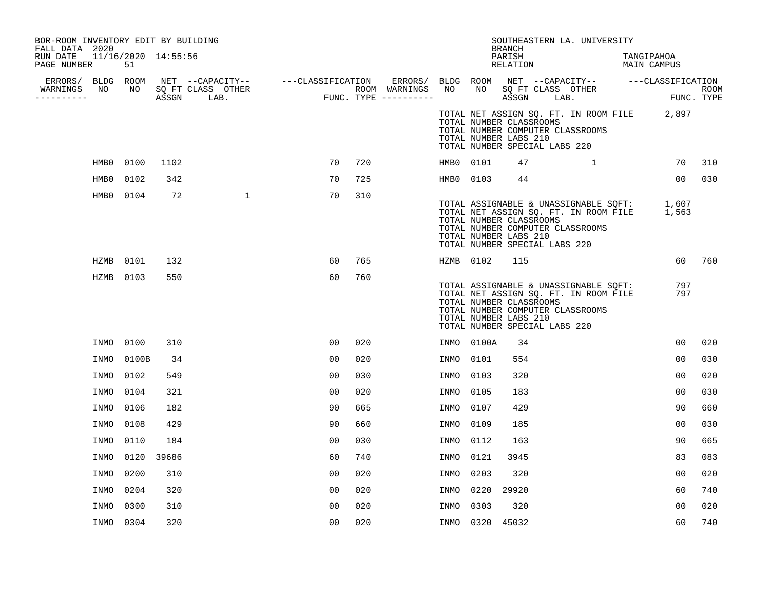| BOR-ROOM INVENTORY EDIT BY BUILDING<br>FALL DATA 2020 |             |           |                     |                                                                                                                               |                |     |                          |                 |                 | BRANCH                                           | SOUTHEASTERN LA. UNIVERSITY                                                                                                                                     |                           |            |
|-------------------------------------------------------|-------------|-----------|---------------------|-------------------------------------------------------------------------------------------------------------------------------|----------------|-----|--------------------------|-----------------|-----------------|--------------------------------------------------|-----------------------------------------------------------------------------------------------------------------------------------------------------------------|---------------------------|------------|
| RUN DATE<br>PAGE NUMBER                               |             | 51        | 11/16/2020 14:55:56 |                                                                                                                               |                |     |                          |                 |                 | PARISH<br>RELATION                               |                                                                                                                                                                 | TANGIPAHOA<br>MAIN CAMPUS |            |
| WARNINGS                                              |             |           |                     | ERRORS/ BLDG ROOM NET --CAPACITY-- ----CLASSIFICATION<br>VARNINGS NO NO SQFT CLASS OTHER --------- ROOM ASSGN LAB. FUNC. TYPE |                |     | ERRORS/<br>ROOM WARNINGS | BLDG ROOM<br>NO | NO              |                                                  | NET --CAPACITY-- ---CLASSIFICATION<br>SQ FT CLASS OTHER                                                                                                         |                           | ROOM       |
| ----------                                            |             |           |                     |                                                                                                                               |                |     | FUNC. TYPE $------$      |                 |                 |                                                  | ASSGN LAB.                                                                                                                                                      |                           | FUNC. TYPE |
|                                                       |             |           |                     |                                                                                                                               |                |     |                          |                 |                 | TOTAL NUMBER CLASSROOMS<br>TOTAL NUMBER LABS 210 | TOTAL NET ASSIGN SQ. FT. IN ROOM FILE 2,897<br>TOTAL NUMBER COMPUTER CLASSROOMS<br>TOTAL NUMBER SPECIAL LABS 220                                                |                           |            |
|                                                       | HMB0        | 0100      | 1102                |                                                                                                                               | 70             | 720 |                          | HMB0 0101       |                 | 47                                               | $\mathbf{1}$                                                                                                                                                    | 70                        | 310        |
|                                                       | HMB0        | 0102      | 342                 |                                                                                                                               | 70             | 725 |                          | HMB0 0103       |                 | 44                                               |                                                                                                                                                                 | 00                        | 030        |
|                                                       |             | HMB0 0104 | 72                  | $\mathbf{1}$                                                                                                                  | 70             | 310 |                          |                 |                 | TOTAL NUMBER CLASSROOMS<br>TOTAL NUMBER LABS 210 | TOTAL ASSIGNABLE & UNASSIGNABLE SQFT: 1,607<br>TOTAL NET ASSIGN SQ. FT. IN ROOM FILE 1,563<br>TOTAL NUMBER COMPUTER CLASSROOMS<br>TOTAL NUMBER SPECIAL LABS 220 |                           |            |
|                                                       | HZMB        | 0101      | 132                 |                                                                                                                               | 60             | 765 |                          | HZMB 0102       |                 | 115                                              |                                                                                                                                                                 | 60                        | 760        |
|                                                       |             | HZMB 0103 | 550                 |                                                                                                                               | 60             | 760 |                          |                 |                 | TOTAL NUMBER CLASSROOMS<br>TOTAL NUMBER LABS 210 | TOTAL ASSIGNABLE & UNASSIGNABLE SQFT:<br>TOTAL NET ASSIGN SQ. FT. IN ROOM FILE<br>TOTAL NUMBER COMPUTER CLASSROOMS<br>TOTAL NUMBER SPECIAL LABS 220             | 797<br>797                |            |
|                                                       | INMO        | 0100      | 310                 |                                                                                                                               | 00             | 020 |                          |                 | INMO 0100A      | 34                                               |                                                                                                                                                                 | 00                        | 020        |
|                                                       | INMO        | 0100B     | 34                  |                                                                                                                               | 0 <sub>0</sub> | 020 |                          | INMO            | 0101            | 554                                              |                                                                                                                                                                 | 00                        | 030        |
|                                                       | INMO        | 0102      | 549                 |                                                                                                                               | 0 <sub>0</sub> | 030 |                          | INMO            | 0103            | 320                                              |                                                                                                                                                                 | 00                        | 020        |
|                                                       | INMO        | 0104      | 321                 |                                                                                                                               | 0 <sub>0</sub> | 020 |                          | INMO            | 0105            | 183                                              |                                                                                                                                                                 | 0 <sub>0</sub>            | 030        |
|                                                       | INMO        | 0106      | 182                 |                                                                                                                               | 90             | 665 |                          | INMO            | 0107            | 429                                              |                                                                                                                                                                 | 90                        | 660        |
|                                                       | INMO        | 0108      | 429                 |                                                                                                                               | 90             | 660 |                          | INMO            | 0109            | 185                                              |                                                                                                                                                                 | 0 <sub>0</sub>            | 030        |
|                                                       | INMO        | 0110      | 184                 |                                                                                                                               | 0 <sub>0</sub> | 030 |                          | INMO            | 0112            | 163                                              |                                                                                                                                                                 | 90                        | 665        |
|                                                       | INMO        | 0120      | 39686               |                                                                                                                               | 60             | 740 |                          | INMO            | 0121            | 3945                                             |                                                                                                                                                                 | 83                        | 083        |
|                                                       | INMO        | 0200      | 310                 |                                                                                                                               | 0 <sub>0</sub> | 020 |                          | INMO            | 0203            | 320                                              |                                                                                                                                                                 | 00                        | 020        |
|                                                       | INMO        | 0204      | 320                 |                                                                                                                               | 0 <sub>0</sub> | 020 |                          | INMO            | 0220            | 29920                                            |                                                                                                                                                                 | 60                        | 740        |
|                                                       | <b>INMO</b> | 0300      | 310                 |                                                                                                                               | 0 <sub>0</sub> | 020 |                          | INMO            | 0303            | 320                                              |                                                                                                                                                                 | 00                        | 020        |
|                                                       |             | INMO 0304 | 320                 |                                                                                                                               | 0 <sub>0</sub> | 020 |                          |                 | INMO 0320 45032 |                                                  |                                                                                                                                                                 | 60                        | 740        |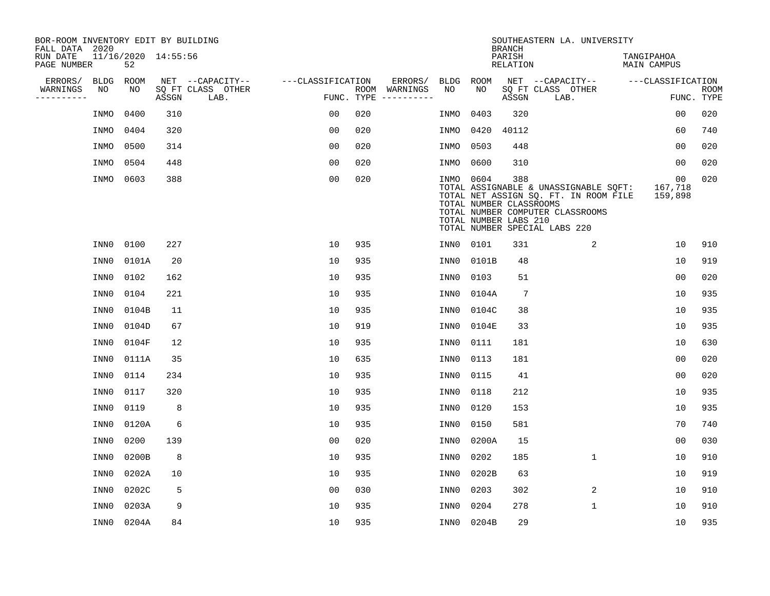| BOR-ROOM INVENTORY EDIT BY BUILDING<br>FALL DATA 2020 |             |       |                     |                           |                   |            |               |           |                                                  | <b>BRANCH</b>             | SOUTHEASTERN LA. UNIVERSITY                                                                                                                         |                                  |                           |
|-------------------------------------------------------|-------------|-------|---------------------|---------------------------|-------------------|------------|---------------|-----------|--------------------------------------------------|---------------------------|-----------------------------------------------------------------------------------------------------------------------------------------------------|----------------------------------|---------------------------|
| RUN DATE<br>PAGE NUMBER                               | 52          |       | 11/16/2020 14:55:56 |                           |                   |            |               |           |                                                  | PARISH<br><b>RELATION</b> |                                                                                                                                                     | TANGIPAHOA<br><b>MAIN CAMPUS</b> |                           |
| ERRORS/                                               | <b>BLDG</b> | ROOM  |                     | NET --CAPACITY--          | ---CLASSIFICATION |            | ERRORS/       | BLDG      | ROOM                                             |                           | NET --CAPACITY--                                                                                                                                    | ---CLASSIFICATION                |                           |
| WARNINGS<br>----------                                | NO          | NO    | ASSGN               | SQ FT CLASS OTHER<br>LAB. |                   | FUNC. TYPE | ROOM WARNINGS | NO        | NO                                               | ASSGN                     | SQ FT CLASS OTHER<br>LAB.                                                                                                                           |                                  | <b>ROOM</b><br>FUNC. TYPE |
|                                                       | INMO        | 0400  | 310                 |                           | 00                | 020        |               | INMO      | 0403                                             | 320                       |                                                                                                                                                     | 0 <sub>0</sub>                   | 020                       |
|                                                       | INMO        | 0404  | 320                 |                           | 0 <sub>0</sub>    | 020        |               | INMO      | 0420                                             | 40112                     |                                                                                                                                                     | 60                               | 740                       |
|                                                       | INMO        | 0500  | 314                 |                           | 00                | 020        |               | INMO      | 0503                                             | 448                       |                                                                                                                                                     | 00                               | 020                       |
|                                                       | INMO        | 0504  | 448                 |                           | 0 <sub>0</sub>    | 020        |               | INMO      | 0600                                             | 310                       |                                                                                                                                                     | 00                               | 020                       |
|                                                       | INMO        | 0603  | 388                 |                           | 0 <sub>0</sub>    | 020        |               | INMO 0604 | TOTAL NUMBER CLASSROOMS<br>TOTAL NUMBER LABS 210 | 388                       | TOTAL ASSIGNABLE & UNASSIGNABLE SQFT:<br>TOTAL NET ASSIGN SQ. FT. IN ROOM FILE<br>TOTAL NUMBER COMPUTER CLASSROOMS<br>TOTAL NUMBER SPECIAL LABS 220 | 00<br>167,718<br>159,898         | 020                       |
|                                                       | INN0        | 0100  | 227                 |                           | 10                | 935        |               | INN0      | 0101                                             | 331                       | 2                                                                                                                                                   | 10                               | 910                       |
|                                                       | INN0        | 0101A | 20                  |                           | 10                | 935        |               | INN0      | 0101B                                            | 48                        |                                                                                                                                                     | 10                               | 919                       |
|                                                       | INN0        | 0102  | 162                 |                           | 10                | 935        |               | INN0      | 0103                                             | 51                        |                                                                                                                                                     | 0 <sub>0</sub>                   | 020                       |
|                                                       | INN0        | 0104  | 221                 |                           | 10                | 935        |               | INN0      | 0104A                                            | $7\phantom{.0}$           |                                                                                                                                                     | 10                               | 935                       |
|                                                       | INN0        | 0104B | 11                  |                           | 10                | 935        |               | INN0      | 0104C                                            | 38                        |                                                                                                                                                     | 10                               | 935                       |
|                                                       | INN0        | 0104D | 67                  |                           | 10                | 919        |               | INN0      | 0104E                                            | 33                        |                                                                                                                                                     | 10                               | 935                       |
|                                                       | INN0        | 0104F | 12                  |                           | 10                | 935        |               | INN0      | 0111                                             | 181                       |                                                                                                                                                     | 10                               | 630                       |
|                                                       | INN0        | 0111A | 35                  |                           | 10                | 635        |               | INN0      | 0113                                             | 181                       |                                                                                                                                                     | 00                               | 020                       |
|                                                       | INN0        | 0114  | 234                 |                           | 10                | 935        |               | INN0      | 0115                                             | 41                        |                                                                                                                                                     | 0 <sub>0</sub>                   | 020                       |
|                                                       | INN0        | 0117  | 320                 |                           | 10                | 935        |               | INN0      | 0118                                             | 212                       |                                                                                                                                                     | 10                               | 935                       |
|                                                       | INN0        | 0119  | 8                   |                           | 10                | 935        |               | INN0      | 0120                                             | 153                       |                                                                                                                                                     | 10                               | 935                       |
|                                                       | INN0        | 0120A | 6                   |                           | 10                | 935        |               | INN0      | 0150                                             | 581                       |                                                                                                                                                     | 70                               | 740                       |
|                                                       | INN0        | 0200  | 139                 |                           | 0 <sub>0</sub>    | 020        |               | INN0      | 0200A                                            | 15                        |                                                                                                                                                     | 0 <sub>0</sub>                   | 030                       |
|                                                       | INN0        | 0200B | 8                   |                           | 10                | 935        |               | INN0      | 0202                                             | 185                       | $\mathbf{1}$                                                                                                                                        | 10                               | 910                       |
|                                                       | INN0        | 0202A | 10                  |                           | 10                | 935        |               | INN0      | 0202B                                            | 63                        |                                                                                                                                                     | 10                               | 919                       |
|                                                       | INN0        | 0202C | 5                   |                           | 0 <sub>0</sub>    | 030        |               | INN0      | 0203                                             | 302                       | 2                                                                                                                                                   | 10                               | 910                       |
|                                                       | INN0        | 0203A | 9                   |                           | 10                | 935        |               | INN0      | 0204                                             | 278                       | $\mathbf{1}$                                                                                                                                        | 10                               | 910                       |
|                                                       | INN0        | 0204A | 84                  |                           | 10                | 935        |               | INN0      | 0204B                                            | 29                        |                                                                                                                                                     | 10                               | 935                       |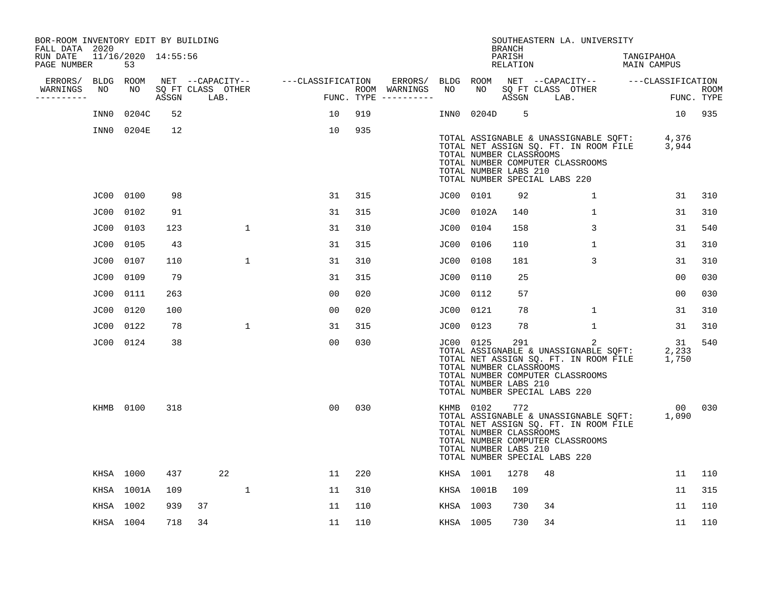| BOR-ROOM INVENTORY EDIT BY BUILDING<br>FALL DATA 2020 |           |                           |       |    |                           |                                    |                |     |                                      |           |            | BRANCH                                                                                   |    | SOUTHEASTERN LA. UNIVERSITY                                                                                             |                           |                      |                           |
|-------------------------------------------------------|-----------|---------------------------|-------|----|---------------------------|------------------------------------|----------------|-----|--------------------------------------|-----------|------------|------------------------------------------------------------------------------------------|----|-------------------------------------------------------------------------------------------------------------------------|---------------------------|----------------------|---------------------------|
| RUN DATE<br>PAGE NUMBER                               |           | 11/16/2020 14:55:56<br>53 |       |    |                           |                                    |                |     |                                      |           |            | PARISH<br>RELATION                                                                       |    |                                                                                                                         | TANGIPAHOA<br>MAIN CAMPUS |                      |                           |
| ERRORS/                                               | BLDG ROOM |                           |       |    |                           | NET --CAPACITY-- ---CLASSIFICATION |                |     | ERRORS/                              | BLDG ROOM |            |                                                                                          |    | NET --CAPACITY-- ---CLASSIFICATION                                                                                      |                           |                      |                           |
| WARNINGS<br>----------                                | NO        | NO                        | ASSGN |    | SQ FT CLASS OTHER<br>LAB. |                                    |                |     | ROOM WARNINGS<br>FUNC. TYPE $------$ | NO        | NO .       | ASSGN                                                                                    |    | SQ FT CLASS OTHER<br>LAB.                                                                                               |                           |                      | <b>ROOM</b><br>FUNC. TYPE |
|                                                       | INN0      | 0204C                     | 52    |    |                           |                                    | 10             | 919 |                                      | INN0      | 0204D      | 5                                                                                        |    |                                                                                                                         |                           | 10                   | 935                       |
|                                                       |           | INN0 0204E                | 12    |    |                           |                                    | 10             | 935 |                                      |           |            | TOTAL NUMBER CLASSROOMS<br>TOTAL NUMBER LABS 210<br>TOTAL NUMBER SPECIAL LABS 220        |    | TOTAL ASSIGNABLE & UNASSIGNABLE SQFT:<br>TOTAL NET ASSIGN SQ. FT. IN ROOM FILE<br>TOTAL NUMBER COMPUTER CLASSROOMS      |                           | 4,376<br>3,944       |                           |
|                                                       | JC00 0100 |                           | 98    |    |                           |                                    | 31             | 315 |                                      | JC00 0101 |            | 92                                                                                       |    | $\mathbf{1}$                                                                                                            |                           | 31                   | 310                       |
|                                                       | JC00      | 0102                      | 91    |    |                           |                                    | 31             | 315 |                                      |           | JC00 0102A | 140                                                                                      |    | $\mathbf 1$                                                                                                             |                           | 31                   | 310                       |
|                                                       | JC00      | 0103                      | 123   |    | $\mathbf 1$               |                                    | 31             | 310 |                                      | JC00      | 0104       | 158                                                                                      |    | 3                                                                                                                       |                           | 31                   | 540                       |
|                                                       | JC00      | 0105                      | 43    |    |                           |                                    | 31             | 315 |                                      | JC00      | 0106       | 110                                                                                      |    | $\mathbf{1}$                                                                                                            |                           | 31                   | 310                       |
|                                                       | JC00      | 0107                      | 110   |    | $\mathbf{1}$              |                                    | 31             | 310 |                                      | JC00      | 0108       | 181                                                                                      |    | 3                                                                                                                       |                           | 31                   | 310                       |
|                                                       | JC00      | 0109                      | 79    |    |                           |                                    | 31             | 315 |                                      | JC00      | 0110       | 25                                                                                       |    |                                                                                                                         |                           | 0 <sub>0</sub>       | 030                       |
|                                                       | JC00      | 0111                      | 263   |    |                           |                                    | 0 <sub>0</sub> | 020 |                                      | JC00      | 0112       | 57                                                                                       |    |                                                                                                                         |                           | 00                   | 030                       |
|                                                       | JC00      | 0120                      | 100   |    |                           |                                    | 0 <sub>0</sub> | 020 |                                      | JC00      | 0121       | 78                                                                                       |    | 1                                                                                                                       |                           | 31                   | 310                       |
|                                                       | JC00      | 0122                      | 78    |    | $\mathbf{1}$              |                                    | 31             | 315 |                                      | JC00      | 0123       | 78                                                                                       |    | $\mathbf 1$                                                                                                             |                           | 31                   | 310                       |
|                                                       | JC00 0124 |                           | 38    |    |                           |                                    | 0 <sub>0</sub> | 030 |                                      | JC00 0125 |            | 291<br>TOTAL NUMBER CLASSROOMS<br>TOTAL NUMBER LABS 210<br>TOTAL NUMBER SPECIAL LABS 220 |    | 2<br>TOTAL ASSIGNABLE & UNASSIGNABLE SQFT:<br>TOTAL NET ASSIGN SQ. FT. IN ROOM FILE<br>TOTAL NUMBER COMPUTER CLASSROOMS |                           | 31<br>2,233<br>1,750 | 540                       |
|                                                       | KHMB 0100 |                           | 318   |    |                           |                                    | 0 <sub>0</sub> | 030 |                                      | KHMB 0102 |            | 772<br>TOTAL NUMBER CLASSROOMS<br>TOTAL NUMBER LABS 210<br>TOTAL NUMBER SPECIAL LABS 220 |    | TOTAL ASSIGNABLE & UNASSIGNABLE SQFT:<br>TOTAL NET ASSIGN SQ. FT. IN ROOM FILE<br>TOTAL NUMBER COMPUTER CLASSROOMS      |                           | 00<br>1,090          | 030                       |
|                                                       | KHSA 1000 |                           | 437   |    | 22                        |                                    | 11             | 220 |                                      | KHSA 1001 |            | 1278                                                                                     | 48 |                                                                                                                         |                           | 11                   | 110                       |
|                                                       |           | KHSA 1001A                | 109   |    | $\mathbf{1}$              |                                    | 11             | 310 |                                      |           | KHSA 1001B | 109                                                                                      |    |                                                                                                                         |                           | 11                   | 315                       |
|                                                       | KHSA 1002 |                           | 939   | 37 |                           |                                    | 11             | 110 |                                      | KHSA 1003 |            | 730                                                                                      | 34 |                                                                                                                         |                           | 11                   | 110                       |
|                                                       | KHSA 1004 |                           | 718   | 34 |                           |                                    | 11             | 110 |                                      | KHSA 1005 |            | 730                                                                                      | 34 |                                                                                                                         |                           | 11                   | 110                       |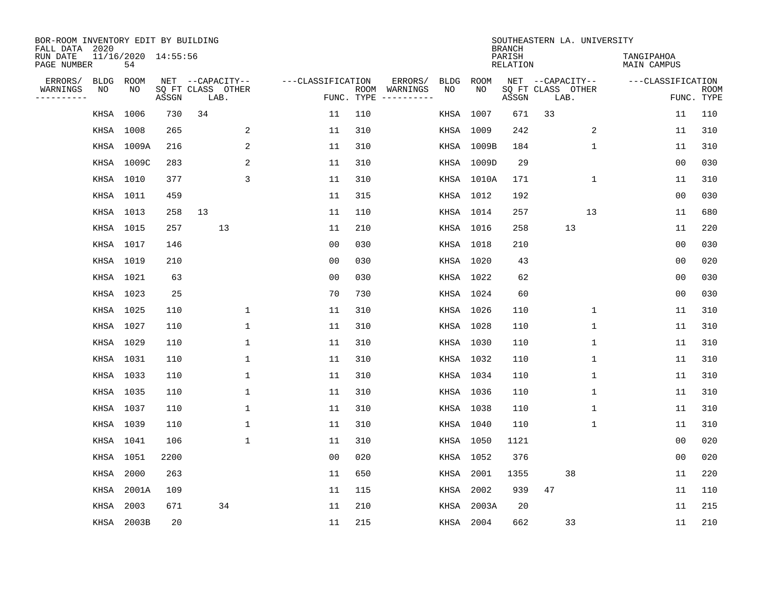| BOR-ROOM INVENTORY EDIT BY BUILDING<br>FALL DATA 2020 |           |                           |       |                           |                    |            |                                    |             | <b>BRANCH</b>             | SOUTHEASTERN LA. UNIVERSITY |                                  |                           |
|-------------------------------------------------------|-----------|---------------------------|-------|---------------------------|--------------------|------------|------------------------------------|-------------|---------------------------|-----------------------------|----------------------------------|---------------------------|
| RUN DATE<br>PAGE NUMBER                               |           | 11/16/2020 14:55:56<br>54 |       |                           |                    |            |                                    |             | PARISH<br><b>RELATION</b> |                             | TANGIPAHOA<br><b>MAIN CAMPUS</b> |                           |
| ERRORS/                                               | BLDG      | ROOM                      |       | NET --CAPACITY--          | ---CLASSIFICATION  |            | ERRORS/<br><b>BLDG</b>             | <b>ROOM</b> |                           | NET --CAPACITY--            | ---CLASSIFICATION                |                           |
| WARNINGS<br>----------                                | NO        | NO                        | ASSGN | SQ FT CLASS OTHER<br>LAB. |                    | FUNC. TYPE | NO<br>ROOM WARNINGS<br>----------- | NO          | ASSGN                     | SQ FT CLASS OTHER<br>LAB.   |                                  | <b>ROOM</b><br>FUNC. TYPE |
|                                                       | KHSA 1006 |                           | 730   | 34                        | 11                 | 110        | KHSA                               | 1007        | 671                       | 33                          | 11                               | 110                       |
|                                                       | KHSA 1008 |                           | 265   |                           | 2<br>11            | 310        |                                    | KHSA 1009   | 242                       | 2                           | 11                               | 310                       |
|                                                       |           | KHSA 1009A                | 216   |                           | 2<br>11            | 310        |                                    | KHSA 1009B  | 184                       | $\mathbf 1$                 | 11                               | 310                       |
|                                                       |           | KHSA 1009C                | 283   |                           | 2<br>11            | 310        |                                    | KHSA 1009D  | 29                        |                             | 0 <sub>0</sub>                   | 030                       |
|                                                       | KHSA 1010 |                           | 377   |                           | 3<br>11            | 310        |                                    | KHSA 1010A  | 171                       | 1                           | 11                               | 310                       |
|                                                       | KHSA 1011 |                           | 459   |                           | 11                 | 315        |                                    | KHSA 1012   | 192                       |                             | 0 <sub>0</sub>                   | 030                       |
|                                                       | KHSA 1013 |                           | 258   | 13                        | 11                 | 110        |                                    | KHSA 1014   | 257                       | 13                          | 11                               | 680                       |
|                                                       | KHSA 1015 |                           | 257   | 13                        | 11                 | 210        |                                    | KHSA 1016   | 258                       | 13                          | 11                               | 220                       |
|                                                       | KHSA 1017 |                           | 146   |                           | 0 <sub>0</sub>     | 030        |                                    | KHSA 1018   | 210                       |                             | 0 <sub>0</sub>                   | 030                       |
|                                                       | KHSA 1019 |                           | 210   |                           | 0 <sub>0</sub>     | 030        |                                    | KHSA 1020   | 43                        |                             | 0 <sub>0</sub>                   | 020                       |
|                                                       | KHSA 1021 |                           | 63    |                           | 0 <sub>0</sub>     | 030        |                                    | KHSA 1022   | 62                        |                             | 0 <sub>0</sub>                   | 030                       |
|                                                       | KHSA 1023 |                           | 25    |                           | 70                 | 730        |                                    | KHSA 1024   | 60                        |                             | 0 <sub>0</sub>                   | 030                       |
|                                                       | KHSA 1025 |                           | 110   |                           | 11<br>$\mathbf{1}$ | 310        |                                    | KHSA 1026   | 110                       | 1                           | 11                               | 310                       |
|                                                       | KHSA 1027 |                           | 110   |                           | 1<br>11            | 310        |                                    | KHSA 1028   | 110                       | 1                           | 11                               | 310                       |
|                                                       | KHSA 1029 |                           | 110   |                           | 11<br>1            | 310        |                                    | KHSA 1030   | 110                       | 1                           | 11                               | 310                       |
|                                                       | KHSA 1031 |                           | 110   |                           | 1<br>11            | 310        |                                    | KHSA 1032   | 110                       | 1                           | 11                               | 310                       |
|                                                       | KHSA 1033 |                           | 110   |                           | 1<br>11            | 310        |                                    | KHSA 1034   | 110                       | 1                           | 11                               | 310                       |
|                                                       | KHSA 1035 |                           | 110   |                           | $\mathbf 1$<br>11  | 310        |                                    | KHSA 1036   | 110                       | 1                           | 11                               | 310                       |
|                                                       | KHSA 1037 |                           | 110   |                           | $\mathbf{1}$<br>11 | 310        |                                    | KHSA 1038   | 110                       | 1                           | 11                               | 310                       |
|                                                       | KHSA 1039 |                           | 110   |                           | 1<br>11            | 310        |                                    | KHSA 1040   | 110                       | 1                           | 11                               | 310                       |
|                                                       | KHSA 1041 |                           | 106   |                           | $\mathbf 1$<br>11  | 310        |                                    | KHSA 1050   | 1121                      |                             | 0 <sub>0</sub>                   | 020                       |
|                                                       | KHSA 1051 |                           | 2200  |                           | 0 <sub>0</sub>     | 020        |                                    | KHSA 1052   | 376                       |                             | 0 <sub>0</sub>                   | 020                       |
|                                                       | KHSA      | 2000                      | 263   |                           | 11                 | 650        | KHSA                               | 2001        | 1355                      | 38                          | 11                               | 220                       |
|                                                       | KHSA      | 2001A                     | 109   |                           | 11                 | 115        | KHSA                               | 2002        | 939                       | 47                          | 11                               | 110                       |
|                                                       | KHSA      | 2003                      | 671   | 34                        | 11                 | 210        | KHSA                               | 2003A       | 20                        |                             | 11                               | 215                       |
|                                                       |           | KHSA 2003B                | 20    |                           | 11                 | 215        |                                    | KHSA 2004   | 662                       | 33                          | 11                               | 210                       |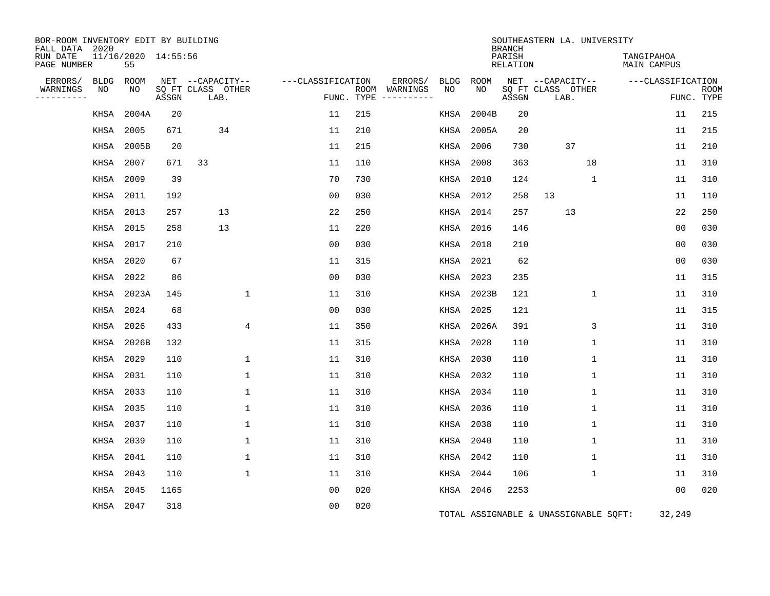| BOR-ROOM INVENTORY EDIT BY BUILDING<br>FALL DATA 2020 |                           |       |                           |                   |                             |                              |            | <b>BRANCH</b>      | SOUTHEASTERN LA. UNIVERSITY           |                           |                           |
|-------------------------------------------------------|---------------------------|-------|---------------------------|-------------------|-----------------------------|------------------------------|------------|--------------------|---------------------------------------|---------------------------|---------------------------|
| RUN DATE<br>PAGE NUMBER                               | 11/16/2020 14:55:56<br>55 |       |                           |                   |                             |                              |            | PARISH<br>RELATION |                                       | TANGIPAHOA<br>MAIN CAMPUS |                           |
| ERRORS/<br>BLDG                                       | ROOM                      |       | NET --CAPACITY--          | ---CLASSIFICATION |                             | ERRORS/<br><b>BLDG</b><br>NO | ROOM<br>NO |                    | NET --CAPACITY--                      | ---CLASSIFICATION         |                           |
| WARNINGS<br>NO<br>---------                           | NO                        | ASSGN | SQ FT CLASS OTHER<br>LAB. |                   | ROOM WARNINGS<br>FUNC. TYPE | -----------                  |            | ASSGN              | SQ FT CLASS OTHER<br>LAB.             |                           | <b>ROOM</b><br>FUNC. TYPE |
| KHSA                                                  | 2004A                     | 20    |                           | 11                | 215                         | KHSA                         | 2004B      | 20                 |                                       | 11                        | 215                       |
| KHSA                                                  | 2005                      | 671   | 34                        | 11                | 210                         | KHSA                         | 2005A      | 20                 |                                       | 11                        | 215                       |
| KHSA                                                  | 2005B                     | 20    |                           | 11                | 215                         | KHSA                         | 2006       | 730                | 37                                    | 11                        | 210                       |
| KHSA                                                  | 2007                      | 671   | 33                        | 11                | 110                         | KHSA                         | 2008       | 363                | 18                                    | 11                        | 310                       |
| KHSA                                                  | 2009                      | 39    |                           | 70                | 730                         | KHSA                         | 2010       | 124                | $\mathbf{1}$                          | 11                        | 310                       |
| KHSA                                                  | 2011                      | 192   |                           | 0 <sub>0</sub>    | 030                         |                              | KHSA 2012  | 258                | 13                                    | 11                        | 110                       |
|                                                       | KHSA 2013                 | 257   | 13                        | 22                | 250                         |                              | KHSA 2014  | 257                | 13                                    | 22                        | 250                       |
| KHSA                                                  | 2015                      | 258   | 13                        | 11                | 220                         | KHSA                         | 2016       | 146                |                                       | 0 <sub>0</sub>            | 030                       |
| KHSA                                                  | 2017                      | 210   |                           | 0 <sub>0</sub>    | 030                         | KHSA                         | 2018       | 210                |                                       | 0 <sub>0</sub>            | 030                       |
| KHSA                                                  | 2020                      | 67    |                           | 11                | 315                         |                              | KHSA 2021  | 62                 |                                       | 0 <sub>0</sub>            | 030                       |
| KHSA                                                  | 2022                      | 86    |                           | 0 <sub>0</sub>    | 030                         | KHSA                         | 2023       | 235                |                                       | 11                        | 315                       |
| <b>KHSA</b>                                           | 2023A                     | 145   | $\mathbf{1}$              | 11                | 310                         | KHSA                         | 2023B      | 121                | 1                                     | 11                        | 310                       |
| KHSA                                                  | 2024                      | 68    |                           | 0 <sub>0</sub>    | 030                         | KHSA                         | 2025       | 121                |                                       | 11                        | 315                       |
| KHSA                                                  | 2026                      | 433   | 4                         | 11                | 350                         | KHSA                         | 2026A      | 391                | 3                                     | 11                        | 310                       |
| KHSA                                                  | 2026B                     | 132   |                           | 11                | 315                         | KHSA                         | 2028       | 110                | 1                                     | 11                        | 310                       |
|                                                       | KHSA 2029                 | 110   | 1                         | 11                | 310                         | KHSA                         | 2030       | 110                | 1                                     | 11                        | 310                       |
| KHSA                                                  | 2031                      | 110   | $\mathbf{1}$              | 11                | 310                         | KHSA                         | 2032       | 110                | $\mathbf 1$                           | 11                        | 310                       |
| KHSA                                                  | 2033                      | 110   | 1                         | 11                | 310                         | KHSA                         | 2034       | 110                | 1                                     | 11                        | 310                       |
| KHSA                                                  | 2035                      | 110   | 1                         | 11                | 310                         | KHSA                         | 2036       | 110                | 1                                     | 11                        | 310                       |
| KHSA                                                  | 2037                      | 110   | 1                         | 11                | 310                         | KHSA                         | 2038       | 110                | $\mathbf 1$                           | 11                        | 310                       |
| KHSA                                                  | 2039                      | 110   | 1                         | 11                | 310                         | KHSA                         | 2040       | 110                | $\mathbf{1}$                          | 11                        | 310                       |
|                                                       | KHSA 2041                 | 110   | 1                         | 11                | 310                         |                              | KHSA 2042  | 110                | 1                                     | 11                        | 310                       |
| KHSA                                                  | 2043                      | 110   | $\mathbf{1}$              | 11                | 310                         | KHSA                         | 2044       | 106                | $\mathbf 1$                           | 11                        | 310                       |
|                                                       | KHSA 2045                 | 1165  |                           | 0 <sub>0</sub>    | 020                         |                              | KHSA 2046  | 2253               |                                       | 0 <sub>0</sub>            | 020                       |
|                                                       | KHSA 2047                 | 318   |                           | 0 <sub>0</sub>    | 020                         |                              |            |                    | TOTAL ASSIGNABLE & UNASSIGNABLE SQFT: | 32,249                    |                           |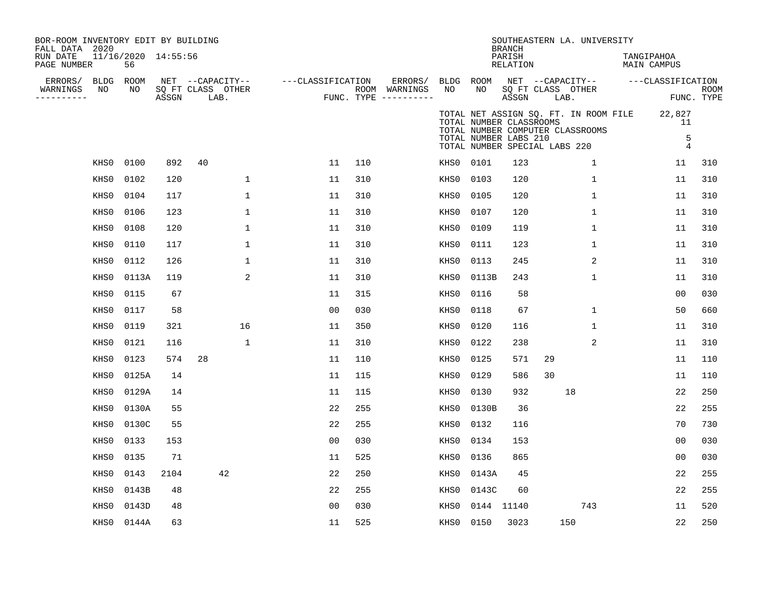| BOR-ROOM INVENTORY EDIT BY BUILDING<br>FALL DATA 2020<br>RUN DATE<br>PAGE NUMBER |                 | 11/16/2020 14:55:56<br>56 |       |                                               |                   |     |                                                 |                 |       | <b>BRANCH</b><br>PARISH<br>RELATION                                               |                           | SOUTHEASTERN LA. UNIVERSITY                                               | TANGIPAHOA<br><b>MAIN CAMPUS</b> |                                     |                           |
|----------------------------------------------------------------------------------|-----------------|---------------------------|-------|-----------------------------------------------|-------------------|-----|-------------------------------------------------|-----------------|-------|-----------------------------------------------------------------------------------|---------------------------|---------------------------------------------------------------------------|----------------------------------|-------------------------------------|---------------------------|
| ERRORS/<br>WARNINGS<br>----------                                                | BLDG ROOM<br>NO | NO                        | ASSGN | NET --CAPACITY--<br>SQ FT CLASS OTHER<br>LAB. | ---CLASSIFICATION |     | ERRORS/<br>ROOM WARNINGS<br>FUNC. TYPE $------$ | BLDG ROOM<br>NO | NO    | ASSGN                                                                             | SQ FT CLASS OTHER<br>LAB. | NET --CAPACITY--                                                          |                                  | ---CLASSIFICATION                   | <b>ROOM</b><br>FUNC. TYPE |
|                                                                                  |                 |                           |       |                                               |                   |     |                                                 |                 |       | TOTAL NUMBER CLASSROOMS<br>TOTAL NUMBER LABS 210<br>TOTAL NUMBER SPECIAL LABS 220 |                           | TOTAL NET ASSIGN SQ. FT. IN ROOM FILE<br>TOTAL NUMBER COMPUTER CLASSROOMS |                                  | 22,827<br>11<br>5<br>$\overline{4}$ |                           |
|                                                                                  | KHS0            | 0100                      | 892   | 40                                            | 11                | 110 |                                                 | KHS0            | 0101  | 123                                                                               |                           | 1                                                                         |                                  | 11                                  | 310                       |
|                                                                                  | KHS0            | 0102                      | 120   | $\mathbf 1$                                   | 11                | 310 |                                                 | KHS0            | 0103  | 120                                                                               |                           | $\mathbf{1}$                                                              |                                  | 11                                  | 310                       |
|                                                                                  | KHS0            | 0104                      | 117   | $\mathbf 1$                                   | 11                | 310 |                                                 | KHS0            | 0105  | 120                                                                               |                           | $\mathbf{1}$                                                              |                                  | 11                                  | 310                       |
|                                                                                  | KHS0            | 0106                      | 123   | $\mathbf 1$                                   | 11                | 310 |                                                 | KHS0            | 0107  | 120                                                                               |                           | 1                                                                         |                                  | 11                                  | 310                       |
|                                                                                  | KHS0            | 0108                      | 120   | $\mathbf 1$                                   | 11                | 310 |                                                 | KHS0            | 0109  | 119                                                                               |                           | $\mathbf{1}$                                                              |                                  | 11                                  | 310                       |
|                                                                                  | KHS0            | 0110                      | 117   | $\mathbf 1$                                   | 11                | 310 |                                                 | KHS0            | 0111  | 123                                                                               |                           | $\mathbf{1}$                                                              |                                  | 11                                  | 310                       |
|                                                                                  | KHS0            | 0112                      | 126   | $\mathbf{1}$                                  | 11                | 310 |                                                 | KHS0            | 0113  | 245                                                                               |                           | $\sqrt{2}$                                                                |                                  | 11                                  | 310                       |
|                                                                                  | KHS0            | 0113A                     | 119   | 2                                             | 11                | 310 |                                                 | KHS0            | 0113B | 243                                                                               |                           | 1                                                                         |                                  | 11                                  | 310                       |
|                                                                                  | KHS0            | 0115                      | 67    |                                               | 11                | 315 |                                                 | KHS0            | 0116  | 58                                                                                |                           |                                                                           |                                  | 0 <sub>0</sub>                      | 030                       |
|                                                                                  | KHS0            | 0117                      | 58    |                                               | 0 <sub>0</sub>    | 030 |                                                 | KHS0            | 0118  | 67                                                                                |                           | $\mathbf{1}$                                                              |                                  | 50                                  | 660                       |
|                                                                                  | KHS0            | 0119                      | 321   | 16                                            | 11                | 350 |                                                 | KHS0            | 0120  | 116                                                                               |                           | $\mathbf{1}$                                                              |                                  | 11                                  | 310                       |
|                                                                                  | KHS0            | 0121                      | 116   | 1                                             | 11                | 310 |                                                 | KHS0            | 0122  | 238                                                                               |                           | 2                                                                         |                                  | 11                                  | 310                       |
|                                                                                  | KHS0            | 0123                      | 574   | 28                                            | 11                | 110 |                                                 | KHS0            | 0125  | 571                                                                               | 29                        |                                                                           |                                  | 11                                  | 110                       |
|                                                                                  | KHS0            | 0125A                     | 14    |                                               | 11                | 115 |                                                 | KHS0            | 0129  | 586                                                                               | 30                        |                                                                           |                                  | 11                                  | 110                       |
|                                                                                  | KHS0            | 0129A                     | 14    |                                               | 11                | 115 |                                                 | KHS0            | 0130  | 932                                                                               |                           | 18                                                                        |                                  | 22                                  | 250                       |
|                                                                                  | KHS0            | 0130A                     | 55    |                                               | 22                | 255 |                                                 | KHS0            | 0130B | 36                                                                                |                           |                                                                           |                                  | 22                                  | 255                       |
|                                                                                  | KHS0            | 0130C                     | 55    |                                               | 22                | 255 |                                                 | KHS0            | 0132  | 116                                                                               |                           |                                                                           |                                  | 70                                  | 730                       |
|                                                                                  | KHS0            | 0133                      | 153   |                                               | 0 <sub>0</sub>    | 030 |                                                 | KHS0            | 0134  | 153                                                                               |                           |                                                                           |                                  | 0 <sub>0</sub>                      | 030                       |
|                                                                                  | KHS0            | 0135                      | 71    |                                               | 11                | 525 |                                                 | KHS0            | 0136  | 865                                                                               |                           |                                                                           |                                  | 0 <sub>0</sub>                      | 030                       |
|                                                                                  | KHS0            | 0143                      | 2104  | 42                                            | 22                | 250 |                                                 | KHS0            | 0143A | 45                                                                                |                           |                                                                           |                                  | 22                                  | 255                       |
|                                                                                  | KHS0            | 0143B                     | 48    |                                               | 22                | 255 |                                                 | KHS0            | 0143C | 60                                                                                |                           |                                                                           |                                  | 22                                  | 255                       |
|                                                                                  | KHS0            | 0143D                     | 48    |                                               | 0 <sub>0</sub>    | 030 |                                                 | KHS0            |       | 0144 11140                                                                        |                           | 743                                                                       |                                  | 11                                  | 520                       |
|                                                                                  | KHS0            | 0144A                     | 63    |                                               | 11                | 525 |                                                 | KHS0            | 0150  | 3023                                                                              |                           | 150                                                                       |                                  | 22                                  | 250                       |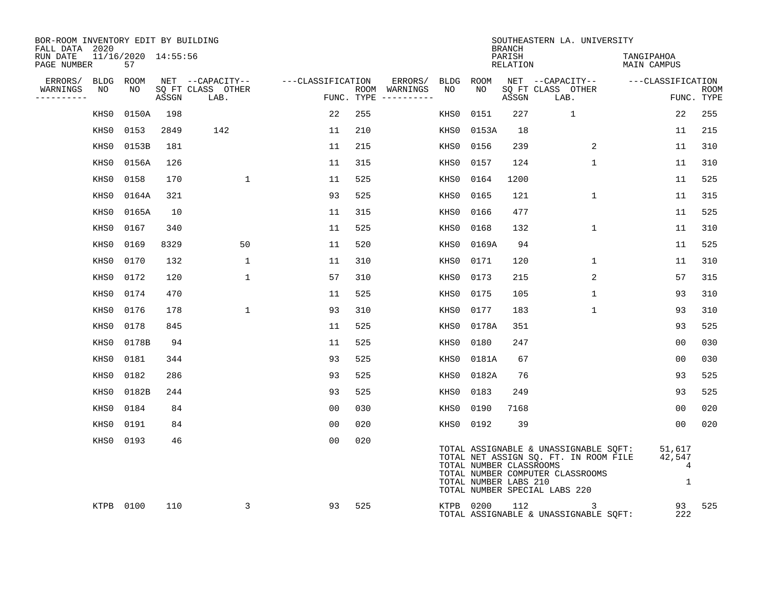| BOR-ROOM INVENTORY EDIT BY BUILDING<br>FALL DATA 2020 |                           |       |                           |                   |     |                                      |           |                                                  | <b>BRANCH</b>      | SOUTHEASTERN LA. UNIVERSITY                                                                                                                         |                            |                           |
|-------------------------------------------------------|---------------------------|-------|---------------------------|-------------------|-----|--------------------------------------|-----------|--------------------------------------------------|--------------------|-----------------------------------------------------------------------------------------------------------------------------------------------------|----------------------------|---------------------------|
| RUN DATE<br>PAGE NUMBER                               | 11/16/2020 14:55:56<br>57 |       |                           |                   |     |                                      |           |                                                  | PARISH<br>RELATION |                                                                                                                                                     | TANGIPAHOA<br>MAIN CAMPUS  |                           |
| ERRORS/<br>BLDG                                       | ROOM                      |       | NET --CAPACITY--          | ---CLASSIFICATION |     | ERRORS/                              | BLDG      | ROOM                                             |                    | NET --CAPACITY-- ---CLASSIFICATION                                                                                                                  |                            |                           |
| WARNINGS<br>NO<br>----------                          | NO                        | ASSGN | SQ FT CLASS OTHER<br>LAB. |                   |     | ROOM WARNINGS<br>FUNC. TYPE $------$ | NO        | NO                                               | ASSGN              | SQ FT CLASS OTHER<br>LAB.                                                                                                                           |                            | <b>ROOM</b><br>FUNC. TYPE |
| KHS0                                                  | 0150A                     | 198   |                           | 22                | 255 |                                      | KHS0      | 0151                                             | 227                | $\mathbf{1}$                                                                                                                                        | 22                         | 255                       |
| KHS0                                                  | 0153                      | 2849  | 142                       | 11                | 210 |                                      | KHS0      | 0153A                                            | 18                 |                                                                                                                                                     | 11                         | 215                       |
| KHS0                                                  | 0153B                     | 181   |                           | 11                | 215 |                                      | KHS0      | 0156                                             | 239                | 2                                                                                                                                                   | 11                         | 310                       |
| KHS0                                                  | 0156A                     | 126   |                           | 11                | 315 |                                      | KHS0      | 0157                                             | 124                | $\mathbf{1}$                                                                                                                                        | 11                         | 310                       |
| KHS0                                                  | 0158                      | 170   | $\mathbf{1}$              | 11                | 525 |                                      | KHS0      | 0164                                             | 1200               |                                                                                                                                                     | 11                         | 525                       |
| KHS0                                                  | 0164A                     | 321   |                           | 93                | 525 |                                      | KHS0      | 0165                                             | 121                | $\mathbf{1}$                                                                                                                                        | 11                         | 315                       |
| KHS0                                                  | 0165A                     | 10    |                           | 11                | 315 |                                      | KHS0      | 0166                                             | 477                |                                                                                                                                                     | 11                         | 525                       |
| KHS0                                                  | 0167                      | 340   |                           | 11                | 525 |                                      | KHS0      | 0168                                             | 132                | $\mathbf 1$                                                                                                                                         | 11                         | 310                       |
| KHS0                                                  | 0169                      | 8329  | 50                        | 11                | 520 |                                      | KHS0      | 0169A                                            | 94                 |                                                                                                                                                     | 11                         | 525                       |
| KHS0                                                  | 0170                      | 132   | $\mathbf{1}$              | 11                | 310 |                                      | KHS0      | 0171                                             | 120                | 1                                                                                                                                                   | 11                         | 310                       |
| KHS0                                                  | 0172                      | 120   | $\mathbf 1$               | 57                | 310 |                                      | KHS0      | 0173                                             | 215                | 2                                                                                                                                                   | 57                         | 315                       |
| KHS0                                                  | 0174                      | 470   |                           | 11                | 525 |                                      | KHS0      | 0175                                             | 105                | $\mathbf{1}$                                                                                                                                        | 93                         | 310                       |
| KHS0                                                  | 0176                      | 178   | $\mathbf{1}$              | 93                | 310 |                                      | KHS0      | 0177                                             | 183                | $\mathbf{1}$                                                                                                                                        | 93                         | 310                       |
| KHS0                                                  | 0178                      | 845   |                           | 11                | 525 |                                      | KHS0      | 0178A                                            | 351                |                                                                                                                                                     | 93                         | 525                       |
| KHS0                                                  | 0178B                     | 94    |                           | 11                | 525 |                                      | KHS0      | 0180                                             | 247                |                                                                                                                                                     | 0 <sub>0</sub>             | 030                       |
| KHS0                                                  | 0181                      | 344   |                           | 93                | 525 |                                      | KHS0      | 0181A                                            | 67                 |                                                                                                                                                     | 0 <sub>0</sub>             | 030                       |
| KHS0                                                  | 0182                      | 286   |                           | 93                | 525 |                                      | KHS0      | 0182A                                            | 76                 |                                                                                                                                                     | 93                         | 525                       |
| KHS0                                                  | 0182B                     | 244   |                           | 93                | 525 |                                      | KHS0      | 0183                                             | 249                |                                                                                                                                                     | 93                         | 525                       |
| KHS0                                                  | 0184                      | 84    |                           | 0 <sub>0</sub>    | 030 |                                      | KHS0      | 0190                                             | 7168               |                                                                                                                                                     | 0 <sub>0</sub>             | 020                       |
| KHS0                                                  | 0191                      | 84    |                           | 0 <sub>0</sub>    | 020 |                                      | KHS0 0192 |                                                  | 39                 |                                                                                                                                                     | 0 <sub>0</sub>             | 020                       |
|                                                       | KHS0 0193                 | 46    |                           | 0 <sub>0</sub>    | 020 |                                      |           | TOTAL NUMBER CLASSROOMS<br>TOTAL NUMBER LABS 210 |                    | TOTAL ASSIGNABLE & UNASSIGNABLE SQFT:<br>TOTAL NET ASSIGN SQ. FT. IN ROOM FILE<br>TOTAL NUMBER COMPUTER CLASSROOMS<br>TOTAL NUMBER SPECIAL LABS 220 | 51,617<br>42,547<br>4<br>1 |                           |
|                                                       | KTPB 0100                 | 110   | 3                         | 93                | 525 |                                      |           | KTPB 0200                                        | 112                | $\overline{3}$<br>TOTAL ASSIGNABLE & UNASSIGNABLE SQFT:                                                                                             | 93<br>222                  | 525                       |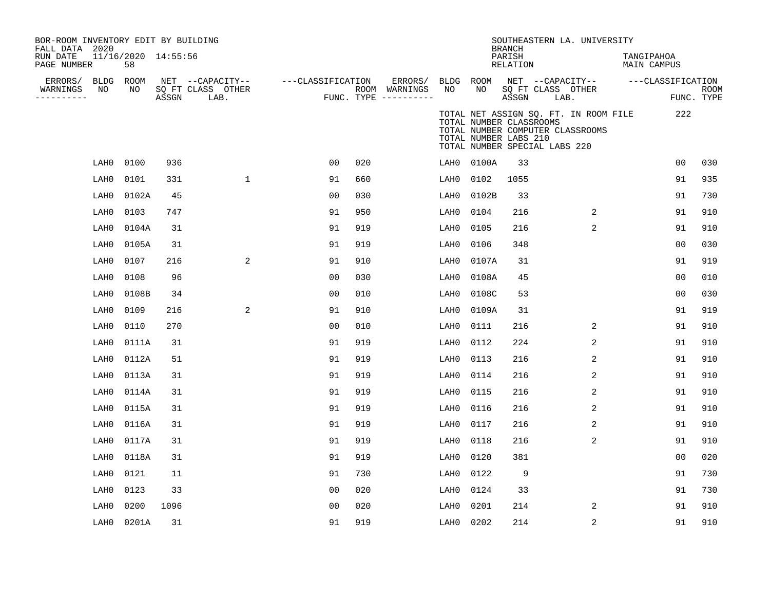| BOR-ROOM INVENTORY EDIT BY BUILDING<br>FALL DATA 2020 |           |                           |       |                           |                   |     |                                        |           |                                                                                   | <b>BRANCH</b>      |                   | SOUTHEASTERN LA. UNIVERSITY                                               |            |                                     |      |
|-------------------------------------------------------|-----------|---------------------------|-------|---------------------------|-------------------|-----|----------------------------------------|-----------|-----------------------------------------------------------------------------------|--------------------|-------------------|---------------------------------------------------------------------------|------------|-------------------------------------|------|
| RUN DATE<br>PAGE NUMBER                               |           | 11/16/2020 14:55:56<br>58 |       |                           |                   |     |                                        |           |                                                                                   | PARISH<br>RELATION |                   |                                                                           | TANGIPAHOA | MAIN CAMPUS                         |      |
| ERRORS/                                               | BLDG ROOM |                           |       | NET --CAPACITY--          | ---CLASSIFICATION |     | ERRORS/                                | BLDG ROOM |                                                                                   |                    | SO FT CLASS OTHER |                                                                           |            | NET --CAPACITY-- ----CLASSIFICATION |      |
| WARNINGS<br>----------                                | NO        | NO                        | ASSGN | SQ FT CLASS OTHER<br>LAB. |                   |     | ROOM WARNINGS<br>FUNC. TYPE ---------- | NO        | NO                                                                                | ASSGN              | LAB.              |                                                                           |            | FUNC. TYPE                          | ROOM |
|                                                       |           |                           |       |                           |                   |     |                                        |           | TOTAL NUMBER CLASSROOMS<br>TOTAL NUMBER LABS 210<br>TOTAL NUMBER SPECIAL LABS 220 |                    |                   | TOTAL NET ASSIGN SQ. FT. IN ROOM FILE<br>TOTAL NUMBER COMPUTER CLASSROOMS |            | 222                                 |      |
|                                                       | LAH0      | 0100                      | 936   |                           | 00                | 020 |                                        | LAH0      | 0100A                                                                             | 33                 |                   |                                                                           |            | 00                                  | 030  |
|                                                       | LAH0      | 0101                      | 331   | $\mathbf{1}$              | 91                | 660 |                                        | LAH0      | 0102                                                                              | 1055               |                   |                                                                           |            | 91                                  | 935  |
|                                                       | LAH0      | 0102A                     | 45    |                           | 0 <sub>0</sub>    | 030 |                                        | LAH0      | 0102B                                                                             | 33                 |                   |                                                                           |            | 91                                  | 730  |
|                                                       | LAH0      | 0103                      | 747   |                           | 91                | 950 |                                        | LAH0      | 0104                                                                              | 216                |                   | 2                                                                         |            | 91                                  | 910  |
|                                                       | LAH0      | 0104A                     | 31    |                           | 91                | 919 |                                        | LAH0      | 0105                                                                              | 216                |                   | $\overline{2}$                                                            |            | 91                                  | 910  |
|                                                       | LAH0      | 0105A                     | 31    |                           | 91                | 919 |                                        | LAH0      | 0106                                                                              | 348                |                   |                                                                           |            | 00                                  | 030  |
|                                                       | LAH0      | 0107                      | 216   | 2                         | 91                | 910 |                                        | LAH0      | 0107A                                                                             | 31                 |                   |                                                                           |            | 91                                  | 919  |
|                                                       | LAH0      | 0108                      | 96    |                           | 0 <sub>0</sub>    | 030 |                                        | LAH0      | 0108A                                                                             | 45                 |                   |                                                                           |            | 0 <sub>0</sub>                      | 010  |
|                                                       | LAH0      | 0108B                     | 34    |                           | 0 <sub>0</sub>    | 010 |                                        | LAH0      | 0108C                                                                             | 53                 |                   |                                                                           |            | 00                                  | 030  |
|                                                       | LAH0      | 0109                      | 216   | 2                         | 91                | 910 |                                        | LAH0      | 0109A                                                                             | 31                 |                   |                                                                           |            | 91                                  | 919  |
|                                                       | LAH0      | 0110                      | 270   |                           | 0 <sub>0</sub>    | 010 |                                        | LAH0      | 0111                                                                              | 216                |                   | 2                                                                         |            | 91                                  | 910  |
|                                                       | LAH0      | 0111A                     | 31    |                           | 91                | 919 |                                        | LAH0      | 0112                                                                              | 224                |                   | 2                                                                         |            | 91                                  | 910  |
|                                                       | LAH0      | 0112A                     | 51    |                           | 91                | 919 |                                        | LAH0      | 0113                                                                              | 216                |                   | 2                                                                         |            | 91                                  | 910  |
|                                                       | LAH0      | 0113A                     | 31    |                           | 91                | 919 |                                        | LAH0      | 0114                                                                              | 216                |                   | 2                                                                         |            | 91                                  | 910  |
|                                                       | LAH0      | 0114A                     | 31    |                           | 91                | 919 |                                        | LAH0      | 0115                                                                              | 216                |                   | 2                                                                         |            | 91                                  | 910  |
|                                                       | LAH0      | 0115A                     | 31    |                           | 91                | 919 |                                        | LAH0      | 0116                                                                              | 216                |                   | 2                                                                         |            | 91                                  | 910  |
|                                                       | LAH0      | 0116A                     | 31    |                           | 91                | 919 |                                        | LAH0      | 0117                                                                              | 216                |                   | 2                                                                         |            | 91                                  | 910  |
|                                                       | LAH0      | 0117A                     | 31    |                           | 91                | 919 |                                        | LAH0      | 0118                                                                              | 216                |                   | 2                                                                         |            | 91                                  | 910  |
|                                                       | LAH0      | 0118A                     | 31    |                           | 91                | 919 |                                        | LAH0      | 0120                                                                              | 381                |                   |                                                                           |            | 00                                  | 020  |
|                                                       | LAH0      | 0121                      | 11    |                           | 91                | 730 |                                        | LAH0      | 0122                                                                              | 9                  |                   |                                                                           |            | 91                                  | 730  |
|                                                       | LAH0      | 0123                      | 33    |                           | 0 <sub>0</sub>    | 020 |                                        | LAH0      | 0124                                                                              | 33                 |                   |                                                                           |            | 91                                  | 730  |
|                                                       | LAH0      | 0200                      | 1096  |                           | 0 <sub>0</sub>    | 020 |                                        | LAH0      | 0201                                                                              | 214                |                   | 2                                                                         |            | 91                                  | 910  |
|                                                       | LAH0      | 0201A                     | 31    |                           | 91                | 919 |                                        | LAH0      | 0202                                                                              | 214                |                   | 2                                                                         |            | 91                                  | 910  |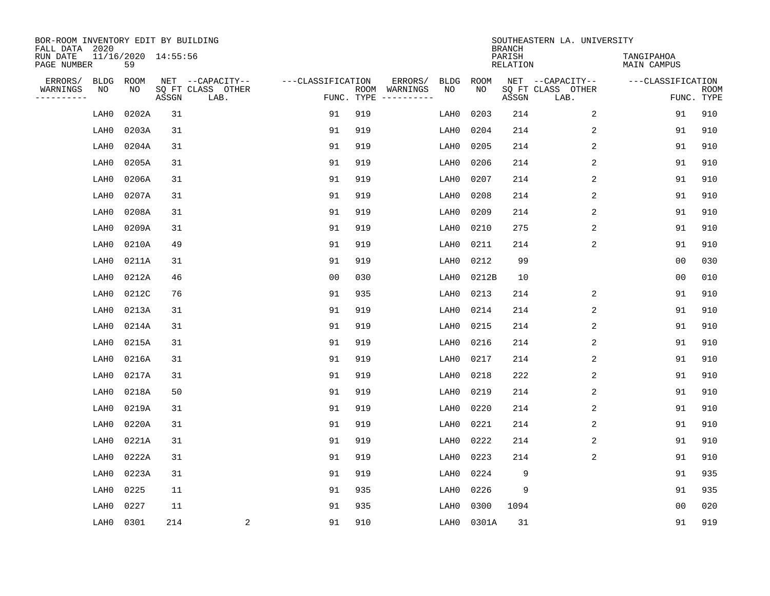| BOR-ROOM INVENTORY EDIT BY BUILDING<br>FALL DATA 2020 |                           |       |                                       |                   |            |                          |            |             | <b>BRANCH</b>      | SOUTHEASTERN LA. UNIVERSITY           |                           |             |
|-------------------------------------------------------|---------------------------|-------|---------------------------------------|-------------------|------------|--------------------------|------------|-------------|--------------------|---------------------------------------|---------------------------|-------------|
| RUN DATE<br>PAGE NUMBER                               | 11/16/2020 14:55:56<br>59 |       |                                       |                   |            |                          |            |             | PARISH<br>RELATION |                                       | TANGIPAHOA<br>MAIN CAMPUS |             |
| ERRORS/<br><b>BLDG</b><br>WARNINGS<br>ΝO              | ROOM<br>NO                |       | NET --CAPACITY--<br>SQ FT CLASS OTHER | ---CLASSIFICATION |            | ERRORS/<br>ROOM WARNINGS | BLDG<br>NO | ROOM<br>NO. |                    | NET --CAPACITY--<br>SQ FT CLASS OTHER | ---CLASSIFICATION         | <b>ROOM</b> |
| ---------                                             |                           | ASSGN | LAB.                                  |                   | FUNC. TYPE |                          |            |             | ASSGN              | LAB.                                  | FUNC. TYPE                |             |
| LAH0                                                  | 0202A                     | 31    |                                       | 91                | 919        |                          | LAH0       | 0203        | 214                | 2                                     | 91                        | 910         |
| LAH0                                                  | 0203A                     | 31    |                                       | 91                | 919        |                          | LAH0       | 0204        | 214                | 2                                     | 91                        | 910         |
| LAH0                                                  | 0204A                     | 31    |                                       | 91                | 919        |                          | LAH0       | 0205        | 214                | 2                                     | 91                        | 910         |
| LAH0                                                  | 0205A                     | 31    |                                       | 91                | 919        |                          | LAH0       | 0206        | 214                | 2                                     | 91                        | 910         |
| LAH0                                                  | 0206A                     | 31    |                                       | 91                | 919        |                          | LAH0       | 0207        | 214                | 2                                     | 91                        | 910         |
| LAH0                                                  | 0207A                     | 31    |                                       | 91                | 919        |                          | LAH0       | 0208        | 214                | 2                                     | 91                        | 910         |
| LAH0                                                  | 0208A                     | 31    |                                       | 91                | 919        |                          | LAH0       | 0209        | 214                | 2                                     | 91                        | 910         |
| LAH0                                                  | 0209A                     | 31    |                                       | 91                | 919        |                          | LAH0       | 0210        | 275                | 2                                     | 91                        | 910         |
| LAH0                                                  | 0210A                     | 49    |                                       | 91                | 919        |                          | LAH0       | 0211        | 214                | 2                                     | 91                        | 910         |
| LAH0                                                  | 0211A                     | 31    |                                       | 91                | 919        |                          | LAH0       | 0212        | 99                 |                                       | 0 <sub>0</sub>            | 030         |
| LAH0                                                  | 0212A                     | 46    |                                       | 0 <sub>0</sub>    | 030        |                          | LAH0       | 0212B       | 10                 |                                       | 0 <sub>0</sub>            | 010         |
| LAH0                                                  | 0212C                     | 76    |                                       | 91                | 935        |                          | LAH0       | 0213        | 214                | 2                                     | 91                        | 910         |
| LAH0                                                  | 0213A                     | 31    |                                       | 91                | 919        |                          | LAH0       | 0214        | 214                | 2                                     | 91                        | 910         |
| LAH0                                                  | 0214A                     | 31    |                                       | 91                | 919        |                          | LAH0       | 0215        | 214                | 2                                     | 91                        | 910         |
| LAH0                                                  | 0215A                     | 31    |                                       | 91                | 919        |                          | LAH0       | 0216        | 214                | 2                                     | 91                        | 910         |
| LAH0                                                  | 0216A                     | 31    |                                       | 91                | 919        |                          | LAH0       | 0217        | 214                | 2                                     | 91                        | 910         |
| LAH0                                                  | 0217A                     | 31    |                                       | 91                | 919        |                          | LAH0       | 0218        | 222                | 2                                     | 91                        | 910         |
| LAH0                                                  | 0218A                     | 50    |                                       | 91                | 919        |                          | LAH0       | 0219        | 214                | 2                                     | 91                        | 910         |
| LAH0                                                  | 0219A                     | 31    |                                       | 91                | 919        |                          | LAH0       | 0220        | 214                | 2                                     | 91                        | 910         |
| LAH0                                                  | 0220A                     | 31    |                                       | 91                | 919        |                          | LAH0       | 0221        | 214                | 2                                     | 91                        | 910         |
| LAH0                                                  | 0221A                     | 31    |                                       | 91                | 919        |                          | LAH0       | 0222        | 214                | 2                                     | 91                        | 910         |
| LAH0                                                  | 0222A                     | 31    |                                       | 91                | 919        |                          | LAH0       | 0223        | 214                | 2                                     | 91                        | 910         |
| LAH0                                                  | 0223A                     | 31    |                                       | 91                | 919        |                          | LAH0       | 0224        | 9                  |                                       | 91                        | 935         |
| LAH0                                                  | 0225                      | 11    |                                       | 91                | 935        |                          | LAH0       | 0226        | 9                  |                                       | 91                        | 935         |
| LAH0                                                  | 0227                      | 11    |                                       | 91                | 935        |                          | LAH0       | 0300        | 1094               |                                       | 00                        | 020         |
| LAH0                                                  | 0301                      | 214   | $\overline{\mathbf{c}}$               | 91                | 910        |                          | LAH0       | 0301A       | 31                 |                                       | 91                        | 919         |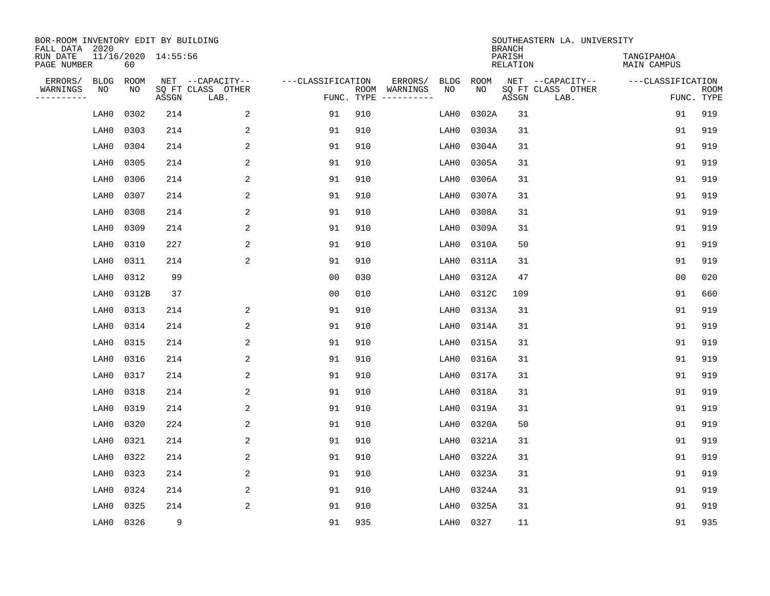| BOR-ROOM INVENTORY EDIT BY BUILDING<br>FALL DATA 2020 |             |       |                     |                           |                   |     |                                      |             |             | <b>BRANCH</b>             | SOUTHEASTERN LA. UNIVERSITY |                           |                           |
|-------------------------------------------------------|-------------|-------|---------------------|---------------------------|-------------------|-----|--------------------------------------|-------------|-------------|---------------------------|-----------------------------|---------------------------|---------------------------|
| RUN DATE<br>PAGE NUMBER                               |             | 60    | 11/16/2020 14:55:56 |                           |                   |     |                                      |             |             | PARISH<br><b>RELATION</b> |                             | TANGIPAHOA<br>MAIN CAMPUS |                           |
| ERRORS/                                               | <b>BLDG</b> | ROOM  |                     | NET --CAPACITY--          | ---CLASSIFICATION |     | ERRORS/                              | <b>BLDG</b> | <b>ROOM</b> |                           | NET --CAPACITY--            | ---CLASSIFICATION         |                           |
| WARNINGS<br>----------                                | NO          | NO    | ASSGN               | SQ FT CLASS OTHER<br>LAB. |                   |     | ROOM WARNINGS<br>FUNC. TYPE $------$ | NO          | NO          | ASSGN                     | SQ FT CLASS OTHER<br>LAB.   |                           | <b>ROOM</b><br>FUNC. TYPE |
|                                                       | LAH0        | 0302  | 214                 | 2                         | 91                | 910 |                                      | LAH0        | 0302A       | 31                        |                             | 91                        | 919                       |
|                                                       | LAH0        | 0303  | 214                 | 2                         | 91                | 910 |                                      | LAH0        | 0303A       | 31                        |                             | 91                        | 919                       |
|                                                       | LAH0        | 0304  | 214                 | 2                         | 91                | 910 |                                      | LAH0        | 0304A       | 31                        |                             | 91                        | 919                       |
|                                                       | LAH0        | 0305  | 214                 | 2                         | 91                | 910 |                                      | LAH0        | 0305A       | 31                        |                             | 91                        | 919                       |
|                                                       | LAH0        | 0306  | 214                 | $\overline{c}$            | 91                | 910 |                                      | LAH0        | 0306A       | 31                        |                             | 91                        | 919                       |
|                                                       | LAH0        | 0307  | 214                 | 2                         | 91                | 910 |                                      | LAH0        | 0307A       | 31                        |                             | 91                        | 919                       |
|                                                       | LAH0        | 0308  | 214                 | 2                         | 91                | 910 |                                      | LAH0        | 0308A       | 31                        |                             | 91                        | 919                       |
|                                                       | LAH0        | 0309  | 214                 | 2                         | 91                | 910 |                                      | LAH0        | 0309A       | 31                        |                             | 91                        | 919                       |
|                                                       | LAH0        | 0310  | 227                 | 2                         | 91                | 910 |                                      | LAH0        | 0310A       | 50                        |                             | 91                        | 919                       |
|                                                       | LAH0        | 0311  | 214                 | 2                         | 91                | 910 |                                      | LAH0        | 0311A       | 31                        |                             | 91                        | 919                       |
|                                                       | LAH0        | 0312  | 99                  |                           | 0 <sub>0</sub>    | 030 |                                      | LAH0        | 0312A       | 47                        |                             | 0 <sub>0</sub>            | 020                       |
|                                                       | LAH0        | 0312B | 37                  |                           | 0 <sub>0</sub>    | 010 |                                      | LAH0        | 0312C       | 109                       |                             | 91                        | 660                       |
|                                                       | LAH0        | 0313  | 214                 | 2                         | 91                | 910 |                                      | LAH0        | 0313A       | 31                        |                             | 91                        | 919                       |
|                                                       | LAH0        | 0314  | 214                 | 2                         | 91                | 910 |                                      | LAH0        | 0314A       | 31                        |                             | 91                        | 919                       |
|                                                       | LAH0        | 0315  | 214                 | 2                         | 91                | 910 |                                      | LAH0        | 0315A       | 31                        |                             | 91                        | 919                       |
|                                                       | LAH0        | 0316  | 214                 | 2                         | 91                | 910 |                                      | LAH0        | 0316A       | 31                        |                             | 91                        | 919                       |
|                                                       | LAH0        | 0317  | 214                 | $\overline{c}$            | 91                | 910 |                                      | LAH0        | 0317A       | 31                        |                             | 91                        | 919                       |
|                                                       | LAH0        | 0318  | 214                 | 2                         | 91                | 910 |                                      | LAH0        | 0318A       | 31                        |                             | 91                        | 919                       |
|                                                       | LAH0        | 0319  | 214                 | 2                         | 91                | 910 |                                      | LAH0        | 0319A       | 31                        |                             | 91                        | 919                       |
|                                                       | LAH0        | 0320  | 224                 | 2                         | 91                | 910 |                                      | LAH0        | 0320A       | 50                        |                             | 91                        | 919                       |
|                                                       | LAH0        | 0321  | 214                 | 2                         | 91                | 910 |                                      | LAH0        | 0321A       | 31                        |                             | 91                        | 919                       |
|                                                       | LAH0        | 0322  | 214                 | 2                         | 91                | 910 |                                      | LAH0        | 0322A       | 31                        |                             | 91                        | 919                       |
|                                                       | LAH0        | 0323  | 214                 | 2                         | 91                | 910 |                                      | LAH0        | 0323A       | 31                        |                             | 91                        | 919                       |
|                                                       | LAH0        | 0324  | 214                 | 2                         | 91                | 910 |                                      | LAH0        | 0324A       | 31                        |                             | 91                        | 919                       |
|                                                       | LAH0        | 0325  | 214                 | 2                         | 91                | 910 |                                      | LAH0        | 0325A       | 31                        |                             | 91                        | 919                       |
|                                                       | LAH0        | 0326  | 9                   |                           | 91                | 935 |                                      | LAH0        | 0327        | 11                        |                             | 91                        | 935                       |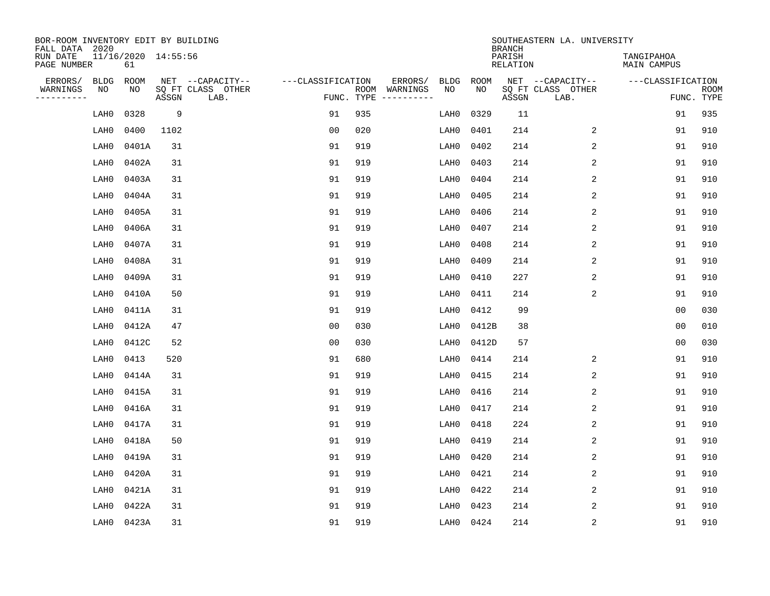| BOR-ROOM INVENTORY EDIT BY BUILDING<br>FALL DATA 2020 |                           |       |                           |                   |            |                              |             |             | <b>BRANCH</b>             | SOUTHEASTERN LA. UNIVERSITY |                                  |                           |
|-------------------------------------------------------|---------------------------|-------|---------------------------|-------------------|------------|------------------------------|-------------|-------------|---------------------------|-----------------------------|----------------------------------|---------------------------|
| RUN DATE<br>PAGE NUMBER                               | 11/16/2020 14:55:56<br>61 |       |                           |                   |            |                              |             |             | PARISH<br><b>RELATION</b> |                             | TANGIPAHOA<br><b>MAIN CAMPUS</b> |                           |
| ERRORS/<br><b>BLDG</b>                                | ROOM                      |       | NET --CAPACITY--          | ---CLASSIFICATION |            | ERRORS/                      | <b>BLDG</b> | <b>ROOM</b> |                           | NET --CAPACITY--            | ---CLASSIFICATION                |                           |
| WARNINGS<br>NO<br>----------                          | NO                        | ASSGN | SQ FT CLASS OTHER<br>LAB. |                   | FUNC. TYPE | ROOM WARNINGS<br>----------- | NO          | NO          | ASSGN                     | SQ FT CLASS OTHER<br>LAB.   |                                  | <b>ROOM</b><br>FUNC. TYPE |
| LAH0                                                  | 0328                      | 9     |                           | 91                | 935        |                              | LAH0        | 0329        | 11                        |                             | 91                               | 935                       |
| LAH0                                                  | 0400                      | 1102  |                           | 0 <sub>0</sub>    | 020        |                              | LAH0        | 0401        | 214                       | 2                           | 91                               | 910                       |
| LAH0                                                  | 0401A                     | 31    |                           | 91                | 919        |                              | LAH0        | 0402        | 214                       | 2                           | 91                               | 910                       |
| LAH0                                                  | 0402A                     | 31    |                           | 91                | 919        |                              | LAH0        | 0403        | 214                       | 2                           | 91                               | 910                       |
| LAH0                                                  | 0403A                     | 31    |                           | 91                | 919        |                              | LAH0        | 0404        | 214                       | 2                           | 91                               | 910                       |
| LAH0                                                  | 0404A                     | 31    |                           | 91                | 919        |                              | LAH0        | 0405        | 214                       | 2                           | 91                               | 910                       |
| LAH0                                                  | 0405A                     | 31    |                           | 91                | 919        |                              | LAH0        | 0406        | 214                       | 2                           | 91                               | 910                       |
| LAH0                                                  | 0406A                     | 31    |                           | 91                | 919        |                              | LAH0        | 0407        | 214                       | 2                           | 91                               | 910                       |
| LAH0                                                  | 0407A                     | 31    |                           | 91                | 919        |                              | LAH0        | 0408        | 214                       | 2                           | 91                               | 910                       |
| LAH0                                                  | 0408A                     | 31    |                           | 91                | 919        |                              | LAH0        | 0409        | 214                       | 2                           | 91                               | 910                       |
| LAH0                                                  | 0409A                     | 31    |                           | 91                | 919        |                              | LAH0        | 0410        | 227                       | 2                           | 91                               | 910                       |
| LAH0                                                  | 0410A                     | 50    |                           | 91                | 919        |                              | LAH0        | 0411        | 214                       | 2                           | 91                               | 910                       |
| LAH0                                                  | 0411A                     | 31    |                           | 91                | 919        |                              | LAH0        | 0412        | 99                        |                             | 0 <sub>0</sub>                   | 030                       |
| LAH0                                                  | 0412A                     | 47    |                           | 0 <sub>0</sub>    | 030        |                              | LAH0        | 0412B       | 38                        |                             | 0 <sub>0</sub>                   | 010                       |
| LAH0                                                  | 0412C                     | 52    |                           | 0 <sub>0</sub>    | 030        |                              | LAH0        | 0412D       | 57                        |                             | 0 <sub>0</sub>                   | 030                       |
| LAH0                                                  | 0413                      | 520   |                           | 91                | 680        |                              | LAH0        | 0414        | 214                       | 2                           | 91                               | 910                       |
| LAH0                                                  | 0414A                     | 31    |                           | 91                | 919        |                              | LAH0        | 0415        | 214                       | 2                           | 91                               | 910                       |
| LAH0                                                  | 0415A                     | 31    |                           | 91                | 919        |                              | LAH0        | 0416        | 214                       | $\mathbf{2}$                | 91                               | 910                       |
| LAH0                                                  | 0416A                     | 31    |                           | 91                | 919        |                              | LAH0        | 0417        | 214                       | 2                           | 91                               | 910                       |
| LAH0                                                  | 0417A                     | 31    |                           | 91                | 919        |                              | LAH0        | 0418        | 224                       | 2                           | 91                               | 910                       |
| LAH0                                                  | 0418A                     | 50    |                           | 91                | 919        |                              | LAH0        | 0419        | 214                       | 2                           | 91                               | 910                       |
| LAH0                                                  | 0419A                     | 31    |                           | 91                | 919        |                              | LAH0        | 0420        | 214                       | 2                           | 91                               | 910                       |
| LAH0                                                  | 0420A                     | 31    |                           | 91                | 919        |                              | LAH0        | 0421        | 214                       | 2                           | 91                               | 910                       |
| LAH0                                                  | 0421A                     | 31    |                           | 91                | 919        |                              | LAH0        | 0422        | 214                       | $\mathbf{2}$                | 91                               | 910                       |
| LAH0                                                  | 0422A                     | 31    |                           | 91                | 919        |                              | LAH0        | 0423        | 214                       | 2                           | 91                               | 910                       |
| LAH0                                                  | 0423A                     | 31    |                           | 91                | 919        |                              | LAH0        | 0424        | 214                       | 2                           | 91                               | 910                       |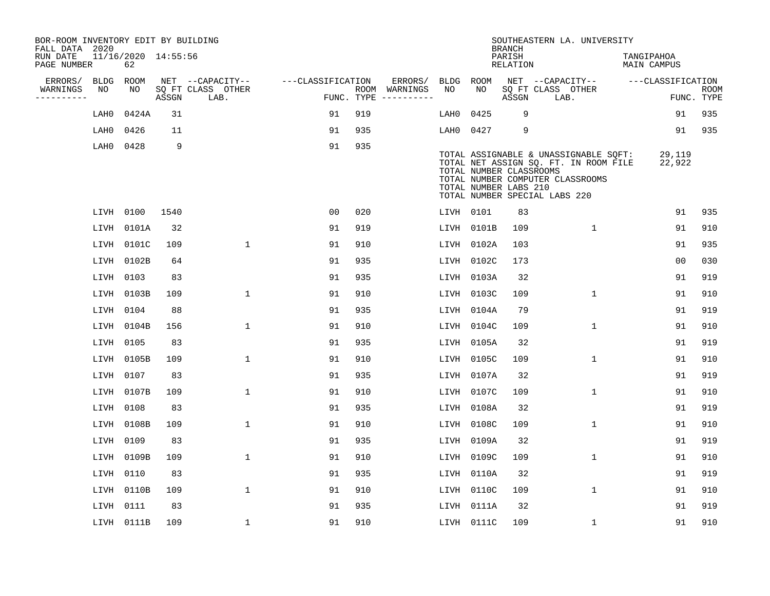| BOR-ROOM INVENTORY EDIT BY BUILDING<br>FALL DATA 2020 |           |                           |       |                           |                   |     |                                      |             |             | <b>BRANCH</b>                                    | SOUTHEASTERN LA. UNIVERSITY                                                                                                                         |                                  |                           |
|-------------------------------------------------------|-----------|---------------------------|-------|---------------------------|-------------------|-----|--------------------------------------|-------------|-------------|--------------------------------------------------|-----------------------------------------------------------------------------------------------------------------------------------------------------|----------------------------------|---------------------------|
| RUN DATE<br>PAGE NUMBER                               |           | 11/16/2020 14:55:56<br>62 |       |                           |                   |     |                                      |             |             | PARISH<br><b>RELATION</b>                        |                                                                                                                                                     | TANGIPAHOA<br><b>MAIN CAMPUS</b> |                           |
| ERRORS/                                               | BLDG      | <b>ROOM</b>               |       | NET --CAPACITY--          | ---CLASSIFICATION |     | ERRORS/                              | <b>BLDG</b> | <b>ROOM</b> |                                                  | NET --CAPACITY--                                                                                                                                    | ---CLASSIFICATION                |                           |
| WARNINGS<br>----------                                | NO        | NO                        | ASSGN | SQ FT CLASS OTHER<br>LAB. |                   |     | ROOM WARNINGS<br>FUNC. TYPE $------$ | NO          | NO          | ASSGN                                            | SQ FT CLASS OTHER<br>LAB.                                                                                                                           |                                  | <b>ROOM</b><br>FUNC. TYPE |
|                                                       | LAH0      | 0424A                     | 31    |                           | 91                | 919 |                                      | LAH0        | 0425        | 9                                                |                                                                                                                                                     | 91                               | 935                       |
|                                                       | LAH0      | 0426                      | 11    |                           | 91                | 935 |                                      | LAH0        | 0427        | 9                                                |                                                                                                                                                     | 91                               | 935                       |
|                                                       | LAH0      | 0428                      | 9     |                           | 91                | 935 |                                      |             |             | TOTAL NUMBER CLASSROOMS<br>TOTAL NUMBER LABS 210 | TOTAL ASSIGNABLE & UNASSIGNABLE SQFT:<br>TOTAL NET ASSIGN SQ. FT. IN ROOM FILE<br>TOTAL NUMBER COMPUTER CLASSROOMS<br>TOTAL NUMBER SPECIAL LABS 220 | 29,119<br>22,922                 |                           |
|                                                       | LIVH 0100 |                           | 1540  |                           | 0 <sub>0</sub>    | 020 |                                      | LIVH 0101   |             | 83                                               |                                                                                                                                                     | 91                               | 935                       |
|                                                       |           | LIVH 0101A                | 32    |                           | 91                | 919 |                                      | LIVH        | 0101B       | 109                                              | $\mathbf 1$                                                                                                                                         | 91                               | 910                       |
|                                                       |           | LIVH 0101C                | 109   | 1                         | 91                | 910 |                                      | LIVH        | 0102A       | 103                                              |                                                                                                                                                     | 91                               | 935                       |
|                                                       |           | LIVH 0102B                | 64    |                           | 91                | 935 |                                      | LIVH        | 0102C       | 173                                              |                                                                                                                                                     | 0 <sub>0</sub>                   | 030                       |
|                                                       | LIVH 0103 |                           | 83    |                           | 91                | 935 |                                      | LIVH        | 0103A       | 32                                               |                                                                                                                                                     | 91                               | 919                       |
|                                                       |           | LIVH 0103B                | 109   | $\mathbf{1}$              | 91                | 910 |                                      | LIVH        | 0103C       | 109                                              | $\mathbf{1}$                                                                                                                                        | 91                               | 910                       |
|                                                       | LIVH      | 0104                      | 88    |                           | 91                | 935 |                                      | LIVH        | 0104A       | 79                                               |                                                                                                                                                     | 91                               | 919                       |
|                                                       |           | LIVH 0104B                | 156   | $\mathbf 1$               | 91                | 910 |                                      | LIVH        | 0104C       | 109                                              | 1                                                                                                                                                   | 91                               | 910                       |
|                                                       | LIVH 0105 |                           | 83    |                           | 91                | 935 |                                      | LIVH        | 0105A       | 32                                               |                                                                                                                                                     | 91                               | 919                       |
|                                                       |           | LIVH 0105B                | 109   | $\mathbf 1$               | 91                | 910 |                                      | LIVH        | 0105C       | 109                                              | 1                                                                                                                                                   | 91                               | 910                       |
|                                                       | LIVH      | 0107                      | 83    |                           | 91                | 935 |                                      | LIVH        | 0107A       | 32                                               |                                                                                                                                                     | 91                               | 919                       |
|                                                       |           | LIVH 0107B                | 109   | $\mathbf{1}$              | 91                | 910 |                                      | LIVH        | 0107C       | 109                                              | 1                                                                                                                                                   | 91                               | 910                       |
|                                                       | LIVH      | 0108                      | 83    |                           | 91                | 935 |                                      | LIVH        | 0108A       | 32                                               |                                                                                                                                                     | 91                               | 919                       |
|                                                       | LIVH      | 0108B                     | 109   | $\mathbf 1$               | 91                | 910 |                                      | LIVH        | 0108C       | 109                                              | $\mathbf{1}$                                                                                                                                        | 91                               | 910                       |
|                                                       | LIVH      | 0109                      | 83    |                           | 91                | 935 |                                      | LIVH        | 0109A       | 32                                               |                                                                                                                                                     | 91                               | 919                       |
|                                                       | LIVH      | 0109B                     | 109   | $\mathbf 1$               | 91                | 910 |                                      | LIVH        | 0109C       | 109                                              | $\mathbf 1$                                                                                                                                         | 91                               | 910                       |
|                                                       | LIVH      | 0110                      | 83    |                           | 91                | 935 |                                      | LIVH        | 0110A       | 32                                               |                                                                                                                                                     | 91                               | 919                       |
|                                                       | LIVH      | 0110B                     | 109   | $\mathbf 1$               | 91                | 910 |                                      | LIVH        | 0110C       | 109                                              | $\mathbf 1$                                                                                                                                         | 91                               | 910                       |
|                                                       | LIVH 0111 |                           | 83    |                           | 91                | 935 |                                      | LIVH        | 0111A       | 32                                               |                                                                                                                                                     | 91                               | 919                       |
|                                                       |           | LIVH 0111B                | 109   | $\mathbf{1}$              | 91                | 910 |                                      |             | LIVH 0111C  | 109                                              | 1                                                                                                                                                   | 91                               | 910                       |
|                                                       |           |                           |       |                           |                   |     |                                      |             |             |                                                  |                                                                                                                                                     |                                  |                           |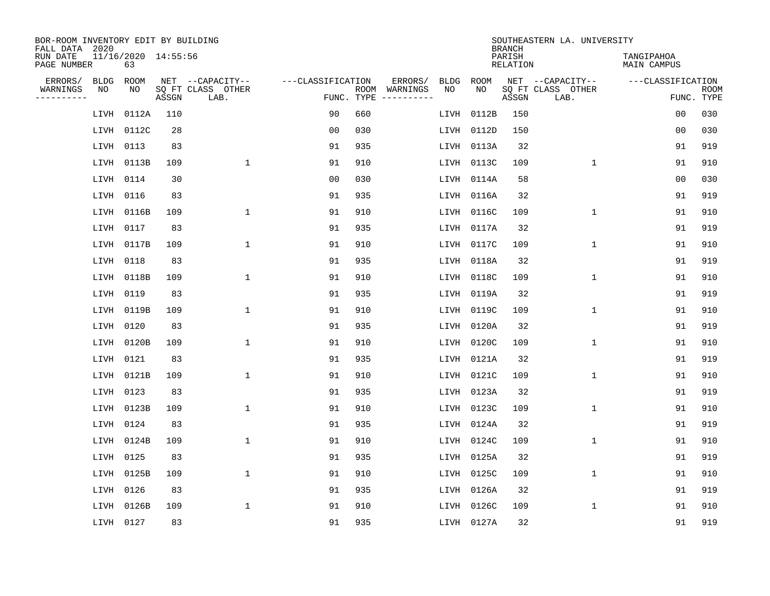| BOR-ROOM INVENTORY EDIT BY BUILDING<br>FALL DATA 2020 |                           |       |                           |                   |     |                                            |      |             | <b>BRANCH</b>             | SOUTHEASTERN LA. UNIVERSITY |                                  |                           |
|-------------------------------------------------------|---------------------------|-------|---------------------------|-------------------|-----|--------------------------------------------|------|-------------|---------------------------|-----------------------------|----------------------------------|---------------------------|
| RUN DATE<br>PAGE NUMBER                               | 11/16/2020 14:55:56<br>63 |       |                           |                   |     |                                            |      |             | PARISH<br><b>RELATION</b> |                             | TANGIPAHOA<br><b>MAIN CAMPUS</b> |                           |
| ERRORS/<br><b>BLDG</b>                                | ROOM                      |       | NET --CAPACITY--          | ---CLASSIFICATION |     | ERRORS/<br><b>BLDG</b>                     |      | <b>ROOM</b> |                           | NET --CAPACITY--            | ---CLASSIFICATION                |                           |
| WARNINGS<br>NO<br>----------                          | NO                        | ASSGN | SQ FT CLASS OTHER<br>LAB. |                   |     | NO<br>ROOM WARNINGS<br>FUNC. TYPE $------$ |      | NO          | ASSGN                     | SQ FT CLASS OTHER<br>LAB.   |                                  | <b>ROOM</b><br>FUNC. TYPE |
| LIVH                                                  | 0112A                     | 110   |                           | 90                | 660 |                                            | LIVH | 0112B       | 150                       |                             | 00                               | 030                       |
| LIVH                                                  | 0112C                     | 28    |                           | 0 <sub>0</sub>    | 030 |                                            | LIVH | 0112D       | 150                       |                             | 00                               | 030                       |
| LIVH                                                  | 0113                      | 83    |                           | 91                | 935 |                                            | LIVH | 0113A       | 32                        |                             | 91                               | 919                       |
| LIVH                                                  | 0113B                     | 109   | $\mathbf{1}$              | 91                | 910 |                                            |      | LIVH 0113C  | 109                       | $\mathbf{1}$                | 91                               | 910                       |
| LIVH                                                  | 0114                      | 30    |                           | 0 <sub>0</sub>    | 030 |                                            |      | LIVH 0114A  | 58                        |                             | 0 <sub>0</sub>                   | 030                       |
| LIVH                                                  | 0116                      | 83    |                           | 91                | 935 |                                            |      | LIVH 0116A  | 32                        |                             | 91                               | 919                       |
| LIVH                                                  | 0116B                     | 109   | $\mathbf{1}$              | 91                | 910 |                                            |      | LIVH 0116C  | 109                       | $\mathbf 1$                 | 91                               | 910                       |
| LIVH                                                  | 0117                      | 83    |                           | 91                | 935 |                                            |      | LIVH 0117A  | 32                        |                             | 91                               | 919                       |
| LIVH                                                  | 0117B                     | 109   | $\mathbf{1}$              | 91                | 910 |                                            | LIVH | 0117C       | 109                       | $\mathbf 1$                 | 91                               | 910                       |
| LIVH                                                  | 0118                      | 83    |                           | 91                | 935 |                                            |      | LIVH 0118A  | 32                        |                             | 91                               | 919                       |
| LIVH                                                  | 0118B                     | 109   | $\mathbf{1}$              | 91                | 910 |                                            | LIVH | 0118C       | 109                       | $\mathbf 1$                 | 91                               | 910                       |
| LIVH                                                  | 0119                      | 83    |                           | 91                | 935 |                                            | LIVH | 0119A       | 32                        |                             | 91                               | 919                       |
| LIVH                                                  | 0119B                     | 109   | 1                         | 91                | 910 |                                            | LIVH | 0119C       | 109                       | $\mathbf 1$                 | 91                               | 910                       |
| LIVH                                                  | 0120                      | 83    |                           | 91                | 935 |                                            |      | LIVH 0120A  | 32                        |                             | 91                               | 919                       |
| LIVH                                                  | 0120B                     | 109   | $\mathbf 1$               | 91                | 910 |                                            |      | LIVH 0120C  | 109                       | 1                           | 91                               | 910                       |
| LIVH                                                  | 0121                      | 83    |                           | 91                | 935 |                                            |      | LIVH 0121A  | 32                        |                             | 91                               | 919                       |
| LIVH                                                  | 0121B                     | 109   | $\mathbf{1}$              | 91                | 910 |                                            |      | LIVH 0121C  | 109                       | 1                           | 91                               | 910                       |
| LIVH                                                  | 0123                      | 83    |                           | 91                | 935 |                                            |      | LIVH 0123A  | 32                        |                             | 91                               | 919                       |
| LIVH                                                  | 0123B                     | 109   | $\mathbf{1}$              | 91                | 910 |                                            | LIVH | 0123C       | 109                       | 1                           | 91                               | 910                       |
| LIVH                                                  | 0124                      | 83    |                           | 91                | 935 |                                            | LIVH | 0124A       | 32                        |                             | 91                               | 919                       |
| LIVH                                                  | 0124B                     | 109   | 1                         | 91                | 910 |                                            | LIVH | 0124C       | 109                       | 1                           | 91                               | 910                       |
| LIVH                                                  | 0125                      | 83    |                           | 91                | 935 |                                            | LIVH | 0125A       | 32                        |                             | 91                               | 919                       |
| LIVH                                                  | 0125B                     | 109   | $\mathbf{1}$              | 91                | 910 |                                            | LIVH | 0125C       | 109                       | 1                           | 91                               | 910                       |
| LIVH                                                  | 0126                      | 83    |                           | 91                | 935 |                                            | LIVH | 0126A       | 32                        |                             | 91                               | 919                       |
| LIVH                                                  | 0126B                     | 109   | $\mathbf{1}$              | 91                | 910 |                                            | LIVH | 0126C       | 109                       | 1                           | 91                               | 910                       |
|                                                       | LIVH 0127                 | 83    |                           | 91                | 935 |                                            |      | LIVH 0127A  | 32                        |                             | 91                               | 919                       |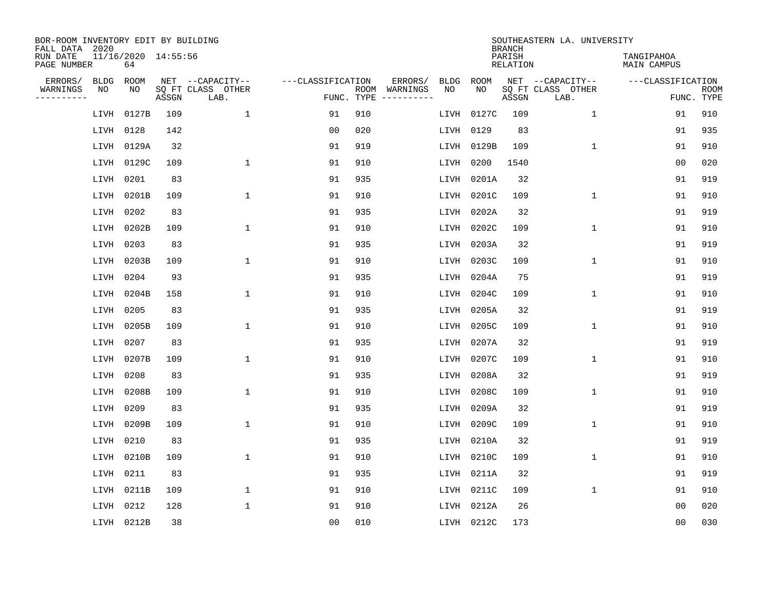| BOR-ROOM INVENTORY EDIT BY BUILDING<br>FALL DATA 2020 |                           |       |                           |                   |     |                              |             |             | <b>BRANCH</b>             | SOUTHEASTERN LA. UNIVERSITY |                                  |                           |
|-------------------------------------------------------|---------------------------|-------|---------------------------|-------------------|-----|------------------------------|-------------|-------------|---------------------------|-----------------------------|----------------------------------|---------------------------|
| RUN DATE<br>PAGE NUMBER                               | 11/16/2020 14:55:56<br>64 |       |                           |                   |     |                              |             |             | PARISH<br><b>RELATION</b> |                             | TANGIPAHOA<br><b>MAIN CAMPUS</b> |                           |
| ERRORS/<br><b>BLDG</b>                                | ROOM                      |       | NET --CAPACITY--          | ---CLASSIFICATION |     | ERRORS/                      | <b>BLDG</b> | <b>ROOM</b> |                           | NET --CAPACITY--            | ---CLASSIFICATION                |                           |
| WARNINGS<br>NO<br>----------                          | NO                        | ASSGN | SQ FT CLASS OTHER<br>LAB. | FUNC. TYPE        |     | ROOM WARNINGS<br>----------- | NO          | NO          | ASSGN                     | SQ FT CLASS OTHER<br>LAB.   |                                  | <b>ROOM</b><br>FUNC. TYPE |
| LIVH                                                  | 0127B                     | 109   | $\mathbf{1}$              | 91                | 910 |                              | LIVH        | 0127C       | 109                       | $\mathbf{1}$                | 91                               | 910                       |
| LIVH                                                  | 0128                      | 142   |                           | 0 <sub>0</sub>    | 020 |                              | LIVH        | 0129        | 83                        |                             | 91                               | 935                       |
| LIVH                                                  | 0129A                     | 32    |                           | 91                | 919 |                              | LIVH        | 0129B       | 109                       | $\mathbf 1$                 | 91                               | 910                       |
| LIVH                                                  | 0129C                     | 109   | $\mathbf{1}$              | 91                | 910 |                              | LIVH        | 0200        | 1540                      |                             | 0 <sub>0</sub>                   | 020                       |
| LIVH                                                  | 0201                      | 83    |                           | 91                | 935 |                              | LIVH        | 0201A       | 32                        |                             | 91                               | 919                       |
| LIVH                                                  | 0201B                     | 109   | $\mathbf{1}$              | 91                | 910 |                              | LIVH        | 0201C       | 109                       | $\mathbf 1$                 | 91                               | 910                       |
| LIVH                                                  | 0202                      | 83    |                           | 91                | 935 |                              | LIVH        | 0202A       | 32                        |                             | 91                               | 919                       |
| LIVH                                                  | 0202B                     | 109   | $\mathbf{1}$              | 91                | 910 |                              | LIVH        | 0202C       | 109                       | $\mathbf{1}$                | 91                               | 910                       |
| LIVH                                                  | 0203                      | 83    |                           | 91                | 935 |                              | LIVH        | 0203A       | 32                        |                             | 91                               | 919                       |
| LIVH                                                  | 0203B                     | 109   | 1                         | 91                | 910 |                              | LIVH        | 0203C       | 109                       | $\mathbf 1$                 | 91                               | 910                       |
| LIVH                                                  | 0204                      | 93    |                           | 91                | 935 |                              | LIVH        | 0204A       | 75                        |                             | 91                               | 919                       |
| LIVH                                                  | 0204B                     | 158   | 1                         | 91                | 910 |                              | LIVH        | 0204C       | 109                       | $\mathbf 1$                 | 91                               | 910                       |
| LIVH                                                  | 0205                      | 83    |                           | 91                | 935 |                              | LIVH        | 0205A       | 32                        |                             | 91                               | 919                       |
| LIVH                                                  | 0205B                     | 109   | 1                         | 91                | 910 |                              | LIVH        | 0205C       | 109                       | $\mathbf 1$                 | 91                               | 910                       |
| LIVH                                                  | 0207                      | 83    |                           | 91                | 935 |                              | LIVH        | 0207A       | 32                        |                             | 91                               | 919                       |
| LIVH                                                  | 0207B                     | 109   | $\mathbf{1}$              | 91                | 910 |                              | LIVH        | 0207C       | 109                       | 1                           | 91                               | 910                       |
| LIVH                                                  | 0208                      | 83    |                           | 91                | 935 |                              | LIVH        | 0208A       | 32                        |                             | 91                               | 919                       |
| LIVH                                                  | 0208B                     | 109   | 1                         | 91                | 910 |                              | LIVH        | 0208C       | 109                       | $\mathbf 1$                 | 91                               | 910                       |
| LIVH                                                  | 0209                      | 83    |                           | 91                | 935 |                              | LIVH        | 0209A       | 32                        |                             | 91                               | 919                       |
| LIVH                                                  | 0209B                     | 109   | $\mathbf{1}$              | 91                | 910 |                              | LIVH        | 0209C       | 109                       | $\mathbf 1$                 | 91                               | 910                       |
| LIVH                                                  | 0210                      | 83    |                           | 91                | 935 |                              | LIVH        | 0210A       | 32                        |                             | 91                               | 919                       |
| LIVH                                                  | 0210B                     | 109   | $\mathbf{1}$              | 91                | 910 |                              | LIVH        | 0210C       | 109                       | $\mathbf 1$                 | 91                               | 910                       |
| LIVH                                                  | 0211                      | 83    |                           | 91                | 935 |                              | LIVH        | 0211A       | 32                        |                             | 91                               | 919                       |
| LIVH                                                  | 0211B                     | 109   | $\mathbf{1}$              | 91                | 910 |                              | LIVH        | 0211C       | 109                       | $\mathbf 1$                 | 91                               | 910                       |
| LIVH                                                  | 0212                      | 128   | $\mathbf{1}$              | 91                | 910 |                              | LIVH        | 0212A       | 26                        |                             | 0 <sub>0</sub>                   | 020                       |
|                                                       | LIVH 0212B                | 38    |                           | 0 <sub>0</sub>    | 010 |                              |             | LIVH 0212C  | 173                       |                             | 0 <sub>0</sub>                   | 030                       |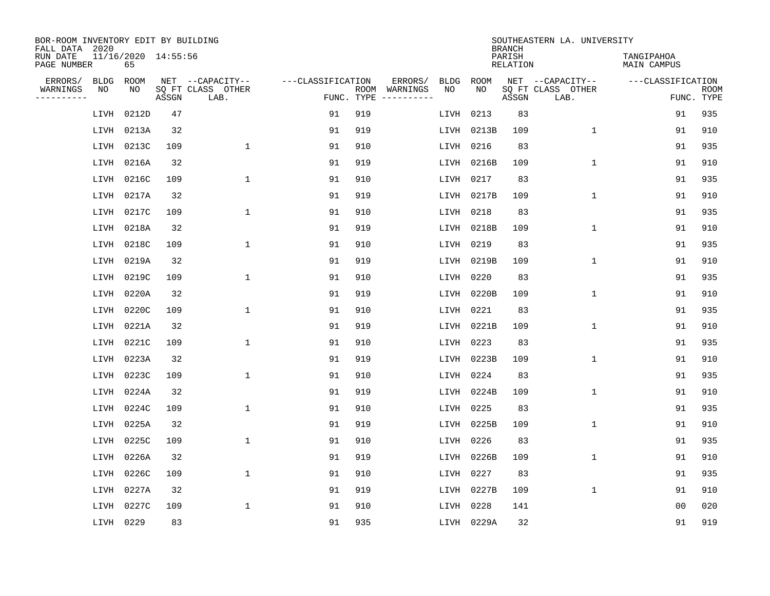| BOR-ROOM INVENTORY EDIT BY BUILDING<br>FALL DATA 2020 |           |                           |       |                           |                   |            |                              |             |             | <b>BRANCH</b>             | SOUTHEASTERN LA. UNIVERSITY |                                  |                           |
|-------------------------------------------------------|-----------|---------------------------|-------|---------------------------|-------------------|------------|------------------------------|-------------|-------------|---------------------------|-----------------------------|----------------------------------|---------------------------|
| RUN DATE<br>PAGE NUMBER                               |           | 11/16/2020 14:55:56<br>65 |       |                           |                   |            |                              |             |             | PARISH<br><b>RELATION</b> |                             | TANGIPAHOA<br><b>MAIN CAMPUS</b> |                           |
| ERRORS/                                               | BLDG      | ROOM                      |       | NET --CAPACITY--          | ---CLASSIFICATION |            | ERRORS/                      | <b>BLDG</b> | <b>ROOM</b> |                           | NET --CAPACITY--            | ---CLASSIFICATION                |                           |
| WARNINGS<br>----------                                | ΝO        | NO                        | ASSGN | SQ FT CLASS OTHER<br>LAB. |                   | FUNC. TYPE | ROOM WARNINGS<br>----------- | NO          | NO          | ASSGN                     | SQ FT CLASS OTHER<br>LAB.   |                                  | <b>ROOM</b><br>FUNC. TYPE |
|                                                       | LIVH      | 0212D                     | 47    |                           | 91                | 919        |                              | LIVH        | 0213        | 83                        |                             | 91                               | 935                       |
|                                                       | LIVH      | 0213A                     | 32    |                           | 91                | 919        |                              | LIVH        | 0213B       | 109                       | 1                           | 91                               | 910                       |
|                                                       | LIVH      | 0213C                     | 109   | $\mathbf 1$               | 91                | 910        |                              | LIVH        | 0216        | 83                        |                             | 91                               | 935                       |
|                                                       |           | LIVH 0216A                | 32    |                           | 91                | 919        |                              | LIVH        | 0216B       | 109                       | $\mathbf 1$                 | 91                               | 910                       |
|                                                       | LIVH      | 0216C                     | 109   | $\mathbf 1$               | 91                | 910        |                              | LIVH        | 0217        | 83                        |                             | 91                               | 935                       |
|                                                       |           | LIVH 0217A                | 32    |                           | 91                | 919        |                              |             | LIVH 0217B  | 109                       | $\mathbf{1}$                | 91                               | 910                       |
|                                                       | LIVH      | 0217C                     | 109   | $\mathbf{1}$              | 91                | 910        |                              | LIVH        | 0218        | 83                        |                             | 91                               | 935                       |
|                                                       | LIVH      | 0218A                     | 32    |                           | 91                | 919        |                              | LIVH        | 0218B       | 109                       | $\mathbf{1}$                | 91                               | 910                       |
|                                                       | LIVH      | 0218C                     | 109   | $\mathbf{1}$              | 91                | 910        |                              | LIVH        | 0219        | 83                        |                             | 91                               | 935                       |
|                                                       |           | LIVH 0219A                | 32    |                           | 91                | 919        |                              | LIVH        | 0219B       | 109                       | 1                           | 91                               | 910                       |
|                                                       | LIVH      | 0219C                     | 109   | 1                         | 91                | 910        |                              | LIVH        | 0220        | 83                        |                             | 91                               | 935                       |
|                                                       | LIVH      | 0220A                     | 32    |                           | 91                | 919        |                              | LIVH        | 0220B       | 109                       | $\mathbf 1$                 | 91                               | 910                       |
|                                                       | LIVH      | 0220C                     | 109   | 1                         | 91                | 910        |                              | LIVH        | 0221        | 83                        |                             | 91                               | 935                       |
|                                                       |           | LIVH 0221A                | 32    |                           | 91                | 919        |                              |             | LIVH 0221B  | 109                       | 1                           | 91                               | 910                       |
|                                                       |           | LIVH 0221C                | 109   | $\mathbf{1}$              | 91                | 910        |                              | LIVH        | 0223        | 83                        |                             | 91                               | 935                       |
|                                                       | LIVH      | 0223A                     | 32    |                           | 91                | 919        |                              |             | LIVH 0223B  | 109                       | $\mathbf 1$                 | 91                               | 910                       |
|                                                       | LIVH      | 0223C                     | 109   | $\mathbf{1}$              | 91                | 910        |                              | LIVH        | 0224        | 83                        |                             | 91                               | 935                       |
|                                                       | LIVH      | 0224A                     | 32    |                           | 91                | 919        |                              | LIVH        | 0224B       | 109                       | 1                           | 91                               | 910                       |
|                                                       | LIVH      | 0224C                     | 109   | 1                         | 91                | 910        |                              | LIVH        | 0225        | 83                        |                             | 91                               | 935                       |
|                                                       | LIVH      | 0225A                     | 32    |                           | 91                | 919        |                              | LIVH        | 0225B       | 109                       | $\mathbf{1}$                | 91                               | 910                       |
|                                                       | LIVH      | 0225C                     | 109   | $\mathbf{1}$              | 91                | 910        |                              | LIVH        | 0226        | 83                        |                             | 91                               | 935                       |
|                                                       | LIVH      | 0226A                     | 32    |                           | 91                | 919        |                              | LIVH        | 0226B       | 109                       | $\mathbf 1$                 | 91                               | 910                       |
|                                                       | LIVH      | 0226C                     | 109   | $\mathbf{1}$              | 91                | 910        |                              | LIVH        | 0227        | 83                        |                             | 91                               | 935                       |
|                                                       | LIVH      | 0227A                     | 32    |                           | 91                | 919        |                              | LIVH        | 0227B       | 109                       | $\mathbf{1}$                | 91                               | 910                       |
|                                                       | LIVH      | 0227C                     | 109   | $\mathbf{1}$              | 91                | 910        |                              | LIVH        | 0228        | 141                       |                             | 0 <sub>0</sub>                   | 020                       |
|                                                       | LIVH 0229 |                           | 83    |                           | 91                | 935        |                              |             | LIVH 0229A  | 32                        |                             | 91                               | 919                       |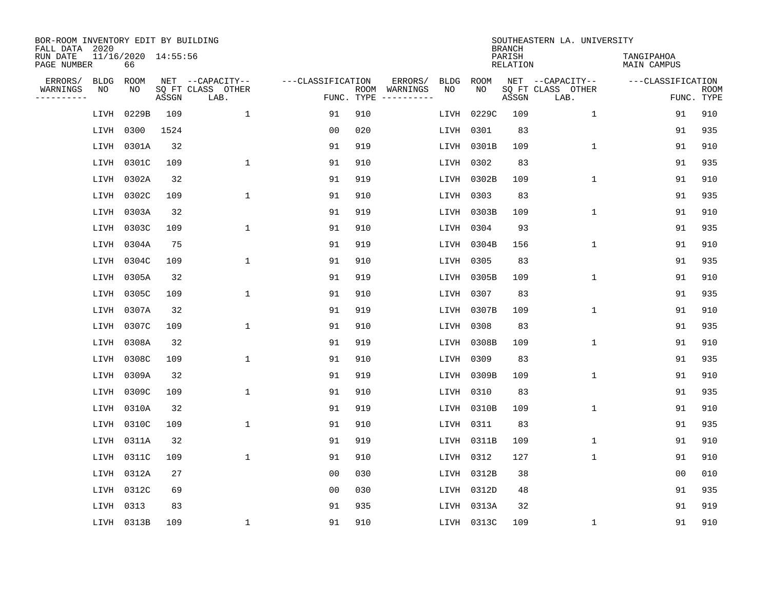| BOR-ROOM INVENTORY EDIT BY BUILDING<br>FALL DATA 2020 |                           |       |                           |                   |            |                              |             |             | <b>BRANCH</b>             | SOUTHEASTERN LA. UNIVERSITY |                                  |                           |
|-------------------------------------------------------|---------------------------|-------|---------------------------|-------------------|------------|------------------------------|-------------|-------------|---------------------------|-----------------------------|----------------------------------|---------------------------|
| RUN DATE<br>PAGE NUMBER                               | 11/16/2020 14:55:56<br>66 |       |                           |                   |            |                              |             |             | PARISH<br><b>RELATION</b> |                             | TANGIPAHOA<br><b>MAIN CAMPUS</b> |                           |
| ERRORS/<br><b>BLDG</b>                                | ROOM                      |       | NET --CAPACITY--          | ---CLASSIFICATION |            | ERRORS/                      | <b>BLDG</b> | <b>ROOM</b> |                           | NET --CAPACITY--            | ---CLASSIFICATION                |                           |
| WARNINGS<br>NO<br>----------                          | NO                        | ASSGN | SQ FT CLASS OTHER<br>LAB. |                   | FUNC. TYPE | ROOM WARNINGS<br>----------- | NO          | NO          | ASSGN                     | SQ FT CLASS OTHER<br>LAB.   |                                  | <b>ROOM</b><br>FUNC. TYPE |
| LIVH                                                  | 0229B                     | 109   | $\mathbf{1}$              | 91                | 910        |                              | LIVH        | 0229C       | 109                       | $\mathbf{1}$                | 91                               | 910                       |
| LIVH                                                  | 0300                      | 1524  |                           | 0 <sub>0</sub>    | 020        |                              | LIVH        | 0301        | 83                        |                             | 91                               | 935                       |
| LIVH                                                  | 0301A                     | 32    |                           | 91                | 919        |                              | LIVH        | 0301B       | 109                       | $\mathbf 1$                 | 91                               | 910                       |
| LIVH                                                  | 0301C                     | 109   | $\mathbf{1}$              | 91                | 910        |                              | LIVH        | 0302        | 83                        |                             | 91                               | 935                       |
| LIVH                                                  | 0302A                     | 32    |                           | 91                | 919        |                              |             | LIVH 0302B  | 109                       | $\mathbf{1}$                | 91                               | 910                       |
| LIVH                                                  | 0302C                     | 109   | $\mathbf{1}$              | 91                | 910        |                              |             | LIVH 0303   | 83                        |                             | 91                               | 935                       |
| LIVH                                                  | 0303A                     | 32    |                           | 91                | 919        |                              |             | LIVH 0303B  | 109                       | $\mathbf{1}$                | 91                               | 910                       |
| LIVH                                                  | 0303C                     | 109   | $\mathbf{1}$              | 91                | 910        |                              | LIVH        | 0304        | 93                        |                             | 91                               | 935                       |
| LIVH                                                  | 0304A                     | 75    |                           | 91                | 919        |                              | LIVH        | 0304B       | 156                       | $\mathbf{1}$                | 91                               | 910                       |
|                                                       | LIVH 0304C                | 109   | $\mathbf{1}$              | 91                | 910        |                              |             | LIVH 0305   | 83                        |                             | 91                               | 935                       |
| LIVH                                                  | 0305A                     | 32    |                           | 91                | 919        |                              | LIVH        | 0305B       | 109                       | $\mathbf 1$                 | 91                               | 910                       |
| LIVH                                                  | 0305C                     | 109   | $\mathbf{1}$              | 91                | 910        |                              | LIVH        | 0307        | 83                        |                             | 91                               | 935                       |
| LIVH                                                  | 0307A                     | 32    |                           | 91                | 919        |                              | LIVH        | 0307B       | 109                       | $\mathbf 1$                 | 91                               | 910                       |
|                                                       | LIVH 0307C                | 109   | $\mathbf{1}$              | 91                | 910        |                              | LIVH        | 0308        | 83                        |                             | 91                               | 935                       |
| LIVH                                                  | 0308A                     | 32    |                           | 91                | 919        |                              | LIVH        | 0308B       | 109                       | $\mathbf{1}$                | 91                               | 910                       |
|                                                       | LIVH 0308C                | 109   | 1                         | 91                | 910        |                              | LIVH        | 0309        | 83                        |                             | 91                               | 935                       |
| LIVH                                                  | 0309A                     | 32    |                           | 91                | 919        |                              | LIVH        | 0309B       | 109                       | 1                           | 91                               | 910                       |
| LIVH                                                  | 0309C                     | 109   | 1                         | 91                | 910        |                              |             | LIVH 0310   | 83                        |                             | 91                               | 935                       |
| LIVH                                                  | 0310A                     | 32    |                           | 91                | 919        |                              | LIVH        | 0310B       | 109                       | 1                           | 91                               | 910                       |
| LIVH                                                  | 0310C                     | 109   | $\mathbf{1}$              | 91                | 910        |                              | LIVH        | 0311        | 83                        |                             | 91                               | 935                       |
| LIVH                                                  | 0311A                     | 32    |                           | 91                | 919        |                              | LIVH        | 0311B       | 109                       | $\mathbf 1$                 | 91                               | 910                       |
| LIVH                                                  | 0311C                     | 109   | $\mathbf{1}$              | 91                | 910        |                              | LIVH        | 0312        | 127                       | $\mathbf 1$                 | 91                               | 910                       |
| LIVH                                                  | 0312A                     | 27    |                           | 0 <sub>0</sub>    | 030        |                              | LIVH        | 0312B       | 38                        |                             | 0 <sub>0</sub>                   | 010                       |
| LIVH                                                  | 0312C                     | 69    |                           | 0 <sub>0</sub>    | 030        |                              |             | LIVH 0312D  | 48                        |                             | 91                               | 935                       |
| LIVH                                                  | 0313                      | 83    |                           | 91                | 935        |                              | LIVH        | 0313A       | 32                        |                             | 91                               | 919                       |
|                                                       | LIVH 0313B                | 109   | $\mathbf{1}$              | 91                | 910        |                              |             | LIVH 0313C  | 109                       | 1                           | 91                               | 910                       |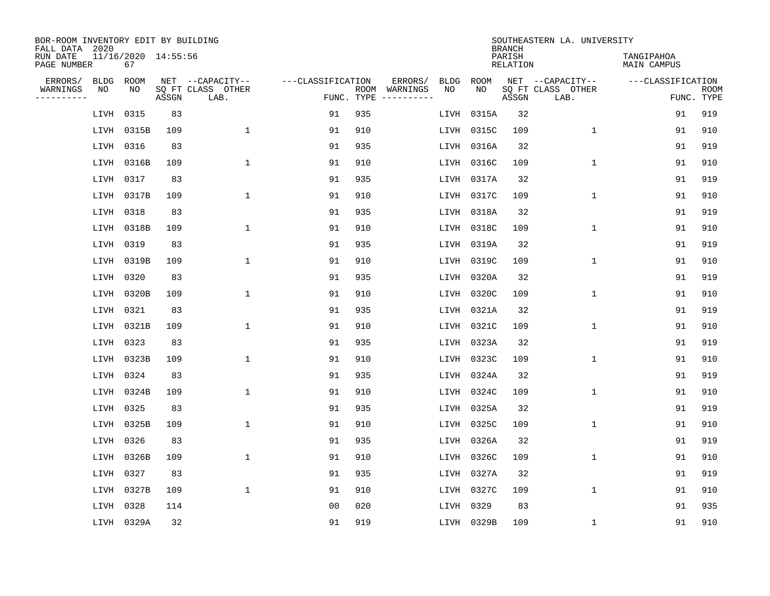| BOR-ROOM INVENTORY EDIT BY BUILDING<br>FALL DATA 2020 |                           |       |                           |                   |            |                              |             |             | <b>BRANCH</b>             | SOUTHEASTERN LA. UNIVERSITY |                                  |                           |
|-------------------------------------------------------|---------------------------|-------|---------------------------|-------------------|------------|------------------------------|-------------|-------------|---------------------------|-----------------------------|----------------------------------|---------------------------|
| RUN DATE<br>PAGE NUMBER                               | 11/16/2020 14:55:56<br>67 |       |                           |                   |            |                              |             |             | PARISH<br><b>RELATION</b> |                             | TANGIPAHOA<br><b>MAIN CAMPUS</b> |                           |
| ERRORS/<br><b>BLDG</b>                                | ROOM                      |       | NET --CAPACITY--          | ---CLASSIFICATION |            | ERRORS/                      | <b>BLDG</b> | <b>ROOM</b> |                           | NET --CAPACITY--            | ---CLASSIFICATION                |                           |
| WARNINGS<br>NO<br>----------                          | NO                        | ASSGN | SQ FT CLASS OTHER<br>LAB. |                   | FUNC. TYPE | ROOM WARNINGS<br>----------- | NO          | NO          | ASSGN                     | SQ FT CLASS OTHER<br>LAB.   |                                  | <b>ROOM</b><br>FUNC. TYPE |
| LIVH                                                  | 0315                      | 83    |                           | 91                | 935        |                              | LIVH        | 0315A       | 32                        |                             | 91                               | 919                       |
| LIVH                                                  | 0315B                     | 109   | $\mathbf{1}$              | 91                | 910        |                              | LIVH        | 0315C       | 109                       | $\mathbf 1$                 | 91                               | 910                       |
| LIVH                                                  | 0316                      | 83    |                           | 91                | 935        |                              | LIVH        | 0316A       | 32                        |                             | 91                               | 919                       |
| LIVH                                                  | 0316B                     | 109   | $\mathbf{1}$              | 91                | 910        |                              | LIVH        | 0316C       | 109                       | $\mathbf 1$                 | 91                               | 910                       |
| LIVH                                                  | 0317                      | 83    |                           | 91                | 935        |                              | LIVH        | 0317A       | 32                        |                             | 91                               | 919                       |
| LIVH                                                  | 0317B                     | 109   | $\mathbf{1}$              | 91                | 910        |                              | LIVH        | 0317C       | 109                       | $\mathbf{1}$                | 91                               | 910                       |
| LIVH                                                  | 0318                      | 83    |                           | 91                | 935        |                              | LIVH        | 0318A       | 32                        |                             | 91                               | 919                       |
| LIVH                                                  | 0318B                     | 109   | $\mathbf{1}$              | 91                | 910        |                              | LIVH        | 0318C       | 109                       | $\mathbf 1$                 | 91                               | 910                       |
| LIVH                                                  | 0319                      | 83    |                           | 91                | 935        |                              | LIVH        | 0319A       | 32                        |                             | 91                               | 919                       |
| LIVH                                                  | 0319B                     | 109   | 1                         | 91                | 910        |                              | LIVH        | 0319C       | 109                       | $\mathbf 1$                 | 91                               | 910                       |
| LIVH                                                  | 0320                      | 83    |                           | 91                | 935        |                              | LIVH        | 0320A       | 32                        |                             | 91                               | 919                       |
| LIVH                                                  | 0320B                     | 109   | $\mathbf{1}$              | 91                | 910        |                              | LIVH        | 0320C       | 109                       | $\mathbf{1}$                | 91                               | 910                       |
| LIVH                                                  | 0321                      | 83    |                           | 91                | 935        |                              | LIVH        | 0321A       | 32                        |                             | 91                               | 919                       |
| LIVH                                                  | 0321B                     | 109   | 1                         | 91                | 910        |                              | LIVH        | 0321C       | 109                       | 1                           | 91                               | 910                       |
| LIVH                                                  | 0323                      | 83    |                           | 91                | 935        |                              | LIVH        | 0323A       | 32                        |                             | 91                               | 919                       |
| LIVH                                                  | 0323B                     | 109   | $\mathbf{1}$              | 91                | 910        |                              | LIVH        | 0323C       | 109                       | $\mathbf 1$                 | 91                               | 910                       |
| LIVH                                                  | 0324                      | 83    |                           | 91                | 935        |                              | LIVH        | 0324A       | 32                        |                             | 91                               | 919                       |
| LIVH                                                  | 0324B                     | 109   | $\mathbf{1}$              | 91                | 910        |                              | LIVH        | 0324C       | 109                       | $\mathbf 1$                 | 91                               | 910                       |
| LIVH                                                  | 0325                      | 83    |                           | 91                | 935        |                              | LIVH        | 0325A       | 32                        |                             | 91                               | 919                       |
| LIVH                                                  | 0325B                     | 109   | 1                         | 91                | 910        |                              | LIVH        | 0325C       | 109                       | $\mathbf 1$                 | 91                               | 910                       |
| LIVH                                                  | 0326                      | 83    |                           | 91                | 935        |                              | LIVH        | 0326A       | 32                        |                             | 91                               | 919                       |
| LIVH                                                  | 0326B                     | 109   | 1                         | 91                | 910        |                              | LIVH        | 0326C       | 109                       | $\mathbf 1$                 | 91                               | 910                       |
| LIVH                                                  | 0327                      | 83    |                           | 91                | 935        |                              | LIVH        | 0327A       | 32                        |                             | 91                               | 919                       |
| LIVH                                                  | 0327B                     | 109   | $\mathbf{1}$              | 91                | 910        |                              | LIVH        | 0327C       | 109                       | $\mathbf 1$                 | 91                               | 910                       |
| LIVH                                                  | 0328                      | 114   |                           | 0 <sub>0</sub>    | 020        |                              | LIVH        | 0329        | 83                        |                             | 91                               | 935                       |
|                                                       | LIVH 0329A                | 32    |                           | 91                | 919        |                              |             | LIVH 0329B  | 109                       | 1                           | 91                               | 910                       |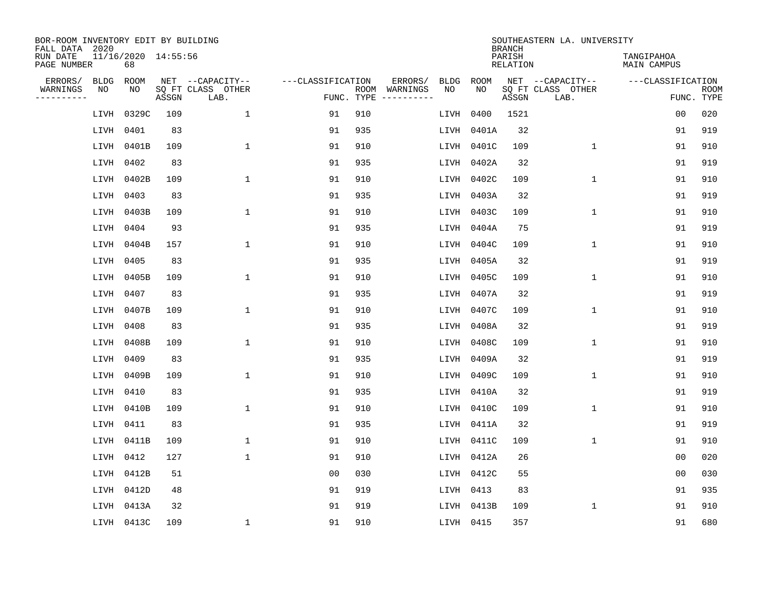| BOR-ROOM INVENTORY EDIT BY BUILDING<br>FALL DATA 2020 |                           |       |                           |                   |     |                                      |             |             | <b>BRANCH</b>             | SOUTHEASTERN LA. UNIVERSITY |                                  |                           |
|-------------------------------------------------------|---------------------------|-------|---------------------------|-------------------|-----|--------------------------------------|-------------|-------------|---------------------------|-----------------------------|----------------------------------|---------------------------|
| RUN DATE<br>PAGE NUMBER                               | 11/16/2020 14:55:56<br>68 |       |                           |                   |     |                                      |             |             | PARISH<br><b>RELATION</b> |                             | TANGIPAHOA<br><b>MAIN CAMPUS</b> |                           |
| ERRORS/<br><b>BLDG</b>                                | ROOM                      |       | NET --CAPACITY--          | ---CLASSIFICATION |     | ERRORS/                              | <b>BLDG</b> | <b>ROOM</b> |                           | NET --CAPACITY--            | ---CLASSIFICATION                |                           |
| WARNINGS<br>NO<br>----------                          | NO.                       | ASSGN | SQ FT CLASS OTHER<br>LAB. |                   |     | ROOM WARNINGS<br>FUNC. TYPE $------$ | NO          | NO          | ASSGN                     | SQ FT CLASS OTHER<br>LAB.   |                                  | <b>ROOM</b><br>FUNC. TYPE |
| LIVH                                                  | 0329C                     | 109   | $\mathbf{1}$              | 91                | 910 |                                      | LIVH        | 0400        | 1521                      |                             | 0 <sub>0</sub>                   | 020                       |
| LIVH                                                  | 0401                      | 83    |                           | 91                | 935 |                                      | LIVH        | 0401A       | 32                        |                             | 91                               | 919                       |
| LIVH                                                  | 0401B                     | 109   | $\mathbf 1$               | 91                | 910 |                                      | LIVH        | 0401C       | 109                       | $\mathbf 1$                 | 91                               | 910                       |
| LIVH                                                  | 0402                      | 83    |                           | 91                | 935 |                                      | LIVH        | 0402A       | 32                        |                             | 91                               | 919                       |
| LIVH                                                  | 0402B                     | 109   | $\mathbf{1}$              | 91                | 910 |                                      | LIVH        | 0402C       | 109                       | $\mathbf 1$                 | 91                               | 910                       |
| LIVH                                                  | 0403                      | 83    |                           | 91                | 935 |                                      | LIVH        | 0403A       | 32                        |                             | 91                               | 919                       |
| LIVH                                                  | 0403B                     | 109   | $\mathbf{1}$              | 91                | 910 |                                      | LIVH        | 0403C       | 109                       | $\mathbf{1}$                | 91                               | 910                       |
| LIVH                                                  | 0404                      | 93    |                           | 91                | 935 |                                      | LIVH        | 0404A       | 75                        |                             | 91                               | 919                       |
| LIVH                                                  | 0404B                     | 157   | $\mathbf{1}$              | 91                | 910 |                                      | LIVH        | 0404C       | 109                       | $\mathbf{1}$                | 91                               | 910                       |
| LIVH                                                  | 0405                      | 83    |                           | 91                | 935 |                                      | LIVH        | 0405A       | 32                        |                             | 91                               | 919                       |
| LIVH                                                  | 0405B                     | 109   | $\mathbf{1}$              | 91                | 910 |                                      | LIVH        | 0405C       | 109                       | $\mathbf 1$                 | 91                               | 910                       |
| LIVH                                                  | 0407                      | 83    |                           | 91                | 935 |                                      | LIVH        | 0407A       | 32                        |                             | 91                               | 919                       |
| LIVH                                                  | 0407B                     | 109   | $\mathbf{1}$              | 91                | 910 |                                      | LIVH        | 0407C       | 109                       | $\mathbf 1$                 | 91                               | 910                       |
| LIVH                                                  | 0408                      | 83    |                           | 91                | 935 |                                      | LIVH        | 0408A       | 32                        |                             | 91                               | 919                       |
| LIVH                                                  | 0408B                     | 109   | $\mathbf{1}$              | 91                | 910 |                                      | LIVH        | 0408C       | 109                       | $\mathbf{1}$                | 91                               | 910                       |
| LIVH                                                  | 0409                      | 83    |                           | 91                | 935 |                                      | LIVH        | 0409A       | 32                        |                             | 91                               | 919                       |
| LIVH                                                  | 0409B                     | 109   | $\mathbf{1}$              | 91                | 910 |                                      | LIVH        | 0409C       | 109                       | 1                           | 91                               | 910                       |
| LIVH                                                  | 0410                      | 83    |                           | 91                | 935 |                                      | LIVH        | 0410A       | 32                        |                             | 91                               | 919                       |
| LIVH                                                  | 0410B                     | 109   | $\mathbf{1}$              | 91                | 910 |                                      | LIVH        | 0410C       | 109                       | $\mathbf 1$                 | 91                               | 910                       |
| LIVH                                                  | 0411                      | 83    |                           | 91                | 935 |                                      | LIVH        | 0411A       | 32                        |                             | 91                               | 919                       |
| LIVH                                                  | 0411B                     | 109   | 1                         | 91                | 910 |                                      | LIVH        | 0411C       | 109                       | $\mathbf 1$                 | 91                               | 910                       |
| LIVH                                                  | 0412                      | 127   | $\mathbf{1}$              | 91                | 910 |                                      | LIVH        | 0412A       | 26                        |                             | 0 <sub>0</sub>                   | 020                       |
| LIVH                                                  | 0412B                     | 51    |                           | 0 <sub>0</sub>    | 030 |                                      | LIVH        | 0412C       | 55                        |                             | 0 <sub>0</sub>                   | 030                       |
| LIVH                                                  | 0412D                     | 48    |                           | 91                | 919 |                                      | LIVH        | 0413        | 83                        |                             | 91                               | 935                       |
| LIVH                                                  | 0413A                     | 32    |                           | 91                | 919 |                                      | LIVH        | 0413B       | 109                       | $\mathbf 1$                 | 91                               | 910                       |
|                                                       | LIVH 0413C                | 109   | $\mathbf{1}$              | 91                | 910 |                                      | LIVH 0415   |             | 357                       |                             | 91                               | 680                       |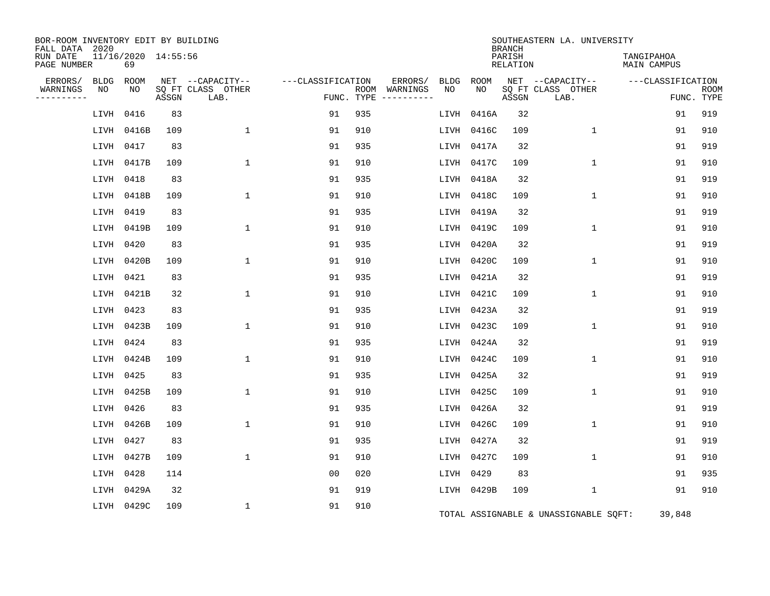| BOR-ROOM INVENTORY EDIT BY BUILDING<br>FALL DATA 2020 |                           |       |                           |                   |            |                              |      |            | <b>BRANCH</b>      | SOUTHEASTERN LA. UNIVERSITY           |                                  |                           |
|-------------------------------------------------------|---------------------------|-------|---------------------------|-------------------|------------|------------------------------|------|------------|--------------------|---------------------------------------|----------------------------------|---------------------------|
| RUN DATE<br>PAGE NUMBER                               | 11/16/2020 14:55:56<br>69 |       |                           |                   |            |                              |      |            | PARISH<br>RELATION |                                       | TANGIPAHOA<br><b>MAIN CAMPUS</b> |                           |
| ERRORS/<br><b>BLDG</b>                                | ROOM                      |       | NET --CAPACITY--          | ---CLASSIFICATION |            | ERRORS/                      | BLDG | ROOM       |                    | NET --CAPACITY--                      | ---CLASSIFICATION                |                           |
| WARNINGS<br>NO<br>. _ _ _ _ _ _ _ _                   | NO                        | ASSGN | SQ FT CLASS OTHER<br>LAB. |                   | FUNC. TYPE | ROOM WARNINGS<br>----------- | NO   | NO         | ASSGN              | SQ FT CLASS OTHER<br>LAB.             |                                  | <b>ROOM</b><br>FUNC. TYPE |
| LIVH                                                  | 0416                      | 83    |                           | 91                | 935        |                              | LIVH | 0416A      | 32                 |                                       | 91                               | 919                       |
| LIVH                                                  | 0416B                     | 109   | $\mathbf{1}$              | 91                | 910        |                              | LIVH | 0416C      | 109                | $\mathbf{1}$                          | 91                               | 910                       |
| LIVH                                                  | 0417                      | 83    |                           | 91                | 935        |                              | LIVH | 0417A      | 32                 |                                       | 91                               | 919                       |
| LIVH                                                  | 0417B                     | 109   | $\mathbf 1$               | 91                | 910        |                              | LIVH | 0417C      | 109                | $\mathbf 1$                           | 91                               | 910                       |
| LIVH                                                  | 0418                      | 83    |                           | 91                | 935        |                              | LIVH | 0418A      | 32                 |                                       | 91                               | 919                       |
| LIVH                                                  | 0418B                     | 109   | $\mathbf{1}$              | 91                | 910        |                              | LIVH | 0418C      | 109                | $\mathbf{1}$                          | 91                               | 910                       |
| LIVH                                                  | 0419                      | 83    |                           | 91                | 935        |                              | LIVH | 0419A      | 32                 |                                       | 91                               | 919                       |
| LIVH                                                  | 0419B                     | 109   | $\mathbf{1}$              | 91                | 910        |                              | LIVH | 0419C      | 109                | $\mathbf 1$                           | 91                               | 910                       |
| LIVH                                                  | 0420                      | 83    |                           | 91                | 935        |                              | LIVH | 0420A      | 32                 |                                       | 91                               | 919                       |
| LIVH                                                  | 0420B                     | 109   | $\mathbf{1}$              | 91                | 910        |                              | LIVH | 0420C      | 109                | $\mathbf{1}$                          | 91                               | 910                       |
| LIVH                                                  | 0421                      | 83    |                           | 91                | 935        |                              | LIVH | 0421A      | 32                 |                                       | 91                               | 919                       |
| LIVH                                                  | 0421B                     | 32    | $\mathbf{1}$              | 91                | 910        |                              | LIVH | 0421C      | 109                | $\mathbf 1$                           | 91                               | 910                       |
| LIVH                                                  | 0423                      | 83    |                           | 91                | 935        |                              | LIVH | 0423A      | 32                 |                                       | 91                               | 919                       |
| LIVH                                                  | 0423B                     | 109   | $\mathbf{1}$              | 91                | 910        |                              | LIVH | 0423C      | 109                | $\mathbf 1$                           | 91                               | 910                       |
| LIVH                                                  | 0424                      | 83    |                           | 91                | 935        |                              | LIVH | 0424A      | 32                 |                                       | 91                               | 919                       |
| LIVH                                                  | 0424B                     | 109   | $\mathbf{1}$              | 91                | 910        |                              | LIVH | 0424C      | 109                | $\mathbf 1$                           | 91                               | 910                       |
| LIVH                                                  | 0425                      | 83    |                           | 91                | 935        |                              | LIVH | 0425A      | 32                 |                                       | 91                               | 919                       |
| LIVH                                                  | 0425B                     | 109   | 1                         | 91                | 910        |                              | LIVH | 0425C      | 109                | $\mathbf 1$                           | 91                               | 910                       |
| LIVH                                                  | 0426                      | 83    |                           | 91                | 935        |                              | LIVH | 0426A      | 32                 |                                       | 91                               | 919                       |
| LIVH                                                  | 0426B                     | 109   | $\mathbf{1}$              | 91                | 910        |                              | LIVH | 0426C      | 109                | $\mathbf 1$                           | 91                               | 910                       |
| LIVH                                                  | 0427                      | 83    |                           | 91                | 935        |                              | LIVH | 0427A      | 32                 |                                       | 91                               | 919                       |
| LIVH                                                  | 0427B                     | 109   | $\mathbf{1}$              | 91                | 910        |                              | LIVH | 0427C      | 109                | $\mathbf 1$                           | 91                               | 910                       |
| LIVH                                                  | 0428                      | 114   |                           | 0 <sub>0</sub>    | 020        |                              | LIVH | 0429       | 83                 |                                       | 91                               | 935                       |
| LIVH                                                  | 0429A                     | 32    |                           | 91                | 919        |                              |      | LIVH 0429B | 109                | $\mathbf 1$                           | 91                               | 910                       |
|                                                       | LIVH 0429C                | 109   | 1                         | 91                | 910        |                              |      |            |                    | TOTAL ASSIGNABLE & UNASSIGNABLE SQFT: | 39,848                           |                           |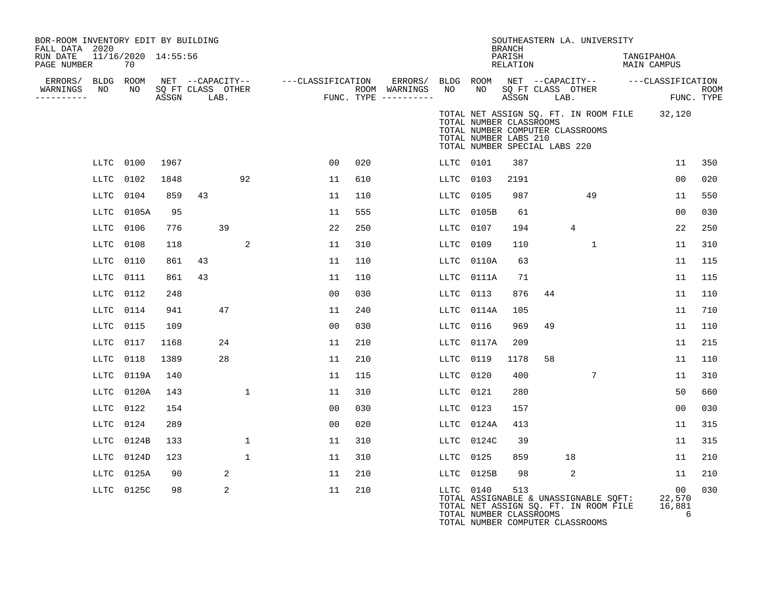| BOR-ROOM INVENTORY EDIT BY BUILDING<br>FALL DATA 2020 |      |                           |      |                                 |              |                                       |     |         |           |                                                                                   | <b>BRANCH</b>      |            | SOUTHEASTERN LA. UNIVERSITY                                                                                        |                           |                             |             |
|-------------------------------------------------------|------|---------------------------|------|---------------------------------|--------------|---------------------------------------|-----|---------|-----------|-----------------------------------------------------------------------------------|--------------------|------------|--------------------------------------------------------------------------------------------------------------------|---------------------------|-----------------------------|-------------|
| RUN DATE<br>PAGE NUMBER                               |      | 11/16/2020 14:55:56<br>70 |      |                                 |              |                                       |     |         |           |                                                                                   | PARISH<br>RELATION |            |                                                                                                                    | TANGIPAHOA<br>MAIN CAMPUS |                             |             |
| ERRORS/                                               |      | BLDG ROOM                 |      |                                 |              | NET --CAPACITY-- ---CLASSIFICATION    |     | ERRORS/ |           |                                                                                   |                    |            | BLDG ROOM NET --CAPACITY-- ---CLASSIFICATION                                                                       |                           |                             |             |
| WARNINGS<br>---------                                 | NO   | NO                        |      | SQ FT CLASS OTHER<br>ASSGN LAB. |              | ROOM WARNINGS<br>FUNC. TYPE --------- |     |         | NO        | NO <sub>1</sub>                                                                   |                    | ASSGN LAB. | SQ FT CLASS OTHER                                                                                                  |                           | FUNC. TYPE                  | <b>ROOM</b> |
|                                                       |      |                           |      |                                 |              |                                       |     |         |           | TOTAL NUMBER CLASSROOMS<br>TOTAL NUMBER LABS 210<br>TOTAL NUMBER SPECIAL LABS 220 |                    |            | TOTAL NET ASSIGN SQ. FT. IN ROOM FILE 32,120<br>TOTAL NUMBER COMPUTER CLASSROOMS                                   |                           |                             |             |
|                                                       |      | LLTC 0100                 | 1967 |                                 |              | 0 <sub>0</sub>                        | 020 |         | LLTC 0101 |                                                                                   | 387                |            |                                                                                                                    |                           | 11                          | 350         |
|                                                       | LLTC | 0102                      | 1848 |                                 | 92           | 11                                    | 610 |         | LLTC      | 0103                                                                              | 2191               |            |                                                                                                                    |                           | 0 <sub>0</sub>              | 020         |
|                                                       | LLTC | 0104                      | 859  | 43                              |              | 11                                    | 110 |         | LLTC      | 0105                                                                              | 987                |            | 49                                                                                                                 |                           | 11                          | 550         |
|                                                       | LLTC | 0105A                     | 95   |                                 |              | 11                                    | 555 |         | LLTC      | 0105B                                                                             | 61                 |            |                                                                                                                    |                           | 00                          | 030         |
|                                                       | LLTC | 0106                      | 776  |                                 | 39           | 22                                    | 250 |         | LLTC      | 0107                                                                              | 194                |            | $\overline{4}$                                                                                                     |                           | 22                          | 250         |
|                                                       | LLTC | 0108                      | 118  |                                 | 2            | 11                                    | 310 |         | LLTC      | 0109                                                                              | 110                |            | $\mathbf{1}$                                                                                                       |                           | 11                          | 310         |
|                                                       | LLTC | 0110                      | 861  | 43                              |              | 11                                    | 110 |         | LLTC      | 0110A                                                                             | 63                 |            |                                                                                                                    |                           | 11                          | 115         |
|                                                       | LLTC | 0111                      | 861  | 43                              |              | 11                                    | 110 |         | LLTC      | 0111A                                                                             | 71                 |            |                                                                                                                    |                           | 11                          | 115         |
|                                                       | LLTC | 0112                      | 248  |                                 |              | 0 <sub>0</sub>                        | 030 |         | LLTC      | 0113                                                                              | 876                | 44         |                                                                                                                    |                           | 11                          | 110         |
|                                                       | LLTC | 0114                      | 941  |                                 | 47           | 11                                    | 240 |         | LLTC      | 0114A                                                                             | 105                |            |                                                                                                                    |                           | 11                          | 710         |
|                                                       | LLTC | 0115                      | 109  |                                 |              | 0 <sub>0</sub>                        | 030 |         | LLTC      | 0116                                                                              | 969                | 49         |                                                                                                                    |                           | 11                          | 110         |
|                                                       | LLTC | 0117                      | 1168 |                                 | 24           | 11                                    | 210 |         | LLTC      | 0117A                                                                             | 209                |            |                                                                                                                    |                           | 11                          | 215         |
|                                                       | LLTC | 0118                      | 1389 |                                 | 28           | 11                                    | 210 |         | LLTC      | 0119                                                                              | 1178               | 58         |                                                                                                                    |                           | 11                          | 110         |
|                                                       | LLTC | 0119A                     | 140  |                                 |              | 11                                    | 115 |         | LLTC      | 0120                                                                              | 400                |            | 7                                                                                                                  |                           | 11                          | 310         |
|                                                       | LLTC | 0120A                     | 143  |                                 | 1            | 11                                    | 310 |         | LLTC      | 0121                                                                              | 280                |            |                                                                                                                    |                           | 50                          | 660         |
|                                                       | LLTC | 0122                      | 154  |                                 |              | 00                                    | 030 |         | LLTC      | 0123                                                                              | 157                |            |                                                                                                                    |                           | 00                          | 030         |
|                                                       | LLTC | 0124                      | 289  |                                 |              | 0 <sub>0</sub>                        | 020 |         | LLTC      | 0124A                                                                             | 413                |            |                                                                                                                    |                           | 11                          | 315         |
|                                                       | LLTC | 0124B                     | 133  |                                 | $\mathbf{1}$ | 11                                    | 310 |         | LLTC      | 0124C                                                                             | 39                 |            |                                                                                                                    |                           | 11                          | 315         |
|                                                       | LLTC | 0124D                     | 123  |                                 | $\mathbf{1}$ | 11                                    | 310 |         | LLTC 0125 |                                                                                   | 859                |            | 18                                                                                                                 |                           | 11                          | 210         |
|                                                       | LLTC | 0125A                     | 90   |                                 | 2            | 11                                    | 210 |         |           | LLTC 0125B                                                                        | 98                 |            | 2                                                                                                                  |                           | 11                          | 210         |
|                                                       |      | LLTC 0125C                | 98   |                                 | 2            | 11                                    | 210 |         | LLTC 0140 | TOTAL NUMBER CLASSROOMS                                                           | 513                |            | TOTAL ASSIGNABLE & UNASSIGNABLE SOFT:<br>TOTAL NET ASSIGN SQ. FT. IN ROOM FILE<br>TOTAL NUMBER COMPUTER CLASSROOMS |                           | 00<br>22,570<br>16,881<br>6 | 030         |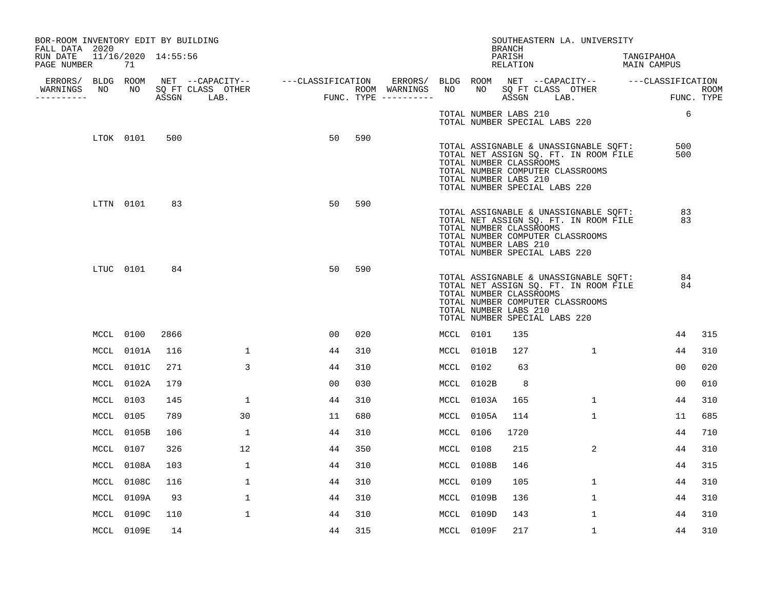| BOR-ROOM INVENTORY EDIT BY BUILDING<br>FALL DATA 2020 |           |            |      |              |                |     |           |                                                  | BRANCH             | SOUTHEASTERN LA. UNIVERSITY                                                                                                                         |                           |     |
|-------------------------------------------------------|-----------|------------|------|--------------|----------------|-----|-----------|--------------------------------------------------|--------------------|-----------------------------------------------------------------------------------------------------------------------------------------------------|---------------------------|-----|
| RUN DATE 11/16/2020 14:55:56<br>PAGE NUMBER           |           | 71         |      |              |                |     |           |                                                  | PARISH<br>RELATION |                                                                                                                                                     | TANGIPAHOA<br>MAIN CAMPUS |     |
|                                                       |           |            |      |              |                |     |           |                                                  |                    |                                                                                                                                                     |                           |     |
| WARNINGS<br>----------                                |           |            |      |              |                |     |           |                                                  |                    |                                                                                                                                                     | ROOM<br>FUNC. TYPE        |     |
|                                                       |           |            |      |              |                |     |           |                                                  |                    | TOTAL NUMBER LABS 210<br>TOTAL NUMBER SPECIAL LABS 220                                                                                              | 6                         |     |
|                                                       |           | LTOK 0101  | 500  |              | 50             | 590 |           | TOTAL NUMBER CLASSROOMS<br>TOTAL NUMBER LABS 210 |                    | TOTAL ASSIGNABLE & UNASSIGNABLE SQFT:<br>TOTAL NET ASSIGN SQ. FT. IN ROOM FILE<br>TOTAL NUMBER COMPUTER CLASSROOMS<br>TOTAL NUMBER SPECIAL LABS 220 | 500<br>500                |     |
|                                                       |           | LTTN 0101  | 83   |              | 50             | 590 |           | TOTAL NUMBER CLASSROOMS<br>TOTAL NUMBER LABS 210 |                    | TOTAL ASSIGNABLE & UNASSIGNABLE SQFT:<br>TOTAL NET ASSIGN SQ. FT. IN ROOM FILE<br>TOTAL NUMBER COMPUTER CLASSROOMS<br>TOTAL NUMBER SPECIAL LABS 220 | 83<br>83                  |     |
|                                                       |           | LTUC 0101  | 84   |              | 50             | 590 |           | TOTAL NUMBER CLASSROOMS<br>TOTAL NUMBER LABS 210 |                    | TOTAL ASSIGNABLE & UNASSIGNABLE SQFT:<br>TOTAL NET ASSIGN SQ. FT. IN ROOM FILE<br>TOTAL NUMBER COMPUTER CLASSROOMS<br>TOTAL NUMBER SPECIAL LABS 220 | 84<br>84                  |     |
|                                                       |           | MCCL 0100  | 2866 |              | 00             | 020 | MCCL 0101 |                                                  | 135                |                                                                                                                                                     | 44                        | 315 |
|                                                       |           | MCCL 0101A | 116  | $\mathbf{1}$ | 44             | 310 |           | MCCL 0101B                                       | 127                | $\mathbf{1}$                                                                                                                                        | 44                        | 310 |
|                                                       |           | MCCL 0101C | 271  | $\mathbf{3}$ | 44             | 310 | MCCL 0102 |                                                  | 63                 |                                                                                                                                                     | 00                        | 020 |
|                                                       |           | MCCL 0102A | 179  |              | 0 <sub>0</sub> | 030 |           | MCCL 0102B                                       | 8                  |                                                                                                                                                     | 00                        | 010 |
|                                                       | MCCL 0103 |            | 145  | $\mathbf{1}$ | 44             | 310 |           | MCCL 0103A                                       | 165                | $\mathbf{1}$                                                                                                                                        | 44                        | 310 |
|                                                       | MCCL 0105 |            | 789  | 30           | 11             | 680 |           | MCCL 0105A                                       | 114                | $\mathbf{1}$                                                                                                                                        | 11                        | 685 |
|                                                       |           | MCCL 0105B | 106  | $\mathbf{1}$ | 44             | 310 | MCCL 0106 |                                                  | 1720               |                                                                                                                                                     | 44                        | 710 |
|                                                       |           | MCCL 0107  | 326  | 12           | 44             | 350 | MCCL 0108 |                                                  | 215                | $\overline{2}$                                                                                                                                      | 44                        | 310 |
|                                                       |           | MCCL 0108A | 103  | 1            | 44             | 310 |           | MCCL 0108B                                       | 146                |                                                                                                                                                     | 44                        | 315 |
|                                                       |           | MCCL 0108C | 116  | $\mathbf{1}$ | 44             | 310 | MCCL 0109 |                                                  | 105                | $\mathbf{1}$                                                                                                                                        | 44                        | 310 |
|                                                       |           | MCCL 0109A | 93   | $\mathbf{1}$ | 44             | 310 |           | MCCL 0109B                                       | 136                | $\mathbf{1}$                                                                                                                                        | 44                        | 310 |
|                                                       |           | MCCL 0109C | 110  | $\mathbf{1}$ | 44             | 310 |           | MCCL 0109D                                       | 143                | $\mathbf{1}$                                                                                                                                        | 44                        | 310 |
|                                                       |           | MCCL 0109E | 14   |              | 44             | 315 |           | MCCL 0109F                                       | 217                | $\mathbf{1}$                                                                                                                                        | 44                        | 310 |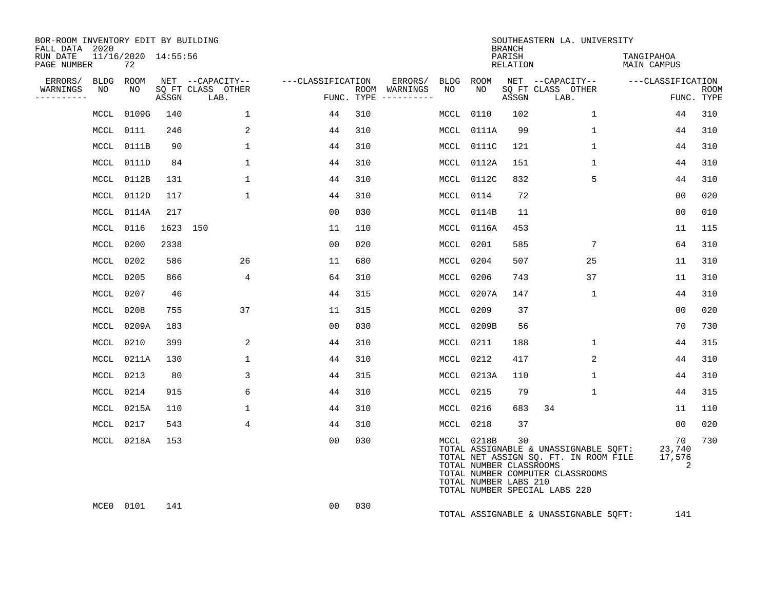| BOR-ROOM INVENTORY EDIT BY BUILDING<br>FALL DATA 2020 |                           |          |                           |                   |                                      |             |                                                                | <b>BRANCH</b>             | SOUTHEASTERN LA. UNIVERSITY                                                                                                                         |                             |                           |
|-------------------------------------------------------|---------------------------|----------|---------------------------|-------------------|--------------------------------------|-------------|----------------------------------------------------------------|---------------------------|-----------------------------------------------------------------------------------------------------------------------------------------------------|-----------------------------|---------------------------|
| RUN DATE<br>PAGE NUMBER                               | 11/16/2020 14:55:56<br>72 |          |                           |                   |                                      |             |                                                                | PARISH<br><b>RELATION</b> |                                                                                                                                                     | TANGIPAHOA<br>MAIN CAMPUS   |                           |
| ERRORS/<br><b>BLDG</b>                                | ROOM                      |          | NET --CAPACITY--          | ---CLASSIFICATION | ERRORS/                              | <b>BLDG</b> | <b>ROOM</b>                                                    |                           | NET --CAPACITY--                                                                                                                                    | ---CLASSIFICATION           |                           |
| WARNINGS<br>NO<br>---------                           | NO.                       | ASSGN    | SQ FT CLASS OTHER<br>LAB. |                   | ROOM WARNINGS<br>FUNC. TYPE $------$ | NO.         | NO                                                             | ASSGN                     | SQ FT CLASS OTHER<br>LAB.                                                                                                                           |                             | <b>ROOM</b><br>FUNC. TYPE |
| MCCL                                                  | 0109G                     | 140      | $\mathbf{1}$              | 44                | 310                                  | MCCL        | 0110                                                           | 102                       | $\mathbf 1$                                                                                                                                         | 44                          | 310                       |
| MCCL                                                  | 0111                      | 246      | 2                         | 44                | 310                                  | MCCL        | 0111A                                                          | 99                        | 1                                                                                                                                                   | 44                          | 310                       |
| MCCL                                                  | 0111B                     | 90       | $\mathbf{1}$              | 44                | 310                                  | MCCL        | 0111C                                                          | 121                       | 1                                                                                                                                                   | 44                          | 310                       |
| MCCL                                                  | 0111D                     | 84       | $\mathbf{1}$              | 44                | 310                                  | MCCL        | 0112A                                                          | 151                       | $\mathbf{1}$                                                                                                                                        | 44                          | 310                       |
| MCCL                                                  | 0112B                     | 131      | $\mathbf{1}$              | 44                | 310                                  | MCCL        | 0112C                                                          | 832                       | 5                                                                                                                                                   | 44                          | 310                       |
| MCCL                                                  | 0112D                     | 117      | $\mathbf{1}$              | 44                | 310                                  | MCCL        | 0114                                                           | 72                        |                                                                                                                                                     | 0 <sub>0</sub>              | 020                       |
| MCCL                                                  | 0114A                     | 217      |                           | 00                | 030                                  | MCCL        | 0114B                                                          | 11                        |                                                                                                                                                     | 00                          | 010                       |
| MCCL                                                  | 0116                      | 1623 150 |                           | 11                | 110                                  | MCL         | 0116A                                                          | 453                       |                                                                                                                                                     | 11                          | 115                       |
| MCCL                                                  | 0200                      | 2338     |                           | 0 <sub>0</sub>    | 020                                  | MCCL        | 0201                                                           | 585                       | 7                                                                                                                                                   | 64                          | 310                       |
|                                                       | MCCL 0202                 | 586      | 26                        | 11                | 680                                  | MCCL        | 0204                                                           | 507                       | 25                                                                                                                                                  | 11                          | 310                       |
| MCCL                                                  | 0205                      | 866      | 4                         | 64                | 310                                  | MCCL        | 0206                                                           | 743                       | 37                                                                                                                                                  | 11                          | 310                       |
| MCCL                                                  | 0207                      | 46       |                           | 44                | 315                                  | MCCL        | 0207A                                                          | 147                       | $\mathbf{1}$                                                                                                                                        | 44                          | 310                       |
| MCCL                                                  | 0208                      | 755      | 37                        | 11                | 315                                  | MCCL        | 0209                                                           | 37                        |                                                                                                                                                     | 0 <sub>0</sub>              | 020                       |
| MCCL                                                  | 0209A                     | 183      |                           | 00                | 030                                  | MCCL        | 0209B                                                          | 56                        |                                                                                                                                                     | 70                          | 730                       |
| MCCL                                                  | 0210                      | 399      | 2                         | 44                | 310                                  | MCCL        | 0211                                                           | 188                       | $\mathbf{1}$                                                                                                                                        | 44                          | 315                       |
| MCCL                                                  | 0211A                     | 130      | $\mathbf{1}$              | 44                | 310                                  | MCCL        | 0212                                                           | 417                       | 2                                                                                                                                                   | 44                          | 310                       |
|                                                       | MCCL 0213                 | 80       | 3                         | 44                | 315                                  | MCCL        | 0213A                                                          | 110                       | $\mathbf{1}$                                                                                                                                        | 44                          | 310                       |
| MCCL                                                  | 0214                      | 915      | 6                         | 44                | 310                                  | MCCL        | 0215                                                           | 79                        | $\mathbf{1}$                                                                                                                                        | 44                          | 315                       |
| MCCL                                                  | 0215A                     | 110      | $\mathbf{1}$              | 44                | 310                                  | MCCL        | 0216                                                           | 683                       | 34                                                                                                                                                  | 11                          | 110                       |
| MCCL                                                  | 0217                      | 543      | 4                         | 44                | 310                                  | MCL         | 0218                                                           | 37                        |                                                                                                                                                     | 0 <sub>0</sub>              | 020                       |
|                                                       | MCCL 0218A                | 153      |                           | 00                | 030                                  |             | MCCL 0218B<br>TOTAL NUMBER CLASSROOMS<br>TOTAL NUMBER LABS 210 | 30                        | TOTAL ASSIGNABLE & UNASSIGNABLE SQFT:<br>TOTAL NET ASSIGN SQ. FT. IN ROOM FILE<br>TOTAL NUMBER COMPUTER CLASSROOMS<br>TOTAL NUMBER SPECIAL LABS 220 | 70<br>23,740<br>17,576<br>2 | 730                       |
| MCE0                                                  | 0101                      | 141      |                           | 0 <sub>0</sub>    | 030                                  |             |                                                                |                           | TOTAL ASSIGNABLE & UNASSIGNABLE SQFT:                                                                                                               | 141                         |                           |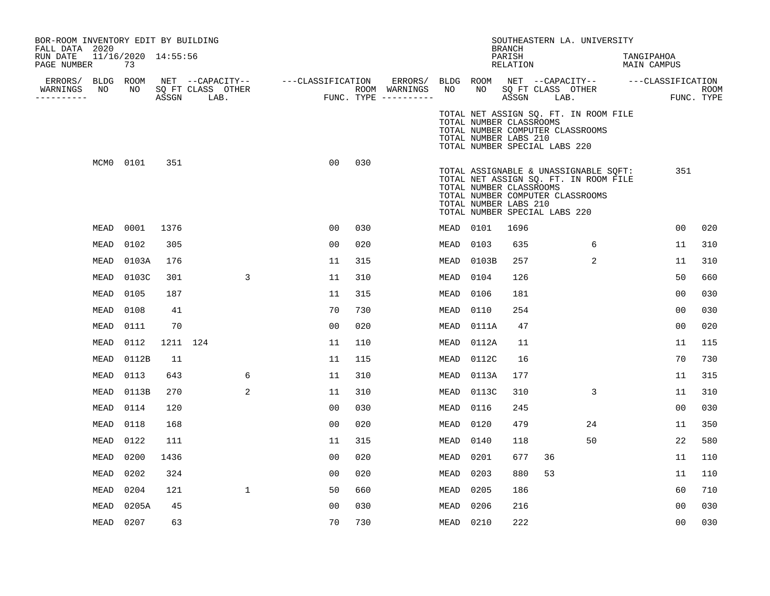| BOR-ROOM INVENTORY EDIT BY BUILDING<br>FALL DATA 2020 |                 |                           |          |            |                   |                                    |                |     |                                                                                               |             |                                                                                   | <b>BRANCH</b>      |            | SOUTHEASTERN LA. UNIVERSITY                                                                                        |                           |                           |
|-------------------------------------------------------|-----------------|---------------------------|----------|------------|-------------------|------------------------------------|----------------|-----|-----------------------------------------------------------------------------------------------|-------------|-----------------------------------------------------------------------------------|--------------------|------------|--------------------------------------------------------------------------------------------------------------------|---------------------------|---------------------------|
| RUN DATE<br>PAGE NUMBER                               |                 | 11/16/2020 14:55:56<br>73 |          |            |                   |                                    |                |     |                                                                                               |             |                                                                                   | PARISH<br>RELATION |            |                                                                                                                    | TANGIPAHOA<br>MAIN CAMPUS |                           |
| ERRORS/<br>WARNINGS<br>---------                      | BLDG ROOM<br>NO | NO                        |          | ASSGN LAB. | SQ FT CLASS OTHER | NET --CAPACITY-- ---CLASSIFICATION |                |     | ERRORS/ BLDG ROOM NET --CAPACITY-- ----CLASSIFICATION<br>ROOM WARNINGS<br>FUNC. TYPE $------$ | NO          | NO 11                                                                             |                    | ASSGN LAB. | SQ FT CLASS OTHER                                                                                                  |                           | <b>ROOM</b><br>FUNC. TYPE |
|                                                       |                 |                           |          |            |                   |                                    |                |     |                                                                                               |             | TOTAL NUMBER CLASSROOMS<br>TOTAL NUMBER LABS 210<br>TOTAL NUMBER SPECIAL LABS 220 |                    |            | TOTAL NET ASSIGN SQ. FT. IN ROOM FILE<br>TOTAL NUMBER COMPUTER CLASSROOMS                                          |                           |                           |
|                                                       | MCM0 0101       |                           | 351      |            |                   |                                    | 0 <sub>0</sub> | 030 |                                                                                               |             | TOTAL NUMBER CLASSROOMS<br>TOTAL NUMBER LABS 210<br>TOTAL NUMBER SPECIAL LABS 220 |                    |            | TOTAL ASSIGNABLE & UNASSIGNABLE SQFT:<br>TOTAL NET ASSIGN SQ. FT. IN ROOM FILE<br>TOTAL NUMBER COMPUTER CLASSROOMS | 351                       |                           |
|                                                       | MEAD            | 0001                      | 1376     |            |                   |                                    | 0 <sub>0</sub> | 030 |                                                                                               | MEAD        | 0101                                                                              | 1696               |            |                                                                                                                    | 0 <sub>0</sub>            | 020                       |
|                                                       | MEAD            | 0102                      | 305      |            |                   |                                    | 00             | 020 |                                                                                               | MEAD        | 0103                                                                              | 635                |            | 6                                                                                                                  | 11                        | 310                       |
|                                                       | MEAD            | 0103A                     | 176      |            |                   |                                    | 11             | 315 |                                                                                               | MEAD        | 0103B                                                                             | 257                |            | 2                                                                                                                  | 11                        | 310                       |
|                                                       | MEAD            | 0103C                     | 301      |            | 3                 |                                    | 11             | 310 |                                                                                               | MEAD        | 0104                                                                              | 126                |            |                                                                                                                    | 50                        | 660                       |
|                                                       | MEAD            | 0105                      | 187      |            |                   |                                    | 11             | 315 |                                                                                               | MEAD        | 0106                                                                              | 181                |            |                                                                                                                    | 0 <sub>0</sub>            | 030                       |
|                                                       | MEAD            | 0108                      | 41       |            |                   |                                    | 70             | 730 |                                                                                               | MEAD        | 0110                                                                              | 254                |            |                                                                                                                    | 0 <sub>0</sub>            | 030                       |
|                                                       | MEAD            | 0111                      | 70       |            |                   |                                    | 00             | 020 |                                                                                               | MEAD        | 0111A                                                                             | 47                 |            |                                                                                                                    | 00                        | 020                       |
|                                                       | MEAD            | 0112                      | 1211 124 |            |                   |                                    | 11             | 110 |                                                                                               | MEAD        | 0112A                                                                             | 11                 |            |                                                                                                                    | 11                        | 115                       |
|                                                       | MEAD            | 0112B                     | 11       |            |                   |                                    | 11             | 115 |                                                                                               | MEAD        | 0112C                                                                             | 16                 |            |                                                                                                                    | 70                        | 730                       |
|                                                       | MEAD            | 0113                      | 643      |            | 6                 |                                    | 11             | 310 |                                                                                               | MEAD        | 0113A                                                                             | 177                |            |                                                                                                                    | 11                        | 315                       |
|                                                       | MEAD            | 0113B                     | 270      |            | 2                 |                                    | 11             | 310 |                                                                                               | <b>MEAD</b> | 0113C                                                                             | 310                |            | 3                                                                                                                  | 11                        | 310                       |
|                                                       | MEAD            | 0114                      | 120      |            |                   |                                    | 00             | 030 |                                                                                               | MEAD        | 0116                                                                              | 245                |            |                                                                                                                    | 0 <sub>0</sub>            | 030                       |
|                                                       | MEAD            | 0118                      | 168      |            |                   |                                    | 0 <sub>0</sub> | 020 |                                                                                               | MEAD        | 0120                                                                              | 479                |            | 24                                                                                                                 | 11                        | 350                       |
|                                                       | MEAD            | 0122                      | 111      |            |                   |                                    | 11             | 315 |                                                                                               | MEAD        | 0140                                                                              | 118                |            | 50                                                                                                                 | 22                        | 580                       |
|                                                       | MEAD            | 0200                      | 1436     |            |                   |                                    | 00             | 020 |                                                                                               | MEAD        | 0201                                                                              | 677                | 36         |                                                                                                                    | 11                        | 110                       |
|                                                       | MEAD            | 0202                      | 324      |            |                   |                                    | 00             | 020 |                                                                                               | MEAD        | 0203                                                                              | 880                | 53         |                                                                                                                    | 11                        | 110                       |
|                                                       | MEAD            | 0204                      | 121      |            | $\mathbf{1}$      |                                    | 50             | 660 |                                                                                               | MEAD        | 0205                                                                              | 186                |            |                                                                                                                    | 60                        | 710                       |
|                                                       | <b>MEAD</b>     | 0205A                     | 45       |            |                   |                                    | 00             | 030 |                                                                                               | MEAD        | 0206                                                                              | 216                |            |                                                                                                                    | 0 <sub>0</sub>            | 030                       |
|                                                       | MEAD            | 0207                      | 63       |            |                   |                                    | 70             | 730 |                                                                                               | MEAD        | 0210                                                                              | 222                |            |                                                                                                                    | 0 <sub>0</sub>            | 030                       |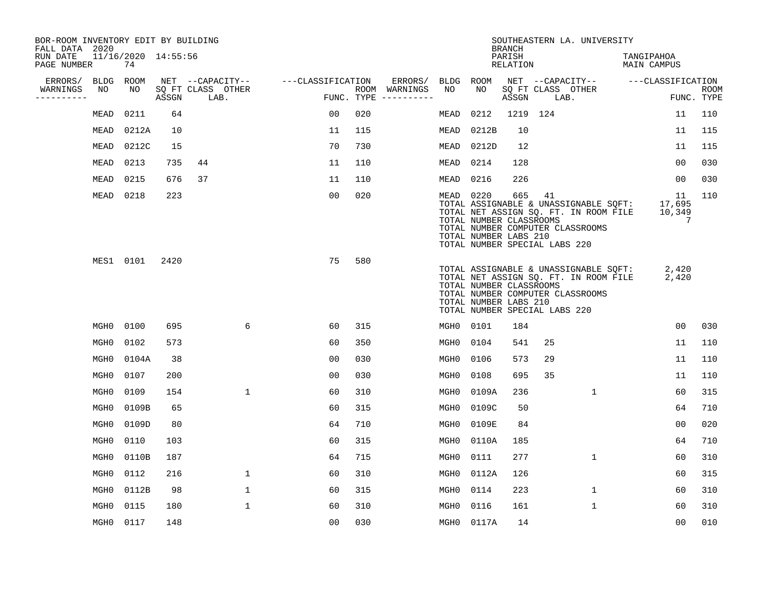| BOR-ROOM INVENTORY EDIT BY BUILDING<br>FALL DATA 2020 |                  |                           |       |                           |                   |            |                              |                  |                                                  | <b>BRANCH</b>             | SOUTHEASTERN LA. UNIVERSITY                                                                                                                               |              |                                  |                |                           |
|-------------------------------------------------------|------------------|---------------------------|-------|---------------------------|-------------------|------------|------------------------------|------------------|--------------------------------------------------|---------------------------|-----------------------------------------------------------------------------------------------------------------------------------------------------------|--------------|----------------------------------|----------------|---------------------------|
| RUN DATE<br>PAGE NUMBER                               |                  | 11/16/2020 14:55:56<br>74 |       |                           |                   |            |                              |                  |                                                  | PARISH<br><b>RELATION</b> |                                                                                                                                                           |              | TANGIPAHOA<br><b>MAIN CAMPUS</b> |                |                           |
| ERRORS/                                               | <b>BLDG</b>      | ROOM                      |       | NET --CAPACITY--          | ---CLASSIFICATION |            | ERRORS/                      | BLDG             | ROOM                                             |                           | NET --CAPACITY--                                                                                                                                          |              | ---CLASSIFICATION                |                |                           |
| WARNINGS<br>----------                                | NO               | NO                        | ASSGN | SQ FT CLASS OTHER<br>LAB. |                   | FUNC. TYPE | ROOM WARNINGS<br>----------- | NO               | NO                                               | ASSGN                     | SQ FT CLASS OTHER<br>LAB.                                                                                                                                 |              |                                  |                | <b>ROOM</b><br>FUNC. TYPE |
|                                                       | MEAD             | 0211                      | 64    |                           | 00                | 020        |                              | MEAD             | 0212                                             |                           | 1219 124                                                                                                                                                  |              |                                  | 11             | 110                       |
|                                                       | MEAD             | 0212A                     | 10    |                           | 11                | 115        |                              | MEAD             | 0212B                                            | 10                        |                                                                                                                                                           |              |                                  | 11             | 115                       |
|                                                       | MEAD             | 0212C                     | 15    |                           | 70                | 730        |                              | MEAD             | 0212D                                            | 12                        |                                                                                                                                                           |              |                                  | 11             | 115                       |
|                                                       | <b>MEAD</b>      | 0213                      | 735   | 44                        | 11                | 110        |                              | MEAD             | 0214                                             | 128                       |                                                                                                                                                           |              |                                  | 00             | 030                       |
|                                                       | MEAD             | 0215                      | 676   | 37                        | 11                | 110        |                              | MEAD             | 0216                                             | 226                       |                                                                                                                                                           |              |                                  | 0 <sub>0</sub> | 030                       |
|                                                       | MEAD             | 0218                      | 223   |                           | 0 <sub>0</sub>    | 020        |                              | MEAD 0220        | TOTAL NUMBER CLASSROOMS<br>TOTAL NUMBER LABS 210 | 665                       | 41<br>TOTAL ASSIGNABLE & UNASSIGNABLE SQFT:<br>TOTAL NET ASSIGN SQ. FT. IN ROOM FILE<br>TOTAL NUMBER COMPUTER CLASSROOMS<br>TOTAL NUMBER SPECIAL LABS 220 |              | 17,695<br>10,349                 | 11<br>7        | 110                       |
|                                                       |                  | MES1 0101                 | 2420  |                           | 75                | 580        |                              |                  | TOTAL NUMBER CLASSROOMS<br>TOTAL NUMBER LABS 210 |                           | TOTAL ASSIGNABLE & UNASSIGNABLE SQFT:<br>TOTAL NET ASSIGN SQ. FT. IN ROOM FILE<br>TOTAL NUMBER COMPUTER CLASSROOMS<br>TOTAL NUMBER SPECIAL LABS 220       |              | 2,420<br>2,420                   |                |                           |
|                                                       | MGH0             | 0100                      | 695   | 6                         | 60                | 315        |                              | MGH0             | 0101                                             | 184                       |                                                                                                                                                           |              |                                  | 0 <sub>0</sub> | 030                       |
|                                                       | MGH <sub>0</sub> | 0102                      | 573   |                           | 60                | 350        |                              | MGH <sub>0</sub> | 0104                                             | 541                       | 25                                                                                                                                                        |              |                                  | 11             | 110                       |
|                                                       | MGH0             | 0104A                     | 38    |                           | 00                | 030        |                              | MGH0             | 0106                                             | 573                       | 29                                                                                                                                                        |              |                                  | 11             | 110                       |
|                                                       | MGH <sub>0</sub> | 0107                      | 200   |                           | 0 <sub>0</sub>    | 030        |                              | MGH <sub>0</sub> | 0108                                             | 695                       | 35                                                                                                                                                        |              |                                  | 11             | 110                       |
|                                                       | MGH <sub>0</sub> | 0109                      | 154   | $\mathbf 1$               | 60                | 310        |                              | MGH0             | 0109A                                            | 236                       |                                                                                                                                                           | $\mathbf 1$  |                                  | 60             | 315                       |
|                                                       | MGH0             | 0109B                     | 65    |                           | 60                | 315        |                              | MGH0             | 0109C                                            | 50                        |                                                                                                                                                           |              |                                  | 64             | 710                       |
|                                                       | MGH <sub>0</sub> | 0109D                     | 80    |                           | 64                | 710        |                              | MGH0             | 0109E                                            | 84                        |                                                                                                                                                           |              |                                  | 00             | 020                       |
|                                                       | MGH <sub>0</sub> | 0110                      | 103   |                           | 60                | 315        |                              | MGH <sub>0</sub> | 0110A                                            | 185                       |                                                                                                                                                           |              |                                  | 64             | 710                       |
|                                                       | MGH0             | 0110B                     | 187   |                           | 64                | 715        |                              | MGH0             | 0111                                             | 277                       |                                                                                                                                                           | $\mathbf 1$  |                                  | 60             | 310                       |
|                                                       | MGH0             | 0112                      | 216   | $\mathbf 1$               | 60                | 310        |                              | MGH0             | 0112A                                            | 126                       |                                                                                                                                                           |              |                                  | 60             | 315                       |
|                                                       | MGH <sub>0</sub> | 0112B                     | 98    | $\mathbf{1}$              | 60                | 315        |                              | MGH0             | 0114                                             | 223                       |                                                                                                                                                           | $\mathbf 1$  |                                  | 60             | 310                       |
|                                                       | MGH <sub>0</sub> | 0115                      | 180   | $\mathbf{1}$              | 60                | 310        |                              | MGH <sub>0</sub> | 0116                                             | 161                       |                                                                                                                                                           | $\mathbf{1}$ |                                  | 60             | 310                       |
|                                                       | MGH0             | 0117                      | 148   |                           | 0 <sub>0</sub>    | 030        |                              | MGH0             | 0117A                                            | 14                        |                                                                                                                                                           |              |                                  | 0 <sub>0</sub> | 010                       |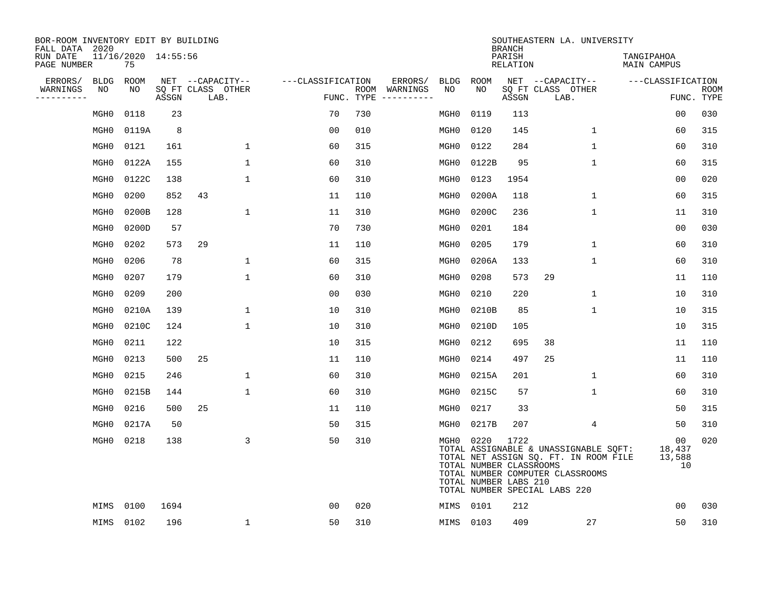| BOR-ROOM INVENTORY EDIT BY BUILDING<br>FALL DATA 2020 |                  |                           |       |                           |                   |            |                              |                  |                                                          | <b>BRANCH</b>      | SOUTHEASTERN LA. UNIVERSITY                                                                                                                         |                              |                           |
|-------------------------------------------------------|------------------|---------------------------|-------|---------------------------|-------------------|------------|------------------------------|------------------|----------------------------------------------------------|--------------------|-----------------------------------------------------------------------------------------------------------------------------------------------------|------------------------------|---------------------------|
| RUN DATE<br>PAGE NUMBER                               |                  | 11/16/2020 14:55:56<br>75 |       |                           |                   |            |                              |                  |                                                          | PARISH<br>RELATION |                                                                                                                                                     | TANGIPAHOA<br>MAIN CAMPUS    |                           |
| ERRORS/                                               | <b>BLDG</b>      | ROOM                      |       | NET --CAPACITY--          | ---CLASSIFICATION |            | ERRORS/                      | BLDG             | <b>ROOM</b>                                              |                    | NET --CAPACITY--                                                                                                                                    | ---CLASSIFICATION            |                           |
| WARNINGS<br>--------                                  | NO               | NO                        | ASSGN | SQ FT CLASS OTHER<br>LAB. |                   | FUNC. TYPE | ROOM WARNINGS<br>----------- | NO.              | NO.                                                      | ASSGN              | SQ FT CLASS OTHER<br>LAB.                                                                                                                           |                              | <b>ROOM</b><br>FUNC. TYPE |
|                                                       | MGH <sub>0</sub> | 0118                      | 23    |                           | 70                | 730        |                              | MGH0             | 0119                                                     | 113                |                                                                                                                                                     | 0 <sub>0</sub>               | 030                       |
|                                                       | MGH <sub>0</sub> | 0119A                     | 8     |                           | 0 <sub>0</sub>    | 010        |                              | MGH <sub>0</sub> | 0120                                                     | 145                | $\mathbf{1}$                                                                                                                                        | 60                           | 315                       |
|                                                       | MGH <sub>0</sub> | 0121                      | 161   | $\mathbf{1}$              | 60                | 315        |                              | MGH <sub>0</sub> | 0122                                                     | 284                | $\mathbf{1}$                                                                                                                                        | 60                           | 310                       |
|                                                       | MGH <sub>0</sub> | 0122A                     | 155   | 1                         | 60                | 310        |                              | MGH0             | 0122B                                                    | 95                 | $\mathbf{1}$                                                                                                                                        | 60                           | 315                       |
|                                                       | MGH <sub>0</sub> | 0122C                     | 138   | $\mathbf 1$               | 60                | 310        |                              | MGH0             | 0123                                                     | 1954               |                                                                                                                                                     | 00                           | 020                       |
|                                                       | MGH <sub>0</sub> | 0200                      | 852   | 43                        | 11                | 110        |                              | MGH0             | 0200A                                                    | 118                | 1                                                                                                                                                   | 60                           | 315                       |
|                                                       | MGH <sub>0</sub> | 0200B                     | 128   | $\mathbf 1$               | 11                | 310        |                              | MGH0             | 0200C                                                    | 236                | $\mathbf{1}$                                                                                                                                        | 11                           | 310                       |
|                                                       | MGH <sub>0</sub> | 0200D                     | 57    |                           | 70                | 730        |                              | MGH <sub>0</sub> | 0201                                                     | 184                |                                                                                                                                                     | 0 <sub>0</sub>               | 030                       |
|                                                       | MGH <sub>0</sub> | 0202                      | 573   | 29                        | 11                | 110        |                              | MGH <sub>0</sub> | 0205                                                     | 179                | $\mathbf{1}$                                                                                                                                        | 60                           | 310                       |
|                                                       | MGH <sub>0</sub> | 0206                      | 78    | $\mathbf 1$               | 60                | 315        |                              | MGH0             | 0206A                                                    | 133                | 1                                                                                                                                                   | 60                           | 310                       |
|                                                       | MGH <sub>0</sub> | 0207                      | 179   | $\mathbf 1$               | 60                | 310        |                              | MGH <sub>0</sub> | 0208                                                     | 573                | 29                                                                                                                                                  | 11                           | 110                       |
|                                                       | MGH <sub>0</sub> | 0209                      | 200   |                           | 0 <sub>0</sub>    | 030        |                              | MGH <sub>0</sub> | 0210                                                     | 220                | $\mathbf{1}$                                                                                                                                        | 10                           | 310                       |
|                                                       | MGH <sub>0</sub> | 0210A                     | 139   | 1                         | 10                | 310        |                              | MGH0             | 0210B                                                    | 85                 | $\mathbf{1}$                                                                                                                                        | 10                           | 315                       |
|                                                       | MGH <sub>0</sub> | 0210C                     | 124   | $\mathbf 1$               | 10                | 310        |                              | MGH0             | 0210D                                                    | 105                |                                                                                                                                                     | 10                           | 315                       |
|                                                       | MGH0             | 0211                      | 122   |                           | 10                | 315        |                              | MGH0             | 0212                                                     | 695                | 38                                                                                                                                                  | 11                           | 110                       |
|                                                       | MGH <sub>0</sub> | 0213                      | 500   | 25                        | 11                | 110        |                              | MGH0             | 0214                                                     | 497                | 25                                                                                                                                                  | 11                           | 110                       |
|                                                       | MGH <sub>0</sub> | 0215                      | 246   | $\mathbf 1$               | 60                | 310        |                              | MGH0             | 0215A                                                    | 201                | 1                                                                                                                                                   | 60                           | 310                       |
|                                                       | MGH <sub>0</sub> | 0215B                     | 144   | $\mathbf 1$               | 60                | 310        |                              | MGH0             | 0215C                                                    | 57                 | 1                                                                                                                                                   | 60                           | 310                       |
|                                                       | MGH <sub>0</sub> | 0216                      | 500   | 25                        | 11                | 110        |                              | MGH0             | 0217                                                     | 33                 |                                                                                                                                                     | 50                           | 315                       |
|                                                       | MGH <sub>0</sub> | 0217A                     | 50    |                           | 50                | 315        |                              | MGH <sub>0</sub> | 0217B                                                    | 207                | $\overline{4}$                                                                                                                                      | 50                           | 310                       |
|                                                       | MGH <sub>0</sub> | 0218                      | 138   | 3                         | 50                | 310        |                              | MGH0             | 0220<br>TOTAL NUMBER CLASSROOMS<br>TOTAL NUMBER LABS 210 | 1722               | TOTAL ASSIGNABLE & UNASSIGNABLE SQFT:<br>TOTAL NET ASSIGN SQ. FT. IN ROOM FILE<br>TOTAL NUMBER COMPUTER CLASSROOMS<br>TOTAL NUMBER SPECIAL LABS 220 | 00<br>18,437<br>13,588<br>10 | 020                       |
|                                                       | MIMS             | 0100                      | 1694  |                           | 0 <sub>0</sub>    | 020        |                              | MIMS             | 0101                                                     | 212                |                                                                                                                                                     | 00                           | 030                       |
|                                                       |                  | MIMS 0102                 | 196   | 1                         | 50                | 310        |                              |                  | MIMS 0103                                                | 409                | 27                                                                                                                                                  | 50                           | 310                       |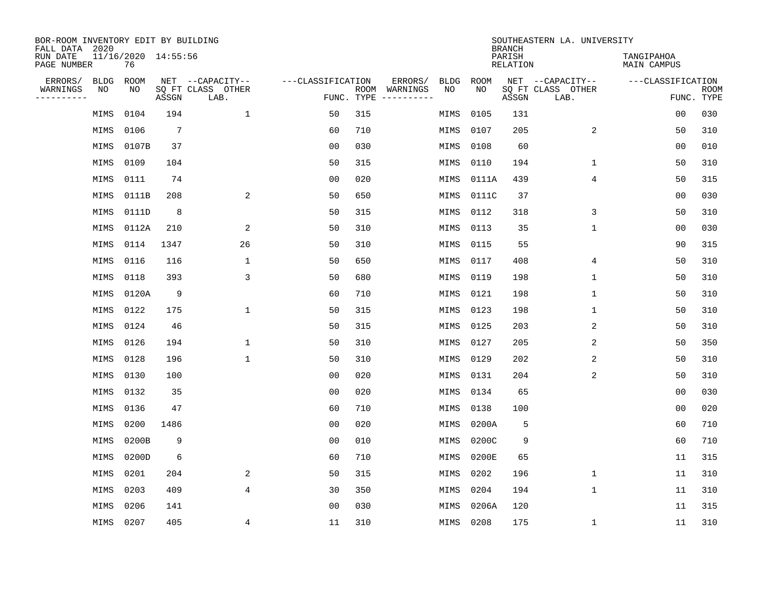| BOR-ROOM INVENTORY EDIT BY BUILDING<br>FALL DATA 2020 |                           |                 |                           |                   |            |                              |                   | <b>BRANCH</b>             | SOUTHEASTERN LA. UNIVERSITY |                                  |                           |
|-------------------------------------------------------|---------------------------|-----------------|---------------------------|-------------------|------------|------------------------------|-------------------|---------------------------|-----------------------------|----------------------------------|---------------------------|
| RUN DATE<br>PAGE NUMBER                               | 11/16/2020 14:55:56<br>76 |                 |                           |                   |            |                              |                   | PARISH<br><b>RELATION</b> |                             | TANGIPAHOA<br><b>MAIN CAMPUS</b> |                           |
| ERRORS/<br><b>BLDG</b><br>WARNINGS<br>NO              | ROOM<br>NO                |                 | NET --CAPACITY--          | ---CLASSIFICATION |            | ERRORS/<br><b>BLDG</b><br>NO | <b>ROOM</b><br>NO |                           | NET --CAPACITY--            | ---CLASSIFICATION                |                           |
| ----------                                            |                           | ASSGN           | SQ FT CLASS OTHER<br>LAB. |                   | FUNC. TYPE | ROOM WARNINGS<br>----------- |                   | ASSGN                     | SQ FT CLASS OTHER<br>LAB.   |                                  | <b>ROOM</b><br>FUNC. TYPE |
| MIMS                                                  | 0104                      | 194             | 1                         | 50                | 315        | MIMS                         | 0105              | 131                       |                             | 00                               | 030                       |
| MIMS                                                  | 0106                      | $7\phantom{.0}$ |                           | 60                | 710        | MIMS                         | 0107              | 205                       | 2                           | 50                               | 310                       |
| MIMS                                                  | 0107B                     | 37              |                           | 0 <sub>0</sub>    | 030        | MIMS                         | 0108              | 60                        |                             | 0 <sub>0</sub>                   | 010                       |
| MIMS                                                  | 0109                      | 104             |                           | 50                | 315        | MIMS                         | 0110              | 194                       | 1                           | 50                               | 310                       |
| MIMS                                                  | 0111                      | 74              |                           | 0 <sub>0</sub>    | 020        | MIMS                         | 0111A             | 439                       | $\overline{4}$              | 50                               | 315                       |
| MIMS                                                  | 0111B                     | 208             | $\sqrt{2}$                | 50                | 650        | MIMS                         | 0111C             | 37                        |                             | 0 <sub>0</sub>                   | 030                       |
| MIMS                                                  | 0111D                     | 8               |                           | 50                | 315        | MIMS                         | 0112              | 318                       | 3                           | 50                               | 310                       |
| MIMS                                                  | 0112A                     | 210             | 2                         | 50                | 310        | MIMS                         | 0113              | 35                        | $\mathbf 1$                 | 00                               | 030                       |
| MIMS                                                  | 0114                      | 1347            | 26                        | 50                | 310        | MIMS                         | 0115              | 55                        |                             | 90                               | 315                       |
| MIMS                                                  | 0116                      | 116             | $\mathbf{1}$              | 50                | 650        | MIMS                         | 0117              | 408                       | 4                           | 50                               | 310                       |
| MIMS                                                  | 0118                      | 393             | 3                         | 50                | 680        | MIMS                         | 0119              | 198                       | $\mathbf{1}$                | 50                               | 310                       |
| MIMS                                                  | 0120A                     | 9               |                           | 60                | 710        | MIMS                         | 0121              | 198                       | $\mathbf{1}$                | 50                               | 310                       |
| MIMS                                                  | 0122                      | 175             | 1                         | 50                | 315        | MIMS                         | 0123              | 198                       | 1                           | 50                               | 310                       |
| MIMS                                                  | 0124                      | 46              |                           | 50                | 315        | MIMS                         | 0125              | 203                       | 2                           | 50                               | 310                       |
| MIMS                                                  | 0126                      | 194             | 1                         | 50                | 310        | MIMS                         | 0127              | 205                       | 2                           | 50                               | 350                       |
| MIMS                                                  | 0128                      | 196             | 1                         | 50                | 310        | MIMS                         | 0129              | 202                       | 2                           | 50                               | 310                       |
| MIMS                                                  | 0130                      | 100             |                           | 0 <sub>0</sub>    | 020        | MIMS                         | 0131              | 204                       | 2                           | 50                               | 310                       |
| MIMS                                                  | 0132                      | 35              |                           | 0 <sub>0</sub>    | 020        | MIMS                         | 0134              | 65                        |                             | 0 <sub>0</sub>                   | 030                       |
| MIMS                                                  | 0136                      | 47              |                           | 60                | 710        | MIMS                         | 0138              | 100                       |                             | 0 <sub>0</sub>                   | 020                       |
| MIMS                                                  | 0200                      | 1486            |                           | 0 <sub>0</sub>    | 020        | MIMS                         | 0200A             | 5                         |                             | 60                               | 710                       |
| MIMS                                                  | 0200B                     | 9               |                           | 0 <sub>0</sub>    | 010        | MIMS                         | 0200C             | 9                         |                             | 60                               | 710                       |
| MIMS                                                  | 0200D                     | 6               |                           | 60                | 710        | MIMS                         | 0200E             | 65                        |                             | 11                               | 315                       |
| MIMS                                                  | 0201                      | 204             | 2                         | 50                | 315        | MIMS                         | 0202              | 196                       | 1                           | 11                               | 310                       |
| MIMS                                                  | 0203                      | 409             | 4                         | 30                | 350        | MIMS                         | 0204              | 194                       | $\mathbf{1}$                | 11                               | 310                       |
| MIMS                                                  | 0206                      | 141             |                           | 0 <sub>0</sub>    | 030        | MIMS                         | 0206A             | 120                       |                             | 11                               | 315                       |
| MIMS                                                  | 0207                      | 405             | 4                         | 11                | 310        | MIMS                         | 0208              | 175                       | 1                           | 11                               | 310                       |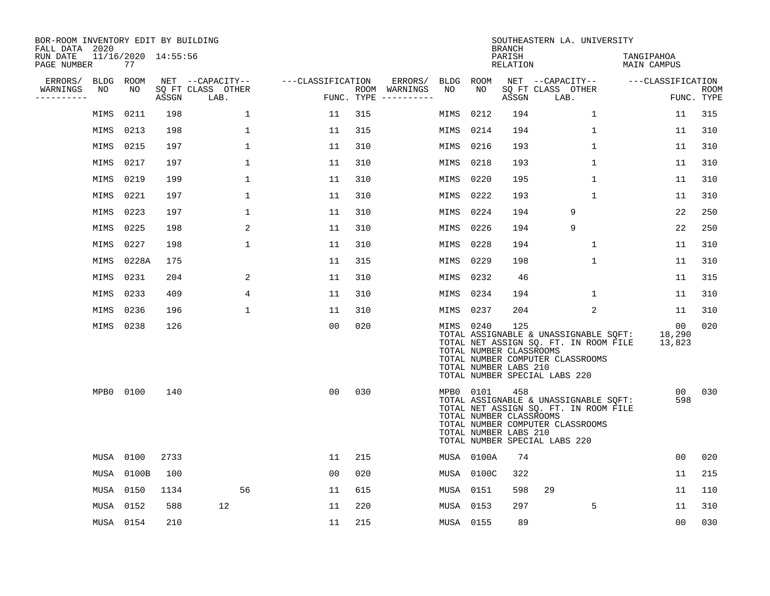| BOR-ROOM INVENTORY EDIT BY BUILDING<br>FALL DATA 2020 |             |                           |       |                           |                   |     |                                      |           |            | <b>BRANCH</b>                                           | SOUTHEASTERN LA. UNIVERSITY                                                                                                                         |                                     |                    |
|-------------------------------------------------------|-------------|---------------------------|-------|---------------------------|-------------------|-----|--------------------------------------|-----------|------------|---------------------------------------------------------|-----------------------------------------------------------------------------------------------------------------------------------------------------|-------------------------------------|--------------------|
| RUN DATE<br>PAGE NUMBER                               |             | 11/16/2020 14:55:56<br>77 |       |                           |                   |     |                                      |           |            | PARISH<br>RELATION                                      |                                                                                                                                                     | TANGIPAHOA<br>MAIN CAMPUS           |                    |
| ERRORS/                                               | <b>BLDG</b> | ROOM                      |       | NET --CAPACITY--          | ---CLASSIFICATION |     | ERRORS/                              | BLDG ROOM |            |                                                         | NET --CAPACITY--                                                                                                                                    | ---CLASSIFICATION                   |                    |
| WARNINGS<br>---------                                 | NO          | NO                        | ASSGN | SQ FT CLASS OTHER<br>LAB. |                   |     | ROOM WARNINGS<br>FUNC. TYPE $------$ | NO        | NO.        | ASSGN                                                   | SO FT CLASS OTHER<br>LAB.                                                                                                                           |                                     | ROOM<br>FUNC. TYPE |
|                                                       | MIMS        | 0211                      | 198   | $\mathbf{1}$              | 11                | 315 |                                      | MIMS      | 0212       | 194                                                     | $\mathbf{1}$                                                                                                                                        | 11                                  | 315                |
|                                                       | MIMS        | 0213                      | 198   | 1                         | 11                | 315 |                                      | MIMS      | 0214       | 194                                                     | 1                                                                                                                                                   | 11                                  | 310                |
|                                                       | MIMS        | 0215                      | 197   | 1                         | 11                | 310 |                                      | MIMS      | 0216       | 193                                                     | $\mathbf 1$                                                                                                                                         | 11                                  | 310                |
|                                                       | MIMS        | 0217                      | 197   | 1                         | 11                | 310 |                                      | MIMS      | 0218       | 193                                                     | $\mathbf 1$                                                                                                                                         | 11                                  | 310                |
|                                                       | MIMS        | 0219                      | 199   | $\mathbf 1$               | 11                | 310 |                                      | MIMS      | 0220       | 195                                                     | $\mathbf{1}$                                                                                                                                        | 11                                  | 310                |
|                                                       | MIMS        | 0221                      | 197   | 1                         | 11                | 310 |                                      | MIMS      | 0222       | 193                                                     | $\mathbf{1}$                                                                                                                                        | 11                                  | 310                |
|                                                       | MIMS        | 0223                      | 197   | $\mathbf 1$               | 11                | 310 |                                      | MIMS      | 0224       | 194                                                     | 9                                                                                                                                                   | 22                                  | 250                |
|                                                       | MIMS        | 0225                      | 198   | 2                         | 11                | 310 |                                      | MIMS      | 0226       | 194                                                     | 9                                                                                                                                                   | 22                                  | 250                |
|                                                       | MIMS        | 0227                      | 198   | $\mathbf 1$               | 11                | 310 |                                      | MIMS      | 0228       | 194                                                     | $\mathbf 1$                                                                                                                                         | 11                                  | 310                |
|                                                       | MIMS        | 0228A                     | 175   |                           | 11                | 315 |                                      | MIMS      | 0229       | 198                                                     | $\mathbf{1}$                                                                                                                                        | 11                                  | 310                |
|                                                       | MIMS        | 0231                      | 204   | 2                         | 11                | 310 |                                      | MIMS      | 0232       | 46                                                      |                                                                                                                                                     | 11                                  | 315                |
|                                                       | MIMS        | 0233                      | 409   | 4                         | 11                | 310 |                                      | MIMS      | 0234       | 194                                                     | $\mathbf 1$                                                                                                                                         | 11                                  | 310                |
|                                                       | MIMS        | 0236                      | 196   | $\mathbf 1$               | 11                | 310 |                                      | MIMS      | 0237       | 204                                                     | 2                                                                                                                                                   | 11                                  | 310                |
|                                                       | MIMS        | 0238                      | 126   |                           | 0 <sub>0</sub>    | 020 |                                      | MIMS 0240 |            | 125<br>TOTAL NUMBER CLASSROOMS<br>TOTAL NUMBER LABS 210 | TOTAL ASSIGNABLE & UNASSIGNABLE SQFT:<br>TOTAL NET ASSIGN SQ. FT. IN ROOM FILE<br>TOTAL NUMBER COMPUTER CLASSROOMS<br>TOTAL NUMBER SPECIAL LABS 220 | 00 <sub>o</sub><br>18,290<br>13,823 | 020                |
|                                                       | MPB0 0100   |                           | 140   |                           | 0 <sub>0</sub>    | 030 |                                      | MPB0 0101 |            | 458<br>TOTAL NUMBER CLASSROOMS<br>TOTAL NUMBER LABS 210 | TOTAL ASSIGNABLE & UNASSIGNABLE SQFT:<br>TOTAL NET ASSIGN SQ. FT. IN ROOM FILE<br>TOTAL NUMBER COMPUTER CLASSROOMS<br>TOTAL NUMBER SPECIAL LABS 220 | 00 <sub>o</sub><br>598              | 030                |
|                                                       | MUSA 0100   |                           | 2733  |                           | 11                | 215 |                                      |           | MUSA 0100A | 74                                                      |                                                                                                                                                     | 00                                  | 020                |
|                                                       | MUSA        | 0100B                     | 100   |                           | 00                | 020 |                                      |           | MUSA 0100C | 322                                                     |                                                                                                                                                     | 11                                  | 215                |
|                                                       | MUSA 0150   |                           | 1134  | 56                        | 11                | 615 |                                      | MUSA 0151 |            | 598                                                     | 29                                                                                                                                                  | 11                                  | 110                |
|                                                       | MUSA 0152   |                           | 588   | 12                        | 11                | 220 |                                      | MUSA 0153 |            | 297                                                     | 5                                                                                                                                                   | 11                                  | 310                |
|                                                       | MUSA 0154   |                           | 210   |                           | 11                | 215 |                                      | MUSA 0155 |            | 89                                                      |                                                                                                                                                     | 0 <sub>0</sub>                      | 030                |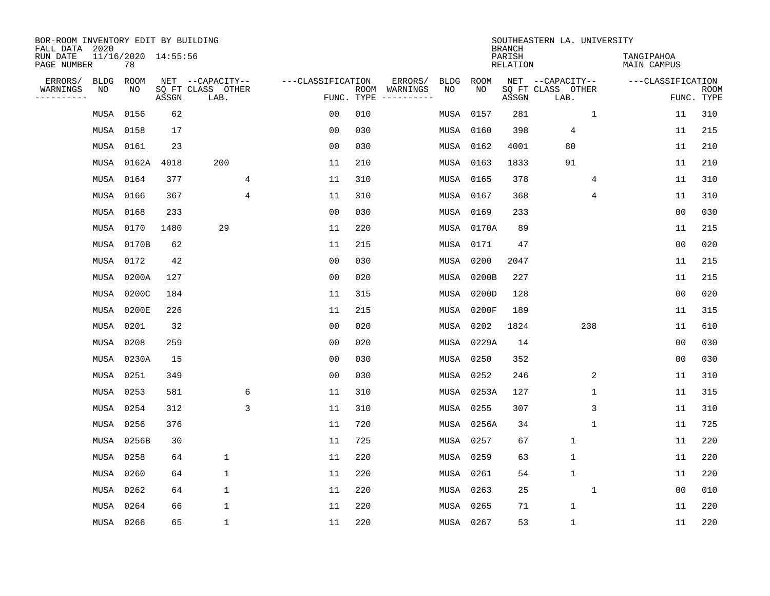| BOR-ROOM INVENTORY EDIT BY BUILDING<br>FALL DATA 2020 |             |       |                     |                           |   |                   |                    |                         |             |             | <b>BRANCH</b>             | SOUTHEASTERN LA. UNIVERSITY |                                  |                |                           |
|-------------------------------------------------------|-------------|-------|---------------------|---------------------------|---|-------------------|--------------------|-------------------------|-------------|-------------|---------------------------|-----------------------------|----------------------------------|----------------|---------------------------|
| RUN DATE<br>PAGE NUMBER                               | 78          |       | 11/16/2020 14:55:56 |                           |   |                   |                    |                         |             |             | PARISH<br><b>RELATION</b> |                             | TANGIPAHOA<br><b>MAIN CAMPUS</b> |                |                           |
| ERRORS/                                               | <b>BLDG</b> | ROOM  |                     | NET --CAPACITY--          |   | ---CLASSIFICATION |                    | ERRORS/                 | <b>BLDG</b> | <b>ROOM</b> |                           | NET --CAPACITY--            | ---CLASSIFICATION                |                |                           |
| WARNINGS<br>----------                                | NO          | NO    | ASSGN               | SQ FT CLASS OTHER<br>LAB. |   |                   | ROOM<br>FUNC. TYPE | WARNINGS<br>----------- | NO          | NO          | ASSGN                     | SQ FT CLASS OTHER<br>LAB.   |                                  |                | <b>ROOM</b><br>FUNC. TYPE |
|                                                       | MUSA        | 0156  | 62                  |                           |   | 0 <sub>0</sub>    | 010                |                         | MUSA        | 0157        | 281                       | $\mathbf 1$                 |                                  | 11             | 310                       |
|                                                       | MUSA        | 0158  | 17                  |                           |   | 0 <sub>0</sub>    | 030                |                         |             | MUSA 0160   | 398                       | 4                           |                                  | 11             | 215                       |
|                                                       | MUSA        | 0161  | 23                  |                           |   | 0 <sub>0</sub>    | 030                |                         |             | MUSA 0162   | 4001                      | 80                          |                                  | 11             | 210                       |
|                                                       | MUSA        | 0162A | 4018                | 200                       |   | 11                | 210                |                         |             | MUSA 0163   | 1833                      | 91                          |                                  | 11             | 210                       |
|                                                       | MUSA        | 0164  | 377                 |                           | 4 | 11                | 310                |                         |             | MUSA 0165   | 378                       | 4                           |                                  | 11             | 310                       |
|                                                       | MUSA        | 0166  | 367                 |                           | 4 | 11                | 310                |                         |             | MUSA 0167   | 368                       | 4                           |                                  | 11             | 310                       |
|                                                       | MUSA        | 0168  | 233                 |                           |   | 0 <sub>0</sub>    | 030                |                         | MUSA 0169   |             | 233                       |                             |                                  | 0 <sub>0</sub> | 030                       |
|                                                       | MUSA        | 0170  | 1480                | 29                        |   | 11                | 220                |                         |             | MUSA 0170A  | 89                        |                             |                                  | 11             | 215                       |
|                                                       | MUSA        | 0170B | 62                  |                           |   | 11                | 215                |                         | MUSA        | 0171        | 47                        |                             |                                  | 0 <sub>0</sub> | 020                       |
|                                                       | MUSA        | 0172  | 42                  |                           |   | 0 <sub>0</sub>    | 030                |                         | MUSA        | 0200        | 2047                      |                             |                                  | 11             | 215                       |
|                                                       | MUSA        | 0200A | 127                 |                           |   | 0 <sub>0</sub>    | 020                |                         | MUSA        | 0200B       | 227                       |                             |                                  | 11             | 215                       |
|                                                       | MUSA        | 0200C | 184                 |                           |   | 11                | 315                |                         | MUSA        | 0200D       | 128                       |                             |                                  | 0 <sub>0</sub> | 020                       |
|                                                       | MUSA        | 0200E | 226                 |                           |   | 11                | 215                |                         | MUSA        | 0200F       | 189                       |                             |                                  | 11             | 315                       |
|                                                       | MUSA        | 0201  | 32                  |                           |   | 0 <sub>0</sub>    | 020                |                         | MUSA        | 0202        | 1824                      | 238                         |                                  | 11             | 610                       |
|                                                       | MUSA        | 0208  | 259                 |                           |   | 0 <sub>0</sub>    | 020                |                         | MUSA        | 0229A       | 14                        |                             |                                  | 0 <sub>0</sub> | 030                       |
|                                                       | MUSA        | 0230A | 15                  |                           |   | 0 <sub>0</sub>    | 030                |                         | MUSA        | 0250        | 352                       |                             |                                  | 0 <sub>0</sub> | 030                       |
|                                                       | MUSA        | 0251  | 349                 |                           |   | 0 <sub>0</sub>    | 030                |                         | MUSA        | 0252        | 246                       | 2                           |                                  | 11             | 310                       |
|                                                       | MUSA        | 0253  | 581                 |                           | 6 | 11                | 310                |                         | MUSA        | 0253A       | 127                       | 1                           |                                  | 11             | 315                       |
|                                                       | MUSA        | 0254  | 312                 |                           | 3 | 11                | 310                |                         | MUSA        | 0255        | 307                       | 3                           |                                  | 11             | 310                       |
|                                                       | MUSA        | 0256  | 376                 |                           |   | 11                | 720                |                         |             | MUSA 0256A  | 34                        | $\mathbf{1}$                |                                  | 11             | 725                       |
|                                                       | MUSA        | 0256B | 30                  |                           |   | 11                | 725                |                         | MUSA        | 0257        | 67                        | $\mathbf{1}$                |                                  | 11             | 220                       |
|                                                       | MUSA        | 0258  | 64                  | $\mathbf 1$               |   | 11                | 220                |                         | MUSA        | 0259        | 63                        | $\mathbf{1}$                |                                  | 11             | 220                       |
|                                                       | MUSA        | 0260  | 64                  | $\mathbf 1$               |   | 11                | 220                |                         | MUSA        | 0261        | 54                        | $\mathbf{1}$                |                                  | 11             | 220                       |
|                                                       | MUSA        | 0262  | 64                  | $\mathbf 1$               |   | 11                | 220                |                         |             | MUSA 0263   | 25                        | 1                           |                                  | 0 <sub>0</sub> | 010                       |
|                                                       | MUSA        | 0264  | 66                  | 1                         |   | 11                | 220                |                         |             | MUSA 0265   | 71                        | $\mathbf{1}$                |                                  | 11             | 220                       |
|                                                       | MUSA 0266   |       | 65                  | $\mathbf 1$               |   | 11                | 220                |                         | MUSA 0267   |             | 53                        | $\mathbf{1}$                |                                  | 11             | 220                       |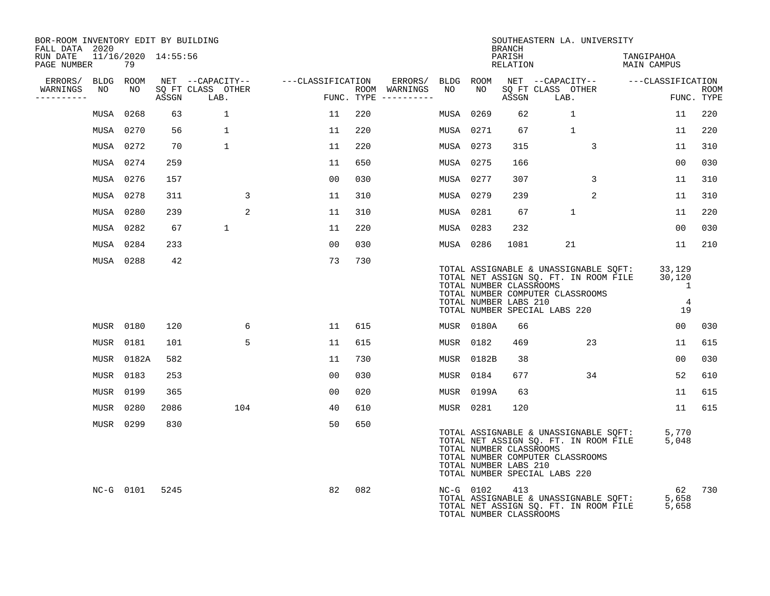| BOR-ROOM INVENTORY EDIT BY BUILDING<br>FALL DATA 2020 |                           |       |                           |                   |     |                                      |    |            | <b>BRANCH</b>                                                                     | SOUTHEASTERN LA. UNIVERSITY                                                    |                                                                                |                                                            |                           |
|-------------------------------------------------------|---------------------------|-------|---------------------------|-------------------|-----|--------------------------------------|----|------------|-----------------------------------------------------------------------------------|--------------------------------------------------------------------------------|--------------------------------------------------------------------------------|------------------------------------------------------------|---------------------------|
| RUN DATE<br>PAGE NUMBER                               | 11/16/2020 14:55:56<br>79 |       |                           |                   |     |                                      |    |            | PARISH<br>RELATION                                                                |                                                                                | TANGIPAHOA<br>MAIN CAMPUS                                                      |                                                            |                           |
| ERRORS/ BLDG ROOM                                     |                           |       | NET --CAPACITY--          | ---CLASSIFICATION |     | ERRORS/ BLDG ROOM                    |    |            |                                                                                   |                                                                                | NET --CAPACITY-- ---CLASSIFICATION                                             |                                                            |                           |
| WARNINGS<br>NO<br>----------                          | NO                        | ASSGN | SQ FT CLASS OTHER<br>LAB. |                   |     | ROOM WARNINGS<br>FUNC. TYPE $------$ | NO | NO         | ASSGN                                                                             | SQ FT CLASS OTHER<br>LAB.                                                      |                                                                                |                                                            | <b>ROOM</b><br>FUNC. TYPE |
|                                                       | MUSA 0268                 | 63    | $\mathbf{1}$              | 11                | 220 |                                      |    | MUSA 0269  | 62                                                                                | $\mathbf{1}$                                                                   |                                                                                | 11                                                         | 220                       |
|                                                       | MUSA 0270                 | 56    | $\mathbf{1}$              | 11                | 220 |                                      |    | MUSA 0271  | 67                                                                                | $\mathbf{1}$                                                                   |                                                                                | 11                                                         | 220                       |
|                                                       | MUSA 0272                 | 70    | $\mathbf{1}$              | 11                | 220 |                                      |    | MUSA 0273  | 315                                                                               | 3                                                                              |                                                                                | 11                                                         | 310                       |
|                                                       | MUSA 0274                 | 259   |                           | 11                | 650 |                                      |    | MUSA 0275  | 166                                                                               |                                                                                |                                                                                | 0 <sub>0</sub>                                             | 030                       |
|                                                       | MUSA 0276                 | 157   |                           | 00                | 030 |                                      |    | MUSA 0277  | 307                                                                               | $\mathbf{3}$                                                                   |                                                                                | 11                                                         | 310                       |
|                                                       | MUSA 0278                 | 311   | 3                         | 11                | 310 |                                      |    | MUSA 0279  | 239                                                                               | 2                                                                              |                                                                                | 11                                                         | 310                       |
|                                                       | MUSA 0280                 | 239   | 2                         | 11                | 310 |                                      |    | MUSA 0281  | 67                                                                                | $\mathbf{1}$                                                                   |                                                                                | 11                                                         | 220                       |
|                                                       | MUSA 0282                 | 67    | $\mathbf{1}$              | 11                | 220 |                                      |    | MUSA 0283  | 232                                                                               |                                                                                |                                                                                | 00                                                         | 030                       |
|                                                       | MUSA 0284                 | 233   |                           | 0 <sub>0</sub>    | 030 |                                      |    | MUSA 0286  | 1081                                                                              | 21                                                                             |                                                                                | 11                                                         | 210                       |
|                                                       | MUSA 0288                 | 42    |                           | 73                | 730 |                                      |    |            | TOTAL NUMBER CLASSROOMS<br>TOTAL NUMBER LABS 210<br>TOTAL NUMBER SPECIAL LABS 220 | TOTAL NUMBER COMPUTER CLASSROOMS                                               | TOTAL ASSIGNABLE & UNASSIGNABLE SQFT:<br>TOTAL NET ASSIGN SQ. FT. IN ROOM FILE | 33,129<br>30,120<br>$\overline{1}$<br>$\overline{4}$<br>19 |                           |
|                                                       | MUSR 0180                 | 120   | 6                         | 11                | 615 |                                      |    | MUSR 0180A | 66                                                                                |                                                                                |                                                                                | 00 <sub>o</sub>                                            | 030                       |
|                                                       | MUSR 0181                 | 101   | 5                         | 11                | 615 |                                      |    | MUSR 0182  | 469                                                                               | 23                                                                             |                                                                                | 11                                                         | 615                       |
|                                                       | MUSR 0182A                | 582   |                           | 11                | 730 |                                      |    | MUSR 0182B | 38                                                                                |                                                                                |                                                                                | 0 <sub>0</sub>                                             | 030                       |
|                                                       | MUSR 0183                 | 253   |                           | 00                | 030 |                                      |    | MUSR 0184  | 677                                                                               | 34                                                                             |                                                                                | 52                                                         | 610                       |
|                                                       | MUSR 0199                 | 365   |                           | 0 <sub>0</sub>    | 020 |                                      |    | MUSR 0199A | 63                                                                                |                                                                                |                                                                                | 11                                                         | 615                       |
|                                                       | MUSR 0280                 | 2086  | 104                       | 40                | 610 |                                      |    | MUSR 0281  | 120                                                                               |                                                                                |                                                                                | 11                                                         | 615                       |
|                                                       | MUSR 0299                 | 830   |                           | 50                | 650 |                                      |    |            | TOTAL NUMBER CLASSROOMS<br>TOTAL NUMBER LABS 210<br>TOTAL NUMBER SPECIAL LABS 220 | TOTAL NUMBER COMPUTER CLASSROOMS                                               | TOTAL ASSIGNABLE & UNASSIGNABLE SQFT:<br>TOTAL NET ASSIGN SQ. FT. IN ROOM FILE | 5,770<br>5,048                                             |                           |
|                                                       | NC-G 0101                 | 5245  |                           | 82                | 082 |                                      |    | NC-G 0102  | 413<br>TOTAL NUMBER CLASSROOMS                                                    | TOTAL ASSIGNABLE & UNASSIGNABLE SQFT:<br>TOTAL NET ASSIGN SO. FT. IN ROOM FILE |                                                                                | 62<br>5,658<br>5,658                                       | 730                       |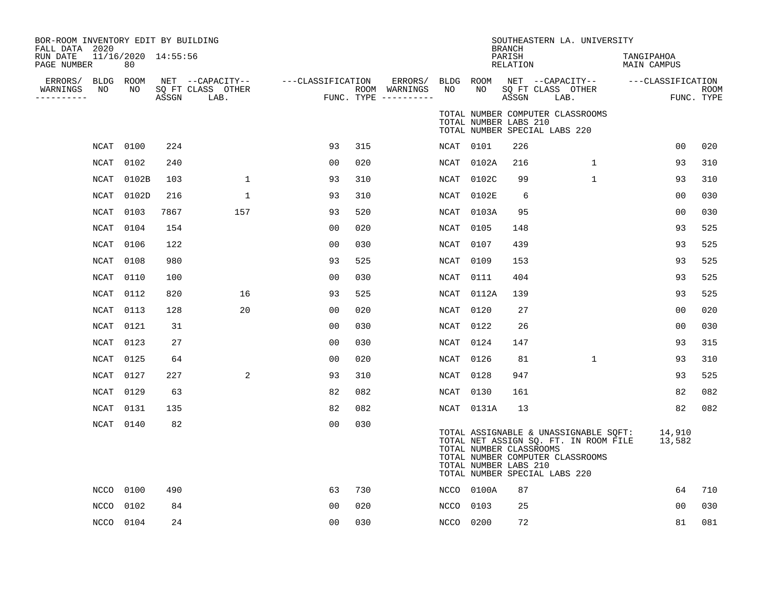| BOR-ROOM INVENTORY EDIT BY BUILDING<br>FALL DATA 2020<br>RUN DATE | 11/16/2020 14:55:56    |       |                                               |                   |     |                                                           |           |                                                  | <b>BRANCH</b><br>PARISH | SOUTHEASTERN LA. UNIVERSITY                                                                                                                         | TANGIPAHOA                       |                           |
|-------------------------------------------------------------------|------------------------|-------|-----------------------------------------------|-------------------|-----|-----------------------------------------------------------|-----------|--------------------------------------------------|-------------------------|-----------------------------------------------------------------------------------------------------------------------------------------------------|----------------------------------|---------------------------|
| PAGE NUMBER<br>ERRORS/<br>NO<br>WARNINGS<br>----------            | 80<br>BLDG ROOM<br>NO. | ASSGN | NET --CAPACITY--<br>SQ FT CLASS OTHER<br>LAB. | ---CLASSIFICATION |     | ERRORS/ BLDG ROOM<br>ROOM WARNINGS<br>FUNC. TYPE $------$ | NO        | NO.                                              | RELATION<br>ASSGN       | NET --CAPACITY--<br>SQ FT CLASS OTHER<br>LAB.                                                                                                       | MAIN CAMPUS<br>---CLASSIFICATION | <b>ROOM</b><br>FUNC. TYPE |
|                                                                   |                        |       |                                               |                   |     |                                                           |           | TOTAL NUMBER LABS 210                            |                         | TOTAL NUMBER COMPUTER CLASSROOMS<br>TOTAL NUMBER SPECIAL LABS 220                                                                                   |                                  |                           |
| NCAT                                                              | 0100                   | 224   |                                               | 93                | 315 |                                                           | NCAT 0101 |                                                  | 226                     |                                                                                                                                                     | 0 <sub>0</sub>                   | 020                       |
| NCAT                                                              | 0102                   | 240   |                                               | 0 <sub>0</sub>    | 020 |                                                           |           | NCAT 0102A                                       | 216                     | 1                                                                                                                                                   | 93                               | 310                       |
| NCAT                                                              | 0102B                  | 103   | $\mathbf 1$                                   | 93                | 310 |                                                           |           | NCAT 0102C                                       | 99                      | $\mathbf 1$                                                                                                                                         | 93                               | 310                       |
| <b>NCAT</b>                                                       | 0102D                  | 216   | $\mathbf{1}$                                  | 93                | 310 |                                                           |           | NCAT 0102E                                       | 6                       |                                                                                                                                                     | 0 <sub>0</sub>                   | 030                       |
| NCAT                                                              | 0103                   | 7867  | 157                                           | 93                | 520 |                                                           |           | NCAT 0103A                                       | 95                      |                                                                                                                                                     | 0 <sub>0</sub>                   | 030                       |
| NCAT                                                              | 0104                   | 154   |                                               | 00                | 020 |                                                           | NCAT      | 0105                                             | 148                     |                                                                                                                                                     | 93                               | 525                       |
| NCAT                                                              | 0106                   | 122   |                                               | 0 <sub>0</sub>    | 030 |                                                           | NCAT 0107 |                                                  | 439                     |                                                                                                                                                     | 93                               | 525                       |
| NCAT                                                              | 0108                   | 980   |                                               | 93                | 525 |                                                           | NCAT 0109 |                                                  | 153                     |                                                                                                                                                     | 93                               | 525                       |
| NCAT                                                              | 0110                   | 100   |                                               | 0 <sub>0</sub>    | 030 |                                                           | NCAT 0111 |                                                  | 404                     |                                                                                                                                                     | 93                               | 525                       |
| NCAT                                                              | 0112                   | 820   | 16                                            | 93                | 525 |                                                           |           | NCAT 0112A                                       | 139                     |                                                                                                                                                     | 93                               | 525                       |
| NCAT                                                              | 0113                   | 128   | 20                                            | 00                | 020 |                                                           | NCAT      | 0120                                             | 27                      |                                                                                                                                                     | 00                               | 020                       |
| NCAT                                                              | 0121                   | 31    |                                               | 0 <sub>0</sub>    | 030 |                                                           | NCAT 0122 |                                                  | 26                      |                                                                                                                                                     | 0 <sub>0</sub>                   | 030                       |
| NCAT                                                              | 0123                   | 27    |                                               | 0 <sub>0</sub>    | 030 |                                                           | NCAT 0124 |                                                  | 147                     |                                                                                                                                                     | 93                               | 315                       |
| NCAT                                                              | 0125                   | 64    |                                               | 00                | 020 |                                                           | NCAT      | 0126                                             | 81                      | $\mathbf{1}$                                                                                                                                        | 93                               | 310                       |
| <b>NCAT</b>                                                       | 0127                   | 227   | 2                                             | 93                | 310 |                                                           | NCAT      | 0128                                             | 947                     |                                                                                                                                                     | 93                               | 525                       |
| NCAT                                                              | 0129                   | 63    |                                               | 82                | 082 |                                                           | NCAT 0130 |                                                  | 161                     |                                                                                                                                                     | 82                               | 082                       |
| NCAT                                                              | 0131                   | 135   |                                               | 82                | 082 |                                                           |           | NCAT 0131A                                       | 13                      |                                                                                                                                                     | 82                               | 082                       |
| NCAT                                                              | 0140                   | 82    |                                               | 00                | 030 |                                                           |           | TOTAL NUMBER CLASSROOMS<br>TOTAL NUMBER LABS 210 |                         | TOTAL ASSIGNABLE & UNASSIGNABLE SQFT:<br>TOTAL NET ASSIGN SQ. FT. IN ROOM FILE<br>TOTAL NUMBER COMPUTER CLASSROOMS<br>TOTAL NUMBER SPECIAL LABS 220 | 14,910<br>13,582                 |                           |
| NCCO                                                              | 0100                   | 490   |                                               | 63                | 730 |                                                           |           | NCCO 0100A                                       | 87                      |                                                                                                                                                     | 64                               | 710                       |
| <b>NCCO</b>                                                       | 0102                   | 84    |                                               | 0 <sup>0</sup>    | 020 |                                                           | NCCO      | 0103                                             | 25                      |                                                                                                                                                     | 00                               | 030                       |
|                                                                   | NCCO 0104              | 24    |                                               | 0 <sub>0</sub>    | 030 |                                                           | NCCO 0200 |                                                  | 72                      |                                                                                                                                                     | 81                               | 081                       |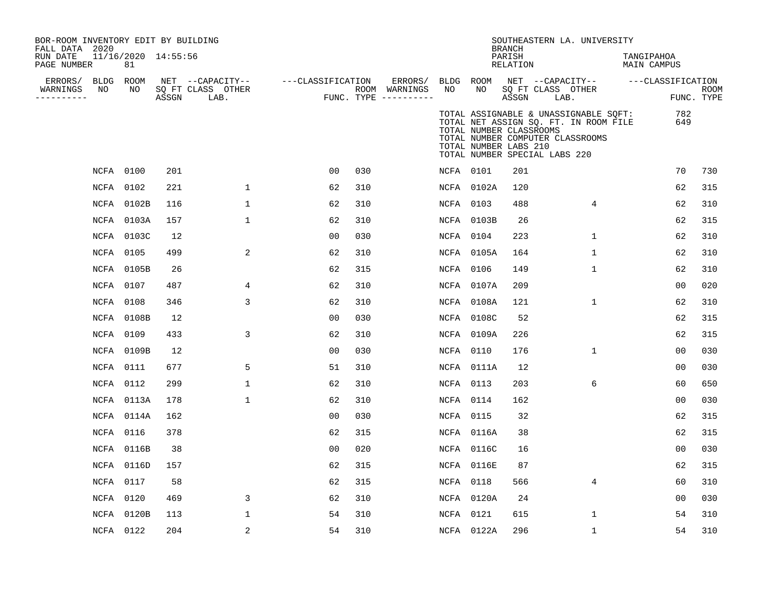| BOR-ROOM INVENTORY EDIT BY BUILDING<br>FALL DATA 2020<br>RUN DATE<br>PAGE NUMBER |    | 11/16/2020 14:55:56<br>81 |       |                                               |                   |     |                                                           |                  |            | <b>BRANCH</b><br>PARISH<br>RELATION              | SOUTHEASTERN LA. UNIVERSITY                                                                                                                         | TANGIPAHOA<br>MAIN CAMPUS |                           |
|----------------------------------------------------------------------------------|----|---------------------------|-------|-----------------------------------------------|-------------------|-----|-----------------------------------------------------------|------------------|------------|--------------------------------------------------|-----------------------------------------------------------------------------------------------------------------------------------------------------|---------------------------|---------------------------|
| ERRORS/ BLDG ROOM<br>WARNINGS<br>----------                                      | NO | NO                        | ASSGN | NET --CAPACITY--<br>SQ FT CLASS OTHER<br>LAB. | ---CLASSIFICATION |     | ERRORS/ BLDG ROOM<br>ROOM WARNINGS<br>FUNC. TYPE $------$ | NO               | NO.        | ASSGN                                            | NET --CAPACITY--<br>SQ FT CLASS OTHER<br>LAB.                                                                                                       | ---CLASSIFICATION         | <b>ROOM</b><br>FUNC. TYPE |
|                                                                                  |    |                           |       |                                               |                   |     |                                                           |                  |            | TOTAL NUMBER CLASSROOMS<br>TOTAL NUMBER LABS 210 | TOTAL ASSIGNABLE & UNASSIGNABLE SOFT:<br>TOTAL NET ASSIGN SQ. FT. IN ROOM FILE<br>TOTAL NUMBER COMPUTER CLASSROOMS<br>TOTAL NUMBER SPECIAL LABS 220 | 782<br>649                |                           |
|                                                                                  |    | NCFA 0100                 | 201   |                                               | 0 <sub>0</sub>    | 030 |                                                           |                  | NCFA 0101  | 201                                              |                                                                                                                                                     | 70                        | 730                       |
|                                                                                  |    | NCFA 0102                 | 221   | $\mathbf{1}$                                  | 62                | 310 |                                                           |                  | NCFA 0102A | 120                                              |                                                                                                                                                     | 62                        | 315                       |
|                                                                                  |    | NCFA 0102B                | 116   | $\mathbf 1$                                   | 62                | 310 |                                                           | NCFA 0103        |            | 488                                              | 4                                                                                                                                                   | 62                        | 310                       |
|                                                                                  |    | NCFA 0103A                | 157   | $\mathbf 1$                                   | 62                | 310 |                                                           |                  | NCFA 0103B | 26                                               |                                                                                                                                                     | 62                        | 315                       |
|                                                                                  |    | NCFA 0103C                | 12    |                                               | 0 <sub>0</sub>    | 030 |                                                           |                  | NCFA 0104  | 223                                              | $\mathbf{1}$                                                                                                                                        | 62                        | 310                       |
|                                                                                  |    | NCFA 0105                 | 499   | 2                                             | 62                | 310 |                                                           |                  | NCFA 0105A | 164                                              | 1                                                                                                                                                   | 62                        | 310                       |
|                                                                                  |    | NCFA 0105B                | 26    |                                               | 62                | 315 |                                                           | NCFA 0106        |            | 149                                              | $\mathbf{1}$                                                                                                                                        | 62                        | 310                       |
|                                                                                  |    | NCFA 0107                 | 487   | 4                                             | 62                | 310 |                                                           |                  | NCFA 0107A | 209                                              |                                                                                                                                                     | 00                        | 020                       |
|                                                                                  |    | NCFA 0108                 | 346   | 3                                             | 62                | 310 |                                                           |                  | NCFA 0108A | 121                                              | $\mathbf{1}$                                                                                                                                        | 62                        | 310                       |
|                                                                                  |    | NCFA 0108B                | 12    |                                               | 0 <sub>0</sub>    | 030 |                                                           |                  | NCFA 0108C | 52                                               |                                                                                                                                                     | 62                        | 315                       |
|                                                                                  |    | NCFA 0109                 | 433   | 3                                             | 62                | 310 |                                                           |                  | NCFA 0109A | 226                                              |                                                                                                                                                     | 62                        | 315                       |
|                                                                                  |    | NCFA 0109B                | 12    |                                               | 0 <sub>0</sub>    | 030 |                                                           | NCFA 0110        |            | 176                                              | $\mathbf{1}$                                                                                                                                        | 00                        | 030                       |
|                                                                                  |    | NCFA 0111                 | 677   | 5                                             | 51                | 310 |                                                           |                  | NCFA 0111A | 12                                               |                                                                                                                                                     | 0 <sub>0</sub>            | 030                       |
|                                                                                  |    | NCFA 0112                 | 299   | $\mathbf{1}$                                  | 62                | 310 |                                                           | NCFA 0113        |            | 203                                              | 6                                                                                                                                                   | 60                        | 650                       |
|                                                                                  |    | NCFA 0113A                | 178   | $\mathbf{1}$                                  | 62                | 310 |                                                           |                  | NCFA 0114  | 162                                              |                                                                                                                                                     | 00                        | 030                       |
|                                                                                  |    | NCFA 0114A                | 162   |                                               | 0 <sub>0</sub>    | 030 |                                                           | <b>NCFA 0115</b> |            | 32                                               |                                                                                                                                                     | 62                        | 315                       |
|                                                                                  |    | <b>NCFA 0116</b>          | 378   |                                               | 62                | 315 |                                                           |                  | NCFA 0116A | 38                                               |                                                                                                                                                     | 62                        | 315                       |
|                                                                                  |    | NCFA 0116B                | 38    |                                               | 0 <sub>0</sub>    | 020 |                                                           |                  | NCFA 0116C | 16                                               |                                                                                                                                                     | 0 <sub>0</sub>            | 030                       |
|                                                                                  |    | NCFA 0116D                | 157   |                                               | 62                | 315 |                                                           |                  | NCFA 0116E | 87                                               |                                                                                                                                                     | 62                        | 315                       |
|                                                                                  |    | NCFA 0117                 | 58    |                                               | 62                | 315 |                                                           | NCFA 0118        |            | 566                                              | 4                                                                                                                                                   | 60                        | 310                       |
|                                                                                  |    | NCFA 0120                 | 469   | 3                                             | 62                | 310 |                                                           |                  | NCFA 0120A | 24                                               |                                                                                                                                                     | 00                        | 030                       |
|                                                                                  |    | NCFA 0120B                | 113   | $\mathbf 1$                                   | 54                | 310 |                                                           | NCFA 0121        |            | 615                                              | 1                                                                                                                                                   | 54                        | 310                       |
|                                                                                  |    | NCFA 0122                 | 204   | 2                                             | 54                | 310 |                                                           |                  | NCFA 0122A | 296                                              | $\mathbf{1}$                                                                                                                                        | 54                        | 310                       |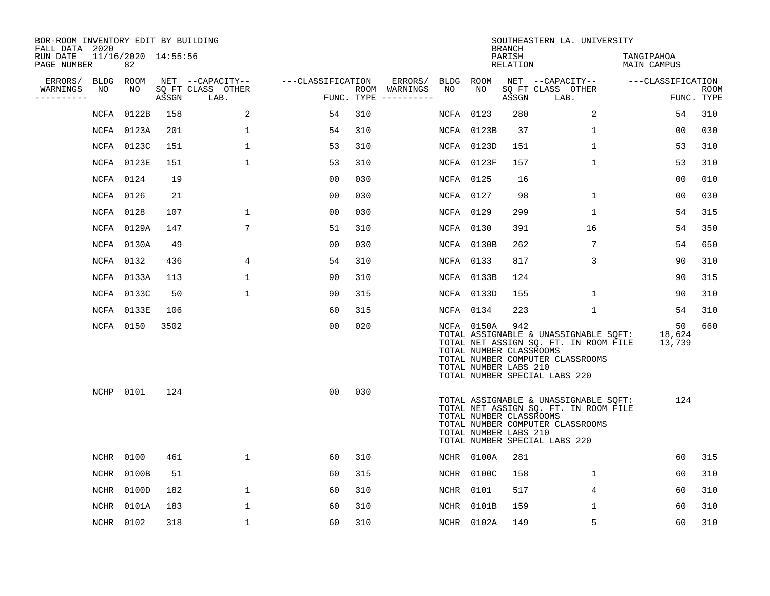| BOR-ROOM INVENTORY EDIT BY BUILDING<br>FALL DATA 2020 |           |                           |       |                           |                   |     |                                      |           |                                                                | <b>BRANCH</b>      | SOUTHEASTERN LA. UNIVERSITY                                                                                                                         |                           |                           |
|-------------------------------------------------------|-----------|---------------------------|-------|---------------------------|-------------------|-----|--------------------------------------|-----------|----------------------------------------------------------------|--------------------|-----------------------------------------------------------------------------------------------------------------------------------------------------|---------------------------|---------------------------|
| RUN DATE<br>PAGE NUMBER                               |           | 11/16/2020 14:55:56<br>82 |       |                           |                   |     |                                      |           |                                                                | PARISH<br>RELATION |                                                                                                                                                     | TANGIPAHOA<br>MAIN CAMPUS |                           |
| ERRORS/                                               | BLDG ROOM |                           |       | NET --CAPACITY--          | ---CLASSIFICATION |     | ERRORS/                              | BLDG ROOM |                                                                |                    | NET --CAPACITY--                                                                                                                                    | ---CLASSIFICATION         |                           |
| WARNINGS<br>-----------                               | NO        | NO                        | ASSGN | SQ FT CLASS OTHER<br>LAB. |                   |     | ROOM WARNINGS<br>FUNC. TYPE $------$ | NO        | NO                                                             | ASSGN              | SQ FT CLASS OTHER<br>LAB.                                                                                                                           |                           | <b>ROOM</b><br>FUNC. TYPE |
|                                                       |           | NCFA 0122B                | 158   | 2                         | 54                | 310 |                                      | NCFA 0123 |                                                                | 280                | $\overline{a}$                                                                                                                                      | 54                        | 310                       |
|                                                       |           | NCFA 0123A                | 201   | 1                         | 54                | 310 |                                      |           | NCFA 0123B                                                     | 37                 | 1                                                                                                                                                   | 00                        | 030                       |
|                                                       |           | NCFA 0123C                | 151   | $\mathbf 1$               | 53                | 310 |                                      |           | NCFA 0123D                                                     | 151                | $\mathbf 1$                                                                                                                                         | 53                        | 310                       |
|                                                       |           | NCFA 0123E                | 151   | $\mathbf{1}$              | 53                | 310 |                                      |           | NCFA 0123F                                                     | 157                | $\mathbf{1}$                                                                                                                                        | 53                        | 310                       |
|                                                       | NCFA 0124 |                           | 19    |                           | 0 <sub>0</sub>    | 030 |                                      | NCFA 0125 |                                                                | 16                 |                                                                                                                                                     | 00                        | 010                       |
|                                                       | NCFA 0126 |                           | 21    |                           | 00                | 030 |                                      | NCFA 0127 |                                                                | 98                 | $\mathbf{1}$                                                                                                                                        | 0 <sub>0</sub>            | 030                       |
|                                                       | NCFA 0128 |                           | 107   | $\mathbf{1}$              | 0 <sub>0</sub>    | 030 |                                      | NCFA 0129 |                                                                | 299                | $\mathbf{1}$                                                                                                                                        | 54                        | 315                       |
|                                                       |           | NCFA 0129A                | 147   | $7\overline{ }$           | 51                | 310 |                                      | NCFA 0130 |                                                                | 391                | 16                                                                                                                                                  | 54                        | 350                       |
|                                                       |           | NCFA 0130A                | 49    |                           | 0 <sub>0</sub>    | 030 |                                      |           | NCFA 0130B                                                     | 262                | 7                                                                                                                                                   | 54                        | 650                       |
|                                                       | NCFA 0132 |                           | 436   | 4                         | 54                | 310 |                                      | NCFA 0133 |                                                                | 817                | 3                                                                                                                                                   | 90                        | 310                       |
|                                                       |           | NCFA 0133A                | 113   | 1                         | 90                | 310 |                                      |           | NCFA 0133B                                                     | 124                |                                                                                                                                                     | 90                        | 315                       |
|                                                       |           | NCFA 0133C                | 50    | $\mathbf{1}$              | 90                | 315 |                                      |           | NCFA 0133D                                                     | 155                | $\mathbf{1}$                                                                                                                                        | 90                        | 310                       |
|                                                       |           | NCFA 0133E                | 106   |                           | 60                | 315 |                                      | NCFA 0134 |                                                                | 223                | $\mathbf 1$                                                                                                                                         | 54                        | 310                       |
|                                                       | NCFA 0150 |                           | 3502  |                           | 0 <sub>0</sub>    | 020 |                                      |           | NCFA 0150A<br>TOTAL NUMBER CLASSROOMS<br>TOTAL NUMBER LABS 210 | 942                | TOTAL ASSIGNABLE & UNASSIGNABLE SOFT:<br>TOTAL NET ASSIGN SQ. FT. IN ROOM FILE<br>TOTAL NUMBER COMPUTER CLASSROOMS<br>TOTAL NUMBER SPECIAL LABS 220 | 50<br>18,624<br>13,739    | 660                       |
|                                                       | NCHP 0101 |                           | 124   |                           | 0 <sub>0</sub>    | 030 |                                      |           | TOTAL NUMBER CLASSROOMS<br>TOTAL NUMBER LABS 210               |                    | TOTAL ASSIGNABLE & UNASSIGNABLE SQFT:<br>TOTAL NET ASSIGN SQ. FT. IN ROOM FILE<br>TOTAL NUMBER COMPUTER CLASSROOMS<br>TOTAL NUMBER SPECIAL LABS 220 | 124                       |                           |
|                                                       | NCHR 0100 |                           | 461   | $\mathbf{1}$              | 60                | 310 |                                      |           | NCHR 0100A                                                     | 281                |                                                                                                                                                     | 60                        | 315                       |
|                                                       |           | NCHR 0100B                | 51    |                           | 60                | 315 |                                      |           | NCHR 0100C                                                     | 158                | $\mathbf{1}$                                                                                                                                        | 60                        | 310                       |
|                                                       | NCHR      | 0100D                     | 182   | $\mathbf 1$               | 60                | 310 |                                      | NCHR      | 0101                                                           | 517                | 4                                                                                                                                                   | 60                        | 310                       |
|                                                       | NCHR      | 0101A                     | 183   | 1                         | 60                | 310 |                                      |           | NCHR 0101B                                                     | 159                | 1                                                                                                                                                   | 60                        | 310                       |
|                                                       | NCHR 0102 |                           | 318   | $\mathbf{1}$              | 60                | 310 |                                      |           | NCHR 0102A                                                     | 149                | 5                                                                                                                                                   | 60                        | 310                       |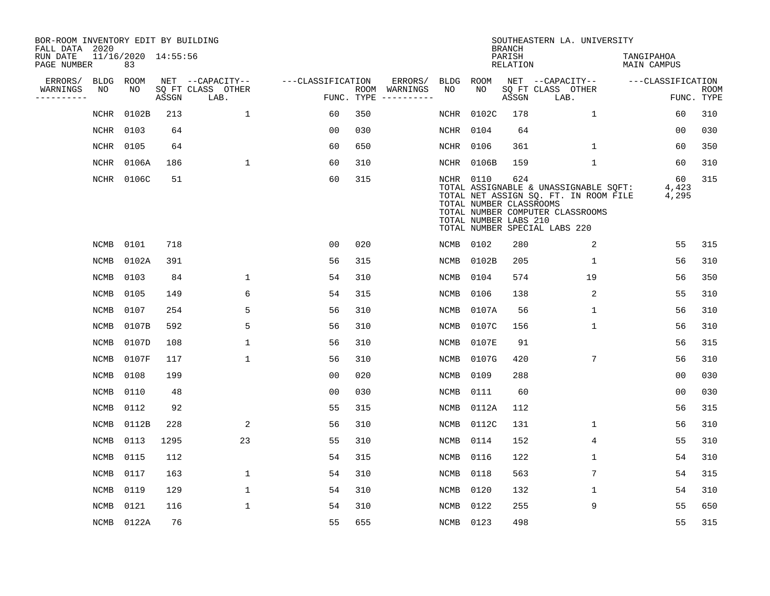| BOR-ROOM INVENTORY EDIT BY BUILDING<br>FALL DATA 2020 |             |                           |       |                           |                   |     |                                      |             |                                                  | <b>BRANCH</b>      | SOUTHEASTERN LA. UNIVERSITY                                                                                                                         |                           |                           |
|-------------------------------------------------------|-------------|---------------------------|-------|---------------------------|-------------------|-----|--------------------------------------|-------------|--------------------------------------------------|--------------------|-----------------------------------------------------------------------------------------------------------------------------------------------------|---------------------------|---------------------------|
| RUN DATE<br>PAGE NUMBER                               |             | 11/16/2020 14:55:56<br>83 |       |                           |                   |     |                                      |             |                                                  | PARISH<br>RELATION |                                                                                                                                                     | TANGIPAHOA<br>MAIN CAMPUS |                           |
| ERRORS/                                               | <b>BLDG</b> | ROOM                      |       | NET --CAPACITY--          | ---CLASSIFICATION |     | ERRORS/                              | BLDG        | ROOM                                             |                    | NET --CAPACITY--                                                                                                                                    | ---CLASSIFICATION         |                           |
| WARNINGS<br>. _ _ _ _ _ _ _ _ _                       | NO          | NO                        | ASSGN | SQ FT CLASS OTHER<br>LAB. |                   |     | ROOM WARNINGS<br>FUNC. TYPE $------$ | NO.         | NO.                                              | ASSGN              | SQ FT CLASS OTHER<br>LAB.                                                                                                                           |                           | <b>ROOM</b><br>FUNC. TYPE |
|                                                       | <b>NCHR</b> | 0102B                     | 213   | $\mathbf{1}$              | 60                | 350 |                                      | NCHR        | 0102C                                            | 178                | $\mathbf{1}$                                                                                                                                        | 60                        | 310                       |
|                                                       | <b>NCHR</b> | 0103                      | 64    |                           | 0 <sub>0</sub>    | 030 |                                      | NCHR        | 0104                                             | 64                 |                                                                                                                                                     | 0 <sub>0</sub>            | 030                       |
|                                                       | NCHR        | 0105                      | 64    |                           | 60                | 650 |                                      | NCHR        | 0106                                             | 361                | $\mathbf 1$                                                                                                                                         | 60                        | 350                       |
|                                                       | NCHR        | 0106A                     | 186   | $\mathbf{1}$              | 60                | 310 |                                      | NCHR        | 0106B                                            | 159                | $\mathbf{1}$                                                                                                                                        | 60                        | 310                       |
|                                                       |             | NCHR 0106C                | 51    |                           | 60                | 315 |                                      | NCHR 0110   | TOTAL NUMBER CLASSROOMS<br>TOTAL NUMBER LABS 210 | 624                | TOTAL ASSIGNABLE & UNASSIGNABLE SQFT:<br>TOTAL NET ASSIGN SQ. FT. IN ROOM FILE<br>TOTAL NUMBER COMPUTER CLASSROOMS<br>TOTAL NUMBER SPECIAL LABS 220 | 60<br>4,423<br>4,295      | 315                       |
|                                                       | <b>NCMB</b> | 0101                      | 718   |                           | 0 <sub>0</sub>    | 020 |                                      | <b>NCMB</b> | 0102                                             | 280                | 2                                                                                                                                                   | 55                        | 315                       |
|                                                       | <b>NCMB</b> | 0102A                     | 391   |                           | 56                | 315 |                                      | NCMB        | 0102B                                            | 205                | $\mathbf 1$                                                                                                                                         | 56                        | 310                       |
|                                                       | NCMB        | 0103                      | 84    | $\mathbf 1$               | 54                | 310 |                                      | <b>NCMB</b> | 0104                                             | 574                | 19                                                                                                                                                  | 56                        | 350                       |
|                                                       | <b>NCMB</b> | 0105                      | 149   | 6                         | 54                | 315 |                                      | <b>NCMB</b> | 0106                                             | 138                | 2                                                                                                                                                   | 55                        | 310                       |
|                                                       | <b>NCMB</b> | 0107                      | 254   | 5                         | 56                | 310 |                                      | <b>NCMB</b> | 0107A                                            | 56                 | $\mathbf 1$                                                                                                                                         | 56                        | 310                       |
|                                                       | <b>NCMB</b> | 0107B                     | 592   | 5                         | 56                | 310 |                                      | NCMB        | 0107C                                            | 156                | $\mathbf 1$                                                                                                                                         | 56                        | 310                       |
|                                                       | NCMB        | 0107D                     | 108   | 1                         | 56                | 310 |                                      | NCMB        | 0107E                                            | 91                 |                                                                                                                                                     | 56                        | 315                       |
|                                                       | NCMB        | 0107F                     | 117   | $\mathbf 1$               | 56                | 310 |                                      | NCMB        | 0107G                                            | 420                | 7                                                                                                                                                   | 56                        | 310                       |
|                                                       | <b>NCMB</b> | 0108                      | 199   |                           | 0 <sub>0</sub>    | 020 |                                      | NCMB        | 0109                                             | 288                |                                                                                                                                                     | 0 <sub>0</sub>            | 030                       |
|                                                       | <b>NCMB</b> | 0110                      | 48    |                           | 0 <sub>0</sub>    | 030 |                                      | NCMB        | 0111                                             | 60                 |                                                                                                                                                     | 0 <sub>0</sub>            | 030                       |
|                                                       | <b>NCMB</b> | 0112                      | 92    |                           | 55                | 315 |                                      | <b>NCMB</b> | 0112A                                            | 112                |                                                                                                                                                     | 56                        | 315                       |
|                                                       | <b>NCMB</b> | 0112B                     | 228   | 2                         | 56                | 310 |                                      | <b>NCMB</b> | 0112C                                            | 131                | $\mathbf 1$                                                                                                                                         | 56                        | 310                       |
|                                                       | <b>NCMB</b> | 0113                      | 1295  | 23                        | 55                | 310 |                                      | <b>NCMB</b> | 0114                                             | 152                | 4                                                                                                                                                   | 55                        | 310                       |
|                                                       | <b>NCMB</b> | 0115                      | 112   |                           | 54                | 315 |                                      | NCMB        | 0116                                             | 122                | $\mathbf 1$                                                                                                                                         | 54                        | 310                       |
|                                                       | <b>NCMB</b> | 0117                      | 163   | $\mathbf 1$               | 54                | 310 |                                      | NCMB        | 0118                                             | 563                | 7                                                                                                                                                   | 54                        | 315                       |
|                                                       | <b>NCMB</b> | 0119                      | 129   | $\mathbf 1$               | 54                | 310 |                                      | NCMB        | 0120                                             | 132                | 1                                                                                                                                                   | 54                        | 310                       |
|                                                       | <b>NCMB</b> | 0121                      | 116   | $\mathbf{1}$              | 54                | 310 |                                      | <b>NCMB</b> | 0122                                             | 255                | 9                                                                                                                                                   | 55                        | 650                       |
|                                                       |             | NCMB 0122A                | 76    |                           | 55                | 655 |                                      | NCMB 0123   |                                                  | 498                |                                                                                                                                                     | 55                        | 315                       |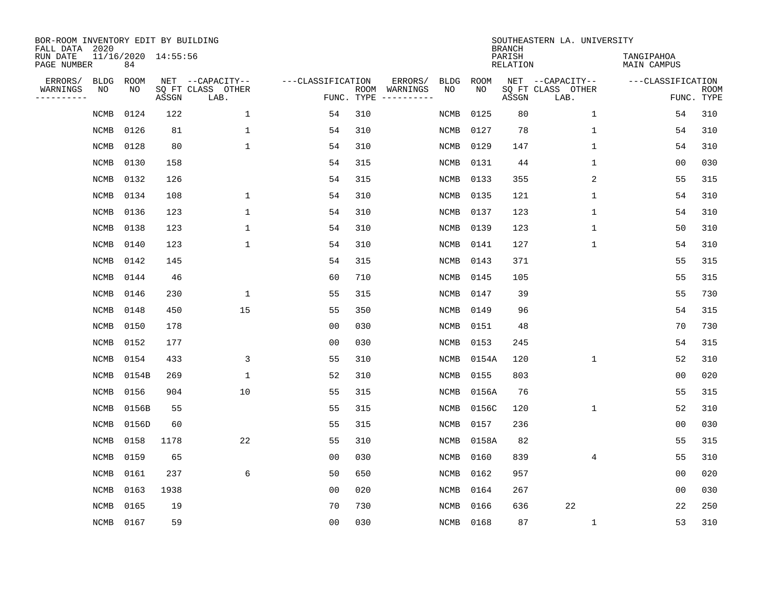| BOR-ROOM INVENTORY EDIT BY BUILDING<br>FALL DATA 2020 |             |                           |       |                           |                   |                    |          |             |             | <b>BRANCH</b>             | SOUTHEASTERN LA. UNIVERSITY |                                  |                           |
|-------------------------------------------------------|-------------|---------------------------|-------|---------------------------|-------------------|--------------------|----------|-------------|-------------|---------------------------|-----------------------------|----------------------------------|---------------------------|
| RUN DATE<br>PAGE NUMBER                               |             | 11/16/2020 14:55:56<br>84 |       |                           |                   |                    |          |             |             | PARISH<br><b>RELATION</b> |                             | TANGIPAHOA<br><b>MAIN CAMPUS</b> |                           |
| ERRORS/                                               | <b>BLDG</b> | ROOM                      |       | NET --CAPACITY--          | ---CLASSIFICATION |                    | ERRORS/  | <b>BLDG</b> | <b>ROOM</b> |                           | NET --CAPACITY--            | ---CLASSIFICATION                |                           |
| WARNINGS<br>-----------                               | NO          | NO                        | ASSGN | SQ FT CLASS OTHER<br>LAB. |                   | ROOM<br>FUNC. TYPE | WARNINGS | NO          | NO          | ASSGN                     | SQ FT CLASS OTHER<br>LAB.   |                                  | <b>ROOM</b><br>FUNC. TYPE |
|                                                       | <b>NCMB</b> | 0124                      | 122   | $\mathbf 1$               | 54                | 310                |          | <b>NCMB</b> | 0125        | 80                        | $\mathbf 1$                 | 54                               | 310                       |
|                                                       | <b>NCMB</b> | 0126                      | 81    | $\mathbf{1}$              | 54                | 310                |          | <b>NCMB</b> | 0127        | 78                        | 1                           | 54                               | 310                       |
|                                                       | <b>NCMB</b> | 0128                      | 80    | $\mathbf{1}$              | 54                | 310                |          | NCMB        | 0129        | 147                       | 1                           | 54                               | 310                       |
|                                                       | <b>NCMB</b> | 0130                      | 158   |                           | 54                | 315                |          | NCMB        | 0131        | 44                        | $\mathbf 1$                 | 0 <sub>0</sub>                   | 030                       |
|                                                       | NCMB        | 0132                      | 126   |                           | 54                | 315                |          | NCMB        | 0133        | 355                       | 2                           | 55                               | 315                       |
|                                                       | <b>NCMB</b> | 0134                      | 108   | 1                         | 54                | 310                |          | NCMB        | 0135        | 121                       | 1                           | 54                               | 310                       |
|                                                       | <b>NCMB</b> | 0136                      | 123   | $\mathbf{1}$              | 54                | 310                |          | <b>NCMB</b> | 0137        | 123                       | $\mathbf 1$                 | 54                               | 310                       |
|                                                       | <b>NCMB</b> | 0138                      | 123   | $\mathbf{1}$              | 54                | 310                |          | <b>NCMB</b> | 0139        | 123                       | 1                           | 50                               | 310                       |
|                                                       | <b>NCMB</b> | 0140                      | 123   | $\mathbf{1}$              | 54                | 310                |          | <b>NCMB</b> | 0141        | 127                       | 1                           | 54                               | 310                       |
|                                                       | <b>NCMB</b> | 0142                      | 145   |                           | 54                | 315                |          | <b>NCMB</b> | 0143        | 371                       |                             | 55                               | 315                       |
|                                                       | <b>NCMB</b> | 0144                      | 46    |                           | 60                | 710                |          | <b>NCMB</b> | 0145        | 105                       |                             | 55                               | 315                       |
|                                                       | <b>NCMB</b> | 0146                      | 230   | $\mathbf{1}$              | 55                | 315                |          | <b>NCMB</b> | 0147        | 39                        |                             | 55                               | 730                       |
|                                                       | <b>NCMB</b> | 0148                      | 450   | 15                        | 55                | 350                |          | NCMB        | 0149        | 96                        |                             | 54                               | 315                       |
|                                                       | <b>NCMB</b> | 0150                      | 178   |                           | 00                | 030                |          | NCMB        | 0151        | 48                        |                             | 70                               | 730                       |
|                                                       | <b>NCMB</b> | 0152                      | 177   |                           | 0 <sub>0</sub>    | 030                |          | NCMB        | 0153        | 245                       |                             | 54                               | 315                       |
|                                                       | <b>NCMB</b> | 0154                      | 433   | 3                         | 55                | 310                |          | NCMB        | 0154A       | 120                       | 1                           | 52                               | 310                       |
|                                                       | <b>NCMB</b> | 0154B                     | 269   | 1                         | 52                | 310                |          | NCMB        | 0155        | 803                       |                             | 0 <sub>0</sub>                   | 020                       |
|                                                       | <b>NCMB</b> | 0156                      | 904   | 10                        | 55                | 315                |          | NCMB        | 0156A       | 76                        |                             | 55                               | 315                       |
|                                                       | <b>NCMB</b> | 0156B                     | 55    |                           | 55                | 315                |          | NCMB        | 0156C       | 120                       | 1                           | 52                               | 310                       |
|                                                       | <b>NCMB</b> | 0156D                     | 60    |                           | 55                | 315                |          | <b>NCMB</b> | 0157        | 236                       |                             | 0 <sub>0</sub>                   | 030                       |
|                                                       | <b>NCMB</b> | 0158                      | 1178  | 22                        | 55                | 310                |          | <b>NCMB</b> | 0158A       | 82                        |                             | 55                               | 315                       |
|                                                       | <b>NCMB</b> | 0159                      | 65    |                           | 0 <sub>0</sub>    | 030                |          | <b>NCMB</b> | 0160        | 839                       | $\overline{4}$              | 55                               | 310                       |
|                                                       | <b>NCMB</b> | 0161                      | 237   | 6                         | 50                | 650                |          | <b>NCMB</b> | 0162        | 957                       |                             | 0 <sub>0</sub>                   | 020                       |
|                                                       | <b>NCMB</b> | 0163                      | 1938  |                           | 00                | 020                |          | <b>NCMB</b> | 0164        | 267                       |                             | 00                               | 030                       |
|                                                       | <b>NCMB</b> | 0165                      | 19    |                           | 70                | 730                |          | NCMB        | 0166        | 636                       | 22                          | 22                               | 250                       |
|                                                       | <b>NCMB</b> | 0167                      | 59    |                           | 0 <sub>0</sub>    | 030                |          | NCMB        | 0168        | 87                        | $\mathbf 1$                 | 53                               | 310                       |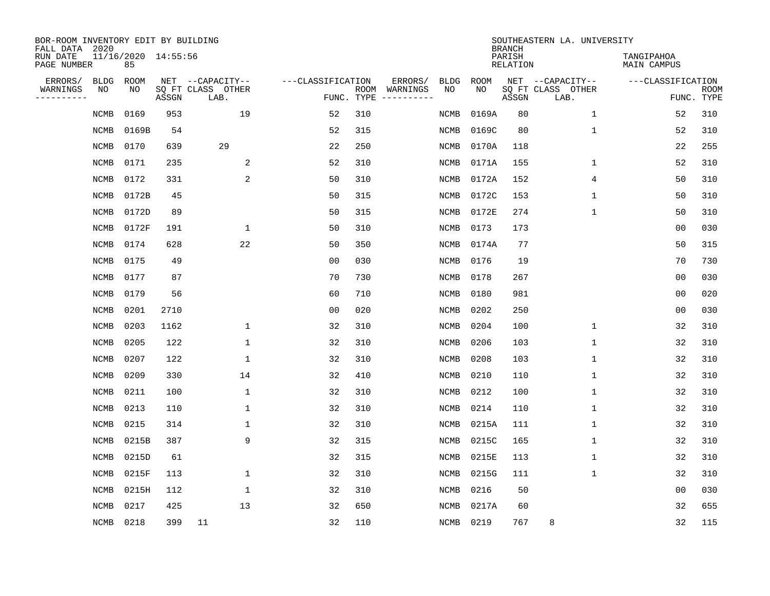| BOR-ROOM INVENTORY EDIT BY BUILDING<br>FALL DATA 2020 |             |                           |       |                           |                   |                    |          |             |             | <b>BRANCH</b>             | SOUTHEASTERN LA. UNIVERSITY |                                  |                           |
|-------------------------------------------------------|-------------|---------------------------|-------|---------------------------|-------------------|--------------------|----------|-------------|-------------|---------------------------|-----------------------------|----------------------------------|---------------------------|
| RUN DATE<br>PAGE NUMBER                               |             | 11/16/2020 14:55:56<br>85 |       |                           |                   |                    |          |             |             | PARISH<br><b>RELATION</b> |                             | TANGIPAHOA<br><b>MAIN CAMPUS</b> |                           |
| ERRORS/                                               | <b>BLDG</b> | ROOM                      |       | NET --CAPACITY--          | ---CLASSIFICATION |                    | ERRORS/  | <b>BLDG</b> | <b>ROOM</b> |                           | NET --CAPACITY--            | ---CLASSIFICATION                |                           |
| WARNINGS<br>----------                                | NO          | NO                        | ASSGN | SQ FT CLASS OTHER<br>LAB. |                   | ROOM<br>FUNC. TYPE | WARNINGS | NO          | NO          | ASSGN                     | SQ FT CLASS OTHER<br>LAB.   |                                  | <b>ROOM</b><br>FUNC. TYPE |
|                                                       | NCMB        | 0169                      | 953   | 19                        | 52                | 310                |          | NCMB        | 0169A       | 80                        | 1                           | 52                               | 310                       |
|                                                       | <b>NCMB</b> | 0169B                     | 54    |                           | 52                | 315                |          | NCMB        | 0169C       | 80                        | 1                           | 52                               | 310                       |
|                                                       | <b>NCMB</b> | 0170                      | 639   | 29                        | 22                | 250                |          | NCMB        | 0170A       | 118                       |                             | 22                               | 255                       |
|                                                       | <b>NCMB</b> | 0171                      | 235   | 2                         | 52                | 310                |          | NCMB        | 0171A       | 155                       | 1                           | 52                               | 310                       |
|                                                       | <b>NCMB</b> | 0172                      | 331   | 2                         | 50                | 310                |          | NCMB        | 0172A       | 152                       | 4                           | 50                               | 310                       |
|                                                       | <b>NCMB</b> | 0172B                     | 45    |                           | 50                | 315                |          | NCMB        | 0172C       | 153                       | 1                           | 50                               | 310                       |
|                                                       | <b>NCMB</b> | 0172D                     | 89    |                           | 50                | 315                |          | <b>NCMB</b> | 0172E       | 274                       | $\mathbf{1}$                | 50                               | 310                       |
|                                                       | <b>NCMB</b> | 0172F                     | 191   | $\mathbf{1}$              | 50                | 310                |          | <b>NCMB</b> | 0173        | 173                       |                             | 0 <sub>0</sub>                   | 030                       |
|                                                       | <b>NCMB</b> | 0174                      | 628   | 22                        | 50                | 350                |          | <b>NCMB</b> | 0174A       | 77                        |                             | 50                               | 315                       |
|                                                       | <b>NCMB</b> | 0175                      | 49    |                           | 0 <sub>0</sub>    | 030                |          | NCMB        | 0176        | 19                        |                             | 70                               | 730                       |
|                                                       | <b>NCMB</b> | 0177                      | 87    |                           | 70                | 730                |          | NCMB        | 0178        | 267                       |                             | 0 <sub>0</sub>                   | 030                       |
|                                                       | <b>NCMB</b> | 0179                      | 56    |                           | 60                | 710                |          | NCMB        | 0180        | 981                       |                             | 0 <sub>0</sub>                   | 020                       |
|                                                       | <b>NCMB</b> | 0201                      | 2710  |                           | 0 <sub>0</sub>    | 020                |          | NCMB        | 0202        | 250                       |                             | 0 <sub>0</sub>                   | 030                       |
|                                                       | <b>NCMB</b> | 0203                      | 1162  | 1                         | 32                | 310                |          | NCMB        | 0204        | 100                       | 1                           | 32                               | 310                       |
|                                                       | <b>NCMB</b> | 0205                      | 122   | 1                         | 32                | 310                |          | <b>NCMB</b> | 0206        | 103                       | 1                           | 32                               | 310                       |
|                                                       | NCMB        | 0207                      | 122   | $\mathbf{1}$              | 32                | 310                |          | NCMB        | 0208        | 103                       | 1                           | 32                               | 310                       |
|                                                       | <b>NCMB</b> | 0209                      | 330   | 14                        | 32                | 410                |          | <b>NCMB</b> | 0210        | 110                       | 1                           | 32                               | 310                       |
|                                                       | <b>NCMB</b> | 0211                      | 100   | 1                         | 32                | 310                |          | NCMB        | 0212        | 100                       | 1                           | 32                               | 310                       |
|                                                       | <b>NCMB</b> | 0213                      | 110   | 1                         | 32                | 310                |          | NCMB        | 0214        | 110                       | 1                           | 32                               | 310                       |
|                                                       | <b>NCMB</b> | 0215                      | 314   | 1                         | 32                | 310                |          | <b>NCMB</b> | 0215A       | 111                       | 1                           | 32                               | 310                       |
|                                                       | <b>NCMB</b> | 0215B                     | 387   | 9                         | 32                | 315                |          | <b>NCMB</b> | 0215C       | 165                       | 1                           | 32                               | 310                       |
|                                                       | <b>NCMB</b> | 0215D                     | 61    |                           | 32                | 315                |          | <b>NCMB</b> | 0215E       | 113                       | 1                           | 32                               | 310                       |
|                                                       | <b>NCMB</b> | 0215F                     | 113   | 1                         | 32                | 310                |          | <b>NCMB</b> | 0215G       | 111                       | 1                           | 32                               | 310                       |
|                                                       | <b>NCMB</b> | 0215H                     | 112   | 1                         | 32                | 310                |          | <b>NCMB</b> | 0216        | 50                        |                             | 0 <sub>0</sub>                   | 030                       |
|                                                       | <b>NCMB</b> | 0217                      | 425   | 13                        | 32                | 650                |          | <b>NCMB</b> | 0217A       | 60                        |                             | 32                               | 655                       |
|                                                       | NCMB        | 0218                      | 399   | 11                        | 32                | 110                |          | NCMB        | 0219        | 767                       | 8                           | 32                               | 115                       |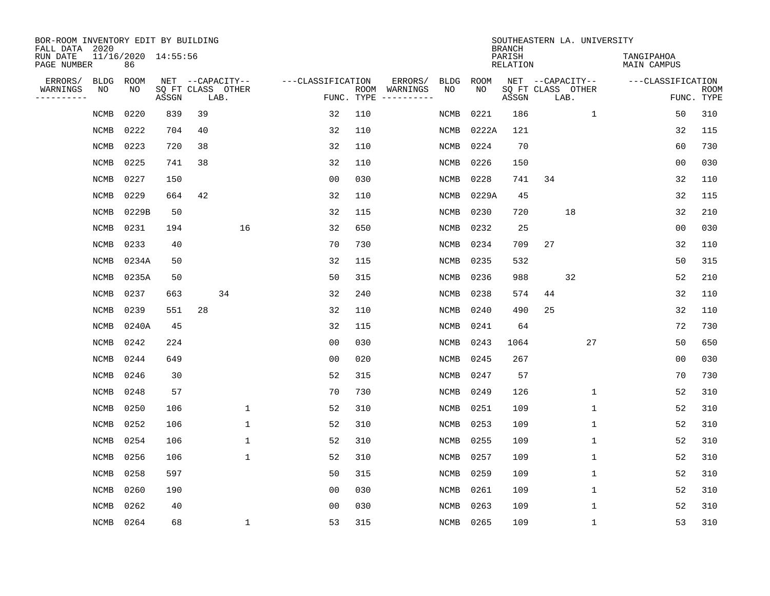| BOR-ROOM INVENTORY EDIT BY BUILDING<br>FALL DATA 2020 |             |                           |       |    |                           |                   |            |                              |             |             | <b>BRANCH</b>             | SOUTHEASTERN LA. UNIVERSITY |                                  |                           |
|-------------------------------------------------------|-------------|---------------------------|-------|----|---------------------------|-------------------|------------|------------------------------|-------------|-------------|---------------------------|-----------------------------|----------------------------------|---------------------------|
| RUN DATE<br>PAGE NUMBER                               |             | 11/16/2020 14:55:56<br>86 |       |    |                           |                   |            |                              |             |             | PARISH<br><b>RELATION</b> |                             | TANGIPAHOA<br><b>MAIN CAMPUS</b> |                           |
| ERRORS/                                               | <b>BLDG</b> | ROOM                      |       |    | NET --CAPACITY--          | ---CLASSIFICATION |            | ERRORS/                      | <b>BLDG</b> | <b>ROOM</b> |                           | NET --CAPACITY--            | ---CLASSIFICATION                |                           |
| WARNINGS<br>---------                                 | NO          | NO                        | ASSGN |    | SQ FT CLASS OTHER<br>LAB. |                   | FUNC. TYPE | ROOM WARNINGS<br>----------- | NO          | NO          | ASSGN                     | SQ FT CLASS OTHER<br>LAB.   |                                  | <b>ROOM</b><br>FUNC. TYPE |
|                                                       | NCMB        | 0220                      | 839   | 39 |                           | 32                | 110        |                              | NCMB        | 0221        | 186                       | 1                           | 50                               | 310                       |
|                                                       | NCMB        | 0222                      | 704   | 40 |                           | 32                | 110        |                              | NCMB        | 0222A       | 121                       |                             | 32                               | 115                       |
|                                                       | <b>NCMB</b> | 0223                      | 720   | 38 |                           | 32                | 110        |                              | NCMB        | 0224        | 70                        |                             | 60                               | 730                       |
|                                                       | NCMB        | 0225                      | 741   | 38 |                           | 32                | 110        |                              | <b>NCMB</b> | 0226        | 150                       |                             | 0 <sub>0</sub>                   | 030                       |
|                                                       | NCMB        | 0227                      | 150   |    |                           | 0 <sub>0</sub>    | 030        |                              | NCMB        | 0228        | 741                       | 34                          | 32                               | 110                       |
|                                                       | NCMB        | 0229                      | 664   | 42 |                           | 32                | 110        |                              | NCMB        | 0229A       | 45                        |                             | 32                               | 115                       |
|                                                       | NCMB        | 0229B                     | 50    |    |                           | 32                | 115        |                              | NCMB        | 0230        | 720                       | 18                          | 32                               | 210                       |
|                                                       | <b>NCMB</b> | 0231                      | 194   |    | 16                        | 32                | 650        |                              | <b>NCMB</b> | 0232        | 25                        |                             | 0 <sub>0</sub>                   | 030                       |
|                                                       | <b>NCMB</b> | 0233                      | 40    |    |                           | 70                | 730        |                              | <b>NCMB</b> | 0234        | 709                       | 27                          | 32                               | 110                       |
|                                                       | <b>NCMB</b> | 0234A                     | 50    |    |                           | 32                | 115        |                              | NCMB        | 0235        | 532                       |                             | 50                               | 315                       |
|                                                       | <b>NCMB</b> | 0235A                     | 50    |    |                           | 50                | 315        |                              | <b>NCMB</b> | 0236        | 988                       | 32                          | 52                               | 210                       |
|                                                       | <b>NCMB</b> | 0237                      | 663   |    | 34                        | 32                | 240        |                              | <b>NCMB</b> | 0238        | 574                       | 44                          | 32                               | 110                       |
|                                                       | NCMB        | 0239                      | 551   | 28 |                           | 32                | 110        |                              | NCMB        | 0240        | 490                       | 25                          | 32                               | 110                       |
|                                                       | NCMB        | 0240A                     | 45    |    |                           | 32                | 115        |                              | NCMB        | 0241        | 64                        |                             | 72                               | 730                       |
|                                                       | NCMB        | 0242                      | 224   |    |                           | 0 <sub>0</sub>    | 030        |                              | NCMB        | 0243        | 1064                      | 27                          | 50                               | 650                       |
|                                                       | NCMB        | 0244                      | 649   |    |                           | 0 <sub>0</sub>    | 020        |                              | <b>NCMB</b> | 0245        | 267                       |                             | 0 <sub>0</sub>                   | 030                       |
|                                                       | NCMB        | 0246                      | 30    |    |                           | 52                | 315        |                              | NCMB        | 0247        | 57                        |                             | 70                               | 730                       |
|                                                       | <b>NCMB</b> | 0248                      | 57    |    |                           | 70                | 730        |                              | NCMB        | 0249        | 126                       | $\mathbf 1$                 | 52                               | 310                       |
|                                                       | <b>NCMB</b> | 0250                      | 106   |    | $\mathbf{1}$              | 52                | 310        |                              | <b>NCMB</b> | 0251        | 109                       | $\mathbf 1$                 | 52                               | 310                       |
|                                                       | <b>NCMB</b> | 0252                      | 106   |    | 1                         | 52                | 310        |                              | NCMB        | 0253        | 109                       | 1                           | 52                               | 310                       |
|                                                       | <b>NCMB</b> | 0254                      | 106   |    | 1                         | 52                | 310        |                              | <b>NCMB</b> | 0255        | 109                       | $\mathbf 1$                 | 52                               | 310                       |
|                                                       | <b>NCMB</b> | 0256                      | 106   |    | 1                         | 52                | 310        |                              | <b>NCMB</b> | 0257        | 109                       | 1                           | 52                               | 310                       |
|                                                       | <b>NCMB</b> | 0258                      | 597   |    |                           | 50                | 315        |                              | <b>NCMB</b> | 0259        | 109                       | $\mathbf 1$                 | 52                               | 310                       |
|                                                       | <b>NCMB</b> | 0260                      | 190   |    |                           | 0 <sub>0</sub>    | 030        |                              | NCMB        | 0261        | 109                       | $\mathbf 1$                 | 52                               | 310                       |
|                                                       | <b>NCMB</b> | 0262                      | 40    |    |                           | 0 <sub>0</sub>    | 030        |                              | <b>NCMB</b> | 0263        | 109                       | $\mathbf 1$                 | 52                               | 310                       |
|                                                       | NCMB        | 0264                      | 68    |    | $\mathbf{1}$              | 53                | 315        |                              | NCMB 0265   |             | 109                       | $\mathbf 1$                 | 53                               | 310                       |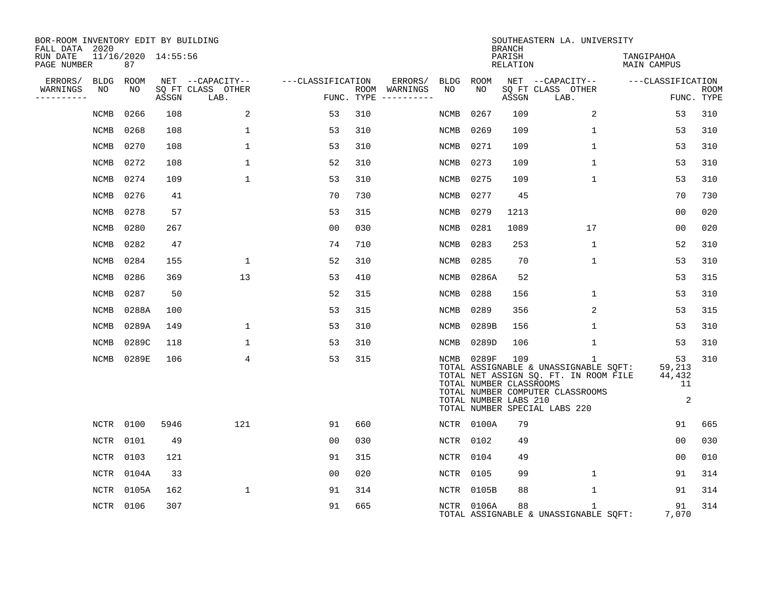| BOR-ROOM INVENTORY EDIT BY BUILDING<br>FALL DATA 2020 |             |                           |       |                           |                   |     |               |             |                                                                | <b>BRANCH</b>      | SOUTHEASTERN LA. UNIVERSITY                                                                                                                                         |                                   |                           |
|-------------------------------------------------------|-------------|---------------------------|-------|---------------------------|-------------------|-----|---------------|-------------|----------------------------------------------------------------|--------------------|---------------------------------------------------------------------------------------------------------------------------------------------------------------------|-----------------------------------|---------------------------|
| RUN DATE<br>PAGE NUMBER                               |             | 11/16/2020 14:55:56<br>87 |       |                           |                   |     |               |             |                                                                | PARISH<br>RELATION |                                                                                                                                                                     | TANGIPAHOA<br>MAIN CAMPUS         |                           |
| ERRORS/                                               | <b>BLDG</b> | ROOM                      |       | NET --CAPACITY--          | ---CLASSIFICATION |     | ERRORS/       | BLDG ROOM   |                                                                |                    | NET --CAPACITY--                                                                                                                                                    | ---CLASSIFICATION                 |                           |
| WARNINGS<br>. _ _ _ _ _ _ _ _ _                       | NO          | NO                        | ASSGN | SQ FT CLASS OTHER<br>LAB. | FUNC. TYPE        |     | ROOM WARNINGS | NO          | NO                                                             | ASSGN              | SQ FT CLASS OTHER<br>LAB.                                                                                                                                           |                                   | <b>ROOM</b><br>FUNC. TYPE |
|                                                       | NCMB        | 0266                      | 108   | 2                         | 53                | 310 |               | NCMB        | 0267                                                           | 109                | 2                                                                                                                                                                   | 53                                | 310                       |
|                                                       | NCMB        | 0268                      | 108   | $\mathbf{1}$              | 53                | 310 |               | NCMB        | 0269                                                           | 109                | $\mathbf 1$                                                                                                                                                         | 53                                | 310                       |
|                                                       | <b>NCMB</b> | 0270                      | 108   | $\mathbf{1}$              | 53                | 310 |               | <b>NCMB</b> | 0271                                                           | 109                | $\mathbf 1$                                                                                                                                                         | 53                                | 310                       |
|                                                       | <b>NCMB</b> | 0272                      | 108   | $\mathbf{1}$              | 52                | 310 |               | <b>NCMB</b> | 0273                                                           | 109                | $\mathbf 1$                                                                                                                                                         | 53                                | 310                       |
|                                                       | <b>NCMB</b> | 0274                      | 109   | $\mathbf{1}$              | 53                | 310 |               | <b>NCMB</b> | 0275                                                           | 109                | $\mathbf 1$                                                                                                                                                         | 53                                | 310                       |
|                                                       | <b>NCMB</b> | 0276                      | 41    |                           | 70                | 730 |               | NCMB        | 0277                                                           | 45                 |                                                                                                                                                                     | 70                                | 730                       |
|                                                       | <b>NCMB</b> | 0278                      | 57    |                           | 53                | 315 |               | NCMB        | 0279                                                           | 1213               |                                                                                                                                                                     | 00                                | 020                       |
|                                                       | <b>NCMB</b> | 0280                      | 267   |                           | 0 <sub>0</sub>    | 030 |               | NCMB        | 0281                                                           | 1089               | 17                                                                                                                                                                  | 00                                | 020                       |
|                                                       | <b>NCMB</b> | 0282                      | 47    |                           | 74                | 710 |               | NCMB        | 0283                                                           | 253                | 1                                                                                                                                                                   | 52                                | 310                       |
|                                                       | <b>NCMB</b> | 0284                      | 155   | $\mathbf 1$               | 52                | 310 |               | NCMB        | 0285                                                           | 70                 | $\mathbf 1$                                                                                                                                                         | 53                                | 310                       |
|                                                       | <b>NCMB</b> | 0286                      | 369   | 13                        | 53                | 410 |               | <b>NCMB</b> | 0286A                                                          | 52                 |                                                                                                                                                                     | 53                                | 315                       |
|                                                       | <b>NCMB</b> | 0287                      | 50    |                           | 52                | 315 |               | <b>NCMB</b> | 0288                                                           | 156                | 1                                                                                                                                                                   | 53                                | 310                       |
|                                                       | <b>NCMB</b> | 0288A                     | 100   |                           | 53                | 315 |               | <b>NCMB</b> | 0289                                                           | 356                | $\overline{2}$                                                                                                                                                      | 53                                | 315                       |
|                                                       | <b>NCMB</b> | 0289A                     | 149   | $\mathbf{1}$              | 53                | 310 |               | NCMB        | 0289B                                                          | 156                | $\mathbf 1$                                                                                                                                                         | 53                                | 310                       |
|                                                       | <b>NCMB</b> | 0289C                     | 118   | 1                         | 53                | 310 |               | NCMB        | 0289D                                                          | 106                | 1                                                                                                                                                                   | 53                                | 310                       |
|                                                       | NCMB        | 0289E                     | 106   | 4                         | 53                | 315 |               |             | NCMB 0289F<br>TOTAL NUMBER CLASSROOMS<br>TOTAL NUMBER LABS 210 | 109                | $\mathbf{1}$<br>TOTAL ASSIGNABLE & UNASSIGNABLE SQFT:<br>TOTAL NET ASSIGN SQ. FT. IN ROOM FILE<br>TOTAL NUMBER COMPUTER CLASSROOMS<br>TOTAL NUMBER SPECIAL LABS 220 | 53<br>59,213<br>44,432<br>11<br>2 | 310                       |
|                                                       | NCTR        | 0100                      | 5946  | 121                       | 91                | 660 |               |             | NCTR 0100A                                                     | 79                 |                                                                                                                                                                     | 91                                | 665                       |
|                                                       | NCTR        | 0101                      | 49    |                           | 0 <sub>0</sub>    | 030 |               | NCTR        | 0102                                                           | 49                 |                                                                                                                                                                     | 0 <sub>0</sub>                    | 030                       |
|                                                       | NCTR        | 0103                      | 121   |                           | 91                | 315 |               | NCTR 0104   |                                                                | 49                 |                                                                                                                                                                     | 00                                | 010                       |
|                                                       | NCTR        | 0104A                     | 33    |                           | 0 <sub>0</sub>    | 020 |               | NCTR        | 0105                                                           | 99                 | $\mathbf 1$                                                                                                                                                         | 91                                | 314                       |
|                                                       | NCTR        | 0105A                     | 162   | 1                         | 91                | 314 |               |             | NCTR 0105B                                                     | 88                 | $\mathbf 1$                                                                                                                                                         | 91                                | 314                       |
|                                                       | NCTR 0106   |                           | 307   |                           | 91                | 665 |               |             | NCTR 0106A                                                     | 88                 | $\mathbf{1}$<br>TOTAL ASSIGNABLE & UNASSIGNABLE SQFT:                                                                                                               | 91<br>7,070                       | 314                       |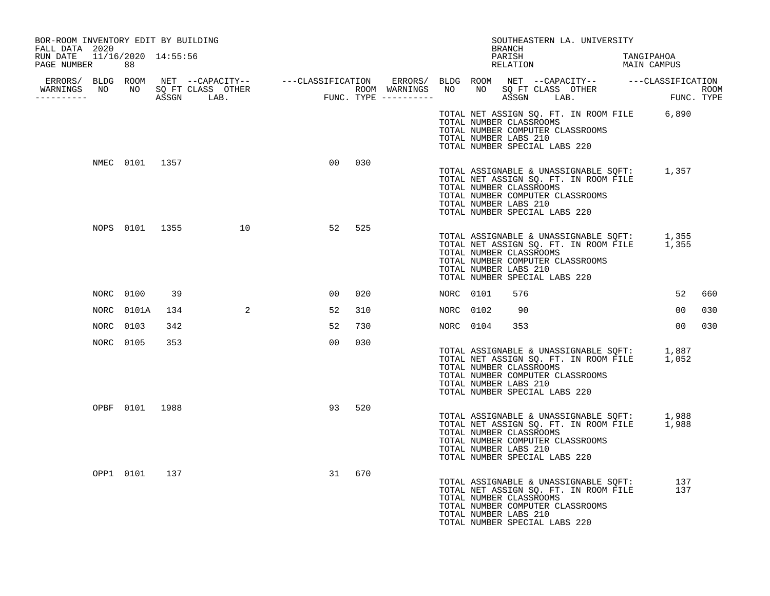| BOR-ROOM INVENTORY EDIT BY BUILDING<br>FALL DATA 2020 |               |                |                   |    |     |           |                                                                                   | BRANCH |          | SOUTHEASTERN LA. UNIVERSITY                                                                                                    |            |            |      |
|-------------------------------------------------------|---------------|----------------|-------------------|----|-----|-----------|-----------------------------------------------------------------------------------|--------|----------|--------------------------------------------------------------------------------------------------------------------------------|------------|------------|------|
| RUN DATE 11/16/2020 14:55:56<br>PAGE NUMBER 88        |               |                |                   |    |     |           |                                                                                   | PARISH | RELATION | MAIN CAMPUS                                                                                                                    | TANGIPAHOA |            |      |
|                                                       |               |                |                   |    |     |           |                                                                                   |        |          |                                                                                                                                |            |            | ROOM |
| WARNINGS NO NO SQ FT CLASS OTHER                      |               |                |                   |    |     |           |                                                                                   |        |          |                                                                                                                                |            |            |      |
|                                                       |               |                |                   |    |     |           | TOTAL NUMBER CLASSROOMS<br>TOTAL NUMBER LABS 210<br>TOTAL NUMBER SPECIAL LABS 220 |        |          | TOTAL NET ASSIGN SQ. FT. IN ROOM FILE 6,890<br>TOTAL NUMBER COMPUTER CLASSROOMS                                                |            |            |      |
|                                                       |               | NMEC 0101 1357 |                   | 00 | 030 |           | TOTAL NUMBER CLASSROOMS<br>TOTAL NUMBER LABS 210<br>TOTAL NUMBER SPECIAL LABS 220 |        |          | TOTAL ASSIGNABLE & UNASSIGNABLE SQFT: 1,357<br>TOTAL NET ASSIGN SQ. FT. IN ROOM FILE<br>TOTAL NUMBER COMPUTER CLASSROOMS       |            |            |      |
|                                                       |               |                | NOPS 0101 1355 10 | 52 | 525 |           | TOTAL NUMBER CLASSROOMS<br>TOTAL NUMBER LABS 210<br>TOTAL NUMBER SPECIAL LABS 220 |        |          | TOTAL ASSIGNABLE & UNASSIGNABLE SQFT: 1,355<br>TOTAL NET ASSIGN SQ. FT. IN ROOM FILE 1,355<br>TOTAL NUMBER COMPUTER CLASSROOMS |            |            |      |
|                                                       | NORC 0100     | 39             |                   | 00 | 020 | NORC 0101 |                                                                                   | 576    |          |                                                                                                                                |            | 52         | 660  |
|                                                       | NORC 0101A    | 134            | 2                 | 52 | 310 | NORC 0102 |                                                                                   | 90     |          |                                                                                                                                |            | 00         | 030  |
| NORC                                                  | 0103          | 342            |                   | 52 | 730 | NORC 0104 |                                                                                   | 353    |          |                                                                                                                                |            | 00         | 030  |
|                                                       | NORC 0105     | 353            |                   | 00 | 030 |           | TOTAL NUMBER CLASSROOMS<br>TOTAL NUMBER LABS 210<br>TOTAL NUMBER SPECIAL LABS 220 |        |          | TOTAL ASSIGNABLE & UNASSIGNABLE SQFT: 1,887<br>TOTAL NET ASSIGN SQ. FT. IN ROOM FILE 1,052<br>TOTAL NUMBER COMPUTER CLASSROOMS |            |            |      |
|                                                       |               | OPBF 0101 1988 |                   | 93 | 520 |           | TOTAL NUMBER CLASSROOMS<br>TOTAL NUMBER LABS 210<br>TOTAL NUMBER SPECIAL LABS 220 |        |          | TOTAL ASSIGNABLE & UNASSIGNABLE SQFT: 1,988<br>TOTAL NET ASSIGN SQ. FT. IN ROOM FILE 1,988<br>TOTAL NUMBER COMPUTER CLASSROOMS |            |            |      |
|                                                       | OPP1 0101 137 |                |                   | 31 | 670 |           | TOTAL NUMBER CLASSROOMS<br>TOTAL NUMBER LABS 210<br>TOTAL NUMBER SPECIAL LABS 220 |        |          | TOTAL ASSIGNABLE & UNASSIGNABLE SQFT:<br>TOTAL NUMBER COMPUTER CLASSROOMS                                                      |            | 137<br>137 |      |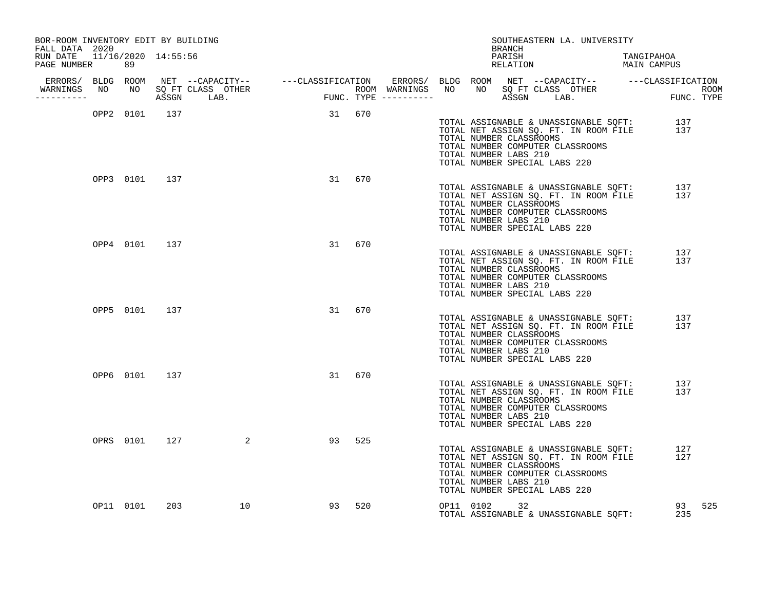| BOR-ROOM INVENTORY EDIT BY BUILDING<br>FALL DATA 2020 |           |               |                |        |        |  | BRANCH                                                                            |  | SOUTHEASTERN LA. UNIVERSITY                                                                                        |                                                                                        |     |
|-------------------------------------------------------|-----------|---------------|----------------|--------|--------|--|-----------------------------------------------------------------------------------|--|--------------------------------------------------------------------------------------------------------------------|----------------------------------------------------------------------------------------|-----|
| RUN DATE 11/16/2020 14:55:56<br>PAGE NUMBER 89        |           |               |                |        |        |  |                                                                                   |  |                                                                                                                    | PARISH TANGIPAHOA RELATION MAIN CAMPUS                                                 |     |
|                                                       |           |               |                |        |        |  |                                                                                   |  |                                                                                                                    |                                                                                        |     |
| -----------                                           |           |               |                |        |        |  |                                                                                   |  |                                                                                                                    |                                                                                        |     |
|                                                       |           |               | OPP2 0101 137  | 31 670 |        |  | TOTAL NUMBER CLASSROOMS<br>TOTAL NUMBER LABS 210<br>TOTAL NUMBER SPECIAL LABS 220 |  | TOTAL NUMBER COMPUTER CLASSROOMS                                                                                   | TOTAL ASSIGNABLE & UNASSIGNABLE SQFT: 137<br>TOTAL NET ASSIGN SQ. FT. IN ROOM FILE 137 |     |
|                                                       |           | OPP3 0101 137 |                |        | 31 670 |  | TOTAL NUMBER CLASSROOMS<br>TOTAL NUMBER LABS 210<br>TOTAL NUMBER SPECIAL LABS 220 |  | TOTAL NUMBER COMPUTER CLASSROOMS                                                                                   | TOTAL ASSIGNABLE & UNASSIGNABLE SQFT: 137<br>TOTAL NET ASSIGN SQ. FT. IN ROOM FILE 137 |     |
|                                                       |           | OPP4 0101 137 |                |        | 31 670 |  | TOTAL NUMBER CLASSROOMS<br>TOTAL NUMBER LABS 210<br>TOTAL NUMBER SPECIAL LABS 220 |  | TOTAL ASSIGNABLE & UNASSIGNABLE SQFT:<br>TOTAL NET ASSIGN SQ. FT. IN ROOM FILE<br>TOTAL NUMBER COMPUTER CLASSROOMS | 137<br>137                                                                             |     |
|                                                       |           | OPP5 0101 137 |                |        | 31 670 |  | TOTAL NUMBER CLASSROOMS<br>TOTAL NUMBER LABS 210<br>TOTAL NUMBER SPECIAL LABS 220 |  | TOTAL ASSIGNABLE & UNASSIGNABLE SQFT:<br>TOTAL NET ASSIGN SQ. FT. IN ROOM FILE<br>TOTAL NUMBER COMPUTER CLASSROOMS | 137<br>137                                                                             |     |
|                                                       |           | OPP6 0101 137 |                |        | 31 670 |  | TOTAL NUMBER CLASSROOMS<br>TOTAL NUMBER LABS 210<br>TOTAL NUMBER SPECIAL LABS 220 |  | TOTAL ASSIGNABLE & UNASSIGNABLE SQFT:<br>TOTAL NET ASSIGN SQ. FT. IN ROOM FILE<br>TOTAL NUMBER COMPUTER CLASSROOMS | 137<br>137                                                                             |     |
|                                                       |           | OPRS 0101 127 | $\overline{a}$ | 93     | 525    |  | TOTAL NUMBER CLASSROOMS<br>TOTAL NUMBER LABS 210<br>TOTAL NUMBER SPECIAL LABS 220 |  | TOTAL ASSIGNABLE & UNASSIGNABLE SQFT:<br>TOTAL NET ASSIGN SQ. FT. IN ROOM FILE<br>TOTAL NUMBER COMPUTER CLASSROOMS | 127<br>127                                                                             |     |
|                                                       | OP11 0101 | 203           | 10             |        | 93 520 |  | OP11 0102 32                                                                      |  | TOTAL ASSIGNABLE & UNASSIGNABLE SQFT:                                                                              | 93<br>235                                                                              | 525 |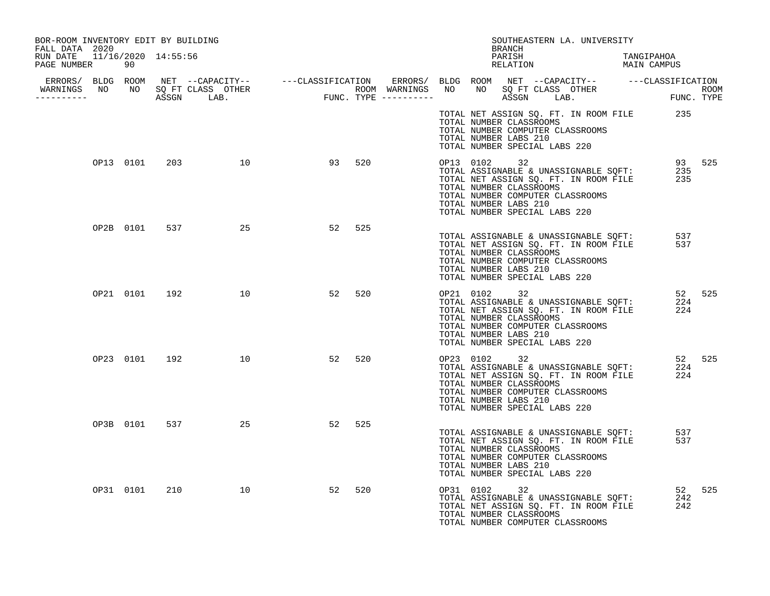| BOR-ROOM INVENTORY EDIT BY BUILDING<br>FALL DATA 2020 |           |               |                     |    |     |                                    | SOUTHEASTERN LA. UNIVERSITY<br>BRANCH                                                                                                                                                                                                |            |               |
|-------------------------------------------------------|-----------|---------------|---------------------|----|-----|------------------------------------|--------------------------------------------------------------------------------------------------------------------------------------------------------------------------------------------------------------------------------------|------------|---------------|
| RUN DATE 11/16/2020 14:55:56<br>PAGE NUMBER           | 90        |               |                     |    |     |                                    | PARISH TANGIPAHOA<br>RELATION MAIN CAMPUS                                                                                                                                                                                            |            |               |
|                                                       |           |               |                     |    |     |                                    |                                                                                                                                                                                                                                      |            |               |
|                                                       |           |               |                     |    |     |                                    | ERRORS/ BLDG ROOM NET --CAPACITY-- ----CLASSIFICATION ERRORS/ BLDG ROOM NET --CAPACITY-- -----CLASSIFICATION<br>WARNINGS NO NO SQFTCLASS OTHER ROOM WARNINGS NO NO SQFTCLASS OTHER ROOM<br>----------- ASSGN LAB. FUNC.TYPE -------- |            |               |
|                                                       |           |               |                     |    |     | TOTAL NUMBER LABS 210              | TOTAL NET ASSIGN SQ. FT. IN ROOM FILE 235<br>TOTAL NUMBER CLASSROOMS<br>TOTAL NUMBER COMPUTER CLASSROOMS<br>TOTAL NUMBER SPECIAL LABS 220                                                                                            |            |               |
|                                                       |           |               | OP13 0101 203 10    | 93 | 520 | TOTAL NUMBER LABS 210              | 93 525<br>TOTAL ASSIGNABLE & UNASSIGNABLE SQFT: 235<br>TOTAL NET ASSIGN SQ. FT. IN ROOM FILE 235<br>TOTAL NUMBER CLASSROOMS<br>TOTAL NUMBER COMPUTER CLASSROOMS<br>TOTAL NUMBER SPECIAL LABS 220                                     |            |               |
|                                                       |           |               | OP2B 0101 537<br>25 | 52 | 525 | TOTAL NUMBER LABS 210              | TOTAL ASSIGNABLE & UNASSIGNABLE SQFT:<br>TOTAL NET ASSIGN SQ. FT. IN ROOM FILE<br>TOTAL NUMBER CLASSROOMS<br>TOTAL NUMBER COMPUTER CLASSROOMS<br>TOTAL NUMBER SPECIAL LABS 220                                                       | 537<br>537 |               |
|                                                       |           |               | OP21 0101 192 10    | 52 | 520 | OP21 0102<br>TOTAL NUMBER LABS 210 | 32<br>TOTAL ASSIGNABLE & UNASSIGNABLE SQFT:<br>TOTAL NET ASSIGN SQ. FT. IN ROOM FILE<br>TOTAL NUMBER CLASSROOMS<br>TOTAL NUMBER COMPUTER CLASSROOMS<br>TOTAL NUMBER SPECIAL LABS 220                                                 | 224<br>224 | 52 525        |
|                                                       |           | OP23 0101 192 | 10                  | 52 | 520 | TOTAL NUMBER LABS 210              | JZ<br>TOTAL ASSIGNABLE & UNASSIGNABLE SQFT:<br>TOTAL NET ASSIGN SQ. FT. IN ROOM FILE<br>TOTAL NUMBER CLASSROOMS<br>TOTAL NUMBER COMPUTER CLASSROOMS<br>TOTAL NUMBER SPECIAL LABS 220                                                 | 224        | 52 525<br>224 |
|                                                       | OP3B 0101 | 537           | 25                  | 52 | 525 | TOTAL NUMBER LABS 210              | TOTAL ASSIGNABLE & UNASSIGNABLE SQFT:<br>TOTAL NET ASSIGN SQ. FT. IN ROOM FILE<br>TOTAL NUMBER CLASSROOMS<br>TOTAL NUMBER COMPUTER CLASSROOMS<br>TOTAL NUMBER SPECIAL LABS 220                                                       | 537<br>537 |               |
|                                                       | OP31 0101 | 210           | 10                  | 52 | 520 | OP31 0102                          | 32<br>UP31 UIUZ 32<br>TOTAL ASSIGNABLE & UNASSIGNABLE SQFT:<br>TOTAL NET ASSIGN SQ. FT. IN ROOM FILE<br>TOTAL NUMBER CLASSROOMS<br>TOTAL NUMBER COMPUTER CLASSROOMS                                                                  | 242<br>242 | 52 525        |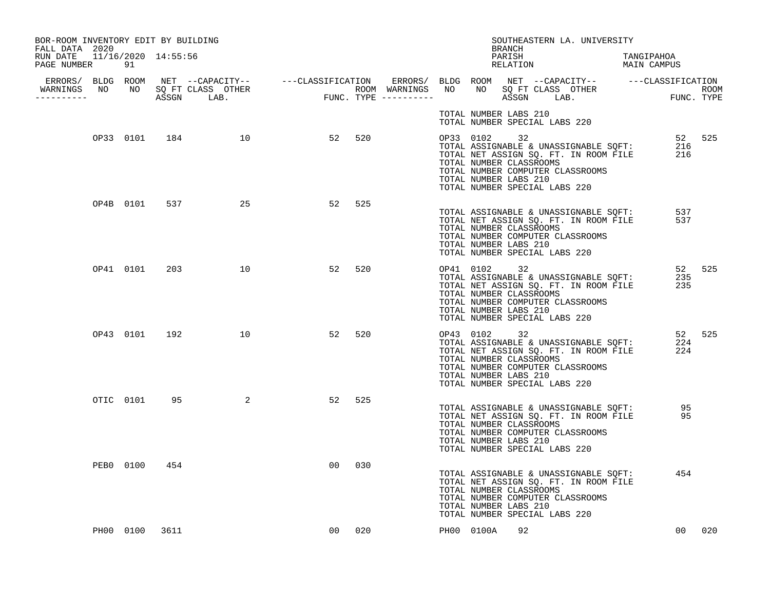| BOR-ROOM INVENTORY EDIT BY BUILDING<br>FALL DATA 2020 |           |                |                         |    |        |  |                                                                  | BRANCH             | SOUTHEASTERN LA. UNIVERSITY                                                                                                                                                                      |                      |     |
|-------------------------------------------------------|-----------|----------------|-------------------------|----|--------|--|------------------------------------------------------------------|--------------------|--------------------------------------------------------------------------------------------------------------------------------------------------------------------------------------------------|----------------------|-----|
| RUN DATE  11/16/2020  14:55:56<br>PAGE NUMBER         | 91        |                |                         |    |        |  |                                                                  | PARISH<br>RELATION | TANGIPAHOA<br>MAIN CAMPUS                                                                                                                                                                        |                      |     |
| WARNINGS NO NO SQ FT CLASS OTHER<br>-----------       |           |                |                         |    |        |  |                                                                  |                    |                                                                                                                                                                                                  |                      |     |
|                                                       |           |                |                         |    |        |  | TOTAL NUMBER LABS 210                                            |                    | TOTAL NUMBER SPECIAL LABS 220                                                                                                                                                                    |                      |     |
|                                                       |           |                | OP33 0101 184 10 52 520 |    |        |  | TOTAL NUMBER LABS 210                                            |                    | 52 525<br>TOTAL ASSIGNABLE & UNASSIGNABLE SQFT: 216<br>TOTAL NET ASSIGN SQ. FT. IN ROOM FILE 216<br>TOTAL NUMBER CLASSROOMS<br>TOTAL NUMBER COMPUTER CLASSROOMS<br>TOTAL NUMBER SPECIAL LABS 220 |                      |     |
|                                                       |           |                | OP4B 0101 537 25        | 52 | 525    |  | TOTAL NUMBER CLASSROOMS<br>TOTAL NUMBER LABS 210                 |                    | TOTAL ASSIGNABLE & UNASSIGNABLE SQFT:<br>TOTAL NET ASSIGN SQ. FT. IN ROOM FILE<br>TOTAL NUMBER COMPUTER CLASSROOMS<br>TOTAL NUMBER SPECIAL LABS 220                                              | 537<br>537           |     |
|                                                       |           | OP41 0101 203  | 10                      | 52 | 520    |  | OP41 0102 32<br>TOTAL NUMBER CLASSROOMS<br>TOTAL NUMBER LABS 210 |                    | TOTAL ASSIGNABLE & UNASSIGNABLE SQFT:<br>TOTAL NET ASSIGN SQ. FT. IN ROOM FILE<br>TOTAL NUMBER COMPUTER CLASSROOMS<br>TOTAL NUMBER SPECIAL LABS 220                                              | 52 525<br>235<br>235 |     |
|                                                       |           | OP43 0101 192  | 10                      | 52 | 520    |  | OP43 0102 32<br>TOTAL NUMBER CLASSROOMS<br>TOTAL NUMBER LABS 210 |                    | UP43 UIUZ 32<br>TOTAL ASSIGNABLE & UNASSIGNABLE SQFT:<br>TOTAL NET ASSIGN SQ. FT. IN ROOM FILE<br>TOTAL NUMBER COMPUTER CLASSROOMS<br>TOTAL NUMBER SPECIAL LABS 220                              | 52 525<br>224<br>224 |     |
|                                                       | OTIC 0101 | 95             | $\overline{2}$          | 52 | 525    |  | TOTAL NUMBER CLASSROOMS<br>TOTAL NUMBER LABS 210                 |                    | TOTAL ASSIGNABLE & UNASSIGNABLE SQFT: 95<br>TOTAL NET ASSIGN SQ. FT. IN ROOM FILE<br>TOTAL NUMBER COMPUTER CLASSROOMS<br>TOTAL NUMBER SPECIAL LABS 220                                           | 95                   |     |
|                                                       | PEB0 0100 | 454            |                         | 00 | 030    |  | TOTAL NUMBER CLASSROOMS<br>TOTAL NUMBER LABS 210                 |                    | TOTAL ASSIGNABLE & UNASSIGNABLE SQFT:<br>TOTAL NET ASSIGN SQ. FT. IN ROOM FILE<br>TOTAL NUMBER COMPUTER CLASSROOMS<br>TOTAL NUMBER SPECIAL LABS 220                                              | 454                  |     |
|                                                       |           | PH00 0100 3611 |                         |    | 00 020 |  | PH00 0100A                                                       | 92                 |                                                                                                                                                                                                  | 00 <sub>o</sub>      | 020 |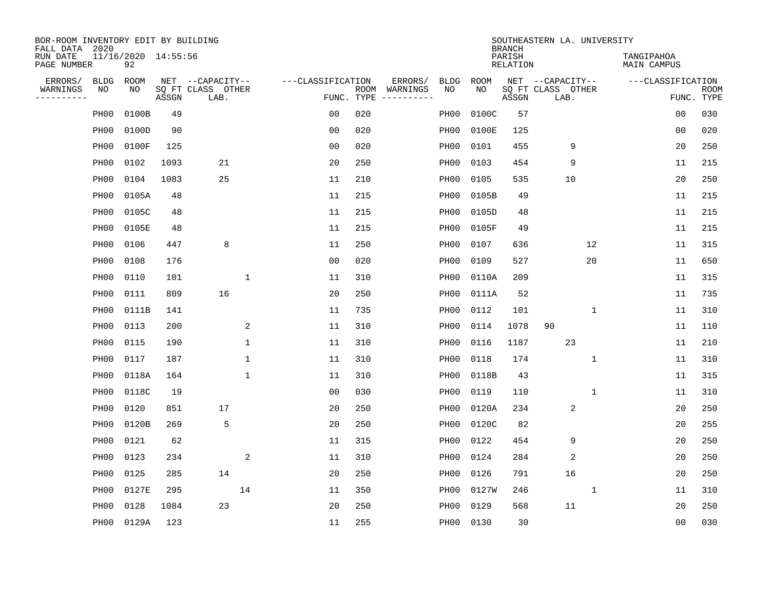| BOR-ROOM INVENTORY EDIT BY BUILDING<br>FALL DATA 2020 |                  |                           |       |                           |             |                   |                    |                        |                  |       | <b>BRANCH</b>             | SOUTHEASTERN LA. UNIVERSITY |              |                                  |                |                           |
|-------------------------------------------------------|------------------|---------------------------|-------|---------------------------|-------------|-------------------|--------------------|------------------------|------------------|-------|---------------------------|-----------------------------|--------------|----------------------------------|----------------|---------------------------|
| RUN DATE<br>PAGE NUMBER                               |                  | 11/16/2020 14:55:56<br>92 |       |                           |             |                   |                    |                        |                  |       | PARISH<br><b>RELATION</b> |                             |              | TANGIPAHOA<br><b>MAIN CAMPUS</b> |                |                           |
| ERRORS/                                               | <b>BLDG</b>      | ROOM                      |       | NET --CAPACITY--          |             | ---CLASSIFICATION |                    | ERRORS/                | <b>BLDG</b>      | ROOM  |                           | NET --CAPACITY--            |              | ---CLASSIFICATION                |                |                           |
| WARNINGS<br>----------                                | ΝO               | NO                        | ASSGN | SQ FT CLASS OTHER<br>LAB. |             |                   | ROOM<br>FUNC. TYPE | WARNINGS<br>---------- | NO               | NO    | ASSGN                     | SQ FT CLASS OTHER<br>LAB.   |              |                                  |                | <b>ROOM</b><br>FUNC. TYPE |
|                                                       | PH <sub>00</sub> | 0100B                     | 49    |                           |             | 0 <sub>0</sub>    | 020                |                        | PH <sub>00</sub> | 0100C | 57                        |                             |              |                                  | 00             | 030                       |
|                                                       | PH <sub>00</sub> | 0100D                     | 90    |                           |             | 00                | 020                |                        | PH00             | 0100E | 125                       |                             |              |                                  | 00             | 020                       |
|                                                       | PH <sub>00</sub> | 0100F                     | 125   |                           |             | 00                | 020                |                        | PH00             | 0101  | 455                       | 9                           |              |                                  | 20             | 250                       |
|                                                       | PH <sub>00</sub> | 0102                      | 1093  | 21                        |             | 20                | 250                |                        | PH00             | 0103  | 454                       | 9                           |              |                                  | 11             | 215                       |
|                                                       | PH <sub>00</sub> | 0104                      | 1083  | 25                        |             | 11                | 210                |                        | PH00             | 0105  | 535                       | 10                          |              |                                  | 20             | 250                       |
|                                                       | PH <sub>00</sub> | 0105A                     | 48    |                           |             | 11                | 215                |                        | PH00             | 0105B | 49                        |                             |              |                                  | 11             | 215                       |
|                                                       | PH <sub>00</sub> | 0105C                     | 48    |                           |             | 11                | 215                |                        | PH00             | 0105D | 48                        |                             |              |                                  | 11             | 215                       |
|                                                       | PH <sub>00</sub> | 0105E                     | 48    |                           |             | 11                | 215                |                        | PH <sub>00</sub> | 0105F | 49                        |                             |              |                                  | 11             | 215                       |
|                                                       | PH <sub>00</sub> | 0106                      | 447   | 8                         |             | 11                | 250                |                        | PH00             | 0107  | 636                       |                             | 12           |                                  | 11             | 315                       |
|                                                       | PH00             | 0108                      | 176   |                           |             | 0 <sub>0</sub>    | 020                |                        | PH00             | 0109  | 527                       |                             | 20           |                                  | 11             | 650                       |
|                                                       | PH00             | 0110                      | 101   |                           | $\mathbf 1$ | 11                | 310                |                        | PH00             | 0110A | 209                       |                             |              |                                  | 11             | 315                       |
|                                                       | PH00             | 0111                      | 809   | 16                        |             | 20                | 250                |                        | PH <sub>00</sub> | 0111A | 52                        |                             |              |                                  | 11             | 735                       |
|                                                       | PH <sub>00</sub> | 0111B                     | 141   |                           |             | 11                | 735                |                        | PH00             | 0112  | 101                       |                             | $\mathbf{1}$ |                                  | 11             | 310                       |
|                                                       | PH <sub>00</sub> | 0113                      | 200   |                           | 2           | 11                | 310                |                        | PH00             | 0114  | 1078                      | 90                          |              |                                  | 11             | 110                       |
|                                                       | PH00             | 0115                      | 190   |                           | 1           | 11                | 310                |                        | PH00             | 0116  | 1187                      | 23                          |              |                                  | 11             | 210                       |
|                                                       | PH <sub>00</sub> | 0117                      | 187   |                           | 1           | 11                | 310                |                        | PH00             | 0118  | 174                       |                             | 1            |                                  | 11             | 310                       |
|                                                       | PH <sub>00</sub> | 0118A                     | 164   |                           | 1           | 11                | 310                |                        | PH00             | 0118B | 43                        |                             |              |                                  | 11             | 315                       |
|                                                       | PH <sub>00</sub> | 0118C                     | 19    |                           |             | 0 <sub>0</sub>    | 030                |                        | PH00             | 0119  | 110                       |                             | 1            |                                  | 11             | 310                       |
|                                                       | PH <sub>00</sub> | 0120                      | 851   | 17                        |             | 20                | 250                |                        | PH <sub>00</sub> | 0120A | 234                       | 2                           |              |                                  | 20             | 250                       |
|                                                       | PH <sub>00</sub> | 0120B                     | 269   | 5                         |             | 20                | 250                |                        | PH <sub>00</sub> | 0120C | 82                        |                             |              |                                  | 20             | 255                       |
|                                                       | PH <sub>00</sub> | 0121                      | 62    |                           |             | 11                | 315                |                        | PH00             | 0122  | 454                       | 9                           |              |                                  | 20             | 250                       |
|                                                       | PH00             | 0123                      | 234   |                           | 2           | 11                | 310                |                        | PH <sub>00</sub> | 0124  | 284                       | 2                           |              |                                  | 20             | 250                       |
|                                                       | PH <sub>00</sub> | 0125                      | 285   | 14                        |             | 20                | 250                |                        | PH00             | 0126  | 791                       | 16                          |              |                                  | 20             | 250                       |
|                                                       | PH <sub>00</sub> | 0127E                     | 295   |                           | 14          | 11                | 350                |                        | PH00             | 0127W | 246                       |                             | 1            |                                  | 11             | 310                       |
|                                                       | PH <sub>00</sub> | 0128                      | 1084  | 23                        |             | 20                | 250                |                        | PH00             | 0129  | 568                       | 11                          |              |                                  | 20             | 250                       |
|                                                       | PH00             | 0129A                     | 123   |                           |             | 11                | 255                |                        | PH00             | 0130  | 30                        |                             |              |                                  | 0 <sub>0</sub> | 030                       |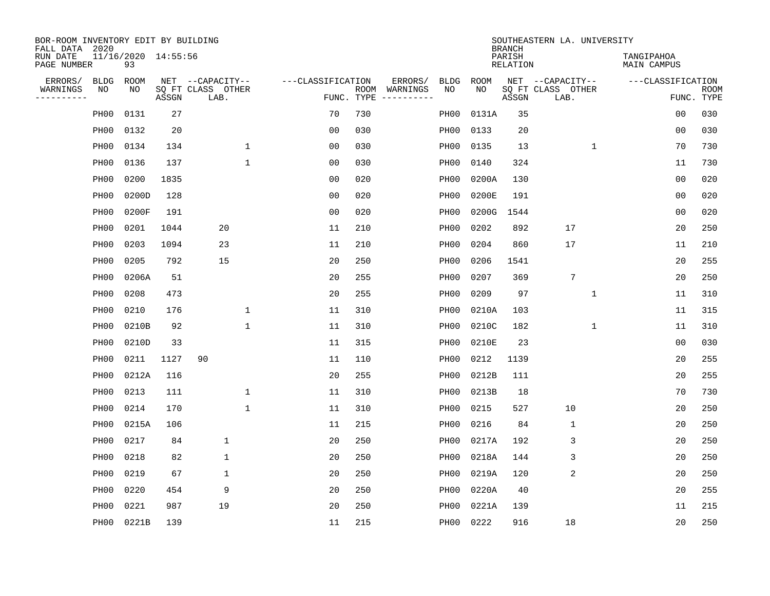| BOR-ROOM INVENTORY EDIT BY BUILDING<br>FALL DATA 2020 |                   |                           |       |                           |              |                   |                    |                                       |                  |             | <b>BRANCH</b>             | SOUTHEASTERN LA. UNIVERSITY |                                  |                |                           |
|-------------------------------------------------------|-------------------|---------------------------|-------|---------------------------|--------------|-------------------|--------------------|---------------------------------------|------------------|-------------|---------------------------|-----------------------------|----------------------------------|----------------|---------------------------|
| RUN DATE<br>PAGE NUMBER                               |                   | 11/16/2020 14:55:56<br>93 |       |                           |              |                   |                    |                                       |                  |             | PARISH<br><b>RELATION</b> |                             | TANGIPAHOA<br><b>MAIN CAMPUS</b> |                |                           |
| ERRORS/                                               | <b>BLDG</b>       | ROOM                      |       | NET --CAPACITY--          |              | ---CLASSIFICATION |                    | ERRORS/                               | <b>BLDG</b>      | <b>ROOM</b> |                           | NET --CAPACITY--            | ---CLASSIFICATION                |                |                           |
| WARNINGS<br>----------                                | ΝO                | NO                        | ASSGN | SQ FT CLASS OTHER<br>LAB. |              |                   | ROOM<br>FUNC. TYPE | WARNINGS<br>$- - - - - - - - - - - -$ | NO               | NO          | ASSGN                     | SQ FT CLASS OTHER<br>LAB.   |                                  |                | <b>ROOM</b><br>FUNC. TYPE |
|                                                       | PH <sub>00</sub>  | 0131                      | 27    |                           |              | 70                | 730                |                                       | PH00             | 0131A       | 35                        |                             |                                  | 00             | 030                       |
|                                                       | PH <sub>00</sub>  | 0132                      | 20    |                           |              | 0 <sub>0</sub>    | 030                |                                       | PH00             | 0133        | 20                        |                             |                                  | 0 <sub>0</sub> | 030                       |
|                                                       | PH00              | 0134                      | 134   |                           | $\mathbf 1$  | 0 <sub>0</sub>    | 030                |                                       | PH00             | 0135        | 13                        | $\mathbf 1$                 |                                  | 70             | 730                       |
|                                                       | PH <sub>00</sub>  | 0136                      | 137   |                           | $\mathbf{1}$ | 0 <sub>0</sub>    | 030                |                                       | PH <sub>00</sub> | 0140        | 324                       |                             |                                  | 11             | 730                       |
|                                                       | PH <sub>00</sub>  | 0200                      | 1835  |                           |              | 0 <sub>0</sub>    | 020                |                                       | PH <sub>00</sub> | 0200A       | 130                       |                             |                                  | 0 <sub>0</sub> | 020                       |
|                                                       | PH00              | 0200D                     | 128   |                           |              | 0 <sub>0</sub>    | 020                |                                       | PH <sub>00</sub> | 0200E       | 191                       |                             |                                  | 0 <sub>0</sub> | 020                       |
|                                                       | PH00              | 0200F                     | 191   |                           |              | 0 <sub>0</sub>    | 020                |                                       | PH00             | 0200G       | 1544                      |                             |                                  | 0 <sub>0</sub> | 020                       |
|                                                       | PH <sub>00</sub>  | 0201                      | 1044  | 20                        |              | 11                | 210                |                                       | PH00             | 0202        | 892                       | 17                          |                                  | 20             | 250                       |
|                                                       | PH00              | 0203                      | 1094  | 23                        |              | 11                | 210                |                                       | PH00             | 0204        | 860                       | 17                          |                                  | 11             | 210                       |
|                                                       | PH00              | 0205                      | 792   | 15                        |              | 20                | 250                |                                       | PH00             | 0206        | 1541                      |                             |                                  | 20             | 255                       |
|                                                       | PH00              | 0206A                     | 51    |                           |              | 20                | 255                |                                       | PH00             | 0207        | 369                       | $7\phantom{.0}$             |                                  | 20             | 250                       |
|                                                       | PH <sub>00</sub>  | 0208                      | 473   |                           |              | 20                | 255                |                                       | PH <sub>00</sub> | 0209        | 97                        | 1                           |                                  | 11             | 310                       |
|                                                       | PH <sub>00</sub>  | 0210                      | 176   |                           | $\mathbf{1}$ | 11                | 310                |                                       | PH00             | 0210A       | 103                       |                             |                                  | 11             | 315                       |
|                                                       | PH00              | 0210B                     | 92    |                           | $\mathbf{1}$ | 11                | 310                |                                       | PH00             | 0210C       | 182                       | 1                           |                                  | 11             | 310                       |
|                                                       | PH <sub>00</sub>  | 0210D                     | 33    |                           |              | 11                | 315                |                                       | PH00             | 0210E       | 23                        |                             |                                  | 0 <sub>0</sub> | 030                       |
|                                                       | PH <sub>00</sub>  | 0211                      | 1127  | 90                        |              | 11                | 110                |                                       | PH <sub>00</sub> | 0212        | 1139                      |                             |                                  | 20             | 255                       |
|                                                       | PH <sub>00</sub>  | 0212A                     | 116   |                           |              | 20                | 255                |                                       | PH00             | 0212B       | 111                       |                             |                                  | 20             | 255                       |
|                                                       | PH00              | 0213                      | 111   |                           | $\mathbf{1}$ | 11                | 310                |                                       | PH <sub>00</sub> | 0213B       | 18                        |                             |                                  | 70             | 730                       |
|                                                       | PH <sub>00</sub>  | 0214                      | 170   |                           | $\mathbf{1}$ | 11                | 310                |                                       | PH00             | 0215        | 527                       | 10                          |                                  | 20             | 250                       |
|                                                       | PH <sub>00</sub>  | 0215A                     | 106   |                           |              | 11                | 215                |                                       | PH00             | 0216        | 84                        | 1                           |                                  | 20             | 250                       |
|                                                       | PH <sub>0</sub> 0 | 0217                      | 84    | 1                         |              | 20                | 250                |                                       | PH00             | 0217A       | 192                       | 3                           |                                  | 20             | 250                       |
|                                                       | PH <sub>0</sub> 0 | 0218                      | 82    | 1                         |              | 20                | 250                |                                       | PH00             | 0218A       | 144                       | 3                           |                                  | 20             | 250                       |
|                                                       | PH <sub>00</sub>  | 0219                      | 67    | 1                         |              | 20                | 250                |                                       | PH00             | 0219A       | 120                       | 2                           |                                  | 20             | 250                       |
|                                                       | PH <sub>00</sub>  | 0220                      | 454   | 9                         |              | 20                | 250                |                                       | PH00             | 0220A       | 40                        |                             |                                  | 20             | 255                       |
|                                                       | PH <sub>00</sub>  | 0221                      | 987   | 19                        |              | 20                | 250                |                                       | PH00             | 0221A       | 139                       |                             |                                  | 11             | 215                       |
|                                                       | PH00              | 0221B                     | 139   |                           |              | 11                | 215                |                                       | PH00             | 0222        | 916                       | 18                          |                                  | 20             | 250                       |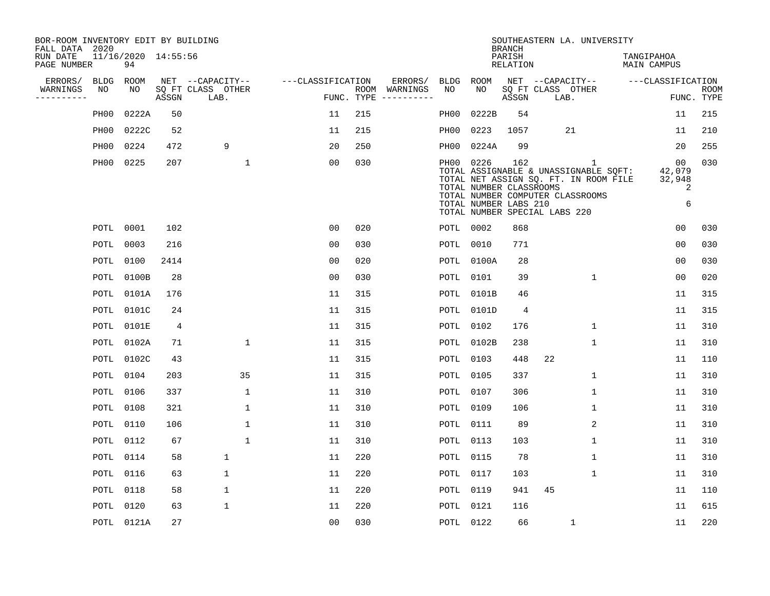| BOR-ROOM INVENTORY EDIT BY BUILDING<br>FALL DATA 2020 |                   |                           |                |                           |                   |            |                                                                                                                                                                                                                                                                                                                                                                                                                                                                                              |           |                                                  | <b>BRANCH</b>             | SOUTHEASTERN LA. UNIVERSITY                                                                                                                              |                                  |                           |
|-------------------------------------------------------|-------------------|---------------------------|----------------|---------------------------|-------------------|------------|----------------------------------------------------------------------------------------------------------------------------------------------------------------------------------------------------------------------------------------------------------------------------------------------------------------------------------------------------------------------------------------------------------------------------------------------------------------------------------------------|-----------|--------------------------------------------------|---------------------------|----------------------------------------------------------------------------------------------------------------------------------------------------------|----------------------------------|---------------------------|
| RUN DATE<br>PAGE NUMBER                               |                   | 11/16/2020 14:55:56<br>94 |                |                           |                   |            |                                                                                                                                                                                                                                                                                                                                                                                                                                                                                              |           |                                                  | PARISH<br><b>RELATION</b> |                                                                                                                                                          | TANGIPAHOA<br>MAIN CAMPUS        |                           |
| ERRORS/                                               | <b>BLDG</b>       | ROOM                      |                | NET --CAPACITY--          | ---CLASSIFICATION |            | ERRORS/                                                                                                                                                                                                                                                                                                                                                                                                                                                                                      | BLDG      | ROOM                                             |                           | NET --CAPACITY--                                                                                                                                         | ---CLASSIFICATION                |                           |
| WARNINGS<br>----------                                | NO                | NO                        | ASSGN          | SQ FT CLASS OTHER<br>LAB. |                   | FUNC. TYPE | ROOM WARNINGS<br>$\begin{tabular}{ccccccccc} \multicolumn{2}{c }{\multicolumn{2}{c }{\multicolumn{2}{c }{\multicolumn{2}{c }{\multicolumn{2}{c}}}} & \multicolumn{2}{c }{\multicolumn{2}{c }{\multicolumn{2}{c }{\multicolumn{2}{c}}}} & \multicolumn{2}{c }{\multicolumn{2}{c }{\multicolumn{2}{c }{\multicolumn{2}{c}}}} & \multicolumn{2}{c }{\multicolumn{2}{c }{\multicolumn{2}{c }{\multicolumn{2}{c}}}} & \multicolumn{2}{c }{\multicolumn{2}{c }{\multicolumn{2}{c }{\multicolumn{2$ | NO        | NO                                               | ASSGN                     | SQ FT CLASS OTHER<br>LAB.                                                                                                                                |                                  | <b>ROOM</b><br>FUNC. TYPE |
|                                                       | PH00              | 0222A                     | 50             |                           | 11                | 215        |                                                                                                                                                                                                                                                                                                                                                                                                                                                                                              | PH00      | 0222B                                            | 54                        |                                                                                                                                                          | 11                               | 215                       |
|                                                       | PH <sub>0</sub> 0 | 0222C                     | 52             |                           | 11                | 215        |                                                                                                                                                                                                                                                                                                                                                                                                                                                                                              | PH00      | 0223                                             | 1057                      | 21                                                                                                                                                       | 11                               | 210                       |
|                                                       | PH00              | 0224                      | 472            | 9                         | 20                | 250        |                                                                                                                                                                                                                                                                                                                                                                                                                                                                                              | PH00      | 0224A                                            | 99                        |                                                                                                                                                          | 20                               | 255                       |
|                                                       | PH00              | 0225                      | 207            | 1                         | 0 <sub>0</sub>    | 030        |                                                                                                                                                                                                                                                                                                                                                                                                                                                                                              | PH00 0226 | TOTAL NUMBER CLASSROOMS<br>TOTAL NUMBER LABS 210 | 162                       | 1<br>TOTAL ASSIGNABLE & UNASSIGNABLE SQFT:<br>TOTAL NET ASSIGN SQ. FT. IN ROOM FILE<br>TOTAL NUMBER COMPUTER CLASSROOMS<br>TOTAL NUMBER SPECIAL LABS 220 | 00<br>42,079<br>32,948<br>2<br>6 | 030                       |
|                                                       | POTL              | 0001                      | 102            |                           | 0 <sub>0</sub>    | 020        |                                                                                                                                                                                                                                                                                                                                                                                                                                                                                              | POTL 0002 |                                                  | 868                       |                                                                                                                                                          | 0 <sub>0</sub>                   | 030                       |
|                                                       | POTL              | 0003                      | 216            |                           | 0 <sub>0</sub>    | 030        |                                                                                                                                                                                                                                                                                                                                                                                                                                                                                              | POTL      | 0010                                             | 771                       |                                                                                                                                                          | 0 <sub>0</sub>                   | 030                       |
|                                                       | POTL              | 0100                      | 2414           |                           | 0 <sub>0</sub>    | 020        |                                                                                                                                                                                                                                                                                                                                                                                                                                                                                              | POTL      | 0100A                                            | 28                        |                                                                                                                                                          | 0 <sub>0</sub>                   | 030                       |
|                                                       | POTL              | 0100B                     | 28             |                           | 0 <sub>0</sub>    | 030        |                                                                                                                                                                                                                                                                                                                                                                                                                                                                                              | POTL      | 0101                                             | 39                        | $\mathbf{1}$                                                                                                                                             | 0 <sub>0</sub>                   | 020                       |
|                                                       | POTL              | 0101A                     | 176            |                           | 11                | 315        |                                                                                                                                                                                                                                                                                                                                                                                                                                                                                              | POTL      | 0101B                                            | 46                        |                                                                                                                                                          | 11                               | 315                       |
|                                                       | POTL              | 0101C                     | 24             |                           | 11                | 315        |                                                                                                                                                                                                                                                                                                                                                                                                                                                                                              | POTL      | 0101D                                            | 4                         |                                                                                                                                                          | 11                               | 315                       |
|                                                       | POTL              | 0101E                     | $\overline{4}$ |                           | 11                | 315        |                                                                                                                                                                                                                                                                                                                                                                                                                                                                                              | POTL      | 0102                                             | 176                       | 1                                                                                                                                                        | 11                               | 310                       |
|                                                       | POTL              | 0102A                     | 71             | 1                         | 11                | 315        |                                                                                                                                                                                                                                                                                                                                                                                                                                                                                              | POTL      | 0102B                                            | 238                       | 1                                                                                                                                                        | 11                               | 310                       |
|                                                       | POTL              | 0102C                     | 43             |                           | 11                | 315        |                                                                                                                                                                                                                                                                                                                                                                                                                                                                                              | POTL      | 0103                                             | 448                       | 22                                                                                                                                                       | 11                               | 110                       |
|                                                       | POTL              | 0104                      | 203            | 35                        | 11                | 315        |                                                                                                                                                                                                                                                                                                                                                                                                                                                                                              | POTL      | 0105                                             | 337                       | $\mathbf 1$                                                                                                                                              | 11                               | 310                       |
|                                                       | POTL              | 0106                      | 337            | $\mathbf 1$               | 11                | 310        |                                                                                                                                                                                                                                                                                                                                                                                                                                                                                              | POTL      | 0107                                             | 306                       | 1                                                                                                                                                        | 11                               | 310                       |
|                                                       | POTL              | 0108                      | 321            | 1                         | 11                | 310        |                                                                                                                                                                                                                                                                                                                                                                                                                                                                                              | POTL      | 0109                                             | 106                       | 1                                                                                                                                                        | 11                               | 310                       |
|                                                       | POTL              | 0110                      | 106            | $\mathbf 1$               | 11                | 310        |                                                                                                                                                                                                                                                                                                                                                                                                                                                                                              | POTL      | 0111                                             | 89                        | 2                                                                                                                                                        | 11                               | 310                       |
|                                                       | POTL              | 0112                      | 67             | $\mathbf 1$               | 11                | 310        |                                                                                                                                                                                                                                                                                                                                                                                                                                                                                              | POTL      | 0113                                             | 103                       | $\mathbf 1$                                                                                                                                              | 11                               | 310                       |
|                                                       | POTL              | 0114                      | 58             | $\mathbf 1$               | 11                | 220        |                                                                                                                                                                                                                                                                                                                                                                                                                                                                                              | POTL      | 0115                                             | 78                        | $\mathbf{1}$                                                                                                                                             | 11                               | 310                       |
|                                                       | POTL              | 0116                      | 63             | 1                         | 11                | 220        |                                                                                                                                                                                                                                                                                                                                                                                                                                                                                              | POTL      | 0117                                             | 103                       | 1                                                                                                                                                        | 11                               | 310                       |
|                                                       | POTL              | 0118                      | 58             | $\mathbf 1$               | 11                | 220        |                                                                                                                                                                                                                                                                                                                                                                                                                                                                                              | POTL      | 0119                                             | 941                       | 45                                                                                                                                                       | 11                               | 110                       |
|                                                       | POTL              | 0120                      | 63             | $\mathbf 1$               | 11                | 220        |                                                                                                                                                                                                                                                                                                                                                                                                                                                                                              | POTL      | 0121                                             | 116                       |                                                                                                                                                          | 11                               | 615                       |
|                                                       |                   | POTL 0121A                | 27             |                           | 0 <sub>0</sub>    | 030        |                                                                                                                                                                                                                                                                                                                                                                                                                                                                                              | POTL 0122 |                                                  | 66                        | $\mathbf{1}$                                                                                                                                             | 11                               | 220                       |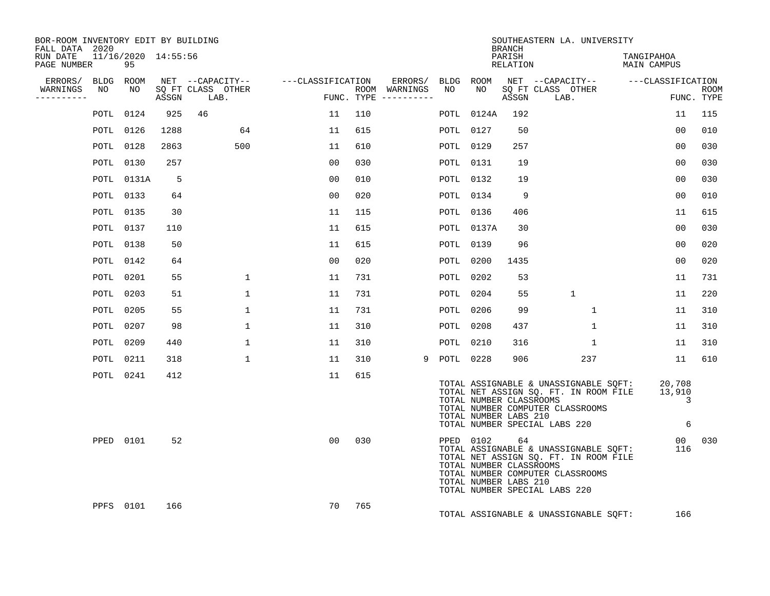| BOR-ROOM INVENTORY EDIT BY BUILDING<br>FALL DATA 2020 |                  |                           |      |            |                   |                                    |     |                                      |             |                                                                  | <b>BRANCH</b>      | SOUTHEASTERN LA. UNIVERSITY                                                                                                                         |                            |                           |
|-------------------------------------------------------|------------------|---------------------------|------|------------|-------------------|------------------------------------|-----|--------------------------------------|-------------|------------------------------------------------------------------|--------------------|-----------------------------------------------------------------------------------------------------------------------------------------------------|----------------------------|---------------------------|
| RUN DATE<br>PAGE NUMBER                               |                  | 11/16/2020 14:55:56<br>95 |      |            |                   |                                    |     |                                      |             |                                                                  | PARISH<br>RELATION |                                                                                                                                                     | TANGIPAHOA<br>MAIN CAMPUS  |                           |
| ERRORS/ BLDG ROOM                                     |                  |                           |      |            |                   | NET --CAPACITY-- ---CLASSIFICATION |     | ERRORS/ BLDG ROOM                    |             |                                                                  |                    | NET --CAPACITY-- ---CLASSIFICATION                                                                                                                  |                            |                           |
| WARNINGS<br>----------                                | NO.              | NO                        |      | ASSGN LAB. | SO FT CLASS OTHER |                                    |     | ROOM WARNINGS<br>FUNC. TYPE $------$ | NO          | NO 11                                                            | ASSGN              | SO FT CLASS OTHER<br>LAB.                                                                                                                           | $\overline{F}$             | <b>ROOM</b><br>FUNC. TYPE |
|                                                       |                  | POTL 0124                 | 925  | 46         |                   | 11                                 | 110 |                                      |             | POTL 0124A                                                       | 192                |                                                                                                                                                     | 11                         | 115                       |
|                                                       |                  | POTL 0126                 | 1288 |            | 64                | 11                                 | 615 |                                      |             | POTL 0127                                                        | 50                 |                                                                                                                                                     | 0 <sub>0</sub>             | 010                       |
|                                                       | POTL 0128        |                           | 2863 |            | 500               | 11                                 | 610 |                                      |             | POTL 0129                                                        | 257                |                                                                                                                                                     | 00                         | 030                       |
|                                                       |                  | POTL 0130                 | 257  |            |                   | 00                                 | 030 |                                      |             | POTL 0131                                                        | 19                 |                                                                                                                                                     | 0 <sub>0</sub>             | 030                       |
|                                                       |                  | POTL 0131A                | -5   |            |                   | 0 <sub>0</sub>                     | 010 |                                      |             | POTL 0132                                                        | 19                 |                                                                                                                                                     | 00                         | 030                       |
|                                                       |                  | POTL 0133                 | 64   |            |                   | 00                                 | 020 |                                      |             | POTL 0134                                                        | 9                  |                                                                                                                                                     | 0 <sub>0</sub>             | 010                       |
|                                                       | POTL 0135        |                           | 30   |            |                   | 11                                 | 115 |                                      |             | POTL 0136                                                        | 406                |                                                                                                                                                     | 11                         | 615                       |
|                                                       | POTL 0137        |                           | 110  |            |                   | 11                                 | 615 |                                      |             | POTL 0137A                                                       | 30                 |                                                                                                                                                     | 0 <sub>0</sub>             | 030                       |
|                                                       | <b>POTL 0138</b> |                           | 50   |            |                   | 11                                 | 615 |                                      |             | POTL 0139                                                        | 96                 |                                                                                                                                                     | 0 <sub>0</sub>             | 020                       |
|                                                       |                  | POTL 0142                 | 64   |            |                   | 00                                 | 020 |                                      |             | POTL 0200                                                        | 1435               |                                                                                                                                                     | 00                         | 020                       |
|                                                       | POTL 0201        |                           | 55   |            | $\mathbf{1}$      | 11                                 | 731 |                                      |             | POTL 0202                                                        | 53                 |                                                                                                                                                     | 11                         | 731                       |
|                                                       | POTL 0203        |                           | 51   |            | 1                 | 11                                 | 731 |                                      |             | POTL 0204                                                        | 55                 | 1                                                                                                                                                   | 11                         | 220                       |
|                                                       | POTL 0205        |                           | 55   |            | 1                 | 11                                 | 731 |                                      |             | POTL 0206                                                        | 99                 | 1                                                                                                                                                   | 11                         | 310                       |
|                                                       | POTL 0207        |                           | 98   |            | $\mathbf{1}$      | 11                                 | 310 |                                      |             | POTL 0208                                                        | 437                | $\mathbf 1$                                                                                                                                         | 11                         | 310                       |
|                                                       | POTL 0209        |                           | 440  |            | 1                 | 11                                 | 310 |                                      |             | POTL 0210                                                        | 316                | 1                                                                                                                                                   | 11                         | 310                       |
|                                                       | <b>POTL 0211</b> |                           | 318  |            | $\mathbf 1$       | 11                                 | 310 |                                      | 9 POTL 0228 |                                                                  | 906                | 237                                                                                                                                                 | 11                         | 610                       |
|                                                       |                  | POTL 0241                 | 412  |            |                   | 11                                 | 615 |                                      |             | TOTAL NUMBER CLASSROOMS<br>TOTAL NUMBER LABS 210                 |                    | TOTAL ASSIGNABLE & UNASSIGNABLE SQFT:<br>TOTAL NET ASSIGN SQ. FT. IN ROOM FILE<br>TOTAL NUMBER COMPUTER CLASSROOMS<br>TOTAL NUMBER SPECIAL LABS 220 | 20,708<br>13,910<br>3<br>6 |                           |
|                                                       |                  | PPED 0101                 | 52   |            |                   | 0 <sub>0</sub>                     | 030 |                                      |             | PPED 0102 64<br>TOTAL NUMBER CLASSROOMS<br>TOTAL NUMBER LABS 210 |                    | TOTAL ASSIGNABLE & UNASSIGNABLE SQFT:<br>TOTAL NET ASSIGN SQ. FT. IN ROOM FILE<br>TOTAL NUMBER COMPUTER CLASSROOMS<br>TOTAL NUMBER SPECIAL LABS 220 | 116                        | 00 030                    |
|                                                       |                  | PPFS 0101                 | 166  |            |                   | 70                                 | 765 |                                      |             |                                                                  |                    | TOTAL ASSIGNABLE & UNASSIGNABLE SQFT:                                                                                                               | 166                        |                           |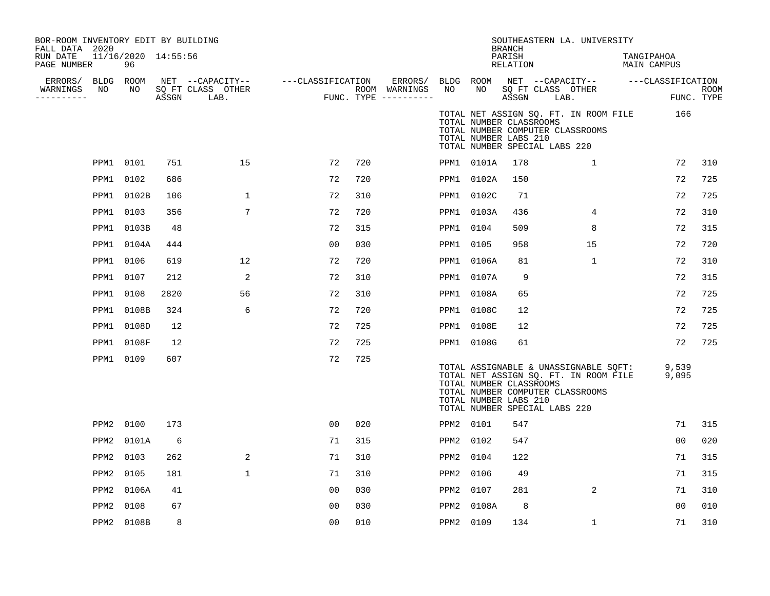| BOR-ROOM INVENTORY EDIT BY BUILDING<br>FALL DATA 2020<br>RUN DATE<br>PAGE NUMBER |           | 11/16/2020 14:55:56<br>96 |       |                           |                                     |     |                                                   |                 |            | <b>BRANCH</b><br>PARISH<br>RELATION              |                               | SOUTHEASTERN LA. UNIVERSITY                                                                                        | TANGIPAHOA<br>MAIN CAMPUS          |                           |
|----------------------------------------------------------------------------------|-----------|---------------------------|-------|---------------------------|-------------------------------------|-----|---------------------------------------------------|-----------------|------------|--------------------------------------------------|-------------------------------|--------------------------------------------------------------------------------------------------------------------|------------------------------------|---------------------------|
| ERRORS/ BLDG ROOM<br>WARNINGS<br>---------                                       | NO        | NO                        | ASSGN | SQ FT CLASS OTHER<br>LAB. | NET --CAPACITY-- ----CLASSIFICATION |     | ERRORS/<br>ROOM WARNINGS<br>FUNC. TYPE ---------- | BLDG ROOM<br>NO | NO         | ASSGN                                            | SQ FT CLASS OTHER<br>LAB.     |                                                                                                                    | NET --CAPACITY-- ---CLASSIFICATION | <b>ROOM</b><br>FUNC. TYPE |
|                                                                                  |           |                           |       |                           |                                     |     |                                                   |                 |            | TOTAL NUMBER CLASSROOMS<br>TOTAL NUMBER LABS 210 | TOTAL NUMBER SPECIAL LABS 220 | TOTAL NET ASSIGN SQ. FT. IN ROOM FILE<br>TOTAL NUMBER COMPUTER CLASSROOMS                                          | 166                                |                           |
|                                                                                  | PPM1 0101 |                           | 751   | 15                        | 72                                  | 720 |                                                   |                 | PPM1 0101A | 178                                              |                               | 1                                                                                                                  | 72                                 | 310                       |
|                                                                                  | PPM1      | 0102                      | 686   |                           | 72                                  | 720 |                                                   |                 | PPM1 0102A | 150                                              |                               |                                                                                                                    | 72                                 | 725                       |
|                                                                                  |           | PPM1 0102B                | 106   | $\mathbf 1$               | 72                                  | 310 |                                                   |                 | PPM1 0102C | 71                                               |                               |                                                                                                                    | 72                                 | 725                       |
|                                                                                  |           | PPM1 0103                 | 356   | 7                         | 72                                  | 720 |                                                   |                 | PPM1 0103A | 436                                              |                               | 4                                                                                                                  | 72                                 | 310                       |
|                                                                                  |           | PPM1 0103B                | 48    |                           | 72                                  | 315 |                                                   | PPM1            | 0104       | 509                                              |                               | 8                                                                                                                  | 72                                 | 315                       |
|                                                                                  | PPM1      | 0104A                     | 444   |                           | 0 <sub>0</sub>                      | 030 |                                                   | PPM1            | 0105       | 958                                              |                               | 15                                                                                                                 | 72                                 | 720                       |
|                                                                                  |           | PPM1 0106                 | 619   | 12                        | 72                                  | 720 |                                                   | PPM1            | 0106A      | 81                                               |                               | 1                                                                                                                  | 72                                 | 310                       |
|                                                                                  | PPM1 0107 |                           | 212   | 2                         | 72                                  | 310 |                                                   | PPM1            | 0107A      | 9                                                |                               |                                                                                                                    | 72                                 | 315                       |
|                                                                                  | PPM1 0108 |                           | 2820  | 56                        | 72                                  | 310 |                                                   | PPM1            | 0108A      | 65                                               |                               |                                                                                                                    | 72                                 | 725                       |
|                                                                                  | PPM1      | 0108B                     | 324   | 6                         | 72                                  | 720 |                                                   | PPM1            | 0108C      | 12                                               |                               |                                                                                                                    | 72                                 | 725                       |
|                                                                                  |           | PPM1 0108D                | 12    |                           | 72                                  | 725 |                                                   |                 | PPM1 0108E | 12                                               |                               |                                                                                                                    | 72                                 | 725                       |
|                                                                                  |           | PPM1 0108F                | 12    |                           | 72                                  | 725 |                                                   |                 | PPM1 0108G | 61                                               |                               |                                                                                                                    | 72                                 | 725                       |
|                                                                                  |           | PPM1 0109                 | 607   |                           | 72                                  | 725 |                                                   |                 |            | TOTAL NUMBER CLASSROOMS<br>TOTAL NUMBER LABS 210 | TOTAL NUMBER SPECIAL LABS 220 | TOTAL ASSIGNABLE & UNASSIGNABLE SQFT:<br>TOTAL NET ASSIGN SQ. FT. IN ROOM FILE<br>TOTAL NUMBER COMPUTER CLASSROOMS | 9,539<br>9,095                     |                           |
|                                                                                  | PPM2      | 0100                      | 173   |                           | 00                                  | 020 |                                                   | PPM2 0101       |            | 547                                              |                               |                                                                                                                    | 71                                 | 315                       |
|                                                                                  | PPM2      | 0101A                     | 6     |                           | 71                                  | 315 |                                                   | PPM2            | 0102       | 547                                              |                               |                                                                                                                    | 0 <sup>0</sup>                     | 020                       |
|                                                                                  | PPM2      | 0103                      | 262   | 2                         | 71                                  | 310 |                                                   | PPM2            | 0104       | 122                                              |                               |                                                                                                                    | 71                                 | 315                       |
|                                                                                  | PPM2      | 0105                      | 181   | $\mathbf{1}$              | 71                                  | 310 |                                                   | PPM2            | 0106       | 49                                               |                               |                                                                                                                    | 71                                 | 315                       |
|                                                                                  | PPM2      | 0106A                     | 41    |                           | 00                                  | 030 |                                                   | PPM2            | 0107       | 281                                              |                               | 2                                                                                                                  | 71                                 | 310                       |
|                                                                                  | PPM2      | 0108                      | 67    |                           | 00                                  | 030 |                                                   | PPM2            | 0108A      | 8                                                |                               |                                                                                                                    | 0 <sup>0</sup>                     | 010                       |
|                                                                                  |           | PPM2 0108B                | 8     |                           | 0 <sub>0</sub>                      | 010 |                                                   | PPM2 0109       |            | 134                                              |                               | $\mathbf{1}$                                                                                                       | 71                                 | 310                       |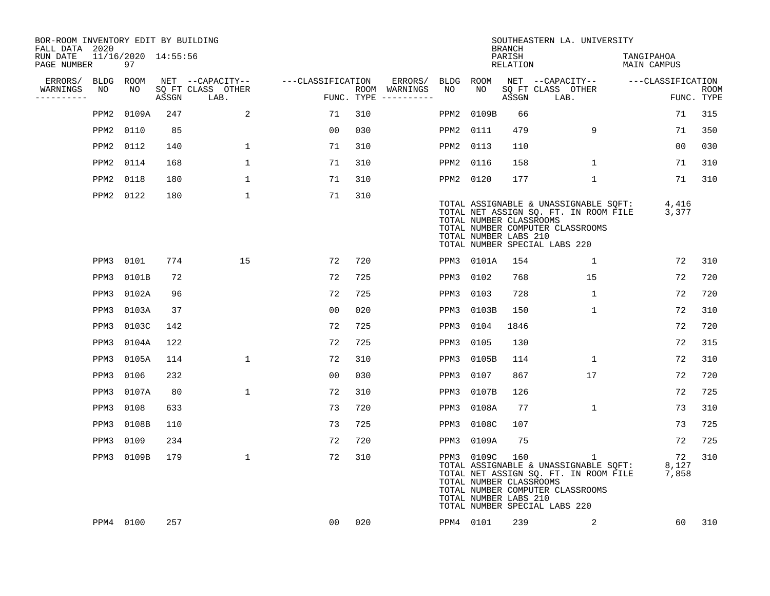| BOR-ROOM INVENTORY EDIT BY BUILDING<br>FALL DATA 2020 |                           |       |                           |                   |     |                                      |           |                                                                | <b>BRANCH</b>      | SOUTHEASTERN LA. UNIVERSITY                                                                                                                                         |                           |                           |
|-------------------------------------------------------|---------------------------|-------|---------------------------|-------------------|-----|--------------------------------------|-----------|----------------------------------------------------------------|--------------------|---------------------------------------------------------------------------------------------------------------------------------------------------------------------|---------------------------|---------------------------|
| RUN DATE<br>PAGE NUMBER                               | 11/16/2020 14:55:56<br>97 |       |                           |                   |     |                                      |           |                                                                | PARISH<br>RELATION |                                                                                                                                                                     | TANGIPAHOA<br>MAIN CAMPUS |                           |
| ERRORS/                                               | BLDG ROOM                 |       | NET --CAPACITY--          | ---CLASSIFICATION |     | ERRORS/                              | BLDG      | <b>ROOM</b>                                                    |                    | NET --CAPACITY-- ---CLASSIFICATION                                                                                                                                  |                           |                           |
| WARNINGS<br>NO<br>----------                          | NO                        | ASSGN | SQ FT CLASS OTHER<br>LAB. |                   |     | ROOM WARNINGS<br>FUNC. TYPE $------$ | NO        | NO                                                             | ASSGN              | SQ FT CLASS OTHER<br>LAB.                                                                                                                                           |                           | <b>ROOM</b><br>FUNC. TYPE |
| PPM2                                                  | 0109A                     | 247   | 2                         | 71                | 310 |                                      | PPM2      | 0109B                                                          | 66                 |                                                                                                                                                                     | 71                        | 315                       |
| PPM2                                                  | 0110                      | 85    |                           | 0 <sub>0</sub>    | 030 |                                      | PPM2      | 0111                                                           | 479                | 9                                                                                                                                                                   | 71                        | 350                       |
| PPM2                                                  | 0112                      | 140   | $\mathbf{1}$              | 71                | 310 |                                      | PPM2      | 0113                                                           | 110                |                                                                                                                                                                     | 0 <sub>0</sub>            | 030                       |
| PPM2                                                  | 0114                      | 168   | $\mathbf{1}$              | 71                | 310 |                                      | PPM2      | 0116                                                           | 158                | $\mathbf{1}$                                                                                                                                                        | 71                        | 310                       |
| PPM2                                                  | 0118                      | 180   | $\mathbf{1}$              | 71                | 310 |                                      | PPM2 0120 |                                                                | 177                | $\mathbf{1}$                                                                                                                                                        | 71                        | 310                       |
|                                                       | PPM2 0122                 | 180   | 1                         | 71                | 310 |                                      |           | TOTAL NUMBER CLASSROOMS<br>TOTAL NUMBER LABS 210               |                    | TOTAL ASSIGNABLE & UNASSIGNABLE SQFT:<br>TOTAL NET ASSIGN SQ. FT. IN ROOM FILE<br>TOTAL NUMBER COMPUTER CLASSROOMS<br>TOTAL NUMBER SPECIAL LABS 220                 | 4,416<br>3,377            |                           |
|                                                       | PPM3 0101                 | 774   | 15                        | 72                | 720 |                                      |           | PPM3 0101A                                                     | 154                | $\mathbf{1}$                                                                                                                                                        | 72                        | 310                       |
|                                                       | PPM3 0101B                | 72    |                           | 72                | 725 |                                      | PPM3      | 0102                                                           | 768                | 15                                                                                                                                                                  | 72                        | 720                       |
| PPM3                                                  | 0102A                     | 96    |                           | 72                | 725 |                                      | PPM3      | 0103                                                           | 728                | $\mathbf{1}$                                                                                                                                                        | 72                        | 720                       |
| PPM3                                                  | 0103A                     | 37    |                           | 00                | 020 |                                      | PPM3      | 0103B                                                          | 150                | 1                                                                                                                                                                   | 72                        | 310                       |
| PPM3                                                  | 0103C                     | 142   |                           | 72                | 725 |                                      | PPM3      | 0104                                                           | 1846               |                                                                                                                                                                     | 72                        | 720                       |
| PPM3                                                  | 0104A                     | 122   |                           | 72                | 725 |                                      | PPM3      | 0105                                                           | 130                |                                                                                                                                                                     | 72                        | 315                       |
| PPM3                                                  | 0105A                     | 114   | $\mathbf{1}$              | 72                | 310 |                                      | PPM3      | 0105B                                                          | 114                | $\mathbf{1}$                                                                                                                                                        | 72                        | 310                       |
| PPM3                                                  | 0106                      | 232   |                           | 0 <sub>0</sub>    | 030 |                                      | PPM3      | 0107                                                           | 867                | 17                                                                                                                                                                  | 72                        | 720                       |
| PPM3                                                  | 0107A                     | 80    | $\mathbf{1}$              | 72                | 310 |                                      | PPM3      | 0107B                                                          | 126                |                                                                                                                                                                     | 72                        | 725                       |
| PPM3                                                  | 0108                      | 633   |                           | 73                | 720 |                                      | PPM3      | 0108A                                                          | 77                 | $\mathbf{1}$                                                                                                                                                        | 73                        | 310                       |
| PPM3                                                  | 0108B                     | 110   |                           | 73                | 725 |                                      | PPM3      | 0108C                                                          | 107                |                                                                                                                                                                     | 73                        | 725                       |
| PPM3                                                  | 0109                      | 234   |                           | 72                | 720 |                                      | PPM3      | 0109A                                                          | 75                 |                                                                                                                                                                     | 72                        | 725                       |
|                                                       | PPM3 0109B                | 179   | $\mathbf 1$               | 72                | 310 |                                      |           | PPM3 0109C<br>TOTAL NUMBER CLASSROOMS<br>TOTAL NUMBER LABS 210 | 160                | $\mathbf{1}$<br>TOTAL ASSIGNABLE & UNASSIGNABLE SQFT:<br>TOTAL NET ASSIGN SQ. FT. IN ROOM FILE<br>TOTAL NUMBER COMPUTER CLASSROOMS<br>TOTAL NUMBER SPECIAL LABS 220 | 72<br>8,127<br>7,858      | 310                       |
|                                                       | PPM4 0100                 | 257   |                           | 00                | 020 |                                      | PPM4 0101 |                                                                | 239                | 2                                                                                                                                                                   | 60                        | 310                       |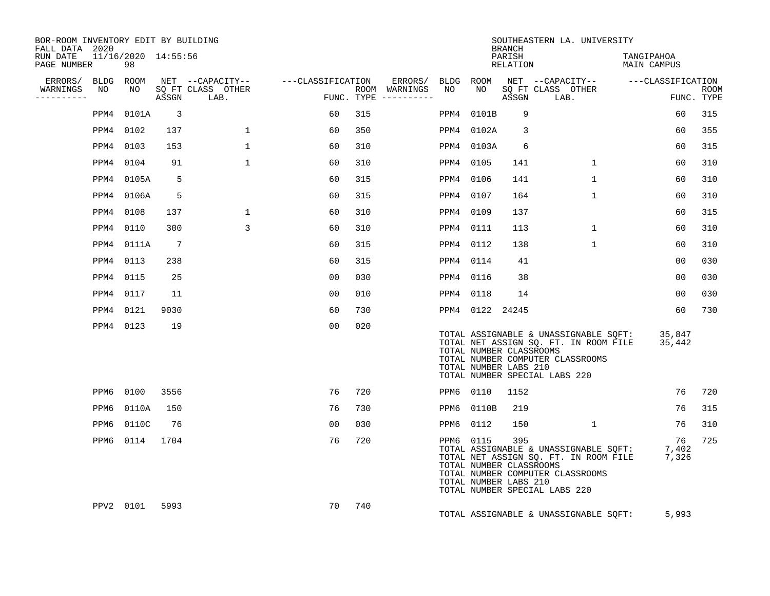| BOR-ROOM INVENTORY EDIT BY BUILDING<br>FALL DATA 2020 |           |                           |                          |                |                |     |                                                               | <b>BRANCH</b>      | SOUTHEASTERN LA. UNIVERSITY                                                                                                                                     |                           |                           |
|-------------------------------------------------------|-----------|---------------------------|--------------------------|----------------|----------------|-----|---------------------------------------------------------------|--------------------|-----------------------------------------------------------------------------------------------------------------------------------------------------------------|---------------------------|---------------------------|
| RUN DATE<br>PAGE NUMBER                               |           | 11/16/2020 14:55:56<br>98 |                          |                |                |     |                                                               | PARISH<br>RELATION |                                                                                                                                                                 | TANGIPAHOA<br>MAIN CAMPUS |                           |
|                                                       |           |                           |                          |                |                |     |                                                               |                    |                                                                                                                                                                 |                           |                           |
| WARNINGS<br>----------                                |           |                           |                          |                |                |     |                                                               |                    |                                                                                                                                                                 |                           | <b>ROOM</b><br>FUNC. TYPE |
|                                                       |           | PPM4 0101A                | $\overline{\phantom{a}}$ |                | 60             | 315 | PPM4 0101B                                                    | 9                  |                                                                                                                                                                 | 60                        | 315                       |
|                                                       |           | PPM4 0102                 | 137                      | $\mathbf{1}$   | 60             | 350 | PPM4 0102A                                                    | $\overline{3}$     |                                                                                                                                                                 | 60                        | 355                       |
|                                                       |           | PPM4 0103                 | 153                      | $\mathbf{1}$   | 60             | 310 | PPM4 0103A                                                    | 6                  |                                                                                                                                                                 | 60                        | 315                       |
|                                                       |           | PPM4 0104                 | 91                       | $\mathbf{1}$   | 60             | 310 | PPM4 0105                                                     | 141                | $\mathbf{1}$                                                                                                                                                    | 60                        | 310                       |
|                                                       |           | PPM4 0105A                | -5                       |                | 60             | 315 | PPM4 0106                                                     | 141                | $\mathbf{1}$                                                                                                                                                    | 60                        | 310                       |
|                                                       |           | PPM4 0106A                | -5                       |                | 60             | 315 | PPM4 0107                                                     | 164                | $\mathbf{1}$                                                                                                                                                    | 60                        | 310                       |
|                                                       |           | PPM4 0108                 | 137                      | $\mathbf 1$    | 60             | 310 | PPM4 0109                                                     | 137                |                                                                                                                                                                 | 60                        | 315                       |
|                                                       |           | PPM4 0110                 | 300                      | $\overline{3}$ | 60             | 310 | PPM4 0111                                                     | 113                | $\mathbf{1}$                                                                                                                                                    | 60                        | 310                       |
|                                                       |           | PPM4 0111A                | $\overline{7}$           |                | 60             | 315 | PPM4 0112                                                     | 138                | $\mathbf{1}$                                                                                                                                                    | 60                        | 310                       |
|                                                       |           | PPM4 0113                 | 238                      |                | 60             | 315 | PPM4 0114                                                     | 41                 |                                                                                                                                                                 | 00                        | 030                       |
|                                                       | PPM4 0115 |                           | 25                       |                | 0 <sub>0</sub> | 030 | PPM4 0116                                                     | 38                 |                                                                                                                                                                 | 0 <sub>0</sub>            | 030                       |
|                                                       | PPM4 0117 |                           | 11                       |                | 0 <sub>0</sub> | 010 | PPM4 0118                                                     | 14                 |                                                                                                                                                                 | 0 <sub>0</sub>            | 030                       |
|                                                       |           | PPM4 0121                 | 9030                     |                | 60             | 730 | PPM4 0122 24245                                               |                    |                                                                                                                                                                 | 60                        | 730                       |
|                                                       |           | PPM4 0123                 | 19                       |                | 0 <sub>0</sub> | 020 | TOTAL NUMBER CLASSROOMS<br>TOTAL NUMBER LABS 210              |                    | TOTAL ASSIGNABLE & UNASSIGNABLE SQFT: 35,847<br>TOTAL NET ASSIGN SQ. FT. IN ROOM FILE<br>TOTAL NUMBER COMPUTER CLASSROOMS<br>TOTAL NUMBER SPECIAL LABS 220      | 35,442                    |                           |
|                                                       |           | PPM6 0100                 | 3556                     |                | 76             | 720 | PPM6 0110                                                     | 1152               |                                                                                                                                                                 | 76                        | 720                       |
|                                                       | PPM6      | 0110A                     | 150                      |                | 76             | 730 | PPM6 0110B                                                    | 219                |                                                                                                                                                                 | 76                        | 315                       |
|                                                       | PPM6      | 0110C                     | 76                       |                | 00             | 030 | PPM6 0112                                                     | 150                | $\mathbf{1}$                                                                                                                                                    | 76                        | 310                       |
|                                                       |           | PPM6 0114 1704            |                          |                | 76             | 720 | PPM6 0115<br>TOTAL NUMBER CLASSROOMS<br>TOTAL NUMBER LABS 210 | 395                | FOTAL ASSIGNABLE & UNASSIGNABLE SQFT: 7,402<br>TOTAL NET ASSIGN SQ. FT. IN ROOM FILE 7,326<br>TOTAL NUMBER COMPUTER CLASSROOMS<br>TOTAL NUMBER SPECIAL LABS 220 | 76                        | 725                       |
|                                                       |           | PPV2 0101                 | 5993                     |                | 70             | 740 |                                                               |                    | TOTAL ASSIGNABLE & UNASSIGNABLE SQFT:                                                                                                                           | 5,993                     |                           |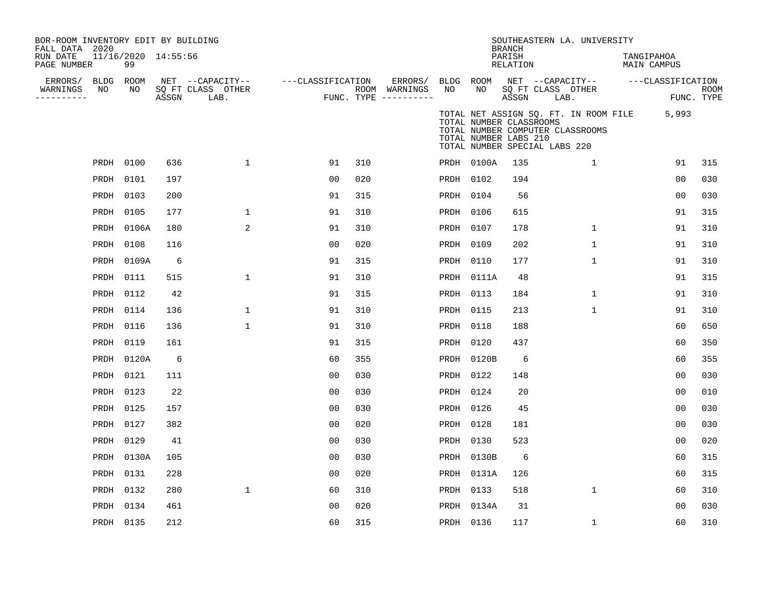| BOR-ROOM INVENTORY EDIT BY BUILDING<br>FALL DATA 2020 |           |                           |       |                           |                   |     |                                      |           |                                                  | <b>BRANCH</b>      |                               | SOUTHEASTERN LA. UNIVERSITY      |                                             |                   |             |
|-------------------------------------------------------|-----------|---------------------------|-------|---------------------------|-------------------|-----|--------------------------------------|-----------|--------------------------------------------------|--------------------|-------------------------------|----------------------------------|---------------------------------------------|-------------------|-------------|
| RUN DATE<br>PAGE NUMBER                               |           | 11/16/2020 14:55:56<br>99 |       |                           |                   |     |                                      |           |                                                  | PARISH<br>RELATION |                               |                                  | TANGIPAHOA<br><b>MAIN CAMPUS</b>            |                   |             |
| ERRORS/                                               | BLDG ROOM |                           |       | NET --CAPACITY--          | ---CLASSIFICATION |     | ERRORS/                              | BLDG ROOM |                                                  |                    |                               | NET --CAPACITY--                 |                                             | ---CLASSIFICATION |             |
| WARNINGS<br>----------                                | NO        | NO                        | ASSGN | SQ FT CLASS OTHER<br>LAB. |                   |     | ROOM WARNINGS<br>FUNC. TYPE $------$ | NO        | NO                                               | ASSGN              | SQ FT CLASS OTHER<br>LAB.     |                                  |                                             | FUNC. TYPE        | <b>ROOM</b> |
|                                                       |           |                           |       |                           |                   |     |                                      |           | TOTAL NUMBER CLASSROOMS<br>TOTAL NUMBER LABS 210 |                    | TOTAL NUMBER SPECIAL LABS 220 | TOTAL NUMBER COMPUTER CLASSROOMS | TOTAL NET ASSIGN SQ. FT. IN ROOM FILE 5,993 |                   |             |
|                                                       | PRDH 0100 |                           | 636   | $\mathbf 1$               | 91                | 310 |                                      |           | PRDH 0100A                                       | 135                |                               | $\mathbf{1}$                     |                                             | 91                | 315         |
|                                                       | PRDH      | 0101                      | 197   |                           | 00                | 020 |                                      | PRDH 0102 |                                                  | 194                |                               |                                  |                                             | 0 <sub>0</sub>    | 030         |
|                                                       | PRDH      | 0103                      | 200   |                           | 91                | 315 |                                      | PRDH 0104 |                                                  | 56                 |                               |                                  |                                             | 0 <sub>0</sub>    | 030         |
|                                                       | PRDH      | 0105                      | 177   | $\mathbf{1}$              | 91                | 310 |                                      | PRDH 0106 |                                                  | 615                |                               |                                  |                                             | 91                | 315         |
|                                                       | PRDH      | 0106A                     | 180   | 2                         | 91                | 310 |                                      | PRDH 0107 |                                                  | 178                |                               | $\mathbf{1}$                     |                                             | 91                | 310         |
|                                                       | PRDH      | 0108                      | 116   |                           | 0 <sub>0</sub>    | 020 |                                      | PRDH 0109 |                                                  | 202                |                               | 1                                |                                             | 91                | 310         |
|                                                       |           | PRDH 0109A                | 6     |                           | 91                | 315 |                                      | PRDH 0110 |                                                  | 177                |                               | $\mathbf{1}$                     |                                             | 91                | 310         |
|                                                       | PRDH      | 0111                      | 515   | $\mathbf 1$               | 91                | 310 |                                      |           | PRDH 0111A                                       | 48                 |                               |                                  |                                             | 91                | 315         |
|                                                       |           | PRDH 0112                 | 42    |                           | 91                | 315 |                                      | PRDH      | 0113                                             | 184                |                               | 1                                |                                             | 91                | 310         |
|                                                       | PRDH      | 0114                      | 136   | 1                         | 91                | 310 |                                      | PRDH      | 0115                                             | 213                |                               | $\mathbf{1}$                     |                                             | 91                | 310         |
|                                                       | PRDH      | 0116                      | 136   | 1                         | 91                | 310 |                                      | PRDH      | 0118                                             | 188                |                               |                                  |                                             | 60                | 650         |
|                                                       | PRDH      | 0119                      | 161   |                           | 91                | 315 |                                      | PRDH      | 0120                                             | 437                |                               |                                  |                                             | 60                | 350         |
|                                                       |           | PRDH 0120A                | 6     |                           | 60                | 355 |                                      | PRDH      | 0120B                                            | 6                  |                               |                                  |                                             | 60                | 355         |
|                                                       | PRDH      | 0121                      | 111   |                           | 0 <sub>0</sub>    | 030 |                                      | PRDH 0122 |                                                  | 148                |                               |                                  |                                             | 0 <sup>0</sup>    | 030         |
|                                                       | PRDH      | 0123                      | 22    |                           | 0 <sub>0</sub>    | 030 |                                      | PRDH 0124 |                                                  | 20                 |                               |                                  |                                             | 0 <sup>0</sup>    | 010         |
|                                                       | PRDH 0125 |                           | 157   |                           | 0 <sup>0</sup>    | 030 |                                      | PRDH 0126 |                                                  | 45                 |                               |                                  |                                             | 0 <sub>0</sub>    | 030         |
|                                                       | PRDH 0127 |                           | 382   |                           | 0 <sub>0</sub>    | 020 |                                      | PRDH 0128 |                                                  | 181                |                               |                                  |                                             | 0 <sub>0</sub>    | 030         |
|                                                       | PRDH 0129 |                           | 41    |                           | 0 <sub>0</sub>    | 030 |                                      | PRDH      | 0130                                             | 523                |                               |                                  |                                             | 0 <sup>0</sup>    | 020         |
|                                                       |           | PRDH 0130A                | 105   |                           | 00                | 030 |                                      | PRDH      | 0130B                                            | 6                  |                               |                                  |                                             | 60                | 315         |
|                                                       | PRDH      | 0131                      | 228   |                           | 0 <sub>0</sub>    | 020 |                                      |           | PRDH 0131A                                       | 126                |                               |                                  |                                             | 60                | 315         |
|                                                       | PRDH      | 0132                      | 280   | $\mathbf{1}$              | 60                | 310 |                                      | PRDH 0133 |                                                  | 518                |                               | $\mathbf{1}$                     |                                             | 60                | 310         |
|                                                       |           | PRDH 0134                 | 461   |                           | 0 <sub>0</sub>    | 020 |                                      |           | PRDH 0134A                                       | 31                 |                               |                                  |                                             | 0 <sub>0</sub>    | 030         |
|                                                       | PRDH 0135 |                           | 212   |                           | 60                | 315 |                                      | PRDH 0136 |                                                  | 117                |                               | $\mathbf{1}$                     |                                             | 60                | 310         |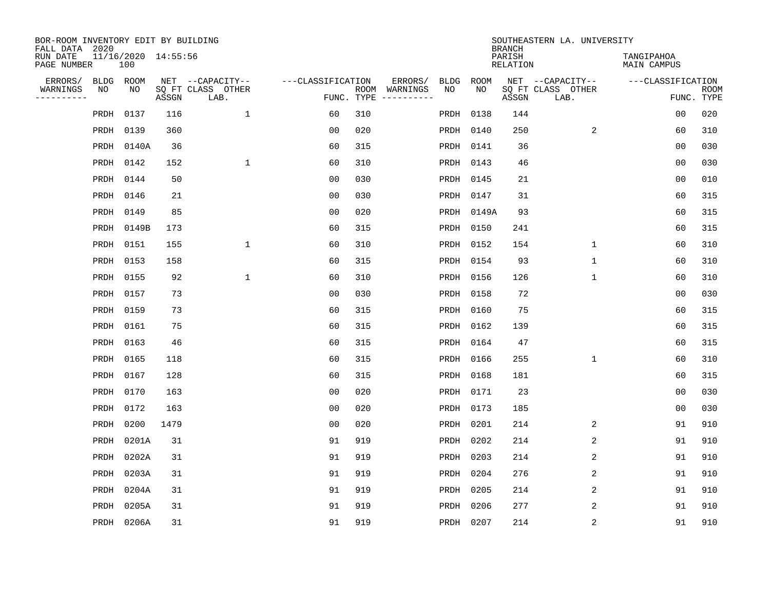| BOR-ROOM INVENTORY EDIT BY BUILDING<br>FALL DATA 2020 |           |                            |       |                           |                   |            |                              |      |             | <b>BRANCH</b>             | SOUTHEASTERN LA. UNIVERSITY |                                  |                           |
|-------------------------------------------------------|-----------|----------------------------|-------|---------------------------|-------------------|------------|------------------------------|------|-------------|---------------------------|-----------------------------|----------------------------------|---------------------------|
| RUN DATE<br>PAGE NUMBER                               |           | 11/16/2020 14:55:56<br>100 |       |                           |                   |            |                              |      |             | PARISH<br><b>RELATION</b> |                             | TANGIPAHOA<br><b>MAIN CAMPUS</b> |                           |
| ERRORS/                                               | BLDG ROOM |                            |       | NET --CAPACITY--          | ---CLASSIFICATION |            | ERRORS/                      | BLDG | <b>ROOM</b> |                           | NET --CAPACITY--            | ---CLASSIFICATION                |                           |
| WARNINGS<br>----------                                | ΝO        | NO                         | ASSGN | SQ FT CLASS OTHER<br>LAB. |                   | FUNC. TYPE | ROOM WARNINGS<br>----------- | NO   | NO          | ASSGN                     | SQ FT CLASS OTHER<br>LAB.   |                                  | <b>ROOM</b><br>FUNC. TYPE |
|                                                       | PRDH      | 0137                       | 116   | $\mathbf{1}$              | 60                | 310        |                              | PRDH | 0138        | 144                       |                             | 00                               | 020                       |
|                                                       | PRDH      | 0139                       | 360   |                           | 00                | 020        |                              | PRDH | 0140        | 250                       | 2                           | 60                               | 310                       |
|                                                       |           | PRDH 0140A                 | 36    |                           | 60                | 315        |                              | PRDH | 0141        | 36                        |                             | 0 <sub>0</sub>                   | 030                       |
|                                                       | PRDH 0142 |                            | 152   | 1                         | 60                | 310        |                              | PRDH | 0143        | 46                        |                             | 0 <sub>0</sub>                   | 030                       |
|                                                       | PRDH 0144 |                            | 50    |                           | 0 <sub>0</sub>    | 030        |                              | PRDH | 0145        | 21                        |                             | 0 <sub>0</sub>                   | 010                       |
|                                                       | PRDH 0146 |                            | 21    |                           | 0 <sub>0</sub>    | 030        |                              |      | PRDH 0147   | 31                        |                             | 60                               | 315                       |
|                                                       | PRDH      | 0149                       | 85    |                           | 0 <sub>0</sub>    | 020        |                              | PRDH | 0149A       | 93                        |                             | 60                               | 315                       |
|                                                       |           | PRDH 0149B                 | 173   |                           | 60                | 315        |                              | PRDH | 0150        | 241                       |                             | 60                               | 315                       |
|                                                       | PRDH      | 0151                       | 155   | $\mathbf{1}$              | 60                | 310        |                              | PRDH | 0152        | 154                       | $\mathbf{1}$                | 60                               | 310                       |
|                                                       | PRDH 0153 |                            | 158   |                           | 60                | 315        |                              | PRDH | 0154        | 93                        | $\mathbf{1}$                | 60                               | 310                       |
|                                                       | PRDH      | 0155                       | 92    | 1                         | 60                | 310        |                              | PRDH | 0156        | 126                       | $\mathbf 1$                 | 60                               | 310                       |
|                                                       | PRDH 0157 |                            | 73    |                           | 0 <sub>0</sub>    | 030        |                              | PRDH | 0158        | 72                        |                             | 0 <sub>0</sub>                   | 030                       |
|                                                       | PRDH      | 0159                       | 73    |                           | 60                | 315        |                              | PRDH | 0160        | 75                        |                             | 60                               | 315                       |
|                                                       | PRDH 0161 |                            | 75    |                           | 60                | 315        |                              |      | PRDH 0162   | 139                       |                             | 60                               | 315                       |
|                                                       | PRDH 0163 |                            | 46    |                           | 60                | 315        |                              | PRDH | 0164        | 47                        |                             | 60                               | 315                       |
|                                                       | PRDH 0165 |                            | 118   |                           | 60                | 315        |                              |      | PRDH 0166   | 255                       | $\mathbf{1}$                | 60                               | 310                       |
|                                                       | PRDH      | 0167                       | 128   |                           | 60                | 315        |                              | PRDH | 0168        | 181                       |                             | 60                               | 315                       |
|                                                       | PRDH 0170 |                            | 163   |                           | 0 <sub>0</sub>    | 020        |                              | PRDH | 0171        | 23                        |                             | 0 <sub>0</sub>                   | 030                       |
|                                                       | PRDH      | 0172                       | 163   |                           | 0 <sub>0</sub>    | 020        |                              | PRDH | 0173        | 185                       |                             | 0 <sub>0</sub>                   | 030                       |
|                                                       | PRDH      | 0200                       | 1479  |                           | 0 <sub>0</sub>    | 020        |                              | PRDH | 0201        | 214                       | 2                           | 91                               | 910                       |
|                                                       | PRDH      | 0201A                      | 31    |                           | 91                | 919        |                              | PRDH | 0202        | 214                       | 2                           | 91                               | 910                       |
|                                                       | PRDH      | 0202A                      | 31    |                           | 91                | 919        |                              | PRDH | 0203        | 214                       | 2                           | 91                               | 910                       |
|                                                       | PRDH      | 0203A                      | 31    |                           | 91                | 919        |                              | PRDH | 0204        | 276                       | 2                           | 91                               | 910                       |
|                                                       | PRDH      | 0204A                      | 31    |                           | 91                | 919        |                              | PRDH | 0205        | 214                       | 2                           | 91                               | 910                       |
|                                                       | PRDH      | 0205A                      | 31    |                           | 91                | 919        |                              | PRDH | 0206        | 277                       | 2                           | 91                               | 910                       |
|                                                       |           | PRDH 0206A                 | 31    |                           | 91                | 919        |                              |      | PRDH 0207   | 214                       | 2                           | 91                               | 910                       |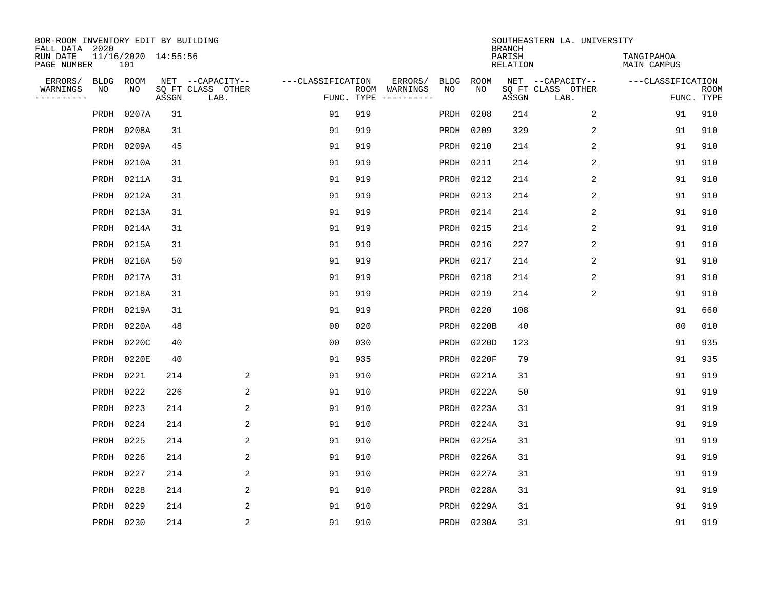| BOR-ROOM INVENTORY EDIT BY BUILDING<br>FALL DATA 2020 |           |                            |       |                           |                   |            |                              |             |             | <b>BRANCH</b>             | SOUTHEASTERN LA. UNIVERSITY |                                  |                           |
|-------------------------------------------------------|-----------|----------------------------|-------|---------------------------|-------------------|------------|------------------------------|-------------|-------------|---------------------------|-----------------------------|----------------------------------|---------------------------|
| RUN DATE<br>PAGE NUMBER                               |           | 11/16/2020 14:55:56<br>101 |       |                           |                   |            |                              |             |             | PARISH<br><b>RELATION</b> |                             | TANGIPAHOA<br><b>MAIN CAMPUS</b> |                           |
| ERRORS/                                               | BLDG      | ROOM                       |       | NET --CAPACITY--          | ---CLASSIFICATION |            | ERRORS/                      | <b>BLDG</b> | <b>ROOM</b> |                           | NET --CAPACITY--            | ---CLASSIFICATION                |                           |
| WARNINGS<br>----------                                | NO        | NO                         | ASSGN | SQ FT CLASS OTHER<br>LAB. |                   | FUNC. TYPE | ROOM WARNINGS<br>----------- | NO          | NO          | ASSGN                     | SQ FT CLASS OTHER<br>LAB.   |                                  | <b>ROOM</b><br>FUNC. TYPE |
|                                                       | PRDH      | 0207A                      | 31    |                           | 91                | 919        |                              | PRDH        | 0208        | 214                       | $\overline{a}$              | 91                               | 910                       |
|                                                       | PRDH      | 0208A                      | 31    |                           | 91                | 919        |                              | PRDH        | 0209        | 329                       | 2                           | 91                               | 910                       |
|                                                       | PRDH      | 0209A                      | 45    |                           | 91                | 919        |                              | PRDH        | 0210        | 214                       | $\overline{c}$              | 91                               | 910                       |
|                                                       | PRDH      | 0210A                      | 31    |                           | 91                | 919        |                              | PRDH        | 0211        | 214                       | 2                           | 91                               | 910                       |
|                                                       | PRDH      | 0211A                      | 31    |                           | 91                | 919        |                              | PRDH        | 0212        | 214                       | 2                           | 91                               | 910                       |
|                                                       | PRDH      | 0212A                      | 31    |                           | 91                | 919        |                              | PRDH        | 0213        | 214                       | 2                           | 91                               | 910                       |
|                                                       | PRDH      | 0213A                      | 31    |                           | 91                | 919        |                              | PRDH        | 0214        | 214                       | 2                           | 91                               | 910                       |
|                                                       | PRDH      | 0214A                      | 31    |                           | 91                | 919        |                              | PRDH        | 0215        | 214                       | 2                           | 91                               | 910                       |
|                                                       | PRDH      | 0215A                      | 31    |                           | 91                | 919        |                              | PRDH        | 0216        | 227                       | 2                           | 91                               | 910                       |
|                                                       | PRDH      | 0216A                      | 50    |                           | 91                | 919        |                              | PRDH        | 0217        | 214                       | 2                           | 91                               | 910                       |
|                                                       | PRDH      | 0217A                      | 31    |                           | 91                | 919        |                              | PRDH        | 0218        | 214                       | 2                           | 91                               | 910                       |
|                                                       | PRDH      | 0218A                      | 31    |                           | 91                | 919        |                              | PRDH        | 0219        | 214                       | 2                           | 91                               | 910                       |
|                                                       | PRDH      | 0219A                      | 31    |                           | 91                | 919        |                              | PRDH        | 0220        | 108                       |                             | 91                               | 660                       |
|                                                       | PRDH      | 0220A                      | 48    |                           | 0 <sub>0</sub>    | 020        |                              | PRDH        | 0220B       | 40                        |                             | 0 <sub>0</sub>                   | 010                       |
|                                                       | PRDH      | 0220C                      | 40    |                           | 0 <sub>0</sub>    | 030        |                              | PRDH        | 0220D       | 123                       |                             | 91                               | 935                       |
|                                                       | PRDH      | 0220E                      | 40    |                           | 91                | 935        |                              | PRDH        | 0220F       | 79                        |                             | 91                               | 935                       |
|                                                       | PRDH      | 0221                       | 214   | 2                         | 91                | 910        |                              | PRDH        | 0221A       | 31                        |                             | 91                               | 919                       |
|                                                       | PRDH      | 0222                       | 226   | 2                         | 91                | 910        |                              | PRDH        | 0222A       | 50                        |                             | 91                               | 919                       |
|                                                       | PRDH      | 0223                       | 214   | 2                         | 91                | 910        |                              | PRDH        | 0223A       | 31                        |                             | 91                               | 919                       |
|                                                       | PRDH      | 0224                       | 214   | 2                         | 91                | 910        |                              | PRDH        | 0224A       | 31                        |                             | 91                               | 919                       |
|                                                       | PRDH      | 0225                       | 214   | 2                         | 91                | 910        |                              | PRDH        | 0225A       | 31                        |                             | 91                               | 919                       |
|                                                       | PRDH      | 0226                       | 214   | 2                         | 91                | 910        |                              | PRDH        | 0226A       | 31                        |                             | 91                               | 919                       |
|                                                       | PRDH      | 0227                       | 214   | 2                         | 91                | 910        |                              | PRDH        | 0227A       | 31                        |                             | 91                               | 919                       |
|                                                       | PRDH      | 0228                       | 214   | 2                         | 91                | 910        |                              | PRDH        | 0228A       | 31                        |                             | 91                               | 919                       |
|                                                       | PRDH      | 0229                       | 214   | 2                         | 91                | 910        |                              | PRDH        | 0229A       | 31                        |                             | 91                               | 919                       |
|                                                       | PRDH 0230 |                            | 214   | $\overline{c}$            | 91                | 910        |                              |             | PRDH 0230A  | 31                        |                             | 91                               | 919                       |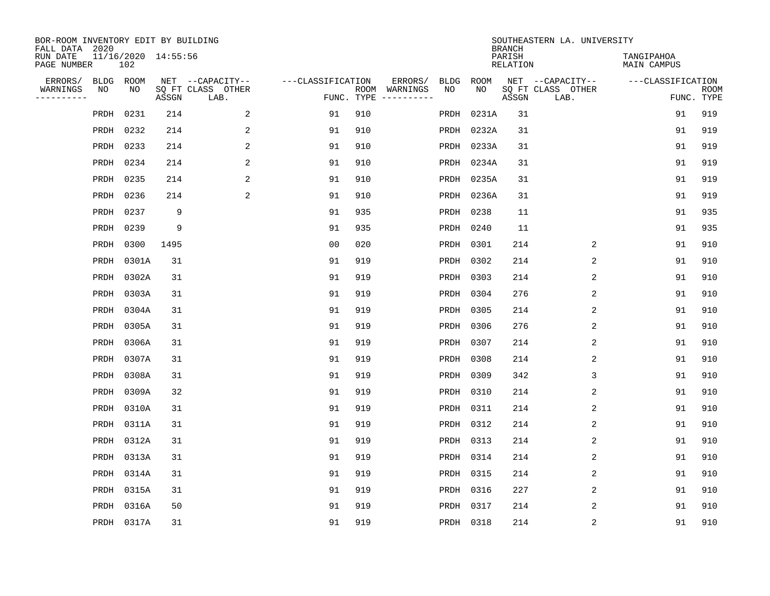| BOR-ROOM INVENTORY EDIT BY BUILDING<br>FALL DATA 2020 |           |            |                     |                           |                   |     |                                      |             |            | <b>BRANCH</b>             | SOUTHEASTERN LA. UNIVERSITY |                                  |                           |
|-------------------------------------------------------|-----------|------------|---------------------|---------------------------|-------------------|-----|--------------------------------------|-------------|------------|---------------------------|-----------------------------|----------------------------------|---------------------------|
| RUN DATE<br>PAGE NUMBER                               |           | 102        | 11/16/2020 14:55:56 |                           |                   |     |                                      |             |            | PARISH<br><b>RELATION</b> |                             | TANGIPAHOA<br><b>MAIN CAMPUS</b> |                           |
| ERRORS/                                               | BLDG ROOM |            |                     | NET --CAPACITY--          | ---CLASSIFICATION |     | ERRORS/                              | <b>BLDG</b> | ROOM       |                           | NET --CAPACITY--            | ---CLASSIFICATION                |                           |
| WARNINGS<br>-----------                               | ΝO        | NO         | ASSGN               | SQ FT CLASS OTHER<br>LAB. |                   |     | ROOM WARNINGS<br>FUNC. TYPE $------$ | NO          | NO         | ASSGN                     | SQ FT CLASS OTHER<br>LAB.   |                                  | <b>ROOM</b><br>FUNC. TYPE |
|                                                       | PRDH      | 0231       | 214                 | 2                         | 91                | 910 |                                      | PRDH        | 0231A      | 31                        |                             | 91                               | 919                       |
|                                                       | PRDH      | 0232       | 214                 | 2                         | 91                | 910 |                                      | PRDH        | 0232A      | 31                        |                             | 91                               | 919                       |
|                                                       | PRDH 0233 |            | 214                 | 2                         | 91                | 910 |                                      |             | PRDH 0233A | 31                        |                             | 91                               | 919                       |
|                                                       | PRDH 0234 |            | 214                 | 2                         | 91                | 910 |                                      |             | PRDH 0234A | 31                        |                             | 91                               | 919                       |
|                                                       | PRDH 0235 |            | 214                 | 2                         | 91                | 910 |                                      | PRDH        | 0235A      | 31                        |                             | 91                               | 919                       |
|                                                       | PRDH 0236 |            | 214                 | 2                         | 91                | 910 |                                      |             | PRDH 0236A | 31                        |                             | 91                               | 919                       |
|                                                       | PRDH      | 0237       | 9                   |                           | 91                | 935 |                                      | PRDH        | 0238       | 11                        |                             | 91                               | 935                       |
|                                                       | PRDH 0239 |            | 9                   |                           | 91                | 935 |                                      | PRDH        | 0240       | 11                        |                             | 91                               | 935                       |
|                                                       | PRDH      | 0300       | 1495                |                           | 0 <sub>0</sub>    | 020 |                                      | PRDH        | 0301       | 214                       | 2                           | 91                               | 910                       |
|                                                       | PRDH      | 0301A      | 31                  |                           | 91                | 919 |                                      | PRDH        | 0302       | 214                       | 2                           | 91                               | 910                       |
|                                                       | PRDH      | 0302A      | 31                  |                           | 91                | 919 |                                      | PRDH        | 0303       | 214                       | 2                           | 91                               | 910                       |
|                                                       | PRDH      | 0303A      | 31                  |                           | 91                | 919 |                                      | PRDH        | 0304       | 276                       | 2                           | 91                               | 910                       |
|                                                       | PRDH      | 0304A      | 31                  |                           | 91                | 919 |                                      | PRDH        | 0305       | 214                       | 2                           | 91                               | 910                       |
|                                                       | PRDH      | 0305A      | 31                  |                           | 91                | 919 |                                      | PRDH        | 0306       | 276                       | 2                           | 91                               | 910                       |
|                                                       | PRDH      | 0306A      | 31                  |                           | 91                | 919 |                                      | PRDH        | 0307       | 214                       | 2                           | 91                               | 910                       |
|                                                       | PRDH      | 0307A      | 31                  |                           | 91                | 919 |                                      | PRDH        | 0308       | 214                       | 2                           | 91                               | 910                       |
|                                                       | PRDH      | 0308A      | 31                  |                           | 91                | 919 |                                      | PRDH        | 0309       | 342                       | 3                           | 91                               | 910                       |
|                                                       | PRDH      | 0309A      | 32                  |                           | 91                | 919 |                                      | PRDH        | 0310       | 214                       | $\overline{2}$              | 91                               | 910                       |
|                                                       | PRDH      | 0310A      | 31                  |                           | 91                | 919 |                                      | PRDH        | 0311       | 214                       | 2                           | 91                               | 910                       |
|                                                       | PRDH      | 0311A      | 31                  |                           | 91                | 919 |                                      | PRDH        | 0312       | 214                       | 2                           | 91                               | 910                       |
|                                                       | PRDH      | 0312A      | 31                  |                           | 91                | 919 |                                      | PRDH        | 0313       | 214                       | 2                           | 91                               | 910                       |
|                                                       | PRDH      | 0313A      | 31                  |                           | 91                | 919 |                                      | PRDH        | 0314       | 214                       | 2                           | 91                               | 910                       |
|                                                       | PRDH      | 0314A      | 31                  |                           | 91                | 919 |                                      | PRDH        | 0315       | 214                       | 2                           | 91                               | 910                       |
|                                                       | PRDH      | 0315A      | 31                  |                           | 91                | 919 |                                      | PRDH        | 0316       | 227                       | 2                           | 91                               | 910                       |
|                                                       | PRDH      | 0316A      | 50                  |                           | 91                | 919 |                                      |             | PRDH 0317  | 214                       | 2                           | 91                               | 910                       |
|                                                       |           | PRDH 0317A | 31                  |                           | 91                | 919 |                                      |             | PRDH 0318  | 214                       | 2                           | 91                               | 910                       |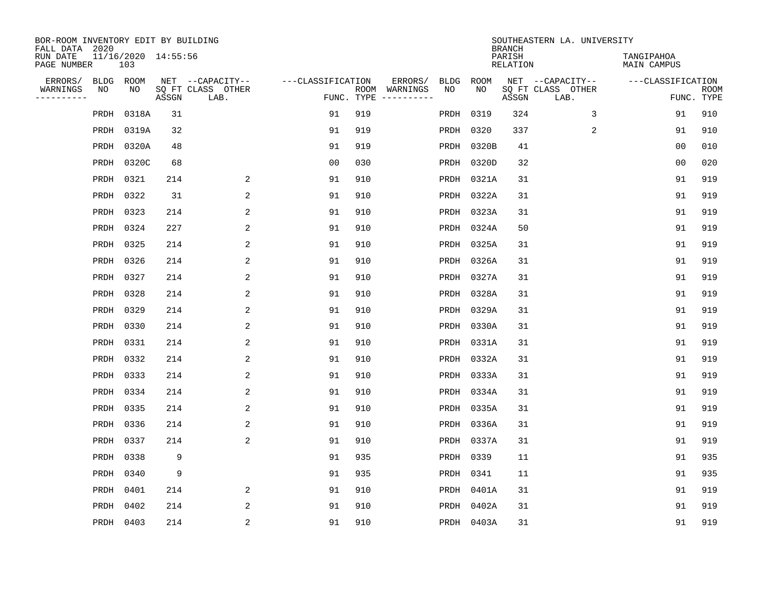| BOR-ROOM INVENTORY EDIT BY BUILDING<br>FALL DATA 2020 |                            |       |                           |                   |     |                                      |             |             | <b>BRANCH</b>             | SOUTHEASTERN LA. UNIVERSITY |                                  |                           |
|-------------------------------------------------------|----------------------------|-------|---------------------------|-------------------|-----|--------------------------------------|-------------|-------------|---------------------------|-----------------------------|----------------------------------|---------------------------|
| RUN DATE<br>PAGE NUMBER                               | 11/16/2020 14:55:56<br>103 |       |                           |                   |     |                                      |             |             | PARISH<br><b>RELATION</b> |                             | TANGIPAHOA<br><b>MAIN CAMPUS</b> |                           |
| ERRORS/                                               | BLDG ROOM                  |       | NET --CAPACITY--          | ---CLASSIFICATION |     | ERRORS/                              | <b>BLDG</b> | <b>ROOM</b> |                           | NET --CAPACITY--            | ---CLASSIFICATION                |                           |
| WARNINGS<br>----------                                | NO<br>NO                   | ASSGN | SQ FT CLASS OTHER<br>LAB. |                   |     | ROOM WARNINGS<br>FUNC. TYPE $------$ | NO          | NO          | ASSGN                     | SQ FT CLASS OTHER<br>LAB.   |                                  | <b>ROOM</b><br>FUNC. TYPE |
|                                                       | 0318A<br>PRDH              | 31    |                           | 91                | 919 |                                      | PRDH        | 0319        | 324                       | 3                           | 91                               | 910                       |
|                                                       | 0319A<br>PRDH              | 32    |                           | 91                | 919 |                                      | PRDH        | 0320        | 337                       | 2                           | 91                               | 910                       |
|                                                       | PRDH<br>0320A              | 48    |                           | 91                | 919 |                                      | PRDH        | 0320B       | 41                        |                             | 0 <sub>0</sub>                   | 010                       |
|                                                       | PRDH 0320C                 | 68    |                           | 0 <sub>0</sub>    | 030 |                                      |             | PRDH 0320D  | 32                        |                             | 0 <sub>0</sub>                   | 020                       |
|                                                       | PRDH 0321                  | 214   | 2                         | 91                | 910 |                                      | PRDH        | 0321A       | 31                        |                             | 91                               | 919                       |
|                                                       | PRDH 0322                  | 31    | 2                         | 91                | 910 |                                      |             | PRDH 0322A  | 31                        |                             | 91                               | 919                       |
|                                                       | PRDH 0323                  | 214   | $\overline{2}$            | 91                | 910 |                                      |             | PRDH 0323A  | 31                        |                             | 91                               | 919                       |
|                                                       | PRDH 0324                  | 227   | 2                         | 91                | 910 |                                      |             | PRDH 0324A  | 50                        |                             | 91                               | 919                       |
|                                                       | PRDH 0325                  | 214   | 2                         | 91                | 910 |                                      | PRDH        | 0325A       | 31                        |                             | 91                               | 919                       |
|                                                       | PRDH 0326                  | 214   | 2                         | 91                | 910 |                                      | PRDH        | 0326A       | 31                        |                             | 91                               | 919                       |
|                                                       | PRDH 0327                  | 214   | 2                         | 91                | 910 |                                      |             | PRDH 0327A  | 31                        |                             | 91                               | 919                       |
|                                                       | PRDH 0328                  | 214   | 2                         | 91                | 910 |                                      | PRDH        | 0328A       | 31                        |                             | 91                               | 919                       |
|                                                       | 0329<br>PRDH               | 214   | 2                         | 91                | 910 |                                      | PRDH        | 0329A       | 31                        |                             | 91                               | 919                       |
|                                                       | PRDH 0330                  | 214   | 2                         | 91                | 910 |                                      |             | PRDH 0330A  | 31                        |                             | 91                               | 919                       |
|                                                       | PRDH 0331                  | 214   | 2                         | 91                | 910 |                                      |             | PRDH 0331A  | 31                        |                             | 91                               | 919                       |
|                                                       | PRDH 0332                  | 214   | 2                         | 91                | 910 |                                      |             | PRDH 0332A  | 31                        |                             | 91                               | 919                       |
|                                                       | PRDH 0333                  | 214   | 2                         | 91                | 910 |                                      | PRDH        | 0333A       | 31                        |                             | 91                               | 919                       |
|                                                       | PRDH 0334                  | 214   | 2                         | 91                | 910 |                                      |             | PRDH 0334A  | 31                        |                             | 91                               | 919                       |
|                                                       | PRDH 0335                  | 214   | 2                         | 91                | 910 |                                      |             | PRDH 0335A  | 31                        |                             | 91                               | 919                       |
|                                                       | 0336<br>PRDH               | 214   | 2                         | 91                | 910 |                                      | PRDH        | 0336A       | 31                        |                             | 91                               | 919                       |
|                                                       | 0337<br>PRDH               | 214   | 2                         | 91                | 910 |                                      | PRDH        | 0337A       | 31                        |                             | 91                               | 919                       |
|                                                       | PRDH<br>0338               | 9     |                           | 91                | 935 |                                      | PRDH        | 0339        | 11                        |                             | 91                               | 935                       |
|                                                       | PRDH<br>0340               | 9     |                           | 91                | 935 |                                      | PRDH        | 0341        | 11                        |                             | 91                               | 935                       |
|                                                       | PRDH<br>0401               | 214   | 2                         | 91                | 910 |                                      |             | PRDH 0401A  | 31                        |                             | 91                               | 919                       |
|                                                       | PRDH<br>0402               | 214   | 2                         | 91                | 910 |                                      |             | PRDH 0402A  | 31                        |                             | 91                               | 919                       |
|                                                       | PRDH 0403                  | 214   | $\overline{2}$            | 91                | 910 |                                      |             | PRDH 0403A  | 31                        |                             | 91                               | 919                       |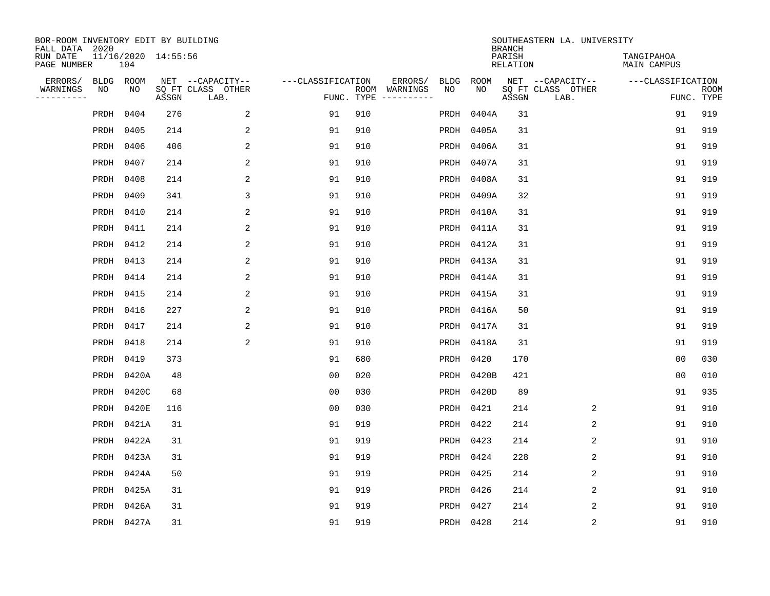| BOR-ROOM INVENTORY EDIT BY BUILDING<br>FALL DATA 2020 |                            |       |                           |                   |     |                                      |             |             | <b>BRANCH</b>      | SOUTHEASTERN LA. UNIVERSITY |                                  |                           |
|-------------------------------------------------------|----------------------------|-------|---------------------------|-------------------|-----|--------------------------------------|-------------|-------------|--------------------|-----------------------------|----------------------------------|---------------------------|
| RUN DATE<br>PAGE NUMBER                               | 11/16/2020 14:55:56<br>104 |       |                           |                   |     |                                      |             |             | PARISH<br>RELATION |                             | TANGIPAHOA<br><b>MAIN CAMPUS</b> |                           |
| ERRORS/                                               | BLDG ROOM                  |       | NET --CAPACITY--          | ---CLASSIFICATION |     | ERRORS/                              | <b>BLDG</b> | <b>ROOM</b> |                    | NET --CAPACITY--            | ---CLASSIFICATION                |                           |
| WARNINGS<br>NO<br>----------                          | NO                         | ASSGN | SQ FT CLASS OTHER<br>LAB. |                   |     | ROOM WARNINGS<br>FUNC. TYPE $------$ | NO          | NO          | ASSGN              | SQ FT CLASS OTHER<br>LAB.   |                                  | <b>ROOM</b><br>FUNC. TYPE |
| PRDH                                                  | 0404                       | 276   | 2                         | 91                | 910 |                                      | PRDH        | 0404A       | 31                 |                             | 91                               | 919                       |
| PRDH                                                  | 0405                       | 214   | 2                         | 91                | 910 |                                      | PRDH        | 0405A       | 31                 |                             | 91                               | 919                       |
| PRDH                                                  | 0406                       | 406   | $\overline{a}$            | 91                | 910 |                                      |             | PRDH 0406A  | 31                 |                             | 91                               | 919                       |
|                                                       | PRDH 0407                  | 214   | 2                         | 91                | 910 |                                      |             | PRDH 0407A  | 31                 |                             | 91                               | 919                       |
|                                                       | PRDH 0408                  | 214   | $\overline{2}$            | 91                | 910 |                                      | PRDH        | 0408A       | 31                 |                             | 91                               | 919                       |
|                                                       | PRDH 0409                  | 341   | 3                         | 91                | 910 |                                      |             | PRDH 0409A  | 32                 |                             | 91                               | 919                       |
|                                                       | PRDH 0410                  | 214   | $\overline{a}$            | 91                | 910 |                                      |             | PRDH 0410A  | 31                 |                             | 91                               | 919                       |
|                                                       | PRDH 0411                  | 214   | 2                         | 91                | 910 |                                      |             | PRDH 0411A  | 31                 |                             | 91                               | 919                       |
|                                                       | PRDH 0412                  | 214   | 2                         | 91                | 910 |                                      | PRDH        | 0412A       | 31                 |                             | 91                               | 919                       |
|                                                       | PRDH 0413                  | 214   | 2                         | 91                | 910 |                                      |             | PRDH 0413A  | 31                 |                             | 91                               | 919                       |
|                                                       | PRDH 0414                  | 214   | 2                         | 91                | 910 |                                      |             | PRDH 0414A  | 31                 |                             | 91                               | 919                       |
|                                                       | PRDH 0415                  | 214   | 2                         | 91                | 910 |                                      |             | PRDH 0415A  | 31                 |                             | 91                               | 919                       |
|                                                       | PRDH 0416                  | 227   | 2                         | 91                | 910 |                                      | PRDH        | 0416A       | 50                 |                             | 91                               | 919                       |
|                                                       | PRDH 0417                  | 214   | $\overline{\mathbf{c}}$   | 91                | 910 |                                      |             | PRDH 0417A  | 31                 |                             | 91                               | 919                       |
|                                                       | PRDH 0418                  | 214   | 2                         | 91                | 910 |                                      |             | PRDH 0418A  | 31                 |                             | 91                               | 919                       |
|                                                       | PRDH 0419                  | 373   |                           | 91                | 680 |                                      |             | PRDH 0420   | 170                |                             | 00                               | 030                       |
|                                                       | PRDH 0420A                 | 48    |                           | 0 <sub>0</sub>    | 020 |                                      | PRDH        | 0420B       | 421                |                             | 00                               | 010                       |
|                                                       | PRDH 0420C                 | 68    |                           | 0 <sub>0</sub>    | 030 |                                      |             | PRDH 0420D  | 89                 |                             | 91                               | 935                       |
|                                                       | PRDH 0420E                 | 116   |                           | 0 <sub>0</sub>    | 030 |                                      |             | PRDH 0421   | 214                | 2                           | 91                               | 910                       |
| PRDH                                                  | 0421A                      | 31    |                           | 91                | 919 |                                      | PRDH        | 0422        | 214                | 2                           | 91                               | 910                       |
|                                                       | PRDH 0422A                 | 31    |                           | 91                | 919 |                                      | PRDH        | 0423        | 214                | 2                           | 91                               | 910                       |
| PRDH                                                  | 0423A                      | 31    |                           | 91                | 919 |                                      | PRDH        | 0424        | 228                | 2                           | 91                               | 910                       |
|                                                       | PRDH 0424A                 | 50    |                           | 91                | 919 |                                      | PRDH        | 0425        | 214                | 2                           | 91                               | 910                       |
| PRDH                                                  | 0425A                      | 31    |                           | 91                | 919 |                                      |             | PRDH 0426   | 214                | $\overline{2}$              | 91                               | 910                       |
| PRDH                                                  | 0426A                      | 31    |                           | 91                | 919 |                                      |             | PRDH 0427   | 214                | 2                           | 91                               | 910                       |
|                                                       | PRDH 0427A                 | 31    |                           | 91                | 919 |                                      |             | PRDH 0428   | 214                | 2                           | 91                               | 910                       |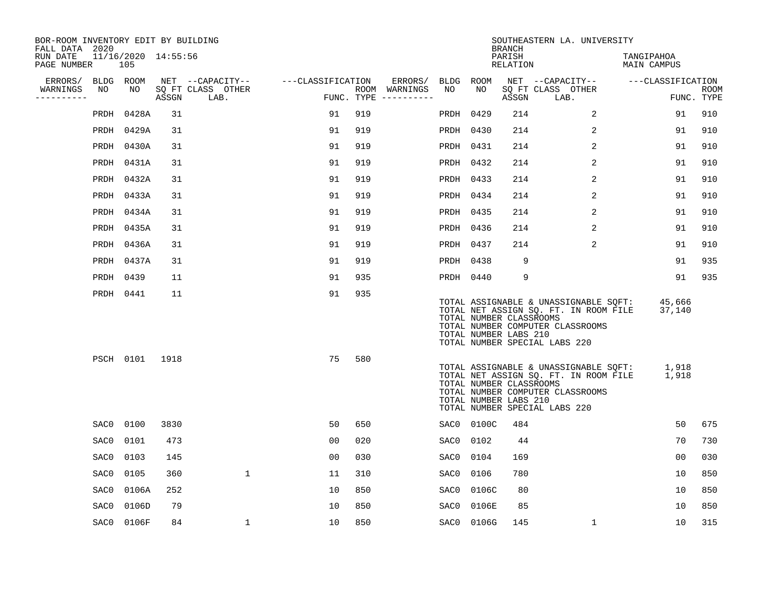| BOR-ROOM INVENTORY EDIT BY BUILDING<br>FALL DATA 2020 |           |                            |       |                           |                   |     |                                      |           |            | <b>BRANCH</b>                                    | SOUTHEASTERN LA. UNIVERSITY                                                                                                                         |                           |                           |
|-------------------------------------------------------|-----------|----------------------------|-------|---------------------------|-------------------|-----|--------------------------------------|-----------|------------|--------------------------------------------------|-----------------------------------------------------------------------------------------------------------------------------------------------------|---------------------------|---------------------------|
| RUN DATE<br>PAGE NUMBER                               |           | 11/16/2020 14:55:56<br>105 |       |                           |                   |     |                                      |           |            | PARISH<br>RELATION                               |                                                                                                                                                     | TANGIPAHOA<br>MAIN CAMPUS |                           |
| ERRORS/                                               | BLDG ROOM |                            |       | NET --CAPACITY--          | ---CLASSIFICATION |     | ERRORS/                              | BLDG ROOM |            |                                                  | NET --CAPACITY--                                                                                                                                    | ---CLASSIFICATION         |                           |
| WARNINGS<br>-----------                               | NO        | NO                         | ASSGN | SQ FT CLASS OTHER<br>LAB. |                   |     | ROOM WARNINGS<br>FUNC. TYPE $------$ | NO        | NO         | ASSGN                                            | SQ FT CLASS OTHER<br>LAB.                                                                                                                           |                           | <b>ROOM</b><br>FUNC. TYPE |
|                                                       | PRDH      | 0428A                      | 31    |                           | 91                | 919 |                                      | PRDH      | 0429       | 214                                              | $\overline{a}$                                                                                                                                      | 91                        | 910                       |
|                                                       |           | PRDH 0429A                 | 31    |                           | 91                | 919 |                                      | PRDH 0430 |            | 214                                              | 2                                                                                                                                                   | 91                        | 910                       |
|                                                       |           | PRDH 0430A                 | 31    |                           | 91                | 919 |                                      | PRDH 0431 |            | 214                                              | $\overline{2}$                                                                                                                                      | 91                        | 910                       |
|                                                       |           | PRDH 0431A                 | 31    |                           | 91                | 919 |                                      | PRDH      | 0432       | 214                                              | 2                                                                                                                                                   | 91                        | 910                       |
|                                                       |           | PRDH 0432A                 | 31    |                           | 91                | 919 |                                      | PRDH      | 0433       | 214                                              | 2                                                                                                                                                   | 91                        | 910                       |
|                                                       |           | PRDH 0433A                 | 31    |                           | 91                | 919 |                                      | PRDH 0434 |            | 214                                              | 2                                                                                                                                                   | 91                        | 910                       |
|                                                       |           | PRDH 0434A                 | 31    |                           | 91                | 919 |                                      | PRDH      | 0435       | 214                                              | $\overline{2}$                                                                                                                                      | 91                        | 910                       |
|                                                       |           | PRDH 0435A                 | 31    |                           | 91                | 919 |                                      | PRDH 0436 |            | 214                                              | 2                                                                                                                                                   | 91                        | 910                       |
|                                                       |           | PRDH 0436A                 | 31    |                           | 91                | 919 |                                      | PRDH      | 0437       | 214                                              | 2                                                                                                                                                   | 91                        | 910                       |
|                                                       |           | PRDH 0437A                 | 31    |                           | 91                | 919 |                                      | PRDH 0438 |            | 9                                                |                                                                                                                                                     | 91                        | 935                       |
|                                                       | PRDH 0439 |                            | 11    |                           | 91                | 935 |                                      | PRDH 0440 |            | 9                                                |                                                                                                                                                     | 91                        | 935                       |
|                                                       | PRDH 0441 |                            | 11    |                           | 91                | 935 |                                      |           |            | TOTAL NUMBER CLASSROOMS<br>TOTAL NUMBER LABS 210 | TOTAL ASSIGNABLE & UNASSIGNABLE SOFT:<br>TOTAL NET ASSIGN SQ. FT. IN ROOM FILE<br>TOTAL NUMBER COMPUTER CLASSROOMS<br>TOTAL NUMBER SPECIAL LABS 220 | 45,666<br>37,140          |                           |
|                                                       |           | PSCH 0101                  | 1918  |                           | 75                | 580 |                                      |           |            | TOTAL NUMBER CLASSROOMS<br>TOTAL NUMBER LABS 210 | TOTAL ASSIGNABLE & UNASSIGNABLE SQFT:<br>TOTAL NET ASSIGN SQ. FT. IN ROOM FILE<br>TOTAL NUMBER COMPUTER CLASSROOMS<br>TOTAL NUMBER SPECIAL LABS 220 | 1,918<br>1,918            |                           |
|                                                       | SAC0      | 0100                       | 3830  |                           | 50                | 650 |                                      |           | SAC0 0100C | 484                                              |                                                                                                                                                     | 50                        | 675                       |
|                                                       | SAC0      | 0101                       | 473   |                           | 0 <sub>0</sub>    | 020 |                                      | SAC0      | 0102       | 44                                               |                                                                                                                                                     | 70                        | 730                       |
|                                                       | SAC0      | 0103                       | 145   |                           | 0 <sub>0</sub>    | 030 |                                      | SAC0      | 0104       | 169                                              |                                                                                                                                                     | 0 <sub>0</sub>            | 030                       |
|                                                       | SAC0      | 0105                       | 360   | $\mathbf 1$               | 11                | 310 |                                      | SAC0      | 0106       | 780                                              |                                                                                                                                                     | 10                        | 850                       |
|                                                       | SAC0      | 0106A                      | 252   |                           | 10                | 850 |                                      | SAC0      | 0106C      | 80                                               |                                                                                                                                                     | 10                        | 850                       |
|                                                       | SAC0      | 0106D                      | 79    |                           | 10                | 850 |                                      | SAC0      | 0106E      | 85                                               |                                                                                                                                                     | 10                        | 850                       |
|                                                       |           | SAC0 0106F                 | 84    | 1                         | 10                | 850 |                                      |           | SAC0 0106G | 145                                              | $\mathbf 1$                                                                                                                                         | 10                        | 315                       |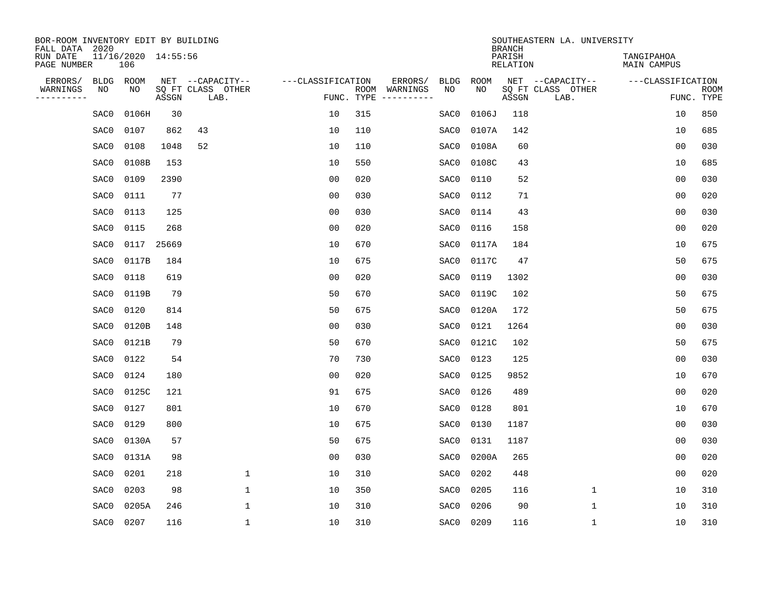| BOR-ROOM INVENTORY EDIT BY BUILDING<br>FALL DATA 2020 |      |                            |       |                           |                   |            |                              |             |             | <b>BRANCH</b>             | SOUTHEASTERN LA. UNIVERSITY |                                  |                           |
|-------------------------------------------------------|------|----------------------------|-------|---------------------------|-------------------|------------|------------------------------|-------------|-------------|---------------------------|-----------------------------|----------------------------------|---------------------------|
| RUN DATE<br>PAGE NUMBER                               |      | 11/16/2020 14:55:56<br>106 |       |                           |                   |            |                              |             |             | PARISH<br><b>RELATION</b> |                             | TANGIPAHOA<br><b>MAIN CAMPUS</b> |                           |
| ERRORS/                                               | BLDG | ROOM                       |       | NET --CAPACITY--          | ---CLASSIFICATION |            | ERRORS/                      | <b>BLDG</b> | <b>ROOM</b> |                           | NET --CAPACITY--            | ---CLASSIFICATION                |                           |
| WARNINGS<br>----------                                | ΝO   | NO                         | ASSGN | SQ FT CLASS OTHER<br>LAB. |                   | FUNC. TYPE | ROOM WARNINGS<br>----------- | NO          | NO          | ASSGN                     | SQ FT CLASS OTHER<br>LAB.   |                                  | <b>ROOM</b><br>FUNC. TYPE |
|                                                       | SAC0 | 0106H                      | 30    |                           | 10                | 315        |                              | SAC0        | 0106J       | 118                       |                             | 10                               | 850                       |
|                                                       | SAC0 | 0107                       | 862   | 43                        | 10                | 110        |                              | SAC0        | 0107A       | 142                       |                             | 10                               | 685                       |
|                                                       | SAC0 | 0108                       | 1048  | 52                        | 10                | 110        |                              | SAC0        | 0108A       | 60                        |                             | 0 <sub>0</sub>                   | 030                       |
|                                                       | SAC0 | 0108B                      | 153   |                           | 10                | 550        |                              | SAC0        | 0108C       | 43                        |                             | 10                               | 685                       |
|                                                       | SAC0 | 0109                       | 2390  |                           | 0 <sub>0</sub>    | 020        |                              | SAC0        | 0110        | 52                        |                             | 0 <sub>0</sub>                   | 030                       |
|                                                       | SAC0 | 0111                       | 77    |                           | 0 <sub>0</sub>    | 030        |                              | SAC0        | 0112        | 71                        |                             | 0 <sub>0</sub>                   | 020                       |
|                                                       | SAC0 | 0113                       | 125   |                           | 0 <sub>0</sub>    | 030        |                              | SAC0        | 0114        | 43                        |                             | 0 <sub>0</sub>                   | 030                       |
|                                                       | SAC0 | 0115                       | 268   |                           | 0 <sub>0</sub>    | 020        |                              | SAC0        | 0116        | 158                       |                             | 0 <sub>0</sub>                   | 020                       |
|                                                       | SAC0 | 0117                       | 25669 |                           | 10                | 670        |                              | SAC0        | 0117A       | 184                       |                             | 10                               | 675                       |
|                                                       | SAC0 | 0117B                      | 184   |                           | 10                | 675        |                              | SAC0        | 0117C       | 47                        |                             | 50                               | 675                       |
|                                                       | SAC0 | 0118                       | 619   |                           | 0 <sub>0</sub>    | 020        |                              | SAC0        | 0119        | 1302                      |                             | 0 <sub>0</sub>                   | 030                       |
|                                                       | SAC0 | 0119B                      | 79    |                           | 50                | 670        |                              | SAC0        | 0119C       | 102                       |                             | 50                               | 675                       |
|                                                       | SAC0 | 0120                       | 814   |                           | 50                | 675        |                              | SAC0        | 0120A       | 172                       |                             | 50                               | 675                       |
|                                                       | SAC0 | 0120B                      | 148   |                           | 0 <sub>0</sub>    | 030        |                              | SAC0        | 0121        | 1264                      |                             | 0 <sub>0</sub>                   | 030                       |
|                                                       | SAC0 | 0121B                      | 79    |                           | 50                | 670        |                              | SAC0        | 0121C       | 102                       |                             | 50                               | 675                       |
|                                                       | SAC0 | 0122                       | 54    |                           | 70                | 730        |                              | SAC0        | 0123        | 125                       |                             | 0 <sub>0</sub>                   | 030                       |
|                                                       | SAC0 | 0124                       | 180   |                           | 0 <sub>0</sub>    | 020        |                              | SAC0        | 0125        | 9852                      |                             | 10                               | 670                       |
|                                                       | SAC0 | 0125C                      | 121   |                           | 91                | 675        |                              | SAC0        | 0126        | 489                       |                             | 0 <sub>0</sub>                   | 020                       |
|                                                       | SAC0 | 0127                       | 801   |                           | 10                | 670        |                              | SAC0        | 0128        | 801                       |                             | 10                               | 670                       |
|                                                       | SAC0 | 0129                       | 800   |                           | 10                | 675        |                              | SAC0        | 0130        | 1187                      |                             | 0 <sub>0</sub>                   | 030                       |
|                                                       | SAC0 | 0130A                      | 57    |                           | 50                | 675        |                              | SAC0        | 0131        | 1187                      |                             | 0 <sub>0</sub>                   | 030                       |
|                                                       | SAC0 | 0131A                      | 98    |                           | 0 <sub>0</sub>    | 030        |                              | SAC0        | 0200A       | 265                       |                             | 0 <sub>0</sub>                   | 020                       |
|                                                       | SAC0 | 0201                       | 218   | $\mathbf{1}$              | 10                | 310        |                              | SAC0        | 0202        | 448                       |                             | 0 <sub>0</sub>                   | 020                       |
|                                                       | SAC0 | 0203                       | 98    | $\mathbf{1}$              | 10                | 350        |                              | SAC0        | 0205        | 116                       | $\mathbf{1}$                | 10                               | 310                       |
|                                                       | SAC0 | 0205A                      | 246   | $\mathbf{1}$              | 10                | 310        |                              | SAC0        | 0206        | 90                        | $\mathbf 1$                 | 10                               | 310                       |
|                                                       | SAC0 | 0207                       | 116   | $\mathbf{1}$              | 10                | 310        |                              | SAC0        | 0209        | 116                       | $\mathbf 1$                 | 10                               | 310                       |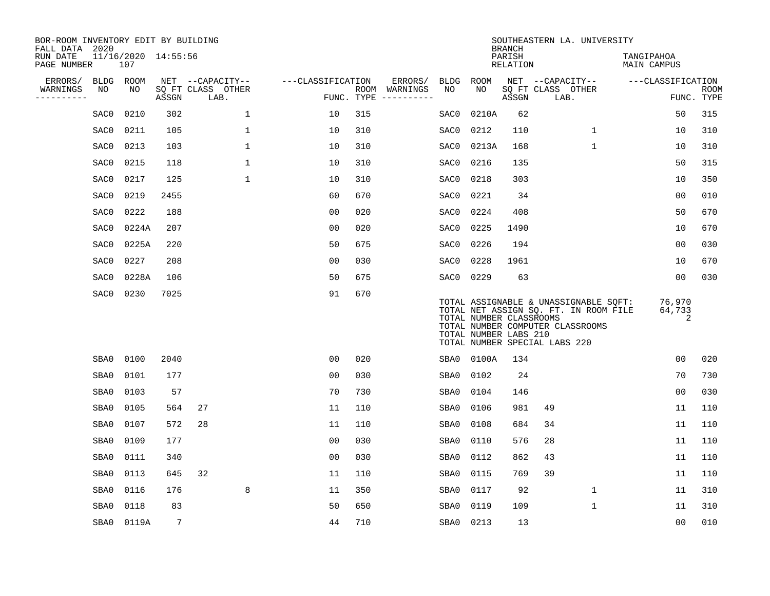| BOR-ROOM INVENTORY EDIT BY BUILDING<br>FALL DATA 2020 |                   |                            |       |                           |                   |            |                          |                   |                                                  | <b>BRANCH</b>      | SOUTHEASTERN LA. UNIVERSITY                                                                                                                         |                           |             |
|-------------------------------------------------------|-------------------|----------------------------|-------|---------------------------|-------------------|------------|--------------------------|-------------------|--------------------------------------------------|--------------------|-----------------------------------------------------------------------------------------------------------------------------------------------------|---------------------------|-------------|
| RUN DATE<br>PAGE NUMBER                               |                   | 11/16/2020 14:55:56<br>107 |       |                           |                   |            |                          |                   |                                                  | PARISH<br>RELATION |                                                                                                                                                     | TANGIPAHOA<br>MAIN CAMPUS |             |
| ERRORS/<br>WARNINGS                                   | <b>BLDG</b><br>NO | ROOM<br>NO                 |       | NET --CAPACITY--          | ---CLASSIFICATION |            | ERRORS/<br>ROOM WARNINGS | <b>BLDG</b><br>NO | ROOM<br>NO                                       |                    | NET --CAPACITY--                                                                                                                                    | ---CLASSIFICATION         | <b>ROOM</b> |
| ----------                                            |                   |                            | ASSGN | SQ FT CLASS OTHER<br>LAB. |                   | FUNC. TYPE | -----------              |                   |                                                  | ASSGN              | SQ FT CLASS OTHER<br>LAB.                                                                                                                           |                           | FUNC. TYPE  |
|                                                       | SAC0              | 0210                       | 302   | $\mathbf 1$               | 10                | 315        |                          | SAC0              | 0210A                                            | 62                 |                                                                                                                                                     | 50                        | 315         |
|                                                       | SAC0              | 0211                       | 105   | 1                         | 10                | 310        |                          | SAC0              | 0212                                             | 110                | $\mathbf{1}$                                                                                                                                        | 10                        | 310         |
|                                                       | SAC0              | 0213                       | 103   | $\mathbf 1$               | 10                | 310        |                          | SAC0              | 0213A                                            | 168                | $\mathbf 1$                                                                                                                                         | 10                        | 310         |
|                                                       | SAC0              | 0215                       | 118   | $\mathbf 1$               | 10                | 310        |                          | SAC0              | 0216                                             | 135                |                                                                                                                                                     | 50                        | 315         |
|                                                       | SAC0              | 0217                       | 125   | $\mathbf{1}$              | 10                | 310        |                          | SAC0              | 0218                                             | 303                |                                                                                                                                                     | 10                        | 350         |
|                                                       | SAC0              | 0219                       | 2455  |                           | 60                | 670        |                          | SAC0              | 0221                                             | 34                 |                                                                                                                                                     | 0 <sub>0</sub>            | 010         |
|                                                       | SAC0              | 0222                       | 188   |                           | 0 <sub>0</sub>    | 020        |                          | SAC0              | 0224                                             | 408                |                                                                                                                                                     | 50                        | 670         |
|                                                       | SAC0              | 0224A                      | 207   |                           | 0 <sub>0</sub>    | 020        |                          | SAC0              | 0225                                             | 1490               |                                                                                                                                                     | 10                        | 670         |
|                                                       | SAC0              | 0225A                      | 220   |                           | 50                | 675        |                          | SAC0              | 0226                                             | 194                |                                                                                                                                                     | 0 <sub>0</sub>            | 030         |
|                                                       | SAC0              | 0227                       | 208   |                           | 0 <sub>0</sub>    | 030        |                          | SAC0              | 0228                                             | 1961               |                                                                                                                                                     | 10                        | 670         |
|                                                       | SAC0              | 0228A                      | 106   |                           | 50                | 675        |                          | SAC0              | 0229                                             | 63                 |                                                                                                                                                     | 00                        | 030         |
|                                                       | SAC0              | 0230                       | 7025  |                           | 91                | 670        |                          |                   | TOTAL NUMBER CLASSROOMS<br>TOTAL NUMBER LABS 210 |                    | TOTAL ASSIGNABLE & UNASSIGNABLE SQFT:<br>TOTAL NET ASSIGN SQ. FT. IN ROOM FILE<br>TOTAL NUMBER COMPUTER CLASSROOMS<br>TOTAL NUMBER SPECIAL LABS 220 | 76,970<br>64,733<br>2     |             |
|                                                       | SBA0              | 0100                       | 2040  |                           | 0 <sub>0</sub>    | 020        |                          | SBA0              | 0100A                                            | 134                |                                                                                                                                                     | 0 <sub>0</sub>            | 020         |
|                                                       | SBA0              | 0101                       | 177   |                           | 0 <sub>0</sub>    | 030        |                          | SBA0              | 0102                                             | 24                 |                                                                                                                                                     | 70                        | 730         |
|                                                       | SBA0              | 0103                       | 57    |                           | 70                | 730        |                          | SBA0              | 0104                                             | 146                |                                                                                                                                                     | 0 <sub>0</sub>            | 030         |
|                                                       | SBA0              | 0105                       | 564   | 27                        | 11                | 110        |                          | SBA0              | 0106                                             | 981                | 49                                                                                                                                                  | 11                        | 110         |
|                                                       | SBA0              | 0107                       | 572   | 28                        | 11                | 110        |                          | SBA0              | 0108                                             | 684                | 34                                                                                                                                                  | 11                        | 110         |
|                                                       | SBA0              | 0109                       | 177   |                           | 0 <sub>0</sub>    | 030        |                          | SBA0              | 0110                                             | 576                | 28                                                                                                                                                  | 11                        | 110         |
|                                                       | SBA0              | 0111                       | 340   |                           | 0 <sub>0</sub>    | 030        |                          | SBA0              | 0112                                             | 862                | 43                                                                                                                                                  | 11                        | 110         |
|                                                       | SBA0              | 0113                       | 645   | 32                        | 11                | 110        |                          | SBA0              | 0115                                             | 769                | 39                                                                                                                                                  | 11                        | 110         |
|                                                       | SBA0              | 0116                       | 176   | 8                         | 11                | 350        |                          | SBA0              | 0117                                             | 92                 | $\mathbf{1}$                                                                                                                                        | 11                        | 310         |
|                                                       | SBA0              | 0118                       | 83    |                           | 50                | 650        |                          | SBA0              | 0119                                             | 109                | $\mathbf 1$                                                                                                                                         | 11                        | 310         |
|                                                       | SBA0              | 0119A                      | 7     |                           | 44                | 710        |                          | SBA0              | 0213                                             | 13                 |                                                                                                                                                     | 0 <sub>0</sub>            | 010         |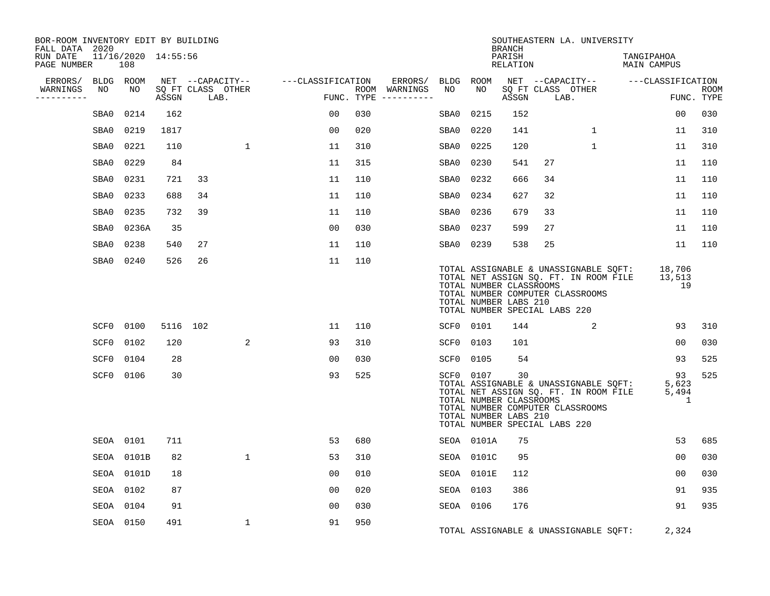| BOR-ROOM INVENTORY EDIT BY BUILDING<br>FALL DATA 2020 |                 |                            |       |                                               |              |                   |            |                                                                                                                                                                                                                                                                                                                                                                                                                                                                                                         |                 |            | <b>BRANCH</b>                                          | SOUTHEASTERN LA. UNIVERSITY                                                                                                                         |              |                           |                           |                           |
|-------------------------------------------------------|-----------------|----------------------------|-------|-----------------------------------------------|--------------|-------------------|------------|---------------------------------------------------------------------------------------------------------------------------------------------------------------------------------------------------------------------------------------------------------------------------------------------------------------------------------------------------------------------------------------------------------------------------------------------------------------------------------------------------------|-----------------|------------|--------------------------------------------------------|-----------------------------------------------------------------------------------------------------------------------------------------------------|--------------|---------------------------|---------------------------|---------------------------|
| RUN DATE<br>PAGE NUMBER                               |                 | 11/16/2020 14:55:56<br>108 |       |                                               |              |                   |            |                                                                                                                                                                                                                                                                                                                                                                                                                                                                                                         |                 |            | PARISH<br><b>RELATION</b>                              |                                                                                                                                                     |              | TANGIPAHOA<br>MAIN CAMPUS |                           |                           |
| ERRORS/<br>WARNINGS<br>---------                      | BLDG ROOM<br>NO | NO                         | ASSGN | NET --CAPACITY--<br>SQ FT CLASS OTHER<br>LAB. |              | ---CLASSIFICATION | FUNC. TYPE | ERRORS/<br>ROOM WARNINGS<br>$\begin{tabular}{ccccccccc} \multicolumn{2}{c }{\multicolumn{2}{c }{\multicolumn{2}{c }{\multicolumn{2}{c }{\multicolumn{2}{c}}}} & \multicolumn{2}{c }{\multicolumn{2}{c }{\multicolumn{2}{c }{\multicolumn{2}{c}}}} & \multicolumn{2}{c }{\multicolumn{2}{c }{\multicolumn{2}{c }{\multicolumn{2}{c}}}} & \multicolumn{2}{c }{\multicolumn{2}{c }{\multicolumn{2}{c }{\multicolumn{2}{c}}}} & \multicolumn{2}{c }{\multicolumn{2}{c }{\multicolumn{2}{c }{\multicolumn{2$ | BLDG ROOM<br>NO | NO         | ASSGN                                                  | NET --CAPACITY--<br>SQ FT CLASS OTHER<br>LAB.                                                                                                       |              | ---CLASSIFICATION         |                           | <b>ROOM</b><br>FUNC. TYPE |
|                                                       | SBA0            | 0214                       | 162   |                                               |              | 00                | 030        |                                                                                                                                                                                                                                                                                                                                                                                                                                                                                                         | SBA0            | 0215       | 152                                                    |                                                                                                                                                     |              |                           | 00                        | 030                       |
|                                                       | SBA0            | 0219                       | 1817  |                                               |              | 0 <sub>0</sub>    | 020        |                                                                                                                                                                                                                                                                                                                                                                                                                                                                                                         | SBA0            | 0220       | 141                                                    |                                                                                                                                                     | $\mathbf{1}$ |                           | 11                        | 310                       |
|                                                       | SBA0            | 0221                       | 110   |                                               | $\mathbf 1$  | 11                | 310        |                                                                                                                                                                                                                                                                                                                                                                                                                                                                                                         | SBA0            | 0225       | 120                                                    |                                                                                                                                                     | $\mathbf 1$  |                           | 11                        | 310                       |
|                                                       | SBA0            | 0229                       | 84    |                                               |              | 11                | 315        |                                                                                                                                                                                                                                                                                                                                                                                                                                                                                                         | SBA0            | 0230       | 541                                                    | 27                                                                                                                                                  |              |                           | 11                        | 110                       |
|                                                       | SBA0            | 0231                       | 721   | 33                                            |              | 11                | 110        |                                                                                                                                                                                                                                                                                                                                                                                                                                                                                                         | SBA0            | 0232       | 666                                                    | 34                                                                                                                                                  |              |                           | 11                        | 110                       |
|                                                       | SBA0            | 0233                       | 688   | 34                                            |              | 11                | 110        |                                                                                                                                                                                                                                                                                                                                                                                                                                                                                                         | SBA0            | 0234       | 627                                                    | 32                                                                                                                                                  |              |                           | 11                        | 110                       |
|                                                       | SBA0            | 0235                       | 732   | 39                                            |              | 11                | 110        |                                                                                                                                                                                                                                                                                                                                                                                                                                                                                                         | SBA0            | 0236       | 679                                                    | 33                                                                                                                                                  |              |                           | 11                        | 110                       |
|                                                       | SBA0            | 0236A                      | 35    |                                               |              | 0 <sub>0</sub>    | 030        |                                                                                                                                                                                                                                                                                                                                                                                                                                                                                                         | SBA0            | 0237       | 599                                                    | 27                                                                                                                                                  |              |                           | 11                        | 110                       |
|                                                       | SBA0            | 0238                       | 540   | 27                                            |              | 11                | 110        |                                                                                                                                                                                                                                                                                                                                                                                                                                                                                                         | SBA0 0239       |            | 538                                                    | 25                                                                                                                                                  |              |                           | 11                        | 110                       |
|                                                       | SBA0            | 0240                       | 526   | 26                                            |              | 11                | 110        |                                                                                                                                                                                                                                                                                                                                                                                                                                                                                                         |                 |            |                                                        |                                                                                                                                                     |              |                           |                           |                           |
|                                                       |                 |                            |       |                                               |              |                   |            |                                                                                                                                                                                                                                                                                                                                                                                                                                                                                                         |                 |            | TOTAL NUMBER CLASSROOMS<br>TOTAL NUMBER LABS 210       | TOTAL ASSIGNABLE & UNASSIGNABLE SQFT:<br>TOTAL NET ASSIGN SQ. FT. IN ROOM FILE<br>TOTAL NUMBER COMPUTER CLASSROOMS<br>TOTAL NUMBER SPECIAL LABS 220 |              |                           | 18,706<br>13,513<br>19    |                           |
|                                                       | SCF0            | 0100                       |       | 5116 102                                      |              | 11                | 110        |                                                                                                                                                                                                                                                                                                                                                                                                                                                                                                         | SCF0 0101       |            | 144                                                    |                                                                                                                                                     | 2            |                           | 93                        | 310                       |
|                                                       | SCF0            | 0102                       | 120   |                                               | 2            | 93                | 310        |                                                                                                                                                                                                                                                                                                                                                                                                                                                                                                         | SCF0 0103       |            | 101                                                    |                                                                                                                                                     |              |                           | 00                        | 030                       |
|                                                       | SCF0            | 0104                       | 28    |                                               |              | 0 <sub>0</sub>    | 030        |                                                                                                                                                                                                                                                                                                                                                                                                                                                                                                         | SCF0            | 0105       | 54                                                     |                                                                                                                                                     |              |                           | 93                        | 525                       |
|                                                       | SCF0            | 0106                       | 30    |                                               |              | 93                | 525        |                                                                                                                                                                                                                                                                                                                                                                                                                                                                                                         |                 | SCF0 0107  | 30<br>TOTAL NUMBER CLASSROOMS<br>TOTAL NUMBER LABS 210 | TOTAL ASSIGNABLE & UNASSIGNABLE SQFT:<br>TOTAL NET ASSIGN SQ. FT. IN ROOM FILE<br>TOTAL NUMBER COMPUTER CLASSROOMS<br>TOTAL NUMBER SPECIAL LABS 220 |              |                           | 93<br>5,623<br>5,494<br>1 | 525                       |
|                                                       |                 | SEOA 0101                  | 711   |                                               |              | 53                | 680        |                                                                                                                                                                                                                                                                                                                                                                                                                                                                                                         |                 | SEOA 0101A | 75                                                     |                                                                                                                                                     |              |                           | 53                        | 685                       |
|                                                       |                 | SEOA 0101B                 | 82    |                                               | $\mathbf 1$  | 53                | 310        |                                                                                                                                                                                                                                                                                                                                                                                                                                                                                                         |                 | SEOA 0101C | 95                                                     |                                                                                                                                                     |              |                           | 0 <sub>0</sub>            | 030                       |
|                                                       |                 | SEOA 0101D                 | 18    |                                               |              | 00                | 010        |                                                                                                                                                                                                                                                                                                                                                                                                                                                                                                         |                 | SEOA 0101E | 112                                                    |                                                                                                                                                     |              |                           | 0 <sub>0</sub>            | 030                       |
|                                                       |                 | SEOA 0102                  | 87    |                                               |              | 0 <sub>0</sub>    | 020        |                                                                                                                                                                                                                                                                                                                                                                                                                                                                                                         | SEOA 0103       |            | 386                                                    |                                                                                                                                                     |              |                           | 91                        | 935                       |
|                                                       |                 | SEOA 0104                  | 91    |                                               |              | 0 <sub>0</sub>    | 030        |                                                                                                                                                                                                                                                                                                                                                                                                                                                                                                         | SEOA 0106       |            | 176                                                    |                                                                                                                                                     |              |                           | 91                        | 935                       |
|                                                       |                 | SEOA 0150                  | 491   |                                               | $\mathbf{1}$ | 91                | 950        |                                                                                                                                                                                                                                                                                                                                                                                                                                                                                                         |                 |            |                                                        | TOTAL ASSIGNABLE & UNASSIGNABLE SQFT:                                                                                                               |              |                           | 2,324                     |                           |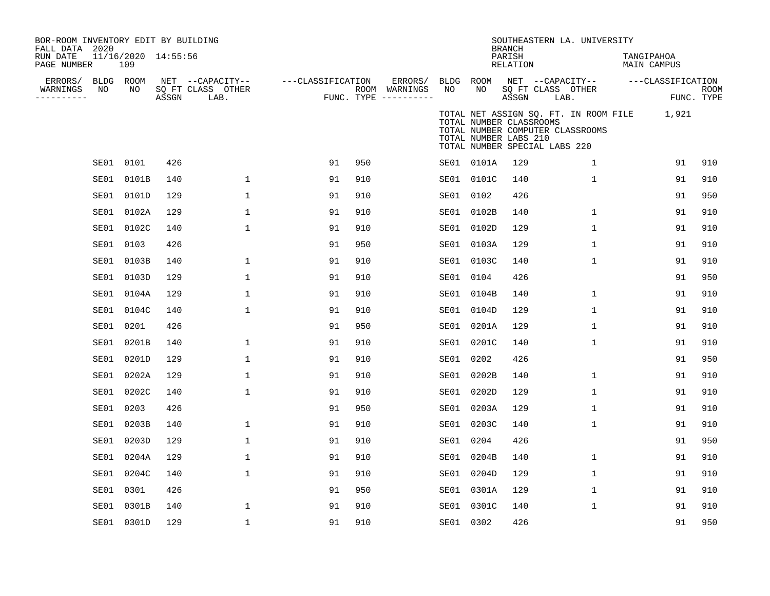| BOR-ROOM INVENTORY EDIT BY BUILDING<br>FALL DATA 2020<br>RUN DATE<br>PAGE NUMBER |                 | 11/16/2020 14:55:56<br>109 |       |                                               |                   |     |                                                 |                 |                                                  | <b>BRANCH</b><br>PARISH<br>RELATION |                               | SOUTHEASTERN LA. UNIVERSITY      | TANGIPAHOA<br><b>MAIN CAMPUS</b>            |                                 |             |
|----------------------------------------------------------------------------------|-----------------|----------------------------|-------|-----------------------------------------------|-------------------|-----|-------------------------------------------------|-----------------|--------------------------------------------------|-------------------------------------|-------------------------------|----------------------------------|---------------------------------------------|---------------------------------|-------------|
| ERRORS/<br>WARNINGS<br>---------                                                 | BLDG ROOM<br>NO | NO                         | ASSGN | NET --CAPACITY--<br>SQ FT CLASS OTHER<br>LAB. | ---CLASSIFICATION |     | ERRORS/<br>ROOM WARNINGS<br>FUNC. TYPE $------$ | BLDG ROOM<br>NO | NO                                               | ASSGN                               | SQ FT CLASS OTHER<br>LAB.     | NET --CAPACITY--                 |                                             | ---CLASSIFICATION<br>FUNC. TYPE | <b>ROOM</b> |
|                                                                                  |                 |                            |       |                                               |                   |     |                                                 |                 | TOTAL NUMBER CLASSROOMS<br>TOTAL NUMBER LABS 210 |                                     | TOTAL NUMBER SPECIAL LABS 220 | TOTAL NUMBER COMPUTER CLASSROOMS | TOTAL NET ASSIGN SQ. FT. IN ROOM FILE 1,921 |                                 |             |
|                                                                                  | SE01 0101       |                            | 426   |                                               | 91                | 950 |                                                 |                 | SE01 0101A                                       | 129                                 |                               | 1                                |                                             | 91                              | 910         |
|                                                                                  | SE01            | 0101B                      | 140   | $\mathbf 1$                                   | 91                | 910 |                                                 |                 | SE01 0101C                                       | 140                                 |                               | 1                                |                                             | 91                              | 910         |
|                                                                                  |                 | SE01 0101D                 | 129   | 1                                             | 91                | 910 |                                                 | SE01 0102       |                                                  | 426                                 |                               |                                  |                                             | 91                              | 950         |
|                                                                                  |                 | SE01 0102A                 | 129   | $\mathbf 1$                                   | 91                | 910 |                                                 |                 | SE01 0102B                                       | 140                                 |                               | $\mathbf{1}$                     |                                             | 91                              | 910         |
|                                                                                  |                 | SE01 0102C                 | 140   | 1                                             | 91                | 910 |                                                 |                 | SE01 0102D                                       | 129                                 |                               | $\mathbf 1$                      |                                             | 91                              | 910         |
|                                                                                  | SE01            | 0103                       | 426   |                                               | 91                | 950 |                                                 |                 | SE01 0103A                                       | 129                                 |                               | 1                                |                                             | 91                              | 910         |
|                                                                                  | SE01            | 0103B                      | 140   | 1                                             | 91                | 910 |                                                 |                 | SE01 0103C                                       | 140                                 |                               | $\mathbf{1}$                     |                                             | 91                              | 910         |
|                                                                                  | SE01            | 0103D                      | 129   | 1                                             | 91                | 910 |                                                 | SE01 0104       |                                                  | 426                                 |                               |                                  |                                             | 91                              | 950         |
|                                                                                  |                 | SE01 0104A                 | 129   | 1                                             | 91                | 910 |                                                 |                 | SE01 0104B                                       | 140                                 |                               | 1                                |                                             | 91                              | 910         |
|                                                                                  | SE01            | 0104C                      | 140   | 1                                             | 91                | 910 |                                                 |                 | SE01 0104D                                       | 129                                 |                               | $\mathbf{1}$                     |                                             | 91                              | 910         |
|                                                                                  | SE01            | 0201                       | 426   |                                               | 91                | 950 |                                                 |                 | SE01 0201A                                       | 129                                 |                               | 1                                |                                             | 91                              | 910         |
|                                                                                  |                 | SE01 0201B                 | 140   | 1                                             | 91                | 910 |                                                 |                 | SE01 0201C                                       | 140                                 |                               | $\mathbf{1}$                     |                                             | 91                              | 910         |
|                                                                                  |                 | SE01 0201D                 | 129   | $\mathbf{1}$                                  | 91                | 910 |                                                 | SE01 0202       |                                                  | 426                                 |                               |                                  |                                             | 91                              | 950         |
|                                                                                  | SE01            | 0202A                      | 129   | 1                                             | 91                | 910 |                                                 |                 | SE01 0202B                                       | 140                                 |                               | 1                                |                                             | 91                              | 910         |
|                                                                                  | SE01            | 0202C                      | 140   | $\mathbf 1$                                   | 91                | 910 |                                                 |                 | SE01 0202D                                       | 129                                 |                               | $\mathbf 1$                      |                                             | 91                              | 910         |
|                                                                                  | SE01            | 0203                       | 426   |                                               | 91                | 950 |                                                 |                 | SE01 0203A                                       | 129                                 |                               | $\mathbf{1}$                     |                                             | 91                              | 910         |
|                                                                                  | SE01            | 0203B                      | 140   | $\mathbf{1}$                                  | 91                | 910 |                                                 |                 | SE01 0203C                                       | 140                                 |                               | $\mathbf{1}$                     |                                             | 91                              | 910         |
|                                                                                  | SE01            | 0203D                      | 129   | 1                                             | 91                | 910 |                                                 | SE01 0204       |                                                  | 426                                 |                               |                                  |                                             | 91                              | 950         |
|                                                                                  | SE01            | 0204A                      | 129   | $\mathbf 1$                                   | 91                | 910 |                                                 |                 | SE01 0204B                                       | 140                                 |                               | 1                                |                                             | 91                              | 910         |
|                                                                                  | SE01            | 0204C                      | 140   | 1                                             | 91                | 910 |                                                 |                 | SE01 0204D                                       | 129                                 |                               | $\mathbf{1}$                     |                                             | 91                              | 910         |
|                                                                                  | SE01            | 0301                       | 426   |                                               | 91                | 950 |                                                 |                 | SE01 0301A                                       | 129                                 |                               | 1                                |                                             | 91                              | 910         |
|                                                                                  | SE01            | 0301B                      | 140   | 1                                             | 91                | 910 |                                                 |                 | SE01 0301C                                       | 140                                 |                               | 1                                |                                             | 91                              | 910         |
|                                                                                  |                 | SE01 0301D                 | 129   | 1                                             | 91                | 910 |                                                 | SE01 0302       |                                                  | 426                                 |                               |                                  |                                             | 91                              | 950         |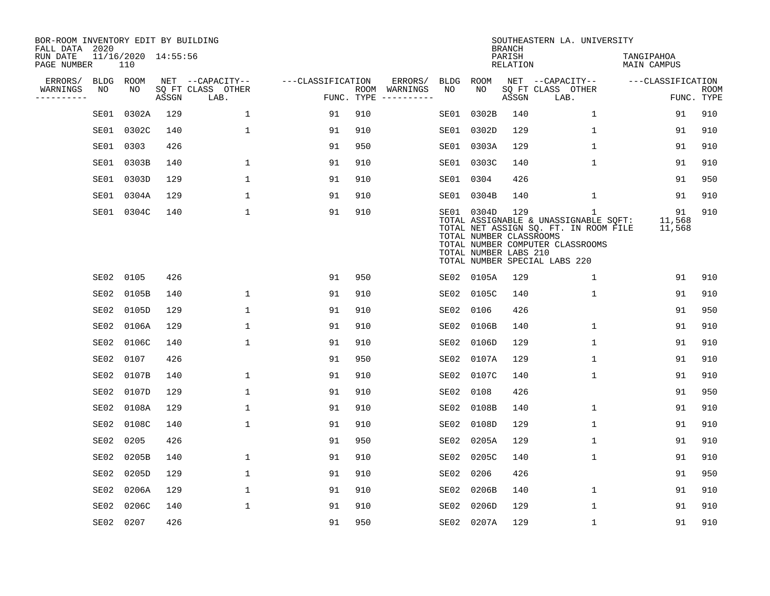| BOR-ROOM INVENTORY EDIT BY BUILDING<br>FALL DATA 2020 |      |                            |       |                           |                   |     |                                      |             |                                                                | <b>BRANCH</b>             | SOUTHEASTERN LA. UNIVERSITY                                                                                                                                         |                                  |                           |
|-------------------------------------------------------|------|----------------------------|-------|---------------------------|-------------------|-----|--------------------------------------|-------------|----------------------------------------------------------------|---------------------------|---------------------------------------------------------------------------------------------------------------------------------------------------------------------|----------------------------------|---------------------------|
| RUN DATE<br>PAGE NUMBER                               |      | 11/16/2020 14:55:56<br>110 |       |                           |                   |     |                                      |             |                                                                | PARISH<br><b>RELATION</b> |                                                                                                                                                                     | TANGIPAHOA<br><b>MAIN CAMPUS</b> |                           |
| ERRORS/                                               |      | BLDG ROOM                  |       | NET --CAPACITY--          | ---CLASSIFICATION |     | ERRORS/                              | <b>BLDG</b> | <b>ROOM</b>                                                    |                           | NET --CAPACITY--                                                                                                                                                    | ---CLASSIFICATION                |                           |
| WARNINGS<br>----------                                | NO   | NO                         | ASSGN | SQ FT CLASS OTHER<br>LAB. |                   |     | ROOM WARNINGS<br>FUNC. TYPE $------$ | NO          | NO                                                             | ASSGN                     | SQ FT CLASS OTHER<br>LAB.                                                                                                                                           |                                  | <b>ROOM</b><br>FUNC. TYPE |
|                                                       | SE01 | 0302A                      | 129   | $\mathbf 1$               | 91                | 910 |                                      |             | SE01 0302B                                                     | 140                       | 1                                                                                                                                                                   | 91                               | 910                       |
|                                                       | SE01 | 0302C                      | 140   | $\mathbf 1$               | 91                | 910 |                                      |             | SE01 0302D                                                     | 129                       | 1                                                                                                                                                                   | 91                               | 910                       |
|                                                       | SE01 | 0303                       | 426   |                           | 91                | 950 |                                      |             | SE01 0303A                                                     | 129                       | 1                                                                                                                                                                   | 91                               | 910                       |
|                                                       | SE01 | 0303B                      | 140   | $\mathbf 1$               | 91                | 910 |                                      |             | SE01 0303C                                                     | 140                       | 1                                                                                                                                                                   | 91                               | 910                       |
|                                                       | SE01 | 0303D                      | 129   | $\mathbf{1}$              | 91                | 910 |                                      |             | SE01 0304                                                      | 426                       |                                                                                                                                                                     | 91                               | 950                       |
|                                                       | SE01 | 0304A                      | 129   | $\mathbf{1}$              | 91                | 910 |                                      |             | SE01 0304B                                                     | 140                       | 1                                                                                                                                                                   | 91                               | 910                       |
|                                                       |      | SE01 0304C                 | 140   | $\mathbf{1}$              | 91                | 910 |                                      |             | SE01 0304D<br>TOTAL NUMBER CLASSROOMS<br>TOTAL NUMBER LABS 210 | 129                       | $\mathbf{1}$<br>TOTAL ASSIGNABLE & UNASSIGNABLE SQFT:<br>TOTAL NET ASSIGN SQ. FT. IN ROOM FILE<br>TOTAL NUMBER COMPUTER CLASSROOMS<br>TOTAL NUMBER SPECIAL LABS 220 | 91<br>11,568<br>11,568           | 910                       |
|                                                       | SE02 | 0105                       | 426   |                           | 91                | 950 |                                      |             | SE02 0105A                                                     | 129                       | 1                                                                                                                                                                   | 91                               | 910                       |
|                                                       | SE02 | 0105B                      | 140   | $\mathbf{1}$              | 91                | 910 |                                      |             | SE02 0105C                                                     | 140                       | $\mathbf 1$                                                                                                                                                         | 91                               | 910                       |
|                                                       | SE02 | 0105D                      | 129   | $\mathbf 1$               | 91                | 910 |                                      | SE02        | 0106                                                           | 426                       |                                                                                                                                                                     | 91                               | 950                       |
|                                                       | SE02 | 0106A                      | 129   | 1                         | 91                | 910 |                                      | SE02        | 0106B                                                          | 140                       | 1                                                                                                                                                                   | 91                               | 910                       |
|                                                       | SE02 | 0106C                      | 140   | $\mathbf{1}$              | 91                | 910 |                                      | SE02        | 0106D                                                          | 129                       | 1                                                                                                                                                                   | 91                               | 910                       |
|                                                       | SE02 | 0107                       | 426   |                           | 91                | 950 |                                      | SE02        | 0107A                                                          | 129                       | 1                                                                                                                                                                   | 91                               | 910                       |
|                                                       | SE02 | 0107B                      | 140   | 1                         | 91                | 910 |                                      | SE02        | 0107C                                                          | 140                       | 1                                                                                                                                                                   | 91                               | 910                       |
|                                                       | SE02 | 0107D                      | 129   | $\mathbf{1}$              | 91                | 910 |                                      | SE02        | 0108                                                           | 426                       |                                                                                                                                                                     | 91                               | 950                       |
|                                                       | SE02 | 0108A                      | 129   | $\mathbf{1}$              | 91                | 910 |                                      | SE02        | 0108B                                                          | 140                       | 1                                                                                                                                                                   | 91                               | 910                       |
|                                                       | SE02 | 0108C                      | 140   | $\mathbf{1}$              | 91                | 910 |                                      | SE02        | 0108D                                                          | 129                       | 1                                                                                                                                                                   | 91                               | 910                       |
|                                                       | SE02 | 0205                       | 426   |                           | 91                | 950 |                                      | SE02        | 0205A                                                          | 129                       | 1                                                                                                                                                                   | 91                               | 910                       |
|                                                       | SE02 | 0205B                      | 140   | $\mathbf 1$               | 91                | 910 |                                      | SE02        | 0205C                                                          | 140                       | $\mathbf 1$                                                                                                                                                         | 91                               | 910                       |
|                                                       | SE02 | 0205D                      | 129   | 1                         | 91                | 910 |                                      | SE02        | 0206                                                           | 426                       |                                                                                                                                                                     | 91                               | 950                       |
|                                                       | SE02 | 0206A                      | 129   | $\mathbf{1}$              | 91                | 910 |                                      | SE02        | 0206B                                                          | 140                       | $\mathbf 1$                                                                                                                                                         | 91                               | 910                       |
|                                                       | SE02 | 0206C                      | 140   | $\mathbf{1}$              | 91                | 910 |                                      | SE02        | 0206D                                                          | 129                       | $\mathbf{1}$                                                                                                                                                        | 91                               | 910                       |
|                                                       |      | SE02 0207                  | 426   |                           | 91                | 950 |                                      |             | SE02 0207A                                                     | 129                       | 1                                                                                                                                                                   | 91                               | 910                       |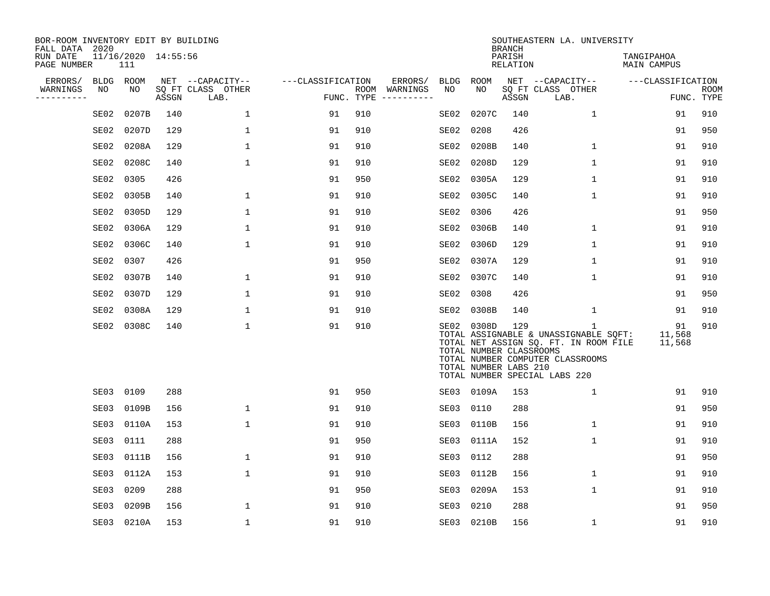| BOR-ROOM INVENTORY EDIT BY BUILDING<br>FALL DATA 2020 |             |                            |       |                           |                   |            |                                                                                                                                                                                                                                                                                                                                                                                                                                                                                              |             |                                                                | <b>BRANCH</b>      | SOUTHEASTERN LA. UNIVERSITY                                                                                                                              |                           |                    |
|-------------------------------------------------------|-------------|----------------------------|-------|---------------------------|-------------------|------------|----------------------------------------------------------------------------------------------------------------------------------------------------------------------------------------------------------------------------------------------------------------------------------------------------------------------------------------------------------------------------------------------------------------------------------------------------------------------------------------------|-------------|----------------------------------------------------------------|--------------------|----------------------------------------------------------------------------------------------------------------------------------------------------------|---------------------------|--------------------|
| RUN DATE<br>PAGE NUMBER                               |             | 11/16/2020 14:55:56<br>111 |       |                           |                   |            |                                                                                                                                                                                                                                                                                                                                                                                                                                                                                              |             |                                                                | PARISH<br>RELATION |                                                                                                                                                          | TANGIPAHOA<br>MAIN CAMPUS |                    |
| ERRORS/                                               | <b>BLDG</b> | ROOM                       |       | NET --CAPACITY--          | ---CLASSIFICATION |            | ERRORS/                                                                                                                                                                                                                                                                                                                                                                                                                                                                                      | <b>BLDG</b> | ROOM                                                           |                    | NET --CAPACITY--                                                                                                                                         | ---CLASSIFICATION         |                    |
| WARNINGS<br>----------                                | NO          | NO                         | ASSGN | SQ FT CLASS OTHER<br>LAB. |                   | FUNC. TYPE | ROOM WARNINGS<br>$\begin{tabular}{ccccccccc} \multicolumn{2}{c }{\multicolumn{2}{c }{\multicolumn{2}{c }{\multicolumn{2}{c }{\multicolumn{2}{c}}}} & \multicolumn{2}{c }{\multicolumn{2}{c }{\multicolumn{2}{c }{\multicolumn{2}{c}}}} & \multicolumn{2}{c }{\multicolumn{2}{c }{\multicolumn{2}{c }{\multicolumn{2}{c}}}} & \multicolumn{2}{c }{\multicolumn{2}{c }{\multicolumn{2}{c }{\multicolumn{2}{c}}}} & \multicolumn{2}{c }{\multicolumn{2}{c }{\multicolumn{2}{c }{\multicolumn{2$ | NO          | NO                                                             | ASSGN              | SQ FT CLASS OTHER<br>LAB.                                                                                                                                |                           | ROOM<br>FUNC. TYPE |
|                                                       | SE02        | 0207B                      | 140   | $\mathbf 1$               | 91                | 910        |                                                                                                                                                                                                                                                                                                                                                                                                                                                                                              | SE02        | 0207C                                                          | 140                | $\mathbf 1$                                                                                                                                              | 91                        | 910                |
|                                                       | SE02        | 0207D                      | 129   | 1                         | 91                | 910        |                                                                                                                                                                                                                                                                                                                                                                                                                                                                                              | SE02        | 0208                                                           | 426                |                                                                                                                                                          | 91                        | 950                |
|                                                       | SE02        | 0208A                      | 129   | $\mathbf 1$               | 91                | 910        |                                                                                                                                                                                                                                                                                                                                                                                                                                                                                              | SE02        | 0208B                                                          | 140                | $\mathbf 1$                                                                                                                                              | 91                        | 910                |
|                                                       | SE02        | 0208C                      | 140   | $\mathbf 1$               | 91                | 910        |                                                                                                                                                                                                                                                                                                                                                                                                                                                                                              | SE02        | 0208D                                                          | 129                | $\mathbf{1}$                                                                                                                                             | 91                        | 910                |
|                                                       | SE02        | 0305                       | 426   |                           | 91                | 950        |                                                                                                                                                                                                                                                                                                                                                                                                                                                                                              | SE02        | 0305A                                                          | 129                | $\mathbf{1}$                                                                                                                                             | 91                        | 910                |
|                                                       | SE02        | 0305B                      | 140   | 1                         | 91                | 910        |                                                                                                                                                                                                                                                                                                                                                                                                                                                                                              | SE02        | 0305C                                                          | 140                | 1                                                                                                                                                        | 91                        | 910                |
|                                                       | SE02        | 0305D                      | 129   | $\mathbf{1}$              | 91                | 910        |                                                                                                                                                                                                                                                                                                                                                                                                                                                                                              | SE02        | 0306                                                           | 426                |                                                                                                                                                          | 91                        | 950                |
|                                                       | SE02        | 0306A                      | 129   | $\mathbf 1$               | 91                | 910        |                                                                                                                                                                                                                                                                                                                                                                                                                                                                                              | SE02        | 0306B                                                          | 140                | $\mathbf 1$                                                                                                                                              | 91                        | 910                |
|                                                       | SE02        | 0306C                      | 140   | $\mathbf 1$               | 91                | 910        |                                                                                                                                                                                                                                                                                                                                                                                                                                                                                              | SE02        | 0306D                                                          | 129                | $\mathbf 1$                                                                                                                                              | 91                        | 910                |
|                                                       | SE02        | 0307                       | 426   |                           | 91                | 950        |                                                                                                                                                                                                                                                                                                                                                                                                                                                                                              | SE02        | 0307A                                                          | 129                | 1                                                                                                                                                        | 91                        | 910                |
|                                                       | SE02        | 0307B                      | 140   | 1                         | 91                | 910        |                                                                                                                                                                                                                                                                                                                                                                                                                                                                                              | SE02        | 0307C                                                          | 140                | 1                                                                                                                                                        | 91                        | 910                |
|                                                       | SE02        | 0307D                      | 129   | $\mathbf 1$               | 91                | 910        |                                                                                                                                                                                                                                                                                                                                                                                                                                                                                              | SE02        | 0308                                                           | 426                |                                                                                                                                                          | 91                        | 950                |
|                                                       | SE02        | 0308A                      | 129   | 1                         | 91                | 910        |                                                                                                                                                                                                                                                                                                                                                                                                                                                                                              | SE02        | 0308B                                                          | 140                | 1                                                                                                                                                        | 91                        | 910                |
|                                                       | SE02        | 0308C                      | 140   | $\mathbf 1$               | 91                | 910        |                                                                                                                                                                                                                                                                                                                                                                                                                                                                                              |             | SE02 0308D<br>TOTAL NUMBER CLASSROOMS<br>TOTAL NUMBER LABS 210 | 129                | 1<br>TOTAL ASSIGNABLE & UNASSIGNABLE SQFT:<br>TOTAL NET ASSIGN SQ. FT. IN ROOM FILE<br>TOTAL NUMBER COMPUTER CLASSROOMS<br>TOTAL NUMBER SPECIAL LABS 220 | 91<br>11,568<br>11,568    | 910                |
|                                                       | SE03        | 0109                       | 288   |                           | 91                | 950        |                                                                                                                                                                                                                                                                                                                                                                                                                                                                                              | SE03        | 0109A                                                          | 153                | $\mathbf 1$                                                                                                                                              | 91                        | 910                |
|                                                       | SE03        | 0109B                      | 156   | $\mathbf{1}$              | 91                | 910        |                                                                                                                                                                                                                                                                                                                                                                                                                                                                                              | SE03        | 0110                                                           | 288                |                                                                                                                                                          | 91                        | 950                |
|                                                       | SE03        | 0110A                      | 153   | $\mathbf{1}$              | 91                | 910        |                                                                                                                                                                                                                                                                                                                                                                                                                                                                                              | SE03        | 0110B                                                          | 156                | $\mathbf 1$                                                                                                                                              | 91                        | 910                |
|                                                       | SE03        | 0111                       | 288   |                           | 91                | 950        |                                                                                                                                                                                                                                                                                                                                                                                                                                                                                              | SE03        | 0111A                                                          | 152                | $\mathbf{1}$                                                                                                                                             | 91                        | 910                |
|                                                       | SE03        | 0111B                      | 156   | 1                         | 91                | 910        |                                                                                                                                                                                                                                                                                                                                                                                                                                                                                              | SE03        | 0112                                                           | 288                |                                                                                                                                                          | 91                        | 950                |
|                                                       | SE03        | 0112A                      | 153   | $\mathbf{1}$              | 91                | 910        |                                                                                                                                                                                                                                                                                                                                                                                                                                                                                              | SE03        | 0112B                                                          | 156                | $\mathbf{1}$                                                                                                                                             | 91                        | 910                |
|                                                       | SE03        | 0209                       | 288   |                           | 91                | 950        |                                                                                                                                                                                                                                                                                                                                                                                                                                                                                              | SE03        | 0209A                                                          | 153                | 1                                                                                                                                                        | 91                        | 910                |
|                                                       | SE03        | 0209B                      | 156   | 1                         | 91                | 910        |                                                                                                                                                                                                                                                                                                                                                                                                                                                                                              | SE03        | 0210                                                           | 288                |                                                                                                                                                          | 91                        | 950                |
|                                                       | SE03        | 0210A                      | 153   | 1                         | 91                | 910        |                                                                                                                                                                                                                                                                                                                                                                                                                                                                                              |             | SE03 0210B                                                     | 156                | $\mathbf 1$                                                                                                                                              | 91                        | 910                |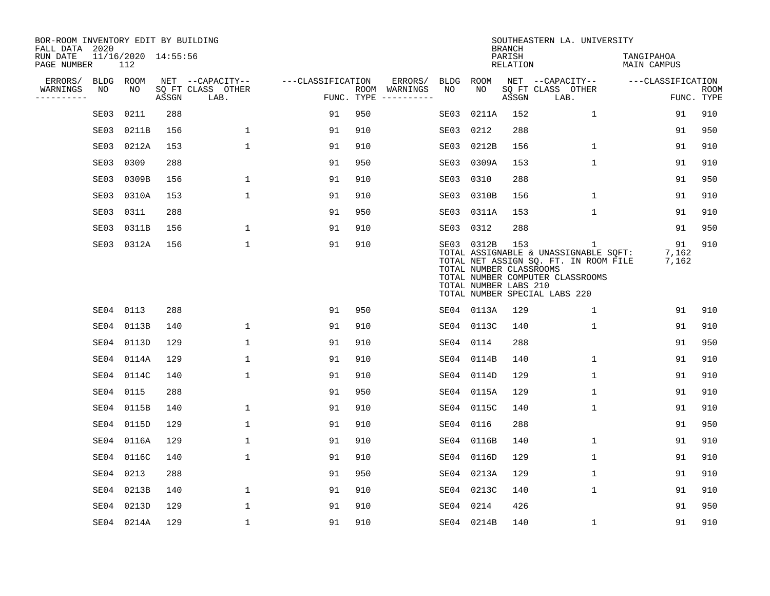| BOR-ROOM INVENTORY EDIT BY BUILDING<br>FALL DATA 2020 |      |                            |       |                           |                   |     |                                      |      |                                                                | <b>BRANCH</b>      | SOUTHEASTERN LA. UNIVERSITY                                                                                                                                         |                           |                           |
|-------------------------------------------------------|------|----------------------------|-------|---------------------------|-------------------|-----|--------------------------------------|------|----------------------------------------------------------------|--------------------|---------------------------------------------------------------------------------------------------------------------------------------------------------------------|---------------------------|---------------------------|
| RUN DATE<br>PAGE NUMBER                               |      | 11/16/2020 14:55:56<br>112 |       |                           |                   |     |                                      |      |                                                                | PARISH<br>RELATION |                                                                                                                                                                     | TANGIPAHOA<br>MAIN CAMPUS |                           |
| ERRORS/                                               |      | BLDG ROOM                  |       | NET --CAPACITY--          | ---CLASSIFICATION |     | ERRORS/                              | BLDG | ROOM                                                           |                    | NET --CAPACITY--                                                                                                                                                    | ---CLASSIFICATION         |                           |
| WARNINGS<br>----------                                | NO   | NO                         | ASSGN | SQ FT CLASS OTHER<br>LAB. |                   |     | ROOM WARNINGS<br>FUNC. TYPE $------$ | NO.  | NO.                                                            | ASSGN              | SQ FT CLASS OTHER<br>LAB.                                                                                                                                           |                           | <b>ROOM</b><br>FUNC. TYPE |
|                                                       | SE03 | 0211                       | 288   |                           | 91                | 950 |                                      | SE03 | 0211A                                                          | 152                | $\mathbf{1}$                                                                                                                                                        | 91                        | 910                       |
|                                                       | SE03 | 0211B                      | 156   | $\mathbf 1$               | 91                | 910 |                                      | SE03 | 0212                                                           | 288                |                                                                                                                                                                     | 91                        | 950                       |
|                                                       | SE03 | 0212A                      | 153   | $\mathbf{1}$              | 91                | 910 |                                      | SE03 | 0212B                                                          | 156                | $\mathbf{1}$                                                                                                                                                        | 91                        | 910                       |
|                                                       | SE03 | 0309                       | 288   |                           | 91                | 950 |                                      |      | SE03 0309A                                                     | 153                | $\mathbf{1}$                                                                                                                                                        | 91                        | 910                       |
|                                                       | SE03 | 0309B                      | 156   | $\mathbf 1$               | 91                | 910 |                                      |      | SE03 0310                                                      | 288                |                                                                                                                                                                     | 91                        | 950                       |
|                                                       | SE03 | 0310A                      | 153   | $\mathbf 1$               | 91                | 910 |                                      |      | SE03 0310B                                                     | 156                | 1                                                                                                                                                                   | 91                        | 910                       |
|                                                       | SE03 | 0311                       | 288   |                           | 91                | 950 |                                      |      | SE03 0311A                                                     | 153                | $\mathbf 1$                                                                                                                                                         | 91                        | 910                       |
|                                                       | SE03 | 0311B                      | 156   | $\mathbf{1}$              | 91                | 910 |                                      |      | SE03 0312                                                      | 288                |                                                                                                                                                                     | 91                        | 950                       |
|                                                       |      | SE03 0312A                 | 156   | $\mathbf{1}$              | 91                | 910 |                                      |      | SE03 0312B<br>TOTAL NUMBER CLASSROOMS<br>TOTAL NUMBER LABS 210 | 153                | $\mathbf{1}$<br>TOTAL ASSIGNABLE & UNASSIGNABLE SQFT:<br>TOTAL NET ASSIGN SQ. FT. IN ROOM FILE<br>TOTAL NUMBER COMPUTER CLASSROOMS<br>TOTAL NUMBER SPECIAL LABS 220 | 91<br>7,162<br>7,162      | 910                       |
|                                                       |      | SE04 0113                  | 288   |                           | 91                | 950 |                                      |      | SE04 0113A                                                     | 129                | $\mathbf{1}$                                                                                                                                                        | 91                        | 910                       |
|                                                       |      | SE04 0113B                 | 140   | $\mathbf{1}$              | 91                | 910 |                                      |      | SE04 0113C                                                     | 140                | $\mathbf{1}$                                                                                                                                                        | 91                        | 910                       |
|                                                       |      | SE04 0113D                 | 129   | 1                         | 91                | 910 |                                      |      | SE04 0114                                                      | 288                |                                                                                                                                                                     | 91                        | 950                       |
|                                                       |      | SE04 0114A                 | 129   | $\mathbf 1$               | 91                | 910 |                                      |      | SE04 0114B                                                     | 140                | 1                                                                                                                                                                   | 91                        | 910                       |
|                                                       |      | SE04 0114C                 | 140   | $\mathbf 1$               | 91                | 910 |                                      |      | SE04 0114D                                                     | 129                | 1                                                                                                                                                                   | 91                        | 910                       |
|                                                       |      | SE04 0115                  | 288   |                           | 91                | 950 |                                      |      | SE04 0115A                                                     | 129                | $\mathbf 1$                                                                                                                                                         | 91                        | 910                       |
|                                                       |      | SE04 0115B                 | 140   | $\mathbf{1}$              | 91                | 910 |                                      |      | SE04 0115C                                                     | 140                | 1                                                                                                                                                                   | 91                        | 910                       |
|                                                       |      | SE04 0115D                 | 129   | $\mathbf{1}$              | 91                | 910 |                                      |      | SE04 0116                                                      | 288                |                                                                                                                                                                     | 91                        | 950                       |
|                                                       |      | SE04 0116A                 | 129   | $\mathbf 1$               | 91                | 910 |                                      |      | SE04 0116B                                                     | 140                | 1                                                                                                                                                                   | 91                        | 910                       |
|                                                       |      | SE04 0116C                 | 140   | $\mathbf 1$               | 91                | 910 |                                      |      | SE04 0116D                                                     | 129                | $\mathbf 1$                                                                                                                                                         | 91                        | 910                       |
|                                                       | SE04 | 0213                       | 288   |                           | 91                | 950 |                                      |      | SE04 0213A                                                     | 129                | 1                                                                                                                                                                   | 91                        | 910                       |
|                                                       |      | SE04 0213B                 | 140   | $\mathbf 1$               | 91                | 910 |                                      |      | SE04 0213C                                                     | 140                | $\mathbf 1$                                                                                                                                                         | 91                        | 910                       |
|                                                       | SE04 | 0213D                      | 129   | $\mathbf{1}$              | 91                | 910 |                                      |      | SE04 0214                                                      | 426                |                                                                                                                                                                     | 91                        | 950                       |
|                                                       |      | SE04 0214A                 | 129   | $\mathbf{1}$              | 91                | 910 |                                      |      | SE04 0214B                                                     | 140                | 1                                                                                                                                                                   | 91                        | 910                       |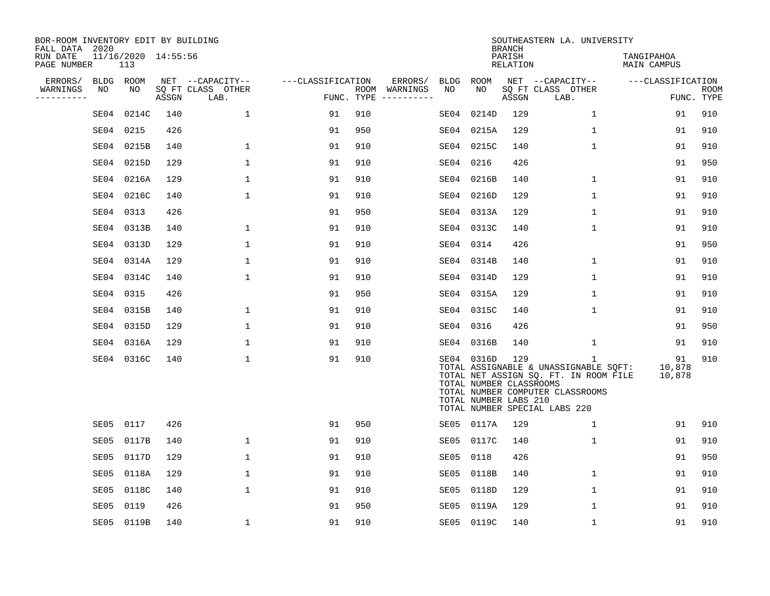| BOR-ROOM INVENTORY EDIT BY BUILDING<br>FALL DATA 2020 |             |       |                     |                           |                   |     |                              |             |                                                                | <b>BRANCH</b>             | SOUTHEASTERN LA. UNIVERSITY                                                                                                                              |                           |                           |
|-------------------------------------------------------|-------------|-------|---------------------|---------------------------|-------------------|-----|------------------------------|-------------|----------------------------------------------------------------|---------------------------|----------------------------------------------------------------------------------------------------------------------------------------------------------|---------------------------|---------------------------|
| RUN DATE<br>PAGE NUMBER                               |             | 113   | 11/16/2020 14:55:56 |                           |                   |     |                              |             |                                                                | PARISH<br><b>RELATION</b> |                                                                                                                                                          | TANGIPAHOA<br>MAIN CAMPUS |                           |
| ERRORS/                                               | <b>BLDG</b> | ROOM  |                     | NET --CAPACITY--          | ---CLASSIFICATION |     | ERRORS/                      | <b>BLDG</b> | ROOM                                                           |                           | NET --CAPACITY--                                                                                                                                         | ---CLASSIFICATION         |                           |
| WARNINGS<br>----------                                | NO          | NO    | ASSGN               | SQ FT CLASS OTHER<br>LAB. | FUNC. TYPE        |     | ROOM WARNINGS<br>----------- | NO          | NO                                                             | ASSGN                     | SQ FT CLASS OTHER<br>LAB.                                                                                                                                |                           | <b>ROOM</b><br>FUNC. TYPE |
|                                                       | SE04        | 0214C | 140                 | $\mathbf{1}$              | 91                | 910 |                              | SE04        | 0214D                                                          | 129                       | $\mathbf{1}$                                                                                                                                             | 91                        | 910                       |
|                                                       | SE04        | 0215  | 426                 |                           | 91                | 950 |                              | SE04        | 0215A                                                          | 129                       | $\mathbf 1$                                                                                                                                              | 91                        | 910                       |
|                                                       | SE04        | 0215B | 140                 | $\mathbf 1$               | 91                | 910 |                              | SE04        | 0215C                                                          | 140                       | $\mathbf 1$                                                                                                                                              | 91                        | 910                       |
|                                                       | SE04        | 0215D | 129                 | $\mathbf{1}$              | 91                | 910 |                              | SE04        | 0216                                                           | 426                       |                                                                                                                                                          | 91                        | 950                       |
|                                                       | SE04        | 0216A | 129                 | $\mathbf{1}$              | 91                | 910 |                              | SE04        | 0216B                                                          | 140                       | $\mathbf 1$                                                                                                                                              | 91                        | 910                       |
|                                                       | SE04        | 0216C | 140                 | 1                         | 91                | 910 |                              |             | SE04 0216D                                                     | 129                       | $\mathbf{1}$                                                                                                                                             | 91                        | 910                       |
|                                                       | SE04        | 0313  | 426                 |                           | 91                | 950 |                              |             | SE04 0313A                                                     | 129                       | $\mathbf{1}$                                                                                                                                             | 91                        | 910                       |
|                                                       | SE04        | 0313B | 140                 | $\mathbf 1$               | 91                | 910 |                              |             | SE04 0313C                                                     | 140                       | $\mathbf{1}$                                                                                                                                             | 91                        | 910                       |
|                                                       | SE04        | 0313D | 129                 | $\mathbf{1}$              | 91                | 910 |                              | SE04        | 0314                                                           | 426                       |                                                                                                                                                          | 91                        | 950                       |
|                                                       | SE04        | 0314A | 129                 | 1                         | 91                | 910 |                              | SE04        | 0314B                                                          | 140                       | 1                                                                                                                                                        | 91                        | 910                       |
|                                                       | SE04        | 0314C | 140                 | 1                         | 91                | 910 |                              | SE04        | 0314D                                                          | 129                       | $\mathbf{1}$                                                                                                                                             | 91                        | 910                       |
|                                                       | SE04        | 0315  | 426                 |                           | 91                | 950 |                              |             | SE04 0315A                                                     | 129                       | $\mathbf 1$                                                                                                                                              | 91                        | 910                       |
|                                                       | SE04        | 0315B | 140                 | 1                         | 91                | 910 |                              | SE04        | 0315C                                                          | 140                       | $\mathbf 1$                                                                                                                                              | 91                        | 910                       |
|                                                       | SE04        | 0315D | 129                 | $\mathbf 1$               | 91                | 910 |                              | SE04        | 0316                                                           | 426                       |                                                                                                                                                          | 91                        | 950                       |
|                                                       | SE04        | 0316A | 129                 | $\mathbf 1$               | 91                | 910 |                              |             | SE04 0316B                                                     | 140                       | 1                                                                                                                                                        | 91                        | 910                       |
|                                                       | SE04 0316C  |       | 140                 | 1                         | 91                | 910 |                              |             | SE04 0316D<br>TOTAL NUMBER CLASSROOMS<br>TOTAL NUMBER LABS 210 | 129                       | 1<br>TOTAL ASSIGNABLE & UNASSIGNABLE SQFT:<br>TOTAL NET ASSIGN SQ. FT. IN ROOM FILE<br>TOTAL NUMBER COMPUTER CLASSROOMS<br>TOTAL NUMBER SPECIAL LABS 220 | 91<br>10,878<br>10,878    | 910                       |
|                                                       | SE05        | 0117  | 426                 |                           | 91                | 950 |                              | SE05        | 0117A                                                          | 129                       | $\mathbf 1$                                                                                                                                              | 91                        | 910                       |
|                                                       | SE05        | 0117B | 140                 | 1                         | 91                | 910 |                              | SE05        | 0117C                                                          | 140                       | 1                                                                                                                                                        | 91                        | 910                       |
|                                                       | SE05        | 0117D | 129                 | $\mathbf 1$               | 91                | 910 |                              | SE05        | 0118                                                           | 426                       |                                                                                                                                                          | 91                        | 950                       |
|                                                       | SE05        | 0118A | 129                 | $\mathbf 1$               | 91                | 910 |                              | SE05        | 0118B                                                          | 140                       | 1                                                                                                                                                        | 91                        | 910                       |
|                                                       | SE05        | 0118C | 140                 | $\mathbf{1}$              | 91                | 910 |                              | SE05        | 0118D                                                          | 129                       | $\mathbf 1$                                                                                                                                              | 91                        | 910                       |
|                                                       | SE05        | 0119  | 426                 |                           | 91                | 950 |                              | SE05        | 0119A                                                          | 129                       | $\mathbf 1$                                                                                                                                              | 91                        | 910                       |
|                                                       | SE05 0119B  |       | 140                 | $\mathbf{1}$              | 91                | 910 |                              |             | SE05 0119C                                                     | 140                       | $\mathbf{1}$                                                                                                                                             | 91                        | 910                       |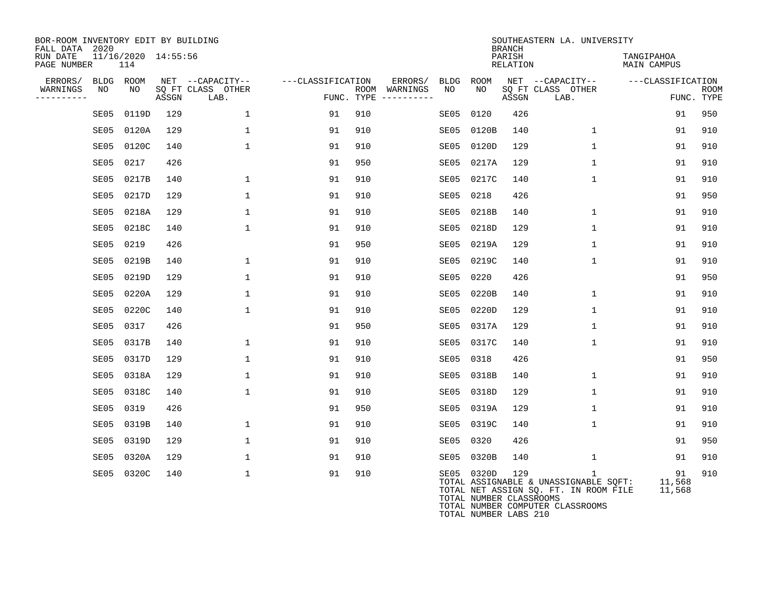| BOR-ROOM INVENTORY EDIT BY BUILDING<br>FALL DATA 2020<br>RUN DATE<br>PAGE NUMBER | 11/16/2020 14:55:56<br>114 |       |                                       |                   |                          |                   |                                       | <b>BRANCH</b><br>PARISH<br>RELATION | SOUTHEASTERN LA. UNIVERSITY                                                                                             | TANGIPAHOA<br><b>MAIN CAMPUS</b> |             |
|----------------------------------------------------------------------------------|----------------------------|-------|---------------------------------------|-------------------|--------------------------|-------------------|---------------------------------------|-------------------------------------|-------------------------------------------------------------------------------------------------------------------------|----------------------------------|-------------|
| ERRORS/<br>WARNINGS<br>NO                                                        | BLDG ROOM<br>NO.           |       | NET --CAPACITY--<br>SO FT CLASS OTHER | ---CLASSIFICATION | ERRORS/<br>ROOM WARNINGS | <b>BLDG</b><br>NO | ROOM<br>NO.                           |                                     | NET --CAPACITY--<br>SO FT CLASS OTHER                                                                                   | ---CLASSIFICATION                | <b>ROOM</b> |
| ----------                                                                       |                            | ASSGN | LAB.                                  |                   | FUNC. TYPE $------$      |                   |                                       | ASSGN                               | LAB.                                                                                                                    |                                  | FUNC. TYPE  |
| SE05                                                                             | 0119D                      | 129   | $\mathbf 1$                           | 91                | 910                      | SE05              | 0120                                  | 426                                 |                                                                                                                         | 91                               | 950         |
| SE05                                                                             | 0120A                      | 129   | $\mathbf{1}$                          | 91                | 910                      | SE05              | 0120B                                 | 140                                 | $\mathbf{1}$                                                                                                            | 91                               | 910         |
| SE05                                                                             | 0120C                      | 140   | $\mathbf{1}$                          | 91                | 910                      |                   | SE05 0120D                            | 129                                 | $\mathbf 1$                                                                                                             | 91                               | 910         |
| SE05                                                                             | 0217                       | 426   |                                       | 91                | 950                      | SE05              | 0217A                                 | 129                                 | $\mathbf{1}$                                                                                                            | 91                               | 910         |
| SE05                                                                             | 0217B                      | 140   | 1                                     | 91                | 910                      | SE05              | 0217C                                 | 140                                 | 1                                                                                                                       | 91                               | 910         |
| SE05                                                                             | 0217D                      | 129   | $\mathbf{1}$                          | 91                | 910                      | SE05              | 0218                                  | 426                                 |                                                                                                                         | 91                               | 950         |
| SE05                                                                             | 0218A                      | 129   | $\mathbf 1$                           | 91                | 910                      | SE05              | 0218B                                 | 140                                 | $\mathbf 1$                                                                                                             | 91                               | 910         |
| SE05                                                                             | 0218C                      | 140   | $\mathbf{1}$                          | 91                | 910                      |                   | SE05 0218D                            | 129                                 | $\mathbf{1}$                                                                                                            | 91                               | 910         |
| SE05                                                                             | 0219                       | 426   |                                       | 91                | 950                      | SE05              | 0219A                                 | 129                                 | $\mathbf{1}$                                                                                                            | 91                               | 910         |
| SE05                                                                             | 0219B                      | 140   | 1                                     | 91                | 910                      | SE05              | 0219C                                 | 140                                 | $\mathbf{1}$                                                                                                            | 91                               | 910         |
| SE05                                                                             | 0219D                      | 129   | $\mathbf 1$                           | 91                | 910                      | SE05              | 0220                                  | 426                                 |                                                                                                                         | 91                               | 950         |
| SE05                                                                             | 0220A                      | 129   | $\mathbf 1$                           | 91                | 910                      | SE05              | 0220B                                 | 140                                 | $\mathbf 1$                                                                                                             | 91                               | 910         |
| SE05                                                                             | 0220C                      | 140   | $\mathbf{1}$                          | 91                | 910                      |                   | SE05 0220D                            | 129                                 | $\mathbf 1$                                                                                                             | 91                               | 910         |
| SE05                                                                             | 0317                       | 426   |                                       | 91                | 950                      |                   | SE05 0317A                            | 129                                 | $\mathbf{1}$                                                                                                            | 91                               | 910         |
| SE05                                                                             | 0317B                      | 140   | $\mathbf 1$                           | 91                | 910                      |                   | SE05 0317C                            | 140                                 | $\mathbf 1$                                                                                                             | 91                               | 910         |
| SE05                                                                             | 0317D                      | 129   | $\mathbf 1$                           | 91                | 910                      | SE05              | 0318                                  | 426                                 |                                                                                                                         | 91                               | 950         |
| SE05                                                                             | 0318A                      | 129   | $\mathbf 1$                           | 91                | 910                      | SE05              | 0318B                                 | 140                                 | $\mathbf 1$                                                                                                             | 91                               | 910         |
| SE05                                                                             | 0318C                      | 140   | $\mathbf 1$                           | 91                | 910                      |                   | SE05 0318D                            | 129                                 | $\mathbf 1$                                                                                                             | 91                               | 910         |
| SE05                                                                             | 0319                       | 426   |                                       | 91                | 950                      |                   | SE05 0319A                            | 129                                 | $\mathbf{1}$                                                                                                            | 91                               | 910         |
| SE05                                                                             | 0319B                      | 140   | $\mathbf 1$                           | 91                | 910                      |                   | SE05 0319C                            | 140                                 | 1                                                                                                                       | 91                               | 910         |
| SE05                                                                             | 0319D                      | 129   | $\mathbf 1$                           | 91                | 910                      | SE05              | 0320                                  | 426                                 |                                                                                                                         | 91                               | 950         |
| SE05                                                                             | 0320A                      | 129   | 1                                     | 91                | 910                      |                   | SE05 0320B                            | 140                                 | $\mathbf{1}$                                                                                                            | 91                               | 910         |
|                                                                                  | SE05 0320C                 | 140   | $\mathbf{1}$                          | 91                | 910                      |                   | SE05 0320D<br>TOTAL NUMBER CLASSROOMS | 129                                 | 1<br>TOTAL ASSIGNABLE & UNASSIGNABLE SQFT:<br>TOTAL NET ASSIGN SQ. FT. IN ROOM FILE<br>TOTAL NUMBER COMPUTER CLASSROOMS | 91<br>11,568<br>11,568           | 910         |

TOTAL NUMBER LABS 210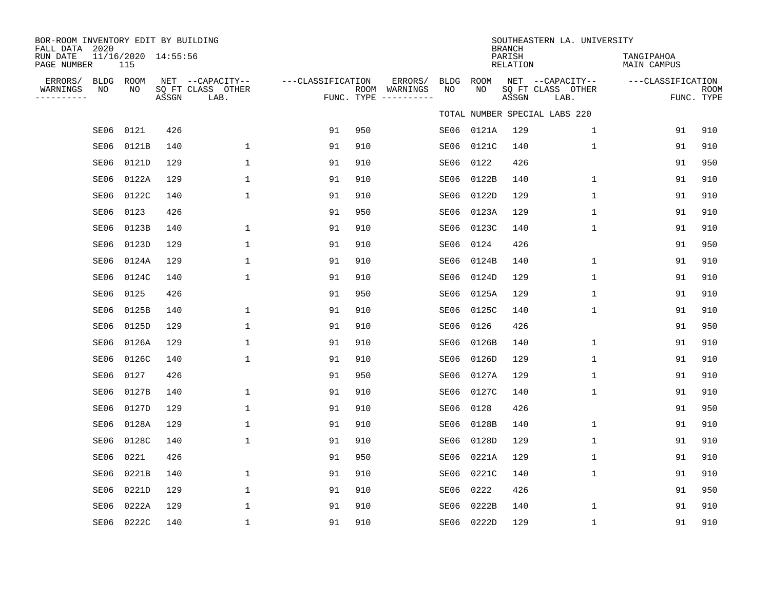| BOR-ROOM INVENTORY EDIT BY BUILDING<br>FALL DATA 2020<br>RUN DATE |      | 11/16/2020 14:55:56 |       |                                               |                   |     |                                                 |            |            | <b>BRANCH</b><br>PARISH | SOUTHEASTERN LA. UNIVERSITY                   | TANGIPAHOA         |                           |
|-------------------------------------------------------------------|------|---------------------|-------|-----------------------------------------------|-------------------|-----|-------------------------------------------------|------------|------------|-------------------------|-----------------------------------------------|--------------------|---------------------------|
| PAGE NUMBER                                                       |      | 115                 |       |                                               |                   |     |                                                 |            |            | RELATION                |                                               | <b>MAIN CAMPUS</b> |                           |
| ERRORS/<br>WARNINGS<br>---------                                  | ΝO   | BLDG ROOM<br>NO     | ASSGN | NET --CAPACITY--<br>SQ FT CLASS OTHER<br>LAB. | ---CLASSIFICATION |     | ERRORS/<br>ROOM WARNINGS<br>FUNC. TYPE $------$ | BLDG<br>NO | ROOM<br>NO | ASSGN                   | NET --CAPACITY--<br>SQ FT CLASS OTHER<br>LAB. | ---CLASSIFICATION  | <b>ROOM</b><br>FUNC. TYPE |
|                                                                   |      |                     |       |                                               |                   |     |                                                 |            |            |                         | TOTAL NUMBER SPECIAL LABS 220                 |                    |                           |
|                                                                   | SE06 | 0121                | 426   |                                               | 91                | 950 |                                                 |            | SE06 0121A | 129                     | $\mathbf 1$                                   | 91                 | 910                       |
|                                                                   | SE06 | 0121B               | 140   | $\mathbf 1$                                   | 91                | 910 |                                                 | SE06       | 0121C      | 140                     | $\mathbf{1}$                                  | 91                 | 910                       |
|                                                                   | SE06 | 0121D               | 129   | $\mathbf{1}$                                  | 91                | 910 |                                                 | SE06       | 0122       | 426                     |                                               | 91                 | 950                       |
|                                                                   | SE06 | 0122A               | 129   | $\mathbf{1}$                                  | 91                | 910 |                                                 | SE06       | 0122B      | 140                     | $\mathbf 1$                                   | 91                 | 910                       |
|                                                                   | SE06 | 0122C               | 140   | $\mathbf{1}$                                  | 91                | 910 |                                                 | SE06       | 0122D      | 129                     | $\mathbf{1}$                                  | 91                 | 910                       |
|                                                                   | SE06 | 0123                | 426   |                                               | 91                | 950 |                                                 | SE06       | 0123A      | 129                     | $\mathbf{1}$                                  | 91                 | 910                       |
|                                                                   | SE06 | 0123B               | 140   | 1                                             | 91                | 910 |                                                 | SE06       | 0123C      | 140                     | $\mathbf 1$                                   | 91                 | 910                       |
|                                                                   | SE06 | 0123D               | 129   | 1                                             | 91                | 910 |                                                 | SE06       | 0124       | 426                     |                                               | 91                 | 950                       |
|                                                                   | SE06 | 0124A               | 129   | 1                                             | 91                | 910 |                                                 | SE06       | 0124B      | 140                     | 1                                             | 91                 | 910                       |
|                                                                   | SE06 | 0124C               | 140   | 1                                             | 91                | 910 |                                                 | SE06       | 0124D      | 129                     | 1                                             | 91                 | 910                       |
|                                                                   | SE06 | 0125                | 426   |                                               | 91                | 950 |                                                 | SE06       | 0125A      | 129                     | 1                                             | 91                 | 910                       |
|                                                                   | SE06 | 0125B               | 140   | $\mathbf{1}$                                  | 91                | 910 |                                                 | SE06       | 0125C      | 140                     | $\mathbf 1$                                   | 91                 | 910                       |
|                                                                   | SE06 | 0125D               | 129   | $\mathbf{1}$                                  | 91                | 910 |                                                 | SE06       | 0126       | 426                     |                                               | 91                 | 950                       |
|                                                                   | SE06 | 0126A               | 129   | 1                                             | 91                | 910 |                                                 | SE06       | 0126B      | 140                     | 1                                             | 91                 | 910                       |
|                                                                   | SE06 | 0126C               | 140   | 1                                             | 91                | 910 |                                                 | SE06       | 0126D      | 129                     | 1                                             | 91                 | 910                       |
|                                                                   | SE06 | 0127                | 426   |                                               | 91                | 950 |                                                 | SE06       | 0127A      | 129                     | 1                                             | 91                 | 910                       |
|                                                                   | SE06 | 0127B               | 140   | 1                                             | 91                | 910 |                                                 | SE06       | 0127C      | 140                     | $\mathbf 1$                                   | 91                 | 910                       |
|                                                                   | SE06 | 0127D               | 129   | $\mathbf{1}$                                  | 91                | 910 |                                                 | SE06       | 0128       | 426                     |                                               | 91                 | 950                       |
|                                                                   | SE06 | 0128A               | 129   | $\mathbf{1}$                                  | 91                | 910 |                                                 | SE06       | 0128B      | 140                     | $\mathbf{1}$                                  | 91                 | 910                       |
|                                                                   | SE06 | 0128C               | 140   | 1                                             | 91                | 910 |                                                 | SE06       | 0128D      | 129                     | 1                                             | 91                 | 910                       |
|                                                                   | SE06 | 0221                | 426   |                                               | 91                | 950 |                                                 | SE06       | 0221A      | 129                     | $\mathbf 1$                                   | 91                 | 910                       |
|                                                                   | SE06 | 0221B               | 140   | 1                                             | 91                | 910 |                                                 | SE06       | 0221C      | 140                     | 1                                             | 91                 | 910                       |
|                                                                   | SE06 | 0221D               | 129   | 1                                             | 91                | 910 |                                                 | SE06       | 0222       | 426                     |                                               | 91                 | 950                       |
|                                                                   | SE06 | 0222A               | 129   | $\mathbf{1}$                                  | 91                | 910 |                                                 | SE06       | 0222B      | 140                     | $\mathbf 1$                                   | 91                 | 910                       |
|                                                                   |      | SE06 0222C          | 140   | $\mathbf{1}$                                  | 91                | 910 |                                                 |            | SE06 0222D | 129                     | $\mathbf{1}$                                  | 91                 | 910                       |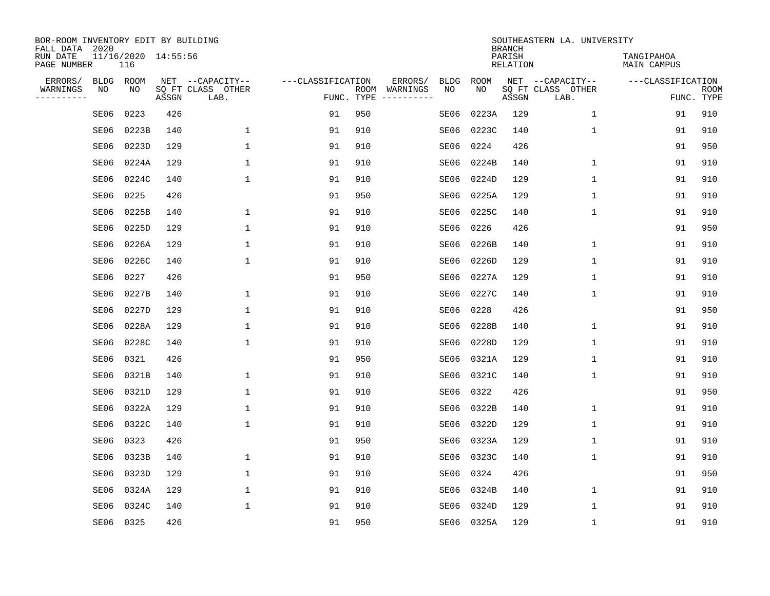| BOR-ROOM INVENTORY EDIT BY BUILDING<br>FALL DATA 2020 |             |                            |       |                           |                   |                                |                        |             | <b>BRANCH</b>             | SOUTHEASTERN LA. UNIVERSITY |                                  |                           |
|-------------------------------------------------------|-------------|----------------------------|-------|---------------------------|-------------------|--------------------------------|------------------------|-------------|---------------------------|-----------------------------|----------------------------------|---------------------------|
| RUN DATE<br>PAGE NUMBER                               |             | 11/16/2020 14:55:56<br>116 |       |                           |                   |                                |                        |             | PARISH<br><b>RELATION</b> |                             | TANGIPAHOA<br><b>MAIN CAMPUS</b> |                           |
| ERRORS/                                               | <b>BLDG</b> | ROOM                       |       | NET --CAPACITY--          | ---CLASSIFICATION |                                | ERRORS/<br><b>BLDG</b> | <b>ROOM</b> |                           | NET --CAPACITY--            | ---CLASSIFICATION                |                           |
| WARNINGS<br>----------                                | NO          | NO                         | ASSGN | SQ FT CLASS OTHER<br>LAB. |                   | WARNINGS<br>ROOM<br>FUNC. TYPE | NO                     | NO          | ASSGN                     | SQ FT CLASS OTHER<br>LAB.   |                                  | <b>ROOM</b><br>FUNC. TYPE |
|                                                       | SE06        | 0223                       | 426   |                           | 91                | 950                            | SE06                   | 0223A       | 129                       | $\mathbf 1$                 | 91                               | 910                       |
|                                                       | SE06        | 0223B                      | 140   | 1                         | 91                | 910                            | SE06                   | 0223C       | 140                       | 1                           | 91                               | 910                       |
|                                                       | SE06        | 0223D                      | 129   | $\mathbf{1}$              | 91                | 910                            | SE06                   | 0224        | 426                       |                             | 91                               | 950                       |
|                                                       | SE06        | 0224A                      | 129   | 1                         | 91                | 910                            | SE06                   | 0224B       | 140                       | 1                           | 91                               | 910                       |
|                                                       | SE06        | 0224C                      | 140   | $\mathbf 1$               | 91                | 910                            | SE06                   | 0224D       | 129                       | $\mathbf{1}$                | 91                               | 910                       |
|                                                       | SE06        | 0225                       | 426   |                           | 91                | 950                            | SE06                   | 0225A       | 129                       | 1                           | 91                               | 910                       |
|                                                       | SE06        | 0225B                      | 140   | $\mathbf 1$               | 91                | 910                            | SE06                   | 0225C       | 140                       | $\mathbf 1$                 | 91                               | 910                       |
|                                                       | SE06        | 0225D                      | 129   | $\mathbf{1}$              | 91                | 910                            | SE06                   | 0226        | 426                       |                             | 91                               | 950                       |
|                                                       | SE06        | 0226A                      | 129   | 1                         | 91                | 910                            | SE06                   | 0226B       | 140                       | 1                           | 91                               | 910                       |
|                                                       | SE06        | 0226C                      | 140   | $\mathbf{1}$              | 91                | 910                            | SE06                   | 0226D       | 129                       | 1                           | 91                               | 910                       |
|                                                       | SE06        | 0227                       | 426   |                           | 91                | 950                            | SE06                   | 0227A       | 129                       | 1                           | 91                               | 910                       |
|                                                       | SE06        | 0227B                      | 140   | $\mathbf{1}$              | 91                | 910                            | SE06                   | 0227C       | 140                       | 1                           | 91                               | 910                       |
|                                                       | SE06        | 0227D                      | 129   | $\mathbf{1}$              | 91                | 910                            | SE06                   | 0228        | 426                       |                             | 91                               | 950                       |
|                                                       | SE06        | 0228A                      | 129   | 1                         | 91                | 910                            | SE06                   | 0228B       | 140                       | 1                           | 91                               | 910                       |
|                                                       | SE06        | 0228C                      | 140   | 1                         | 91                | 910                            | SE06                   | 0228D       | 129                       | 1                           | 91                               | 910                       |
|                                                       | SE06        | 0321                       | 426   |                           | 91                | 950                            | SE06                   | 0321A       | 129                       | 1                           | 91                               | 910                       |
|                                                       | SE06        | 0321B                      | 140   | 1                         | 91                | 910                            | SE06                   | 0321C       | 140                       | 1                           | 91                               | 910                       |
|                                                       | SE06        | 0321D                      | 129   | 1                         | 91                | 910                            | SE06                   | 0322        | 426                       |                             | 91                               | 950                       |
|                                                       | SE06        | 0322A                      | 129   | 1                         | 91                | 910                            | SE06                   | 0322B       | 140                       | 1                           | 91                               | 910                       |
|                                                       | SE06        | 0322C                      | 140   | $\mathbf{1}$              | 91                | 910                            | SE06                   | 0322D       | 129                       | 1                           | 91                               | 910                       |
|                                                       | SE06        | 0323                       | 426   |                           | 91                | 950                            | SE06                   | 0323A       | 129                       | 1                           | 91                               | 910                       |
|                                                       | SE06        | 0323B                      | 140   | $\mathbf{1}$              | 91                | 910                            | SE06                   | 0323C       | 140                       | 1                           | 91                               | 910                       |
|                                                       | SE06        | 0323D                      | 129   | 1                         | 91                | 910                            | SE06                   | 0324        | 426                       |                             | 91                               | 950                       |
|                                                       | SE06        | 0324A                      | 129   | $\mathbf{1}$              | 91                | 910                            | SE06                   | 0324B       | 140                       | 1                           | 91                               | 910                       |
|                                                       | SE06        | 0324C                      | 140   | 1                         | 91                | 910                            | SE06                   | 0324D       | 129                       | 1                           | 91                               | 910                       |
|                                                       |             | SE06 0325                  | 426   |                           | 91                | 950                            |                        | SE06 0325A  | 129                       | 1                           | 91                               | 910                       |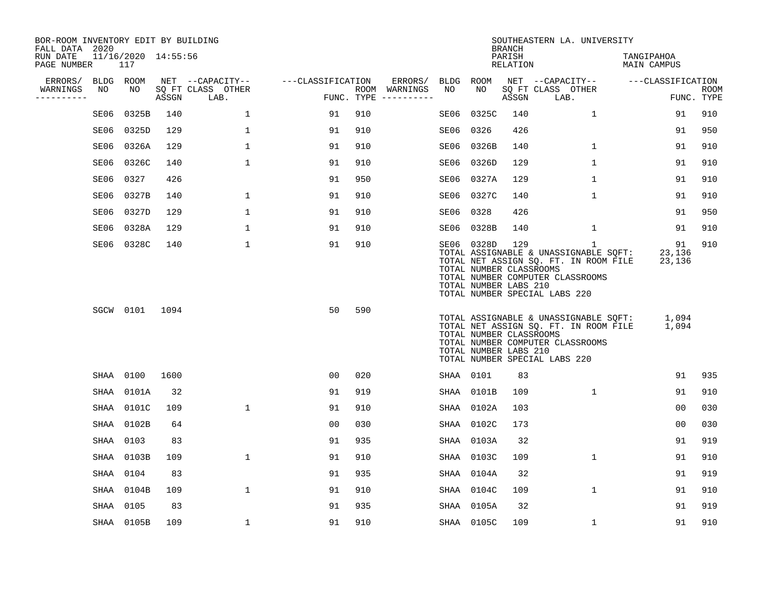| BOR-ROOM INVENTORY EDIT BY BUILDING<br>FALL DATA 2020 |      |                            |       |                           |                   |     |                                      |           |                                                                | <b>BRANCH</b>      | SOUTHEASTERN LA. UNIVERSITY                                                                                                                                         |                           |                           |
|-------------------------------------------------------|------|----------------------------|-------|---------------------------|-------------------|-----|--------------------------------------|-----------|----------------------------------------------------------------|--------------------|---------------------------------------------------------------------------------------------------------------------------------------------------------------------|---------------------------|---------------------------|
| RUN DATE<br>PAGE NUMBER                               |      | 11/16/2020 14:55:56<br>117 |       |                           |                   |     |                                      |           |                                                                | PARISH<br>RELATION |                                                                                                                                                                     | TANGIPAHOA<br>MAIN CAMPUS |                           |
| ERRORS/                                               |      | BLDG ROOM                  |       | NET --CAPACITY--          | ---CLASSIFICATION |     | ERRORS/                              | BLDG ROOM |                                                                |                    | NET --CAPACITY--                                                                                                                                                    | ---CLASSIFICATION         |                           |
| WARNINGS<br>-----------                               | NO   | NO                         | ASSGN | SQ FT CLASS OTHER<br>LAB. |                   |     | ROOM WARNINGS<br>FUNC. TYPE $------$ | NO        | NO                                                             | ASSGN              | SQ FT CLASS OTHER<br>LAB.                                                                                                                                           |                           | <b>ROOM</b><br>FUNC. TYPE |
|                                                       | SE06 | 0325B                      | 140   | 1                         | 91                | 910 |                                      | SE06      | 0325C                                                          | 140                | $\mathbf{1}$                                                                                                                                                        | 91                        | 910                       |
|                                                       | SE06 | 0325D                      | 129   | $\mathbf 1$               | 91                | 910 |                                      | SE06      | 0326                                                           | 426                |                                                                                                                                                                     | 91                        | 950                       |
|                                                       | SE06 | 0326A                      | 129   | $\mathbf{1}$              | 91                | 910 |                                      |           | SE06 0326B                                                     | 140                | $\mathbf{1}$                                                                                                                                                        | 91                        | 910                       |
|                                                       | SE06 | 0326C                      | 140   | $\mathbf{1}$              | 91                | 910 |                                      |           | SE06 0326D                                                     | 129                | $\mathbf{1}$                                                                                                                                                        | 91                        | 910                       |
|                                                       | SE06 | 0327                       | 426   |                           | 91                | 950 |                                      |           | SE06 0327A                                                     | 129                | $\mathbf{1}$                                                                                                                                                        | 91                        | 910                       |
|                                                       | SE06 | 0327B                      | 140   | $\mathbf{1}$              | 91                | 910 |                                      |           | SE06 0327C                                                     | 140                | $\mathbf{1}$                                                                                                                                                        | 91                        | 910                       |
|                                                       | SE06 | 0327D                      | 129   | $\mathbf{1}$              | 91                | 910 |                                      |           | SE06 0328                                                      | 426                |                                                                                                                                                                     | 91                        | 950                       |
|                                                       | SE06 | 0328A                      | 129   | $\mathbf{1}$              | 91                | 910 |                                      |           | SE06 0328B                                                     | 140                | $\mathbf 1$                                                                                                                                                         | 91                        | 910                       |
|                                                       |      | SE06 0328C                 | 140   | $\mathbf 1$               | 91                | 910 |                                      |           | SE06 0328D<br>TOTAL NUMBER CLASSROOMS<br>TOTAL NUMBER LABS 210 | 129                | $\mathbf{1}$<br>TOTAL ASSIGNABLE & UNASSIGNABLE SQFT:<br>TOTAL NET ASSIGN SQ. FT. IN ROOM FILE<br>TOTAL NUMBER COMPUTER CLASSROOMS<br>TOTAL NUMBER SPECIAL LABS 220 | 91<br>23,136<br>23,136    | 910                       |
|                                                       |      | SGCW 0101                  | 1094  |                           | 50                | 590 |                                      |           | TOTAL NUMBER CLASSROOMS<br>TOTAL NUMBER LABS 210               |                    | TOTAL ASSIGNABLE & UNASSIGNABLE SQFT:<br>TOTAL NET ASSIGN SO. FT. IN ROOM FILE<br>TOTAL NUMBER COMPUTER CLASSROOMS<br>TOTAL NUMBER SPECIAL LABS 220                 | 1,094<br>1,094            |                           |
|                                                       |      | SHAA 0100                  | 1600  |                           | 0 <sub>0</sub>    | 020 |                                      |           | SHAA 0101                                                      | 83                 |                                                                                                                                                                     | 91                        | 935                       |
|                                                       | SHAA | 0101A                      | 32    |                           | 91                | 919 |                                      |           | SHAA 0101B                                                     | 109                | $\mathbf{1}$                                                                                                                                                        | 91                        | 910                       |
|                                                       |      | SHAA 0101C                 | 109   | $\mathbf 1$               | 91                | 910 |                                      |           | SHAA 0102A                                                     | 103                |                                                                                                                                                                     | 00                        | 030                       |
|                                                       |      | SHAA 0102B                 | 64    |                           | 0 <sub>0</sub>    | 030 |                                      |           | SHAA 0102C                                                     | 173                |                                                                                                                                                                     | 00                        | 030                       |
|                                                       |      | SHAA 0103                  | 83    |                           | 91                | 935 |                                      |           | SHAA 0103A                                                     | 32                 |                                                                                                                                                                     | 91                        | 919                       |
|                                                       |      | SHAA 0103B                 | 109   | $\mathbf{1}$              | 91                | 910 |                                      |           | SHAA 0103C                                                     | 109                | $\mathbf 1$                                                                                                                                                         | 91                        | 910                       |
|                                                       |      | SHAA 0104                  | 83    |                           | 91                | 935 |                                      |           | SHAA 0104A                                                     | 32                 |                                                                                                                                                                     | 91                        | 919                       |
|                                                       |      | SHAA 0104B                 | 109   | $\mathbf{1}$              | 91                | 910 |                                      |           | SHAA 0104C                                                     | 109                | $\mathbf{1}$                                                                                                                                                        | 91                        | 910                       |
|                                                       | SHAA | 0105                       | 83    |                           | 91                | 935 |                                      |           | SHAA 0105A                                                     | 32                 |                                                                                                                                                                     | 91                        | 919                       |
|                                                       |      | SHAA 0105B                 | 109   | $\mathbf 1$               | 91                | 910 |                                      |           | SHAA 0105C                                                     | 109                | $\mathbf 1$                                                                                                                                                         | 91                        | 910                       |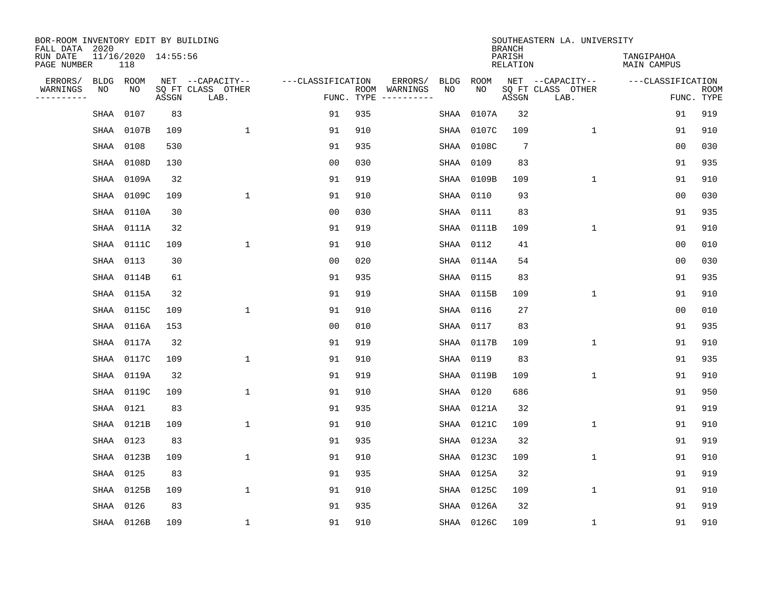| BOR-ROOM INVENTORY EDIT BY BUILDING<br>FALL DATA 2020 |           |                            |       |                           |                   |            |                              |             |             | <b>BRANCH</b>             | SOUTHEASTERN LA. UNIVERSITY |                                  |                           |
|-------------------------------------------------------|-----------|----------------------------|-------|---------------------------|-------------------|------------|------------------------------|-------------|-------------|---------------------------|-----------------------------|----------------------------------|---------------------------|
| RUN DATE<br>PAGE NUMBER                               |           | 11/16/2020 14:55:56<br>118 |       |                           |                   |            |                              |             |             | PARISH<br><b>RELATION</b> |                             | TANGIPAHOA<br><b>MAIN CAMPUS</b> |                           |
| ERRORS/                                               | BLDG      | ROOM                       |       | NET --CAPACITY--          | ---CLASSIFICATION |            | ERRORS/                      | <b>BLDG</b> | <b>ROOM</b> |                           | NET --CAPACITY--            | ---CLASSIFICATION                |                           |
| WARNINGS<br>----------                                | ΝO        | NO                         | ASSGN | SQ FT CLASS OTHER<br>LAB. |                   | FUNC. TYPE | ROOM WARNINGS<br>----------- | NO          | NO          | ASSGN                     | SQ FT CLASS OTHER<br>LAB.   |                                  | <b>ROOM</b><br>FUNC. TYPE |
|                                                       | SHAA      | 0107                       | 83    |                           | 91                | 935        |                              | SHAA        | 0107A       | 32                        |                             | 91                               | 919                       |
|                                                       | SHAA      | 0107B                      | 109   | 1                         | 91                | 910        |                              | SHAA        | 0107C       | 109                       | 1                           | 91                               | 910                       |
|                                                       | SHAA 0108 |                            | 530   |                           | 91                | 935        |                              | SHAA        | 0108C       | $7\phantom{.0}$           |                             | 00                               | 030                       |
|                                                       | SHAA      | 0108D                      | 130   |                           | 0 <sub>0</sub>    | 030        |                              | SHAA        | 0109        | 83                        |                             | 91                               | 935                       |
|                                                       | SHAA      | 0109A                      | 32    |                           | 91                | 919        |                              | SHAA        | 0109B       | 109                       | $\mathbf 1$                 | 91                               | 910                       |
|                                                       |           | SHAA 0109C                 | 109   | $\mathbf{1}$              | 91                | 910        |                              | SHAA        | 0110        | 93                        |                             | 0 <sub>0</sub>                   | 030                       |
|                                                       |           | SHAA 0110A                 | 30    |                           | 0 <sub>0</sub>    | 030        |                              | SHAA        | 0111        | 83                        |                             | 91                               | 935                       |
|                                                       |           | SHAA 0111A                 | 32    |                           | 91                | 919        |                              | SHAA        | 0111B       | 109                       | $\mathbf{1}$                | 91                               | 910                       |
|                                                       | SHAA      | 0111C                      | 109   | $\mathbf{1}$              | 91                | 910        |                              | SHAA        | 0112        | 41                        |                             | 0 <sub>0</sub>                   | 010                       |
|                                                       | SHAA 0113 |                            | 30    |                           | 00                | 020        |                              |             | SHAA 0114A  | 54                        |                             | 0 <sub>0</sub>                   | 030                       |
|                                                       |           | SHAA 0114B                 | 61    |                           | 91                | 935        |                              | SHAA        | 0115        | 83                        |                             | 91                               | 935                       |
|                                                       |           | SHAA 0115A                 | 32    |                           | 91                | 919        |                              | SHAA        | 0115B       | 109                       | $\mathbf 1$                 | 91                               | 910                       |
|                                                       | SHAA      | 0115C                      | 109   | 1                         | 91                | 910        |                              | SHAA        | 0116        | 27                        |                             | 0 <sub>0</sub>                   | 010                       |
|                                                       |           | SHAA 0116A                 | 153   |                           | 00                | 010        |                              | SHAA        | 0117        | 83                        |                             | 91                               | 935                       |
|                                                       | SHAA      | 0117A                      | 32    |                           | 91                | 919        |                              |             | SHAA 0117B  | 109                       | $\mathbf 1$                 | 91                               | 910                       |
|                                                       | SHAA      | 0117C                      | 109   | $\mathbf{1}$              | 91                | 910        |                              |             | SHAA 0119   | 83                        |                             | 91                               | 935                       |
|                                                       | SHAA      | 0119A                      | 32    |                           | 91                | 919        |                              | SHAA        | 0119B       | 109                       | 1                           | 91                               | 910                       |
|                                                       | SHAA      | 0119C                      | 109   | 1                         | 91                | 910        |                              |             | SHAA 0120   | 686                       |                             | 91                               | 950                       |
|                                                       | SHAA      | 0121                       | 83    |                           | 91                | 935        |                              | SHAA        | 0121A       | 32                        |                             | 91                               | 919                       |
|                                                       | SHAA      | 0121B                      | 109   | $\mathbf{1}$              | 91                | 910        |                              | SHAA        | 0121C       | 109                       | $\mathbf{1}$                | 91                               | 910                       |
|                                                       | SHAA      | 0123                       | 83    |                           | 91                | 935        |                              | SHAA        | 0123A       | 32                        |                             | 91                               | 919                       |
|                                                       | SHAA      | 0123B                      | 109   | 1                         | 91                | 910        |                              | SHAA        | 0123C       | 109                       | $\mathbf{1}$                | 91                               | 910                       |
|                                                       | SHAA      | 0125                       | 83    |                           | 91                | 935        |                              | SHAA        | 0125A       | 32                        |                             | 91                               | 919                       |
|                                                       | SHAA      | 0125B                      | 109   | $\mathbf{1}$              | 91                | 910        |                              | SHAA        | 0125C       | 109                       | $\mathbf{1}$                | 91                               | 910                       |
|                                                       | SHAA      | 0126                       | 83    |                           | 91                | 935        |                              | SHAA        | 0126A       | 32                        |                             | 91                               | 919                       |
|                                                       |           | SHAA 0126B                 | 109   | 1                         | 91                | 910        |                              |             | SHAA 0126C  | 109                       | 1                           | 91                               | 910                       |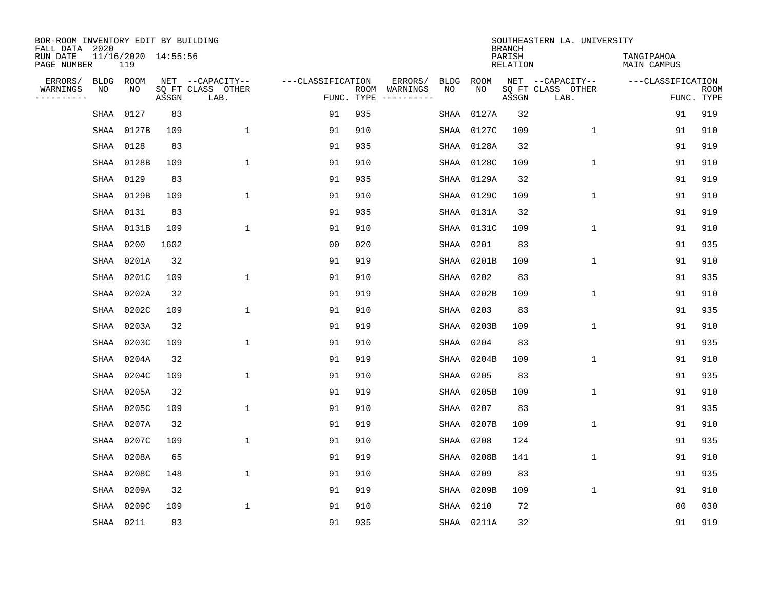| BOR-ROOM INVENTORY EDIT BY BUILDING<br>FALL DATA 2020 |      |                            |       |                           |                   |                    |                         |             |            | <b>BRANCH</b>             | SOUTHEASTERN LA. UNIVERSITY |                                  |                           |
|-------------------------------------------------------|------|----------------------------|-------|---------------------------|-------------------|--------------------|-------------------------|-------------|------------|---------------------------|-----------------------------|----------------------------------|---------------------------|
| RUN DATE<br>PAGE NUMBER                               |      | 11/16/2020 14:55:56<br>119 |       |                           |                   |                    |                         |             |            | PARISH<br><b>RELATION</b> |                             | TANGIPAHOA<br><b>MAIN CAMPUS</b> |                           |
| ERRORS/                                               | BLDG | ROOM                       |       | NET --CAPACITY--          | ---CLASSIFICATION |                    | ERRORS/                 | <b>BLDG</b> | ROOM       |                           | NET --CAPACITY--            | ---CLASSIFICATION                |                           |
| WARNINGS<br>----------                                | NO   | NO                         | ASSGN | SQ FT CLASS OTHER<br>LAB. |                   | ROOM<br>FUNC. TYPE | WARNINGS<br>----------- | NO          | NO         | ASSGN                     | SQ FT CLASS OTHER<br>LAB.   |                                  | <b>ROOM</b><br>FUNC. TYPE |
|                                                       | SHAA | 0127                       | 83    |                           | 91                | 935                |                         | SHAA        | 0127A      | 32                        |                             | 91                               | 919                       |
|                                                       | SHAA | 0127B                      | 109   | 1                         | 91                | 910                |                         | SHAA        | 0127C      | 109                       | 1                           | 91                               | 910                       |
|                                                       | SHAA | 0128                       | 83    |                           | 91                | 935                |                         |             | SHAA 0128A | 32                        |                             | 91                               | 919                       |
|                                                       | SHAA | 0128B                      | 109   | $\mathbf{1}$              | 91                | 910                |                         | SHAA        | 0128C      | 109                       | $\mathbf 1$                 | 91                               | 910                       |
|                                                       | SHAA | 0129                       | 83    |                           | 91                | 935                |                         |             | SHAA 0129A | 32                        |                             | 91                               | 919                       |
|                                                       | SHAA | 0129B                      | 109   | $\mathbf{1}$              | 91                | 910                |                         |             | SHAA 0129C | 109                       | $\mathbf 1$                 | 91                               | 910                       |
|                                                       | SHAA | 0131                       | 83    |                           | 91                | 935                |                         |             | SHAA 0131A | 32                        |                             | 91                               | 919                       |
|                                                       | SHAA | 0131B                      | 109   | $\mathbf{1}$              | 91                | 910                |                         |             | SHAA 0131C | 109                       | $\mathbf{1}$                | 91                               | 910                       |
|                                                       | SHAA | 0200                       | 1602  |                           | 0 <sub>0</sub>    | 020                |                         | SHAA        | 0201       | 83                        |                             | 91                               | 935                       |
|                                                       | SHAA | 0201A                      | 32    |                           | 91                | 919                |                         |             | SHAA 0201B | 109                       | 1                           | 91                               | 910                       |
|                                                       | SHAA | 0201C                      | 109   | 1                         | 91                | 910                |                         | SHAA        | 0202       | 83                        |                             | 91                               | 935                       |
|                                                       | SHAA | 0202A                      | 32    |                           | 91                | 919                |                         |             | SHAA 0202B | 109                       | $\mathbf 1$                 | 91                               | 910                       |
|                                                       | SHAA | 0202C                      | 109   | 1                         | 91                | 910                |                         | SHAA        | 0203       | 83                        |                             | 91                               | 935                       |
|                                                       | SHAA | 0203A                      | 32    |                           | 91                | 919                |                         |             | SHAA 0203B | 109                       | 1                           | 91                               | 910                       |
|                                                       | SHAA | 0203C                      | 109   | 1                         | 91                | 910                |                         | SHAA        | 0204       | 83                        |                             | 91                               | 935                       |
|                                                       | SHAA | 0204A                      | 32    |                           | 91                | 919                |                         |             | SHAA 0204B | 109                       | 1                           | 91                               | 910                       |
|                                                       | SHAA | 0204C                      | 109   | $\mathbf{1}$              | 91                | 910                |                         | SHAA        | 0205       | 83                        |                             | 91                               | 935                       |
|                                                       | SHAA | 0205A                      | 32    |                           | 91                | 919                |                         |             | SHAA 0205B | 109                       | 1                           | 91                               | 910                       |
|                                                       | SHAA | 0205C                      | 109   | 1                         | 91                | 910                |                         | SHAA        | 0207       | 83                        |                             | 91                               | 935                       |
|                                                       | SHAA | 0207A                      | 32    |                           | 91                | 919                |                         |             | SHAA 0207B | 109                       | 1                           | 91                               | 910                       |
|                                                       | SHAA | 0207C                      | 109   | $\mathbf{1}$              | 91                | 910                |                         | SHAA        | 0208       | 124                       |                             | 91                               | 935                       |
|                                                       | SHAA | 0208A                      | 65    |                           | 91                | 919                |                         | SHAA        | 0208B      | 141                       | 1                           | 91                               | 910                       |
|                                                       | SHAA | 0208C                      | 148   | $\mathbf{1}$              | 91                | 910                |                         | SHAA        | 0209       | 83                        |                             | 91                               | 935                       |
|                                                       | SHAA | 0209A                      | 32    |                           | 91                | 919                |                         |             | SHAA 0209B | 109                       | $\mathbf 1$                 | 91                               | 910                       |
|                                                       | SHAA | 0209C                      | 109   | $\mathbf{1}$              | 91                | 910                |                         |             | SHAA 0210  | 72                        |                             | 0 <sub>0</sub>                   | 030                       |
|                                                       |      | SHAA 0211                  | 83    |                           | 91                | 935                |                         |             | SHAA 0211A | 32                        |                             | 91                               | 919                       |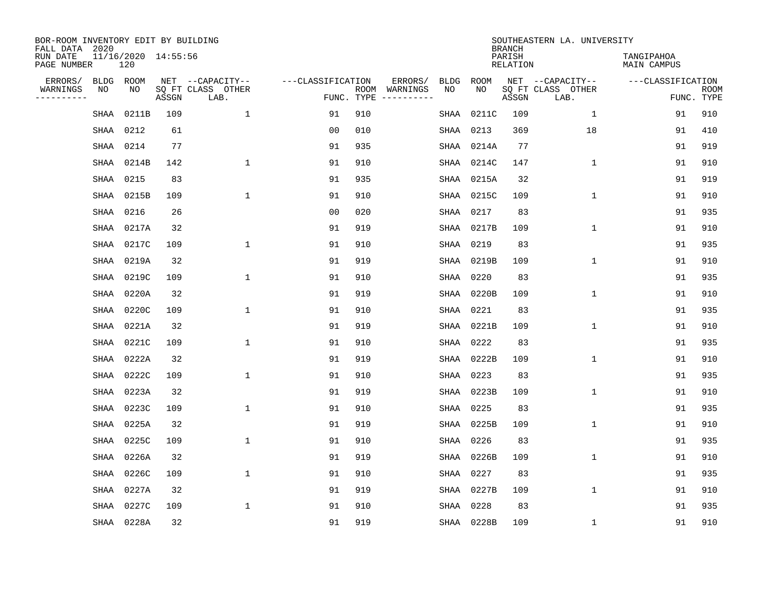| BOR-ROOM INVENTORY EDIT BY BUILDING<br>FALL DATA 2020 |      |                            |       |                           |                   |            |                              |             |             | <b>BRANCH</b>             | SOUTHEASTERN LA. UNIVERSITY |                                  |                           |
|-------------------------------------------------------|------|----------------------------|-------|---------------------------|-------------------|------------|------------------------------|-------------|-------------|---------------------------|-----------------------------|----------------------------------|---------------------------|
| RUN DATE<br>PAGE NUMBER                               |      | 11/16/2020 14:55:56<br>120 |       |                           |                   |            |                              |             |             | PARISH<br><b>RELATION</b> |                             | TANGIPAHOA<br><b>MAIN CAMPUS</b> |                           |
| ERRORS/                                               | BLDG | ROOM                       |       | NET --CAPACITY--          | ---CLASSIFICATION |            | ERRORS/                      | <b>BLDG</b> | <b>ROOM</b> |                           | NET --CAPACITY--            | ---CLASSIFICATION                |                           |
| WARNINGS<br>----------                                | ΝO   | NO                         | ASSGN | SQ FT CLASS OTHER<br>LAB. |                   | FUNC. TYPE | ROOM WARNINGS<br>----------- | NO          | NO          | ASSGN                     | SQ FT CLASS OTHER<br>LAB.   |                                  | <b>ROOM</b><br>FUNC. TYPE |
|                                                       | SHAA | 0211B                      | 109   | $\mathbf{1}$              | 91                | 910        |                              | SHAA        | 0211C       | 109                       | 1                           | 91                               | 910                       |
|                                                       | SHAA | 0212                       | 61    |                           | 00                | 010        |                              | SHAA        | 0213        | 369                       | 18                          | 91                               | 410                       |
|                                                       |      | SHAA 0214                  | 77    |                           | 91                | 935        |                              |             | SHAA 0214A  | 77                        |                             | 91                               | 919                       |
|                                                       | SHAA | 0214B                      | 142   | 1                         | 91                | 910        |                              | SHAA        | 0214C       | 147                       | $\mathbf 1$                 | 91                               | 910                       |
|                                                       | SHAA | 0215                       | 83    |                           | 91                | 935        |                              |             | SHAA 0215A  | 32                        |                             | 91                               | 919                       |
|                                                       |      | SHAA 0215B                 | 109   | $\mathbf{1}$              | 91                | 910        |                              | SHAA        | 0215C       | 109                       | $\mathbf{1}$                | 91                               | 910                       |
|                                                       | SHAA | 0216                       | 26    |                           | 0 <sub>0</sub>    | 020        |                              | SHAA        | 0217        | 83                        |                             | 91                               | 935                       |
|                                                       | SHAA | 0217A                      | 32    |                           | 91                | 919        |                              | SHAA        | 0217B       | 109                       | $\mathbf{1}$                | 91                               | 910                       |
|                                                       | SHAA | 0217C                      | 109   | $\mathbf{1}$              | 91                | 910        |                              | SHAA        | 0219        | 83                        |                             | 91                               | 935                       |
|                                                       |      | SHAA 0219A                 | 32    |                           | 91                | 919        |                              |             | SHAA 0219B  | 109                       | 1                           | 91                               | 910                       |
|                                                       | SHAA | 0219C                      | 109   | 1                         | 91                | 910        |                              | SHAA        | 0220        | 83                        |                             | 91                               | 935                       |
|                                                       | SHAA | 0220A                      | 32    |                           | 91                | 919        |                              | SHAA        | 0220B       | 109                       | $\mathbf 1$                 | 91                               | 910                       |
|                                                       | SHAA | 0220C                      | 109   | 1                         | 91                | 910        |                              | SHAA        | 0221        | 83                        |                             | 91                               | 935                       |
|                                                       | SHAA | 0221A                      | 32    |                           | 91                | 919        |                              |             | SHAA 0221B  | 109                       | $\mathbf 1$                 | 91                               | 910                       |
|                                                       | SHAA | 0221C                      | 109   | $\mathbf{1}$              | 91                | 910        |                              | SHAA        | 0222        | 83                        |                             | 91                               | 935                       |
|                                                       | SHAA | 0222A                      | 32    |                           | 91                | 919        |                              |             | SHAA 0222B  | 109                       | $\mathbf 1$                 | 91                               | 910                       |
|                                                       | SHAA | 0222C                      | 109   | $\mathbf{1}$              | 91                | 910        |                              | SHAA        | 0223        | 83                        |                             | 91                               | 935                       |
|                                                       | SHAA | 0223A                      | 32    |                           | 91                | 919        |                              | SHAA        | 0223B       | 109                       | 1                           | 91                               | 910                       |
|                                                       | SHAA | 0223C                      | 109   | 1                         | 91                | 910        |                              | SHAA        | 0225        | 83                        |                             | 91                               | 935                       |
|                                                       | SHAA | 0225A                      | 32    |                           | 91                | 919        |                              | SHAA        | 0225B       | 109                       | $\mathbf{1}$                | 91                               | 910                       |
|                                                       | SHAA | 0225C                      | 109   | 1                         | 91                | 910        |                              | SHAA        | 0226        | 83                        |                             | 91                               | 935                       |
|                                                       | SHAA | 0226A                      | 32    |                           | 91                | 919        |                              | SHAA        | 0226B       | 109                       | $\mathbf{1}$                | 91                               | 910                       |
|                                                       | SHAA | 0226C                      | 109   | $\mathbf{1}$              | 91                | 910        |                              | SHAA        | 0227        | 83                        |                             | 91                               | 935                       |
|                                                       | SHAA | 0227A                      | 32    |                           | 91                | 919        |                              | SHAA        | 0227B       | 109                       | $\mathbf{1}$                | 91                               | 910                       |
|                                                       | SHAA | 0227C                      | 109   | $\mathbf{1}$              | 91                | 910        |                              | SHAA        | 0228        | 83                        |                             | 91                               | 935                       |
|                                                       |      | SHAA 0228A                 | 32    |                           | 91                | 919        |                              |             | SHAA 0228B  | 109                       | 1                           | 91                               | 910                       |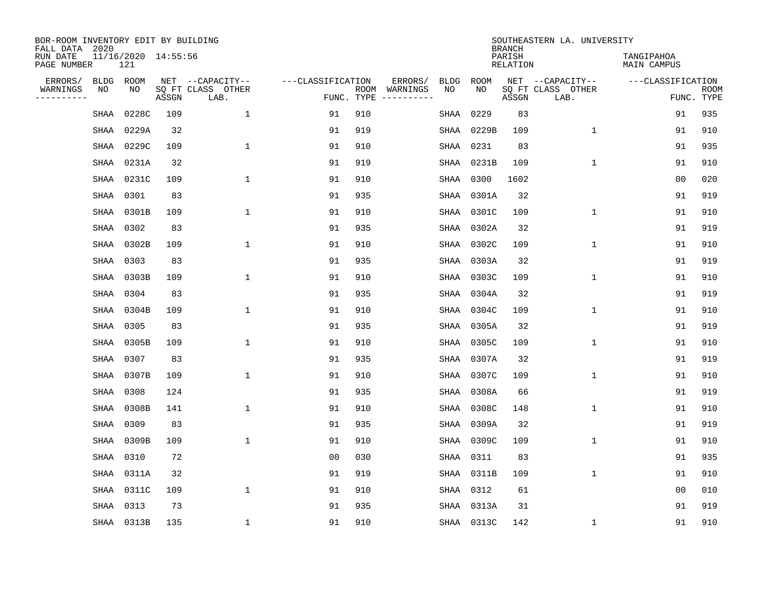| BOR-ROOM INVENTORY EDIT BY BUILDING<br>FALL DATA 2020 |           |                            |       |                           |                   |            |                              |             |             | <b>BRANCH</b>             | SOUTHEASTERN LA. UNIVERSITY |                                  |                           |
|-------------------------------------------------------|-----------|----------------------------|-------|---------------------------|-------------------|------------|------------------------------|-------------|-------------|---------------------------|-----------------------------|----------------------------------|---------------------------|
| RUN DATE<br>PAGE NUMBER                               |           | 11/16/2020 14:55:56<br>121 |       |                           |                   |            |                              |             |             | PARISH<br><b>RELATION</b> |                             | TANGIPAHOA<br><b>MAIN CAMPUS</b> |                           |
| ERRORS/                                               | BLDG      | ROOM                       |       | NET --CAPACITY--          | ---CLASSIFICATION |            | ERRORS/                      | <b>BLDG</b> | <b>ROOM</b> |                           | NET --CAPACITY--            | ---CLASSIFICATION                |                           |
| WARNINGS<br>----------                                | ΝO        | NO                         | ASSGN | SQ FT CLASS OTHER<br>LAB. |                   | FUNC. TYPE | ROOM WARNINGS<br>----------- | NO          | NO          | ASSGN                     | SQ FT CLASS OTHER<br>LAB.   |                                  | <b>ROOM</b><br>FUNC. TYPE |
|                                                       | SHAA      | 0228C                      | 109   | $\mathbf{1}$              | 91                | 910        |                              | SHAA        | 0229        | 83                        |                             | 91                               | 935                       |
|                                                       | SHAA      | 0229A                      | 32    |                           | 91                | 919        |                              | SHAA        | 0229B       | 109                       | 1                           | 91                               | 910                       |
|                                                       |           | SHAA 0229C                 | 109   | 1                         | 91                | 910        |                              | SHAA        | 0231        | 83                        |                             | 91                               | 935                       |
|                                                       | SHAA      | 0231A                      | 32    |                           | 91                | 919        |                              | SHAA        | 0231B       | 109                       | $\mathbf 1$                 | 91                               | 910                       |
|                                                       | SHAA      | 0231C                      | 109   | $\mathbf{1}$              | 91                | 910        |                              | SHAA        | 0300        | 1602                      |                             | 0 <sub>0</sub>                   | 020                       |
|                                                       | SHAA 0301 |                            | 83    |                           | 91                | 935        |                              |             | SHAA 0301A  | 32                        |                             | 91                               | 919                       |
|                                                       | SHAA      | 0301B                      | 109   | $\mathbf{1}$              | 91                | 910        |                              | SHAA        | 0301C       | 109                       | $\mathbf{1}$                | 91                               | 910                       |
|                                                       | SHAA      | 0302                       | 83    |                           | 91                | 935        |                              | SHAA        | 0302A       | 32                        |                             | 91                               | 919                       |
|                                                       | SHAA      | 0302B                      | 109   | $\mathbf{1}$              | 91                | 910        |                              | SHAA        | 0302C       | 109                       | $\mathbf{1}$                | 91                               | 910                       |
|                                                       |           | SHAA 0303                  | 83    |                           | 91                | 935        |                              | SHAA        | 0303A       | 32                        |                             | 91                               | 919                       |
|                                                       | SHAA      | 0303B                      | 109   | 1                         | 91                | 910        |                              | SHAA        | 0303C       | 109                       | $\mathbf 1$                 | 91                               | 910                       |
|                                                       | SHAA      | 0304                       | 83    |                           | 91                | 935        |                              | SHAA        | 0304A       | 32                        |                             | 91                               | 919                       |
|                                                       | SHAA      | 0304B                      | 109   | 1                         | 91                | 910        |                              | SHAA        | 0304C       | 109                       | $\mathbf 1$                 | 91                               | 910                       |
|                                                       | SHAA      | 0305                       | 83    |                           | 91                | 935        |                              | SHAA        | 0305A       | 32                        |                             | 91                               | 919                       |
|                                                       | SHAA      | 0305B                      | 109   | $\mathbf{1}$              | 91                | 910        |                              | SHAA        | 0305C       | 109                       | $\mathbf 1$                 | 91                               | 910                       |
|                                                       | SHAA      | 0307                       | 83    |                           | 91                | 935        |                              |             | SHAA 0307A  | 32                        |                             | 91                               | 919                       |
|                                                       | SHAA      | 0307B                      | 109   | $\mathbf{1}$              | 91                | 910        |                              | SHAA        | 0307C       | 109                       | 1                           | 91                               | 910                       |
|                                                       | SHAA      | 0308                       | 124   |                           | 91                | 935        |                              | SHAA        | 0308A       | 66                        |                             | 91                               | 919                       |
|                                                       | SHAA      | 0308B                      | 141   | 1                         | 91                | 910        |                              | SHAA        | 0308C       | 148                       | $\mathbf 1$                 | 91                               | 910                       |
|                                                       | SHAA      | 0309                       | 83    |                           | 91                | 935        |                              | SHAA        | 0309A       | 32                        |                             | 91                               | 919                       |
|                                                       | SHAA      | 0309B                      | 109   | 1                         | 91                | 910        |                              | SHAA        | 0309C       | 109                       | $\mathbf 1$                 | 91                               | 910                       |
|                                                       | SHAA      | 0310                       | 72    |                           | 0 <sub>0</sub>    | 030        |                              | SHAA        | 0311        | 83                        |                             | 91                               | 935                       |
|                                                       | SHAA      | 0311A                      | 32    |                           | 91                | 919        |                              | SHAA        | 0311B       | 109                       | $\mathbf{1}$                | 91                               | 910                       |
|                                                       | SHAA      | 0311C                      | 109   | $\mathbf{1}$              | 91                | 910        |                              |             | SHAA 0312   | 61                        |                             | 0 <sub>0</sub>                   | 010                       |
|                                                       | SHAA      | 0313                       | 73    |                           | 91                | 935        |                              |             | SHAA 0313A  | 31                        |                             | 91                               | 919                       |
|                                                       |           | SHAA 0313B                 | 135   | 1                         | 91                | 910        |                              |             | SHAA 0313C  | 142                       | 1                           | 91                               | 910                       |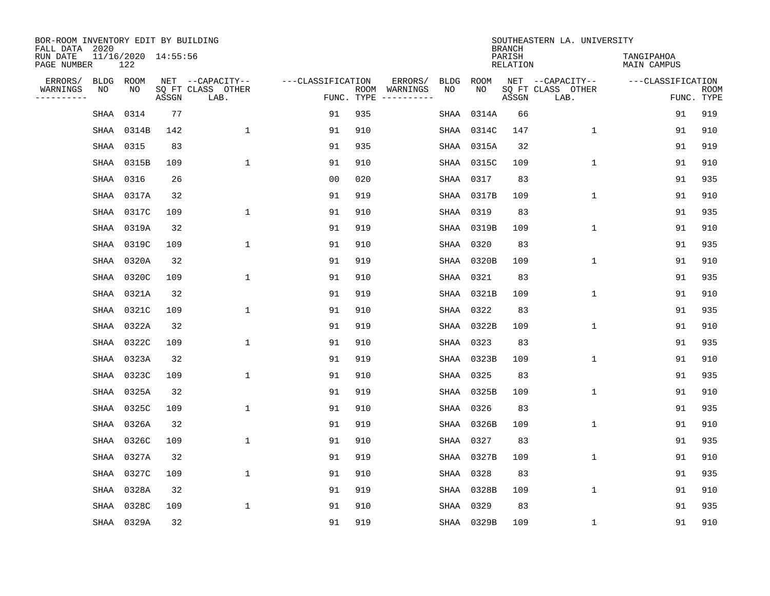| BOR-ROOM INVENTORY EDIT BY BUILDING<br>FALL DATA 2020 |      |                            |       |                           |                   |                    |                         |      |            | <b>BRANCH</b>             | SOUTHEASTERN LA. UNIVERSITY |                                  |                           |
|-------------------------------------------------------|------|----------------------------|-------|---------------------------|-------------------|--------------------|-------------------------|------|------------|---------------------------|-----------------------------|----------------------------------|---------------------------|
| RUN DATE<br>PAGE NUMBER                               |      | 11/16/2020 14:55:56<br>122 |       |                           |                   |                    |                         |      |            | PARISH<br><b>RELATION</b> |                             | TANGIPAHOA<br><b>MAIN CAMPUS</b> |                           |
| ERRORS/                                               | BLDG | ROOM                       |       | NET --CAPACITY--          | ---CLASSIFICATION |                    | ERRORS/                 | BLDG | ROOM       |                           | NET --CAPACITY--            | ---CLASSIFICATION                |                           |
| WARNINGS<br>----------                                | NO   | NO                         | ASSGN | SQ FT CLASS OTHER<br>LAB. |                   | ROOM<br>FUNC. TYPE | WARNINGS<br>----------- | NO   | NO         | ASSGN                     | SQ FT CLASS OTHER<br>LAB.   |                                  | <b>ROOM</b><br>FUNC. TYPE |
|                                                       | SHAA | 0314                       | 77    |                           | 91                | 935                |                         | SHAA | 0314A      | 66                        |                             | 91                               | 919                       |
|                                                       | SHAA | 0314B                      | 142   | 1                         | 91                | 910                |                         |      | SHAA 0314C | 147                       | 1                           | 91                               | 910                       |
|                                                       | SHAA | 0315                       | 83    |                           | 91                | 935                |                         |      | SHAA 0315A | 32                        |                             | 91                               | 919                       |
|                                                       | SHAA | 0315B                      | 109   | $\mathbf{1}$              | 91                | 910                |                         |      | SHAA 0315C | 109                       | $\mathbf 1$                 | 91                               | 910                       |
|                                                       | SHAA | 0316                       | 26    |                           | 0 <sub>0</sub>    | 020                |                         |      | SHAA 0317  | 83                        |                             | 91                               | 935                       |
|                                                       | SHAA | 0317A                      | 32    |                           | 91                | 919                |                         |      | SHAA 0317B | 109                       | $\mathbf 1$                 | 91                               | 910                       |
|                                                       | SHAA | 0317C                      | 109   | $\mathbf{1}$              | 91                | 910                |                         |      | SHAA 0319  | 83                        |                             | 91                               | 935                       |
|                                                       | SHAA | 0319A                      | 32    |                           | 91                | 919                |                         |      | SHAA 0319B | 109                       | $\mathbf{1}$                | 91                               | 910                       |
|                                                       | SHAA | 0319C                      | 109   | $\mathbf{1}$              | 91                | 910                |                         |      | SHAA 0320  | 83                        |                             | 91                               | 935                       |
|                                                       | SHAA | 0320A                      | 32    |                           | 91                | 919                |                         |      | SHAA 0320B | 109                       | 1                           | 91                               | 910                       |
|                                                       | SHAA | 0320C                      | 109   | 1                         | 91                | 910                |                         |      | SHAA 0321  | 83                        |                             | 91                               | 935                       |
|                                                       | SHAA | 0321A                      | 32    |                           | 91                | 919                |                         |      | SHAA 0321B | 109                       | $\mathbf 1$                 | 91                               | 910                       |
|                                                       | SHAA | 0321C                      | 109   | 1                         | 91                | 910                |                         |      | SHAA 0322  | 83                        |                             | 91                               | 935                       |
|                                                       | SHAA | 0322A                      | 32    |                           | 91                | 919                |                         |      | SHAA 0322B | 109                       | 1                           | 91                               | 910                       |
|                                                       | SHAA | 0322C                      | 109   | 1                         | 91                | 910                |                         |      | SHAA 0323  | 83                        |                             | 91                               | 935                       |
|                                                       | SHAA | 0323A                      | 32    |                           | 91                | 919                |                         |      | SHAA 0323B | 109                       | 1                           | 91                               | 910                       |
|                                                       | SHAA | 0323C                      | 109   | $\mathbf{1}$              | 91                | 910                |                         |      | SHAA 0325  | 83                        |                             | 91                               | 935                       |
|                                                       | SHAA | 0325A                      | 32    |                           | 91                | 919                |                         |      | SHAA 0325B | 109                       | 1                           | 91                               | 910                       |
|                                                       | SHAA | 0325C                      | 109   | 1                         | 91                | 910                |                         |      | SHAA 0326  | 83                        |                             | 91                               | 935                       |
|                                                       | SHAA | 0326A                      | 32    |                           | 91                | 919                |                         |      | SHAA 0326B | 109                       | 1                           | 91                               | 910                       |
|                                                       | SHAA | 0326C                      | 109   | $\mathbf{1}$              | 91                | 910                |                         |      | SHAA 0327  | 83                        |                             | 91                               | 935                       |
|                                                       | SHAA | 0327A                      | 32    |                           | 91                | 919                |                         |      | SHAA 0327B | 109                       | 1                           | 91                               | 910                       |
|                                                       | SHAA | 0327C                      | 109   | $\mathbf{1}$              | 91                | 910                |                         | SHAA | 0328       | 83                        |                             | 91                               | 935                       |
|                                                       | SHAA | 0328A                      | 32    |                           | 91                | 919                |                         |      | SHAA 0328B | 109                       | $\mathbf 1$                 | 91                               | 910                       |
|                                                       | SHAA | 0328C                      | 109   | $\mathbf{1}$              | 91                | 910                |                         |      | SHAA 0329  | 83                        |                             | 91                               | 935                       |
|                                                       |      | SHAA 0329A                 | 32    |                           | 91                | 919                |                         |      | SHAA 0329B | 109                       | 1                           | 91                               | 910                       |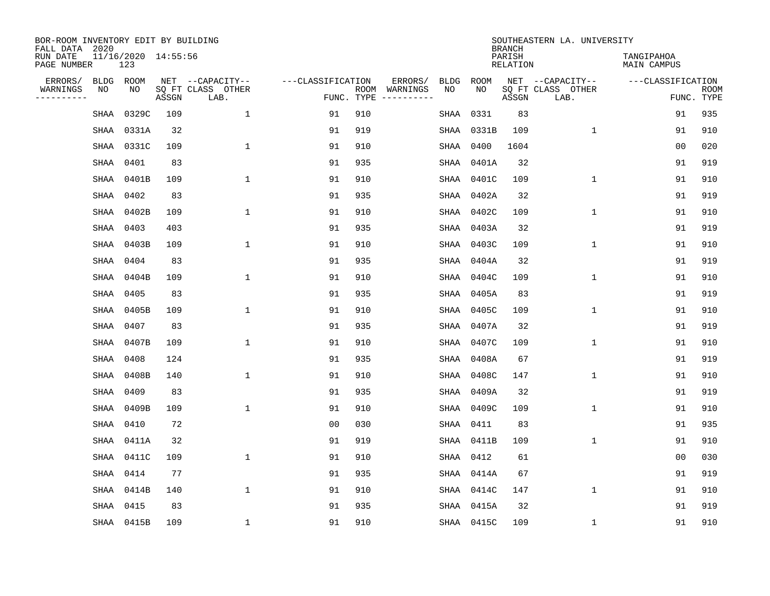| BOR-ROOM INVENTORY EDIT BY BUILDING<br>FALL DATA 2020 |      |                            |       |                           |                   |            |                              |             |             | <b>BRANCH</b>             | SOUTHEASTERN LA. UNIVERSITY |                                  |                           |
|-------------------------------------------------------|------|----------------------------|-------|---------------------------|-------------------|------------|------------------------------|-------------|-------------|---------------------------|-----------------------------|----------------------------------|---------------------------|
| RUN DATE<br>PAGE NUMBER                               |      | 11/16/2020 14:55:56<br>123 |       |                           |                   |            |                              |             |             | PARISH<br><b>RELATION</b> |                             | TANGIPAHOA<br><b>MAIN CAMPUS</b> |                           |
| ERRORS/                                               | BLDG | ROOM                       |       | NET --CAPACITY--          | ---CLASSIFICATION |            | ERRORS/                      | <b>BLDG</b> | <b>ROOM</b> |                           | NET --CAPACITY--            | ---CLASSIFICATION                |                           |
| WARNINGS<br>----------                                | ΝO   | NO                         | ASSGN | SQ FT CLASS OTHER<br>LAB. |                   | FUNC. TYPE | ROOM WARNINGS<br>----------- | NO          | NO          | ASSGN                     | SQ FT CLASS OTHER<br>LAB.   |                                  | <b>ROOM</b><br>FUNC. TYPE |
|                                                       | SHAA | 0329C                      | 109   | $\mathbf{1}$              | 91                | 910        |                              | SHAA        | 0331        | 83                        |                             | 91                               | 935                       |
|                                                       | SHAA | 0331A                      | 32    |                           | 91                | 919        |                              | SHAA        | 0331B       | 109                       | 1                           | 91                               | 910                       |
|                                                       |      | SHAA 0331C                 | 109   | $\mathbf 1$               | 91                | 910        |                              | SHAA        | 0400        | 1604                      |                             | 0 <sub>0</sub>                   | 020                       |
|                                                       | SHAA | 0401                       | 83    |                           | 91                | 935        |                              | SHAA        | 0401A       | 32                        |                             | 91                               | 919                       |
|                                                       | SHAA | 0401B                      | 109   | $\mathbf{1}$              | 91                | 910        |                              |             | SHAA 0401C  | 109                       | $\mathbf{1}$                | 91                               | 910                       |
|                                                       |      | SHAA 0402                  | 83    |                           | 91                | 935        |                              | SHAA        | 0402A       | 32                        |                             | 91                               | 919                       |
|                                                       |      | SHAA 0402B                 | 109   | $\mathbf{1}$              | 91                | 910        |                              | SHAA        | 0402C       | 109                       | $\mathbf{1}$                | 91                               | 910                       |
|                                                       | SHAA | 0403                       | 403   |                           | 91                | 935        |                              | SHAA        | 0403A       | 32                        |                             | 91                               | 919                       |
|                                                       | SHAA | 0403B                      | 109   | $\mathbf{1}$              | 91                | 910        |                              | SHAA        | 0403C       | 109                       | $\mathbf{1}$                | 91                               | 910                       |
|                                                       | SHAA | 0404                       | 83    |                           | 91                | 935        |                              | SHAA        | 0404A       | 32                        |                             | 91                               | 919                       |
|                                                       | SHAA | 0404B                      | 109   | $\mathbf{1}$              | 91                | 910        |                              | SHAA        | 0404C       | 109                       | $\mathbf 1$                 | 91                               | 910                       |
|                                                       | SHAA | 0405                       | 83    |                           | 91                | 935        |                              | SHAA        | 0405A       | 83                        |                             | 91                               | 919                       |
|                                                       | SHAA | 0405B                      | 109   | $\mathbf{1}$              | 91                | 910        |                              | SHAA        | 0405C       | 109                       | $\mathbf 1$                 | 91                               | 910                       |
|                                                       | SHAA | 0407                       | 83    |                           | 91                | 935        |                              | SHAA        | 0407A       | 32                        |                             | 91                               | 919                       |
|                                                       | SHAA | 0407B                      | 109   | $\mathbf{1}$              | 91                | 910        |                              | SHAA        | 0407C       | 109                       | $\mathbf{1}$                | 91                               | 910                       |
|                                                       | SHAA | 0408                       | 124   |                           | 91                | 935        |                              | SHAA        | 0408A       | 67                        |                             | 91                               | 919                       |
|                                                       | SHAA | 0408B                      | 140   | $\mathbf{1}$              | 91                | 910        |                              | SHAA        | 0408C       | 147                       | 1                           | 91                               | 910                       |
|                                                       | SHAA | 0409                       | 83    |                           | 91                | 935        |                              | SHAA        | 0409A       | 32                        |                             | 91                               | 919                       |
|                                                       | SHAA | 0409B                      | 109   | $\mathbf{1}$              | 91                | 910        |                              | SHAA        | 0409C       | 109                       | $\mathbf 1$                 | 91                               | 910                       |
|                                                       | SHAA | 0410                       | 72    |                           | 0 <sub>0</sub>    | 030        |                              | SHAA        | 0411        | 83                        |                             | 91                               | 935                       |
|                                                       | SHAA | 0411A                      | 32    |                           | 91                | 919        |                              | SHAA        | 0411B       | 109                       | $\mathbf 1$                 | 91                               | 910                       |
|                                                       | SHAA | 0411C                      | 109   | $\mathbf{1}$              | 91                | 910        |                              | SHAA        | 0412        | 61                        |                             | 0 <sub>0</sub>                   | 030                       |
|                                                       | SHAA | 0414                       | 77    |                           | 91                | 935        |                              | SHAA        | 0414A       | 67                        |                             | 91                               | 919                       |
|                                                       | SHAA | 0414B                      | 140   | $\mathbf{1}$              | 91                | 910        |                              |             | SHAA 0414C  | 147                       | $\mathbf{1}$                | 91                               | 910                       |
|                                                       | SHAA | 0415                       | 83    |                           | 91                | 935        |                              |             | SHAA 0415A  | 32                        |                             | 91                               | 919                       |
|                                                       |      | SHAA 0415B                 | 109   | $\mathbf{1}$              | 91                | 910        |                              |             | SHAA 0415C  | 109                       | 1                           | 91                               | 910                       |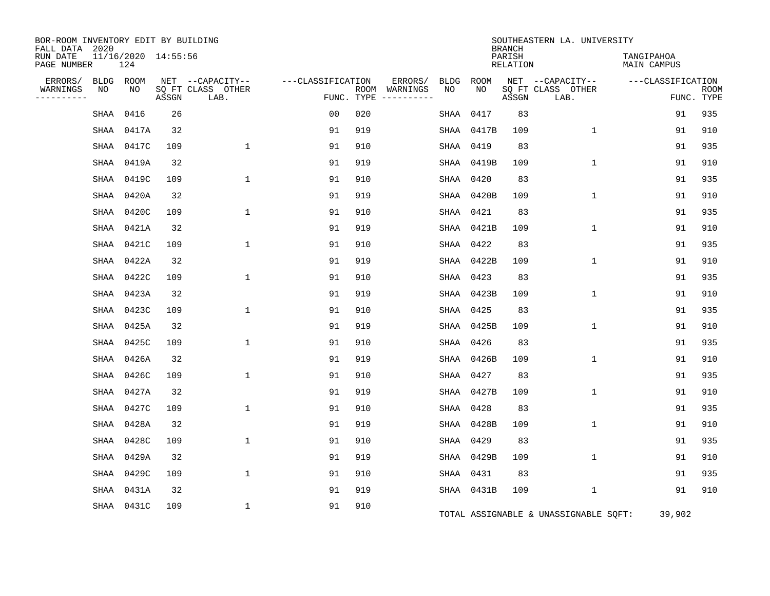| BOR-ROOM INVENTORY EDIT BY BUILDING<br>FALL DATA 2020 |                            |       |                           |                   |                             |             |           |            | <b>BRANCH</b>      | SOUTHEASTERN LA. UNIVERSITY           |                                  |                           |
|-------------------------------------------------------|----------------------------|-------|---------------------------|-------------------|-----------------------------|-------------|-----------|------------|--------------------|---------------------------------------|----------------------------------|---------------------------|
| RUN DATE<br>PAGE NUMBER                               | 11/16/2020 14:55:56<br>124 |       |                           |                   |                             |             |           |            | PARISH<br>RELATION |                                       | TANGIPAHOA<br><b>MAIN CAMPUS</b> |                           |
| ERRORS/                                               | BLDG ROOM                  |       | NET --CAPACITY--          | ---CLASSIFICATION |                             | ERRORS/     | BLDG      | ROOM       |                    | NET --CAPACITY--                      | ---CLASSIFICATION                |                           |
| NO<br>WARNINGS<br>--------                            | NO                         | ASSGN | SQ FT CLASS OTHER<br>LAB. |                   | ROOM WARNINGS<br>FUNC. TYPE | ----------- | NO        | NO         | ASSGN              | SQ FT CLASS OTHER<br>LAB.             |                                  | <b>ROOM</b><br>FUNC. TYPE |
| SHAA                                                  | 0416                       | 26    |                           | 0 <sub>0</sub>    | 020                         |             | SHAA      | 0417       | 83                 |                                       | 91                               | 935                       |
|                                                       | SHAA 0417A                 | 32    |                           | 91                | 919                         |             |           | SHAA 0417B | 109                | $\mathbf{1}$                          | 91                               | 910                       |
|                                                       | SHAA 0417C                 | 109   | $\mathbf{1}$              | 91                | 910                         |             | SHAA 0419 |            | 83                 |                                       | 91                               | 935                       |
|                                                       | SHAA 0419A                 | 32    |                           | 91                | 919                         |             |           | SHAA 0419B | 109                | $\mathbf 1$                           | 91                               | 910                       |
|                                                       | SHAA 0419C                 | 109   | $\mathbf{1}$              | 91                | 910                         |             | SHAA 0420 |            | 83                 |                                       | 91                               | 935                       |
|                                                       | SHAA 0420A                 | 32    |                           | 91                | 919                         |             |           | SHAA 0420B | 109                | $\mathbf{1}$                          | 91                               | 910                       |
|                                                       | SHAA 0420C                 | 109   | $\mathbf{1}$              | 91                | 910                         |             | SHAA 0421 |            | 83                 |                                       | 91                               | 935                       |
| SHAA                                                  | 0421A                      | 32    |                           | 91                | 919                         |             |           | SHAA 0421B | 109                | $\mathbf{1}$                          | 91                               | 910                       |
| SHAA                                                  | 0421C                      | 109   | $\mathbf{1}$              | 91                | 910                         |             | SHAA 0422 |            | 83                 |                                       | 91                               | 935                       |
|                                                       | SHAA 0422A                 | 32    |                           | 91                | 919                         |             |           | SHAA 0422B | 109                | $\mathbf{1}$                          | 91                               | 910                       |
| SHAA                                                  | 0422C                      | 109   | $\mathbf{1}$              | 91                | 910                         |             | SHAA 0423 |            | 83                 |                                       | 91                               | 935                       |
| SHAA                                                  | 0423A                      | 32    |                           | 91                | 919                         |             |           | SHAA 0423B | 109                | $\mathbf 1$                           | 91                               | 910                       |
|                                                       | SHAA 0423C                 | 109   | $\mathbf{1}$              | 91                | 910                         |             | SHAA 0425 |            | 83                 |                                       | 91                               | 935                       |
|                                                       | SHAA 0425A                 | 32    |                           | 91                | 919                         |             |           | SHAA 0425B | 109                | $\mathbf{1}$                          | 91                               | 910                       |
|                                                       | SHAA 0425C                 | 109   | $\mathbf{1}$              | 91                | 910                         |             | SHAA 0426 |            | 83                 |                                       | 91                               | 935                       |
|                                                       | SHAA 0426A                 | 32    |                           | 91                | 919                         |             |           | SHAA 0426B | 109                | $\mathbf 1$                           | 91                               | 910                       |
|                                                       | SHAA 0426C                 | 109   | $\mathbf{1}$              | 91                | 910                         |             | SHAA 0427 |            | 83                 |                                       | 91                               | 935                       |
|                                                       | SHAA 0427A                 | 32    |                           | 91                | 919                         |             |           | SHAA 0427B | 109                | $\mathbf{1}$                          | 91                               | 910                       |
|                                                       | SHAA 0427C                 | 109   | $\mathbf{1}$              | 91                | 910                         |             | SHAA      | 0428       | 83                 |                                       | 91                               | 935                       |
|                                                       | SHAA 0428A                 | 32    |                           | 91                | 919                         |             |           | SHAA 0428B | 109                | $\mathbf{1}$                          | 91                               | 910                       |
|                                                       | SHAA 0428C                 | 109   | $\mathbf{1}$              | 91                | 910                         |             | SHAA 0429 |            | 83                 |                                       | 91                               | 935                       |
|                                                       | SHAA 0429A                 | 32    |                           | 91                | 919                         |             |           | SHAA 0429B | 109                | $\mathbf{1}$                          | 91                               | 910                       |
|                                                       | SHAA 0429C                 | 109   | $\mathbf{1}$              | 91                | 910                         |             | SHAA 0431 |            | 83                 |                                       | 91                               | 935                       |
|                                                       | SHAA 0431A                 | 32    |                           | 91                | 919                         |             |           | SHAA 0431B | 109                | $\mathbf 1$                           | 91                               | 910                       |
|                                                       | SHAA 0431C                 | 109   | 1                         | 91                | 910                         |             |           |            |                    | TOTAL ASSIGNABLE & UNASSIGNABLE SQFT: | 39,902                           |                           |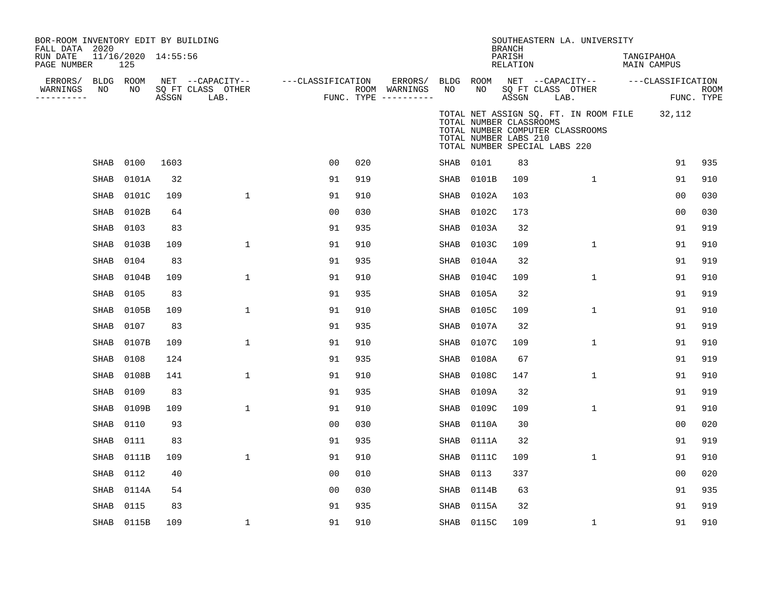| BOR-ROOM INVENTORY EDIT BY BUILDING<br>FALL DATA 2020 |             |                            |       |                                       |                   |     |                          |                 |                                                                                   | <b>BRANCH</b>      |      | SOUTHEASTERN LA. UNIVERSITY                                               |            |                   |            |
|-------------------------------------------------------|-------------|----------------------------|-------|---------------------------------------|-------------------|-----|--------------------------|-----------------|-----------------------------------------------------------------------------------|--------------------|------|---------------------------------------------------------------------------|------------|-------------------|------------|
| RUN DATE<br>PAGE NUMBER                               |             | 11/16/2020 14:55:56<br>125 |       |                                       |                   |     |                          |                 |                                                                                   | PARISH<br>RELATION |      |                                                                           | TANGIPAHOA | MAIN CAMPUS       |            |
| ERRORS/<br>WARNINGS                                   | NO          | BLDG ROOM<br>NO            |       | NET --CAPACITY--<br>SQ FT CLASS OTHER | ---CLASSIFICATION |     | ERRORS/<br>ROOM WARNINGS | BLDG ROOM<br>NO | NO                                                                                |                    |      | NET --CAPACITY--<br>SO FT CLASS OTHER                                     |            | ---CLASSIFICATION | ROOM       |
| ----------                                            |             |                            | ASSGN | LAB.                                  |                   |     | FUNC. TYPE ----------    |                 |                                                                                   | ASSGN              | LAB. |                                                                           |            |                   | FUNC. TYPE |
|                                                       |             |                            |       |                                       |                   |     |                          |                 | TOTAL NUMBER CLASSROOMS<br>TOTAL NUMBER LABS 210<br>TOTAL NUMBER SPECIAL LABS 220 |                    |      | TOTAL NET ASSIGN SQ. FT. IN ROOM FILE<br>TOTAL NUMBER COMPUTER CLASSROOMS |            | 32,112            |            |
|                                                       | <b>SHAB</b> | 0100                       | 1603  |                                       | 0 <sub>0</sub>    | 020 |                          | SHAB            | 0101                                                                              | 83                 |      |                                                                           |            | 91                | 935        |
|                                                       | <b>SHAB</b> | 0101A                      | 32    |                                       | 91                | 919 |                          | <b>SHAB</b>     | 0101B                                                                             | 109                |      | $\mathbf{1}$                                                              |            | 91                | 910        |
|                                                       | SHAB        | 0101C                      | 109   | $\mathbf 1$                           | 91                | 910 |                          | SHAB            | 0102A                                                                             | 103                |      |                                                                           |            | 0 <sub>0</sub>    | 030        |
|                                                       | <b>SHAB</b> | 0102B                      | 64    |                                       | 0 <sub>0</sub>    | 030 |                          | <b>SHAB</b>     | 0102C                                                                             | 173                |      |                                                                           |            | 0 <sub>0</sub>    | 030        |
|                                                       | <b>SHAB</b> | 0103                       | 83    |                                       | 91                | 935 |                          | <b>SHAB</b>     | 0103A                                                                             | 32                 |      |                                                                           |            | 91                | 919        |
|                                                       | <b>SHAB</b> | 0103B                      | 109   | $\mathbf 1$                           | 91                | 910 |                          | <b>SHAB</b>     | 0103C                                                                             | 109                |      | 1                                                                         |            | 91                | 910        |
|                                                       | SHAB        | 0104                       | 83    |                                       | 91                | 935 |                          | SHAB            | 0104A                                                                             | 32                 |      |                                                                           |            | 91                | 919        |
|                                                       | SHAB        | 0104B                      | 109   | $\mathbf 1$                           | 91                | 910 |                          | SHAB            | 0104C                                                                             | 109                |      | $\mathbf{1}$                                                              |            | 91                | 910        |
|                                                       | <b>SHAB</b> | 0105                       | 83    |                                       | 91                | 935 |                          | SHAB            | 0105A                                                                             | 32                 |      |                                                                           |            | 91                | 919        |
|                                                       | SHAB        | 0105B                      | 109   | 1                                     | 91                | 910 |                          | SHAB            | 0105C                                                                             | 109                |      | 1                                                                         |            | 91                | 910        |
|                                                       | SHAB        | 0107                       | 83    |                                       | 91                | 935 |                          | SHAB            | 0107A                                                                             | 32                 |      |                                                                           |            | 91                | 919        |
|                                                       | <b>SHAB</b> | 0107B                      | 109   | $\mathbf 1$                           | 91                | 910 |                          | <b>SHAB</b>     | 0107C                                                                             | 109                |      | 1                                                                         |            | 91                | 910        |
|                                                       | <b>SHAB</b> | 0108                       | 124   |                                       | 91                | 935 |                          | <b>SHAB</b>     | 0108A                                                                             | 67                 |      |                                                                           |            | 91                | 919        |
|                                                       | SHAB        | 0108B                      | 141   | 1                                     | 91                | 910 |                          | SHAB            | 0108C                                                                             | 147                |      | 1                                                                         |            | 91                | 910        |
|                                                       | SHAB        | 0109                       | 83    |                                       | 91                | 935 |                          | SHAB            | 0109A                                                                             | 32                 |      |                                                                           |            | 91                | 919        |
|                                                       | <b>SHAB</b> | 0109B                      | 109   | $\mathbf{1}$                          | 91                | 910 |                          | SHAB            | 0109C                                                                             | 109                |      | $\mathbf{1}$                                                              |            | 91                | 910        |
|                                                       | <b>SHAB</b> | 0110                       | 93    |                                       | 0 <sub>0</sub>    | 030 |                          | SHAB            | 0110A                                                                             | 30                 |      |                                                                           |            | 00                | 020        |
|                                                       | SHAB        | 0111                       | 83    |                                       | 91                | 935 |                          | SHAB            | 0111A                                                                             | 32                 |      |                                                                           |            | 91                | 919        |
|                                                       | SHAB        | 0111B                      | 109   | $\mathbf 1$                           | 91                | 910 |                          | SHAB            | 0111C                                                                             | 109                |      | $\mathbf{1}$                                                              |            | 91                | 910        |
|                                                       | <b>SHAB</b> | 0112                       | 40    |                                       | 0 <sub>0</sub>    | 010 |                          | <b>SHAB</b>     | 0113                                                                              | 337                |      |                                                                           |            | 00                | 020        |
|                                                       | SHAB        | 0114A                      | 54    |                                       | 00                | 030 |                          | SHAB            | 0114B                                                                             | 63                 |      |                                                                           |            | 91                | 935        |
|                                                       | SHAB        | 0115                       | 83    |                                       | 91                | 935 |                          | SHAB            | 0115A                                                                             | 32                 |      |                                                                           |            | 91                | 919        |
|                                                       | SHAB        | 0115B                      | 109   | $\mathbf 1$                           | 91                | 910 |                          |                 | SHAB 0115C                                                                        | 109                |      | $\mathbf{1}$                                                              |            | 91                | 910        |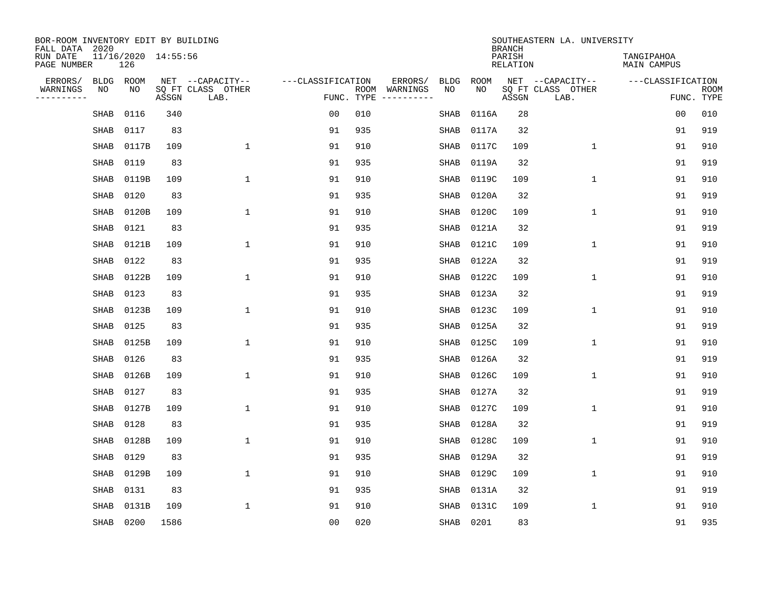| BOR-ROOM INVENTORY EDIT BY BUILDING<br>FALL DATA 2020 |                            |       |                           |                   |      |                                       |           |             | <b>BRANCH</b>             | SOUTHEASTERN LA. UNIVERSITY |                                  |                           |
|-------------------------------------------------------|----------------------------|-------|---------------------------|-------------------|------|---------------------------------------|-----------|-------------|---------------------------|-----------------------------|----------------------------------|---------------------------|
| RUN DATE<br>PAGE NUMBER                               | 11/16/2020 14:55:56<br>126 |       |                           |                   |      |                                       |           |             | PARISH<br><b>RELATION</b> |                             | TANGIPAHOA<br><b>MAIN CAMPUS</b> |                           |
| ERRORS/                                               | <b>BLDG</b><br>ROOM        |       | NET --CAPACITY--          | ---CLASSIFICATION |      | ERRORS/<br><b>BLDG</b>                |           | <b>ROOM</b> |                           | NET --CAPACITY--            | ---CLASSIFICATION                |                           |
| WARNINGS<br>----------                                | NO<br>NO                   | ASSGN | SQ FT CLASS OTHER<br>LAB. |                   | ROOM | NO<br>WARNINGS<br>FUNC. TYPE $------$ |           | NO          | ASSGN                     | SQ FT CLASS OTHER<br>LAB.   |                                  | <b>ROOM</b><br>FUNC. TYPE |
|                                                       | 0116<br>SHAB               | 340   |                           | 0 <sub>0</sub>    | 010  | SHAB                                  |           | 0116A       | 28                        |                             | 00                               | 010                       |
|                                                       | 0117<br>SHAB               | 83    |                           | 91                | 935  | SHAB                                  |           | 0117A       | 32                        |                             | 91                               | 919                       |
|                                                       | SHAB<br>0117B              | 109   | $\mathbf 1$               | 91                | 910  | SHAB                                  |           | 0117C       | 109                       | $\mathbf 1$                 | 91                               | 910                       |
|                                                       | 0119<br>SHAB               | 83    |                           | 91                | 935  | SHAB                                  |           | 0119A       | 32                        |                             | 91                               | 919                       |
|                                                       | 0119B<br>SHAB              | 109   | $\mathbf{1}$              | 91                | 910  | SHAB                                  |           | 0119C       | 109                       | $\mathbf 1$                 | 91                               | 910                       |
|                                                       | 0120<br>SHAB               | 83    |                           | 91                | 935  | SHAB                                  |           | 0120A       | 32                        |                             | 91                               | 919                       |
|                                                       | <b>SHAB</b><br>0120B       | 109   | $\mathbf{1}$              | 91                | 910  | <b>SHAB</b>                           |           | 0120C       | 109                       | $\mathbf{1}$                | 91                               | 910                       |
|                                                       | 0121<br>SHAB               | 83    |                           | 91                | 935  | SHAB                                  |           | 0121A       | 32                        |                             | 91                               | 919                       |
|                                                       | 0121B<br>SHAB              | 109   | $\mathbf{1}$              | 91                | 910  | SHAB                                  |           | 0121C       | 109                       | $\mathbf{1}$                | 91                               | 910                       |
|                                                       | 0122<br>SHAB               | 83    |                           | 91                | 935  | SHAB                                  |           | 0122A       | 32                        |                             | 91                               | 919                       |
|                                                       | 0122B<br>SHAB              | 109   | 1                         | 91                | 910  | <b>SHAB</b>                           |           | 0122C       | 109                       | $\mathbf 1$                 | 91                               | 910                       |
|                                                       | <b>SHAB</b><br>0123        | 83    |                           | 91                | 935  | <b>SHAB</b>                           |           | 0123A       | 32                        |                             | 91                               | 919                       |
|                                                       | SHAB<br>0123B              | 109   | $\mathbf{1}$              | 91                | 910  | <b>SHAB</b>                           |           | 0123C       | 109                       | $\mathbf 1$                 | 91                               | 910                       |
|                                                       | 0125<br><b>SHAB</b>        | 83    |                           | 91                | 935  | SHAB                                  |           | 0125A       | 32                        |                             | 91                               | 919                       |
|                                                       | 0125B<br>SHAB              | 109   | $\mathbf{1}$              | 91                | 910  | <b>SHAB</b>                           |           | 0125C       | 109                       | $\mathbf 1$                 | 91                               | 910                       |
|                                                       | <b>SHAB</b><br>0126        | 83    |                           | 91                | 935  | SHAB                                  |           | 0126A       | 32                        |                             | 91                               | 919                       |
|                                                       | 0126B<br>SHAB              | 109   | 1                         | 91                | 910  | SHAB                                  |           | 0126C       | 109                       | 1                           | 91                               | 910                       |
|                                                       | 0127<br>SHAB               | 83    |                           | 91                | 935  | SHAB                                  |           | 0127A       | 32                        |                             | 91                               | 919                       |
|                                                       | 0127B<br>SHAB              | 109   | $\mathbf{1}$              | 91                | 910  | SHAB                                  |           | 0127C       | 109                       | 1                           | 91                               | 910                       |
|                                                       | 0128<br>SHAB               | 83    |                           | 91                | 935  | SHAB                                  |           | 0128A       | 32                        |                             | 91                               | 919                       |
|                                                       | 0128B<br><b>SHAB</b>       | 109   | $\mathbf{1}$              | 91                | 910  | SHAB                                  |           | 0128C       | 109                       | 1                           | 91                               | 910                       |
|                                                       | 0129<br><b>SHAB</b>        | 83    |                           | 91                | 935  | <b>SHAB</b>                           |           | 0129A       | 32                        |                             | 91                               | 919                       |
|                                                       | 0129B<br><b>SHAB</b>       | 109   | $\mathbf{1}$              | 91                | 910  | SHAB                                  |           | 0129C       | 109                       | 1                           | 91                               | 910                       |
|                                                       | <b>SHAB</b><br>0131        | 83    |                           | 91                | 935  | <b>SHAB</b>                           |           | 0131A       | 32                        |                             | 91                               | 919                       |
|                                                       | 0131B<br><b>SHAB</b>       | 109   | $\mathbf{1}$              | 91                | 910  | SHAB                                  |           | 0131C       | 109                       | 1                           | 91                               | 910                       |
|                                                       | SHAB<br>0200               | 1586  |                           | 0 <sub>0</sub>    | 020  |                                       | SHAB 0201 |             | 83                        |                             | 91                               | 935                       |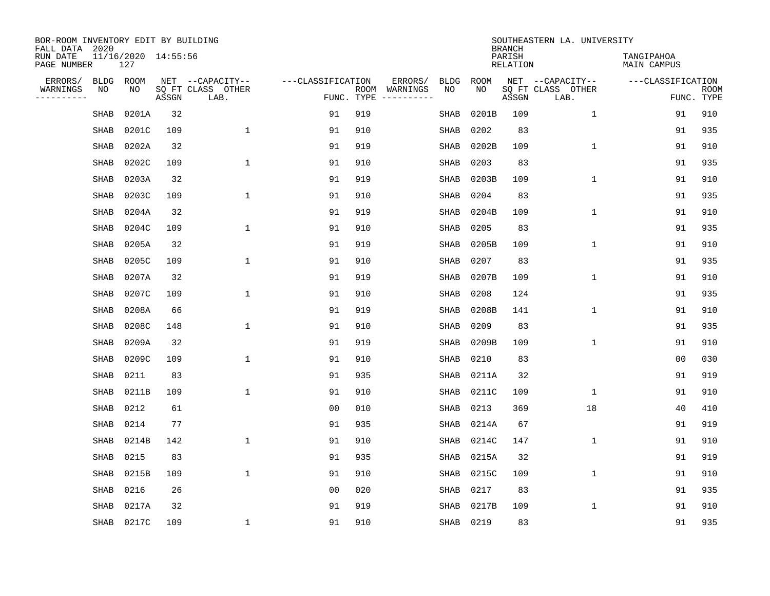| BOR-ROOM INVENTORY EDIT BY BUILDING<br>FALL DATA 2020 |             |                            |       |                           |                   |                    |          |             |             | <b>BRANCH</b>             | SOUTHEASTERN LA. UNIVERSITY |                                  |                           |
|-------------------------------------------------------|-------------|----------------------------|-------|---------------------------|-------------------|--------------------|----------|-------------|-------------|---------------------------|-----------------------------|----------------------------------|---------------------------|
| RUN DATE<br>PAGE NUMBER                               |             | 11/16/2020 14:55:56<br>127 |       |                           |                   |                    |          |             |             | PARISH<br><b>RELATION</b> |                             | TANGIPAHOA<br><b>MAIN CAMPUS</b> |                           |
| ERRORS/                                               | BLDG        | ROOM                       |       | NET --CAPACITY--          | ---CLASSIFICATION |                    | ERRORS/  | <b>BLDG</b> | <b>ROOM</b> |                           | NET --CAPACITY--            | ---CLASSIFICATION                |                           |
| WARNINGS<br>----------                                | ΝO          | NO                         | ASSGN | SQ FT CLASS OTHER<br>LAB. |                   | ROOM<br>FUNC. TYPE | WARNINGS | NO          | NO          | ASSGN                     | SQ FT CLASS OTHER<br>LAB.   |                                  | <b>ROOM</b><br>FUNC. TYPE |
|                                                       | SHAB        | 0201A                      | 32    |                           | 91                | 919                |          | <b>SHAB</b> | 0201B       | 109                       | 1                           | 91                               | 910                       |
|                                                       | SHAB        | 0201C                      | 109   | 1                         | 91                | 910                |          | SHAB        | 0202        | 83                        |                             | 91                               | 935                       |
|                                                       | SHAB        | 0202A                      | 32    |                           | 91                | 919                |          | SHAB        | 0202B       | 109                       | $\mathbf 1$                 | 91                               | 910                       |
|                                                       | SHAB        | 0202C                      | 109   | $\mathbf{1}$              | 91                | 910                |          | SHAB        | 0203        | 83                        |                             | 91                               | 935                       |
|                                                       | SHAB        | 0203A                      | 32    |                           | 91                | 919                |          | <b>SHAB</b> | 0203B       | 109                       | $\mathbf 1$                 | 91                               | 910                       |
|                                                       | SHAB        | 0203C                      | 109   | $\mathbf{1}$              | 91                | 910                |          | <b>SHAB</b> | 0204        | 83                        |                             | 91                               | 935                       |
|                                                       | <b>SHAB</b> | 0204A                      | 32    |                           | 91                | 919                |          | SHAB        | 0204B       | 109                       | $\mathbf{1}$                | 91                               | 910                       |
|                                                       | <b>SHAB</b> | 0204C                      | 109   | $\mathbf{1}$              | 91                | 910                |          | <b>SHAB</b> | 0205        | 83                        |                             | 91                               | 935                       |
|                                                       | <b>SHAB</b> | 0205A                      | 32    |                           | 91                | 919                |          | <b>SHAB</b> | 0205B       | 109                       | $\mathbf{1}$                | 91                               | 910                       |
|                                                       | SHAB        | 0205C                      | 109   | $\mathbf{1}$              | 91                | 910                |          | SHAB        | 0207        | 83                        |                             | 91                               | 935                       |
|                                                       | SHAB        | 0207A                      | 32    |                           | 91                | 919                |          | SHAB        | 0207B       | 109                       | $\mathbf 1$                 | 91                               | 910                       |
|                                                       | SHAB        | 0207C                      | 109   | 1                         | 91                | 910                |          | SHAB        | 0208        | 124                       |                             | 91                               | 935                       |
|                                                       | SHAB        | 0208A                      | 66    |                           | 91                | 919                |          | SHAB        | 0208B       | 141                       | $\mathbf 1$                 | 91                               | 910                       |
|                                                       | SHAB        | 0208C                      | 148   | 1                         | 91                | 910                |          | SHAB        | 0209        | 83                        |                             | 91                               | 935                       |
|                                                       | SHAB        | 0209A                      | 32    |                           | 91                | 919                |          | SHAB        | 0209B       | 109                       | $\mathbf{1}$                | 91                               | 910                       |
|                                                       | SHAB        | 0209C                      | 109   | $\mathbf{1}$              | 91                | 910                |          | SHAB        | 0210        | 83                        |                             | 0 <sub>0</sub>                   | 030                       |
|                                                       | SHAB        | 0211                       | 83    |                           | 91                | 935                |          | SHAB        | 0211A       | 32                        |                             | 91                               | 919                       |
|                                                       | SHAB        | 0211B                      | 109   | 1                         | 91                | 910                |          | SHAB        | 0211C       | 109                       | 1                           | 91                               | 910                       |
|                                                       | SHAB        | 0212                       | 61    |                           | 0 <sub>0</sub>    | 010                |          | SHAB        | 0213        | 369                       | 18                          | 40                               | 410                       |
|                                                       | <b>SHAB</b> | 0214                       | 77    |                           | 91                | 935                |          | <b>SHAB</b> | 0214A       | 67                        |                             | 91                               | 919                       |
|                                                       | SHAB        | 0214B                      | 142   | 1                         | 91                | 910                |          | <b>SHAB</b> | 0214C       | 147                       | $\mathbf 1$                 | 91                               | 910                       |
|                                                       | <b>SHAB</b> | 0215                       | 83    |                           | 91                | 935                |          | <b>SHAB</b> | 0215A       | 32                        |                             | 91                               | 919                       |
|                                                       | SHAB        | 0215B                      | 109   | $\mathbf{1}$              | 91                | 910                |          | <b>SHAB</b> | 0215C       | 109                       | $\mathbf{1}$                | 91                               | 910                       |
|                                                       | SHAB        | 0216                       | 26    |                           | 0 <sub>0</sub>    | 020                |          | SHAB        | 0217        | 83                        |                             | 91                               | 935                       |
|                                                       | <b>SHAB</b> | 0217A                      | 32    |                           | 91                | 919                |          | <b>SHAB</b> | 0217B       | 109                       | $\mathbf{1}$                | 91                               | 910                       |
|                                                       |             | SHAB 0217C                 | 109   | 1                         | 91                | 910                |          | SHAB        | 0219        | 83                        |                             | 91                               | 935                       |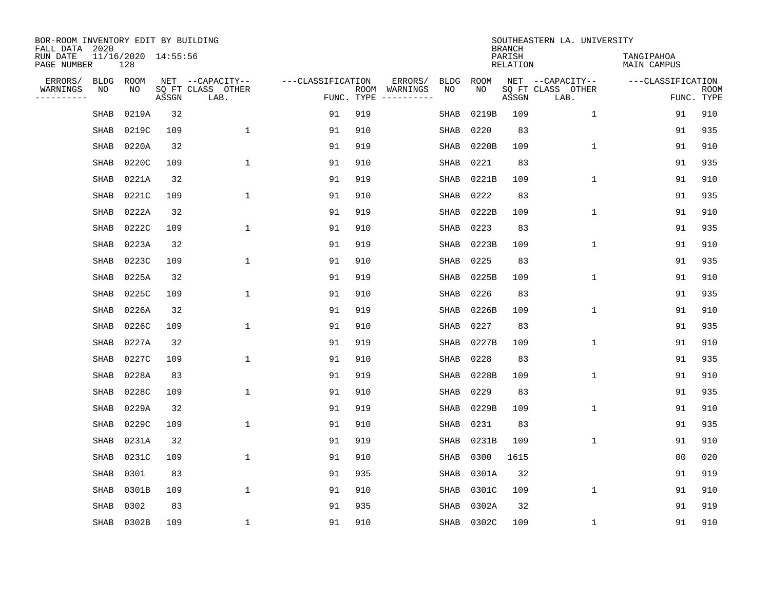| BOR-ROOM INVENTORY EDIT BY BUILDING<br>FALL DATA 2020 |                            |       |                           |                   |            |                              |             |             | <b>BRANCH</b>             | SOUTHEASTERN LA. UNIVERSITY |                                  |                           |
|-------------------------------------------------------|----------------------------|-------|---------------------------|-------------------|------------|------------------------------|-------------|-------------|---------------------------|-----------------------------|----------------------------------|---------------------------|
| RUN DATE<br>PAGE NUMBER                               | 11/16/2020 14:55:56<br>128 |       |                           |                   |            |                              |             |             | PARISH<br><b>RELATION</b> |                             | TANGIPAHOA<br><b>MAIN CAMPUS</b> |                           |
| ERRORS/<br><b>BLDG</b>                                | ROOM                       |       | NET --CAPACITY--          | ---CLASSIFICATION |            | ERRORS/                      | <b>BLDG</b> | <b>ROOM</b> |                           | NET --CAPACITY--            | ---CLASSIFICATION                |                           |
| WARNINGS<br>NO<br>----------                          | NO                         | ASSGN | SQ FT CLASS OTHER<br>LAB. |                   | FUNC. TYPE | ROOM WARNINGS<br>----------- | NO          | NO          | ASSGN                     | SQ FT CLASS OTHER<br>LAB.   |                                  | <b>ROOM</b><br>FUNC. TYPE |
| SHAB                                                  | 0219A                      | 32    |                           | 91                | 919        |                              | SHAB        | 0219B       | 109                       | $\mathbf{1}$                | 91                               | 910                       |
| SHAB                                                  | 0219C                      | 109   | 1                         | 91                | 910        |                              | SHAB        | 0220        | 83                        |                             | 91                               | 935                       |
| SHAB                                                  | 0220A                      | 32    |                           | 91                | 919        |                              | <b>SHAB</b> | 0220B       | 109                       | $\mathbf{1}$                | 91                               | 910                       |
| SHAB                                                  | 0220C                      | 109   | $\mathbf{1}$              | 91                | 910        |                              | <b>SHAB</b> | 0221        | 83                        |                             | 91                               | 935                       |
| SHAB                                                  | 0221A                      | 32    |                           | 91                | 919        |                              | SHAB        | 0221B       | 109                       | $\mathbf{1}$                | 91                               | 910                       |
| SHAB                                                  | 0221C                      | 109   | $\mathbf{1}$              | 91                | 910        |                              | SHAB        | 0222        | 83                        |                             | 91                               | 935                       |
| SHAB                                                  | 0222A                      | 32    |                           | 91                | 919        |                              | SHAB        | 0222B       | 109                       | $\mathbf 1$                 | 91                               | 910                       |
| SHAB                                                  | 0222C                      | 109   | $\mathbf{1}$              | 91                | 910        |                              | <b>SHAB</b> | 0223        | 83                        |                             | 91                               | 935                       |
| SHAB                                                  | 0223A                      | 32    |                           | 91                | 919        |                              | <b>SHAB</b> | 0223B       | 109                       | $\mathbf 1$                 | 91                               | 910                       |
| SHAB                                                  | 0223C                      | 109   | 1                         | 91                | 910        |                              | <b>SHAB</b> | 0225        | 83                        |                             | 91                               | 935                       |
| SHAB                                                  | 0225A                      | 32    |                           | 91                | 919        |                              | <b>SHAB</b> | 0225B       | 109                       | $\mathbf{1}$                | 91                               | 910                       |
| <b>SHAB</b>                                           | 0225C                      | 109   | $\mathbf{1}$              | 91                | 910        |                              | <b>SHAB</b> | 0226        | 83                        |                             | 91                               | 935                       |
| SHAB                                                  | 0226A                      | 32    |                           | 91                | 919        |                              | SHAB        | 0226B       | 109                       | $\mathbf 1$                 | 91                               | 910                       |
| SHAB                                                  | 0226C                      | 109   | 1                         | 91                | 910        |                              | SHAB        | 0227        | 83                        |                             | 91                               | 935                       |
| SHAB                                                  | 0227A                      | 32    |                           | 91                | 919        |                              | SHAB        | 0227B       | 109                       | 1                           | 91                               | 910                       |
| SHAB                                                  | 0227C                      | 109   | $\mathbf{1}$              | 91                | 910        |                              | SHAB        | 0228        | 83                        |                             | 91                               | 935                       |
| SHAB                                                  | 0228A                      | 83    |                           | 91                | 919        |                              | SHAB        | 0228B       | 109                       | $\mathbf 1$                 | 91                               | 910                       |
| <b>SHAB</b>                                           | 0228C                      | 109   | $\mathbf{1}$              | 91                | 910        |                              | <b>SHAB</b> | 0229        | 83                        |                             | 91                               | 935                       |
| <b>SHAB</b>                                           | 0229A                      | 32    |                           | 91                | 919        |                              | SHAB        | 0229B       | 109                       | $\mathbf{1}$                | 91                               | 910                       |
| SHAB                                                  | 0229C                      | 109   | 1                         | 91                | 910        |                              | <b>SHAB</b> | 0231        | 83                        |                             | 91                               | 935                       |
| SHAB                                                  | 0231A                      | 32    |                           | 91                | 919        |                              | <b>SHAB</b> | 0231B       | 109                       | $\mathbf 1$                 | 91                               | 910                       |
| <b>SHAB</b>                                           | 0231C                      | 109   | 1                         | 91                | 910        |                              | <b>SHAB</b> | 0300        | 1615                      |                             | 0 <sub>0</sub>                   | 020                       |
| <b>SHAB</b>                                           | 0301                       | 83    |                           | 91                | 935        |                              | <b>SHAB</b> | 0301A       | 32                        |                             | 91                               | 919                       |
| SHAB                                                  | 0301B                      | 109   | $\mathbf{1}$              | 91                | 910        |                              | SHAB        | 0301C       | 109                       | $\mathbf{1}$                | 91                               | 910                       |
| <b>SHAB</b>                                           | 0302                       | 83    |                           | 91                | 935        |                              | <b>SHAB</b> | 0302A       | 32                        |                             | 91                               | 919                       |
| SHAB                                                  | 0302B                      | 109   | $\mathbf{1}$              | 91                | 910        |                              | SHAB        | 0302C       | 109                       | 1                           | 91                               | 910                       |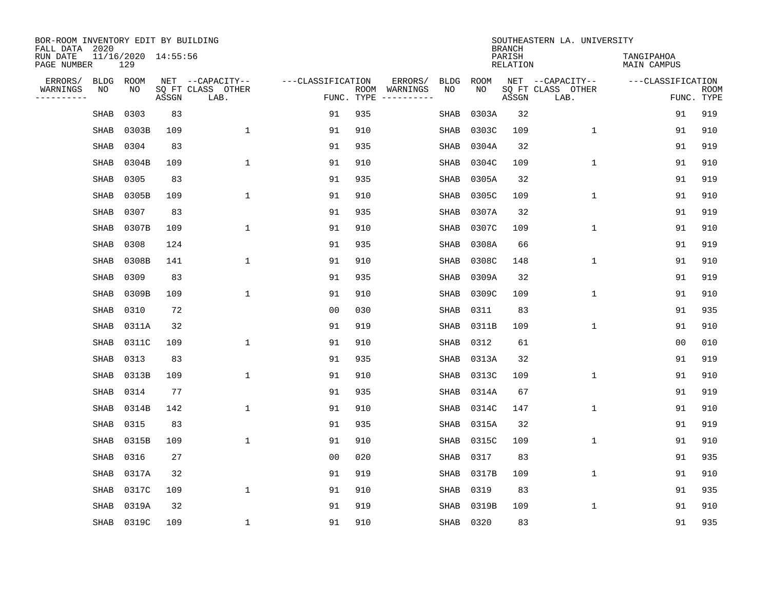| BOR-ROOM INVENTORY EDIT BY BUILDING<br>FALL DATA 2020 |             |                            |       |                           |                   |                    |          |             |             | <b>BRANCH</b>             | SOUTHEASTERN LA. UNIVERSITY |                                  |                           |
|-------------------------------------------------------|-------------|----------------------------|-------|---------------------------|-------------------|--------------------|----------|-------------|-------------|---------------------------|-----------------------------|----------------------------------|---------------------------|
| RUN DATE<br>PAGE NUMBER                               |             | 11/16/2020 14:55:56<br>129 |       |                           |                   |                    |          |             |             | PARISH<br><b>RELATION</b> |                             | TANGIPAHOA<br><b>MAIN CAMPUS</b> |                           |
| ERRORS/                                               | BLDG        | ROOM                       |       | NET --CAPACITY--          | ---CLASSIFICATION |                    | ERRORS/  | <b>BLDG</b> | <b>ROOM</b> |                           | NET --CAPACITY--            | ---CLASSIFICATION                |                           |
| WARNINGS<br>----------                                | ΝO          | NO                         | ASSGN | SQ FT CLASS OTHER<br>LAB. |                   | ROOM<br>FUNC. TYPE | WARNINGS | NO          | NO          | ASSGN                     | SQ FT CLASS OTHER<br>LAB.   |                                  | <b>ROOM</b><br>FUNC. TYPE |
|                                                       | SHAB        | 0303                       | 83    |                           | 91                | 935                |          | SHAB        | 0303A       | 32                        |                             | 91                               | 919                       |
|                                                       | SHAB        | 0303B                      | 109   | 1                         | 91                | 910                |          | SHAB        | 0303C       | 109                       | 1                           | 91                               | 910                       |
|                                                       | SHAB        | 0304                       | 83    |                           | 91                | 935                |          | SHAB        | 0304A       | 32                        |                             | 91                               | 919                       |
|                                                       | SHAB        | 0304B                      | 109   | $\mathbf{1}$              | 91                | 910                |          | SHAB        | 0304C       | 109                       | $\mathbf 1$                 | 91                               | 910                       |
|                                                       | SHAB        | 0305                       | 83    |                           | 91                | 935                |          | <b>SHAB</b> | 0305A       | 32                        |                             | 91                               | 919                       |
|                                                       | SHAB        | 0305B                      | 109   | $\mathbf{1}$              | 91                | 910                |          | <b>SHAB</b> | 0305C       | 109                       | $\mathbf{1}$                | 91                               | 910                       |
|                                                       | <b>SHAB</b> | 0307                       | 83    |                           | 91                | 935                |          | <b>SHAB</b> | 0307A       | 32                        |                             | 91                               | 919                       |
|                                                       | <b>SHAB</b> | 0307B                      | 109   | $\mathbf{1}$              | 91                | 910                |          | <b>SHAB</b> | 0307C       | 109                       | $\mathbf{1}$                | 91                               | 910                       |
|                                                       | <b>SHAB</b> | 0308                       | 124   |                           | 91                | 935                |          | <b>SHAB</b> | 0308A       | 66                        |                             | 91                               | 919                       |
|                                                       | SHAB        | 0308B                      | 141   | $\mathbf{1}$              | 91                | 910                |          | SHAB        | 0308C       | 148                       | 1                           | 91                               | 910                       |
|                                                       | SHAB        | 0309                       | 83    |                           | 91                | 935                |          | SHAB        | 0309A       | 32                        |                             | 91                               | 919                       |
|                                                       | SHAB        | 0309B                      | 109   | 1                         | 91                | 910                |          | SHAB        | 0309C       | 109                       | $\mathbf 1$                 | 91                               | 910                       |
|                                                       | SHAB        | 0310                       | 72    |                           | 0 <sub>0</sub>    | 030                |          | SHAB        | 0311        | 83                        |                             | 91                               | 935                       |
|                                                       | SHAB        | 0311A                      | 32    |                           | 91                | 919                |          | SHAB        | 0311B       | 109                       | $\mathbf 1$                 | 91                               | 910                       |
|                                                       | SHAB        | 0311C                      | 109   | $\mathbf{1}$              | 91                | 910                |          | SHAB        | 0312        | 61                        |                             | 0 <sub>0</sub>                   | 010                       |
|                                                       | SHAB        | 0313                       | 83    |                           | 91                | 935                |          | SHAB        | 0313A       | 32                        |                             | 91                               | 919                       |
|                                                       | SHAB        | 0313B                      | 109   | $\mathbf{1}$              | 91                | 910                |          | SHAB        | 0313C       | 109                       | 1                           | 91                               | 910                       |
|                                                       | SHAB        | 0314                       | 77    |                           | 91                | 935                |          | SHAB        | 0314A       | 67                        |                             | 91                               | 919                       |
|                                                       | SHAB        | 0314B                      | 142   | 1                         | 91                | 910                |          | SHAB        | 0314C       | 147                       | $\mathbf 1$                 | 91                               | 910                       |
|                                                       | <b>SHAB</b> | 0315                       | 83    |                           | 91                | 935                |          | <b>SHAB</b> | 0315A       | 32                        |                             | 91                               | 919                       |
|                                                       | SHAB        | 0315B                      | 109   | 1                         | 91                | 910                |          | <b>SHAB</b> | 0315C       | 109                       | $\mathbf 1$                 | 91                               | 910                       |
|                                                       | <b>SHAB</b> | 0316                       | 27    |                           | 0 <sub>0</sub>    | 020                |          | <b>SHAB</b> | 0317        | 83                        |                             | 91                               | 935                       |
|                                                       | SHAB        | 0317A                      | 32    |                           | 91                | 919                |          | <b>SHAB</b> | 0317B       | 109                       | $\mathbf{1}$                | 91                               | 910                       |
|                                                       | SHAB        | 0317C                      | 109   | $\mathbf{1}$              | 91                | 910                |          | SHAB        | 0319        | 83                        |                             | 91                               | 935                       |
|                                                       | <b>SHAB</b> | 0319A                      | 32    |                           | 91                | 919                |          | <b>SHAB</b> | 0319B       | 109                       | $\mathbf{1}$                | 91                               | 910                       |
|                                                       | SHAB        | 0319C                      | 109   | $\mathbf{1}$              | 91                | 910                |          | SHAB        | 0320        | 83                        |                             | 91                               | 935                       |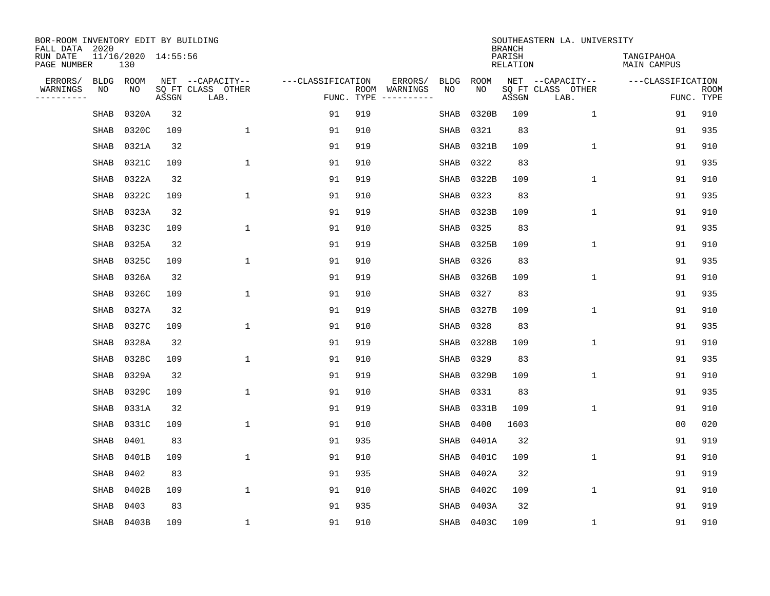| BOR-ROOM INVENTORY EDIT BY BUILDING<br>FALL DATA 2020 |                            |       |                           |                   |            |                              |             |             | <b>BRANCH</b>             | SOUTHEASTERN LA. UNIVERSITY |                                  |                           |
|-------------------------------------------------------|----------------------------|-------|---------------------------|-------------------|------------|------------------------------|-------------|-------------|---------------------------|-----------------------------|----------------------------------|---------------------------|
| RUN DATE<br>PAGE NUMBER                               | 11/16/2020 14:55:56<br>130 |       |                           |                   |            |                              |             |             | PARISH<br><b>RELATION</b> |                             | TANGIPAHOA<br><b>MAIN CAMPUS</b> |                           |
| ERRORS/<br><b>BLDG</b>                                | ROOM                       |       | NET --CAPACITY--          | ---CLASSIFICATION |            | ERRORS/                      | <b>BLDG</b> | <b>ROOM</b> |                           | NET --CAPACITY--            | ---CLASSIFICATION                |                           |
| WARNINGS<br>NO<br>----------                          | NO                         | ASSGN | SQ FT CLASS OTHER<br>LAB. |                   | FUNC. TYPE | ROOM WARNINGS<br>----------- | NO          | NO          | ASSGN                     | SQ FT CLASS OTHER<br>LAB.   |                                  | <b>ROOM</b><br>FUNC. TYPE |
| SHAB                                                  | 0320A                      | 32    |                           | 91                | 919        |                              | SHAB        | 0320B       | 109                       | $\mathbf{1}$                | 91                               | 910                       |
| SHAB                                                  | 0320C                      | 109   | 1                         | 91                | 910        |                              | SHAB        | 0321        | 83                        |                             | 91                               | 935                       |
| SHAB                                                  | 0321A                      | 32    |                           | 91                | 919        |                              | SHAB        | 0321B       | 109                       | $\mathbf 1$                 | 91                               | 910                       |
| SHAB                                                  | 0321C                      | 109   | 1                         | 91                | 910        |                              | SHAB        | 0322        | 83                        |                             | 91                               | 935                       |
| SHAB                                                  | 0322A                      | 32    |                           | 91                | 919        |                              | SHAB        | 0322B       | 109                       | $\mathbf 1$                 | 91                               | 910                       |
| SHAB                                                  | 0322C                      | 109   | $\mathbf{1}$              | 91                | 910        |                              | SHAB        | 0323        | 83                        |                             | 91                               | 935                       |
| <b>SHAB</b>                                           | 0323A                      | 32    |                           | 91                | 919        |                              | <b>SHAB</b> | 0323B       | 109                       | $\mathbf{1}$                | 91                               | 910                       |
| SHAB                                                  | 0323C                      | 109   | $\mathbf{1}$              | 91                | 910        |                              | SHAB        | 0325        | 83                        |                             | 91                               | 935                       |
| SHAB                                                  | 0325A                      | 32    |                           | 91                | 919        |                              | SHAB        | 0325B       | 109                       | $\mathbf{1}$                | 91                               | 910                       |
| SHAB                                                  | 0325C                      | 109   | 1                         | 91                | 910        |                              | SHAB        | 0326        | 83                        |                             | 91                               | 935                       |
| SHAB                                                  | 0326A                      | 32    |                           | 91                | 919        |                              | SHAB        | 0326B       | 109                       | $\mathbf 1$                 | 91                               | 910                       |
| <b>SHAB</b>                                           | 0326C                      | 109   | 1                         | 91                | 910        |                              | <b>SHAB</b> | 0327        | 83                        |                             | 91                               | 935                       |
| SHAB                                                  | 0327A                      | 32    |                           | 91                | 919        |                              | <b>SHAB</b> | 0327B       | 109                       | $\mathbf 1$                 | 91                               | 910                       |
| SHAB                                                  | 0327C                      | 109   | 1                         | 91                | 910        |                              | <b>SHAB</b> | 0328        | 83                        |                             | 91                               | 935                       |
| SHAB                                                  | 0328A                      | 32    |                           | 91                | 919        |                              | <b>SHAB</b> | 0328B       | 109                       | $\mathbf{1}$                | 91                               | 910                       |
| SHAB                                                  | 0328C                      | 109   | 1                         | 91                | 910        |                              | <b>SHAB</b> | 0329        | 83                        |                             | 91                               | 935                       |
| SHAB                                                  | 0329A                      | 32    |                           | 91                | 919        |                              | SHAB        | 0329B       | 109                       | 1                           | 91                               | 910                       |
| SHAB                                                  | 0329C                      | 109   | 1                         | 91                | 910        |                              | SHAB        | 0331        | 83                        |                             | 91                               | 935                       |
| SHAB                                                  | 0331A                      | 32    |                           | 91                | 919        |                              | SHAB        | 0331B       | 109                       | $\mathbf 1$                 | 91                               | 910                       |
| SHAB                                                  | 0331C                      | 109   | $\mathbf{1}$              | 91                | 910        |                              | <b>SHAB</b> | 0400        | 1603                      |                             | 0 <sub>0</sub>                   | 020                       |
| <b>SHAB</b>                                           | 0401                       | 83    |                           | 91                | 935        |                              | <b>SHAB</b> | 0401A       | 32                        |                             | 91                               | 919                       |
| <b>SHAB</b>                                           | 0401B                      | 109   | $\mathbf{1}$              | 91                | 910        |                              | <b>SHAB</b> | 0401C       | 109                       | $\mathbf{1}$                | 91                               | 910                       |
| <b>SHAB</b>                                           | 0402                       | 83    |                           | 91                | 935        |                              | SHAB        | 0402A       | 32                        |                             | 91                               | 919                       |
| <b>SHAB</b>                                           | 0402B                      | 109   | $\mathbf{1}$              | 91                | 910        |                              | SHAB        | 0402C       | 109                       | $\mathbf{1}$                | 91                               | 910                       |
| SHAB                                                  | 0403                       | 83    |                           | 91                | 935        |                              | SHAB        | 0403A       | 32                        |                             | 91                               | 919                       |
| SHAB                                                  | 0403B                      | 109   | $\mathbf{1}$              | 91                | 910        |                              | SHAB        | 0403C       | 109                       | 1                           | 91                               | 910                       |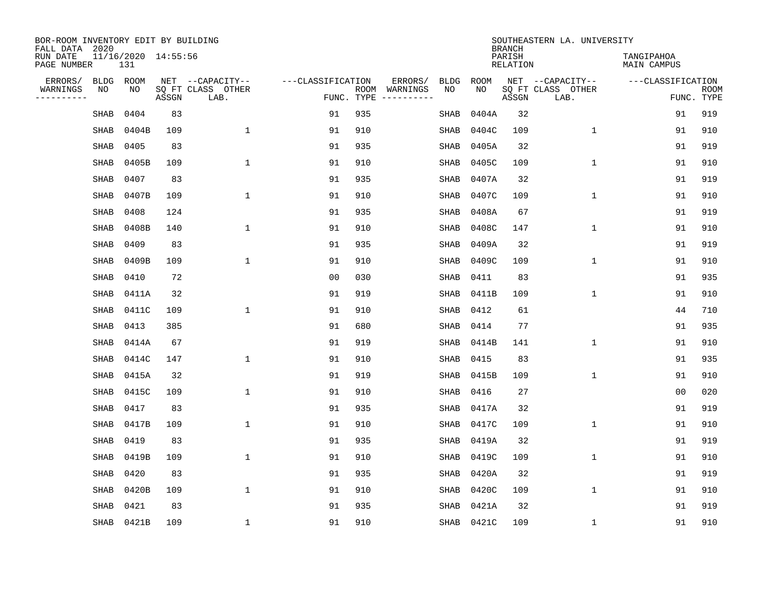| BOR-ROOM INVENTORY EDIT BY BUILDING<br>FALL DATA 2020 |             |                            |       |                           |                   |                    |                         |             |            | <b>BRANCH</b>             | SOUTHEASTERN LA. UNIVERSITY |                                  |                           |
|-------------------------------------------------------|-------------|----------------------------|-------|---------------------------|-------------------|--------------------|-------------------------|-------------|------------|---------------------------|-----------------------------|----------------------------------|---------------------------|
| RUN DATE<br>PAGE NUMBER                               |             | 11/16/2020 14:55:56<br>131 |       |                           |                   |                    |                         |             |            | PARISH<br><b>RELATION</b> |                             | TANGIPAHOA<br><b>MAIN CAMPUS</b> |                           |
| ERRORS/                                               | <b>BLDG</b> | ROOM                       |       | NET --CAPACITY--          | ---CLASSIFICATION |                    | ERRORS/                 | <b>BLDG</b> | ROOM       |                           | NET --CAPACITY--            | ---CLASSIFICATION                |                           |
| WARNINGS<br>----------                                | NO          | NO                         | ASSGN | SQ FT CLASS OTHER<br>LAB. |                   | ROOM<br>FUNC. TYPE | WARNINGS<br>----------- | NO          | NO         | ASSGN                     | SQ FT CLASS OTHER<br>LAB.   |                                  | <b>ROOM</b><br>FUNC. TYPE |
|                                                       | <b>SHAB</b> | 0404                       | 83    |                           | 91                | 935                |                         | <b>SHAB</b> | 0404A      | 32                        |                             | 91                               | 919                       |
|                                                       | <b>SHAB</b> | 0404B                      | 109   | $\mathbf 1$               | 91                | 910                |                         | SHAB        | 0404C      | 109                       | 1                           | 91                               | 910                       |
|                                                       | SHAB        | 0405                       | 83    |                           | 91                | 935                |                         | SHAB        | 0405A      | 32                        |                             | 91                               | 919                       |
|                                                       | SHAB        | 0405B                      | 109   | $\mathbf 1$               | 91                | 910                |                         | SHAB        | 0405C      | 109                       | 1                           | 91                               | 910                       |
|                                                       | SHAB        | 0407                       | 83    |                           | 91                | 935                |                         | SHAB        | 0407A      | 32                        |                             | 91                               | 919                       |
|                                                       | SHAB        | 0407B                      | 109   | $\mathbf{1}$              | 91                | 910                |                         | SHAB        | 0407C      | 109                       | $\mathbf 1$                 | 91                               | 910                       |
|                                                       | <b>SHAB</b> | 0408                       | 124   |                           | 91                | 935                |                         | <b>SHAB</b> | 0408A      | 67                        |                             | 91                               | 919                       |
|                                                       | <b>SHAB</b> | 0408B                      | 140   | $\mathbf{1}$              | 91                | 910                |                         | SHAB        | 0408C      | 147                       | $\mathbf{1}$                | 91                               | 910                       |
|                                                       | <b>SHAB</b> | 0409                       | 83    |                           | 91                | 935                |                         | <b>SHAB</b> | 0409A      | 32                        |                             | 91                               | 919                       |
|                                                       | <b>SHAB</b> | 0409B                      | 109   | $\mathbf{1}$              | 91                | 910                |                         | <b>SHAB</b> | 0409C      | 109                       | $\mathbf 1$                 | 91                               | 910                       |
|                                                       | <b>SHAB</b> | 0410                       | 72    |                           | 0 <sub>0</sub>    | 030                |                         | <b>SHAB</b> | 0411       | 83                        |                             | 91                               | 935                       |
|                                                       | <b>SHAB</b> | 0411A                      | 32    |                           | 91                | 919                |                         | SHAB        | 0411B      | 109                       | $\mathbf{1}$                | 91                               | 910                       |
|                                                       | SHAB        | 0411C                      | 109   | $\mathbf{1}$              | 91                | 910                |                         | SHAB        | 0412       | 61                        |                             | 44                               | 710                       |
|                                                       | SHAB        | 0413                       | 385   |                           | 91                | 680                |                         | SHAB        | 0414       | 77                        |                             | 91                               | 935                       |
|                                                       | SHAB        | 0414A                      | 67    |                           | 91                | 919                |                         | SHAB        | 0414B      | 141                       | 1                           | 91                               | 910                       |
|                                                       | SHAB        | 0414C                      | 147   | 1                         | 91                | 910                |                         | SHAB        | 0415       | 83                        |                             | 91                               | 935                       |
|                                                       | SHAB        | 0415A                      | 32    |                           | 91                | 919                |                         | SHAB        | 0415B      | 109                       | 1                           | 91                               | 910                       |
|                                                       | SHAB        | 0415C                      | 109   | 1                         | 91                | 910                |                         | SHAB        | 0416       | 27                        |                             | 0 <sub>0</sub>                   | 020                       |
|                                                       | <b>SHAB</b> | 0417                       | 83    |                           | 91                | 935                |                         | SHAB        | 0417A      | 32                        |                             | 91                               | 919                       |
|                                                       | <b>SHAB</b> | 0417B                      | 109   | $\mathbf{1}$              | 91                | 910                |                         | SHAB        | 0417C      | 109                       | 1                           | 91                               | 910                       |
|                                                       | <b>SHAB</b> | 0419                       | 83    |                           | 91                | 935                |                         | SHAB        | 0419A      | 32                        |                             | 91                               | 919                       |
|                                                       | <b>SHAB</b> | 0419B                      | 109   | $\mathbf{1}$              | 91                | 910                |                         | <b>SHAB</b> | 0419C      | 109                       | 1                           | 91                               | 910                       |
|                                                       | <b>SHAB</b> | 0420                       | 83    |                           | 91                | 935                |                         | SHAB        | 0420A      | 32                        |                             | 91                               | 919                       |
|                                                       | <b>SHAB</b> | 0420B                      | 109   | $\mathbf{1}$              | 91                | 910                |                         | SHAB        | 0420C      | 109                       | 1                           | 91                               | 910                       |
|                                                       | SHAB        | 0421                       | 83    |                           | 91                | 935                |                         | SHAB        | 0421A      | 32                        |                             | 91                               | 919                       |
|                                                       |             | SHAB 0421B                 | 109   | 1                         | 91                | 910                |                         |             | SHAB 0421C | 109                       | 1                           | 91                               | 910                       |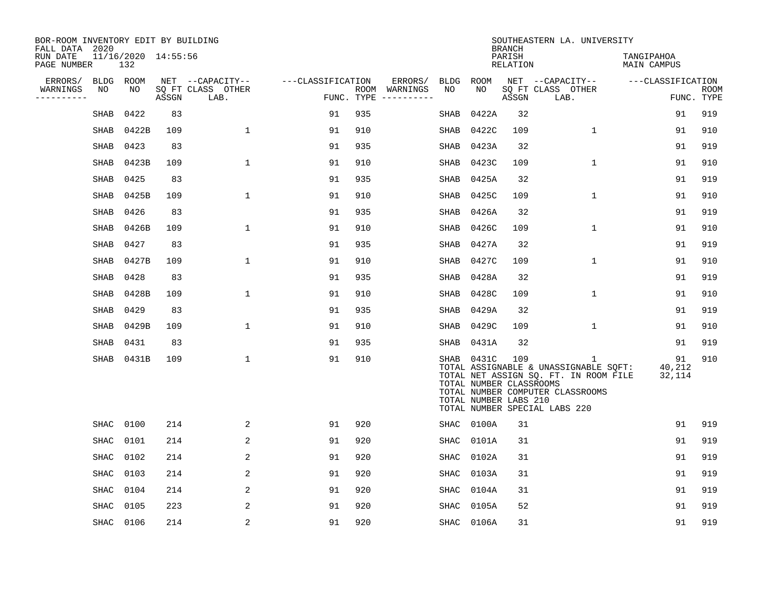| BOR-ROOM INVENTORY EDIT BY BUILDING<br>FALL DATA 2020 |             |                            |       |                           |                   |            |                              |             |                                                                | <b>BRANCH</b>      | SOUTHEASTERN LA. UNIVERSITY                                                                                                                              |                           |                           |
|-------------------------------------------------------|-------------|----------------------------|-------|---------------------------|-------------------|------------|------------------------------|-------------|----------------------------------------------------------------|--------------------|----------------------------------------------------------------------------------------------------------------------------------------------------------|---------------------------|---------------------------|
| RUN DATE<br>PAGE NUMBER                               |             | 11/16/2020 14:55:56<br>132 |       |                           |                   |            |                              |             |                                                                | PARISH<br>RELATION |                                                                                                                                                          | TANGIPAHOA<br>MAIN CAMPUS |                           |
| ERRORS/                                               | <b>BLDG</b> | ROOM                       |       | NET --CAPACITY--          | ---CLASSIFICATION |            | ERRORS/                      | BLDG        | ROOM                                                           |                    | NET --CAPACITY--                                                                                                                                         | ---CLASSIFICATION         |                           |
| WARNINGS<br>----------                                | NO          | NO                         | ASSGN | SQ FT CLASS OTHER<br>LAB. |                   | FUNC. TYPE | ROOM WARNINGS<br>----------- | NO          | NO                                                             | ASSGN              | SQ FT CLASS OTHER<br>LAB.                                                                                                                                |                           | <b>ROOM</b><br>FUNC. TYPE |
|                                                       | <b>SHAB</b> | 0422                       | 83    |                           | 91                | 935        |                              | SHAB        | 0422A                                                          | 32                 |                                                                                                                                                          | 91                        | 919                       |
|                                                       | SHAB        | 0422B                      | 109   | 1                         | 91                | 910        |                              | SHAB        | 0422C                                                          | 109                | 1                                                                                                                                                        | 91                        | 910                       |
|                                                       | SHAB        | 0423                       | 83    |                           | 91                | 935        |                              | SHAB        | 0423A                                                          | 32                 |                                                                                                                                                          | 91                        | 919                       |
|                                                       | <b>SHAB</b> | 0423B                      | 109   | 1                         | 91                | 910        |                              | <b>SHAB</b> | 0423C                                                          | 109                | $\mathbf{1}$                                                                                                                                             | 91                        | 910                       |
|                                                       | <b>SHAB</b> | 0425                       | 83    |                           | 91                | 935        |                              | <b>SHAB</b> | 0425A                                                          | 32                 |                                                                                                                                                          | 91                        | 919                       |
|                                                       | SHAB        | 0425B                      | 109   | 1                         | 91                | 910        |                              | SHAB        | 0425C                                                          | 109                | $\mathbf 1$                                                                                                                                              | 91                        | 910                       |
|                                                       | <b>SHAB</b> | 0426                       | 83    |                           | 91                | 935        |                              | SHAB        | 0426A                                                          | 32                 |                                                                                                                                                          | 91                        | 919                       |
|                                                       | <b>SHAB</b> | 0426B                      | 109   | $\mathbf 1$               | 91                | 910        |                              | <b>SHAB</b> | 0426C                                                          | 109                | $\mathbf 1$                                                                                                                                              | 91                        | 910                       |
|                                                       | <b>SHAB</b> | 0427                       | 83    |                           | 91                | 935        |                              | <b>SHAB</b> | 0427A                                                          | 32                 |                                                                                                                                                          | 91                        | 919                       |
|                                                       | SHAB        | 0427B                      | 109   | 1                         | 91                | 910        |                              | SHAB        | 0427C                                                          | 109                | 1                                                                                                                                                        | 91                        | 910                       |
|                                                       | SHAB        | 0428                       | 83    |                           | 91                | 935        |                              | SHAB        | 0428A                                                          | 32                 |                                                                                                                                                          | 91                        | 919                       |
|                                                       | <b>SHAB</b> | 0428B                      | 109   | $\mathbf 1$               | 91                | 910        |                              | SHAB        | 0428C                                                          | 109                | $\mathbf 1$                                                                                                                                              | 91                        | 910                       |
|                                                       | SHAB        | 0429                       | 83    |                           | 91                | 935        |                              | SHAB        | 0429A                                                          | 32                 |                                                                                                                                                          | 91                        | 919                       |
|                                                       | <b>SHAB</b> | 0429B                      | 109   | $\mathbf{1}$              | 91                | 910        |                              | SHAB        | 0429C                                                          | 109                | 1                                                                                                                                                        | 91                        | 910                       |
|                                                       | <b>SHAB</b> | 0431                       | 83    |                           | 91                | 935        |                              | SHAB        | 0431A                                                          | 32                 |                                                                                                                                                          | 91                        | 919                       |
|                                                       | <b>SHAB</b> | 0431B                      | 109   | $\mathbf{1}$              | 91                | 910        |                              |             | SHAB 0431C<br>TOTAL NUMBER CLASSROOMS<br>TOTAL NUMBER LABS 210 | 109                | 1<br>TOTAL ASSIGNABLE & UNASSIGNABLE SQFT:<br>TOTAL NET ASSIGN SQ. FT. IN ROOM FILE<br>TOTAL NUMBER COMPUTER CLASSROOMS<br>TOTAL NUMBER SPECIAL LABS 220 | 91<br>40,212<br>32,114    | 910                       |
|                                                       | <b>SHAC</b> | 0100                       | 214   | 2                         | 91                | 920        |                              |             | SHAC 0100A                                                     | 31                 |                                                                                                                                                          | 91                        | 919                       |
|                                                       | SHAC        | 0101                       | 214   | 2                         | 91                | 920        |                              | <b>SHAC</b> | 0101A                                                          | 31                 |                                                                                                                                                          | 91                        | 919                       |
|                                                       | SHAC        | 0102                       | 214   | 2                         | 91                | 920        |                              | SHAC        | 0102A                                                          | 31                 |                                                                                                                                                          | 91                        | 919                       |
|                                                       | <b>SHAC</b> | 0103                       | 214   | 2                         | 91                | 920        |                              | <b>SHAC</b> | 0103A                                                          | 31                 |                                                                                                                                                          | 91                        | 919                       |
|                                                       | SHAC        | 0104                       | 214   | 2                         | 91                | 920        |                              | SHAC        | 0104A                                                          | 31                 |                                                                                                                                                          | 91                        | 919                       |
|                                                       | SHAC        | 0105                       | 223   | 2                         | 91                | 920        |                              | SHAC        | 0105A                                                          | 52                 |                                                                                                                                                          | 91                        | 919                       |
|                                                       | SHAC        | 0106                       | 214   | 2                         | 91                | 920        |                              | SHAC        | 0106A                                                          | 31                 |                                                                                                                                                          | 91                        | 919                       |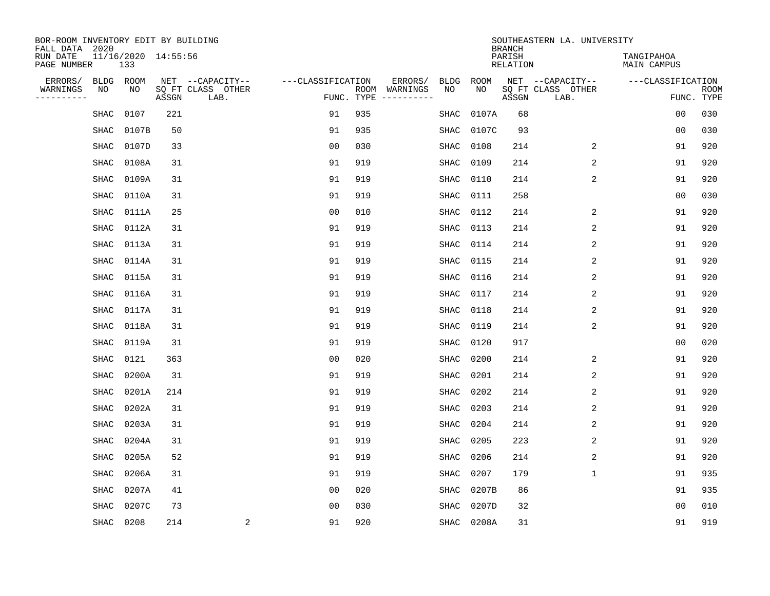| BOR-ROOM INVENTORY EDIT BY BUILDING<br>FALL DATA 2020 |                            |       |       |                           |                   |            |                              |             |             | <b>BRANCH</b>             | SOUTHEASTERN LA. UNIVERSITY |                                  |                           |
|-------------------------------------------------------|----------------------------|-------|-------|---------------------------|-------------------|------------|------------------------------|-------------|-------------|---------------------------|-----------------------------|----------------------------------|---------------------------|
| RUN DATE<br>PAGE NUMBER                               | 11/16/2020 14:55:56<br>133 |       |       |                           |                   |            |                              |             |             | PARISH<br><b>RELATION</b> |                             | TANGIPAHOA<br><b>MAIN CAMPUS</b> |                           |
| ERRORS/                                               | BLDG                       | ROOM  |       | NET --CAPACITY--          | ---CLASSIFICATION |            | ERRORS/                      | <b>BLDG</b> | <b>ROOM</b> |                           | NET --CAPACITY--            | ---CLASSIFICATION                |                           |
| WARNINGS<br>----------                                | ΝO                         | NO    | ASSGN | SQ FT CLASS OTHER<br>LAB. |                   | FUNC. TYPE | ROOM WARNINGS<br>----------- | NO          | NO          | ASSGN                     | SQ FT CLASS OTHER<br>LAB.   |                                  | <b>ROOM</b><br>FUNC. TYPE |
|                                                       | SHAC                       | 0107  | 221   |                           | 91                | 935        |                              | SHAC        | 0107A       | 68                        |                             | 00                               | 030                       |
|                                                       | SHAC                       | 0107B | 50    |                           | 91                | 935        |                              | SHAC        | 0107C       | 93                        |                             | 0 <sub>0</sub>                   | 030                       |
|                                                       | SHAC                       | 0107D | 33    |                           | 0 <sub>0</sub>    | 030        |                              | SHAC        | 0108        | 214                       | 2                           | 91                               | 920                       |
|                                                       | SHAC                       | 0108A | 31    |                           | 91                | 919        |                              | SHAC        | 0109        | 214                       | 2                           | 91                               | 920                       |
|                                                       | <b>SHAC</b>                | 0109A | 31    |                           | 91                | 919        |                              | <b>SHAC</b> | 0110        | 214                       | 2                           | 91                               | 920                       |
|                                                       | SHAC                       | 0110A | 31    |                           | 91                | 919        |                              | SHAC        | 0111        | 258                       |                             | 0 <sub>0</sub>                   | 030                       |
|                                                       | <b>SHAC</b>                | 0111A | 25    |                           | 0 <sub>0</sub>    | 010        |                              | <b>SHAC</b> | 0112        | 214                       | 2                           | 91                               | 920                       |
|                                                       | <b>SHAC</b>                | 0112A | 31    |                           | 91                | 919        |                              | <b>SHAC</b> | 0113        | 214                       | 2                           | 91                               | 920                       |
|                                                       | SHAC                       | 0113A | 31    |                           | 91                | 919        |                              | <b>SHAC</b> | 0114        | 214                       | 2                           | 91                               | 920                       |
|                                                       | SHAC                       | 0114A | 31    |                           | 91                | 919        |                              | SHAC        | 0115        | 214                       | 2                           | 91                               | 920                       |
|                                                       | SHAC                       | 0115A | 31    |                           | 91                | 919        |                              | SHAC        | 0116        | 214                       | 2                           | 91                               | 920                       |
|                                                       | SHAC                       | 0116A | 31    |                           | 91                | 919        |                              | SHAC        | 0117        | 214                       | 2                           | 91                               | 920                       |
|                                                       | SHAC                       | 0117A | 31    |                           | 91                | 919        |                              | SHAC        | 0118        | 214                       | 2                           | 91                               | 920                       |
|                                                       | SHAC                       | 0118A | 31    |                           | 91                | 919        |                              | SHAC        | 0119        | 214                       | 2                           | 91                               | 920                       |
|                                                       | SHAC                       | 0119A | 31    |                           | 91                | 919        |                              | SHAC        | 0120        | 917                       |                             | 0 <sub>0</sub>                   | 020                       |
|                                                       | SHAC                       | 0121  | 363   |                           | 0 <sub>0</sub>    | 020        |                              | <b>SHAC</b> | 0200        | 214                       | 2                           | 91                               | 920                       |
|                                                       | SHAC                       | 0200A | 31    |                           | 91                | 919        |                              | SHAC        | 0201        | 214                       | 2                           | 91                               | 920                       |
|                                                       | SHAC                       | 0201A | 214   |                           | 91                | 919        |                              | SHAC        | 0202        | 214                       | $\overline{2}$              | 91                               | 920                       |
|                                                       | SHAC                       | 0202A | 31    |                           | 91                | 919        |                              | SHAC        | 0203        | 214                       | 2                           | 91                               | 920                       |
|                                                       | SHAC                       | 0203A | 31    |                           | 91                | 919        |                              | SHAC        | 0204        | 214                       | 2                           | 91                               | 920                       |
|                                                       | SHAC                       | 0204A | 31    |                           | 91                | 919        |                              | <b>SHAC</b> | 0205        | 223                       | 2                           | 91                               | 920                       |
|                                                       | <b>SHAC</b>                | 0205A | 52    |                           | 91                | 919        |                              | <b>SHAC</b> | 0206        | 214                       | 2                           | 91                               | 920                       |
|                                                       | <b>SHAC</b>                | 0206A | 31    |                           | 91                | 919        |                              | <b>SHAC</b> | 0207        | 179                       | $\mathbf{1}$                | 91                               | 935                       |
|                                                       | <b>SHAC</b>                | 0207A | 41    |                           | 0 <sub>0</sub>    | 020        |                              | <b>SHAC</b> | 0207B       | 86                        |                             | 91                               | 935                       |
|                                                       | <b>SHAC</b>                | 0207C | 73    |                           | 0 <sub>0</sub>    | 030        |                              | <b>SHAC</b> | 0207D       | 32                        |                             | 0 <sub>0</sub>                   | 010                       |
|                                                       | SHAC                       | 0208  | 214   | $\overline{\mathbf{c}}$   | 91                | 920        |                              |             | SHAC 0208A  | 31                        |                             | 91                               | 919                       |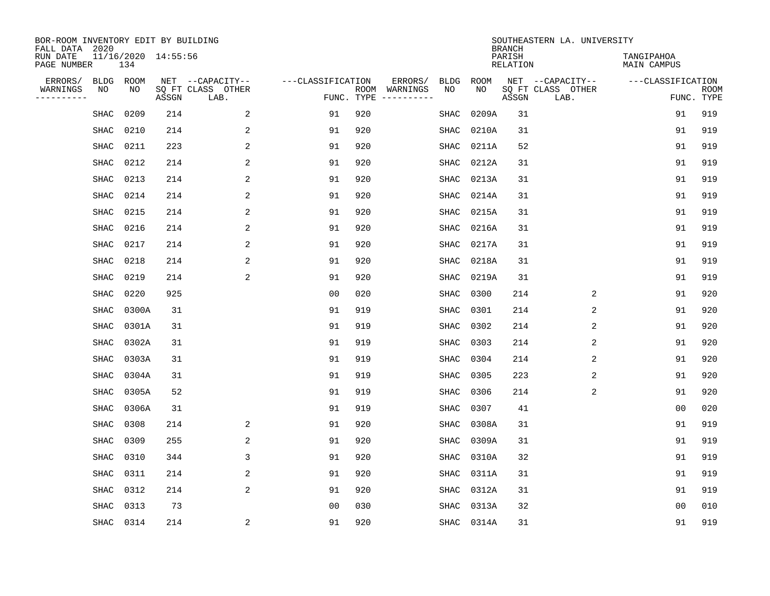| BOR-ROOM INVENTORY EDIT BY BUILDING<br>FALL DATA 2020 |                            |       |                           |                   |     |                              |             |             | <b>BRANCH</b>             | SOUTHEASTERN LA. UNIVERSITY |                           |                           |
|-------------------------------------------------------|----------------------------|-------|---------------------------|-------------------|-----|------------------------------|-------------|-------------|---------------------------|-----------------------------|---------------------------|---------------------------|
| RUN DATE<br>PAGE NUMBER                               | 11/16/2020 14:55:56<br>134 |       |                           |                   |     |                              |             |             | PARISH<br><b>RELATION</b> |                             | TANGIPAHOA<br>MAIN CAMPUS |                           |
| ERRORS/<br><b>BLDG</b>                                | ROOM                       |       | NET --CAPACITY--          | ---CLASSIFICATION |     | ERRORS/                      | <b>BLDG</b> | <b>ROOM</b> |                           | NET --CAPACITY--            | ---CLASSIFICATION         |                           |
| WARNINGS<br>NO<br>----------                          | NO                         | ASSGN | SQ FT CLASS OTHER<br>LAB. | FUNC. TYPE        |     | ROOM WARNINGS<br>----------- | NO          | NO          | ASSGN                     | SQ FT CLASS OTHER<br>LAB.   |                           | <b>ROOM</b><br>FUNC. TYPE |
| SHAC                                                  | 0209                       | 214   | 2                         | 91                | 920 |                              | SHAC        | 0209A       | 31                        |                             | 91                        | 919                       |
| SHAC                                                  | 0210                       | 214   | 2                         | 91                | 920 |                              | SHAC        | 0210A       | 31                        |                             | 91                        | 919                       |
| <b>SHAC</b>                                           | 0211                       | 223   | 2                         | 91                | 920 |                              | SHAC        | 0211A       | 52                        |                             | 91                        | 919                       |
| <b>SHAC</b>                                           | 0212                       | 214   | 2                         | 91                | 920 |                              | <b>SHAC</b> | 0212A       | 31                        |                             | 91                        | 919                       |
| <b>SHAC</b>                                           | 0213                       | 214   | $\overline{2}$            | 91                | 920 |                              | <b>SHAC</b> | 0213A       | 31                        |                             | 91                        | 919                       |
| SHAC                                                  | 0214                       | 214   | 2                         | 91                | 920 |                              | SHAC        | 0214A       | 31                        |                             | 91                        | 919                       |
| SHAC                                                  | 0215                       | 214   | $\sqrt{2}$                | 91                | 920 |                              | SHAC        | 0215A       | 31                        |                             | 91                        | 919                       |
| SHAC                                                  | 0216                       | 214   | 2                         | 91                | 920 |                              | <b>SHAC</b> | 0216A       | 31                        |                             | 91                        | 919                       |
| SHAC                                                  | 0217                       | 214   | 2                         | 91                | 920 |                              | SHAC        | 0217A       | 31                        |                             | 91                        | 919                       |
| <b>SHAC</b>                                           | 0218                       | 214   | 2                         | 91                | 920 |                              | <b>SHAC</b> | 0218A       | 31                        |                             | 91                        | 919                       |
| SHAC                                                  | 0219                       | 214   | 2                         | 91                | 920 |                              | <b>SHAC</b> | 0219A       | 31                        |                             | 91                        | 919                       |
| <b>SHAC</b>                                           | 0220                       | 925   |                           | 0 <sub>0</sub>    | 020 |                              | <b>SHAC</b> | 0300        | 214                       | 2                           | 91                        | 920                       |
| SHAC                                                  | 0300A                      | 31    |                           | 91                | 919 |                              | SHAC        | 0301        | 214                       | 2                           | 91                        | 920                       |
| SHAC                                                  | 0301A                      | 31    |                           | 91                | 919 |                              | SHAC        | 0302        | 214                       | $\sqrt{2}$                  | 91                        | 920                       |
| SHAC                                                  | 0302A                      | 31    |                           | 91                | 919 |                              | SHAC        | 0303        | 214                       | 2                           | 91                        | 920                       |
| SHAC                                                  | 0303A                      | 31    |                           | 91                | 919 |                              | SHAC        | 0304        | 214                       | 2                           | 91                        | 920                       |
| SHAC                                                  | 0304A                      | 31    |                           | 91                | 919 |                              | SHAC        | 0305        | 223                       | 2                           | 91                        | 920                       |
| <b>SHAC</b>                                           | 0305A                      | 52    |                           | 91                | 919 |                              | <b>SHAC</b> | 0306        | 214                       | 2                           | 91                        | 920                       |
| SHAC                                                  | 0306A                      | 31    |                           | 91                | 919 |                              | <b>SHAC</b> | 0307        | 41                        |                             | 0 <sub>0</sub>            | 020                       |
| SHAC                                                  | 0308                       | 214   | 2                         | 91                | 920 |                              | SHAC        | 0308A       | 31                        |                             | 91                        | 919                       |
| SHAC                                                  | 0309                       | 255   | 2                         | 91                | 920 |                              | SHAC        | 0309A       | 31                        |                             | 91                        | 919                       |
| <b>SHAC</b>                                           | 0310                       | 344   | 3                         | 91                | 920 |                              | <b>SHAC</b> | 0310A       | 32                        |                             | 91                        | 919                       |
| <b>SHAC</b>                                           | 0311                       | 214   | 2                         | 91                | 920 |                              | SHAC        | 0311A       | 31                        |                             | 91                        | 919                       |
| <b>SHAC</b>                                           | 0312                       | 214   | $\overline{a}$            | 91                | 920 |                              | SHAC        | 0312A       | 31                        |                             | 91                        | 919                       |
| <b>SHAC</b>                                           | 0313                       | 73    |                           | 0 <sub>0</sub>    | 030 |                              | <b>SHAC</b> | 0313A       | 32                        |                             | 0 <sub>0</sub>            | 010                       |
|                                                       | SHAC 0314                  | 214   | $\overline{\mathbf{c}}$   | 91                | 920 |                              |             | SHAC 0314A  | 31                        |                             | 91                        | 919                       |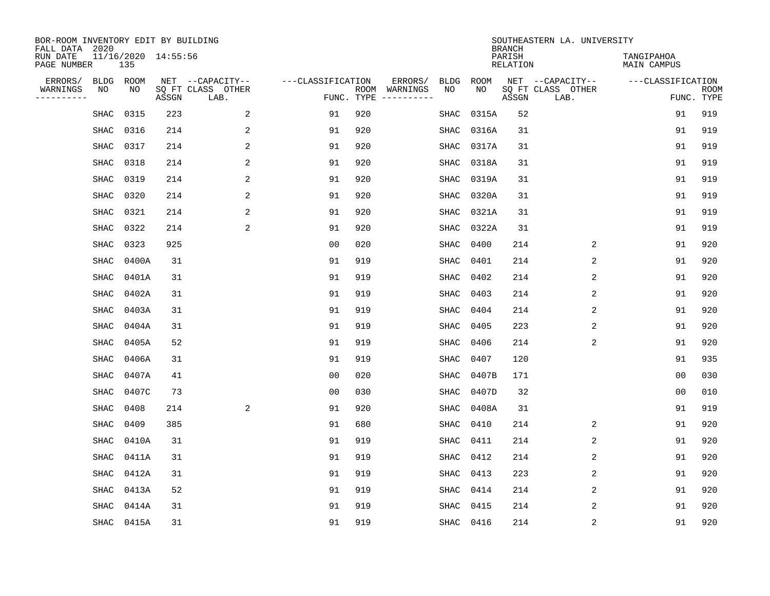| BOR-ROOM INVENTORY EDIT BY BUILDING<br>FALL DATA 2020 |             |            |                     |                           |                   |            |                              |             |             | <b>BRANCH</b>             | SOUTHEASTERN LA. UNIVERSITY |                                  |                           |
|-------------------------------------------------------|-------------|------------|---------------------|---------------------------|-------------------|------------|------------------------------|-------------|-------------|---------------------------|-----------------------------|----------------------------------|---------------------------|
| RUN DATE<br>PAGE NUMBER                               |             | 135        | 11/16/2020 14:55:56 |                           |                   |            |                              |             |             | PARISH<br><b>RELATION</b> |                             | TANGIPAHOA<br><b>MAIN CAMPUS</b> |                           |
| ERRORS/                                               | BLDG        | ROOM       |                     | NET --CAPACITY--          | ---CLASSIFICATION |            | ERRORS/                      | <b>BLDG</b> | <b>ROOM</b> |                           | NET --CAPACITY--            | ---CLASSIFICATION                |                           |
| WARNINGS<br>----------                                | ΝO          | NO         | ASSGN               | SQ FT CLASS OTHER<br>LAB. |                   | FUNC. TYPE | ROOM WARNINGS<br>----------- | NO          | NO          | ASSGN                     | SQ FT CLASS OTHER<br>LAB.   |                                  | <b>ROOM</b><br>FUNC. TYPE |
|                                                       | SHAC        | 0315       | 223                 | 2                         | 91                | 920        |                              | SHAC        | 0315A       | 52                        |                             | 91                               | 919                       |
|                                                       | SHAC        | 0316       | 214                 | 2                         | 91                | 920        |                              | SHAC        | 0316A       | 31                        |                             | 91                               | 919                       |
|                                                       | SHAC        | 0317       | 214                 | 2                         | 91                | 920        |                              | SHAC        | 0317A       | 31                        |                             | 91                               | 919                       |
|                                                       | SHAC        | 0318       | 214                 | 2                         | 91                | 920        |                              | SHAC        | 0318A       | 31                        |                             | 91                               | 919                       |
|                                                       | <b>SHAC</b> | 0319       | 214                 | 2                         | 91                | 920        |                              | <b>SHAC</b> | 0319A       | 31                        |                             | 91                               | 919                       |
|                                                       | SHAC        | 0320       | 214                 | 2                         | 91                | 920        |                              | SHAC        | 0320A       | 31                        |                             | 91                               | 919                       |
|                                                       | <b>SHAC</b> | 0321       | 214                 | 2                         | 91                | 920        |                              | <b>SHAC</b> | 0321A       | 31                        |                             | 91                               | 919                       |
|                                                       | <b>SHAC</b> | 0322       | 214                 | 2                         | 91                | 920        |                              | <b>SHAC</b> | 0322A       | 31                        |                             | 91                               | 919                       |
|                                                       | <b>SHAC</b> | 0323       | 925                 |                           | 0 <sub>0</sub>    | 020        |                              | <b>SHAC</b> | 0400        | 214                       | 2                           | 91                               | 920                       |
|                                                       | SHAC        | 0400A      | 31                  |                           | 91                | 919        |                              | SHAC        | 0401        | 214                       | 2                           | 91                               | 920                       |
|                                                       | SHAC        | 0401A      | 31                  |                           | 91                | 919        |                              | SHAC        | 0402        | 214                       | 2                           | 91                               | 920                       |
|                                                       | SHAC        | 0402A      | 31                  |                           | 91                | 919        |                              | SHAC        | 0403        | 214                       | 2                           | 91                               | 920                       |
|                                                       | SHAC        | 0403A      | 31                  |                           | 91                | 919        |                              | SHAC        | 0404        | 214                       | 2                           | 91                               | 920                       |
|                                                       | SHAC        | 0404A      | 31                  |                           | 91                | 919        |                              | SHAC        | 0405        | 223                       | 2                           | 91                               | 920                       |
|                                                       | SHAC        | 0405A      | 52                  |                           | 91                | 919        |                              | SHAC        | 0406        | 214                       | 2                           | 91                               | 920                       |
|                                                       | SHAC        | 0406A      | 31                  |                           | 91                | 919        |                              | <b>SHAC</b> | 0407        | 120                       |                             | 91                               | 935                       |
|                                                       | SHAC        | 0407A      | 41                  |                           | 0 <sub>0</sub>    | 020        |                              | SHAC        | 0407B       | 171                       |                             | 0 <sub>0</sub>                   | 030                       |
|                                                       | SHAC        | 0407C      | 73                  |                           | 0 <sub>0</sub>    | 030        |                              | SHAC        | 0407D       | 32                        |                             | 0 <sub>0</sub>                   | 010                       |
|                                                       | SHAC        | 0408       | 214                 | $\overline{a}$            | 91                | 920        |                              | SHAC        | 0408A       | 31                        |                             | 91                               | 919                       |
|                                                       | <b>SHAC</b> | 0409       | 385                 |                           | 91                | 680        |                              | SHAC        | 0410        | 214                       | 2                           | 91                               | 920                       |
|                                                       | SHAC        | 0410A      | 31                  |                           | 91                | 919        |                              | <b>SHAC</b> | 0411        | 214                       | 2                           | 91                               | 920                       |
|                                                       | <b>SHAC</b> | 0411A      | 31                  |                           | 91                | 919        |                              | <b>SHAC</b> | 0412        | 214                       | 2                           | 91                               | 920                       |
|                                                       | <b>SHAC</b> | 0412A      | 31                  |                           | 91                | 919        |                              | <b>SHAC</b> | 0413        | 223                       | 2                           | 91                               | 920                       |
|                                                       | <b>SHAC</b> | 0413A      | 52                  |                           | 91                | 919        |                              | <b>SHAC</b> | 0414        | 214                       | 2                           | 91                               | 920                       |
|                                                       | <b>SHAC</b> | 0414A      | 31                  |                           | 91                | 919        |                              | <b>SHAC</b> | 0415        | 214                       | $\overline{2}$              | 91                               | 920                       |
|                                                       |             | SHAC 0415A | 31                  |                           | 91                | 919        |                              |             | SHAC 0416   | 214                       | 2                           | 91                               | 920                       |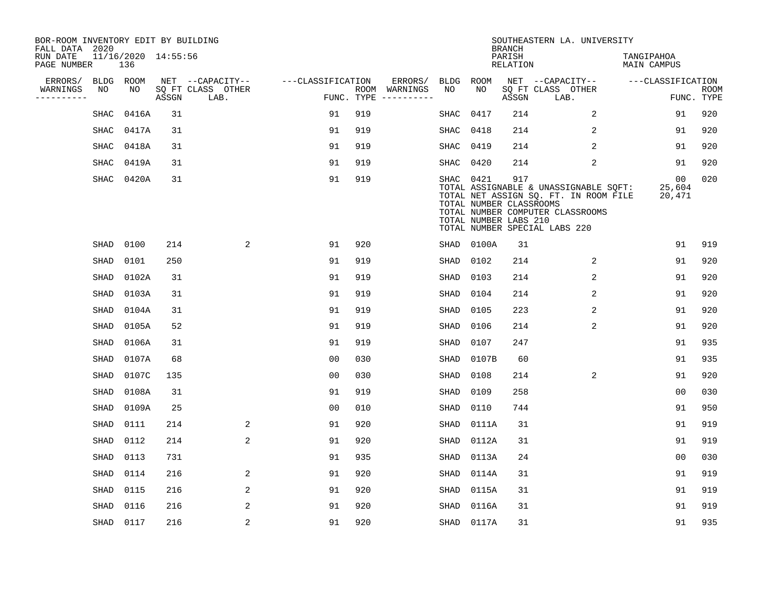| BOR-ROOM INVENTORY EDIT BY BUILDING<br>FALL DATA 2020 |           |                            |       |                           |                   |     |                                      |             |                                                               | <b>BRANCH</b>             | SOUTHEASTERN LA. UNIVERSITY                                                                                                                         |                           |                           |
|-------------------------------------------------------|-----------|----------------------------|-------|---------------------------|-------------------|-----|--------------------------------------|-------------|---------------------------------------------------------------|---------------------------|-----------------------------------------------------------------------------------------------------------------------------------------------------|---------------------------|---------------------------|
| RUN DATE<br>PAGE NUMBER                               |           | 11/16/2020 14:55:56<br>136 |       |                           |                   |     |                                      |             |                                                               | PARISH<br><b>RELATION</b> |                                                                                                                                                     | TANGIPAHOA<br>MAIN CAMPUS |                           |
| ERRORS/                                               | BLDG ROOM |                            |       | NET --CAPACITY--          | ---CLASSIFICATION |     | ERRORS/                              | BLDG        | ROOM                                                          |                           | NET --CAPACITY--                                                                                                                                    | ---CLASSIFICATION         |                           |
| WARNINGS<br>----------                                | NO        | NO                         | ASSGN | SQ FT CLASS OTHER<br>LAB. |                   |     | ROOM WARNINGS<br>FUNC. TYPE $------$ | NO          | NO                                                            | ASSGN                     | SQ FT CLASS OTHER<br>LAB.                                                                                                                           |                           | <b>ROOM</b><br>FUNC. TYPE |
|                                                       | SHAC      | 0416A                      | 31    |                           | 91                | 919 |                                      | SHAC        | 0417                                                          | 214                       | $\overline{a}$                                                                                                                                      | 91                        | 920                       |
|                                                       | SHAC      | 0417A                      | 31    |                           | 91                | 919 |                                      | SHAC        | 0418                                                          | 214                       | 2                                                                                                                                                   | 91                        | 920                       |
|                                                       | SHAC      | 0418A                      | 31    |                           | 91                | 919 |                                      | SHAC        | 0419                                                          | 214                       | 2                                                                                                                                                   | 91                        | 920                       |
|                                                       | SHAC      | 0419A                      | 31    |                           | 91                | 919 |                                      | SHAC        | 0420                                                          | 214                       | 2                                                                                                                                                   | 91                        | 920                       |
|                                                       | SHAC      | 0420A                      | 31    |                           | 91                | 919 |                                      |             | SHAC 0421<br>TOTAL NUMBER CLASSROOMS<br>TOTAL NUMBER LABS 210 | 917                       | TOTAL ASSIGNABLE & UNASSIGNABLE SQFT:<br>TOTAL NET ASSIGN SQ. FT. IN ROOM FILE<br>TOTAL NUMBER COMPUTER CLASSROOMS<br>TOTAL NUMBER SPECIAL LABS 220 | 00<br>25,604<br>20,471    | 020                       |
|                                                       | SHAD      | 0100                       | 214   | 2                         | 91                | 920 |                                      | SHAD        | 0100A                                                         | 31                        |                                                                                                                                                     | 91                        | 919                       |
|                                                       | SHAD      | 0101                       | 250   |                           | 91                | 919 |                                      | SHAD        | 0102                                                          | 214                       | 2                                                                                                                                                   | 91                        | 920                       |
|                                                       | SHAD      | 0102A                      | 31    |                           | 91                | 919 |                                      | SHAD        | 0103                                                          | 214                       | 2                                                                                                                                                   | 91                        | 920                       |
|                                                       | SHAD      | 0103A                      | 31    |                           | 91                | 919 |                                      | SHAD        | 0104                                                          | 214                       | 2                                                                                                                                                   | 91                        | 920                       |
|                                                       | SHAD      | 0104A                      | 31    |                           | 91                | 919 |                                      | SHAD        | 0105                                                          | 223                       | 2                                                                                                                                                   | 91                        | 920                       |
|                                                       | SHAD      | 0105A                      | 52    |                           | 91                | 919 |                                      | SHAD        | 0106                                                          | 214                       | 2                                                                                                                                                   | 91                        | 920                       |
|                                                       | SHAD      | 0106A                      | 31    |                           | 91                | 919 |                                      | SHAD        | 0107                                                          | 247                       |                                                                                                                                                     | 91                        | 935                       |
|                                                       | SHAD      | 0107A                      | 68    |                           | 0 <sub>0</sub>    | 030 |                                      | SHAD        | 0107B                                                         | 60                        |                                                                                                                                                     | 91                        | 935                       |
|                                                       | SHAD      | 0107C                      | 135   |                           | 0 <sub>0</sub>    | 030 |                                      | <b>SHAD</b> | 0108                                                          | 214                       | 2                                                                                                                                                   | 91                        | 920                       |
|                                                       | SHAD      | 0108A                      | 31    |                           | 91                | 919 |                                      | SHAD        | 0109                                                          | 258                       |                                                                                                                                                     | 0 <sub>0</sub>            | 030                       |
|                                                       | SHAD      | 0109A                      | 25    |                           | 0 <sub>0</sub>    | 010 |                                      | SHAD        | 0110                                                          | 744                       |                                                                                                                                                     | 91                        | 950                       |
|                                                       | SHAD      | 0111                       | 214   | 2                         | 91                | 920 |                                      | SHAD        | 0111A                                                         | 31                        |                                                                                                                                                     | 91                        | 919                       |
|                                                       | SHAD      | 0112                       | 214   | 2                         | 91                | 920 |                                      | SHAD        | 0112A                                                         | 31                        |                                                                                                                                                     | 91                        | 919                       |
|                                                       | SHAD      | 0113                       | 731   |                           | 91                | 935 |                                      | SHAD        | 0113A                                                         | 24                        |                                                                                                                                                     | 0 <sub>0</sub>            | 030                       |
|                                                       | SHAD      | 0114                       | 216   | 2                         | 91                | 920 |                                      | SHAD        | 0114A                                                         | 31                        |                                                                                                                                                     | 91                        | 919                       |
|                                                       | SHAD      | 0115                       | 216   | 2                         | 91                | 920 |                                      | SHAD        | 0115A                                                         | 31                        |                                                                                                                                                     | 91                        | 919                       |
|                                                       | SHAD      | 0116                       | 216   | 2                         | 91                | 920 |                                      | SHAD        | 0116A                                                         | 31                        |                                                                                                                                                     | 91                        | 919                       |
|                                                       | SHAD 0117 |                            | 216   | 2                         | 91                | 920 |                                      | SHAD        | 0117A                                                         | 31                        |                                                                                                                                                     | 91                        | 935                       |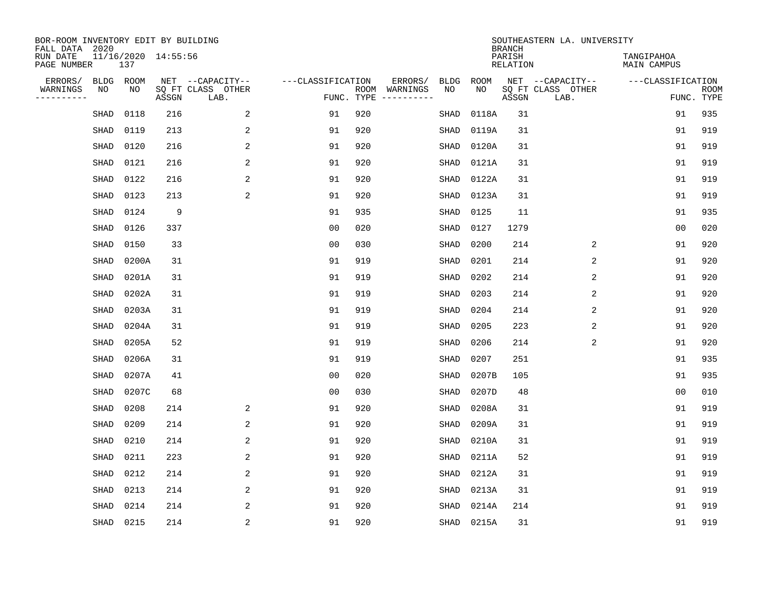| BOR-ROOM INVENTORY EDIT BY BUILDING<br>FALL DATA 2020 |                            |       |                           |                   |            |                              |             |             | <b>BRANCH</b>             | SOUTHEASTERN LA. UNIVERSITY |                                  |                           |
|-------------------------------------------------------|----------------------------|-------|---------------------------|-------------------|------------|------------------------------|-------------|-------------|---------------------------|-----------------------------|----------------------------------|---------------------------|
| RUN DATE<br>PAGE NUMBER                               | 11/16/2020 14:55:56<br>137 |       |                           |                   |            |                              |             |             | PARISH<br><b>RELATION</b> |                             | TANGIPAHOA<br><b>MAIN CAMPUS</b> |                           |
| ERRORS/<br><b>BLDG</b>                                | ROOM                       |       | NET --CAPACITY--          | ---CLASSIFICATION |            | ERRORS/                      | <b>BLDG</b> | <b>ROOM</b> |                           | NET --CAPACITY--            | ---CLASSIFICATION                |                           |
| WARNINGS<br>NO<br>----------                          | NO                         | ASSGN | SQ FT CLASS OTHER<br>LAB. |                   | FUNC. TYPE | ROOM WARNINGS<br>----------- | NO          | NO          | ASSGN                     | SQ FT CLASS OTHER<br>LAB.   |                                  | <b>ROOM</b><br>FUNC. TYPE |
| SHAD                                                  | 0118                       | 216   | 2                         | 91                | 920        |                              | SHAD        | 0118A       | 31                        |                             | 91                               | 935                       |
| SHAD                                                  | 0119                       | 213   | 2                         | 91                | 920        |                              | SHAD        | 0119A       | 31                        |                             | 91                               | 919                       |
| SHAD                                                  | 0120                       | 216   | 2                         | 91                | 920        |                              | SHAD        | 0120A       | 31                        |                             | 91                               | 919                       |
| SHAD                                                  | 0121                       | 216   | 2                         | 91                | 920        |                              | <b>SHAD</b> | 0121A       | 31                        |                             | 91                               | 919                       |
| SHAD                                                  | 0122                       | 216   | $\overline{2}$            | 91                | 920        |                              | <b>SHAD</b> | 0122A       | 31                        |                             | 91                               | 919                       |
| SHAD                                                  | 0123                       | 213   | $\overline{2}$            | 91                | 920        |                              | <b>SHAD</b> | 0123A       | 31                        |                             | 91                               | 919                       |
| SHAD                                                  | 0124                       | 9     |                           | 91                | 935        |                              | SHAD        | 0125        | 11                        |                             | 91                               | 935                       |
| SHAD                                                  | 0126                       | 337   |                           | 0 <sub>0</sub>    | 020        |                              | <b>SHAD</b> | 0127        | 1279                      |                             | 0 <sub>0</sub>                   | 020                       |
| SHAD                                                  | 0150                       | 33    |                           | 0 <sub>0</sub>    | 030        |                              | <b>SHAD</b> | 0200        | 214                       | 2                           | 91                               | 920                       |
| <b>SHAD</b>                                           | 0200A                      | 31    |                           | 91                | 919        |                              | SHAD        | 0201        | 214                       | 2                           | 91                               | 920                       |
| SHAD                                                  | 0201A                      | 31    |                           | 91                | 919        |                              | SHAD        | 0202        | 214                       | 2                           | 91                               | 920                       |
| SHAD                                                  | 0202A                      | 31    |                           | 91                | 919        |                              | SHAD        | 0203        | 214                       | 2                           | 91                               | 920                       |
| SHAD                                                  | 0203A                      | 31    |                           | 91                | 919        |                              | SHAD        | 0204        | 214                       | 2                           | 91                               | 920                       |
| SHAD                                                  | 0204A                      | 31    |                           | 91                | 919        |                              | SHAD        | 0205        | 223                       | $\overline{c}$              | 91                               | 920                       |
| SHAD                                                  | 0205A                      | 52    |                           | 91                | 919        |                              | SHAD        | 0206        | 214                       | 2                           | 91                               | 920                       |
| SHAD                                                  | 0206A                      | 31    |                           | 91                | 919        |                              | <b>SHAD</b> | 0207        | 251                       |                             | 91                               | 935                       |
| SHAD                                                  | 0207A                      | 41    |                           | 0 <sub>0</sub>    | 020        |                              | <b>SHAD</b> | 0207B       | 105                       |                             | 91                               | 935                       |
| SHAD                                                  | 0207C                      | 68    |                           | 0 <sub>0</sub>    | 030        |                              | <b>SHAD</b> | 0207D       | 48                        |                             | 0 <sub>0</sub>                   | 010                       |
| SHAD                                                  | 0208                       | 214   | 2                         | 91                | 920        |                              | <b>SHAD</b> | 0208A       | 31                        |                             | 91                               | 919                       |
| SHAD                                                  | 0209                       | 214   | 2                         | 91                | 920        |                              | <b>SHAD</b> | 0209A       | 31                        |                             | 91                               | 919                       |
| SHAD                                                  | 0210                       | 214   | 2                         | 91                | 920        |                              | SHAD        | 0210A       | 31                        |                             | 91                               | 919                       |
| <b>SHAD</b>                                           | 0211                       | 223   | 2                         | 91                | 920        |                              | <b>SHAD</b> | 0211A       | 52                        |                             | 91                               | 919                       |
| SHAD                                                  | 0212                       | 214   | 2                         | 91                | 920        |                              | SHAD        | 0212A       | 31                        |                             | 91                               | 919                       |
| SHAD                                                  | 0213                       | 214   | 2                         | 91                | 920        |                              | SHAD        | 0213A       | 31                        |                             | 91                               | 919                       |
| <b>SHAD</b>                                           | 0214                       | 214   | 2                         | 91                | 920        |                              | <b>SHAD</b> | 0214A       | 214                       |                             | 91                               | 919                       |
| SHAD                                                  | 0215                       | 214   | $\overline{2}$            | 91                | 920        |                              | SHAD        | 0215A       | 31                        |                             | 91                               | 919                       |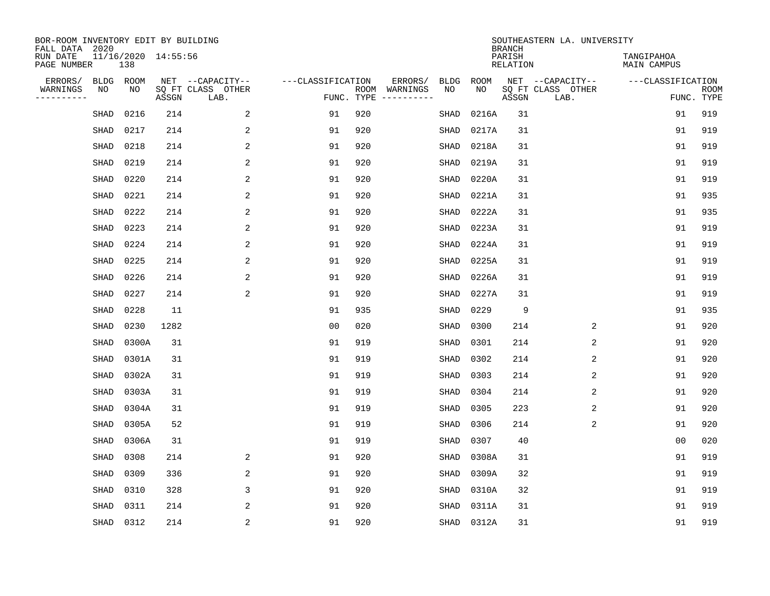| BOR-ROOM INVENTORY EDIT BY BUILDING<br>FALL DATA 2020 |             |       |                     |                           |                   |            |                              |             |             | <b>BRANCH</b>             | SOUTHEASTERN LA. UNIVERSITY |                                  |                           |
|-------------------------------------------------------|-------------|-------|---------------------|---------------------------|-------------------|------------|------------------------------|-------------|-------------|---------------------------|-----------------------------|----------------------------------|---------------------------|
| RUN DATE<br>PAGE NUMBER                               |             | 138   | 11/16/2020 14:55:56 |                           |                   |            |                              |             |             | PARISH<br><b>RELATION</b> |                             | TANGIPAHOA<br><b>MAIN CAMPUS</b> |                           |
| ERRORS/                                               | BLDG        | ROOM  |                     | NET --CAPACITY--          | ---CLASSIFICATION |            | ERRORS/                      | <b>BLDG</b> | <b>ROOM</b> |                           | NET --CAPACITY--            | ---CLASSIFICATION                |                           |
| WARNINGS<br>----------                                | ΝO          | NO    | ASSGN               | SQ FT CLASS OTHER<br>LAB. |                   | FUNC. TYPE | ROOM WARNINGS<br>----------- | NO          | NO          | ASSGN                     | SQ FT CLASS OTHER<br>LAB.   |                                  | <b>ROOM</b><br>FUNC. TYPE |
|                                                       | SHAD        | 0216  | 214                 | 2                         | 91                | 920        |                              | <b>SHAD</b> | 0216A       | 31                        |                             | 91                               | 919                       |
|                                                       | SHAD        | 0217  | 214                 | 2                         | 91                | 920        |                              | SHAD        | 0217A       | 31                        |                             | 91                               | 919                       |
|                                                       | SHAD        | 0218  | 214                 | 2                         | 91                | 920        |                              | SHAD        | 0218A       | 31                        |                             | 91                               | 919                       |
|                                                       | SHAD        | 0219  | 214                 | 2                         | 91                | 920        |                              | SHAD        | 0219A       | 31                        |                             | 91                               | 919                       |
|                                                       | SHAD        | 0220  | 214                 | 2                         | 91                | 920        |                              | <b>SHAD</b> | 0220A       | 31                        |                             | 91                               | 919                       |
|                                                       | SHAD        | 0221  | 214                 | 2                         | 91                | 920        |                              | <b>SHAD</b> | 0221A       | 31                        |                             | 91                               | 935                       |
|                                                       | SHAD        | 0222  | 214                 | 2                         | 91                | 920        |                              | <b>SHAD</b> | 0222A       | 31                        |                             | 91                               | 935                       |
|                                                       | SHAD        | 0223  | 214                 | $\overline{a}$            | 91                | 920        |                              | <b>SHAD</b> | 0223A       | 31                        |                             | 91                               | 919                       |
|                                                       | SHAD        | 0224  | 214                 | 2                         | 91                | 920        |                              | <b>SHAD</b> | 0224A       | 31                        |                             | 91                               | 919                       |
|                                                       | SHAD        | 0225  | 214                 | 2                         | 91                | 920        |                              | SHAD        | 0225A       | 31                        |                             | 91                               | 919                       |
|                                                       | SHAD        | 0226  | 214                 | 2                         | 91                | 920        |                              | SHAD        | 0226A       | 31                        |                             | 91                               | 919                       |
|                                                       | SHAD        | 0227  | 214                 | 2                         | 91                | 920        |                              | SHAD        | 0227A       | 31                        |                             | 91                               | 919                       |
|                                                       | SHAD        | 0228  | 11                  |                           | 91                | 935        |                              | SHAD        | 0229        | 9                         |                             | 91                               | 935                       |
|                                                       | SHAD        | 0230  | 1282                |                           | 0 <sub>0</sub>    | 020        |                              | SHAD        | 0300        | 214                       | 2                           | 91                               | 920                       |
|                                                       | SHAD        | 0300A | 31                  |                           | 91                | 919        |                              | SHAD        | 0301        | 214                       | 2                           | 91                               | 920                       |
|                                                       | SHAD        | 0301A | 31                  |                           | 91                | 919        |                              | <b>SHAD</b> | 0302        | 214                       | 2                           | 91                               | 920                       |
|                                                       | SHAD        | 0302A | 31                  |                           | 91                | 919        |                              | <b>SHAD</b> | 0303        | 214                       | 2                           | 91                               | 920                       |
|                                                       | SHAD        | 0303A | 31                  |                           | 91                | 919        |                              | SHAD        | 0304        | 214                       | $\overline{2}$              | 91                               | 920                       |
|                                                       | SHAD        | 0304A | 31                  |                           | 91                | 919        |                              | SHAD        | 0305        | 223                       | 2                           | 91                               | 920                       |
|                                                       | SHAD        | 0305A | 52                  |                           | 91                | 919        |                              | <b>SHAD</b> | 0306        | 214                       | 2                           | 91                               | 920                       |
|                                                       | SHAD        | 0306A | 31                  |                           | 91                | 919        |                              | <b>SHAD</b> | 0307        | 40                        |                             | 0 <sub>0</sub>                   | 020                       |
|                                                       | <b>SHAD</b> | 0308  | 214                 | 2                         | 91                | 920        |                              | <b>SHAD</b> | 0308A       | 31                        |                             | 91                               | 919                       |
|                                                       | <b>SHAD</b> | 0309  | 336                 | 2                         | 91                | 920        |                              | <b>SHAD</b> | 0309A       | 32                        |                             | 91                               | 919                       |
|                                                       | SHAD        | 0310  | 328                 | 3                         | 91                | 920        |                              | SHAD        | 0310A       | 32                        |                             | 91                               | 919                       |
|                                                       | <b>SHAD</b> | 0311  | 214                 | 2                         | 91                | 920        |                              | <b>SHAD</b> | 0311A       | 31                        |                             | 91                               | 919                       |
|                                                       | SHAD        | 0312  | 214                 | $\overline{\mathbf{c}}$   | 91                | 920        |                              | SHAD        | 0312A       | 31                        |                             | 91                               | 919                       |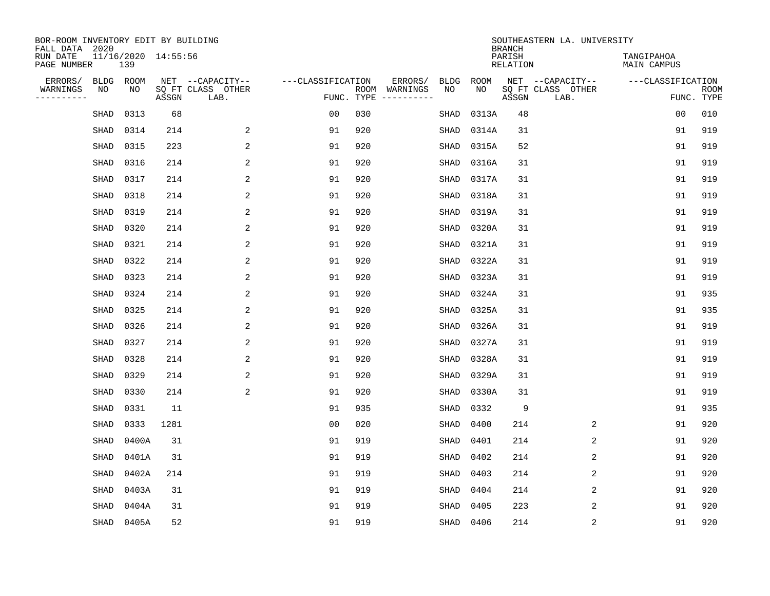| BOR-ROOM INVENTORY EDIT BY BUILDING<br>FALL DATA 2020 |                            |       |                           |                   |            |               |             |             | <b>BRANCH</b>             | SOUTHEASTERN LA. UNIVERSITY |                           |                           |
|-------------------------------------------------------|----------------------------|-------|---------------------------|-------------------|------------|---------------|-------------|-------------|---------------------------|-----------------------------|---------------------------|---------------------------|
| RUN DATE<br>PAGE NUMBER                               | 11/16/2020 14:55:56<br>139 |       |                           |                   |            |               |             |             | PARISH<br><b>RELATION</b> |                             | TANGIPAHOA<br>MAIN CAMPUS |                           |
| ERRORS/<br><b>BLDG</b>                                | ROOM                       |       | NET --CAPACITY--          | ---CLASSIFICATION |            | ERRORS/       | <b>BLDG</b> | <b>ROOM</b> |                           | NET --CAPACITY--            | ---CLASSIFICATION         |                           |
| WARNINGS<br>NO<br>----------                          | NO                         | ASSGN | SQ FT CLASS OTHER<br>LAB. |                   | FUNC. TYPE | ROOM WARNINGS | NO          | NO          | ASSGN                     | SQ FT CLASS OTHER<br>LAB.   |                           | <b>ROOM</b><br>FUNC. TYPE |
| SHAD                                                  | 0313                       | 68    |                           | 0 <sub>0</sub>    | 030        |               | SHAD        | 0313A       | 48                        |                             | 0 <sub>0</sub>            | 010                       |
| SHAD                                                  | 0314                       | 214   | 2                         | 91                | 920        |               | SHAD        | 0314A       | 31                        |                             | 91                        | 919                       |
| SHAD                                                  | 0315                       | 223   | 2                         | 91                | 920        |               | SHAD        | 0315A       | 52                        |                             | 91                        | 919                       |
| SHAD                                                  | 0316                       | 214   | 2                         | 91                | 920        |               | SHAD        | 0316A       | 31                        |                             | 91                        | 919                       |
| SHAD                                                  | 0317                       | 214   | 2                         | 91                | 920        |               | SHAD        | 0317A       | 31                        |                             | 91                        | 919                       |
| SHAD                                                  | 0318                       | 214   | 2                         | 91                | 920        |               | <b>SHAD</b> | 0318A       | 31                        |                             | 91                        | 919                       |
| SHAD                                                  | 0319                       | 214   | $\overline{2}$            | 91                | 920        |               | SHAD        | 0319A       | 31                        |                             | 91                        | 919                       |
| SHAD                                                  | 0320                       | 214   | 2                         | 91                | 920        |               | SHAD        | 0320A       | 31                        |                             | 91                        | 919                       |
| SHAD                                                  | 0321                       | 214   | 2                         | 91                | 920        |               | SHAD        | 0321A       | 31                        |                             | 91                        | 919                       |
| SHAD                                                  | 0322                       | 214   | 2                         | 91                | 920        |               | SHAD        | 0322A       | 31                        |                             | 91                        | 919                       |
| SHAD                                                  | 0323                       | 214   | 2                         | 91                | 920        |               | SHAD        | 0323A       | 31                        |                             | 91                        | 919                       |
| SHAD                                                  | 0324                       | 214   | 2                         | 91                | 920        |               | <b>SHAD</b> | 0324A       | 31                        |                             | 91                        | 935                       |
| SHAD                                                  | 0325                       | 214   | 2                         | 91                | 920        |               | <b>SHAD</b> | 0325A       | 31                        |                             | 91                        | 935                       |
| SHAD                                                  | 0326                       | 214   | 2                         | 91                | 920        |               | SHAD        | 0326A       | 31                        |                             | 91                        | 919                       |
| SHAD                                                  | 0327                       | 214   | 2                         | 91                | 920        |               | SHAD        | 0327A       | 31                        |                             | 91                        | 919                       |
| SHAD                                                  | 0328                       | 214   | 2                         | 91                | 920        |               | <b>SHAD</b> | 0328A       | 31                        |                             | 91                        | 919                       |
| SHAD                                                  | 0329                       | 214   | 2                         | 91                | 920        |               | SHAD        | 0329A       | 31                        |                             | 91                        | 919                       |
| SHAD                                                  | 0330                       | 214   | 2                         | 91                | 920        |               | SHAD        | 0330A       | 31                        |                             | 91                        | 919                       |
| SHAD                                                  | 0331                       | 11    |                           | 91                | 935        |               | SHAD        | 0332        | 9                         |                             | 91                        | 935                       |
| SHAD                                                  | 0333                       | 1281  |                           | 0 <sub>0</sub>    | 020        |               | <b>SHAD</b> | 0400        | 214                       | 2                           | 91                        | 920                       |
| SHAD                                                  | 0400A                      | 31    |                           | 91                | 919        |               | <b>SHAD</b> | 0401        | 214                       | 2                           | 91                        | 920                       |
| <b>SHAD</b>                                           | 0401A                      | 31    |                           | 91                | 919        |               | <b>SHAD</b> | 0402        | 214                       | 2                           | 91                        | 920                       |
| SHAD                                                  | 0402A                      | 214   |                           | 91                | 919        |               | <b>SHAD</b> | 0403        | 214                       | 2                           | 91                        | 920                       |
| <b>SHAD</b>                                           | 0403A                      | 31    |                           | 91                | 919        |               | SHAD        | 0404        | 214                       | 2                           | 91                        | 920                       |
| SHAD                                                  | 0404A                      | 31    |                           | 91                | 919        |               | SHAD        | 0405        | 223                       | $\overline{2}$              | 91                        | 920                       |
| SHAD                                                  | 0405A                      | 52    |                           | 91                | 919        |               | SHAD        | 0406        | 214                       | 2                           | 91                        | 920                       |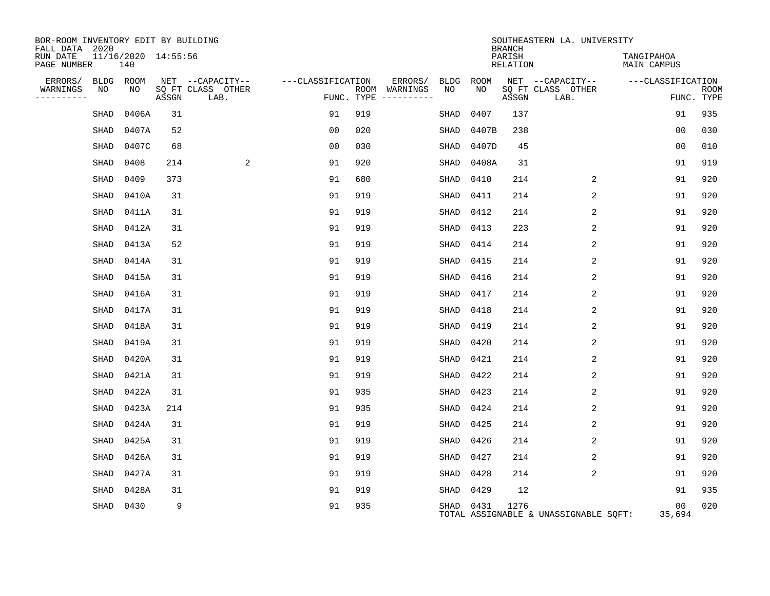| BOR-ROOM INVENTORY EDIT BY BUILDING<br>FALL DATA 2020 |      |                            |       |                           |                   |                                        |             |           | <b>BRANCH</b>      | SOUTHEASTERN LA. UNIVERSITY           |                           |                           |
|-------------------------------------------------------|------|----------------------------|-------|---------------------------|-------------------|----------------------------------------|-------------|-----------|--------------------|---------------------------------------|---------------------------|---------------------------|
| RUN DATE<br>PAGE NUMBER                               |      | 11/16/2020 14:55:56<br>140 |       |                           |                   |                                        |             |           | PARISH<br>RELATION |                                       | TANGIPAHOA<br>MAIN CAMPUS |                           |
| ERRORS/                                               |      | BLDG ROOM                  |       | NET --CAPACITY--          | ---CLASSIFICATION | ERRORS/                                | BLDG        | ROOM      |                    | NET --CAPACITY-- ---CLASSIFICATION    |                           |                           |
| WARNINGS<br>----------                                | NO   | NO                         | ASSGN | SQ FT CLASS OTHER<br>LAB. |                   | ROOM WARNINGS<br>FUNC. TYPE ---------- | NO          | NO        | ASSGN              | SQ FT CLASS OTHER<br>LAB.             |                           | <b>ROOM</b><br>FUNC. TYPE |
|                                                       | SHAD | 0406A                      | 31    |                           | 91                | 919                                    | SHAD        | 0407      | 137                |                                       | 91                        | 935                       |
|                                                       | SHAD | 0407A                      | 52    |                           | 00                | 020                                    | SHAD        | 0407B     | 238                |                                       | 0 <sub>0</sub>            | 030                       |
|                                                       | SHAD | 0407C                      | 68    |                           | 0 <sub>0</sub>    | 030                                    | SHAD        | 0407D     | 45                 |                                       | 00                        | 010                       |
|                                                       | SHAD | 0408                       | 214   | 2                         | 91                | 920                                    | <b>SHAD</b> | 0408A     | 31                 |                                       | 91                        | 919                       |
|                                                       | SHAD | 0409                       | 373   |                           | 91                | 680                                    | SHAD        | 0410      | 214                | 2                                     | 91                        | 920                       |
|                                                       | SHAD | 0410A                      | 31    |                           | 91                | 919                                    | SHAD        | 0411      | 214                | 2                                     | 91                        | 920                       |
|                                                       | SHAD | 0411A                      | 31    |                           | 91                | 919                                    | SHAD        | 0412      | 214                | 2                                     | 91                        | 920                       |
|                                                       | SHAD | 0412A                      | 31    |                           | 91                | 919                                    | SHAD        | 0413      | 223                | 2                                     | 91                        | 920                       |
|                                                       | SHAD | 0413A                      | 52    |                           | 91                | 919                                    | SHAD        | 0414      | 214                | 2                                     | 91                        | 920                       |
|                                                       | SHAD | 0414A                      | 31    |                           | 91                | 919                                    | SHAD        | 0415      | 214                | 2                                     | 91                        | 920                       |
|                                                       | SHAD | 0415A                      | 31    |                           | 91                | 919                                    | SHAD        | 0416      | 214                | 2                                     | 91                        | 920                       |
|                                                       | SHAD | 0416A                      | 31    |                           | 91                | 919                                    | SHAD        | 0417      | 214                | 2                                     | 91                        | 920                       |
|                                                       | SHAD | 0417A                      | 31    |                           | 91                | 919                                    | SHAD        | 0418      | 214                | 2                                     | 91                        | 920                       |
|                                                       | SHAD | 0418A                      | 31    |                           | 91                | 919                                    | SHAD        | 0419      | 214                | 2                                     | 91                        | 920                       |
|                                                       | SHAD | 0419A                      | 31    |                           | 91                | 919                                    | SHAD        | 0420      | 214                | 2                                     | 91                        | 920                       |
|                                                       | SHAD | 0420A                      | 31    |                           | 91                | 919                                    | SHAD        | 0421      | 214                | 2                                     | 91                        | 920                       |
|                                                       | SHAD | 0421A                      | 31    |                           | 91                | 919                                    | SHAD        | 0422      | 214                | 2                                     | 91                        | 920                       |
|                                                       | SHAD | 0422A                      | 31    |                           | 91                | 935                                    | SHAD        | 0423      | 214                | 2                                     | 91                        | 920                       |
|                                                       | SHAD | 0423A                      | 214   |                           | 91                | 935                                    | SHAD        | 0424      | 214                | 2                                     | 91                        | 920                       |
|                                                       | SHAD | 0424A                      | 31    |                           | 91                | 919                                    | SHAD        | 0425      | 214                | 2                                     | 91                        | 920                       |
|                                                       | SHAD | 0425A                      | 31    |                           | 91                | 919                                    | SHAD        | 0426      | 214                | 2                                     | 91                        | 920                       |
|                                                       | SHAD | 0426A                      | 31    |                           | 91                | 919                                    | SHAD        | 0427      | 214                | 2                                     | 91                        | 920                       |
|                                                       | SHAD | 0427A                      | 31    |                           | 91                | 919                                    | SHAD        | 0428      | 214                | 2                                     | 91                        | 920                       |
|                                                       | SHAD | 0428A                      | 31    |                           | 91                | 919                                    | SHAD        | 0429      | 12                 |                                       | 91                        | 935                       |
|                                                       | SHAD | 0430                       | 9     |                           | 91                | 935                                    |             | SHAD 0431 | 1276               | TOTAL ASSIGNABLE & UNASSIGNABLE SQFT: | 0 <sub>0</sub><br>35,694  | 020                       |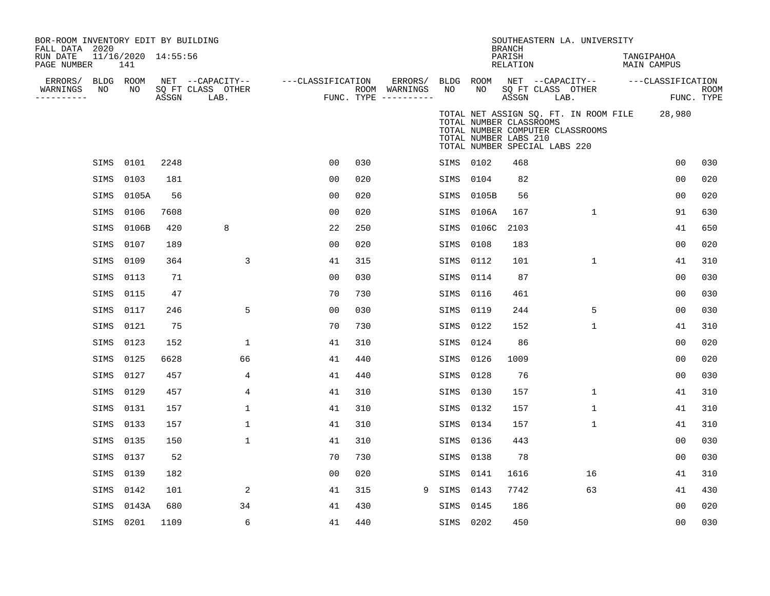| BOR-ROOM INVENTORY EDIT BY BUILDING<br>FALL DATA 2020 |                 |                            |                                 |                                               |              |                   |                |     |                                                 |      |      |                                                                                   | <b>BRANCH</b>      | SOUTHEASTERN LA. UNIVERSITY                                               |                           |                    |
|-------------------------------------------------------|-----------------|----------------------------|---------------------------------|-----------------------------------------------|--------------|-------------------|----------------|-----|-------------------------------------------------|------|------|-----------------------------------------------------------------------------------|--------------------|---------------------------------------------------------------------------|---------------------------|--------------------|
| RUN DATE<br>PAGE NUMBER                               |                 | 11/16/2020 14:55:56<br>141 |                                 |                                               |              |                   |                |     |                                                 |      |      |                                                                                   | PARISH<br>RELATION |                                                                           | TANGIPAHOA<br>MAIN CAMPUS |                    |
| ERRORS/<br>WARNINGS<br>----------                     | BLDG ROOM<br>NO | NO                         | $\operatorname{\mathsf{ASSGN}}$ | NET --CAPACITY--<br>SQ FT CLASS OTHER<br>LAB. |              | ---CLASSIFICATION |                |     | ERRORS/<br>ROOM WARNINGS<br>FUNC. TYPE $------$ | NO   |      | BLDG ROOM<br>NO                                                                   | ASSGN              | NET --CAPACITY--<br>SQ FT CLASS OTHER<br>LAB.                             | ---CLASSIFICATION         | ROOM<br>FUNC. TYPE |
|                                                       |                 |                            |                                 |                                               |              |                   |                |     |                                                 |      |      | TOTAL NUMBER CLASSROOMS<br>TOTAL NUMBER LABS 210<br>TOTAL NUMBER SPECIAL LABS 220 |                    | TOTAL NET ASSIGN SQ. FT. IN ROOM FILE<br>TOTAL NUMBER COMPUTER CLASSROOMS | 28,980                    |                    |
|                                                       | SIMS            | 0101                       | 2248                            |                                               |              |                   | 0 <sub>0</sub> | 030 |                                                 |      | SIMS | 0102                                                                              | 468                |                                                                           | 0 <sub>0</sub>            | 030                |
|                                                       | SIMS            | 0103                       | 181                             |                                               |              |                   | 0 <sub>0</sub> | 020 |                                                 |      | SIMS | 0104                                                                              | 82                 |                                                                           | 0 <sub>0</sub>            | 020                |
|                                                       | SIMS            | 0105A                      | 56                              |                                               |              |                   | 0 <sub>0</sub> | 020 |                                                 |      | SIMS | 0105B                                                                             | 56                 |                                                                           | 0 <sub>0</sub>            | 020                |
|                                                       | SIMS            | 0106                       | 7608                            |                                               |              |                   | 00             | 020 |                                                 | SIMS |      | 0106A                                                                             | 167                | $\mathbf{1}$                                                              | 91                        | 630                |
|                                                       | SIMS            | 0106B                      | 420                             | 8                                             |              |                   | 22             | 250 |                                                 |      | SIMS | 0106C                                                                             | 2103               |                                                                           | 41                        | 650                |
|                                                       | SIMS            | 0107                       | 189                             |                                               |              |                   | 0 <sub>0</sub> | 020 |                                                 | SIMS |      | 0108                                                                              | 183                |                                                                           | 0 <sub>0</sub>            | 020                |
|                                                       | SIMS            | 0109                       | 364                             |                                               | 3            |                   | 41             | 315 |                                                 |      | SIMS | 0112                                                                              | 101                | 1                                                                         | 41                        | 310                |
|                                                       | SIMS            | 0113                       | 71                              |                                               |              |                   | 0 <sub>0</sub> | 030 |                                                 | SIMS |      | 0114                                                                              | 87                 |                                                                           | 00                        | 030                |
|                                                       | SIMS            | 0115                       | 47                              |                                               |              |                   | 70             | 730 |                                                 | SIMS |      | 0116                                                                              | 461                |                                                                           | 00                        | 030                |
|                                                       | SIMS            | 0117                       | 246                             |                                               | 5            |                   | 0 <sub>0</sub> | 030 |                                                 | SIMS |      | 0119                                                                              | 244                | 5                                                                         | 0 <sub>0</sub>            | 030                |
|                                                       | SIMS            | 0121                       | 75                              |                                               |              |                   | 70             | 730 |                                                 |      | SIMS | 0122                                                                              | 152                | $\mathbf{1}$                                                              | 41                        | 310                |
|                                                       | SIMS            | 0123                       | 152                             |                                               | 1            |                   | 41             | 310 |                                                 |      | SIMS | 0124                                                                              | 86                 |                                                                           | 0 <sub>0</sub>            | 020                |
|                                                       | SIMS            | 0125                       | 6628                            |                                               | 66           |                   | 41             | 440 |                                                 | SIMS |      | 0126                                                                              | 1009               |                                                                           | 0 <sub>0</sub>            | 020                |
|                                                       | SIMS            | 0127                       | 457                             |                                               | 4            |                   | 41             | 440 |                                                 | SIMS |      | 0128                                                                              | 76                 |                                                                           | 0 <sub>0</sub>            | 030                |
|                                                       | SIMS            | 0129                       | 457                             |                                               | 4            |                   | 41             | 310 |                                                 | SIMS |      | 0130                                                                              | 157                | $\mathbf{1}$                                                              | 41                        | 310                |
|                                                       | SIMS            | 0131                       | 157                             |                                               | 1            |                   | 41             | 310 |                                                 | SIMS |      | 0132                                                                              | 157                | $\mathbf{1}$                                                              | 41                        | 310                |
|                                                       | SIMS            | 0133                       | 157                             |                                               | $\mathbf{1}$ |                   | 41             | 310 |                                                 | SIMS |      | 0134                                                                              | 157                | $\mathbf{1}$                                                              | 41                        | 310                |
|                                                       | SIMS            | 0135                       | 150                             |                                               | $\mathbf{1}$ |                   | 41             | 310 |                                                 |      | SIMS | 0136                                                                              | 443                |                                                                           | 00                        | 030                |
|                                                       | SIMS            | 0137                       | 52                              |                                               |              |                   | 70             | 730 |                                                 | SIMS |      | 0138                                                                              | 78                 |                                                                           | 0 <sub>0</sub>            | 030                |
|                                                       | SIMS            | 0139                       | 182                             |                                               |              |                   | 0 <sub>0</sub> | 020 |                                                 |      | SIMS | 0141                                                                              | 1616               | 16                                                                        | 41                        | 310                |
|                                                       | SIMS            | 0142                       | 101                             |                                               | 2            |                   | 41             | 315 | 9                                               | SIMS |      | 0143                                                                              | 7742               | 63                                                                        | 41                        | 430                |
|                                                       | SIMS            | 0143A                      | 680                             |                                               | 34           |                   | 41             | 430 |                                                 | SIMS |      | 0145                                                                              | 186                |                                                                           | 00                        | 020                |
|                                                       | SIMS            | 0201                       | 1109                            |                                               | 6            |                   | 41             | 440 |                                                 |      |      | SIMS 0202                                                                         | 450                |                                                                           | 00                        | 030                |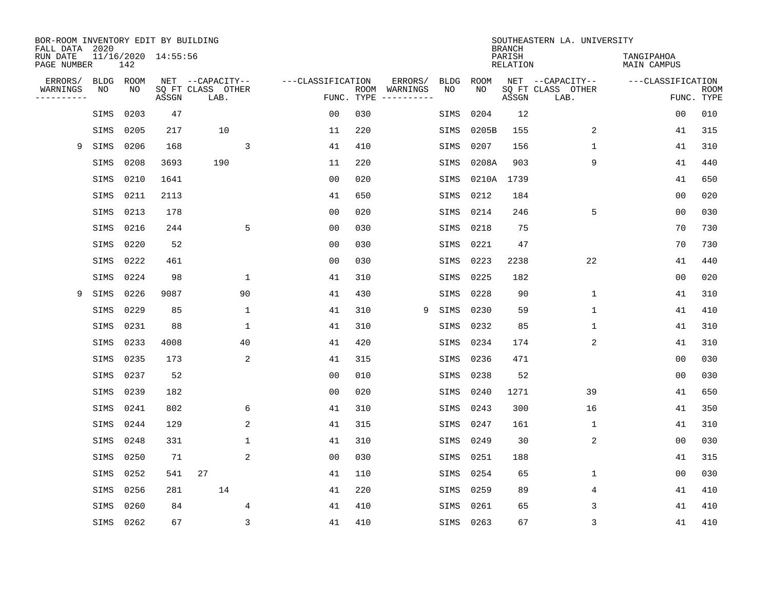| BOR-ROOM INVENTORY EDIT BY BUILDING<br>FALL DATA 2020 |             |      |                     |                           |                   |            |                              |             |             | <b>BRANCH</b>             | SOUTHEASTERN LA. UNIVERSITY |                                  |                           |
|-------------------------------------------------------|-------------|------|---------------------|---------------------------|-------------------|------------|------------------------------|-------------|-------------|---------------------------|-----------------------------|----------------------------------|---------------------------|
| RUN DATE<br>PAGE NUMBER                               |             | 142  | 11/16/2020 14:55:56 |                           |                   |            |                              |             |             | PARISH<br><b>RELATION</b> |                             | TANGIPAHOA<br><b>MAIN CAMPUS</b> |                           |
| ERRORS/                                               | <b>BLDG</b> | ROOM |                     | NET --CAPACITY--          | ---CLASSIFICATION |            | ERRORS/                      | <b>BLDG</b> | <b>ROOM</b> |                           | NET --CAPACITY--            | ---CLASSIFICATION                |                           |
| WARNINGS<br>----------                                | NO          | NO   | ASSGN               | SQ FT CLASS OTHER<br>LAB. |                   | FUNC. TYPE | ROOM WARNINGS<br>----------- | NO          | NO          | ASSGN                     | SQ FT CLASS OTHER<br>LAB.   |                                  | <b>ROOM</b><br>FUNC. TYPE |
|                                                       | SIMS        | 0203 | 47                  |                           | 0 <sub>0</sub>    | 030        |                              | SIMS        | 0204        | 12                        |                             | 0 <sub>0</sub>                   | 010                       |
|                                                       | SIMS        | 0205 | 217                 | 10                        | 11                | 220        |                              | SIMS        | 0205B       | 155                       | 2                           | 41                               | 315                       |
| 9                                                     | SIMS        | 0206 | 168                 | 3                         | 41                | 410        |                              | SIMS        | 0207        | 156                       | 1                           | 41                               | 310                       |
|                                                       | SIMS        | 0208 | 3693                | 190                       | 11                | 220        |                              | SIMS        | 0208A       | 903                       | 9                           | 41                               | 440                       |
|                                                       | SIMS        | 0210 | 1641                |                           | 0 <sub>0</sub>    | 020        |                              | SIMS        | 0210A       | 1739                      |                             | 41                               | 650                       |
|                                                       | SIMS        | 0211 | 2113                |                           | 41                | 650        |                              | SIMS        | 0212        | 184                       |                             | 0 <sub>0</sub>                   | 020                       |
|                                                       | SIMS        | 0213 | 178                 |                           | 0 <sub>0</sub>    | 020        |                              | SIMS        | 0214        | 246                       | 5                           | 0 <sub>0</sub>                   | 030                       |
|                                                       | SIMS        | 0216 | 244                 | 5                         | 0 <sub>0</sub>    | 030        |                              | SIMS        | 0218        | 75                        |                             | 70                               | 730                       |
|                                                       | SIMS        | 0220 | 52                  |                           | 0 <sub>0</sub>    | 030        |                              | SIMS        | 0221        | 47                        |                             | 70                               | 730                       |
|                                                       | SIMS        | 0222 | 461                 |                           | 0 <sub>0</sub>    | 030        |                              | SIMS        | 0223        | 2238                      | 22                          | 41                               | 440                       |
|                                                       | SIMS        | 0224 | 98                  | $\mathbf{1}$              | 41                | 310        |                              | SIMS        | 0225        | 182                       |                             | 0 <sub>0</sub>                   | 020                       |
| 9                                                     | SIMS        | 0226 | 9087                | 90                        | 41                | 430        |                              | SIMS        | 0228        | 90                        | $\mathbf{1}$                | 41                               | 310                       |
|                                                       | SIMS        | 0229 | 85                  | 1                         | 41                | 310        | 9                            | SIMS        | 0230        | 59                        | $\mathbf 1$                 | 41                               | 410                       |
|                                                       | SIMS        | 0231 | 88                  | 1                         | 41                | 310        |                              | SIMS        | 0232        | 85                        | 1                           | 41                               | 310                       |
|                                                       | SIMS        | 0233 | 4008                | 40                        | 41                | 420        |                              | SIMS        | 0234        | 174                       | 2                           | 41                               | 310                       |
|                                                       | SIMS        | 0235 | 173                 | 2                         | 41                | 315        |                              | SIMS        | 0236        | 471                       |                             | 0 <sub>0</sub>                   | 030                       |
|                                                       | SIMS        | 0237 | 52                  |                           | 0 <sub>0</sub>    | 010        |                              | SIMS        | 0238        | 52                        |                             | 0 <sub>0</sub>                   | 030                       |
|                                                       | SIMS        | 0239 | 182                 |                           | 0 <sub>0</sub>    | 020        |                              | SIMS        | 0240        | 1271                      | 39                          | 41                               | 650                       |
|                                                       | SIMS        | 0241 | 802                 | 6                         | 41                | 310        |                              | SIMS        | 0243        | 300                       | 16                          | 41                               | 350                       |
|                                                       | SIMS        | 0244 | 129                 | 2                         | 41                | 315        |                              | SIMS        | 0247        | 161                       | 1                           | 41                               | 310                       |
|                                                       | SIMS        | 0248 | 331                 | $\mathbf{1}$              | 41                | 310        |                              | SIMS        | 0249        | 30                        | 2                           | 0 <sub>0</sub>                   | 030                       |
|                                                       | SIMS        | 0250 | 71                  | 2                         | 0 <sub>0</sub>    | 030        |                              | SIMS        | 0251        | 188                       |                             | 41                               | 315                       |
|                                                       | SIMS        | 0252 | 541                 | 27                        | 41                | 110        |                              | SIMS        | 0254        | 65                        | $\mathbf 1$                 | 0 <sub>0</sub>                   | 030                       |
|                                                       | SIMS        | 0256 | 281                 | 14                        | 41                | 220        |                              | SIMS        | 0259        | 89                        | 4                           | 41                               | 410                       |
|                                                       | SIMS        | 0260 | 84                  | 4                         | 41                | 410        |                              | SIMS        | 0261        | 65                        | 3                           | 41                               | 410                       |
|                                                       | SIMS        | 0262 | 67                  | $\overline{3}$            | 41                | 410        |                              |             | SIMS 0263   | 67                        | 3                           | 41                               | 410                       |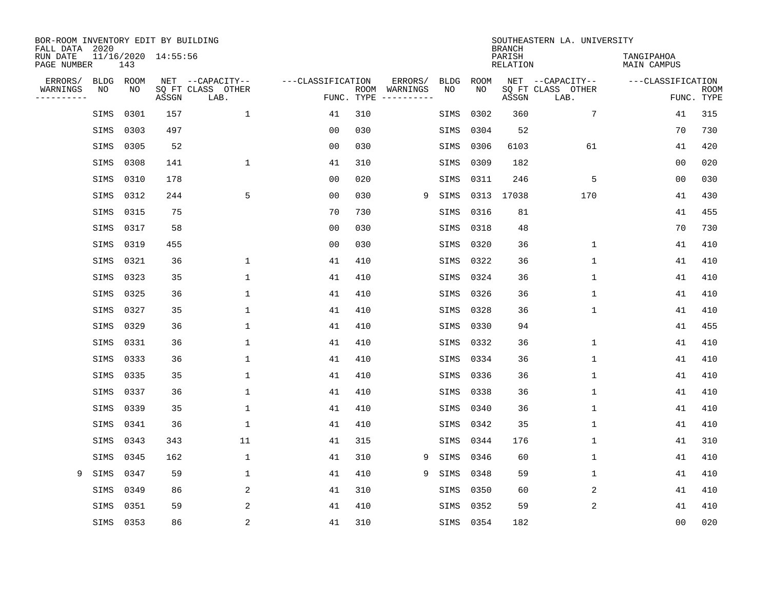| BOR-ROOM INVENTORY EDIT BY BUILDING<br>FALL DATA 2020 |             |      |                     |                           |                   |      |          |             |             | <b>BRANCH</b>      | SOUTHEASTERN LA. UNIVERSITY |                                  |                           |
|-------------------------------------------------------|-------------|------|---------------------|---------------------------|-------------------|------|----------|-------------|-------------|--------------------|-----------------------------|----------------------------------|---------------------------|
| RUN DATE<br>PAGE NUMBER                               |             | 143  | 11/16/2020 14:55:56 |                           |                   |      |          |             |             | PARISH<br>RELATION |                             | TANGIPAHOA<br><b>MAIN CAMPUS</b> |                           |
| ERRORS/                                               | <b>BLDG</b> | ROOM |                     | NET --CAPACITY--          | ---CLASSIFICATION |      | ERRORS/  | <b>BLDG</b> | <b>ROOM</b> |                    | NET --CAPACITY--            | ---CLASSIFICATION                |                           |
| WARNINGS<br>----------                                | NO          | NO   | ASSGN               | SQ FT CLASS OTHER<br>LAB. | FUNC. TYPE        | ROOM | WARNINGS | NO          | NO          | ASSGN              | SQ FT CLASS OTHER<br>LAB.   |                                  | <b>ROOM</b><br>FUNC. TYPE |
|                                                       | SIMS        | 0301 | 157                 | 1                         | 41                | 310  |          | SIMS        | 0302        | 360                | 7                           | 41                               | 315                       |
|                                                       | SIMS        | 0303 | 497                 |                           | 00                | 030  |          | SIMS        | 0304        | 52                 |                             | 70                               | 730                       |
|                                                       | SIMS        | 0305 | 52                  |                           | 00                | 030  |          | SIMS        | 0306        | 6103               | 61                          | 41                               | 420                       |
|                                                       | SIMS        | 0308 | 141                 | 1                         | 41                | 310  |          | SIMS        | 0309        | 182                |                             | 0 <sub>0</sub>                   | 020                       |
|                                                       | SIMS        | 0310 | 178                 |                           | 00                | 020  |          | SIMS        | 0311        | 246                | 5                           | 0 <sub>0</sub>                   | 030                       |
|                                                       | SIMS        | 0312 | 244                 | 5                         | 0 <sub>0</sub>    | 030  | 9        | SIMS        | 0313        | 17038              | 170                         | 41                               | 430                       |
|                                                       | SIMS        | 0315 | 75                  |                           | 70                | 730  |          | SIMS        | 0316        | 81                 |                             | 41                               | 455                       |
|                                                       | SIMS        | 0317 | 58                  |                           | 0 <sub>0</sub>    | 030  |          | SIMS        | 0318        | 48                 |                             | 70                               | 730                       |
|                                                       | SIMS        | 0319 | 455                 |                           | 0 <sub>0</sub>    | 030  |          | SIMS        | 0320        | 36                 | $\mathbf 1$                 | 41                               | 410                       |
|                                                       | SIMS        | 0321 | 36                  | 1                         | 41                | 410  |          | SIMS        | 0322        | 36                 | 1                           | 41                               | 410                       |
|                                                       | SIMS        | 0323 | 35                  | 1                         | 41                | 410  |          | SIMS        | 0324        | 36                 | $\mathbf 1$                 | 41                               | 410                       |
|                                                       | SIMS        | 0325 | 36                  | 1                         | 41                | 410  |          | SIMS        | 0326        | 36                 | 1                           | 41                               | 410                       |
|                                                       | SIMS        | 0327 | 35                  | 1                         | 41                | 410  |          | SIMS        | 0328        | 36                 | $\mathbf 1$                 | 41                               | 410                       |
|                                                       | SIMS        | 0329 | 36                  | 1                         | 41                | 410  |          | SIMS        | 0330        | 94                 |                             | 41                               | 455                       |
|                                                       | SIMS        | 0331 | 36                  | $\mathbf 1$               | 41                | 410  |          | SIMS        | 0332        | 36                 | $\mathbf 1$                 | 41                               | 410                       |
|                                                       | SIMS        | 0333 | 36                  | 1                         | 41                | 410  |          | SIMS        | 0334        | 36                 | 1                           | 41                               | 410                       |
|                                                       | SIMS        | 0335 | 35                  | 1                         | 41                | 410  |          | SIMS        | 0336        | 36                 | 1                           | 41                               | 410                       |
|                                                       | SIMS        | 0337 | 36                  | 1                         | 41                | 410  |          | SIMS        | 0338        | 36                 | 1                           | 41                               | 410                       |
|                                                       | SIMS        | 0339 | 35                  | 1                         | 41                | 410  |          | SIMS        | 0340        | 36                 | 1                           | 41                               | 410                       |
|                                                       | SIMS        | 0341 | 36                  | 1                         | 41                | 410  |          | SIMS        | 0342        | 35                 | 1                           | 41                               | 410                       |
|                                                       | SIMS        | 0343 | 343                 | 11                        | 41                | 315  |          | SIMS        | 0344        | 176                | 1                           | 41                               | 310                       |
|                                                       | SIMS        | 0345 | 162                 | $\mathbf{1}$              | 41                | 310  | 9        | SIMS        | 0346        | 60                 | 1                           | 41                               | 410                       |
| 9                                                     | SIMS        | 0347 | 59                  | $\mathbf{1}$              | 41                | 410  | 9        | SIMS        | 0348        | 59                 | $\mathbf 1$                 | 41                               | 410                       |
|                                                       | SIMS        | 0349 | 86                  | 2                         | 41                | 310  |          | SIMS        | 0350        | 60                 | 2                           | 41                               | 410                       |
|                                                       | SIMS        | 0351 | 59                  | 2                         | 41                | 410  |          | SIMS        | 0352        | 59                 | 2                           | 41                               | 410                       |
|                                                       | SIMS 0353   |      | 86                  | 2                         | 41                | 310  |          | SIMS        | 0354        | 182                |                             | 0 <sub>0</sub>                   | 020                       |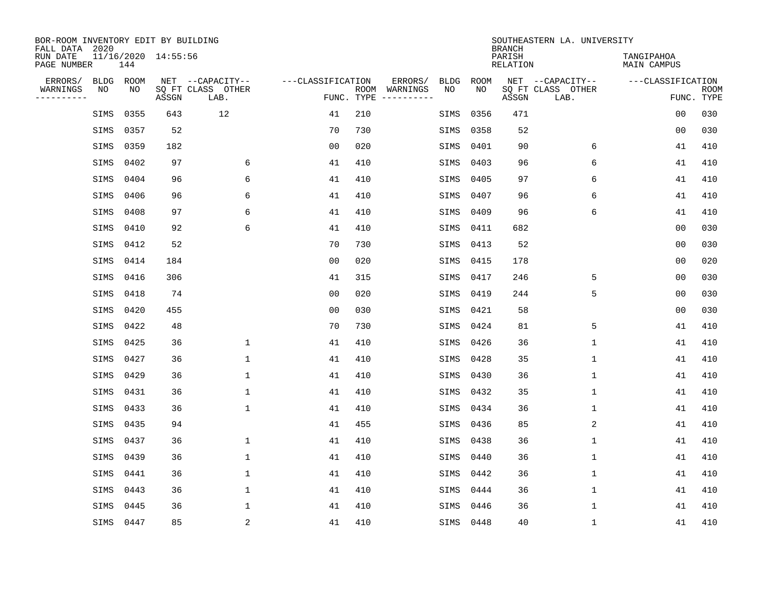| BOR-ROOM INVENTORY EDIT BY BUILDING<br>FALL DATA 2020 |      |                     |                           |                   |            |                                    |             | <b>BRANCH</b>             | SOUTHEASTERN LA. UNIVERSITY |                                  |                           |
|-------------------------------------------------------|------|---------------------|---------------------------|-------------------|------------|------------------------------------|-------------|---------------------------|-----------------------------|----------------------------------|---------------------------|
| RUN DATE<br>PAGE NUMBER                               | 144  | 11/16/2020 14:55:56 |                           |                   |            |                                    |             | PARISH<br><b>RELATION</b> |                             | TANGIPAHOA<br><b>MAIN CAMPUS</b> |                           |
| ERRORS/<br><b>BLDG</b>                                | ROOM |                     | NET --CAPACITY--          | ---CLASSIFICATION |            | ERRORS/<br><b>BLDG</b>             | <b>ROOM</b> |                           | NET --CAPACITY--            | ---CLASSIFICATION                |                           |
| WARNINGS<br>NO<br>----------                          | NO   | ASSGN               | SQ FT CLASS OTHER<br>LAB. |                   | FUNC. TYPE | ROOM WARNINGS<br>NO<br>----------- | NO          | ASSGN                     | SQ FT CLASS OTHER<br>LAB.   |                                  | <b>ROOM</b><br>FUNC. TYPE |
| SIMS                                                  | 0355 | 643                 | 12                        | 41                | 210        | SIMS                               | 0356        | 471                       |                             | 0 <sub>0</sub>                   | 030                       |
| SIMS                                                  | 0357 | 52                  |                           | 70                | 730        | SIMS                               | 0358        | 52                        |                             | 0 <sub>0</sub>                   | 030                       |
| SIMS                                                  | 0359 | 182                 |                           | 0 <sub>0</sub>    | 020        | SIMS                               | 0401        | 90                        | 6                           | 41                               | 410                       |
| SIMS                                                  | 0402 | 97                  | 6                         | 41                | 410        | SIMS                               | 0403        | 96                        | 6                           | 41                               | 410                       |
| SIMS                                                  | 0404 | 96                  | 6                         | 41                | 410        | SIMS                               | 0405        | 97                        | 6                           | 41                               | 410                       |
| SIMS                                                  | 0406 | 96                  | 6                         | 41                | 410        | SIMS                               | 0407        | 96                        | 6                           | 41                               | 410                       |
| SIMS                                                  | 0408 | 97                  | 6                         | 41                | 410        | SIMS                               | 0409        | 96                        | 6                           | 41                               | 410                       |
| SIMS                                                  | 0410 | 92                  | 6                         | 41                | 410        | SIMS                               | 0411        | 682                       |                             | 0 <sub>0</sub>                   | 030                       |
| SIMS                                                  | 0412 | 52                  |                           | 70                | 730        | SIMS                               | 0413        | 52                        |                             | 0 <sub>0</sub>                   | 030                       |
| SIMS                                                  | 0414 | 184                 |                           | 0 <sub>0</sub>    | 020        | SIMS                               | 0415        | 178                       |                             | 0 <sub>0</sub>                   | 020                       |
| SIMS                                                  | 0416 | 306                 |                           | 41                | 315        | SIMS                               | 0417        | 246                       | 5                           | 0 <sub>0</sub>                   | 030                       |
| SIMS                                                  | 0418 | 74                  |                           | 0 <sub>0</sub>    | 020        | SIMS                               | 0419        | 244                       | 5                           | 0 <sub>0</sub>                   | 030                       |
| SIMS                                                  | 0420 | 455                 |                           | 0 <sub>0</sub>    | 030        | SIMS                               | 0421        | 58                        |                             | 0 <sub>0</sub>                   | 030                       |
| SIMS                                                  | 0422 | 48                  |                           | 70                | 730        | SIMS                               | 0424        | 81                        | 5                           | 41                               | 410                       |
| SIMS                                                  | 0425 | 36                  | 1                         | 41                | 410        | SIMS                               | 0426        | 36                        | $\mathbf 1$                 | 41                               | 410                       |
| SIMS                                                  | 0427 | 36                  | $\mathbf{1}$              | 41                | 410        | SIMS                               | 0428        | 35                        | $\mathbf 1$                 | 41                               | 410                       |
| SIMS                                                  | 0429 | 36                  | 1                         | 41                | 410        | SIMS                               | 0430        | 36                        | $\mathbf 1$                 | 41                               | 410                       |
| SIMS                                                  | 0431 | 36                  | $\mathbf{1}$              | 41                | 410        | SIMS                               | 0432        | 35                        | $\mathbf 1$                 | 41                               | 410                       |
| SIMS                                                  | 0433 | 36                  | $\mathbf{1}$              | 41                | 410        | SIMS                               | 0434        | 36                        | $\mathbf 1$                 | 41                               | 410                       |
| SIMS                                                  | 0435 | 94                  |                           | 41                | 455        | SIMS                               | 0436        | 85                        | 2                           | 41                               | 410                       |
| SIMS                                                  | 0437 | 36                  | 1                         | 41                | 410        | SIMS                               | 0438        | 36                        | $\mathbf 1$                 | 41                               | 410                       |
| SIMS                                                  | 0439 | 36                  | 1                         | 41                | 410        | SIMS                               | 0440        | 36                        | $\mathbf 1$                 | 41                               | 410                       |
| SIMS                                                  | 0441 | 36                  | $\mathbf{1}$              | 41                | 410        | SIMS                               | 0442        | 36                        | $\mathbf 1$                 | 41                               | 410                       |
| SIMS                                                  | 0443 | 36                  | $\mathbf{1}$              | 41                | 410        | SIMS                               | 0444        | 36                        | 1                           | 41                               | 410                       |
| SIMS                                                  | 0445 | 36                  | $\mathbf{1}$              | 41                | 410        | SIMS                               | 0446        | 36                        | $\mathbf 1$                 | 41                               | 410                       |
| SIMS                                                  | 0447 | 85                  | $\sqrt{2}$                | 41                | 410        |                                    | SIMS 0448   | 40                        | $\mathbf 1$                 | 41                               | 410                       |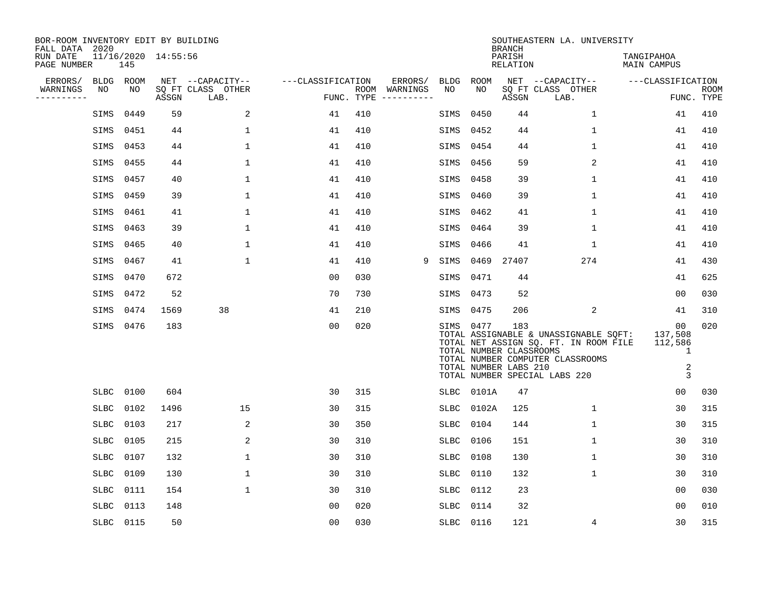| BOR-ROOM INVENTORY EDIT BY BUILDING<br>FALL DATA 2020 |             |      |                     |                           |                   |                    |                         |             |           |       | <b>BRANCH</b>                                           | SOUTHEASTERN LA. UNIVERSITY                                                                                                                         |                                                      |                           |
|-------------------------------------------------------|-------------|------|---------------------|---------------------------|-------------------|--------------------|-------------------------|-------------|-----------|-------|---------------------------------------------------------|-----------------------------------------------------------------------------------------------------------------------------------------------------|------------------------------------------------------|---------------------------|
| RUN DATE<br>PAGE NUMBER                               |             | 145  | 11/16/2020 14:55:56 |                           |                   |                    |                         |             |           |       | PARISH<br>RELATION                                      |                                                                                                                                                     | TANGIPAHOA<br>MAIN CAMPUS                            |                           |
| ERRORS/                                               | BLDG ROOM   |      |                     | NET --CAPACITY--          | ---CLASSIFICATION |                    | ERRORS/                 | <b>BLDG</b> |           | ROOM  |                                                         | NET --CAPACITY--                                                                                                                                    | ---CLASSIFICATION                                    |                           |
| WARNINGS<br>. <u>.</u> .                              | NO          | NO   | ASSGN               | SQ FT CLASS OTHER<br>LAB. |                   | ROOM<br>FUNC. TYPE | WARNINGS<br>----------- | NO          |           | NO    | ASSGN                                                   | SQ FT CLASS OTHER<br>LAB.                                                                                                                           |                                                      | <b>ROOM</b><br>FUNC. TYPE |
|                                                       | SIMS        | 0449 | 59                  | 2                         | 41                | 410                |                         | SIMS        |           | 0450  | 44                                                      | $\mathbf 1$                                                                                                                                         | 41                                                   | 410                       |
|                                                       | SIMS        | 0451 | 44                  | $\mathbf 1$               | 41                | 410                |                         | SIMS        |           | 0452  | 44                                                      | $\mathbf 1$                                                                                                                                         | 41                                                   | 410                       |
|                                                       | SIMS        | 0453 | 44                  | 1                         | 41                | 410                |                         | SIMS        |           | 0454  | 44                                                      | $\mathbf 1$                                                                                                                                         | 41                                                   | 410                       |
|                                                       | SIMS        | 0455 | 44                  | 1                         | 41                | 410                |                         | SIMS        |           | 0456  | 59                                                      | 2                                                                                                                                                   | 41                                                   | 410                       |
|                                                       | SIMS        | 0457 | 40                  | $\mathbf{1}$              | 41                | 410                |                         | SIMS        |           | 0458  | 39                                                      | $\mathbf{1}$                                                                                                                                        | 41                                                   | 410                       |
|                                                       | SIMS        | 0459 | 39                  | 1                         | 41                | 410                |                         | SIMS        |           | 0460  | 39                                                      | 1                                                                                                                                                   | 41                                                   | 410                       |
|                                                       | SIMS        | 0461 | 41                  | $\mathbf{1}$              | 41                | 410                |                         | SIMS        |           | 0462  | 41                                                      | $\mathbf 1$                                                                                                                                         | 41                                                   | 410                       |
|                                                       | SIMS        | 0463 | 39                  | 1                         | 41                | 410                |                         | SIMS        |           | 0464  | 39                                                      | $\mathbf 1$                                                                                                                                         | 41                                                   | 410                       |
|                                                       | SIMS        | 0465 | 40                  | 1                         | 41                | 410                |                         | SIMS        |           | 0466  | 41                                                      | 1                                                                                                                                                   | 41                                                   | 410                       |
|                                                       | SIMS        | 0467 | 41                  | 1                         | 41                | 410                |                         | 9<br>SIMS   |           | 0469  | 27407                                                   | 274                                                                                                                                                 | 41                                                   | 430                       |
|                                                       | SIMS        | 0470 | 672                 |                           | 00                | 030                |                         | SIMS        |           | 0471  | 44                                                      |                                                                                                                                                     | 41                                                   | 625                       |
|                                                       | SIMS        | 0472 | 52                  |                           | 70                | 730                |                         | SIMS        |           | 0473  | 52                                                      |                                                                                                                                                     | 00                                                   | 030                       |
|                                                       | SIMS        | 0474 | 1569                | 38                        | 41                | 210                |                         | SIMS        |           | 0475  | 206                                                     | 2                                                                                                                                                   | 41                                                   | 310                       |
|                                                       | SIMS        | 0476 | 183                 |                           | 0 <sub>0</sub>    | 020                |                         |             | SIMS 0477 |       | 183<br>TOTAL NUMBER CLASSROOMS<br>TOTAL NUMBER LABS 210 | TOTAL ASSIGNABLE & UNASSIGNABLE SQFT:<br>TOTAL NET ASSIGN SQ. FT. IN ROOM FILE<br>TOTAL NUMBER COMPUTER CLASSROOMS<br>TOTAL NUMBER SPECIAL LABS 220 | 00<br>137,508<br>112,586<br>1<br>$\overline{a}$<br>3 | 020                       |
|                                                       | SLBC        | 0100 | 604                 |                           | 30                | 315                |                         | SLBC        |           | 0101A | 47                                                      |                                                                                                                                                     | 00                                                   | 030                       |
|                                                       | <b>SLBC</b> | 0102 | 1496                | 15                        | 30                | 315                |                         | <b>SLBC</b> |           | 0102A | 125                                                     | $\mathbf{1}$                                                                                                                                        | 30                                                   | 315                       |
|                                                       | SLBC        | 0103 | 217                 | $\overline{a}$            | 30                | 350                |                         | <b>SLBC</b> |           | 0104  | 144                                                     | $\mathbf 1$                                                                                                                                         | 30                                                   | 315                       |
|                                                       | SLBC        | 0105 | 215                 | 2                         | 30                | 310                |                         | <b>SLBC</b> |           | 0106  | 151                                                     | $\mathbf 1$                                                                                                                                         | 30                                                   | 310                       |
|                                                       | <b>SLBC</b> | 0107 | 132                 | $\mathbf{1}$              | 30                | 310                |                         | <b>SLBC</b> |           | 0108  | 130                                                     | $\mathbf 1$                                                                                                                                         | 30                                                   | 310                       |
|                                                       | SLBC        | 0109 | 130                 | 1                         | 30                | 310                |                         | SLBC        |           | 0110  | 132                                                     | $\mathbf 1$                                                                                                                                         | 30                                                   | 310                       |
|                                                       | SLBC        | 0111 | 154                 | 1                         | 30                | 310                |                         | SLBC        |           | 0112  | 23                                                      |                                                                                                                                                     | 0 <sub>0</sub>                                       | 030                       |
|                                                       | SLBC        | 0113 | 148                 |                           | 0 <sub>0</sub>    | 020                |                         | SLBC        |           | 0114  | 32                                                      |                                                                                                                                                     | 0 <sub>0</sub>                                       | 010                       |
|                                                       | SLBC 0115   |      | 50                  |                           | 0 <sub>0</sub>    | 030                |                         |             | SLBC 0116 |       | 121                                                     | 4                                                                                                                                                   | 30                                                   | 315                       |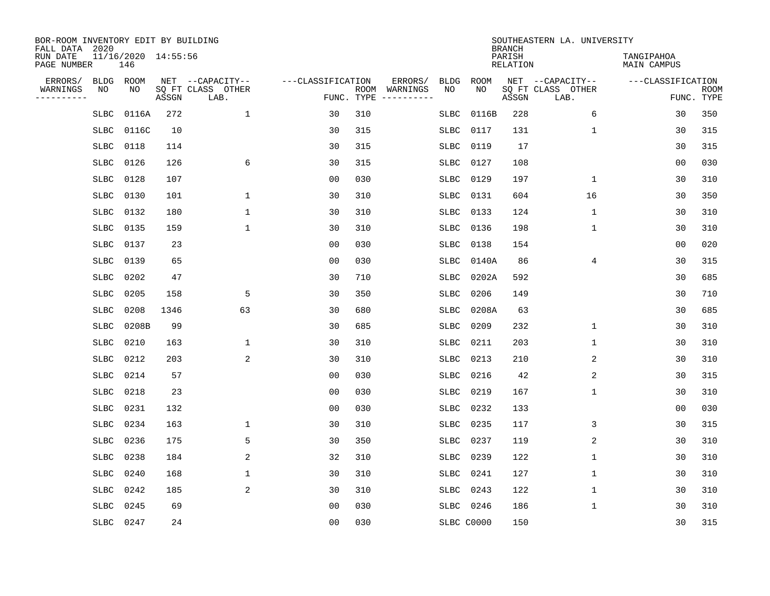| BOR-ROOM INVENTORY EDIT BY BUILDING<br>FALL DATA 2020 |             |       |                     |                           |                   |     |                              |             |             | <b>BRANCH</b>             | SOUTHEASTERN LA. UNIVERSITY |                                  |                           |
|-------------------------------------------------------|-------------|-------|---------------------|---------------------------|-------------------|-----|------------------------------|-------------|-------------|---------------------------|-----------------------------|----------------------------------|---------------------------|
| RUN DATE<br>PAGE NUMBER                               | 146         |       | 11/16/2020 14:55:56 |                           |                   |     |                              |             |             | PARISH<br><b>RELATION</b> |                             | TANGIPAHOA<br><b>MAIN CAMPUS</b> |                           |
| ERRORS/                                               | <b>BLDG</b> | ROOM  |                     | NET --CAPACITY--          | ---CLASSIFICATION |     | ERRORS/                      | <b>BLDG</b> | <b>ROOM</b> |                           | NET --CAPACITY--            | ---CLASSIFICATION                |                           |
| WARNINGS<br>----------                                | NO          | NO.   | ASSGN               | SQ FT CLASS OTHER<br>LAB. | FUNC. TYPE        |     | ROOM WARNINGS<br>----------- | NO          | NO          | ASSGN                     | SQ FT CLASS OTHER<br>LAB.   |                                  | <b>ROOM</b><br>FUNC. TYPE |
|                                                       | <b>SLBC</b> | 0116A | 272                 | $\mathbf{1}$              | 30                | 310 |                              | SLBC        | 0116B       | 228                       | 6                           | 30                               | 350                       |
|                                                       | SLBC        | 0116C | 10                  |                           | 30                | 315 |                              | SLBC        | 0117        | 131                       | 1                           | 30                               | 315                       |
|                                                       | <b>SLBC</b> | 0118  | 114                 |                           | 30                | 315 |                              | <b>SLBC</b> | 0119        | 17                        |                             | 30                               | 315                       |
|                                                       | <b>SLBC</b> | 0126  | 126                 | 6                         | 30                | 315 |                              | SLBC        | 0127        | 108                       |                             | 0 <sub>0</sub>                   | 030                       |
|                                                       | SLBC        | 0128  | 107                 |                           | 0 <sub>0</sub>    | 030 |                              | SLBC        | 0129        | 197                       | $\mathbf 1$                 | 30                               | 310                       |
|                                                       | <b>SLBC</b> | 0130  | 101                 | $\mathbf{1}$              | 30                | 310 |                              | SLBC        | 0131        | 604                       | 16                          | 30                               | 350                       |
|                                                       | SLBC        | 0132  | 180                 | $\mathbf{1}$              | 30                | 310 |                              | SLBC        | 0133        | 124                       | $\mathbf 1$                 | 30                               | 310                       |
|                                                       | <b>SLBC</b> | 0135  | 159                 | $\mathbf{1}$              | 30                | 310 |                              | SLBC        | 0136        | 198                       | $\mathbf{1}$                | 30                               | 310                       |
|                                                       | SLBC        | 0137  | 23                  |                           | 0 <sub>0</sub>    | 030 |                              | SLBC        | 0138        | 154                       |                             | 0 <sub>0</sub>                   | 020                       |
|                                                       | <b>SLBC</b> | 0139  | 65                  |                           | 0 <sub>0</sub>    | 030 |                              | SLBC        | 0140A       | 86                        | 4                           | 30                               | 315                       |
|                                                       | SLBC        | 0202  | 47                  |                           | 30                | 710 |                              | <b>SLBC</b> | 0202A       | 592                       |                             | 30                               | 685                       |
|                                                       | <b>SLBC</b> | 0205  | 158                 | 5                         | 30                | 350 |                              | <b>SLBC</b> | 0206        | 149                       |                             | 30                               | 710                       |
|                                                       | <b>SLBC</b> | 0208  | 1346                | 63                        | 30                | 680 |                              | <b>SLBC</b> | 0208A       | 63                        |                             | 30                               | 685                       |
|                                                       | <b>SLBC</b> | 0208B | 99                  |                           | 30                | 685 |                              | SLBC        | 0209        | 232                       | $\mathbf 1$                 | 30                               | 310                       |
|                                                       | <b>SLBC</b> | 0210  | 163                 | $\mathbf{1}$              | 30                | 310 |                              | <b>SLBC</b> | 0211        | 203                       | $\mathbf 1$                 | 30                               | 310                       |
|                                                       | <b>SLBC</b> | 0212  | 203                 | 2                         | 30                | 310 |                              | SLBC        | 0213        | 210                       | 2                           | 30                               | 310                       |
|                                                       | SLBC        | 0214  | 57                  |                           | 0 <sub>0</sub>    | 030 |                              | SLBC        | 0216        | 42                        | 2                           | 30                               | 315                       |
|                                                       | SLBC        | 0218  | 23                  |                           | 0 <sub>0</sub>    | 030 |                              | SLBC        | 0219        | 167                       | $\mathbf 1$                 | 30                               | 310                       |
|                                                       | SLBC        | 0231  | 132                 |                           | 0 <sub>0</sub>    | 030 |                              | SLBC        | 0232        | 133                       |                             | 0 <sub>0</sub>                   | 030                       |
|                                                       | <b>SLBC</b> | 0234  | 163                 | $\mathbf{1}$              | 30                | 310 |                              | SLBC        | 0235        | 117                       | 3                           | 30                               | 315                       |
|                                                       | <b>SLBC</b> | 0236  | 175                 | 5                         | 30                | 350 |                              | <b>SLBC</b> | 0237        | 119                       | 2                           | 30                               | 310                       |
|                                                       | <b>SLBC</b> | 0238  | 184                 | $\overline{2}$            | 32                | 310 |                              | <b>SLBC</b> | 0239        | 122                       | $\mathbf 1$                 | 30                               | 310                       |
|                                                       | <b>SLBC</b> | 0240  | 168                 | 1                         | 30                | 310 |                              | SLBC        | 0241        | 127                       | $\mathbf{1}$                | 30                               | 310                       |
|                                                       | <b>SLBC</b> | 0242  | 185                 | $\overline{2}$            | 30                | 310 |                              | <b>SLBC</b> | 0243        | 122                       | $\mathbf 1$                 | 30                               | 310                       |
|                                                       | SLBC        | 0245  | 69                  |                           | 0 <sub>0</sub>    | 030 |                              | SLBC        | 0246        | 186                       | $\mathbf{1}$                | 30                               | 310                       |
|                                                       | SLBC 0247   |       | 24                  |                           | 0 <sub>0</sub>    | 030 |                              | SLBC C0000  |             | 150                       |                             | 30                               | 315                       |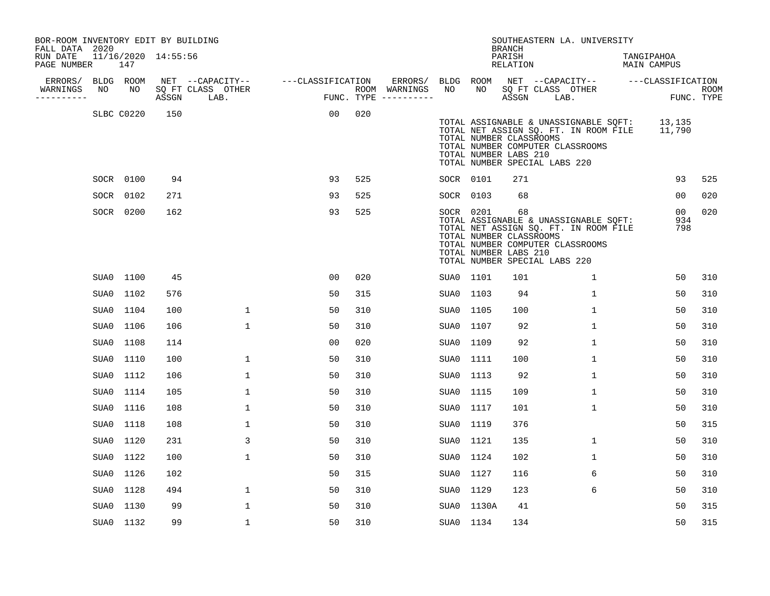| BOR-ROOM INVENTORY EDIT BY BUILDING<br>FALL DATA 2020 |     |            |                     |                                 |                   |     |                                      |           |                                                               | <b>BRANCH</b>      |                                                                   | SOUTHEASTERN LA. UNIVERSITY                                                    |                                              |                              |                           |
|-------------------------------------------------------|-----|------------|---------------------|---------------------------------|-------------------|-----|--------------------------------------|-----------|---------------------------------------------------------------|--------------------|-------------------------------------------------------------------|--------------------------------------------------------------------------------|----------------------------------------------|------------------------------|---------------------------|
| RUN DATE<br>PAGE NUMBER                               |     | 147        | 11/16/2020 14:55:56 |                                 |                   |     |                                      |           |                                                               | PARISH<br>RELATION |                                                                   |                                                                                | TANGIPAHOA<br>MAIN CAMPUS                    |                              |                           |
| ERRORS/                                               |     | BLDG ROOM  |                     | NET --CAPACITY--                | ---CLASSIFICATION |     | ERRORS/                              | BLDG ROOM |                                                               |                    |                                                                   |                                                                                | NET --CAPACITY-- ---CLASSIFICATION           |                              |                           |
| WARNINGS<br>----------                                | NO. | NO         |                     | SQ FT CLASS OTHER<br>ASSGN LAB. |                   |     | ROOM WARNINGS<br>FUNC. TYPE $------$ | NO        | NO .                                                          |                    | SQ FT CLASS OTHER<br>ASSGN LAB.                                   |                                                                                |                                              |                              | <b>ROOM</b><br>FUNC. TYPE |
|                                                       |     | SLBC C0220 | 150                 |                                 | 00                | 020 |                                      |           | TOTAL NUMBER CLASSROOMS<br>TOTAL NUMBER LABS 210              |                    | TOTAL NUMBER COMPUTER CLASSROOMS<br>TOTAL NUMBER SPECIAL LABS 220 | TOTAL ASSIGNABLE & UNASSIGNABLE SQFT:                                          | TOTAL NET ASSIGN SQ. FT. IN ROOM FILE 11,790 | 13,135                       |                           |
|                                                       |     | SOCR 0100  | 94                  |                                 | 93                | 525 |                                      | SOCR 0101 |                                                               | 271                |                                                                   |                                                                                |                                              | 93                           | 525                       |
|                                                       |     | SOCR 0102  | 271                 |                                 | 93                | 525 |                                      | SOCR 0103 |                                                               | 68                 |                                                                   |                                                                                |                                              | 00                           | 020                       |
|                                                       |     | SOCR 0200  | 162                 |                                 | 93                | 525 |                                      |           | SOCR 0201<br>TOTAL NUMBER CLASSROOMS<br>TOTAL NUMBER LABS 210 | 68                 | TOTAL NUMBER COMPUTER CLASSROOMS<br>TOTAL NUMBER SPECIAL LABS 220 | TOTAL ASSIGNABLE & UNASSIGNABLE SQFT:<br>TOTAL NET ASSIGN SQ. FT. IN ROOM FILE |                                              | 0 <sub>0</sub><br>934<br>798 | 020                       |
|                                                       |     | SUA0 1100  | 45                  |                                 | 0 <sub>0</sub>    | 020 |                                      | SUA0 1101 |                                                               | 101                |                                                                   | $\mathbf{1}$                                                                   |                                              | 50                           | 310                       |
|                                                       |     | SUA0 1102  | 576                 |                                 | 50                | 315 |                                      | SUA0 1103 |                                                               | 94                 |                                                                   | $\mathbf{1}$                                                                   |                                              | 50                           | 310                       |
|                                                       |     | SUA0 1104  | 100                 | $\mathbf{1}$                    | 50                | 310 |                                      | SUA0 1105 |                                                               | 100                |                                                                   | $\mathbf{1}$                                                                   |                                              | 50                           | 310                       |
|                                                       |     | SUA0 1106  | 106                 | $\mathbf{1}$                    | 50                | 310 |                                      | SUA0 1107 |                                                               | 92                 |                                                                   | $\mathbf{1}$                                                                   |                                              | 50                           | 310                       |
|                                                       |     | SUA0 1108  | 114                 |                                 | 0 <sub>0</sub>    | 020 |                                      | SUA0 1109 |                                                               | 92                 |                                                                   | $\mathbf{1}$                                                                   |                                              | 50                           | 310                       |
|                                                       |     | SUA0 1110  | 100                 | $\mathbf 1$                     | 50                | 310 |                                      | SUA0 1111 |                                                               | 100                |                                                                   | 1                                                                              |                                              | 50                           | 310                       |
|                                                       |     | SUA0 1112  | 106                 | $\mathbf{1}$                    | 50                | 310 |                                      | SUA0 1113 |                                                               | 92                 |                                                                   | $\mathbf{1}$                                                                   |                                              | 50                           | 310                       |
|                                                       |     | SUA0 1114  | 105                 | $\mathbf{1}$                    | 50                | 310 |                                      | SUA0 1115 |                                                               | 109                |                                                                   | 1                                                                              |                                              | 50                           | 310                       |
|                                                       |     | SUA0 1116  | 108                 | $\mathbf 1$                     | 50                | 310 |                                      | SUA0 1117 |                                                               | 101                |                                                                   | $\mathbf{1}$                                                                   |                                              | 50                           | 310                       |
|                                                       |     | SUA0 1118  | 108                 | $\mathbf{1}$                    | 50                | 310 |                                      | SUA0 1119 |                                                               | 376                |                                                                   |                                                                                |                                              | 50                           | 315                       |
|                                                       |     | SUA0 1120  | 231                 | 3                               | 50                | 310 |                                      | SUA0 1121 |                                                               | 135                |                                                                   | $\mathbf{1}$                                                                   |                                              | 50                           | 310                       |
|                                                       |     | SUA0 1122  | 100                 | $\mathbf{1}$                    | 50                | 310 |                                      | SUA0 1124 |                                                               | 102                |                                                                   | $\mathbf{1}$                                                                   |                                              | 50                           | 310                       |
|                                                       |     | SUA0 1126  | 102                 |                                 | 50                | 315 |                                      | SUA0 1127 |                                                               | 116                |                                                                   | 6                                                                              |                                              | 50                           | 310                       |
|                                                       |     | SUA0 1128  | 494                 | $\mathbf{1}$                    | 50                | 310 |                                      | SUA0 1129 |                                                               | 123                |                                                                   | 6                                                                              |                                              | 50                           | 310                       |
|                                                       |     | SUA0 1130  | 99                  | $\mathbf 1$                     | 50                | 310 |                                      |           | SUA0 1130A                                                    | 41                 |                                                                   |                                                                                |                                              | 50                           | 315                       |
|                                                       |     | SUA0 1132  | 99                  | $\mathbf 1$                     | 50                | 310 |                                      | SUA0 1134 |                                                               | 134                |                                                                   |                                                                                |                                              | 50                           | 315                       |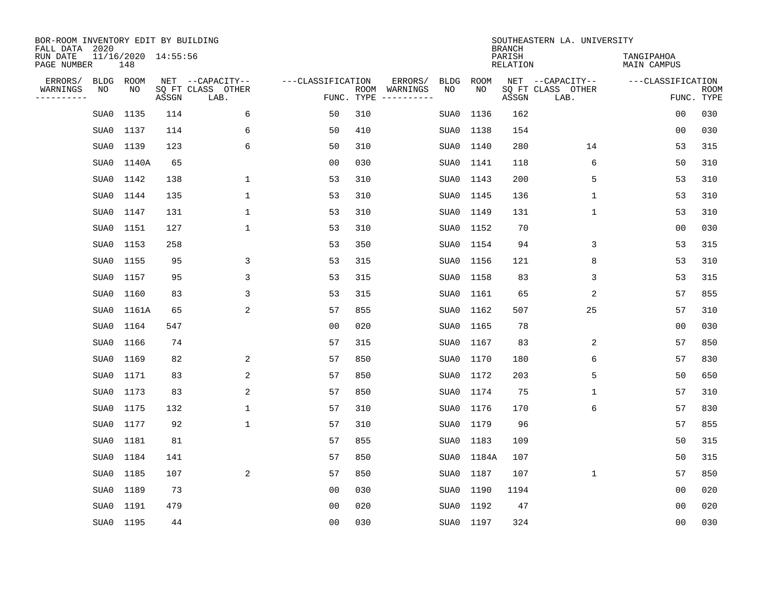| BOR-ROOM INVENTORY EDIT BY BUILDING<br>FALL DATA 2020 |             |                            |       |                           |                   |                                               |             |             |                                            | SOUTHEASTERN LA. UNIVERSITY |                                  |                           |
|-------------------------------------------------------|-------------|----------------------------|-------|---------------------------|-------------------|-----------------------------------------------|-------------|-------------|--------------------------------------------|-----------------------------|----------------------------------|---------------------------|
| RUN DATE<br>PAGE NUMBER                               |             | 11/16/2020 14:55:56<br>148 |       |                           |                   |                                               |             |             | <b>BRANCH</b><br>PARISH<br><b>RELATION</b> |                             | TANGIPAHOA<br><b>MAIN CAMPUS</b> |                           |
| ERRORS/                                               | <b>BLDG</b> | ROOM                       |       | NET --CAPACITY--          | ---CLASSIFICATION | ERRORS/                                       | <b>BLDG</b> | <b>ROOM</b> |                                            | NET --CAPACITY--            | ---CLASSIFICATION                |                           |
| WARNINGS<br>----------                                | NO          | NO                         | ASSGN | SQ FT CLASS OTHER<br>LAB. |                   | ROOM<br>WARNINGS<br>FUNC. TYPE<br>----------- | NO          | NO          | ASSGN                                      | SQ FT CLASS OTHER<br>LAB.   |                                  | <b>ROOM</b><br>FUNC. TYPE |
|                                                       | SUA0        | 1135                       | 114   | 6                         | 50                | 310                                           | SUA0        | 1136        | 162                                        |                             | 00                               | 030                       |
|                                                       | SUA0        | 1137                       | 114   | 6                         | 50                | 410                                           | SUA0        | 1138        | 154                                        |                             | 00                               | 030                       |
|                                                       | SUA0        | 1139                       | 123   | 6                         | 50                | 310                                           | SUA0        | 1140        | 280                                        | 14                          | 53                               | 315                       |
|                                                       | SUA0        | 1140A                      | 65    |                           | 0 <sub>0</sub>    | 030                                           | SUA0        | 1141        | 118                                        | 6                           | 50                               | 310                       |
|                                                       | SUA0        | 1142                       | 138   | $\mathbf 1$               | 53                | 310                                           | SUA0        | 1143        | 200                                        | 5                           | 53                               | 310                       |
|                                                       | SUA0        | 1144                       | 135   | $\mathbf{1}$              | 53                | 310                                           | SUA0        | 1145        | 136                                        | 1                           | 53                               | 310                       |
|                                                       | SUA0        | 1147                       | 131   | $\mathbf{1}$              | 53                | 310                                           | SUA0        | 1149        | 131                                        | $\mathbf{1}$                | 53                               | 310                       |
|                                                       | SUA0        | 1151                       | 127   | $\mathbf{1}$              | 53                | 310                                           | SUA0        | 1152        | 70                                         |                             | 0 <sub>0</sub>                   | 030                       |
|                                                       | SUA0        | 1153                       | 258   |                           | 53                | 350                                           | SUA0        | 1154        | 94                                         | 3                           | 53                               | 315                       |
|                                                       | SUA0        | 1155                       | 95    | 3                         | 53                | 315                                           | SUA0        | 1156        | 121                                        | 8                           | 53                               | 310                       |
|                                                       | SUA0        | 1157                       | 95    | 3                         | 53                | 315                                           | SUA0        | 1158        | 83                                         | 3                           | 53                               | 315                       |
|                                                       | SUA0        | 1160                       | 83    | 3                         | 53                | 315                                           | SUA0        | 1161        | 65                                         | 2                           | 57                               | 855                       |
|                                                       | SUA0        | 1161A                      | 65    | 2                         | 57                | 855                                           | SUA0        | 1162        | 507                                        | 25                          | 57                               | 310                       |
|                                                       | SUA0        | 1164                       | 547   |                           | 0 <sub>0</sub>    | 020                                           | SUA0        | 1165        | 78                                         |                             | 0 <sub>0</sub>                   | 030                       |
|                                                       | SUA0        | 1166                       | 74    |                           | 57                | 315                                           | SUA0        | 1167        | 83                                         | 2                           | 57                               | 850                       |
|                                                       | SUA0        | 1169                       | 82    | 2                         | 57                | 850                                           | SUA0        | 1170        | 180                                        | 6                           | 57                               | 830                       |
|                                                       | SUA0        | 1171                       | 83    | 2                         | 57                | 850                                           | SUA0        | 1172        | 203                                        | 5                           | 50                               | 650                       |
|                                                       | SUA0        | 1173                       | 83    | 2                         | 57                | 850                                           | SUA0        | 1174        | 75                                         | 1                           | 57                               | 310                       |
|                                                       | SUA0        | 1175                       | 132   | 1                         | 57                | 310                                           | SUA0        | 1176        | 170                                        | 6                           | 57                               | 830                       |
|                                                       | SUA0        | 1177                       | 92    | 1                         | 57                | 310                                           | SUA0        | 1179        | 96                                         |                             | 57                               | 855                       |
|                                                       | SUA0        | 1181                       | 81    |                           | 57                | 855                                           | SUA0        | 1183        | 109                                        |                             | 50                               | 315                       |
|                                                       | SUA0        | 1184                       | 141   |                           | 57                | 850                                           | SUA0        | 1184A       | 107                                        |                             | 50                               | 315                       |
|                                                       | SUA0        | 1185                       | 107   | 2                         | 57                | 850                                           | SUA0        | 1187        | 107                                        | 1                           | 57                               | 850                       |
|                                                       | SUA0        | 1189                       | 73    |                           | 0 <sub>0</sub>    | 030                                           | SUA0        | 1190        | 1194                                       |                             | 0 <sub>0</sub>                   | 020                       |
|                                                       | SUA0        | 1191                       | 479   |                           | 0 <sub>0</sub>    | 020                                           | SUA0        | 1192        | 47                                         |                             | 0 <sub>0</sub>                   | 020                       |
|                                                       |             | SUA0 1195                  | 44    |                           | 0 <sub>0</sub>    | 030                                           |             | SUA0 1197   | 324                                        |                             | 00                               | 030                       |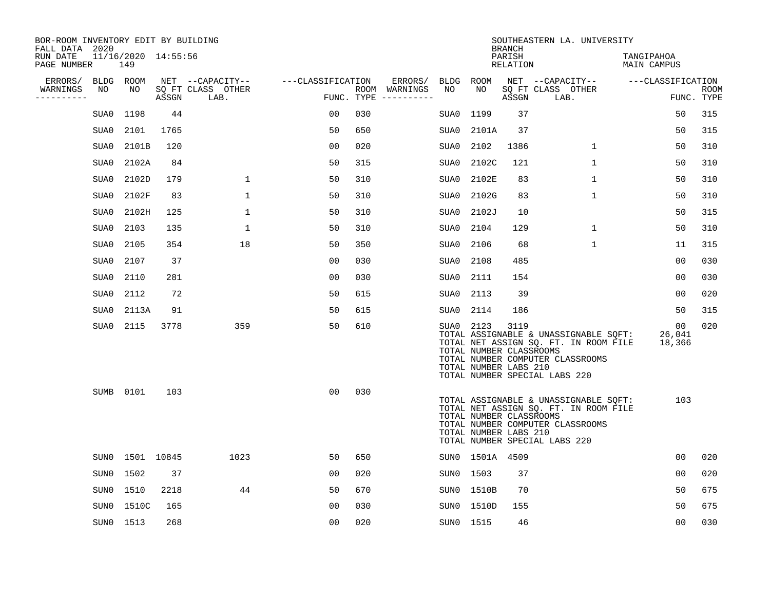| BOR-ROOM INVENTORY EDIT BY BUILDING<br>FALL DATA 2020 |           |                            |       |                           |                   |     |                                      |           |                                                  | <b>BRANCH</b>      | SOUTHEASTERN LA. UNIVERSITY                                                                                                                         |                           |                           |
|-------------------------------------------------------|-----------|----------------------------|-------|---------------------------|-------------------|-----|--------------------------------------|-----------|--------------------------------------------------|--------------------|-----------------------------------------------------------------------------------------------------------------------------------------------------|---------------------------|---------------------------|
| RUN DATE<br>PAGE NUMBER                               |           | 11/16/2020 14:55:56<br>149 |       |                           |                   |     |                                      |           |                                                  | PARISH<br>RELATION |                                                                                                                                                     | TANGIPAHOA<br>MAIN CAMPUS |                           |
| ERRORS/                                               | BLDG ROOM |                            |       | NET --CAPACITY--          | ---CLASSIFICATION |     | ERRORS/                              | BLDG ROOM |                                                  |                    | NET --CAPACITY--                                                                                                                                    | ---CLASSIFICATION         |                           |
| WARNINGS<br>----------                                | NO        | NO                         | ASSGN | SQ FT CLASS OTHER<br>LAB. |                   |     | ROOM WARNINGS<br>FUNC. TYPE $------$ | NO        | NO                                               | ASSGN              | SQ FT CLASS OTHER<br>LAB.                                                                                                                           |                           | <b>ROOM</b><br>FUNC. TYPE |
|                                                       | SUA0      | 1198                       | 44    |                           | 0 <sub>0</sub>    | 030 |                                      | SUA0      | 1199                                             | 37                 |                                                                                                                                                     | 50                        | 315                       |
|                                                       | SUA0      | 2101                       | 1765  |                           | 50                | 650 |                                      | SUA0      | 2101A                                            | 37                 |                                                                                                                                                     | 50                        | 315                       |
|                                                       | SUA0      | 2101B                      | 120   |                           | 0 <sub>0</sub>    | 020 |                                      | SUA0      | 2102                                             | 1386               | $\mathbf{1}$                                                                                                                                        | 50                        | 310                       |
|                                                       | SUA0      | 2102A                      | 84    |                           | 50                | 315 |                                      | SUA0      | 2102C                                            | 121                | $\mathbf{1}$                                                                                                                                        | 50                        | 310                       |
|                                                       | SUA0      | 2102D                      | 179   | $\mathbf{1}$              | 50                | 310 |                                      | SUA0      | 2102E                                            | 83                 | $\mathbf{1}$                                                                                                                                        | 50                        | 310                       |
|                                                       | SUA0      | 2102F                      | 83    | $\mathbf 1$               | 50                | 310 |                                      | SUA0      | 2102G                                            | 83                 | $\mathbf{1}$                                                                                                                                        | 50                        | 310                       |
|                                                       | SUA0      | 2102H                      | 125   | $\mathbf{1}$              | 50                | 310 |                                      | SUA0      | 2102J                                            | 10                 |                                                                                                                                                     | 50                        | 315                       |
|                                                       | SUA0      | 2103                       | 135   | $\mathbf 1$               | 50                | 310 |                                      | SUA0      | 2104                                             | 129                | $\mathbf 1$                                                                                                                                         | 50                        | 310                       |
|                                                       | SUA0      | 2105                       | 354   | 18                        | 50                | 350 |                                      | SUA0      | 2106                                             | 68                 | $\mathbf 1$                                                                                                                                         | 11                        | 315                       |
|                                                       | SUA0      | 2107                       | 37    |                           | 00                | 030 |                                      | SUA0      | 2108                                             | 485                |                                                                                                                                                     | 00                        | 030                       |
|                                                       | SUA0      | 2110                       | 281   |                           | 00                | 030 |                                      | SUA0      | 2111                                             | 154                |                                                                                                                                                     | 0 <sub>0</sub>            | 030                       |
|                                                       | SUA0      | 2112                       | 72    |                           | 50                | 615 |                                      | SUA0      | 2113                                             | 39                 |                                                                                                                                                     | 00                        | 020                       |
|                                                       | SUA0      | 2113A                      | 91    |                           | 50                | 615 |                                      | SUA0      | 2114                                             | 186                |                                                                                                                                                     | 50                        | 315                       |
|                                                       | SUA0      | 2115                       | 3778  | 359                       | 50                | 610 |                                      | SUA0 2123 | TOTAL NUMBER CLASSROOMS<br>TOTAL NUMBER LABS 210 | 3119               | TOTAL ASSIGNABLE & UNASSIGNABLE SQFT:<br>TOTAL NET ASSIGN SQ. FT. IN ROOM FILE<br>TOTAL NUMBER COMPUTER CLASSROOMS<br>TOTAL NUMBER SPECIAL LABS 220 | 00<br>26,041<br>18,366    | 020                       |
|                                                       |           | SUMB 0101                  | 103   |                           | 0 <sub>0</sub>    | 030 |                                      |           | TOTAL NUMBER CLASSROOMS<br>TOTAL NUMBER LABS 210 |                    | TOTAL ASSIGNABLE & UNASSIGNABLE SQFT:<br>TOTAL NET ASSIGN SQ. FT. IN ROOM FILE<br>TOTAL NUMBER COMPUTER CLASSROOMS<br>TOTAL NUMBER SPECIAL LABS 220 | 103                       |                           |
|                                                       |           | SUN0 1501 10845            |       | 1023                      | 50                | 650 |                                      |           | SUNO 1501A 4509                                  |                    |                                                                                                                                                     | 0 <sub>0</sub>            | 020                       |
|                                                       | SUN0      | 1502                       | 37    |                           | 0 <sub>0</sub>    | 020 |                                      | SUN0 1503 |                                                  | 37                 |                                                                                                                                                     | 0 <sub>0</sub>            | 020                       |
|                                                       | SUN0      | 1510                       | 2218  | 44                        | 50                | 670 |                                      |           | SUN0 1510B                                       | 70                 |                                                                                                                                                     | 50                        | 675                       |
|                                                       | SUN0      | 1510C                      | 165   |                           | 00                | 030 |                                      |           | SUN0 1510D                                       | 155                |                                                                                                                                                     | 50                        | 675                       |
|                                                       |           | SUN0 1513                  | 268   |                           | 00                | 020 |                                      | SUN0 1515 |                                                  | 46                 |                                                                                                                                                     | 00                        | 030                       |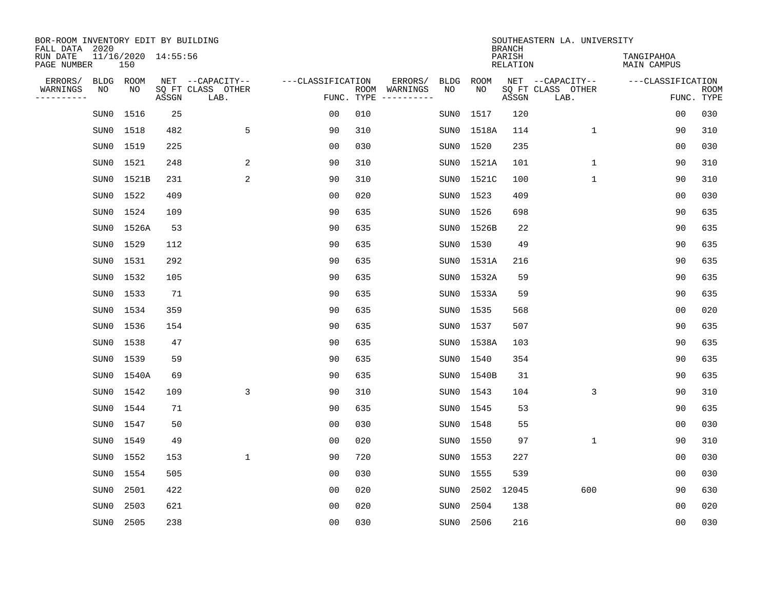| BOR-ROOM INVENTORY EDIT BY BUILDING<br>FALL DATA 2020 |      |                            |       |                           |                   |            |                              |             |             | <b>BRANCH</b>             | SOUTHEASTERN LA. UNIVERSITY |                                  |                           |
|-------------------------------------------------------|------|----------------------------|-------|---------------------------|-------------------|------------|------------------------------|-------------|-------------|---------------------------|-----------------------------|----------------------------------|---------------------------|
| RUN DATE<br>PAGE NUMBER                               |      | 11/16/2020 14:55:56<br>150 |       |                           |                   |            |                              |             |             | PARISH<br><b>RELATION</b> |                             | TANGIPAHOA<br><b>MAIN CAMPUS</b> |                           |
| ERRORS/                                               | BLDG | ROOM                       |       | NET --CAPACITY--          | ---CLASSIFICATION |            | ERRORS/                      | <b>BLDG</b> | <b>ROOM</b> |                           | NET --CAPACITY--            | ---CLASSIFICATION                |                           |
| WARNINGS<br>----------                                | ΝO   | NO                         | ASSGN | SQ FT CLASS OTHER<br>LAB. |                   | FUNC. TYPE | ROOM WARNINGS<br>----------- | NO          | NO          | ASSGN                     | SQ FT CLASS OTHER<br>LAB.   |                                  | <b>ROOM</b><br>FUNC. TYPE |
|                                                       | SUN0 | 1516                       | 25    |                           | 00                | 010        |                              | SUN0        | 1517        | 120                       |                             | 00                               | 030                       |
|                                                       | SUN0 | 1518                       | 482   | 5                         | 90                | 310        |                              | SUN0        | 1518A       | 114                       | 1                           | 90                               | 310                       |
|                                                       | SUN0 | 1519                       | 225   |                           | 00                | 030        |                              | SUN0        | 1520        | 235                       |                             | 00                               | 030                       |
|                                                       | SUN0 | 1521                       | 248   | 2                         | 90                | 310        |                              | SUN0        | 1521A       | 101                       | $\mathbf 1$                 | 90                               | 310                       |
|                                                       | SUN0 | 1521B                      | 231   | 2                         | 90                | 310        |                              | SUN0        | 1521C       | 100                       | $\mathbf{1}$                | 90                               | 310                       |
|                                                       | SUN0 | 1522                       | 409   |                           | 0 <sub>0</sub>    | 020        |                              | SUN0        | 1523        | 409                       |                             | 0 <sub>0</sub>                   | 030                       |
|                                                       | SUN0 | 1524                       | 109   |                           | 90                | 635        |                              | SUN0        | 1526        | 698                       |                             | 90                               | 635                       |
|                                                       | SUN0 | 1526A                      | 53    |                           | 90                | 635        |                              | SUN0        | 1526B       | 22                        |                             | 90                               | 635                       |
|                                                       | SUN0 | 1529                       | 112   |                           | 90                | 635        |                              | SUN0        | 1530        | 49                        |                             | 90                               | 635                       |
|                                                       | SUN0 | 1531                       | 292   |                           | 90                | 635        |                              | SUN0        | 1531A       | 216                       |                             | 90                               | 635                       |
|                                                       | SUN0 | 1532                       | 105   |                           | 90                | 635        |                              | SUN0        | 1532A       | 59                        |                             | 90                               | 635                       |
|                                                       | SUN0 | 1533                       | 71    |                           | 90                | 635        |                              | SUN0        | 1533A       | 59                        |                             | 90                               | 635                       |
|                                                       | SUN0 | 1534                       | 359   |                           | 90                | 635        |                              | SUN0        | 1535        | 568                       |                             | 0 <sub>0</sub>                   | 020                       |
|                                                       | SUN0 | 1536                       | 154   |                           | 90                | 635        |                              | SUN0        | 1537        | 507                       |                             | 90                               | 635                       |
|                                                       | SUN0 | 1538                       | 47    |                           | 90                | 635        |                              |             | SUN0 1538A  | 103                       |                             | 90                               | 635                       |
|                                                       | SUN0 | 1539                       | 59    |                           | 90                | 635        |                              | SUN0        | 1540        | 354                       |                             | 90                               | 635                       |
|                                                       | SUN0 | 1540A                      | 69    |                           | 90                | 635        |                              | SUN0        | 1540B       | 31                        |                             | 90                               | 635                       |
|                                                       | SUN0 | 1542                       | 109   | $\overline{3}$            | 90                | 310        |                              | SUN0        | 1543        | 104                       | 3                           | 90                               | 310                       |
|                                                       | SUN0 | 1544                       | 71    |                           | 90                | 635        |                              | SUN0        | 1545        | 53                        |                             | 90                               | 635                       |
|                                                       | SUN0 | 1547                       | 50    |                           | 0 <sub>0</sub>    | 030        |                              | SUN0        | 1548        | 55                        |                             | 0 <sub>0</sub>                   | 030                       |
|                                                       | SUN0 | 1549                       | 49    |                           | 0 <sub>0</sub>    | 020        |                              | SUN0        | 1550        | 97                        | $\mathbf 1$                 | 90                               | 310                       |
|                                                       | SUN0 | 1552                       | 153   | $\mathbf{1}$              | 90                | 720        |                              | SUN0        | 1553        | 227                       |                             | 0 <sub>0</sub>                   | 030                       |
|                                                       | SUN0 | 1554                       | 505   |                           | 0 <sub>0</sub>    | 030        |                              | SUN0        | 1555        | 539                       |                             | 0 <sub>0</sub>                   | 030                       |
|                                                       | SUN0 | 2501                       | 422   |                           | 0 <sub>0</sub>    | 020        |                              | SUN0        | 2502        | 12045                     | 600                         | 90                               | 630                       |
|                                                       | SUN0 | 2503                       | 621   |                           | 0 <sub>0</sub>    | 020        |                              | SUN0        | 2504        | 138                       |                             | 0 <sub>0</sub>                   | 020                       |
|                                                       | SUN0 | 2505                       | 238   |                           | 0 <sub>0</sub>    | 030        |                              | SUN0        | 2506        | 216                       |                             | 0 <sub>0</sub>                   | 030                       |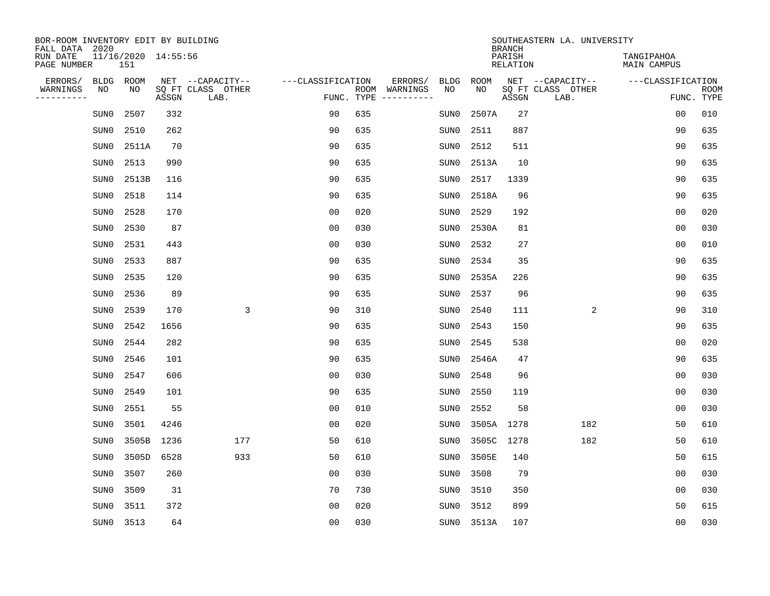| BOR-ROOM INVENTORY EDIT BY BUILDING<br>FALL DATA 2020 |                            |       |                           |                   |            |                              |             |             | <b>BRANCH</b>             | SOUTHEASTERN LA. UNIVERSITY |                                  |                           |
|-------------------------------------------------------|----------------------------|-------|---------------------------|-------------------|------------|------------------------------|-------------|-------------|---------------------------|-----------------------------|----------------------------------|---------------------------|
| RUN DATE<br>PAGE NUMBER                               | 11/16/2020 14:55:56<br>151 |       |                           |                   |            |                              |             |             | PARISH<br><b>RELATION</b> |                             | TANGIPAHOA<br><b>MAIN CAMPUS</b> |                           |
| ERRORS/<br><b>BLDG</b>                                | ROOM                       |       | NET --CAPACITY--          | ---CLASSIFICATION |            | ERRORS/                      | <b>BLDG</b> | <b>ROOM</b> |                           | NET --CAPACITY--            | ---CLASSIFICATION                |                           |
| WARNINGS<br>NO<br>----------                          | NO                         | ASSGN | SQ FT CLASS OTHER<br>LAB. |                   | FUNC. TYPE | ROOM WARNINGS<br>----------- | NO          | NO          | ASSGN                     | SQ FT CLASS OTHER<br>LAB.   |                                  | <b>ROOM</b><br>FUNC. TYPE |
| SUN0                                                  | 2507                       | 332   |                           | 90                | 635        |                              | SUN0        | 2507A       | 27                        |                             | 0 <sub>0</sub>                   | 010                       |
| SUN0                                                  | 2510                       | 262   |                           | 90                | 635        |                              | SUN0        | 2511        | 887                       |                             | 90                               | 635                       |
| SUN0                                                  | 2511A                      | 70    |                           | 90                | 635        |                              | SUN0        | 2512        | 511                       |                             | 90                               | 635                       |
| SUN0                                                  | 2513                       | 990   |                           | 90                | 635        |                              | SUN0        | 2513A       | 10                        |                             | 90                               | 635                       |
| SUN0                                                  | 2513B                      | 116   |                           | 90                | 635        |                              | SUN0        | 2517        | 1339                      |                             | 90                               | 635                       |
| SUN0                                                  | 2518                       | 114   |                           | 90                | 635        |                              | SUN0        | 2518A       | 96                        |                             | 90                               | 635                       |
| SUN0                                                  | 2528                       | 170   |                           | 0 <sub>0</sub>    | 020        |                              | SUN0        | 2529        | 192                       |                             | 0 <sub>0</sub>                   | 020                       |
| SUN0                                                  | 2530                       | 87    |                           | 0 <sub>0</sub>    | 030        |                              | SUN0        | 2530A       | 81                        |                             | 0 <sub>0</sub>                   | 030                       |
| SUN0                                                  | 2531                       | 443   |                           | 0 <sub>0</sub>    | 030        |                              | SUN0        | 2532        | 27                        |                             | 0 <sub>0</sub>                   | 010                       |
| SUN0                                                  | 2533                       | 887   |                           | 90                | 635        |                              | SUN0        | 2534        | 35                        |                             | 90                               | 635                       |
| SUN0                                                  | 2535                       | 120   |                           | 90                | 635        |                              | SUN0        | 2535A       | 226                       |                             | 90                               | 635                       |
| SUN0                                                  | 2536                       | 89    |                           | 90                | 635        |                              | SUN0        | 2537        | 96                        |                             | 90                               | 635                       |
| SUN0                                                  | 2539                       | 170   | 3                         | 90                | 310        |                              | SUN0        | 2540        | 111                       | 2                           | 90                               | 310                       |
| SUN0                                                  | 2542                       | 1656  |                           | 90                | 635        |                              | SUN0        | 2543        | 150                       |                             | 90                               | 635                       |
| SUN0                                                  | 2544                       | 282   |                           | 90                | 635        |                              | SUN0        | 2545        | 538                       |                             | 0 <sub>0</sub>                   | 020                       |
| SUN0                                                  | 2546                       | 101   |                           | 90                | 635        |                              | SUN0        | 2546A       | 47                        |                             | 90                               | 635                       |
| SUN0                                                  | 2547                       | 606   |                           | 0 <sub>0</sub>    | 030        |                              | SUN0        | 2548        | 96                        |                             | 00                               | 030                       |
| SUN0                                                  | 2549                       | 101   |                           | 90                | 635        |                              | SUN0        | 2550        | 119                       |                             | 0 <sub>0</sub>                   | 030                       |
| SUN0                                                  | 2551                       | 55    |                           | 0 <sub>0</sub>    | 010        |                              | SUN0        | 2552        | 58                        |                             | 0 <sub>0</sub>                   | 030                       |
| SUN0                                                  | 3501                       | 4246  |                           | 0 <sub>0</sub>    | 020        |                              | SUN0        |             | 3505A 1278                | 182                         | 50                               | 610                       |
| SUN0                                                  | 3505B                      | 1236  | 177                       | 50                | 610        |                              | SUN0        | 3505C       | 1278                      | 182                         | 50                               | 610                       |
| SUN0                                                  | 3505D                      | 6528  | 933                       | 50                | 610        |                              | SUN0        | 3505E       | 140                       |                             | 50                               | 615                       |
| SUN0                                                  | 3507                       | 260   |                           | 0 <sub>0</sub>    | 030        |                              | SUN0        | 3508        | 79                        |                             | 0 <sub>0</sub>                   | 030                       |
| SUN0                                                  | 3509                       | 31    |                           | 70                | 730        |                              | SUN0        | 3510        | 350                       |                             | 0 <sub>0</sub>                   | 030                       |
| SUN0                                                  | 3511                       | 372   |                           | 0 <sub>0</sub>    | 020        |                              | SUN0        | 3512        | 899                       |                             | 50                               | 615                       |
|                                                       | SUN0 3513                  | 64    |                           | 0 <sub>0</sub>    | 030        |                              |             | SUN0 3513A  | 107                       |                             | 0 <sub>0</sub>                   | 030                       |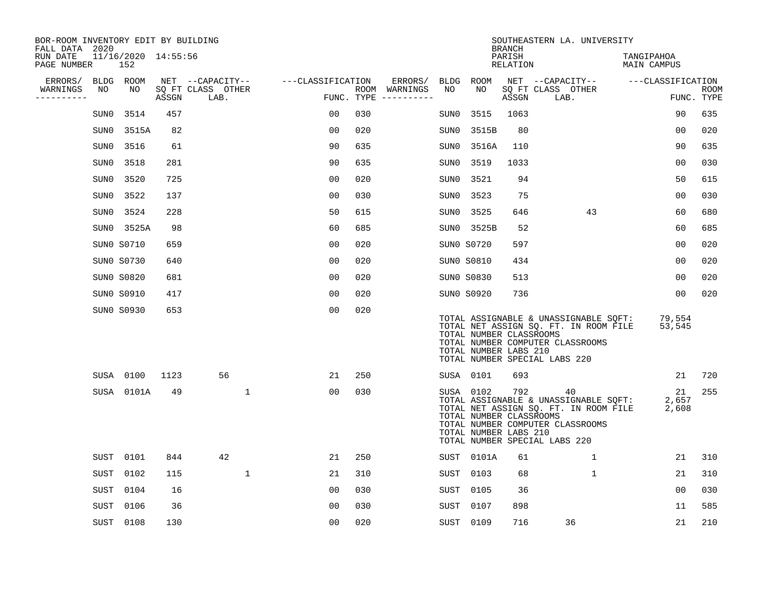| BOR-ROOM INVENTORY EDIT BY BUILDING<br>FALL DATA 2020 |      |                            |       |                           |                   |     |                                      |      |                                                               | <b>BRANCH</b>      | SOUTHEASTERN LA. UNIVERSITY                                                                                                                               |                           |                           |
|-------------------------------------------------------|------|----------------------------|-------|---------------------------|-------------------|-----|--------------------------------------|------|---------------------------------------------------------------|--------------------|-----------------------------------------------------------------------------------------------------------------------------------------------------------|---------------------------|---------------------------|
| RUN DATE<br>PAGE NUMBER                               |      | 11/16/2020 14:55:56<br>152 |       |                           |                   |     |                                      |      |                                                               | PARISH<br>RELATION |                                                                                                                                                           | TANGIPAHOA<br>MAIN CAMPUS |                           |
| ERRORS/                                               |      | BLDG ROOM                  |       | NET --CAPACITY--          | ---CLASSIFICATION |     | ERRORS/                              |      | BLDG ROOM                                                     |                    | NET --CAPACITY-- ---CLASSIFICATION                                                                                                                        |                           |                           |
| WARNINGS<br>----------                                | NO   | NO                         | ASSGN | SQ FT CLASS OTHER<br>LAB. |                   |     | ROOM WARNINGS<br>FUNC. TYPE $------$ | NO   | NO                                                            | ASSGN              | SQ FT CLASS OTHER<br>LAB.                                                                                                                                 |                           | <b>ROOM</b><br>FUNC. TYPE |
|                                                       | SUN0 | 3514                       | 457   |                           | 00                | 030 |                                      | SUN0 | 3515                                                          | 1063               |                                                                                                                                                           | 90                        | 635                       |
|                                                       | SUN0 | 3515A                      | 82    |                           | 0 <sub>0</sub>    | 020 |                                      | SUN0 | 3515B                                                         | 80                 |                                                                                                                                                           | 00                        | 020                       |
|                                                       | SUN0 | 3516                       | 61    |                           | 90                | 635 |                                      | SUN0 | 3516A                                                         | 110                |                                                                                                                                                           | 90                        | 635                       |
|                                                       | SUN0 | 3518                       | 281   |                           | 90                | 635 |                                      | SUN0 | 3519                                                          | 1033               |                                                                                                                                                           | 0 <sub>0</sub>            | 030                       |
|                                                       | SUN0 | 3520                       | 725   |                           | 0 <sub>0</sub>    | 020 |                                      | SUN0 | 3521                                                          | 94                 |                                                                                                                                                           | 50                        | 615                       |
|                                                       | SUN0 | 3522                       | 137   |                           | 0 <sub>0</sub>    | 030 |                                      | SUN0 | 3523                                                          | 75                 |                                                                                                                                                           | 0 <sub>0</sub>            | 030                       |
|                                                       | SUN0 | 3524                       | 228   |                           | 50                | 615 |                                      | SUN0 | 3525                                                          | 646                | 43                                                                                                                                                        | 60                        | 680                       |
|                                                       |      | SUN0 3525A                 | 98    |                           | 60                | 685 |                                      |      | SUN0 3525B                                                    | 52                 |                                                                                                                                                           | 60                        | 685                       |
|                                                       |      | SUN0 S0710                 | 659   |                           | 0 <sub>0</sub>    | 020 |                                      |      | SUN0 S0720                                                    | 597                |                                                                                                                                                           | 00                        | 020                       |
|                                                       |      | SUNO S0730                 | 640   |                           | 00                | 020 |                                      |      | SUN0 S0810                                                    | 434                |                                                                                                                                                           | 0 <sub>0</sub>            | 020                       |
|                                                       |      | SUN0 S0820                 | 681   |                           | 0 <sub>0</sub>    | 020 |                                      |      | SUN0 S0830                                                    | 513                |                                                                                                                                                           | 00                        | 020                       |
|                                                       |      | SUN0 S0910                 | 417   |                           | 0 <sub>0</sub>    | 020 |                                      |      | SUNO S0920                                                    | 736                |                                                                                                                                                           | 00                        | 020                       |
|                                                       |      | SUN0 S0930                 | 653   |                           | 0 <sub>0</sub>    | 020 |                                      |      | TOTAL NUMBER CLASSROOMS<br>TOTAL NUMBER LABS 210              |                    | TOTAL ASSIGNABLE & UNASSIGNABLE SOFT:<br>TOTAL NET ASSIGN SQ. FT. IN ROOM FILE<br>TOTAL NUMBER COMPUTER CLASSROOMS<br>TOTAL NUMBER SPECIAL LABS 220       | 79,554<br>53,545          |                           |
|                                                       |      | SUSA 0100                  | 1123  | 56                        | 21                | 250 |                                      |      | SUSA 0101                                                     | 693                |                                                                                                                                                           | 21                        | 720                       |
|                                                       |      | SUSA 0101A                 | 49    | $\mathbf{1}$              | 00                | 030 |                                      |      | SUSA 0102<br>TOTAL NUMBER CLASSROOMS<br>TOTAL NUMBER LABS 210 | 792                | 40<br>TOTAL ASSIGNABLE & UNASSIGNABLE SQFT:<br>TOTAL NET ASSIGN SQ. FT. IN ROOM FILE<br>TOTAL NUMBER COMPUTER CLASSROOMS<br>TOTAL NUMBER SPECIAL LABS 220 | 21<br>2,657<br>2,608      | 255                       |
|                                                       |      | SUST 0101                  | 844   | 42                        | 21                | 250 |                                      |      | SUST 0101A                                                    | 61                 | $\mathbf{1}$                                                                                                                                              | 21                        | 310                       |
|                                                       | SUST | 0102                       | 115   | $\mathbf 1$               | 21                | 310 |                                      |      | SUST 0103                                                     | 68                 | $\mathbf 1$                                                                                                                                               | 21                        | 310                       |
|                                                       | SUST | 0104                       | 16    |                           | 0 <sub>0</sub>    | 030 |                                      | SUST | 0105                                                          | 36                 |                                                                                                                                                           | 00                        | 030                       |
|                                                       | SUST | 0106                       | 36    |                           | 00                | 030 |                                      | SUST | 0107                                                          | 898                |                                                                                                                                                           | 11                        | 585                       |
|                                                       |      | SUST 0108                  | 130   |                           | 00                | 020 |                                      |      | SUST 0109                                                     | 716                | 36                                                                                                                                                        | 21                        | 210                       |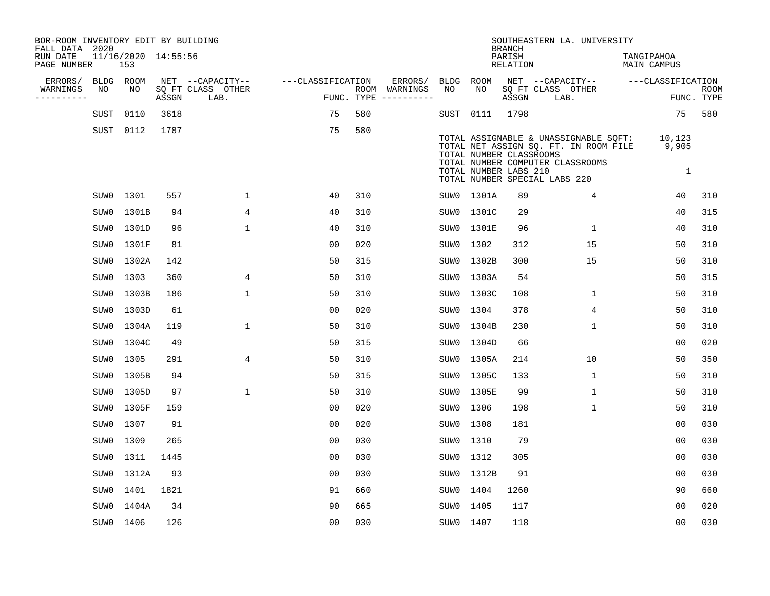| BOR-ROOM INVENTORY EDIT BY BUILDING<br>FALL DATA 2020 |                            |       |                           |                   |     |                                      |           |                                                  | <b>BRANCH</b>             | SOUTHEASTERN LA. UNIVERSITY                                                                                                                         |                                  |                           |
|-------------------------------------------------------|----------------------------|-------|---------------------------|-------------------|-----|--------------------------------------|-----------|--------------------------------------------------|---------------------------|-----------------------------------------------------------------------------------------------------------------------------------------------------|----------------------------------|---------------------------|
| RUN DATE<br>PAGE NUMBER                               | 11/16/2020 14:55:56<br>153 |       |                           |                   |     |                                      |           |                                                  | PARISH<br><b>RELATION</b> |                                                                                                                                                     | TANGIPAHOA<br><b>MAIN CAMPUS</b> |                           |
| ERRORS/                                               | BLDG ROOM                  |       | NET --CAPACITY--          | ---CLASSIFICATION |     | ERRORS/                              | BLDG      | ROOM                                             |                           | NET --CAPACITY--                                                                                                                                    | ---CLASSIFICATION                |                           |
| WARNINGS<br>NO<br>----------                          | NO                         | ASSGN | SQ FT CLASS OTHER<br>LAB. |                   |     | ROOM WARNINGS<br>FUNC. TYPE $------$ | NO        | NO                                               | ASSGN                     | SQ FT CLASS OTHER<br>LAB.                                                                                                                           |                                  | <b>ROOM</b><br>FUNC. TYPE |
| SUST                                                  | 0110                       | 3618  |                           | 75                | 580 |                                      |           | SUST 0111                                        | 1798                      |                                                                                                                                                     | 75                               | 580                       |
|                                                       | SUST 0112                  | 1787  |                           | 75                | 580 |                                      |           | TOTAL NUMBER CLASSROOMS<br>TOTAL NUMBER LABS 210 |                           | TOTAL ASSIGNABLE & UNASSIGNABLE SQFT:<br>TOTAL NET ASSIGN SQ. FT. IN ROOM FILE<br>TOTAL NUMBER COMPUTER CLASSROOMS<br>TOTAL NUMBER SPECIAL LABS 220 | 10,123<br>9,905<br>$\mathbf{1}$  |                           |
|                                                       | SUW0 1301                  | 557   | $\mathbf{1}$              | 40                | 310 |                                      |           | SUW0 1301A                                       | 89                        | 4                                                                                                                                                   | 40                               | 310                       |
| SUW0                                                  | 1301B                      | 94    | 4                         | 40                | 310 |                                      |           | SUW0 1301C                                       | 29                        |                                                                                                                                                     | 40                               | 315                       |
|                                                       | SUW0 1301D                 | 96    | $\mathbf{1}$              | 40                | 310 |                                      |           | SUW0 1301E                                       | 96                        | $\mathbf{1}$                                                                                                                                        | 40                               | 310                       |
| SUW0                                                  | 1301F                      | 81    |                           | 0 <sub>0</sub>    | 020 |                                      | SUW0      | 1302                                             | 312                       | 15                                                                                                                                                  | 50                               | 310                       |
| SUW0                                                  | 1302A                      | 142   |                           | 50                | 315 |                                      | SUW0      | 1302B                                            | 300                       | 15                                                                                                                                                  | 50                               | 310                       |
| SUW0                                                  | 1303                       | 360   | 4                         | 50                | 310 |                                      | SUW0      | 1303A                                            | 54                        |                                                                                                                                                     | 50                               | 315                       |
| SUW0                                                  | 1303B                      | 186   | $\mathbf{1}$              | 50                | 310 |                                      | SUW0      | 1303C                                            | 108                       | $\mathbf{1}$                                                                                                                                        | 50                               | 310                       |
| SUW0                                                  | 1303D                      | 61    |                           | 00                | 020 |                                      | SUW0      | 1304                                             | 378                       | 4                                                                                                                                                   | 50                               | 310                       |
| SUW0                                                  | 1304A                      | 119   | $\mathbf{1}$              | 50                | 310 |                                      | SUW0      | 1304B                                            | 230                       | $\mathbf 1$                                                                                                                                         | 50                               | 310                       |
| SUWO                                                  | 1304C                      | 49    |                           | 50                | 315 |                                      | SUW0      | 1304D                                            | 66                        |                                                                                                                                                     | 00                               | 020                       |
| SUW0                                                  | 1305                       | 291   | $\overline{4}$            | 50                | 310 |                                      | SUW0      | 1305A                                            | 214                       | 10                                                                                                                                                  | 50                               | 350                       |
| SUW0                                                  | 1305B                      | 94    |                           | 50                | 315 |                                      | SUW0      | 1305C                                            | 133                       | $\mathbf{1}$                                                                                                                                        | 50                               | 310                       |
| SUW0                                                  | 1305D                      | 97    | $\mathbf 1$               | 50                | 310 |                                      | SUW0      | 1305E                                            | 99                        | $\mathbf{1}$                                                                                                                                        | 50                               | 310                       |
| SUW0                                                  | 1305F                      | 159   |                           | 0 <sub>0</sub>    | 020 |                                      | SUW0      | 1306                                             | 198                       | $\mathbf 1$                                                                                                                                         | 50                               | 310                       |
| SUW0                                                  | 1307                       | 91    |                           | 0 <sub>0</sub>    | 020 |                                      | SUW0      | 1308                                             | 181                       |                                                                                                                                                     | 00                               | 030                       |
| SUW0                                                  | 1309                       | 265   |                           | 0 <sub>0</sub>    | 030 |                                      | SUW0      | 1310                                             | 79                        |                                                                                                                                                     | 0 <sub>0</sub>                   | 030                       |
| SUW0                                                  | 1311                       | 1445  |                           | 00                | 030 |                                      | SUW0      | 1312                                             | 305                       |                                                                                                                                                     | 0 <sub>0</sub>                   | 030                       |
| SUW0                                                  | 1312A                      | 93    |                           | 0 <sub>0</sub>    | 030 |                                      |           | SUW0 1312B                                       | 91                        |                                                                                                                                                     | 0 <sub>0</sub>                   | 030                       |
| SUW0                                                  | 1401                       | 1821  |                           | 91                | 660 |                                      | SUW0      | 1404                                             | 1260                      |                                                                                                                                                     | 90                               | 660                       |
| SUW0                                                  | 1404A                      | 34    |                           | 90                | 665 |                                      | SUW0      | 1405                                             | 117                       |                                                                                                                                                     | 0 <sub>0</sub>                   | 020                       |
|                                                       | SUW0 1406                  | 126   |                           | 0 <sub>0</sub>    | 030 |                                      | SUW0 1407 |                                                  | 118                       |                                                                                                                                                     | 0 <sub>0</sub>                   | 030                       |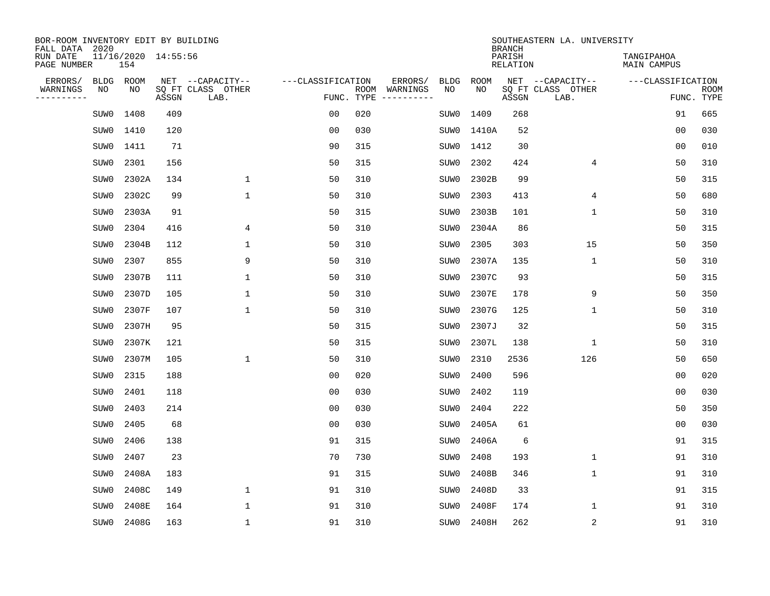| BOR-ROOM INVENTORY EDIT BY BUILDING<br>FALL DATA 2020 |                            |       |                           |                   |     |                              |             |             | <b>BRANCH</b>             | SOUTHEASTERN LA. UNIVERSITY |                                  |                           |
|-------------------------------------------------------|----------------------------|-------|---------------------------|-------------------|-----|------------------------------|-------------|-------------|---------------------------|-----------------------------|----------------------------------|---------------------------|
| RUN DATE<br>PAGE NUMBER                               | 11/16/2020 14:55:56<br>154 |       |                           |                   |     |                              |             |             | PARISH<br><b>RELATION</b> |                             | TANGIPAHOA<br><b>MAIN CAMPUS</b> |                           |
| ERRORS/<br><b>BLDG</b>                                | ROOM                       |       | NET --CAPACITY--          | ---CLASSIFICATION |     | ERRORS/                      | <b>BLDG</b> | <b>ROOM</b> |                           | NET --CAPACITY--            | ---CLASSIFICATION                |                           |
| WARNINGS<br>NO<br>----------                          | NO                         | ASSGN | SQ FT CLASS OTHER<br>LAB. | FUNC. TYPE        |     | ROOM WARNINGS<br>----------- | NO          | NO          | ASSGN                     | SQ FT CLASS OTHER<br>LAB.   |                                  | <b>ROOM</b><br>FUNC. TYPE |
| SUW0                                                  | 1408                       | 409   |                           | 0 <sub>0</sub>    | 020 |                              | SUW0        | 1409        | 268                       |                             | 91                               | 665                       |
| SUW0                                                  | 1410                       | 120   |                           | 0 <sub>0</sub>    | 030 |                              | SUW0        | 1410A       | 52                        |                             | 0 <sub>0</sub>                   | 030                       |
| SUW0                                                  | 1411                       | 71    |                           | 90                | 315 |                              | SUW0        | 1412        | 30                        |                             | 0 <sub>0</sub>                   | 010                       |
| SUW0                                                  | 2301                       | 156   |                           | 50                | 315 |                              | SUW0        | 2302        | 424                       | 4                           | 50                               | 310                       |
| SUW0                                                  | 2302A                      | 134   | $\mathbf 1$               | 50                | 310 |                              | SUW0        | 2302B       | 99                        |                             | 50                               | 315                       |
| SUW0                                                  | 2302C                      | 99    | $\mathbf{1}$              | 50                | 310 |                              | SUW0        | 2303        | 413                       | 4                           | 50                               | 680                       |
| SUW0                                                  | 2303A                      | 91    |                           | 50                | 315 |                              | SUW0        | 2303B       | 101                       | $\mathbf{1}$                | 50                               | 310                       |
| SUW0                                                  | 2304                       | 416   | 4                         | 50                | 310 |                              | SUW0        | 2304A       | 86                        |                             | 50                               | 315                       |
| SUW0                                                  | 2304B                      | 112   | $\mathbf{1}$              | 50                | 310 |                              | SUW0        | 2305        | 303                       | 15                          | 50                               | 350                       |
| SUW0                                                  | 2307                       | 855   | 9                         | 50                | 310 |                              | SUW0        | 2307A       | 135                       | $\mathbf 1$                 | 50                               | 310                       |
| SUW0                                                  | 2307B                      | 111   | $\mathbf{1}$              | 50                | 310 |                              | SUW0        | 2307C       | 93                        |                             | 50                               | 315                       |
| SUW0                                                  | 2307D                      | 105   | $\mathbf{1}$              | 50                | 310 |                              | SUW0        | 2307E       | 178                       | 9                           | 50                               | 350                       |
| SUW0                                                  | 2307F                      | 107   | $\mathbf{1}$              | 50                | 310 |                              | SUW0        | 2307G       | 125                       | $\mathbf 1$                 | 50                               | 310                       |
| SUW0                                                  | 2307H                      | 95    |                           | 50                | 315 |                              | SUW0        | 2307J       | 32                        |                             | 50                               | 315                       |
| SUW0                                                  | 2307K                      | 121   |                           | 50                | 315 |                              | SUW0        | 2307L       | 138                       | 1                           | 50                               | 310                       |
| SUW0                                                  | 2307M                      | 105   | $\mathbf{1}$              | 50                | 310 |                              | SUW0        | 2310        | 2536                      | 126                         | 50                               | 650                       |
| SUW0                                                  | 2315                       | 188   |                           | 0 <sub>0</sub>    | 020 |                              | SUW0        | 2400        | 596                       |                             | 0 <sub>0</sub>                   | 020                       |
| SUW0                                                  | 2401                       | 118   |                           | 0 <sub>0</sub>    | 030 |                              | SUW0        | 2402        | 119                       |                             | 0 <sub>0</sub>                   | 030                       |
| SUW0                                                  | 2403                       | 214   |                           | 0 <sub>0</sub>    | 030 |                              | SUW0        | 2404        | 222                       |                             | 50                               | 350                       |
| SUW0                                                  | 2405                       | 68    |                           | 0 <sub>0</sub>    | 030 |                              | SUW0        | 2405A       | 61                        |                             | 0 <sub>0</sub>                   | 030                       |
| SUW0                                                  | 2406                       | 138   |                           | 91                | 315 |                              | SUW0        | 2406A       | 6                         |                             | 91                               | 315                       |
| SUW0                                                  | 2407                       | 23    |                           | 70                | 730 |                              | SUW0        | 2408        | 193                       | $\mathbf 1$                 | 91                               | 310                       |
| SUW0                                                  | 2408A                      | 183   |                           | 91                | 315 |                              | SUW0        | 2408B       | 346                       | $\mathbf 1$                 | 91                               | 310                       |
| SUW0                                                  | 2408C                      | 149   | $\mathbf{1}$              | 91                | 310 |                              | SUW0        | 2408D       | 33                        |                             | 91                               | 315                       |
| SUW0                                                  | 2408E                      | 164   | $\mathbf{1}$              | 91                | 310 |                              | SUW0        | 2408F       | 174                       | $\mathbf 1$                 | 91                               | 310                       |
| SUW0                                                  | 2408G                      | 163   | $\mathbf{1}$              | 91                | 310 |                              | SUW0        | 2408H       | 262                       | $\sqrt{2}$                  | 91                               | 310                       |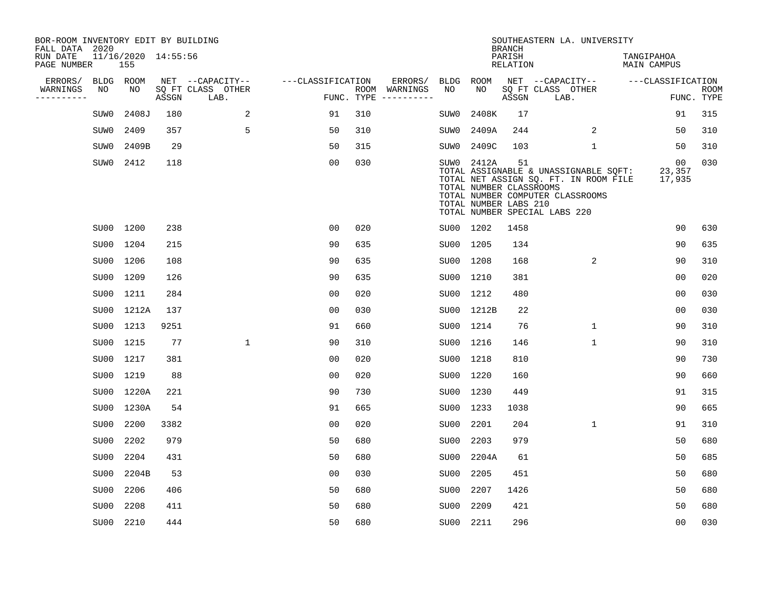| BOR-ROOM INVENTORY EDIT BY BUILDING<br>FALL DATA 2020 |      |                            |       |                           |                   |     |                                      |      |                                                                | <b>BRANCH</b>      | SOUTHEASTERN LA. UNIVERSITY                                                                                                                         |                           |                           |
|-------------------------------------------------------|------|----------------------------|-------|---------------------------|-------------------|-----|--------------------------------------|------|----------------------------------------------------------------|--------------------|-----------------------------------------------------------------------------------------------------------------------------------------------------|---------------------------|---------------------------|
| RUN DATE<br>PAGE NUMBER                               |      | 11/16/2020 14:55:56<br>155 |       |                           |                   |     |                                      |      |                                                                | PARISH<br>RELATION |                                                                                                                                                     | TANGIPAHOA<br>MAIN CAMPUS |                           |
| ERRORS/                                               |      | BLDG ROOM                  |       | NET --CAPACITY--          | ---CLASSIFICATION |     | ERRORS/                              | BLDG | ROOM                                                           |                    | NET --CAPACITY-- ---CLASSIFICATION                                                                                                                  |                           |                           |
| WARNINGS<br>----------                                | NO   | NO                         | ASSGN | SQ FT CLASS OTHER<br>LAB. |                   |     | ROOM WARNINGS<br>FUNC. TYPE $------$ | NO   | NO                                                             | ASSGN              | SQ FT CLASS OTHER<br>LAB.                                                                                                                           |                           | <b>ROOM</b><br>FUNC. TYPE |
|                                                       | SUW0 | 2408J                      | 180   | 2                         | 91                | 310 |                                      | SUW0 | 2408K                                                          | 17                 |                                                                                                                                                     | 91                        | 315                       |
|                                                       | SUW0 | 2409                       | 357   | 5                         | 50                | 310 |                                      | SUW0 | 2409A                                                          | 244                | 2                                                                                                                                                   | 50                        | 310                       |
|                                                       | SUW0 | 2409B                      | 29    |                           | 50                | 315 |                                      | SUW0 | 2409C                                                          | 103                | $\mathbf{1}$                                                                                                                                        | 50                        | 310                       |
|                                                       | SUW0 | 2412                       | 118   |                           | 0 <sub>0</sub>    | 030 |                                      |      | SUW0 2412A<br>TOTAL NUMBER CLASSROOMS<br>TOTAL NUMBER LABS 210 | 51                 | TOTAL ASSIGNABLE & UNASSIGNABLE SQFT:<br>TOTAL NET ASSIGN SQ. FT. IN ROOM FILE<br>TOTAL NUMBER COMPUTER CLASSROOMS<br>TOTAL NUMBER SPECIAL LABS 220 | 00<br>23,357<br>17,935    | 030                       |
|                                                       |      | SU00 1200                  | 238   |                           | 0 <sub>0</sub>    | 020 |                                      |      | SU00 1202                                                      | 1458               |                                                                                                                                                     | 90                        | 630                       |
|                                                       |      | SU00 1204                  | 215   |                           | 90                | 635 |                                      |      | SU00 1205                                                      | 134                |                                                                                                                                                     | 90                        | 635                       |
|                                                       |      | SU00 1206                  | 108   |                           | 90                | 635 |                                      |      | SU00 1208                                                      | 168                | 2                                                                                                                                                   | 90                        | 310                       |
|                                                       |      | SU00 1209                  | 126   |                           | 90                | 635 |                                      |      | SU00 1210                                                      | 381                |                                                                                                                                                     | 0 <sub>0</sub>            | 020                       |
|                                                       |      | SU00 1211                  | 284   |                           | 0 <sub>0</sub>    | 020 |                                      |      | SU00 1212                                                      | 480                |                                                                                                                                                     | 0 <sub>0</sub>            | 030                       |
|                                                       |      | SU00 1212A                 | 137   |                           | 0 <sub>0</sub>    | 030 |                                      |      | SU00 1212B                                                     | 22                 |                                                                                                                                                     | 0 <sub>0</sub>            | 030                       |
|                                                       |      | SU00 1213                  | 9251  |                           | 91                | 660 |                                      |      | SU00 1214                                                      | 76                 | $\mathbf{1}$                                                                                                                                        | 90                        | 310                       |
|                                                       |      | SU00 1215                  | 77    | $\mathbf{1}$              | 90                | 310 |                                      |      | SU00 1216                                                      | 146                | 1                                                                                                                                                   | 90                        | 310                       |
|                                                       |      | SU00 1217                  | 381   |                           | 00                | 020 |                                      |      | SU00 1218                                                      | 810                |                                                                                                                                                     | 90                        | 730                       |
|                                                       | SU00 | 1219                       | 88    |                           | 0 <sub>0</sub>    | 020 |                                      | SU00 | 1220                                                           | 160                |                                                                                                                                                     | 90                        | 660                       |
|                                                       |      | SU00 1220A                 | 221   |                           | 90                | 730 |                                      |      | SU00 1230                                                      | 449                |                                                                                                                                                     | 91                        | 315                       |
|                                                       |      | SU00 1230A                 | 54    |                           | 91                | 665 |                                      |      | SU00 1233                                                      | 1038               |                                                                                                                                                     | 90                        | 665                       |
|                                                       | SU00 | 2200                       | 3382  |                           | 0 <sub>0</sub>    | 020 |                                      | SU00 | 2201                                                           | 204                | 1                                                                                                                                                   | 91                        | 310                       |
|                                                       | SU00 | 2202                       | 979   |                           | 50                | 680 |                                      | SU00 | 2203                                                           | 979                |                                                                                                                                                     | 50                        | 680                       |
|                                                       | SU00 | 2204                       | 431   |                           | 50                | 680 |                                      | SU00 | 2204A                                                          | 61                 |                                                                                                                                                     | 50                        | 685                       |
|                                                       | SU00 | 2204B                      | 53    |                           | 0 <sub>0</sub>    | 030 |                                      | SU00 | 2205                                                           | 451                |                                                                                                                                                     | 50                        | 680                       |
|                                                       | SU00 | 2206                       | 406   |                           | 50                | 680 |                                      | SU00 | 2207                                                           | 1426               |                                                                                                                                                     | 50                        | 680                       |
|                                                       | SU00 | 2208                       | 411   |                           | 50                | 680 |                                      | SU00 | 2209                                                           | 421                |                                                                                                                                                     | 50                        | 680                       |
|                                                       |      | SU00 2210                  | 444   |                           | 50                | 680 |                                      |      | SU00 2211                                                      | 296                |                                                                                                                                                     | 0 <sub>0</sub>            | 030                       |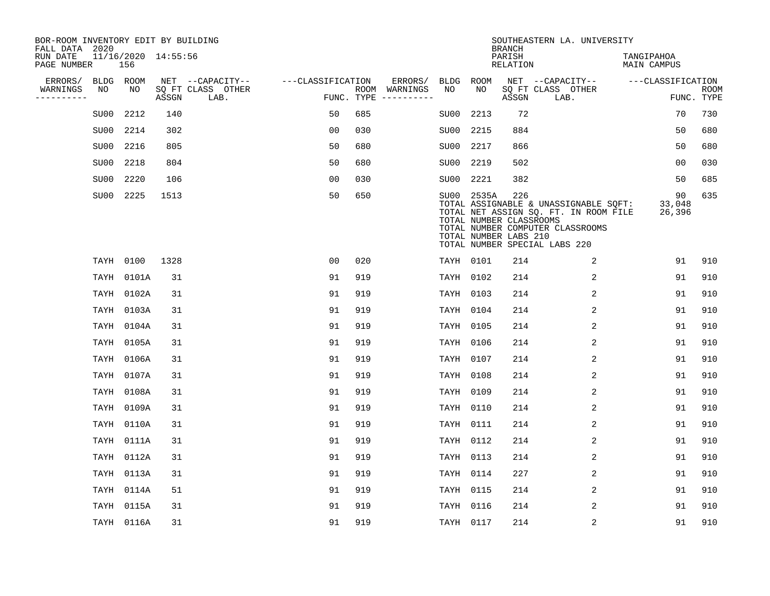| BOR-ROOM INVENTORY EDIT BY BUILDING<br>FALL DATA 2020 |      |            |                     |                           |                   |     |                                      |           |                                                                | <b>BRANCH</b>      | SOUTHEASTERN LA. UNIVERSITY                                                                                                                         |                                  |                           |
|-------------------------------------------------------|------|------------|---------------------|---------------------------|-------------------|-----|--------------------------------------|-----------|----------------------------------------------------------------|--------------------|-----------------------------------------------------------------------------------------------------------------------------------------------------|----------------------------------|---------------------------|
| RUN DATE<br>PAGE NUMBER                               |      | 156        | 11/16/2020 14:55:56 |                           |                   |     |                                      |           |                                                                | PARISH<br>RELATION |                                                                                                                                                     | TANGIPAHOA<br><b>MAIN CAMPUS</b> |                           |
| ERRORS/                                               |      | BLDG ROOM  |                     | NET --CAPACITY--          | ---CLASSIFICATION |     | ERRORS/                              | BLDG ROOM |                                                                |                    | NET --CAPACITY--                                                                                                                                    | ---CLASSIFICATION                |                           |
| WARNINGS<br>----------                                | NO   | NO         | ASSGN               | SQ FT CLASS OTHER<br>LAB. |                   |     | ROOM WARNINGS<br>FUNC. TYPE $------$ | NO        | NO                                                             | ASSGN              | SQ FT CLASS OTHER<br>LAB.                                                                                                                           |                                  | <b>ROOM</b><br>FUNC. TYPE |
|                                                       | SU00 | 2212       | 140                 |                           | 50                | 685 |                                      | SU00      | 2213                                                           | 72                 |                                                                                                                                                     | 70                               | 730                       |
|                                                       | SU00 | 2214       | 302                 |                           | 00                | 030 |                                      | SU00      | 2215                                                           | 884                |                                                                                                                                                     | 50                               | 680                       |
|                                                       | SU00 | 2216       | 805                 |                           | 50                | 680 |                                      | SU00      | 2217                                                           | 866                |                                                                                                                                                     | 50                               | 680                       |
|                                                       | SU00 | 2218       | 804                 |                           | 50                | 680 |                                      | SU00      | 2219                                                           | 502                |                                                                                                                                                     | 0 <sub>0</sub>                   | 030                       |
|                                                       | SU00 | 2220       | 106                 |                           | 0 <sub>0</sub>    | 030 |                                      | SU00      | 2221                                                           | 382                |                                                                                                                                                     | 50                               | 685                       |
|                                                       |      | SU00 2225  | 1513                |                           | 50                | 650 |                                      |           | SU00 2535A<br>TOTAL NUMBER CLASSROOMS<br>TOTAL NUMBER LABS 210 | 226                | TOTAL ASSIGNABLE & UNASSIGNABLE SQFT:<br>TOTAL NET ASSIGN SQ. FT. IN ROOM FILE<br>TOTAL NUMBER COMPUTER CLASSROOMS<br>TOTAL NUMBER SPECIAL LABS 220 | 90<br>33,048<br>26,396           | 635                       |
|                                                       |      | TAYH 0100  | 1328                |                           | 00                | 020 |                                      |           | TAYH 0101                                                      | 214                | 2                                                                                                                                                   | 91                               | 910                       |
|                                                       | TAYH | 0101A      | 31                  |                           | 91                | 919 |                                      | TAYH 0102 |                                                                | 214                | 2                                                                                                                                                   | 91                               | 910                       |
|                                                       |      | TAYH 0102A | 31                  |                           | 91                | 919 |                                      | TAYH 0103 |                                                                | 214                | 2                                                                                                                                                   | 91                               | 910                       |
|                                                       | TAYH | 0103A      | 31                  |                           | 91                | 919 |                                      | TAYH 0104 |                                                                | 214                | 2                                                                                                                                                   | 91                               | 910                       |
|                                                       | TAYH | 0104A      | 31                  |                           | 91                | 919 |                                      |           | TAYH 0105                                                      | 214                | 2                                                                                                                                                   | 91                               | 910                       |
|                                                       |      | TAYH 0105A | 31                  |                           | 91                | 919 |                                      | TAYH 0106 |                                                                | 214                | 2                                                                                                                                                   | 91                               | 910                       |
|                                                       |      | TAYH 0106A | 31                  |                           | 91                | 919 |                                      | TAYH 0107 |                                                                | 214                | 2                                                                                                                                                   | 91                               | 910                       |
|                                                       | TAYH | 0107A      | 31                  |                           | 91                | 919 |                                      |           | TAYH 0108                                                      | 214                | 2                                                                                                                                                   | 91                               | 910                       |
|                                                       | TAYH | 0108A      | 31                  |                           | 91                | 919 |                                      | TAYH 0109 |                                                                | 214                | 2                                                                                                                                                   | 91                               | 910                       |
|                                                       |      | TAYH 0109A | 31                  |                           | 91                | 919 |                                      | TAYH 0110 |                                                                | 214                | 2                                                                                                                                                   | 91                               | 910                       |
|                                                       | TAYH | 0110A      | 31                  |                           | 91                | 919 |                                      | TAYH 0111 |                                                                | 214                | 2                                                                                                                                                   | 91                               | 910                       |
|                                                       | TAYH | 0111A      | 31                  |                           | 91                | 919 |                                      |           | TAYH 0112                                                      | 214                | 2                                                                                                                                                   | 91                               | 910                       |
|                                                       | TAYH | 0112A      | 31                  |                           | 91                | 919 |                                      | TAYH 0113 |                                                                | 214                | 2                                                                                                                                                   | 91                               | 910                       |
|                                                       |      | TAYH 0113A | 31                  |                           | 91                | 919 |                                      |           | TAYH 0114                                                      | 227                | 2                                                                                                                                                   | 91                               | 910                       |
|                                                       |      | TAYH 0114A | 51                  |                           | 91                | 919 |                                      | TAYH 0115 |                                                                | 214                | 2                                                                                                                                                   | 91                               | 910                       |
|                                                       |      | TAYH 0115A | 31                  |                           | 91                | 919 |                                      |           | TAYH 0116                                                      | 214                | 2                                                                                                                                                   | 91                               | 910                       |
|                                                       |      | TAYH 0116A | 31                  |                           | 91                | 919 |                                      | TAYH 0117 |                                                                | 214                | 2                                                                                                                                                   | 91                               | 910                       |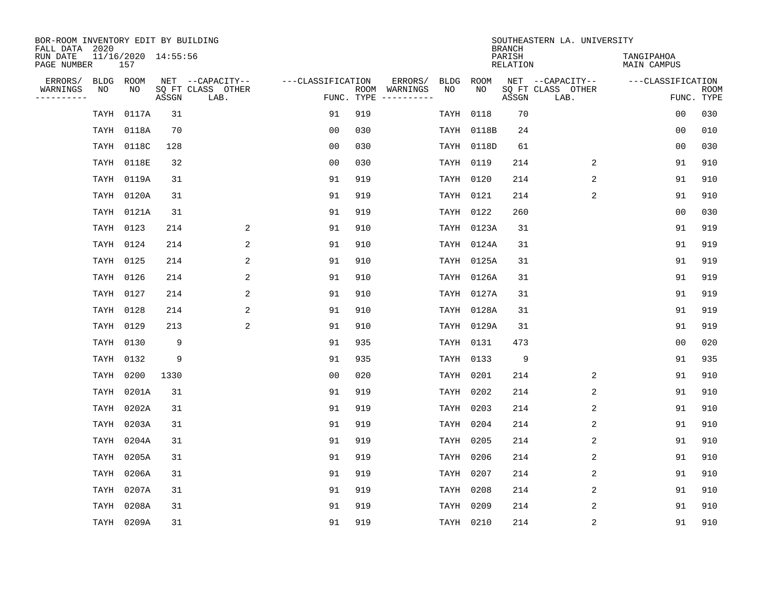| BOR-ROOM INVENTORY EDIT BY BUILDING<br>FALL DATA 2020 |                            |       |                           |                   |     |                                      |             |             | <b>BRANCH</b>             | SOUTHEASTERN LA. UNIVERSITY |                           |                           |
|-------------------------------------------------------|----------------------------|-------|---------------------------|-------------------|-----|--------------------------------------|-------------|-------------|---------------------------|-----------------------------|---------------------------|---------------------------|
| RUN DATE<br>PAGE NUMBER                               | 11/16/2020 14:55:56<br>157 |       |                           |                   |     |                                      |             |             | PARISH<br><b>RELATION</b> |                             | TANGIPAHOA<br>MAIN CAMPUS |                           |
| ERRORS/                                               | BLDG ROOM                  |       | NET --CAPACITY--          | ---CLASSIFICATION |     | ERRORS/                              | <b>BLDG</b> | <b>ROOM</b> |                           | NET --CAPACITY--            | ---CLASSIFICATION         |                           |
| WARNINGS<br>NO<br>----------                          | NO                         | ASSGN | SQ FT CLASS OTHER<br>LAB. |                   |     | ROOM WARNINGS<br>FUNC. TYPE $------$ | NO          | NO          | ASSGN                     | SQ FT CLASS OTHER<br>LAB.   |                           | <b>ROOM</b><br>FUNC. TYPE |
| TAYH                                                  | 0117A                      | 31    |                           | 91                | 919 |                                      | TAYH        | 0118        | 70                        |                             | 0 <sub>0</sub>            | 030                       |
|                                                       | TAYH 0118A                 | 70    |                           | 0 <sub>0</sub>    | 030 |                                      | TAYH        | 0118B       | 24                        |                             | 0 <sub>0</sub>            | 010                       |
|                                                       | TAYH 0118C                 | 128   |                           | 0 <sub>0</sub>    | 030 |                                      |             | TAYH 0118D  | 61                        |                             | 0 <sub>0</sub>            | 030                       |
|                                                       | TAYH 0118E                 | 32    |                           | 0 <sub>0</sub>    | 030 |                                      |             | TAYH 0119   | 214                       | 2                           | 91                        | 910                       |
|                                                       | TAYH 0119A                 | 31    |                           | 91                | 919 |                                      |             | TAYH 0120   | 214                       | 2                           | 91                        | 910                       |
|                                                       | TAYH 0120A                 | 31    |                           | 91                | 919 |                                      |             | TAYH 0121   | 214                       | 2                           | 91                        | 910                       |
|                                                       | TAYH 0121A                 | 31    |                           | 91                | 919 |                                      |             | TAYH 0122   | 260                       |                             | 0 <sub>0</sub>            | 030                       |
|                                                       | TAYH 0123                  | 214   | 2                         | 91                | 910 |                                      |             | TAYH 0123A  | 31                        |                             | 91                        | 919                       |
|                                                       | TAYH 0124                  | 214   | 2                         | 91                | 910 |                                      |             | TAYH 0124A  | 31                        |                             | 91                        | 919                       |
|                                                       | TAYH 0125                  | 214   | 2                         | 91                | 910 |                                      |             | TAYH 0125A  | 31                        |                             | 91                        | 919                       |
|                                                       | TAYH 0126                  | 214   | 2                         | 91                | 910 |                                      |             | TAYH 0126A  | 31                        |                             | 91                        | 919                       |
|                                                       | TAYH 0127                  | 214   | 2                         | 91                | 910 |                                      |             | TAYH 0127A  | 31                        |                             | 91                        | 919                       |
|                                                       | TAYH 0128                  | 214   | 2                         | 91                | 910 |                                      |             | TAYH 0128A  | 31                        |                             | 91                        | 919                       |
|                                                       | TAYH 0129                  | 213   | $\overline{\mathbf{c}}$   | 91                | 910 |                                      |             | TAYH 0129A  | 31                        |                             | 91                        | 919                       |
|                                                       | TAYH 0130                  | 9     |                           | 91                | 935 |                                      |             | TAYH 0131   | 473                       |                             | 0 <sub>0</sub>            | 020                       |
|                                                       | TAYH 0132                  | 9     |                           | 91                | 935 |                                      |             | TAYH 0133   | 9                         |                             | 91                        | 935                       |
|                                                       | TAYH 0200                  | 1330  |                           | 0 <sub>0</sub>    | 020 |                                      | TAYH        | 0201        | 214                       | 2                           | 91                        | 910                       |
|                                                       | TAYH 0201A                 | 31    |                           | 91                | 919 |                                      |             | TAYH 0202   | 214                       | 2                           | 91                        | 910                       |
|                                                       | TAYH 0202A                 | 31    |                           | 91                | 919 |                                      |             | TAYH 0203   | 214                       | 2                           | 91                        | 910                       |
|                                                       | TAYH 0203A                 | 31    |                           | 91                | 919 |                                      |             | TAYH 0204   | 214                       | 2                           | 91                        | 910                       |
|                                                       | TAYH 0204A                 | 31    |                           | 91                | 919 |                                      |             | TAYH 0205   | 214                       | 2                           | 91                        | 910                       |
| TAYH                                                  | 0205A                      | 31    |                           | 91                | 919 |                                      | TAYH        | 0206        | 214                       | 2                           | 91                        | 910                       |
|                                                       | TAYH 0206A                 | 31    |                           | 91                | 919 |                                      |             | TAYH 0207   | 214                       | 2                           | 91                        | 910                       |
| TAYH                                                  | 0207A                      | 31    |                           | 91                | 919 |                                      |             | TAYH 0208   | 214                       | 2                           | 91                        | 910                       |
|                                                       | TAYH 0208A                 | 31    |                           | 91                | 919 |                                      |             | TAYH 0209   | 214                       | $\overline{2}$              | 91                        | 910                       |
|                                                       | TAYH 0209A                 | 31    |                           | 91                | 919 |                                      |             | TAYH 0210   | 214                       | 2                           | 91                        | 910                       |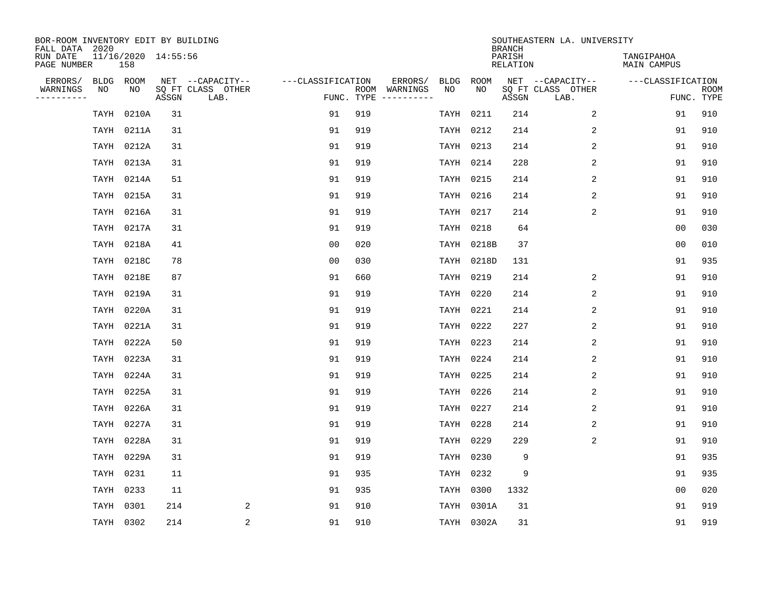| BOR-ROOM INVENTORY EDIT BY BUILDING<br>FALL DATA 2020<br>RUN DATE |                 |       | 11/16/2020 14:55:56 |                                               |                   |     |                                                 |            |                    | <b>BRANCH</b><br>PARISH | SOUTHEASTERN LA. UNIVERSITY                   | TANGIPAHOA                      |             |
|-------------------------------------------------------------------|-----------------|-------|---------------------|-----------------------------------------------|-------------------|-----|-------------------------------------------------|------------|--------------------|-------------------------|-----------------------------------------------|---------------------------------|-------------|
| PAGE NUMBER                                                       | 158             |       |                     |                                               |                   |     |                                                 |            |                    | RELATION                |                                               | MAIN CAMPUS                     |             |
| ERRORS/<br>WARNINGS<br>----------                                 | BLDG ROOM<br>NO | NO    | ASSGN               | NET --CAPACITY--<br>SQ FT CLASS OTHER<br>LAB. | ---CLASSIFICATION |     | ERRORS/<br>ROOM WARNINGS<br>FUNC. TYPE $------$ | BLDG<br>NO | ROOM<br>NO         | ASSGN                   | NET --CAPACITY--<br>SQ FT CLASS OTHER<br>LAB. | ---CLASSIFICATION<br>FUNC. TYPE | <b>ROOM</b> |
|                                                                   | TAYH            | 0210A | 31                  |                                               | 91                | 919 |                                                 | TAYH       | 0211               | 214                     | 2                                             | 91                              | 910         |
|                                                                   | TAYH            | 0211A | 31                  |                                               | 91                | 919 |                                                 |            | TAYH 0212          | 214                     | 2                                             | 91                              | 910         |
|                                                                   | TAYH 0212A      |       | 31                  |                                               | 91                | 919 |                                                 |            | TAYH 0213          | 214                     | 2                                             | 91                              | 910         |
|                                                                   | TAYH            | 0213A | 31                  |                                               | 91                | 919 |                                                 | TAYH       | 0214               | 228                     | 2                                             | 91                              | 910         |
|                                                                   | TAYH 0214A      |       | 51                  |                                               | 91                | 919 |                                                 | TAYH       | 0215               | 214                     | 2                                             | 91                              | 910         |
|                                                                   | TAYH 0215A      |       | 31                  |                                               | 91                | 919 |                                                 |            | TAYH 0216          | 214                     | 2                                             | 91                              | 910         |
|                                                                   | TAYH 0216A      |       | 31                  |                                               | 91                | 919 |                                                 | TAYH       | 0217               | 214                     | 2                                             | 91                              | 910         |
|                                                                   | TAYH 0217A      |       | 31                  |                                               | 91                | 919 |                                                 | TAYH       | 0218               | 64                      |                                               | 0 <sub>0</sub>                  | 030         |
|                                                                   | TAYH 0218A      |       | 41                  |                                               | 0 <sub>0</sub>    | 020 |                                                 | TAYH       | 0218B              | 37                      |                                               | 0 <sub>0</sub>                  | 010         |
|                                                                   | TAYH 0218C      |       | 78                  |                                               | 0 <sub>0</sub>    | 030 |                                                 |            |                    | 131                     |                                               | 91                              | 935         |
|                                                                   | TAYH 0218E      |       | 87                  |                                               | 91                | 660 |                                                 | TAYH       | TAYH 0218D<br>0219 | 214                     | 2                                             | 91                              | 910         |
|                                                                   |                 |       |                     |                                               |                   |     |                                                 |            |                    |                         | $\mathbf{2}$                                  |                                 |             |
|                                                                   | TAYH 0219A      |       | 31                  |                                               | 91                | 919 |                                                 | TAYH       | 0220               | 214                     |                                               | 91                              | 910         |
|                                                                   | TAYH 0220A      |       | 31                  |                                               | 91<br>91          | 919 |                                                 | TAYH       | 0221               | 214<br>227              | 2<br>2                                        | 91                              | 910<br>910  |
|                                                                   | TAYH 0221A      |       | 31                  |                                               |                   | 919 |                                                 |            | TAYH 0222          |                         |                                               | 91                              |             |
|                                                                   | TAYH 0222A      |       | 50                  |                                               | 91                | 919 |                                                 |            | TAYH 0223          | 214                     | 2                                             | 91                              | 910         |
|                                                                   | TAYH 0223A      |       | 31                  |                                               | 91                | 919 |                                                 |            | TAYH 0224          | 214                     | 2                                             | 91                              | 910         |
|                                                                   | TAYH            | 0224A | 31                  |                                               | 91                | 919 |                                                 | TAYH       | 0225               | 214                     | 2                                             | 91                              | 910         |
|                                                                   | TAYH            | 0225A | 31                  |                                               | 91                | 919 |                                                 | TAYH       | 0226               | 214                     | 2                                             | 91                              | 910         |
|                                                                   | TAYH 0226A      |       | 31                  |                                               | 91                | 919 |                                                 |            | TAYH 0227          | 214                     | 2                                             | 91                              | 910         |
|                                                                   | TAYH            | 0227A | 31                  |                                               | 91                | 919 |                                                 | TAYH       | 0228               | 214                     | 2                                             | 91                              | 910         |
|                                                                   | TAYH            | 0228A | 31                  |                                               | 91                | 919 |                                                 | TAYH       | 0229               | 229                     | 2                                             | 91                              | 910         |
|                                                                   | TAYH            | 0229A | 31                  |                                               | 91                | 919 |                                                 | TAYH       | 0230               | 9                       |                                               | 91                              | 935         |
|                                                                   | TAYH            | 0231  | 11                  |                                               | 91                | 935 |                                                 | TAYH       | 0232               | 9                       |                                               | 91                              | 935         |
|                                                                   | TAYH            | 0233  | 11                  |                                               | 91                | 935 |                                                 | TAYH       | 0300               | 1332                    |                                               | 0 <sub>0</sub>                  | 020         |
|                                                                   | TAYH            | 0301  | 214                 | 2                                             | 91                | 910 |                                                 |            | TAYH 0301A         | 31                      |                                               | 91                              | 919         |
|                                                                   | TAYH 0302       |       | 214                 | $\overline{c}$                                | 91                | 910 |                                                 |            | TAYH 0302A         | 31                      |                                               | 91                              | 919         |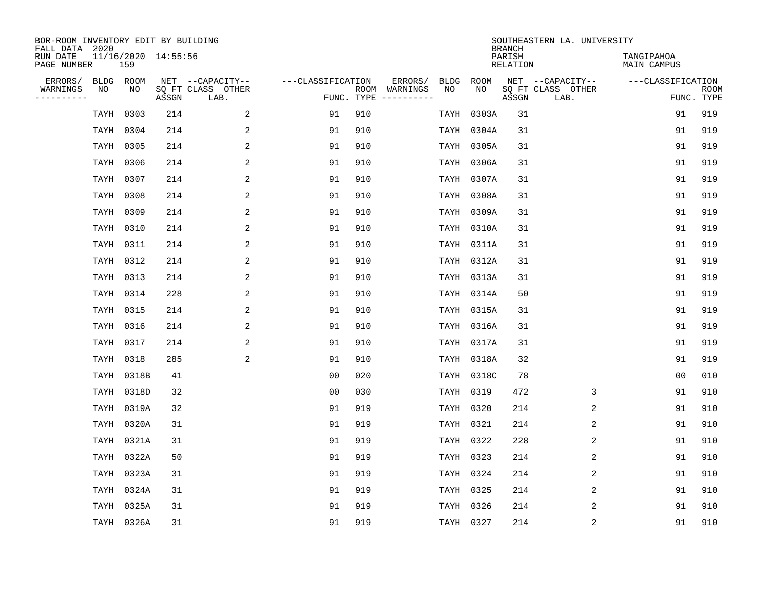| BOR-ROOM INVENTORY EDIT BY BUILDING<br>FALL DATA 2020 |                            |       |                           |                   |     |                                      |             |             | <b>BRANCH</b>      | SOUTHEASTERN LA. UNIVERSITY |                           |                           |
|-------------------------------------------------------|----------------------------|-------|---------------------------|-------------------|-----|--------------------------------------|-------------|-------------|--------------------|-----------------------------|---------------------------|---------------------------|
| RUN DATE<br>PAGE NUMBER                               | 11/16/2020 14:55:56<br>159 |       |                           |                   |     |                                      |             |             | PARISH<br>RELATION |                             | TANGIPAHOA<br>MAIN CAMPUS |                           |
| ERRORS/                                               | BLDG ROOM                  |       | NET --CAPACITY--          | ---CLASSIFICATION |     | ERRORS/                              | <b>BLDG</b> | <b>ROOM</b> |                    | NET --CAPACITY--            | ---CLASSIFICATION         |                           |
| WARNINGS<br>NO<br>----------                          | NO                         | ASSGN | SQ FT CLASS OTHER<br>LAB. |                   |     | ROOM WARNINGS<br>FUNC. TYPE $------$ | NO          | NO          | ASSGN              | SQ FT CLASS OTHER<br>LAB.   |                           | <b>ROOM</b><br>FUNC. TYPE |
| TAYH                                                  | 0303                       | 214   | 2                         | 91                | 910 |                                      | TAYH        | 0303A       | 31                 |                             | 91                        | 919                       |
|                                                       | TAYH 0304                  | 214   | 2                         | 91                | 910 |                                      | TAYH        | 0304A       | 31                 |                             | 91                        | 919                       |
|                                                       | TAYH 0305                  | 214   | 2                         | 91                | 910 |                                      |             | TAYH 0305A  | 31                 |                             | 91                        | 919                       |
|                                                       | TAYH 0306                  | 214   | 2                         | 91                | 910 |                                      |             | TAYH 0306A  | 31                 |                             | 91                        | 919                       |
|                                                       | TAYH 0307                  | 214   | $\overline{2}$            | 91                | 910 |                                      |             | TAYH 0307A  | 31                 |                             | 91                        | 919                       |
|                                                       | TAYH 0308                  | 214   | 2                         | 91                | 910 |                                      |             | TAYH 0308A  | 31                 |                             | 91                        | 919                       |
|                                                       | TAYH 0309                  | 214   | $\overline{a}$            | 91                | 910 |                                      |             | TAYH 0309A  | 31                 |                             | 91                        | 919                       |
|                                                       | TAYH 0310                  | 214   | 2                         | 91                | 910 |                                      |             | TAYH 0310A  | 31                 |                             | 91                        | 919                       |
|                                                       | TAYH 0311                  | 214   | 2                         | 91                | 910 |                                      |             | TAYH 0311A  | 31                 |                             | 91                        | 919                       |
|                                                       | TAYH 0312                  | 214   | 2                         | 91                | 910 |                                      |             | TAYH 0312A  | 31                 |                             | 91                        | 919                       |
|                                                       | TAYH 0313                  | 214   | 2                         | 91                | 910 |                                      |             | TAYH 0313A  | 31                 |                             | 91                        | 919                       |
|                                                       | TAYH 0314                  | 228   | 2                         | 91                | 910 |                                      |             | TAYH 0314A  | 50                 |                             | 91                        | 919                       |
|                                                       | TAYH 0315                  | 214   | 2                         | 91                | 910 |                                      |             | TAYH 0315A  | 31                 |                             | 91                        | 919                       |
|                                                       | TAYH 0316                  | 214   | 2                         | 91                | 910 |                                      |             | TAYH 0316A  | 31                 |                             | 91                        | 919                       |
|                                                       | TAYH 0317                  | 214   | 2                         | 91                | 910 |                                      |             | TAYH 0317A  | 31                 |                             | 91                        | 919                       |
|                                                       | TAYH 0318                  | 285   | $\overline{a}$            | 91                | 910 |                                      |             | TAYH 0318A  | 32                 |                             | 91                        | 919                       |
|                                                       | TAYH 0318B                 | 41    |                           | 0 <sub>0</sub>    | 020 |                                      |             | TAYH 0318C  | 78                 |                             | 0 <sub>0</sub>            | 010                       |
|                                                       | TAYH 0318D                 | 32    |                           | 0 <sub>0</sub>    | 030 |                                      |             | TAYH 0319   | 472                | 3                           | 91                        | 910                       |
|                                                       | TAYH 0319A                 | 32    |                           | 91                | 919 |                                      | TAYH 0320   |             | 214                | 2                           | 91                        | 910                       |
|                                                       | TAYH 0320A                 | 31    |                           | 91                | 919 |                                      | TAYH 0321   |             | 214                | 2                           | 91                        | 910                       |
|                                                       | TAYH 0321A                 | 31    |                           | 91                | 919 |                                      |             | TAYH 0322   | 228                | 2                           | 91                        | 910                       |
| TAYH                                                  | 0322A                      | 50    |                           | 91                | 919 |                                      |             | TAYH 0323   | 214                | 2                           | 91                        | 910                       |
|                                                       | TAYH 0323A                 | 31    |                           | 91                | 919 |                                      |             | TAYH 0324   | 214                | 2                           | 91                        | 910                       |
|                                                       | TAYH 0324A                 | 31    |                           | 91                | 919 |                                      |             | TAYH 0325   | 214                | 2                           | 91                        | 910                       |
|                                                       | TAYH 0325A                 | 31    |                           | 91                | 919 |                                      |             | TAYH 0326   | 214                | $\overline{2}$              | 91                        | 910                       |
|                                                       | TAYH 0326A                 | 31    |                           | 91                | 919 |                                      |             | TAYH 0327   | 214                | 2                           | 91                        | 910                       |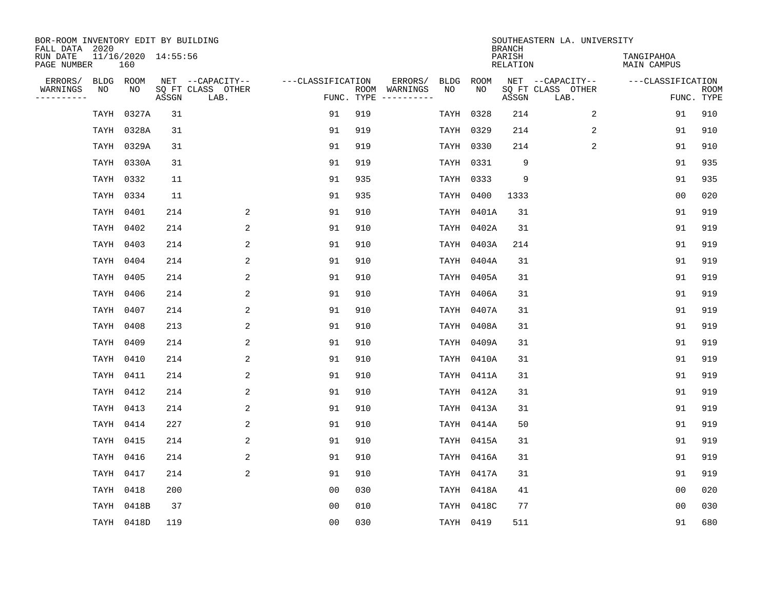| BOR-ROOM INVENTORY EDIT BY BUILDING<br>FALL DATA 2020 |           |                            |       |                           |                   |     |                                      |      |            | <b>BRANCH</b>      | SOUTHEASTERN LA. UNIVERSITY |                                  |                           |
|-------------------------------------------------------|-----------|----------------------------|-------|---------------------------|-------------------|-----|--------------------------------------|------|------------|--------------------|-----------------------------|----------------------------------|---------------------------|
| RUN DATE<br>PAGE NUMBER                               |           | 11/16/2020 14:55:56<br>160 |       |                           |                   |     |                                      |      |            | PARISH<br>RELATION |                             | TANGIPAHOA<br><b>MAIN CAMPUS</b> |                           |
| ERRORS/                                               | BLDG ROOM |                            |       | NET --CAPACITY--          | ---CLASSIFICATION |     | ERRORS/                              | BLDG | ROOM       |                    | NET --CAPACITY--            | ---CLASSIFICATION                |                           |
| WARNINGS<br>-----------                               | NO        | NO                         | ASSGN | SQ FT CLASS OTHER<br>LAB. |                   |     | ROOM WARNINGS<br>FUNC. TYPE $------$ | NO   | NO         | ASSGN              | SQ FT CLASS OTHER<br>LAB.   |                                  | <b>ROOM</b><br>FUNC. TYPE |
|                                                       | TAYH      | 0327A                      | 31    |                           | 91                | 919 |                                      | TAYH | 0328       | 214                | 2                           | 91                               | 910                       |
|                                                       |           | TAYH 0328A                 | 31    |                           | 91                | 919 |                                      |      | TAYH 0329  | 214                | 2                           | 91                               | 910                       |
|                                                       |           | TAYH 0329A                 | 31    |                           | 91                | 919 |                                      |      | TAYH 0330  | 214                | 2                           | 91                               | 910                       |
|                                                       |           | TAYH 0330A                 | 31    |                           | 91                | 919 |                                      |      | TAYH 0331  | 9                  |                             | 91                               | 935                       |
|                                                       |           | TAYH 0332                  | 11    |                           | 91                | 935 |                                      |      | TAYH 0333  | 9                  |                             | 91                               | 935                       |
|                                                       | TAYH 0334 |                            | 11    |                           | 91                | 935 |                                      |      | TAYH 0400  | 1333               |                             | 0 <sub>0</sub>                   | 020                       |
|                                                       | TAYH 0401 |                            | 214   | 2                         | 91                | 910 |                                      |      | TAYH 0401A | 31                 |                             | 91                               | 919                       |
|                                                       | TAYH 0402 |                            | 214   | 2                         | 91                | 910 |                                      |      | TAYH 0402A | 31                 |                             | 91                               | 919                       |
|                                                       | TAYH 0403 |                            | 214   | 2                         | 91                | 910 |                                      | TAYH | 0403A      | 214                |                             | 91                               | 919                       |
|                                                       | TAYH 0404 |                            | 214   | 2                         | 91                | 910 |                                      |      | TAYH 0404A | 31                 |                             | 91                               | 919                       |
|                                                       | TAYH 0405 |                            | 214   | 2                         | 91                | 910 |                                      |      | TAYH 0405A | 31                 |                             | 91                               | 919                       |
|                                                       | TAYH 0406 |                            | 214   | 2                         | 91                | 910 |                                      |      | TAYH 0406A | 31                 |                             | 91                               | 919                       |
|                                                       | TAYH 0407 |                            | 214   | 2                         | 91                | 910 |                                      |      | TAYH 0407A | 31                 |                             | 91                               | 919                       |
|                                                       | TAYH 0408 |                            | 213   | 2                         | 91                | 910 |                                      |      | TAYH 0408A | 31                 |                             | 91                               | 919                       |
|                                                       | TAYH 0409 |                            | 214   | 2                         | 91                | 910 |                                      |      | TAYH 0409A | 31                 |                             | 91                               | 919                       |
|                                                       | TAYH 0410 |                            | 214   | $\overline{2}$            | 91                | 910 |                                      |      | TAYH 0410A | 31                 |                             | 91                               | 919                       |
|                                                       | TAYH 0411 |                            | 214   | 2                         | 91                | 910 |                                      |      | TAYH 0411A | 31                 |                             | 91                               | 919                       |
|                                                       | TAYH 0412 |                            | 214   | $\overline{2}$            | 91                | 910 |                                      |      | TAYH 0412A | 31                 |                             | 91                               | 919                       |
|                                                       | TAYH 0413 |                            | 214   | 2                         | 91                | 910 |                                      |      | TAYH 0413A | 31                 |                             | 91                               | 919                       |
|                                                       | TAYH 0414 |                            | 227   | 2                         | 91                | 910 |                                      |      | TAYH 0414A | 50                 |                             | 91                               | 919                       |
|                                                       | TAYH 0415 |                            | 214   | 2                         | 91                | 910 |                                      |      | TAYH 0415A | 31                 |                             | 91                               | 919                       |
|                                                       | TAYH      | 0416                       | 214   | 2                         | 91                | 910 |                                      |      | TAYH 0416A | 31                 |                             | 91                               | 919                       |
|                                                       | TAYH 0417 |                            | 214   | 2                         | 91                | 910 |                                      |      | TAYH 0417A | 31                 |                             | 91                               | 919                       |
|                                                       | TAYH      | 0418                       | 200   |                           | 0 <sub>0</sub>    | 030 |                                      |      | TAYH 0418A | 41                 |                             | 0 <sub>0</sub>                   | 020                       |
|                                                       |           | TAYH 0418B                 | 37    |                           | 0 <sub>0</sub>    | 010 |                                      |      | TAYH 0418C | 77                 |                             | 0 <sub>0</sub>                   | 030                       |
|                                                       |           | TAYH 0418D                 | 119   |                           | 0 <sub>0</sub>    | 030 |                                      |      | TAYH 0419  | 511                |                             | 91                               | 680                       |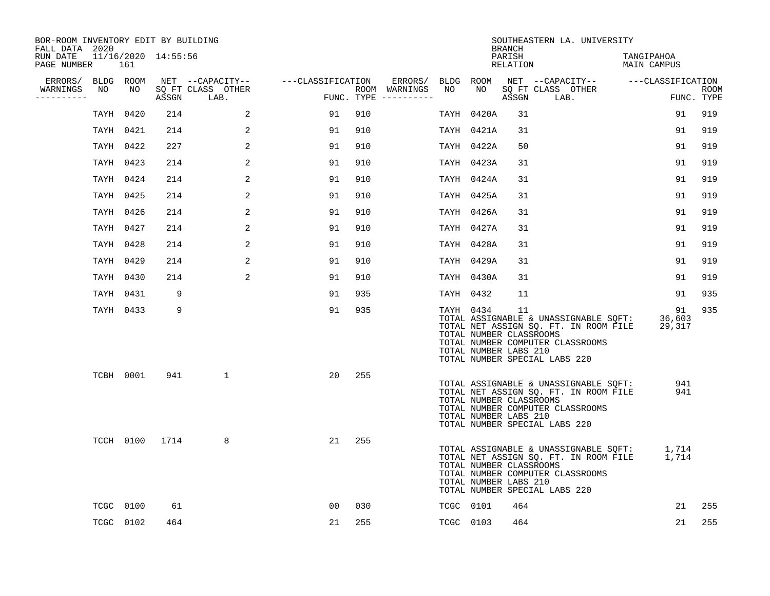| BOR-ROOM INVENTORY EDIT BY BUILDING<br>FALL DATA 2020 |    |           |                |                                 |                |     |                                      |           |                                                               | <b>BRANCH</b>      | SOUTHEASTERN LA. UNIVERSITY                                                                                                                                       |                           |                           |
|-------------------------------------------------------|----|-----------|----------------|---------------------------------|----------------|-----|--------------------------------------|-----------|---------------------------------------------------------------|--------------------|-------------------------------------------------------------------------------------------------------------------------------------------------------------------|---------------------------|---------------------------|
| RUN DATE 11/16/2020 14:55:56<br>PAGE NUMBER           |    | 161       |                |                                 |                |     |                                      |           |                                                               | PARISH<br>RELATION |                                                                                                                                                                   | TANGIPAHOA<br>MAIN CAMPUS |                           |
| ERRORS/ BLDG ROOM                                     |    |           |                | NET --CAPACITY--                |                |     |                                      |           |                                                               |                    |                                                                                                                                                                   |                           |                           |
| WARNINGS<br>----------                                | NO | NO        |                | SO FT CLASS OTHER<br>ASSGN LAB. |                |     | ROOM WARNINGS<br>FUNC. TYPE $------$ | NO        |                                                               | ASSGN              | NO SQ FT CLASS OTHER<br>LAB.                                                                                                                                      |                           | <b>ROOM</b><br>FUNC. TYPE |
|                                                       |    | TAYH 0420 | 214            | 2                               | 91             | 910 |                                      |           | TAYH 0420A                                                    | 31                 |                                                                                                                                                                   | 91                        | 919                       |
|                                                       |    | TAYH 0421 | 214            | 2                               | 91             | 910 |                                      |           | TAYH 0421A                                                    | 31                 |                                                                                                                                                                   | 91                        | 919                       |
|                                                       |    | TAYH 0422 | 227            | 2                               | 91             | 910 |                                      |           | TAYH 0422A                                                    | 50                 |                                                                                                                                                                   | 91                        | 919                       |
|                                                       |    | TAYH 0423 | 214            | 2                               | 91             | 910 |                                      |           | TAYH 0423A                                                    | 31                 |                                                                                                                                                                   | 91                        | 919                       |
|                                                       |    | TAYH 0424 | 214            | 2                               | 91             | 910 |                                      |           | TAYH 0424A                                                    | 31                 |                                                                                                                                                                   | 91                        | 919                       |
|                                                       |    | TAYH 0425 | 214            | 2                               | 91             | 910 |                                      |           | TAYH 0425A                                                    | 31                 |                                                                                                                                                                   | 91                        | 919                       |
|                                                       |    | TAYH 0426 | 214            | 2                               | 91             | 910 |                                      |           | TAYH 0426A                                                    | 31                 |                                                                                                                                                                   | 91                        | 919                       |
|                                                       |    | TAYH 0427 | 214            | 2                               | 91             | 910 |                                      |           | TAYH 0427A                                                    | 31                 |                                                                                                                                                                   | 91                        | 919                       |
|                                                       |    | TAYH 0428 | 214            | 2                               | 91             | 910 |                                      |           | TAYH 0428A                                                    | 31                 |                                                                                                                                                                   | 91                        | 919                       |
|                                                       |    | TAYH 0429 | 214            | 2                               | 91             | 910 |                                      |           | TAYH 0429A                                                    | 31                 |                                                                                                                                                                   | 91                        | 919                       |
|                                                       |    | TAYH 0430 | 214            | 2                               | 91             | 910 |                                      |           | TAYH 0430A                                                    | 31                 |                                                                                                                                                                   | 91                        | 919                       |
|                                                       |    | TAYH 0431 | 9              |                                 | 91             | 935 |                                      | TAYH 0432 |                                                               | 11                 |                                                                                                                                                                   | 91                        | 935                       |
|                                                       |    | TAYH 0433 | 9              |                                 | 91             | 935 |                                      |           | TAYH 0434<br>TOTAL NUMBER CLASSROOMS<br>TOTAL NUMBER LABS 210 | 11                 | TOTAL ASSIGNABLE & UNASSIGNABLE SOFT: 36,603<br>TOTAL NET ASSIGN SQ. FT. IN ROOM FILE 29,317<br>TOTAL NUMBER COMPUTER CLASSROOMS<br>TOTAL NUMBER SPECIAL LABS 220 | 91                        | 935                       |
|                                                       |    | TCBH 0001 | 941            | $\mathbf{1}$                    | 20             | 255 |                                      |           | TOTAL NUMBER CLASSROOMS<br>TOTAL NUMBER LABS 210              |                    | TOTAL ASSIGNABLE & UNASSIGNABLE SQFT:<br>TOTAL NET ASSIGN SQ. FT. IN ROOM FILE<br>TOTAL NUMBER COMPUTER CLASSROOMS<br>TOTAL NUMBER SPECIAL LABS 220               | 941<br>941                |                           |
|                                                       |    |           | TCCH 0100 1714 | 8                               | 21             | 255 |                                      |           | TOTAL NUMBER CLASSROOMS<br>TOTAL NUMBER LABS 210              |                    | TOTAL ASSIGNABLE & UNASSIGNABLE SQFT: 1,714<br>TOTAL NET ASSIGN SQ. FT. IN ROOM FILE 1,714<br>TOTAL NUMBER COMPUTER CLASSROOMS<br>TOTAL NUMBER SPECIAL LABS 220   |                           |                           |
|                                                       |    | TCGC 0100 | 61             |                                 | 0 <sub>0</sub> | 030 |                                      |           | TCGC 0101                                                     | 464                |                                                                                                                                                                   | 21                        | 255                       |
|                                                       |    | TCGC 0102 | 464            |                                 | 21             | 255 |                                      | TCGC 0103 |                                                               | 464                |                                                                                                                                                                   | 21                        | 255                       |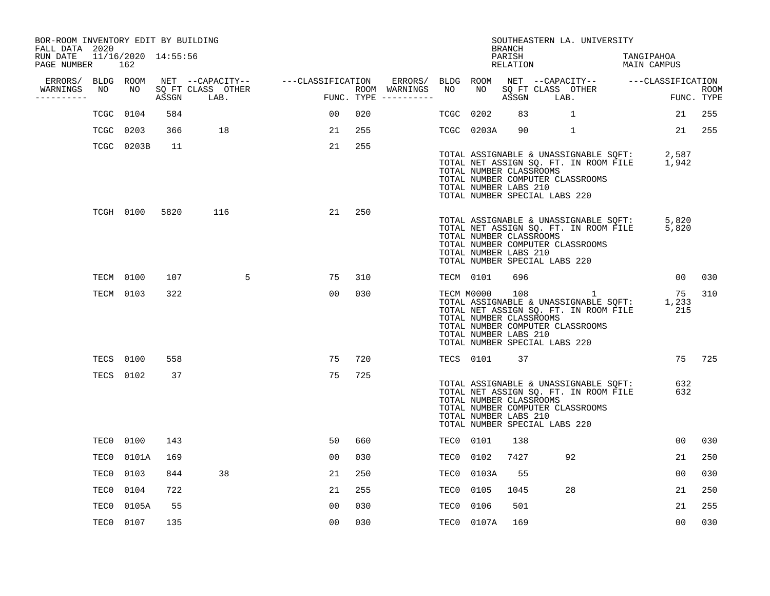| BOR-ROOM INVENTORY EDIT BY BUILDING<br>FALL DATA 2020 |            |      |                                 |                                    |     |                                                       |           |                                                                                                     | <b>BRANCH</b>      |      | SOUTHEASTERN LA. UNIVERSITY                                                                                                    |                           |                    |             |
|-------------------------------------------------------|------------|------|---------------------------------|------------------------------------|-----|-------------------------------------------------------|-----------|-----------------------------------------------------------------------------------------------------|--------------------|------|--------------------------------------------------------------------------------------------------------------------------------|---------------------------|--------------------|-------------|
| RUN DATE 11/16/2020 14:55:56<br>PAGE NUMBER           | 162        |      |                                 |                                    |     |                                                       |           |                                                                                                     | PARISH<br>RELATION |      |                                                                                                                                | TANGIPAHOA<br>MAIN CAMPUS |                    |             |
| ERRORS/ BLDG ROOM                                     |            |      |                                 | NET --CAPACITY-- ---CLASSIFICATION |     | ERRORS/ BLDG ROOM NET --CAPACITY-- ----CLASSIFICATION |           |                                                                                                     |                    |      |                                                                                                                                |                           |                    |             |
| WARNINGS<br>NO.<br>----------                         | NO         |      | SQ FT CLASS OTHER<br>ASSGN LAB. |                                    |     | ROOM WARNINGS NO<br>FUNC. TYPE $------$               |           | NO                                                                                                  | ASSGN              | LAB. | SQ FT CLASS OTHER                                                                                                              |                           | FUNC. TYPE         | <b>ROOM</b> |
| TCGC                                                  | 0104       | 584  |                                 | 0 <sub>0</sub>                     | 020 |                                                       | TCGC      | 0202                                                                                                | 83                 |      | $\mathbf{1}$                                                                                                                   |                           | 21                 | 255         |
|                                                       | TCGC 0203  | 366  | 18                              | 21                                 | 255 |                                                       |           | TCGC 0203A                                                                                          | 90                 |      | $\mathbf{1}$                                                                                                                   |                           |                    | 21 255      |
|                                                       | TCGC 0203B | 11   |                                 | 21                                 | 255 |                                                       |           | TOTAL NUMBER CLASSROOMS<br>TOTAL NUMBER LABS 210<br>TOTAL NUMBER SPECIAL LABS 220                   |                    |      | TOTAL ASSIGNABLE & UNASSIGNABLE SQFT:<br>TOTAL NET ASSIGN SQ. FT. IN ROOM FILE<br>TOTAL NUMBER COMPUTER CLASSROOMS             |                           | 2,587<br>1,942     |             |
|                                                       | TCGH 0100  | 5820 | 116                             | 21                                 | 250 |                                                       |           | TOTAL NUMBER CLASSROOMS<br>TOTAL NUMBER LABS 210<br>TOTAL NUMBER SPECIAL LABS 220                   |                    |      | TOTAL ASSIGNABLE & UNASSIGNABLE SQFT:<br>TOTAL NET ASSIGN SQ. FT. IN ROOM FILE 5,820<br>TOTAL NUMBER COMPUTER CLASSROOMS       |                           | 5,820              |             |
|                                                       | TECM 0100  | 107  | 5                               | 75                                 | 310 |                                                       | TECM 0101 |                                                                                                     | 696                |      |                                                                                                                                |                           | 00 <sub>o</sub>    | 030         |
|                                                       | TECM 0103  | 322  |                                 | 0 <sub>0</sub>                     | 030 |                                                       |           | TECM M0000 108<br>TOTAL NUMBER CLASSROOMS<br>TOTAL NUMBER LABS 210<br>TOTAL NUMBER SPECIAL LABS 220 |                    |      | $\sim$ 1<br>TOTAL ASSIGNABLE & UNASSIGNABLE SQFT:<br>TOTAL NET ASSIGN SQ. FT. IN ROOM FILE<br>TOTAL NUMBER COMPUTER CLASSROOMS |                           | 75<br>1,233<br>215 | 310         |
|                                                       | TECS 0100  | 558  |                                 | 75                                 | 720 |                                                       |           | TECS 0101                                                                                           | 37                 |      |                                                                                                                                |                           |                    | 75 725      |
|                                                       | TECS 0102  | 37   |                                 | 75                                 | 725 |                                                       |           | TOTAL NUMBER CLASSROOMS<br>TOTAL NUMBER LABS 210<br>TOTAL NUMBER SPECIAL LABS 220                   |                    |      | TOTAL ASSIGNABLE & UNASSIGNABLE SQFT:<br>TOTAL NET ASSIGN SQ. FT. IN ROOM FILE<br>TOTAL NUMBER COMPUTER CLASSROOMS             |                           | 632<br>632         |             |
|                                                       | TEC0 0100  | 143  |                                 | 50                                 | 660 |                                                       | TEC0 0101 |                                                                                                     | 138                |      |                                                                                                                                |                           | 0 <sub>0</sub>     | 030         |
|                                                       | TEC0 0101A | 169  |                                 | 00                                 | 030 |                                                       | TEC0      | 0102                                                                                                | 7427               |      | 92                                                                                                                             |                           | 21                 | 250         |
| TEC0                                                  | 0103       | 844  | 38                              | 21                                 | 250 |                                                       | TEC0      | 0103A                                                                                               | 55                 |      |                                                                                                                                |                           | 00                 | 030         |
| TEC0                                                  | 0104       | 722  |                                 | 21                                 | 255 |                                                       | TEC0      | 0105                                                                                                | 1045               |      | 28                                                                                                                             |                           | 21                 | 250         |
| TEC0                                                  | 0105A      | 55   |                                 | 0 <sub>0</sub>                     | 030 |                                                       | TEC0      | 0106                                                                                                | 501                |      |                                                                                                                                |                           | 21                 | 255         |
|                                                       | TEC0 0107  | 135  |                                 | 00                                 | 030 |                                                       |           | TEC0 0107A                                                                                          | 169                |      |                                                                                                                                |                           | 0 <sub>0</sub>     | 030         |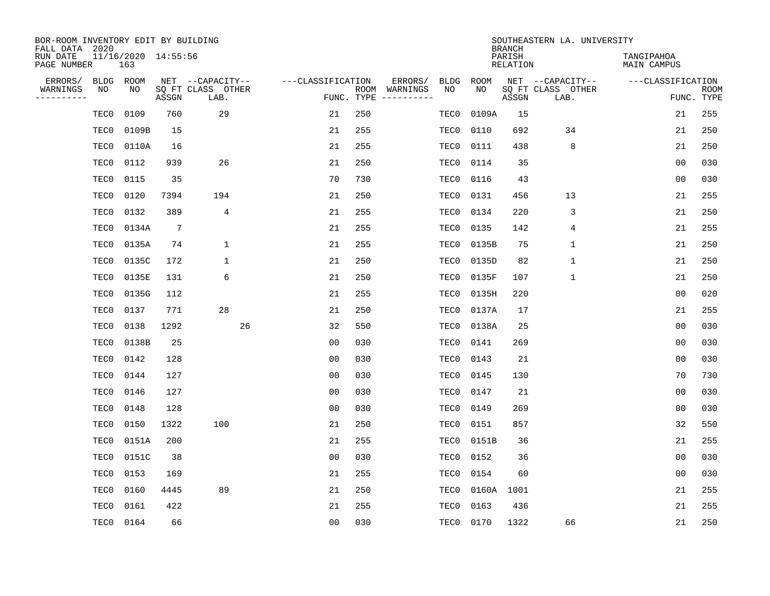| BOR-ROOM INVENTORY EDIT BY BUILDING<br>FALL DATA 2020 |                            |                 |                           |                   |            |                              |             |             | <b>BRANCH</b>             | SOUTHEASTERN LA. UNIVERSITY |                                  |                           |
|-------------------------------------------------------|----------------------------|-----------------|---------------------------|-------------------|------------|------------------------------|-------------|-------------|---------------------------|-----------------------------|----------------------------------|---------------------------|
| RUN DATE<br>PAGE NUMBER                               | 11/16/2020 14:55:56<br>163 |                 |                           |                   |            |                              |             |             | PARISH<br><b>RELATION</b> |                             | TANGIPAHOA<br><b>MAIN CAMPUS</b> |                           |
| ERRORS/<br><b>BLDG</b>                                | ROOM                       |                 | NET --CAPACITY--          | ---CLASSIFICATION |            | ERRORS/                      | <b>BLDG</b> | <b>ROOM</b> |                           | NET --CAPACITY--            | ---CLASSIFICATION                |                           |
| WARNINGS<br>NO<br>----------                          | NO                         | ASSGN           | SQ FT CLASS OTHER<br>LAB. |                   | FUNC. TYPE | ROOM WARNINGS<br>----------- | NO          | NO          | ASSGN                     | SQ FT CLASS OTHER<br>LAB.   |                                  | <b>ROOM</b><br>FUNC. TYPE |
| TEC0                                                  | 0109                       | 760             | 29                        | 21                | 250        |                              | TEC0        | 0109A       | 15                        |                             | 21                               | 255                       |
| TEC0                                                  | 0109B                      | 15              |                           | 21                | 255        |                              | TEC0        | 0110        | 692                       | 34                          | 21                               | 250                       |
| TEC0                                                  | 0110A                      | 16              |                           | 21                | 255        |                              | TEC0        | 0111        | 438                       | 8                           | 21                               | 250                       |
| TEC0                                                  | 0112                       | 939             | 26                        | 21                | 250        |                              | TEC0        | 0114        | 35                        |                             | 0 <sub>0</sub>                   | 030                       |
| TEC0                                                  | 0115                       | 35              |                           | 70                | 730        |                              | TEC0        | 0116        | 43                        |                             | 0 <sub>0</sub>                   | 030                       |
| TEC0                                                  | 0120                       | 7394            | 194                       | 21                | 250        |                              | TEC0        | 0131        | 456                       | 13                          | 21                               | 255                       |
| TEC0                                                  | 0132                       | 389             | $\overline{4}$            | 21                | 255        |                              | TEC0        | 0134        | 220                       | 3                           | 21                               | 250                       |
| TEC0                                                  | 0134A                      | $7\phantom{.0}$ |                           | 21                | 255        |                              | TEC0        | 0135        | 142                       | 4                           | 21                               | 255                       |
| TEC0                                                  | 0135A                      | 74              | $\mathbf{1}$              | 21                | 255        |                              | TEC0        | 0135B       | 75                        | $\mathbf{1}$                | 21                               | 250                       |
| TEC0                                                  | 0135C                      | 172             | 1                         | 21                | 250        |                              | TEC0        | 0135D       | 82                        | $\mathbf 1$                 | 21                               | 250                       |
| TEC0                                                  | 0135E                      | 131             | 6                         | 21                | 250        |                              | TEC0        | 0135F       | 107                       | $\mathbf 1$                 | 21                               | 250                       |
| TEC0                                                  | 0135G                      | 112             |                           | 21                | 255        |                              | TEC0        | 0135H       | 220                       |                             | 0 <sub>0</sub>                   | 020                       |
| TEC0                                                  | 0137                       | 771             | 28                        | 21                | 250        |                              | TEC0        | 0137A       | 17                        |                             | 21                               | 255                       |
| TEC0                                                  | 0138                       | 1292            | 26                        | 32                | 550        |                              | TEC0        | 0138A       | 25                        |                             | 0 <sub>0</sub>                   | 030                       |
| TEC0                                                  | 0138B                      | 25              |                           | 0 <sub>0</sub>    | 030        |                              | TEC0        | 0141        | 269                       |                             | 0 <sub>0</sub>                   | 030                       |
| TEC0                                                  | 0142                       | 128             |                           | 00                | 030        |                              | TEC0        | 0143        | 21                        |                             | 00                               | 030                       |
| TEC0                                                  | 0144                       | 127             |                           | 0 <sub>0</sub>    | 030        |                              | TEC0        | 0145        | 130                       |                             | 70                               | 730                       |
| TEC0                                                  | 0146                       | 127             |                           | 0 <sub>0</sub>    | 030        |                              | TEC0        | 0147        | 21                        |                             | 0 <sub>0</sub>                   | 030                       |
| TEC0                                                  | 0148                       | 128             |                           | 0 <sub>0</sub>    | 030        |                              | TEC0        | 0149        | 269                       |                             | 0 <sub>0</sub>                   | 030                       |
| TEC0                                                  | 0150                       | 1322            | 100                       | 21                | 250        |                              | TEC0        | 0151        | 857                       |                             | 32                               | 550                       |
| TEC0                                                  | 0151A                      | 200             |                           | 21                | 255        |                              | TEC0        | 0151B       | 36                        |                             | 21                               | 255                       |
| TEC0                                                  | 0151C                      | 38              |                           | 0 <sub>0</sub>    | 030        |                              | TEC0        | 0152        | 36                        |                             | 0 <sub>0</sub>                   | 030                       |
| TEC0                                                  | 0153                       | 169             |                           | 21                | 255        |                              | TEC0        | 0154        | 60                        |                             | 0 <sub>0</sub>                   | 030                       |
| TEC0                                                  | 0160                       | 4445            | 89                        | 21                | 250        |                              | TEC0        | 0160A       | 1001                      |                             | 21                               | 255                       |
| TEC0                                                  | 0161                       | 422             |                           | 21                | 255        |                              | TEC0        | 0163        | 436                       |                             | 21                               | 255                       |
| TEC0                                                  | 0164                       | 66              |                           | 00                | 030        |                              | TEC0        | 0170        | 1322                      | 66                          | 21                               | 250                       |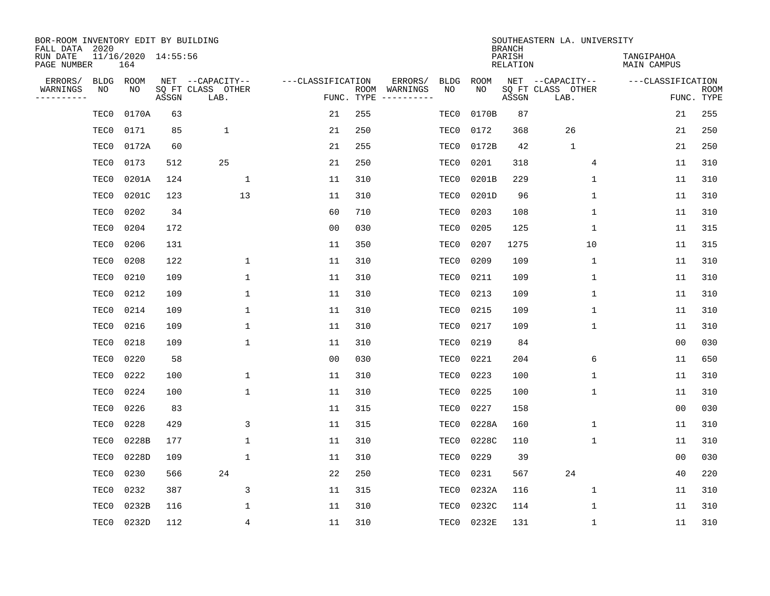| BOR-ROOM INVENTORY EDIT BY BUILDING<br>FALL DATA 2020 |                            |       |                           |                   |            |                              |             |             | <b>BRANCH</b>             | SOUTHEASTERN LA. UNIVERSITY |                                  |                           |
|-------------------------------------------------------|----------------------------|-------|---------------------------|-------------------|------------|------------------------------|-------------|-------------|---------------------------|-----------------------------|----------------------------------|---------------------------|
| RUN DATE<br>PAGE NUMBER                               | 11/16/2020 14:55:56<br>164 |       |                           |                   |            |                              |             |             | PARISH<br><b>RELATION</b> |                             | TANGIPAHOA<br><b>MAIN CAMPUS</b> |                           |
| ERRORS/<br><b>BLDG</b>                                | ROOM                       |       | NET --CAPACITY--          | ---CLASSIFICATION |            | ERRORS/                      | <b>BLDG</b> | <b>ROOM</b> |                           | NET --CAPACITY--            | ---CLASSIFICATION                |                           |
| WARNINGS<br>NO<br>----------                          | NO                         | ASSGN | SQ FT CLASS OTHER<br>LAB. |                   | FUNC. TYPE | ROOM WARNINGS<br>----------- | NO          | NO          | ASSGN                     | SQ FT CLASS OTHER<br>LAB.   |                                  | <b>ROOM</b><br>FUNC. TYPE |
| TEC0                                                  | 0170A                      | 63    |                           | 21                | 255        |                              | TEC0        | 0170B       | 87                        |                             | 21                               | 255                       |
| TEC0                                                  | 0171                       | 85    | 1                         | 21                | 250        |                              | TEC0        | 0172        | 368                       | 26                          | 21                               | 250                       |
| TEC0                                                  | 0172A                      | 60    |                           | 21                | 255        |                              | TEC0        | 0172B       | 42                        | $\mathbf{1}$                | 21                               | 250                       |
| TEC0                                                  | 0173                       | 512   | 25                        | 21                | 250        |                              | TEC0        | 0201        | 318                       | 4                           | 11                               | 310                       |
| TEC0                                                  | 0201A                      | 124   | $\mathbf{1}$              | 11                | 310        |                              | TEC0        | 0201B       | 229                       | 1                           | 11                               | 310                       |
| TEC0                                                  | 0201C                      | 123   | 13                        | 11                | 310        |                              | TEC0        | 0201D       | 96                        | $\mathbf 1$                 | 11                               | 310                       |
| TEC0                                                  | 0202                       | 34    |                           | 60                | 710        |                              | TEC0        | 0203        | 108                       | $\mathbf 1$                 | 11                               | 310                       |
| TEC0                                                  | 0204                       | 172   |                           | 0 <sub>0</sub>    | 030        |                              | TEC0        | 0205        | 125                       | $\mathbf{1}$                | 11                               | 315                       |
| TEC0                                                  | 0206                       | 131   |                           | 11                | 350        |                              | TEC0        | 0207        | 1275                      | 10                          | 11                               | 315                       |
| TEC0                                                  | 0208                       | 122   | $\mathbf{1}$              | 11                | 310        |                              | TEC0        | 0209        | 109                       | $\mathbf 1$                 | 11                               | 310                       |
| TEC0                                                  | 0210                       | 109   | $\mathbf{1}$              | 11                | 310        |                              | TEC0        | 0211        | 109                       | $\mathbf 1$                 | 11                               | 310                       |
| TEC0                                                  | 0212                       | 109   | $\mathbf 1$               | 11                | 310        |                              | TEC0        | 0213        | 109                       | $\mathbf 1$                 | 11                               | 310                       |
| TEC0                                                  | 0214                       | 109   | $\mathbf{1}$              | 11                | 310        |                              | TEC0        | 0215        | 109                       | $\mathbf 1$                 | 11                               | 310                       |
| TEC0                                                  | 0216                       | 109   | 1                         | 11                | 310        |                              | TEC0        | 0217        | 109                       | $\mathbf 1$                 | 11                               | 310                       |
| TEC0                                                  | 0218                       | 109   | $\mathbf{1}$              | 11                | 310        |                              | TEC0        | 0219        | 84                        |                             | 0 <sub>0</sub>                   | 030                       |
| TEC0                                                  | 0220                       | 58    |                           | 0 <sub>0</sub>    | 030        |                              | TEC0        | 0221        | 204                       | 6                           | 11                               | 650                       |
| TEC0                                                  | 0222                       | 100   | $\mathbf{1}$              | 11                | 310        |                              | TEC0        | 0223        | 100                       | 1                           | 11                               | 310                       |
| TEC0                                                  | 0224                       | 100   | 1                         | 11                | 310        |                              | TEC0        | 0225        | 100                       | 1                           | 11                               | 310                       |
| TEC0                                                  | 0226                       | 83    |                           | 11                | 315        |                              | TEC0        | 0227        | 158                       |                             | 0 <sub>0</sub>                   | 030                       |
| TEC0                                                  | 0228                       | 429   | 3                         | 11                | 315        |                              | TEC0        | 0228A       | 160                       | $\mathbf 1$                 | 11                               | 310                       |
| TEC0                                                  | 0228B                      | 177   | $\mathbf{1}$              | 11                | 310        |                              | TEC0        | 0228C       | 110                       | $\mathbf 1$                 | 11                               | 310                       |
| TEC0                                                  | 0228D                      | 109   | $\mathbf{1}$              | 11                | 310        |                              | TEC0        | 0229        | 39                        |                             | 0 <sub>0</sub>                   | 030                       |
| TEC0                                                  | 0230                       | 566   | 24                        | 22                | 250        |                              | TEC0        | 0231        | 567                       | 24                          | $40$                             | 220                       |
| TEC0                                                  | 0232                       | 387   | 3                         | 11                | 315        |                              | TEC0        | 0232A       | 116                       | $\mathbf 1$                 | 11                               | 310                       |
| TEC0                                                  | 0232B                      | 116   | $\mathbf{1}$              | 11                | 310        |                              | TEC0        | 0232C       | 114                       | 1                           | 11                               | 310                       |
| TEC0                                                  | 0232D                      | 112   | 4                         | 11                | 310        |                              | TEC0        | 0232E       | 131                       | $\mathbf 1$                 | 11                               | 310                       |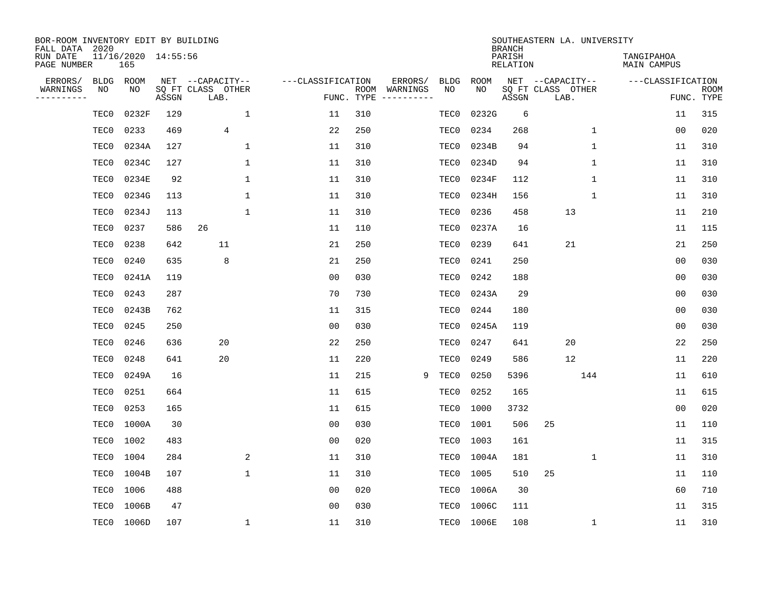| BOR-ROOM INVENTORY EDIT BY BUILDING<br>FALL DATA 2020 |      |                            |       |                           |              |                   |                    |          |             |             | <b>BRANCH</b>             | SOUTHEASTERN LA. UNIVERSITY |                                  |                           |
|-------------------------------------------------------|------|----------------------------|-------|---------------------------|--------------|-------------------|--------------------|----------|-------------|-------------|---------------------------|-----------------------------|----------------------------------|---------------------------|
| RUN DATE<br>PAGE NUMBER                               |      | 11/16/2020 14:55:56<br>165 |       |                           |              |                   |                    |          |             |             | PARISH<br><b>RELATION</b> |                             | TANGIPAHOA<br><b>MAIN CAMPUS</b> |                           |
| ERRORS/                                               | BLDG | ROOM                       |       | NET --CAPACITY--          |              | ---CLASSIFICATION |                    | ERRORS/  | <b>BLDG</b> | <b>ROOM</b> |                           | NET --CAPACITY--            | ---CLASSIFICATION                |                           |
| WARNINGS<br>----------                                | ΝO   | NO                         | ASSGN | SQ FT CLASS OTHER<br>LAB. |              |                   | ROOM<br>FUNC. TYPE | WARNINGS | NO          | NO          | ASSGN                     | SQ FT CLASS OTHER<br>LAB.   |                                  | <b>ROOM</b><br>FUNC. TYPE |
|                                                       | TEC0 | 0232F                      | 129   |                           | $\mathbf{1}$ | 11                | 310                |          | TEC0        | 0232G       | 6                         |                             | 11                               | 315                       |
|                                                       | TEC0 | 0233                       | 469   | 4                         |              | 22                | 250                |          | TEC0        | 0234        | 268                       | 1                           | 00                               | 020                       |
|                                                       | TEC0 | 0234A                      | 127   |                           | 1            | 11                | 310                |          | TEC0        | 0234B       | 94                        | $\mathbf 1$                 | 11                               | 310                       |
|                                                       | TEC0 | 0234C                      | 127   |                           | 1            | 11                | 310                |          | TEC0        | 0234D       | 94                        | 1                           | 11                               | 310                       |
|                                                       | TEC0 | 0234E                      | 92    |                           | $\mathbf{1}$ | 11                | 310                |          | TEC0        | 0234F       | 112                       | $\mathbf{1}$                | 11                               | 310                       |
|                                                       | TEC0 | 0234G                      | 113   |                           | 1            | 11                | 310                |          | TEC0        | 0234H       | 156                       | $\mathbf 1$                 | 11                               | 310                       |
|                                                       | TEC0 | 0234J                      | 113   |                           | $\mathbf{1}$ | 11                | 310                |          | TEC0        | 0236        | 458                       | 13                          | 11                               | 210                       |
|                                                       | TEC0 | 0237                       | 586   | 26                        |              | 11                | 110                |          | TEC0        | 0237A       | 16                        |                             | 11                               | 115                       |
|                                                       | TEC0 | 0238                       | 642   | 11                        |              | 21                | 250                |          | TEC0        | 0239        | 641                       | 21                          | 21                               | 250                       |
|                                                       | TEC0 | 0240                       | 635   | 8                         |              | 21                | 250                |          | TEC0        | 0241        | 250                       |                             | 0 <sub>0</sub>                   | 030                       |
|                                                       | TEC0 | 0241A                      | 119   |                           |              | 0 <sub>0</sub>    | 030                |          | TEC0        | 0242        | 188                       |                             | 0 <sub>0</sub>                   | 030                       |
|                                                       | TEC0 | 0243                       | 287   |                           |              | 70                | 730                |          | TEC0        | 0243A       | 29                        |                             | 0 <sub>0</sub>                   | 030                       |
|                                                       | TEC0 | 0243B                      | 762   |                           |              | 11                | 315                |          | TEC0        | 0244        | 180                       |                             | 0 <sub>0</sub>                   | 030                       |
|                                                       | TEC0 | 0245                       | 250   |                           |              | 0 <sub>0</sub>    | 030                |          | TEC0        | 0245A       | 119                       |                             | 0 <sub>0</sub>                   | 030                       |
|                                                       | TEC0 | 0246                       | 636   | 20                        |              | 22                | 250                |          | TEC0        | 0247        | 641                       | 20                          | 22                               | 250                       |
|                                                       | TEC0 | 0248                       | 641   | 20                        |              | 11                | 220                |          | TEC0        | 0249        | 586                       | 12                          | 11                               | 220                       |
|                                                       | TEC0 | 0249A                      | 16    |                           |              | 11                | 215                | 9        | TEC0        | 0250        | 5396                      | 144                         | 11                               | 610                       |
|                                                       | TEC0 | 0251                       | 664   |                           |              | 11                | 615                |          | TEC0        | 0252        | 165                       |                             | 11                               | 615                       |
|                                                       | TEC0 | 0253                       | 165   |                           |              | 11                | 615                |          | TEC0        | 1000        | 3732                      |                             | 0 <sub>0</sub>                   | 020                       |
|                                                       | TEC0 | 1000A                      | 30    |                           |              | 0 <sub>0</sub>    | 030                |          | TEC0        | 1001        | 506                       | 25                          | 11                               | 110                       |
|                                                       | TEC0 | 1002                       | 483   |                           |              | 0 <sub>0</sub>    | 020                |          | TEC0        | 1003        | 161                       |                             | 11                               | 315                       |
|                                                       | TEC0 | 1004                       | 284   |                           | 2            | 11                | 310                |          | TEC0        | 1004A       | 181                       | $\mathbf 1$                 | 11                               | 310                       |
|                                                       | TEC0 | 1004B                      | 107   |                           | $\mathbf{1}$ | 11                | 310                |          | TEC0        | 1005        | 510                       | 25                          | 11                               | 110                       |
|                                                       | TEC0 | 1006                       | 488   |                           |              | 0 <sub>0</sub>    | 020                |          | TEC0        | 1006A       | 30                        |                             | 60                               | 710                       |
|                                                       | TEC0 | 1006B                      | 47    |                           |              | 0 <sub>0</sub>    | 030                |          | TEC0        | 1006C       | 111                       |                             | 11                               | 315                       |
|                                                       | TEC0 | 1006D                      | 107   |                           | 1            | 11                | 310                |          | TEC0        | 1006E       | 108                       | 1                           | 11                               | 310                       |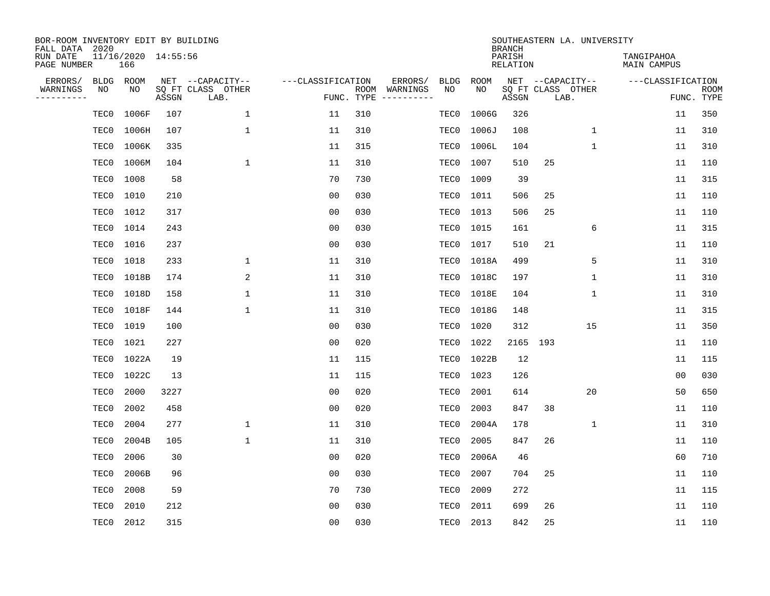| BOR-ROOM INVENTORY EDIT BY BUILDING<br>FALL DATA 2020<br>RUN DATE |                   | 11/16/2020 14:55:56 |       |                                               |                                 |     |                          |                   |            | <b>BRANCH</b><br>PARISH |                           | SOUTHEASTERN LA. UNIVERSITY | TANGIPAHOA        |                           |
|-------------------------------------------------------------------|-------------------|---------------------|-------|-----------------------------------------------|---------------------------------|-----|--------------------------|-------------------|------------|-------------------------|---------------------------|-----------------------------|-------------------|---------------------------|
| PAGE NUMBER                                                       |                   | 166                 |       |                                               |                                 |     |                          |                   |            | RELATION                |                           |                             | MAIN CAMPUS       |                           |
| ERRORS/<br>WARNINGS<br>---------                                  | <b>BLDG</b><br>ΝO | ROOM<br>NO          | ASSGN | NET --CAPACITY--<br>SQ FT CLASS OTHER<br>LAB. | ---CLASSIFICATION<br>FUNC. TYPE |     | ERRORS/<br>ROOM WARNINGS | <b>BLDG</b><br>NO | ROOM<br>NO | ASSGN                   | SQ FT CLASS OTHER<br>LAB. | NET --CAPACITY--            | ---CLASSIFICATION | <b>ROOM</b><br>FUNC. TYPE |
|                                                                   | TEC0              | 1006F               | 107   | $\mathbf 1$                                   | 11                              | 310 |                          | TEC0              | 1006G      | 326                     |                           |                             | 11                | 350                       |
|                                                                   | TEC0              | 1006H               | 107   | $\mathbf{1}$                                  | 11                              | 310 |                          | TEC0              | 1006J      | 108                     |                           | $\mathbf 1$                 | 11                | 310                       |
|                                                                   | TEC0              | 1006K               | 335   |                                               | 11                              | 315 |                          | TEC0              | 1006L      | 104                     |                           | $\mathbf{1}$                | 11                | 310                       |
|                                                                   | TEC0              | 1006M               | 104   | $\mathbf{1}$                                  | 11                              | 310 |                          | TEC0              | 1007       | 510                     | 25                        |                             | 11                | 110                       |
|                                                                   | TEC0              | 1008                | 58    |                                               | 70                              | 730 |                          | TEC0              | 1009       | 39                      |                           |                             | 11                | 315                       |
|                                                                   | TEC0              | 1010                | 210   |                                               | 0 <sub>0</sub>                  | 030 |                          | TEC0              | 1011       | 506                     | 25                        |                             | 11                | 110                       |
|                                                                   | TEC0              | 1012                | 317   |                                               | 0 <sub>0</sub>                  | 030 |                          | TEC0              | 1013       | 506                     | 25                        |                             | 11                | 110                       |
|                                                                   | TEC0              | 1014                | 243   |                                               | 0 <sub>0</sub>                  | 030 |                          | TEC0              | 1015       | 161                     |                           | 6                           | 11                | 315                       |
|                                                                   | TEC0              | 1016                | 237   |                                               | 0 <sub>0</sub>                  | 030 |                          | TEC0              | 1017       | 510                     | 21                        |                             | 11                | 110                       |
|                                                                   | TEC0              | 1018                | 233   | 1                                             | 11                              | 310 |                          | TEC0              | 1018A      | 499                     |                           | 5                           | 11                | 310                       |
|                                                                   | TEC0              | 1018B               | 174   | 2                                             | 11                              | 310 |                          | TEC0              | 1018C      | 197                     |                           | $\mathbf{1}$                | 11                | 310                       |
|                                                                   | TEC0              | 1018D               | 158   | $\mathbf{1}$                                  | 11                              | 310 |                          | TEC0              | 1018E      | 104                     |                           | $\mathbf{1}$                | 11                | 310                       |
|                                                                   | TEC0              | 1018F               | 144   | $\mathbf{1}$                                  | 11                              | 310 |                          | TEC0              | 1018G      | 148                     |                           |                             | 11                | 315                       |
|                                                                   | TEC0              | 1019                | 100   |                                               | 0 <sub>0</sub>                  | 030 |                          | TEC0              | 1020       | 312                     |                           | 15                          | 11                | 350                       |
|                                                                   | TEC0              | 1021                | 227   |                                               | 0 <sub>0</sub>                  | 020 |                          | TEC0              | 1022       | 2165                    | 193                       |                             | 11                | 110                       |
|                                                                   | TEC0              | 1022A               | 19    |                                               | 11                              | 115 |                          | TEC0              | 1022B      | 12                      |                           |                             | 11                | 115                       |
|                                                                   | TEC0              | 1022C               | 13    |                                               | 11                              | 115 |                          | TEC0              | 1023       | 126                     |                           |                             | 0 <sub>0</sub>    | 030                       |
|                                                                   | TEC0              | 2000                | 3227  |                                               | 0 <sub>0</sub>                  | 020 |                          | TEC0              | 2001       | 614                     |                           | 20                          | 50                | 650                       |
|                                                                   | TEC0              | 2002                | 458   |                                               | 0 <sub>0</sub>                  | 020 |                          | TEC0              | 2003       | 847                     | 38                        |                             | 11                | 110                       |
|                                                                   | TEC0              | 2004                | 277   | 1                                             | 11                              | 310 |                          | TEC0              | 2004A      | 178                     |                           | 1                           | 11                | 310                       |
|                                                                   | TEC0              | 2004B               | 105   | $\mathbf{1}$                                  | 11                              | 310 |                          | TEC0              | 2005       | 847                     | 26                        |                             | 11                | 110                       |
|                                                                   | TEC0              | 2006                | 30    |                                               | 0 <sub>0</sub>                  | 020 |                          | TEC0              | 2006A      | 46                      |                           |                             | 60                | 710                       |
|                                                                   | TEC0              | 2006B               | 96    |                                               | 0 <sub>0</sub>                  | 030 |                          | TEC0              | 2007       | 704                     | 25                        |                             | 11                | 110                       |
|                                                                   | TEC0              | 2008                | 59    |                                               | 70                              | 730 |                          | TEC0              | 2009       | 272                     |                           |                             | 11                | 115                       |
|                                                                   | TEC0              | 2010                | 212   |                                               | 00                              | 030 |                          | TEC0              | 2011       | 699                     | 26                        |                             | 11                | 110                       |
|                                                                   | TEC0              | 2012                | 315   |                                               | 0 <sub>0</sub>                  | 030 |                          | TEC0              | 2013       | 842                     | 25                        |                             | 11                | 110                       |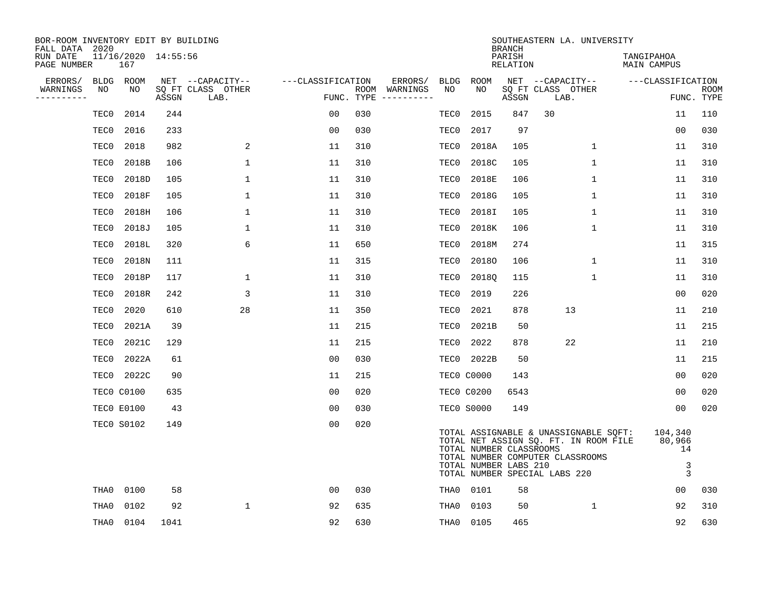| BOR-ROOM INVENTORY EDIT BY BUILDING<br>FALL DATA 2020 |             |                            |       |                           |                   |            |               |             |                                                  | <b>BRANCH</b>      | SOUTHEASTERN LA. UNIVERSITY                                                                                                                         |                                   |                           |
|-------------------------------------------------------|-------------|----------------------------|-------|---------------------------|-------------------|------------|---------------|-------------|--------------------------------------------------|--------------------|-----------------------------------------------------------------------------------------------------------------------------------------------------|-----------------------------------|---------------------------|
| RUN DATE<br>PAGE NUMBER                               |             | 11/16/2020 14:55:56<br>167 |       |                           |                   |            |               |             |                                                  | PARISH<br>RELATION |                                                                                                                                                     | TANGIPAHOA<br>MAIN CAMPUS         |                           |
| ERRORS/                                               | <b>BLDG</b> | ROOM                       |       | NET --CAPACITY--          | ---CLASSIFICATION |            | ERRORS/       | <b>BLDG</b> | <b>ROOM</b>                                      |                    | NET --CAPACITY--                                                                                                                                    | ---CLASSIFICATION                 |                           |
| WARNINGS<br>----------                                | NO          | NO                         | ASSGN | SQ FT CLASS OTHER<br>LAB. |                   | FUNC. TYPE | ROOM WARNINGS | NO          | NO.                                              | ASSGN              | SQ FT CLASS OTHER<br>LAB.                                                                                                                           |                                   | <b>ROOM</b><br>FUNC. TYPE |
|                                                       | TEC0        | 2014                       | 244   |                           | 0 <sub>0</sub>    | 030        |               | TEC0        | 2015                                             | 847                | 30                                                                                                                                                  | 11                                | 110                       |
|                                                       | TEC0        | 2016                       | 233   |                           | 0 <sub>0</sub>    | 030        |               | TEC0        | 2017                                             | 97                 |                                                                                                                                                     | 0 <sub>0</sub>                    | 030                       |
|                                                       | TEC0        | 2018                       | 982   | 2                         | 11                | 310        |               | TEC0        | 2018A                                            | 105                | 1                                                                                                                                                   | 11                                | 310                       |
|                                                       | TEC0        | 2018B                      | 106   | $\mathbf{1}$              | 11                | 310        |               | TEC0        | 2018C                                            | 105                | $\mathbf 1$                                                                                                                                         | 11                                | 310                       |
|                                                       | TEC0        | 2018D                      | 105   | $\mathbf 1$               | 11                | 310        |               | TEC0        | 2018E                                            | 106                | $\mathbf 1$                                                                                                                                         | 11                                | 310                       |
|                                                       | TEC0        | 2018F                      | 105   | 1                         | 11                | 310        |               | TEC0        | 2018G                                            | 105                | 1                                                                                                                                                   | 11                                | 310                       |
|                                                       | TEC0        | 2018H                      | 106   | $\mathbf 1$               | 11                | 310        |               | TEC0        | 2018I                                            | 105                | $\mathbf 1$                                                                                                                                         | 11                                | 310                       |
|                                                       | TEC0        | 2018J                      | 105   | $\mathbf 1$               | 11                | 310        |               | TEC0        | 2018K                                            | 106                | $\mathbf{1}$                                                                                                                                        | 11                                | 310                       |
|                                                       | TEC0        | 2018L                      | 320   | 6                         | 11                | 650        |               | TEC0        | 2018M                                            | 274                |                                                                                                                                                     | 11                                | 315                       |
|                                                       | TEC0        | 2018N                      | 111   |                           | 11                | 315        |               | TEC0        | 20180                                            | 106                | $\mathbf{1}$                                                                                                                                        | 11                                | 310                       |
|                                                       | TEC0        | 2018P                      | 117   | 1                         | 11                | 310        |               | TEC0        | 2018Q                                            | 115                | $\mathbf 1$                                                                                                                                         | 11                                | 310                       |
|                                                       | TEC0        | 2018R                      | 242   | 3                         | 11                | 310        |               | TEC0        | 2019                                             | 226                |                                                                                                                                                     | 0 <sub>0</sub>                    | 020                       |
|                                                       | TEC0        | 2020                       | 610   | 28                        | 11                | 350        |               | TEC0        | 2021                                             | 878                | 13                                                                                                                                                  | 11                                | 210                       |
|                                                       | TEC0        | 2021A                      | 39    |                           | 11                | 215        |               | TEC0        | 2021B                                            | 50                 |                                                                                                                                                     | 11                                | 215                       |
|                                                       | TEC0        | 2021C                      | 129   |                           | 11                | 215        |               | TEC0        | 2022                                             | 878                | 22                                                                                                                                                  | 11                                | 210                       |
|                                                       | TEC0        | 2022A                      | 61    |                           | 0 <sub>0</sub>    | 030        |               | TEC0        | 2022B                                            | 50                 |                                                                                                                                                     | 11                                | 215                       |
|                                                       | TEC0        | 2022C                      | 90    |                           | 11                | 215        |               |             | <b>TEC0 C0000</b>                                | 143                |                                                                                                                                                     | 0 <sub>0</sub>                    | 020                       |
|                                                       |             | <b>TEC0 C0100</b>          | 635   |                           | 0 <sub>0</sub>    | 020        |               |             | <b>TECO C0200</b>                                | 6543               |                                                                                                                                                     | 00                                | 020                       |
|                                                       |             | TECO E0100                 | 43    |                           | 00                | 030        |               |             | TECO SOOOO                                       | 149                |                                                                                                                                                     | 0 <sub>0</sub>                    | 020                       |
|                                                       |             | <b>TECO S0102</b>          | 149   |                           | 0 <sub>0</sub>    | 020        |               |             | TOTAL NUMBER CLASSROOMS<br>TOTAL NUMBER LABS 210 |                    | TOTAL ASSIGNABLE & UNASSIGNABLE SQFT:<br>TOTAL NET ASSIGN SQ. FT. IN ROOM FILE<br>TOTAL NUMBER COMPUTER CLASSROOMS<br>TOTAL NUMBER SPECIAL LABS 220 | 104,340<br>80,966<br>14<br>3<br>3 |                           |
|                                                       | THA0        | 0100                       | 58    |                           | 0 <sub>0</sub>    | 030        |               | THA0        | 0101                                             | 58                 |                                                                                                                                                     | 0 <sub>0</sub>                    | 030                       |
|                                                       | THA0        | 0102                       | 92    | $\mathbf 1$               | 92                | 635        |               | THA0        | 0103                                             | 50                 | $\mathbf 1$                                                                                                                                         | 92                                | 310                       |
|                                                       | THA0        | 0104                       | 1041  |                           | 92                | 630        |               | THA0        | 0105                                             | 465                |                                                                                                                                                     | 92                                | 630                       |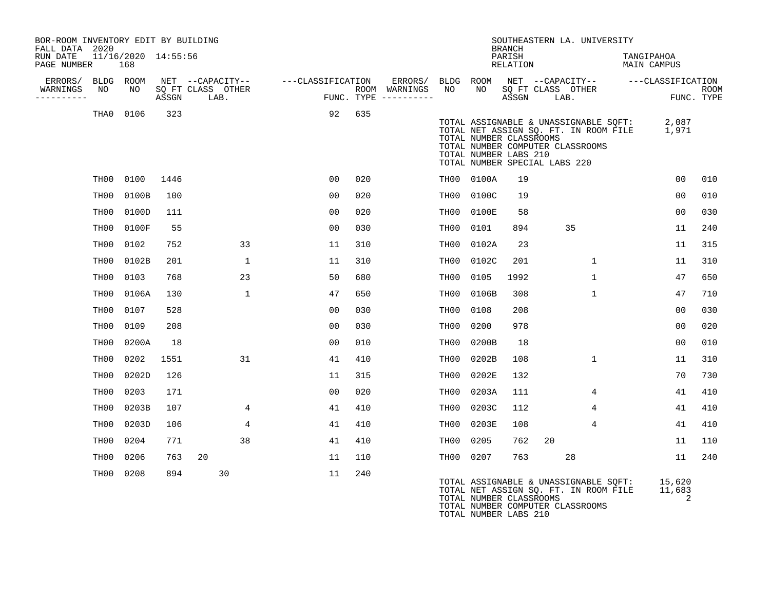| BOR-ROOM INVENTORY EDIT BY BUILDING<br>FALL DATA 2020 |                  |                            |       |    |                                               |                   |      |                                                 |                  |                                                                                   | <b>BRANCH</b>      |      | SOUTHEASTERN LA. UNIVERSITY                                                                                        |                                  |                           |
|-------------------------------------------------------|------------------|----------------------------|-------|----|-----------------------------------------------|-------------------|------|-------------------------------------------------|------------------|-----------------------------------------------------------------------------------|--------------------|------|--------------------------------------------------------------------------------------------------------------------|----------------------------------|---------------------------|
| RUN DATE<br>PAGE NUMBER                               |                  | 11/16/2020 14:55:56<br>168 |       |    |                                               |                   |      |                                                 |                  |                                                                                   | PARISH<br>RELATION |      |                                                                                                                    | TANGIPAHOA<br><b>MAIN CAMPUS</b> |                           |
| ERRORS/<br>WARNINGS<br>---------                      | BLDG ROOM<br>NO  | NO                         | ASSGN |    | NET --CAPACITY--<br>SQ FT CLASS OTHER<br>LAB. | ---CLASSIFICATION |      | ERRORS/<br>ROOM WARNINGS<br>FUNC. TYPE $------$ | BLDG ROOM<br>NO. | NO.                                                                               | ASSGN              | LAB. | NET --CAPACITY--<br>SQ FT CLASS OTHER                                                                              | ---CLASSIFICATION                | <b>ROOM</b><br>FUNC. TYPE |
|                                                       | THA0             | 0106                       | 323   |    |                                               | 92                | 635  |                                                 |                  | TOTAL NUMBER CLASSROOMS<br>TOTAL NUMBER LABS 210<br>TOTAL NUMBER SPECIAL LABS 220 |                    |      | TOTAL ASSIGNABLE & UNASSIGNABLE SQFT:<br>TOTAL NET ASSIGN SQ. FT. IN ROOM FILE<br>TOTAL NUMBER COMPUTER CLASSROOMS | 2,087<br>1,971                   |                           |
|                                                       | TH00             | 0100                       | 1446  |    |                                               | 00                | 020  |                                                 | TH00             | 0100A                                                                             | 19                 |      |                                                                                                                    | 0 <sub>0</sub>                   | 010                       |
|                                                       | TH00             | 0100B                      | 100   |    |                                               | 0 <sub>0</sub>    | 020  |                                                 | TH00             | 0100C                                                                             | 19                 |      |                                                                                                                    | 0 <sub>0</sub>                   | 010                       |
|                                                       | TH00             | 0100D                      | 111   |    |                                               | 0 <sub>0</sub>    | 020  |                                                 | TH <sub>00</sub> | 0100E                                                                             | 58                 |      |                                                                                                                    | 0 <sub>0</sub>                   | 030                       |
|                                                       | TH00             | 0100F                      | 55    |    |                                               | 0 <sub>0</sub>    | 0.30 |                                                 | TH00             | 0101                                                                              | 894                |      | 35                                                                                                                 | 11                               | 240                       |
|                                                       | TH00             | 0102                       | 752   |    | 33                                            | 11                | 310  |                                                 | TH00             | 0102A                                                                             | 23                 |      |                                                                                                                    | 11                               | 315                       |
|                                                       | TH00             | 0102B                      | 201   |    | $\mathbf{1}$                                  | 11                | 310  |                                                 | TH00             | 0102C                                                                             | 201                |      | $\mathbf{1}$                                                                                                       | 11                               | 310                       |
|                                                       | TH00             | 0103                       | 768   |    | 23                                            | 50                | 680  |                                                 | TH00             | 0105                                                                              | 1992               |      | $\mathbf{1}$                                                                                                       | 47                               | 650                       |
|                                                       | TH00             | 0106A                      | 130   |    | $\mathbf{1}$                                  | 47                | 650  |                                                 | TH00             | 0106B                                                                             | 308                |      | $\mathbf{1}$                                                                                                       | 47                               | 710                       |
|                                                       | TH00             | 0107                       | 528   |    |                                               | 0 <sub>0</sub>    | 030  |                                                 | TH <sub>00</sub> | 0108                                                                              | 208                |      |                                                                                                                    | 0 <sub>0</sub>                   | 030                       |
|                                                       | TH00             | 0109                       | 208   |    |                                               | 0 <sub>0</sub>    | 030  |                                                 | TH00             | 0200                                                                              | 978                |      |                                                                                                                    | 00                               | 020                       |
|                                                       | TH00             | 0200A                      | 18    |    |                                               | 0 <sub>0</sub>    | 010  |                                                 | TH00             | 0200B                                                                             | 18                 |      |                                                                                                                    | 00                               | 010                       |
|                                                       | TH00             | 0202                       | 1551  |    | 31                                            | 41                | 410  |                                                 | TH00             | 0202B                                                                             | 108                |      | $\mathbf 1$                                                                                                        | 11                               | 310                       |
|                                                       | TH00             | 0202D                      | 126   |    |                                               | 11                | 315  |                                                 | TH00             | 0202E                                                                             | 132                |      |                                                                                                                    | 70                               | 730                       |
|                                                       | TH00             | 0203                       | 171   |    |                                               | 0 <sub>0</sub>    | 020  |                                                 | TH00             | 0203A                                                                             | 111                |      | 4                                                                                                                  | 41                               | 410                       |
|                                                       | TH <sub>00</sub> | 0203B                      | 107   |    | 4                                             | 41                | 410  |                                                 | TH <sub>00</sub> | 0203C                                                                             | 112                |      | 4                                                                                                                  | 41                               | 410                       |
|                                                       | TH00             | 0203D                      | 106   |    | 4                                             | 41                | 410  |                                                 | TH00             | 0203E                                                                             | 108                |      | 4                                                                                                                  | 41                               | 410                       |
|                                                       | TH00             | 0204                       | 771   |    | 38                                            | 41                | 410  |                                                 | TH00             | 0205                                                                              | 762                | 20   |                                                                                                                    | 11                               | 110                       |
|                                                       | TH00             | 0206                       | 763   | 20 |                                               | 11                | 110  |                                                 | TH00             | 0207                                                                              | 763                |      | 28                                                                                                                 | 11                               | 240                       |
|                                                       | TH00             | 0208                       | 894   |    | 30                                            | 11                | 240  |                                                 |                  |                                                                                   |                    |      | TOTAL ASSIGNABLE & UNASSIGNABLE SOFT:                                                                              | 15,620                           |                           |

TOTAL NET ASSIGN SQ. FT. IN ROOM FILE 11,683 TOTAL NUMBER CLASSROOMS 2 TOTAL NUMBER COMPUTER CLASSROOMS TOTAL NUMBER LABS 210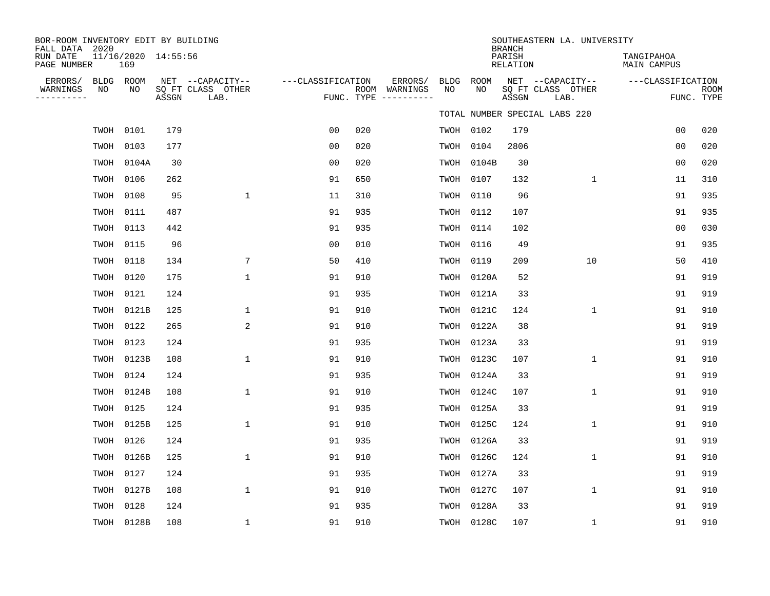| BOR-ROOM INVENTORY EDIT BY BUILDING<br>FALL DATA 2020 |                            |       |                                               |                   |     |                                                 |            |            | <b>BRANCH</b>      | SOUTHEASTERN LA. UNIVERSITY                   |                                  |                           |
|-------------------------------------------------------|----------------------------|-------|-----------------------------------------------|-------------------|-----|-------------------------------------------------|------------|------------|--------------------|-----------------------------------------------|----------------------------------|---------------------------|
| RUN DATE<br>PAGE NUMBER                               | 11/16/2020 14:55:56<br>169 |       |                                               |                   |     |                                                 |            |            | PARISH<br>RELATION |                                               | TANGIPAHOA<br><b>MAIN CAMPUS</b> |                           |
| ERRORS/<br>WARNINGS<br>ΝO<br>---------                | BLDG ROOM<br>NO            | ASSGN | NET --CAPACITY--<br>SQ FT CLASS OTHER<br>LAB. | ---CLASSIFICATION |     | ERRORS/<br>ROOM WARNINGS<br>FUNC. TYPE $------$ | BLDG<br>NO | ROOM<br>NO | ASSGN              | NET --CAPACITY--<br>SQ FT CLASS OTHER<br>LAB. | ---CLASSIFICATION                | <b>ROOM</b><br>FUNC. TYPE |
|                                                       |                            |       |                                               |                   |     |                                                 |            |            |                    | TOTAL NUMBER SPECIAL LABS 220                 |                                  |                           |
|                                                       | TWOH 0101                  | 179   |                                               | 0 <sub>0</sub>    | 020 |                                                 |            | TWOH 0102  | 179                |                                               | 0 <sub>0</sub>                   | 020                       |
|                                                       | TWOH 0103                  | 177   |                                               | 0 <sub>0</sub>    | 020 |                                                 | TWOH       | 0104       | 2806               |                                               | 0 <sub>0</sub>                   | 020                       |
|                                                       | TWOH 0104A                 | 30    |                                               | 0 <sub>0</sub>    | 020 |                                                 | TWOH       | 0104B      | 30                 |                                               | 0 <sub>0</sub>                   | 020                       |
| TWOH                                                  | 0106                       | 262   |                                               | 91                | 650 |                                                 | TWOH       | 0107       | 132                | $\mathbf 1$                                   | 11                               | 310                       |
| TWOH                                                  | 0108                       | 95    | $\mathbf{1}$                                  | 11                | 310 |                                                 |            | TWOH 0110  | 96                 |                                               | 91                               | 935                       |
| TWOH                                                  | 0111                       | 487   |                                               | 91                | 935 |                                                 | TWOH       | 0112       | 107                |                                               | 91                               | 935                       |
|                                                       | TWOH 0113                  | 442   |                                               | 91                | 935 |                                                 | TWOH       | 0114       | 102                |                                               | 0 <sub>0</sub>                   | 030                       |
| TWOH                                                  | 0115                       | 96    |                                               | 0 <sub>0</sub>    | 010 |                                                 | TWOH       | 0116       | 49                 |                                               | 91                               | 935                       |
|                                                       | TWOH 0118                  | 134   | 7                                             | 50                | 410 |                                                 |            | TWOH 0119  | 209                | 10                                            | 50                               | 410                       |
|                                                       | TWOH 0120                  | 175   | $\mathbf{1}$                                  | 91                | 910 |                                                 |            | TWOH 0120A | 52                 |                                               | 91                               | 919                       |
|                                                       | TWOH 0121                  | 124   |                                               | 91                | 935 |                                                 |            | TWOH 0121A | 33                 |                                               | 91                               | 919                       |
|                                                       | TWOH 0121B                 | 125   | $\mathbf{1}$                                  | 91                | 910 |                                                 | TWOH       | 0121C      | 124                | $\mathbf 1$                                   | 91                               | 910                       |
| TWOH                                                  | 0122                       | 265   | 2                                             | 91                | 910 |                                                 | TWOH       | 0122A      | 38                 |                                               | 91                               | 919                       |
| TWOH                                                  | 0123                       | 124   |                                               | 91                | 935 |                                                 | TWOH       | 0123A      | 33                 |                                               | 91                               | 919                       |
| TWOH                                                  | 0123B                      | 108   | $\mathbf{1}$                                  | 91                | 910 |                                                 | TWOH       | 0123C      | 107                | $\mathbf{1}$                                  | 91                               | 910                       |
| TWOH                                                  | 0124                       | 124   |                                               | 91                | 935 |                                                 | TWOH       | 0124A      | 33                 |                                               | 91                               | 919                       |
| TWOH                                                  | 0124B                      | 108   | $\mathbf{1}$                                  | 91                | 910 |                                                 | TWOH       | 0124C      | 107                | $\mathbf{1}$                                  | 91                               | 910                       |
| TWOH                                                  | 0125                       | 124   |                                               | 91                | 935 |                                                 | TWOH       | 0125A      | 33                 |                                               | 91                               | 919                       |
| TWOH                                                  | 0125B                      | 125   | $\mathbf{1}$                                  | 91                | 910 |                                                 | TWOH       | 0125C      | 124                | $\mathbf{1}$                                  | 91                               | 910                       |
| TWOH                                                  | 0126                       | 124   |                                               | 91                | 935 |                                                 | TWOH       | 0126A      | 33                 |                                               | 91                               | 919                       |
| TWOH                                                  | 0126B                      | 125   | $\mathbf{1}$                                  | 91                | 910 |                                                 | TWOH       | 0126C      | 124                | $\mathbf{1}$                                  | 91                               | 910                       |
|                                                       | TWOH 0127                  | 124   |                                               | 91                | 935 |                                                 | TWOH       | 0127A      | 33                 |                                               | 91                               | 919                       |
| TWOH                                                  | 0127B                      | 108   | $\mathbf{1}$                                  | 91                | 910 |                                                 | TWOH       | 0127C      | 107                | $\mathbf{1}$                                  | 91                               | 910                       |
| TWOH                                                  | 0128                       | 124   |                                               | 91                | 935 |                                                 | TWOH       | 0128A      | 33                 |                                               | 91                               | 919                       |
|                                                       | TWOH 0128B                 | 108   | $\mathbf{1}$                                  | 91                | 910 |                                                 |            | TWOH 0128C | 107                | $\mathbf{1}$                                  | 91                               | 910                       |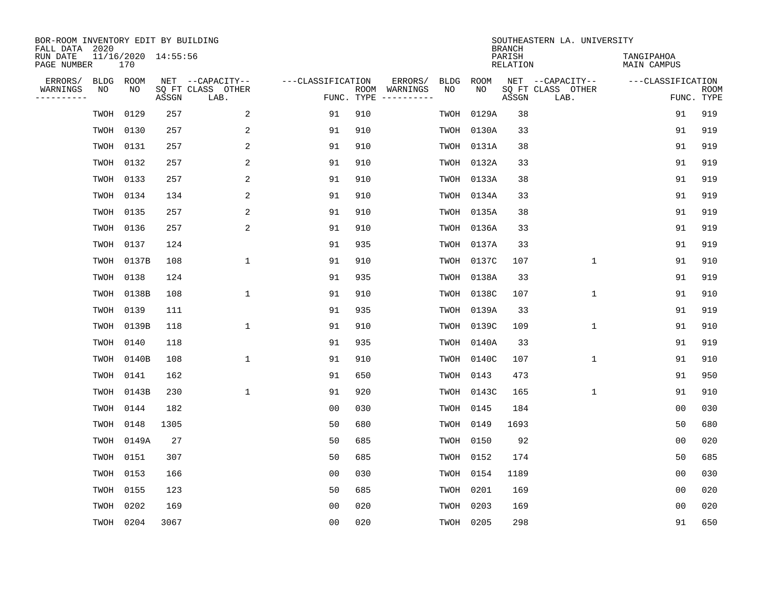| BOR-ROOM INVENTORY EDIT BY BUILDING<br>FALL DATA 2020 |                            |       |                           |                   |     |                                      |             |             | <b>BRANCH</b>             | SOUTHEASTERN LA. UNIVERSITY |                                  |                           |
|-------------------------------------------------------|----------------------------|-------|---------------------------|-------------------|-----|--------------------------------------|-------------|-------------|---------------------------|-----------------------------|----------------------------------|---------------------------|
| RUN DATE<br>PAGE NUMBER                               | 11/16/2020 14:55:56<br>170 |       |                           |                   |     |                                      |             |             | PARISH<br><b>RELATION</b> |                             | TANGIPAHOA<br><b>MAIN CAMPUS</b> |                           |
| ERRORS/<br><b>BLDG</b>                                | ROOM                       |       | NET --CAPACITY--          | ---CLASSIFICATION |     | ERRORS/                              | <b>BLDG</b> | <b>ROOM</b> |                           | NET --CAPACITY--            | ---CLASSIFICATION                |                           |
| WARNINGS<br>NO<br>----------                          | NO                         | ASSGN | SQ FT CLASS OTHER<br>LAB. |                   |     | ROOM WARNINGS<br>FUNC. TYPE $------$ | NO          | NO          | ASSGN                     | SQ FT CLASS OTHER<br>LAB.   |                                  | <b>ROOM</b><br>FUNC. TYPE |
| TWOH                                                  | 0129                       | 257   | 2                         | 91                | 910 |                                      | TWOH        | 0129A       | 38                        |                             | 91                               | 919                       |
| TWOH                                                  | 0130                       | 257   | 2                         | 91                | 910 |                                      | TWOH        | 0130A       | 33                        |                             | 91                               | 919                       |
| TWOH                                                  | 0131                       | 257   | 2                         | 91                | 910 |                                      | TWOH        | 0131A       | 38                        |                             | 91                               | 919                       |
| TWOH                                                  | 0132                       | 257   | 2                         | 91                | 910 |                                      |             | TWOH 0132A  | 33                        |                             | 91                               | 919                       |
| TWOH                                                  | 0133                       | 257   | 2                         | 91                | 910 |                                      |             | TWOH 0133A  | 38                        |                             | 91                               | 919                       |
|                                                       | TWOH 0134                  | 134   | 2                         | 91                | 910 |                                      |             | TWOH 0134A  | 33                        |                             | 91                               | 919                       |
|                                                       | TWOH 0135                  | 257   | 2                         | 91                | 910 |                                      |             | TWOH 0135A  | 38                        |                             | 91                               | 919                       |
|                                                       | TWOH 0136                  | 257   | $\sqrt{2}$                | 91                | 910 |                                      |             | TWOH 0136A  | 33                        |                             | 91                               | 919                       |
| TWOH                                                  | 0137                       | 124   |                           | 91                | 935 |                                      | TWOH        | 0137A       | 33                        |                             | 91                               | 919                       |
|                                                       | TWOH 0137B                 | 108   | $\mathbf{1}$              | 91                | 910 |                                      | TWOH        | 0137C       | 107                       | $\mathbf 1$                 | 91                               | 910                       |
| TWOH                                                  | 0138                       | 124   |                           | 91                | 935 |                                      | TWOH        | 0138A       | 33                        |                             | 91                               | 919                       |
| TWOH                                                  | 0138B                      | 108   | $\mathbf{1}$              | 91                | 910 |                                      | TWOH        | 0138C       | 107                       | $\mathbf{1}$                | 91                               | 910                       |
| TWOH                                                  | 0139                       | 111   |                           | 91                | 935 |                                      | TWOH        | 0139A       | 33                        |                             | 91                               | 919                       |
| TWOH                                                  | 0139B                      | 118   | $\mathbf{1}$              | 91                | 910 |                                      | TWOH        | 0139C       | 109                       | $\mathbf{1}$                | 91                               | 910                       |
| TWOH                                                  | 0140                       | 118   |                           | 91                | 935 |                                      | TWOH        | 0140A       | 33                        |                             | 91                               | 919                       |
| TWOH                                                  | 0140B                      | 108   | 1                         | 91                | 910 |                                      | TWOH        | 0140C       | 107                       | 1                           | 91                               | 910                       |
| TWOH                                                  | 0141                       | 162   |                           | 91                | 650 |                                      | TWOH        | 0143        | 473                       |                             | 91                               | 950                       |
|                                                       | TWOH 0143B                 | 230   | 1                         | 91                | 920 |                                      |             | TWOH 0143C  | 165                       | 1                           | 91                               | 910                       |
| TWOH                                                  | 0144                       | 182   |                           | 0 <sub>0</sub>    | 030 |                                      | TWOH        | 0145        | 184                       |                             | 0 <sub>0</sub>                   | 030                       |
| TWOH                                                  | 0148                       | 1305  |                           | 50                | 680 |                                      | TWOH        | 0149        | 1693                      |                             | 50                               | 680                       |
| TWOH                                                  | 0149A                      | 27    |                           | 50                | 685 |                                      | TWOH        | 0150        | 92                        |                             | 0 <sub>0</sub>                   | 020                       |
| TWOH                                                  | 0151                       | 307   |                           | 50                | 685 |                                      | TWOH        | 0152        | 174                       |                             | 50                               | 685                       |
| TWOH                                                  | 0153                       | 166   |                           | 0 <sub>0</sub>    | 030 |                                      | TWOH        | 0154        | 1189                      |                             | 0 <sub>0</sub>                   | 030                       |
| TWOH                                                  | 0155                       | 123   |                           | 50                | 685 |                                      | TWOH        | 0201        | 169                       |                             | 0 <sub>0</sub>                   | 020                       |
| TWOH                                                  | 0202                       | 169   |                           | 0 <sub>0</sub>    | 020 |                                      | TWOH        | 0203        | 169                       |                             | 0 <sub>0</sub>                   | 020                       |
|                                                       | TWOH 0204                  | 3067  |                           | 0 <sub>0</sub>    | 020 |                                      |             | TWOH 0205   | 298                       |                             | 91                               | 650                       |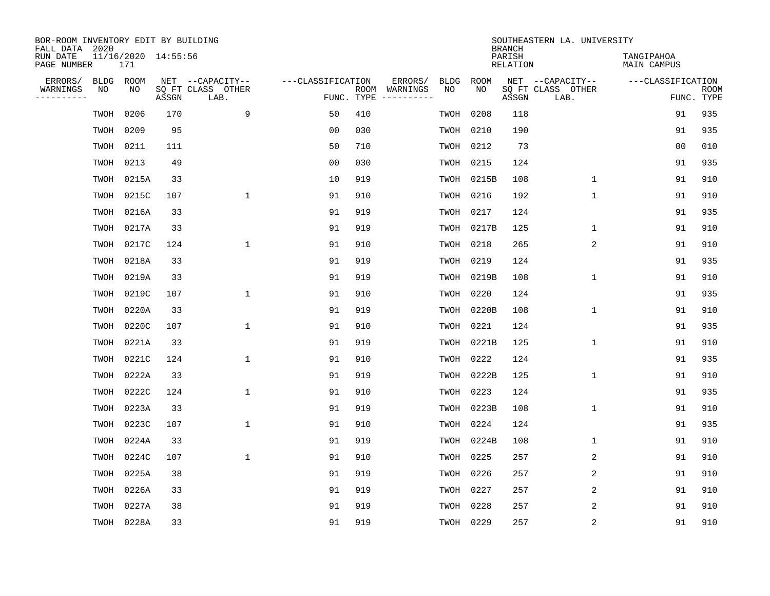| BOR-ROOM INVENTORY EDIT BY BUILDING<br>FALL DATA 2020 |                            |       |                           |                   |     |                              |             |             | <b>BRANCH</b>             | SOUTHEASTERN LA. UNIVERSITY |                                  |                           |
|-------------------------------------------------------|----------------------------|-------|---------------------------|-------------------|-----|------------------------------|-------------|-------------|---------------------------|-----------------------------|----------------------------------|---------------------------|
| RUN DATE<br>PAGE NUMBER                               | 11/16/2020 14:55:56<br>171 |       |                           |                   |     |                              |             |             | PARISH<br><b>RELATION</b> |                             | TANGIPAHOA<br><b>MAIN CAMPUS</b> |                           |
| ERRORS/<br><b>BLDG</b>                                | ROOM                       |       | NET --CAPACITY--          | ---CLASSIFICATION |     | ERRORS/                      | <b>BLDG</b> | <b>ROOM</b> |                           | NET --CAPACITY--            | ---CLASSIFICATION                |                           |
| WARNINGS<br>NO<br>----------                          | NO                         | ASSGN | SQ FT CLASS OTHER<br>LAB. | FUNC. TYPE        |     | ROOM WARNINGS<br>----------- | NO          | NO          | ASSGN                     | SQ FT CLASS OTHER<br>LAB.   |                                  | <b>ROOM</b><br>FUNC. TYPE |
| TWOH                                                  | 0206                       | 170   | 9                         | 50                | 410 |                              | TWOH        | 0208        | 118                       |                             | 91                               | 935                       |
| TWOH                                                  | 0209                       | 95    |                           | 0 <sub>0</sub>    | 030 |                              | TWOH        | 0210        | 190                       |                             | 91                               | 935                       |
| TWOH                                                  | 0211                       | 111   |                           | 50                | 710 |                              | TWOH        | 0212        | 73                        |                             | 0 <sub>0</sub>                   | 010                       |
| TWOH                                                  | 0213                       | 49    |                           | 0 <sub>0</sub>    | 030 |                              | TWOH        | 0215        | 124                       |                             | 91                               | 935                       |
| TWOH                                                  | 0215A                      | 33    |                           | 10                | 919 |                              | TWOH        | 0215B       | 108                       | $\mathbf 1$                 | 91                               | 910                       |
| TWOH                                                  | 0215C                      | 107   | $\mathbf{1}$              | 91                | 910 |                              | TWOH        | 0216        | 192                       | $\mathbf{1}$                | 91                               | 910                       |
| TWOH                                                  | 0216A                      | 33    |                           | 91                | 919 |                              | TWOH        | 0217        | 124                       |                             | 91                               | 935                       |
| TWOH                                                  | 0217A                      | 33    |                           | 91                | 919 |                              | TWOH        | 0217B       | 125                       | $\mathbf{1}$                | 91                               | 910                       |
| TWOH                                                  | 0217C                      | 124   | $\mathbf{1}$              | 91                | 910 |                              | TWOH        | 0218        | 265                       | 2                           | 91                               | 910                       |
| TWOH                                                  | 0218A                      | 33    |                           | 91                | 919 |                              | TWOH        | 0219        | 124                       |                             | 91                               | 935                       |
| TWOH                                                  | 0219A                      | 33    |                           | 91                | 919 |                              | TWOH        | 0219B       | 108                       | $\mathbf 1$                 | 91                               | 910                       |
| TWOH                                                  | 0219C                      | 107   | $\mathbf{1}$              | 91                | 910 |                              | TWOH        | 0220        | 124                       |                             | 91                               | 935                       |
| TWOH                                                  | 0220A                      | 33    |                           | 91                | 919 |                              | TWOH        | 0220B       | 108                       | $\mathbf{1}$                | 91                               | 910                       |
| TWOH                                                  | 0220C                      | 107   | $\mathbf{1}$              | 91                | 910 |                              | TWOH        | 0221        | 124                       |                             | 91                               | 935                       |
| TWOH                                                  | 0221A                      | 33    |                           | 91                | 919 |                              | TWOH        | 0221B       | 125                       | $\mathbf{1}$                | 91                               | 910                       |
| TWOH                                                  | 0221C                      | 124   | $\mathbf{1}$              | 91                | 910 |                              | TWOH        | 0222        | 124                       |                             | 91                               | 935                       |
| TWOH                                                  | 0222A                      | 33    |                           | 91                | 919 |                              | TWOH        | 0222B       | 125                       | 1                           | 91                               | 910                       |
| TWOH                                                  | 0222C                      | 124   | 1                         | 91                | 910 |                              | TWOH        | 0223        | 124                       |                             | 91                               | 935                       |
| TWOH                                                  | 0223A                      | 33    |                           | 91                | 919 |                              | TWOH        | 0223B       | 108                       | $\mathbf 1$                 | 91                               | 910                       |
| TWOH                                                  | 0223C                      | 107   | $\mathbf{1}$              | 91                | 910 |                              | TWOH        | 0224        | 124                       |                             | 91                               | 935                       |
| TWOH                                                  | 0224A                      | 33    |                           | 91                | 919 |                              | TWOH        | 0224B       | 108                       | $\mathbf 1$                 | 91                               | 910                       |
| TWOH                                                  | 0224C                      | 107   | $\mathbf{1}$              | 91                | 910 |                              | TWOH        | 0225        | 257                       | 2                           | 91                               | 910                       |
| TWOH                                                  | 0225A                      | 38    |                           | 91                | 919 |                              | TWOH        | 0226        | 257                       | 2                           | 91                               | 910                       |
| TWOH                                                  | 0226A                      | 33    |                           | 91                | 919 |                              | TWOH        | 0227        | 257                       | $\overline{a}$              | 91                               | 910                       |
| TWOH                                                  | 0227A                      | 38    |                           | 91                | 919 |                              | TWOH        | 0228        | 257                       | $\overline{a}$              | 91                               | 910                       |
|                                                       | TWOH 0228A                 | 33    |                           | 91                | 919 |                              | TWOH 0229   |             | 257                       | 2                           | 91                               | 910                       |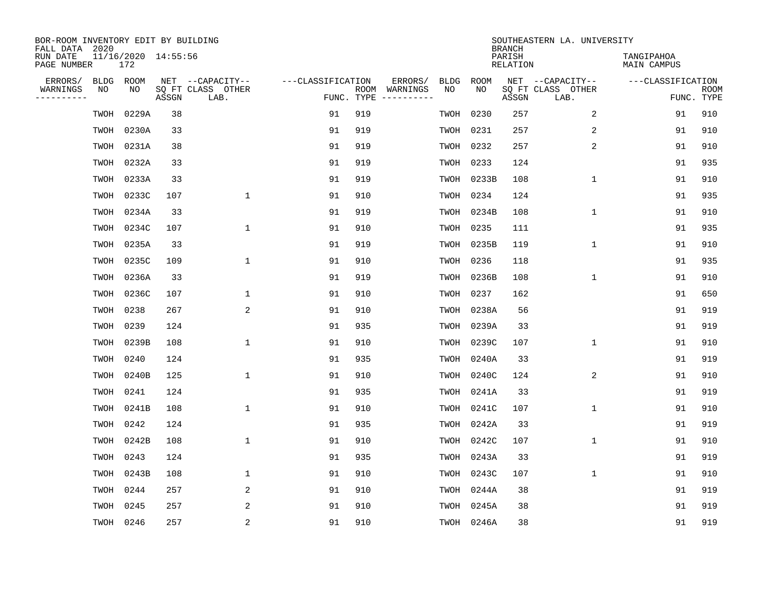| BOR-ROOM INVENTORY EDIT BY BUILDING<br>FALL DATA 2020 |                            |       |       |                           |                   |     |                              |             |             | <b>BRANCH</b>             | SOUTHEASTERN LA. UNIVERSITY |                                  |                           |
|-------------------------------------------------------|----------------------------|-------|-------|---------------------------|-------------------|-----|------------------------------|-------------|-------------|---------------------------|-----------------------------|----------------------------------|---------------------------|
| RUN DATE<br>PAGE NUMBER                               | 11/16/2020 14:55:56<br>172 |       |       |                           |                   |     |                              |             |             | PARISH<br><b>RELATION</b> |                             | TANGIPAHOA<br><b>MAIN CAMPUS</b> |                           |
| ERRORS/                                               | <b>BLDG</b><br>ROOM        |       |       | NET --CAPACITY--          | ---CLASSIFICATION |     | ERRORS/                      | <b>BLDG</b> | <b>ROOM</b> |                           | NET --CAPACITY--            | ---CLASSIFICATION                |                           |
| WARNINGS<br>----------                                | NO<br>NO                   |       | ASSGN | SQ FT CLASS OTHER<br>LAB. | FUNC. TYPE        |     | ROOM WARNINGS<br>----------- | NO          | NO          | ASSGN                     | SQ FT CLASS OTHER<br>LAB.   |                                  | <b>ROOM</b><br>FUNC. TYPE |
|                                                       | TWOH                       | 0229A | 38    |                           | 91                | 919 |                              | TWOH        | 0230        | 257                       | 2                           | 91                               | 910                       |
|                                                       | TWOH                       | 0230A | 33    |                           | 91                | 919 |                              | TWOH        | 0231        | 257                       | 2                           | 91                               | 910                       |
|                                                       | TWOH                       | 0231A | 38    |                           | 91                | 919 |                              | TWOH        | 0232        | 257                       | 2                           | 91                               | 910                       |
|                                                       | TWOH                       | 0232A | 33    |                           | 91                | 919 |                              | TWOH        | 0233        | 124                       |                             | 91                               | 935                       |
|                                                       | TWOH                       | 0233A | 33    |                           | 91                | 919 |                              | TWOH        | 0233B       | 108                       | $\mathbf 1$                 | 91                               | 910                       |
|                                                       | TWOH                       | 0233C | 107   | $\mathbf{1}$              | 91                | 910 |                              | TWOH        | 0234        | 124                       |                             | 91                               | 935                       |
|                                                       | TWOH                       | 0234A | 33    |                           | 91                | 919 |                              | TWOH        | 0234B       | 108                       | $\mathbf 1$                 | 91                               | 910                       |
|                                                       | TWOH                       | 0234C | 107   | $\mathbf{1}$              | 91                | 910 |                              | TWOH        | 0235        | 111                       |                             | 91                               | 935                       |
|                                                       | TWOH                       | 0235A | 33    |                           | 91                | 919 |                              | TWOH        | 0235B       | 119                       | $\mathbf 1$                 | 91                               | 910                       |
|                                                       | TWOH                       | 0235C | 109   | $\mathbf{1}$              | 91                | 910 |                              | TWOH        | 0236        | 118                       |                             | 91                               | 935                       |
|                                                       | TWOH                       | 0236A | 33    |                           | 91                | 919 |                              | TWOH        | 0236B       | 108                       | $\mathbf 1$                 | 91                               | 910                       |
|                                                       | TWOH                       | 0236C | 107   | $\mathbf 1$               | 91                | 910 |                              | TWOH        | 0237        | 162                       |                             | 91                               | 650                       |
|                                                       | 0238<br>TWOH               |       | 267   | 2                         | 91                | 910 |                              | TWOH        | 0238A       | 56                        |                             | 91                               | 919                       |
|                                                       | 0239<br>TWOH               |       | 124   |                           | 91                | 935 |                              | TWOH        | 0239A       | 33                        |                             | 91                               | 919                       |
|                                                       | TWOH                       | 0239B | 108   | $\mathbf{1}$              | 91                | 910 |                              | TWOH        | 0239C       | 107                       | $\mathbf 1$                 | 91                               | 910                       |
|                                                       | 0240<br>TWOH               |       | 124   |                           | 91                | 935 |                              | TWOH        | 0240A       | 33                        |                             | 91                               | 919                       |
|                                                       | TWOH                       | 0240B | 125   | $\mathbf{1}$              | 91                | 910 |                              | TWOH        | 0240C       | 124                       | 2                           | 91                               | 910                       |
|                                                       | 0241<br>TWOH               |       | 124   |                           | 91                | 935 |                              | TWOH        | 0241A       | 33                        |                             | 91                               | 919                       |
|                                                       | TWOH                       | 0241B | 108   | 1                         | 91                | 910 |                              | TWOH        | 0241C       | 107                       | $\mathbf 1$                 | 91                               | 910                       |
|                                                       | 0242<br>TWOH               |       | 124   |                           | 91                | 935 |                              | TWOH        | 0242A       | 33                        |                             | 91                               | 919                       |
|                                                       | TWOH                       | 0242B | 108   | $\mathbf{1}$              | 91                | 910 |                              | TWOH        | 0242C       | 107                       | $\mathbf{1}$                | 91                               | 910                       |
|                                                       | 0243<br>TWOH               |       | 124   |                           | 91                | 935 |                              | TWOH        | 0243A       | 33                        |                             | 91                               | 919                       |
|                                                       | TWOH                       | 0243B | 108   | 1                         | 91                | 910 |                              | TWOH        | 0243C       | 107                       | $\mathbf 1$                 | 91                               | 910                       |
|                                                       | 0244<br>TWOH               |       | 257   | 2                         | 91                | 910 |                              | TWOH        | 0244A       | 38                        |                             | 91                               | 919                       |
|                                                       | 0245<br>TWOH               |       | 257   | 2                         | 91                | 910 |                              | TWOH        | 0245A       | 38                        |                             | 91                               | 919                       |
|                                                       | TWOH 0246                  |       | 257   | 2                         | 91                | 910 |                              |             | TWOH 0246A  | 38                        |                             | 91                               | 919                       |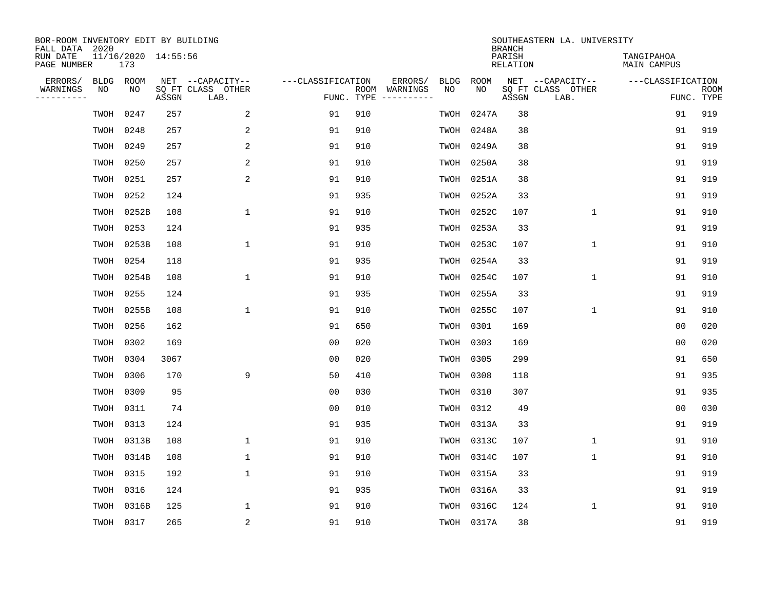| BOR-ROOM INVENTORY EDIT BY BUILDING<br>FALL DATA 2020 |           |                            |       |                           |                   |     |                                      |             |            | <b>BRANCH</b>             | SOUTHEASTERN LA. UNIVERSITY |                                  |                           |
|-------------------------------------------------------|-----------|----------------------------|-------|---------------------------|-------------------|-----|--------------------------------------|-------------|------------|---------------------------|-----------------------------|----------------------------------|---------------------------|
| RUN DATE<br>PAGE NUMBER                               |           | 11/16/2020 14:55:56<br>173 |       |                           |                   |     |                                      |             |            | PARISH<br><b>RELATION</b> |                             | TANGIPAHOA<br><b>MAIN CAMPUS</b> |                           |
| ERRORS/                                               | BLDG      | ROOM                       |       | NET --CAPACITY--          | ---CLASSIFICATION |     | ERRORS/                              | <b>BLDG</b> | ROOM       |                           | NET --CAPACITY--            | ---CLASSIFICATION                |                           |
| WARNINGS<br>----------                                | NO        | NO                         | ASSGN | SQ FT CLASS OTHER<br>LAB. |                   |     | ROOM WARNINGS<br>FUNC. TYPE $------$ | NO          | NO         | ASSGN                     | SQ FT CLASS OTHER<br>LAB.   |                                  | <b>ROOM</b><br>FUNC. TYPE |
|                                                       | TWOH      | 0247                       | 257   | 2                         | 91                | 910 |                                      | TWOH        | 0247A      | 38                        |                             | 91                               | 919                       |
|                                                       | TWOH      | 0248                       | 257   | 2                         | 91                | 910 |                                      | TWOH        | 0248A      | 38                        |                             | 91                               | 919                       |
|                                                       | TWOH      | 0249                       | 257   | $\overline{2}$            | 91                | 910 |                                      | TWOH        | 0249A      | 38                        |                             | 91                               | 919                       |
|                                                       | TWOH      | 0250                       | 257   | 2                         | 91                | 910 |                                      |             | TWOH 0250A | 38                        |                             | 91                               | 919                       |
|                                                       | TWOH      | 0251                       | 257   | 2                         | 91                | 910 |                                      | TWOH        | 0251A      | 38                        |                             | 91                               | 919                       |
|                                                       | TWOH      | 0252                       | 124   |                           | 91                | 935 |                                      |             | TWOH 0252A | 33                        |                             | 91                               | 919                       |
|                                                       |           | TWOH 0252B                 | 108   | $\mathbf{1}$              | 91                | 910 |                                      | TWOH        | 0252C      | 107                       | $\mathbf{1}$                | 91                               | 910                       |
|                                                       | TWOH      | 0253                       | 124   |                           | 91                | 935 |                                      | TWOH        | 0253A      | 33                        |                             | 91                               | 919                       |
|                                                       | TWOH      | 0253B                      | 108   | $\mathbf{1}$              | 91                | 910 |                                      | TWOH        | 0253C      | 107                       | $\mathbf 1$                 | 91                               | 910                       |
|                                                       | TWOH      | 0254                       | 118   |                           | 91                | 935 |                                      | TWOH        | 0254A      | 33                        |                             | 91                               | 919                       |
|                                                       | TWOH      | 0254B                      | 108   | $\mathbf{1}$              | 91                | 910 |                                      | TWOH        | 0254C      | 107                       | $\mathbf{1}$                | 91                               | 910                       |
|                                                       | TWOH      | 0255                       | 124   |                           | 91                | 935 |                                      | TWOH        | 0255A      | 33                        |                             | 91                               | 919                       |
|                                                       | TWOH      | 0255B                      | 108   | $\mathbf{1}$              | 91                | 910 |                                      | TWOH        | 0255C      | 107                       | 1                           | 91                               | 910                       |
|                                                       | TWOH      | 0256                       | 162   |                           | 91                | 650 |                                      | TWOH        | 0301       | 169                       |                             | 0 <sub>0</sub>                   | 020                       |
|                                                       | TWOH      | 0302                       | 169   |                           | 0 <sub>0</sub>    | 020 |                                      | TWOH        | 0303       | 169                       |                             | 0 <sub>0</sub>                   | 020                       |
|                                                       | TWOH      | 0304                       | 3067  |                           | 0 <sub>0</sub>    | 020 |                                      | TWOH        | 0305       | 299                       |                             | 91                               | 650                       |
|                                                       | TWOH      | 0306                       | 170   | 9                         | 50                | 410 |                                      | TWOH        | 0308       | 118                       |                             | 91                               | 935                       |
|                                                       | TWOH      | 0309                       | 95    |                           | 0 <sub>0</sub>    | 030 |                                      | TWOH        | 0310       | 307                       |                             | 91                               | 935                       |
|                                                       | TWOH      | 0311                       | 74    |                           | 0 <sub>0</sub>    | 010 |                                      | TWOH        | 0312       | 49                        |                             | 0 <sub>0</sub>                   | 030                       |
|                                                       | TWOH      | 0313                       | 124   |                           | 91                | 935 |                                      | TWOH        | 0313A      | 33                        |                             | 91                               | 919                       |
|                                                       | TWOH      | 0313B                      | 108   | $\mathbf{1}$              | 91                | 910 |                                      | TWOH        | 0313C      | 107                       | $\mathbf 1$                 | 91                               | 910                       |
|                                                       | TWOH      | 0314B                      | 108   | 1                         | 91                | 910 |                                      | TWOH        | 0314C      | 107                       | $\mathbf{1}$                | 91                               | 910                       |
|                                                       | TWOH      | 0315                       | 192   | $\mathbf{1}$              | 91                | 910 |                                      |             | TWOH 0315A | 33                        |                             | 91                               | 919                       |
|                                                       | TWOH      | 0316                       | 124   |                           | 91                | 935 |                                      | TWOH        | 0316A      | 33                        |                             | 91                               | 919                       |
|                                                       | TWOH      | 0316B                      | 125   | $\mathbf{1}$              | 91                | 910 |                                      |             | TWOH 0316C | 124                       | $\mathbf{1}$                | 91                               | 910                       |
|                                                       | TWOH 0317 |                            | 265   | 2                         | 91                | 910 |                                      |             | TWOH 0317A | 38                        |                             | 91                               | 919                       |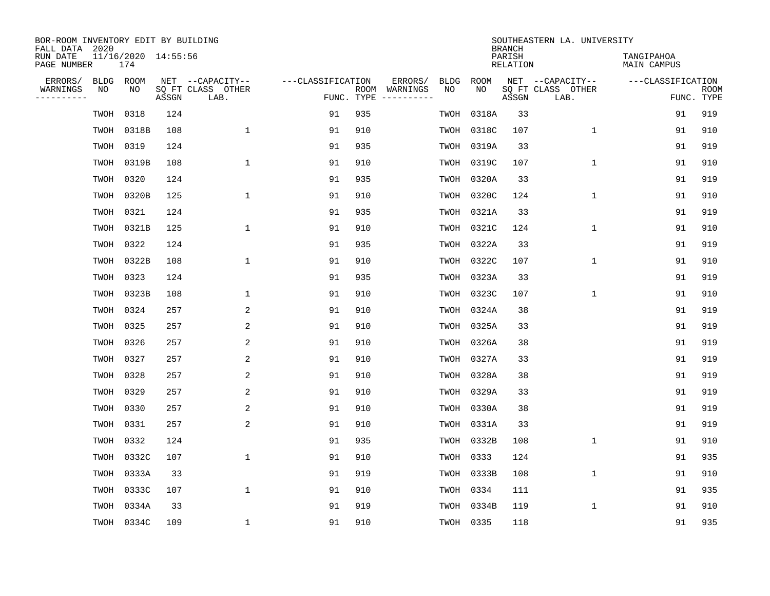| BOR-ROOM INVENTORY EDIT BY BUILDING<br>FALL DATA 2020 |             |                            |       |                           |                   |            |                              |             |             | <b>BRANCH</b>             | SOUTHEASTERN LA. UNIVERSITY |                                  |                           |
|-------------------------------------------------------|-------------|----------------------------|-------|---------------------------|-------------------|------------|------------------------------|-------------|-------------|---------------------------|-----------------------------|----------------------------------|---------------------------|
| RUN DATE<br>PAGE NUMBER                               |             | 11/16/2020 14:55:56<br>174 |       |                           |                   |            |                              |             |             | PARISH<br><b>RELATION</b> |                             | TANGIPAHOA<br><b>MAIN CAMPUS</b> |                           |
| ERRORS/                                               | <b>BLDG</b> | ROOM                       |       | NET --CAPACITY--          | ---CLASSIFICATION |            | ERRORS/                      | <b>BLDG</b> | <b>ROOM</b> |                           | NET --CAPACITY--            | ---CLASSIFICATION                |                           |
| WARNINGS<br>----------                                | NO          | NO                         | ASSGN | SQ FT CLASS OTHER<br>LAB. |                   | FUNC. TYPE | ROOM WARNINGS<br>----------- | NO          | NO          | ASSGN                     | SQ FT CLASS OTHER<br>LAB.   |                                  | <b>ROOM</b><br>FUNC. TYPE |
|                                                       | TWOH        | 0318                       | 124   |                           | 91                | 935        |                              | TWOH        | 0318A       | 33                        |                             | 91                               | 919                       |
|                                                       | TWOH        | 0318B                      | 108   | $\mathbf{1}$              | 91                | 910        |                              | TWOH        | 0318C       | 107                       | $\mathbf 1$                 | 91                               | 910                       |
|                                                       | TWOH        | 0319                       | 124   |                           | 91                | 935        |                              | TWOH        | 0319A       | 33                        |                             | 91                               | 919                       |
|                                                       | TWOH        | 0319B                      | 108   | $\mathbf{1}$              | 91                | 910        |                              | TWOH        | 0319C       | 107                       | $\mathbf 1$                 | 91                               | 910                       |
|                                                       | TWOH        | 0320                       | 124   |                           | 91                | 935        |                              | TWOH        | 0320A       | 33                        |                             | 91                               | 919                       |
|                                                       | TWOH        | 0320B                      | 125   | $\mathbf{1}$              | 91                | 910        |                              | TWOH        | 0320C       | 124                       | $\mathbf{1}$                | 91                               | 910                       |
|                                                       | TWOH        | 0321                       | 124   |                           | 91                | 935        |                              |             | TWOH 0321A  | 33                        |                             | 91                               | 919                       |
|                                                       | TWOH        | 0321B                      | 125   | $\mathbf{1}$              | 91                | 910        |                              | TWOH        | 0321C       | 124                       | $\mathbf{1}$                | 91                               | 910                       |
|                                                       | TWOH        | 0322                       | 124   |                           | 91                | 935        |                              | TWOH        | 0322A       | 33                        |                             | 91                               | 919                       |
|                                                       | TWOH        | 0322B                      | 108   | $\mathbf{1}$              | 91                | 910        |                              | TWOH        | 0322C       | 107                       | $\mathbf 1$                 | 91                               | 910                       |
|                                                       | TWOH        | 0323                       | 124   |                           | 91                | 935        |                              | TWOH        | 0323A       | 33                        |                             | 91                               | 919                       |
|                                                       | TWOH        | 0323B                      | 108   | $\mathbf{1}$              | 91                | 910        |                              | TWOH        | 0323C       | 107                       | $\mathbf{1}$                | 91                               | 910                       |
|                                                       | TWOH        | 0324                       | 257   | 2                         | 91                | 910        |                              | TWOH        | 0324A       | 38                        |                             | 91                               | 919                       |
|                                                       | TWOH        | 0325                       | 257   | 2                         | 91                | 910        |                              | TWOH        | 0325A       | 33                        |                             | 91                               | 919                       |
|                                                       | TWOH        | 0326                       | 257   | 2                         | 91                | 910        |                              | TWOH        | 0326A       | 38                        |                             | 91                               | 919                       |
|                                                       | TWOH        | 0327                       | 257   | 2                         | 91                | 910        |                              |             | TWOH 0327A  | 33                        |                             | 91                               | 919                       |
|                                                       | TWOH        | 0328                       | 257   | 2                         | 91                | 910        |                              | TWOH        | 0328A       | 38                        |                             | 91                               | 919                       |
|                                                       | TWOH        | 0329                       | 257   | 2                         | 91                | 910        |                              |             | TWOH 0329A  | 33                        |                             | 91                               | 919                       |
|                                                       | TWOH        | 0330                       | 257   | 2                         | 91                | 910        |                              | TWOH        | 0330A       | 38                        |                             | 91                               | 919                       |
|                                                       | TWOH        | 0331                       | 257   | 2                         | 91                | 910        |                              | TWOH        | 0331A       | 33                        |                             | 91                               | 919                       |
|                                                       | TWOH        | 0332                       | 124   |                           | 91                | 935        |                              | TWOH        | 0332B       | 108                       | $\mathbf 1$                 | 91                               | 910                       |
|                                                       | TWOH        | 0332C                      | 107   | $\mathbf{1}$              | 91                | 910        |                              | TWOH        | 0333        | 124                       |                             | 91                               | 935                       |
|                                                       | TWOH        | 0333A                      | 33    |                           | 91                | 919        |                              | TWOH        | 0333B       | 108                       | $\mathbf 1$                 | 91                               | 910                       |
|                                                       | TWOH        | 0333C                      | 107   | $\mathbf{1}$              | 91                | 910        |                              | TWOH        | 0334        | 111                       |                             | 91                               | 935                       |
|                                                       | TWOH        | 0334A                      | 33    |                           | 91                | 919        |                              | TWOH        | 0334B       | 119                       | 1                           | 91                               | 910                       |
|                                                       |             | TWOH 0334C                 | 109   | $\mathbf{1}$              | 91                | 910        |                              |             | TWOH 0335   | 118                       |                             | 91                               | 935                       |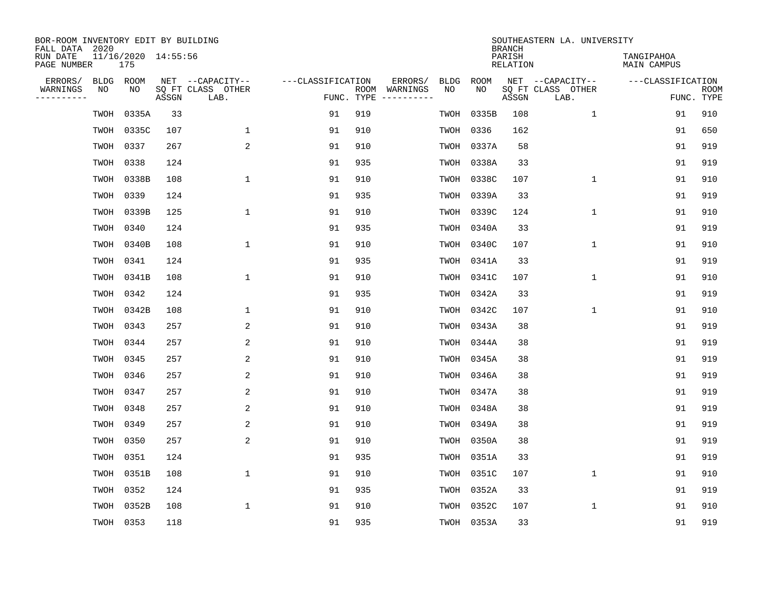| BOR-ROOM INVENTORY EDIT BY BUILDING<br>FALL DATA 2020 |             |                            |       |                           |                   |            |                              |             |             | <b>BRANCH</b>             | SOUTHEASTERN LA. UNIVERSITY |                                  |                           |
|-------------------------------------------------------|-------------|----------------------------|-------|---------------------------|-------------------|------------|------------------------------|-------------|-------------|---------------------------|-----------------------------|----------------------------------|---------------------------|
| RUN DATE<br>PAGE NUMBER                               |             | 11/16/2020 14:55:56<br>175 |       |                           |                   |            |                              |             |             | PARISH<br><b>RELATION</b> |                             | TANGIPAHOA<br><b>MAIN CAMPUS</b> |                           |
| ERRORS/                                               | <b>BLDG</b> | ROOM                       |       | NET --CAPACITY--          | ---CLASSIFICATION |            | ERRORS/                      | <b>BLDG</b> | <b>ROOM</b> |                           | NET --CAPACITY--            | ---CLASSIFICATION                |                           |
| WARNINGS<br>----------                                | NO          | NO                         | ASSGN | SQ FT CLASS OTHER<br>LAB. |                   | FUNC. TYPE | ROOM WARNINGS<br>----------- | NO          | NO          | ASSGN                     | SQ FT CLASS OTHER<br>LAB.   |                                  | <b>ROOM</b><br>FUNC. TYPE |
|                                                       | TWOH        | 0335A                      | 33    |                           | 91                | 919        |                              | TWOH        | 0335B       | 108                       | $\mathbf{1}$                | 91                               | 910                       |
|                                                       | TWOH        | 0335C                      | 107   | 1                         | 91                | 910        |                              | TWOH        | 0336        | 162                       |                             | 91                               | 650                       |
|                                                       | TWOH        | 0337                       | 267   | 2                         | 91                | 910        |                              | TWOH        | 0337A       | 58                        |                             | 91                               | 919                       |
|                                                       | TWOH        | 0338                       | 124   |                           | 91                | 935        |                              | TWOH        | 0338A       | 33                        |                             | 91                               | 919                       |
|                                                       | TWOH        | 0338B                      | 108   | $\mathbf{1}$              | 91                | 910        |                              | TWOH        | 0338C       | 107                       | $\mathbf 1$                 | 91                               | 910                       |
|                                                       | TWOH        | 0339                       | 124   |                           | 91                | 935        |                              |             | TWOH 0339A  | 33                        |                             | 91                               | 919                       |
|                                                       | TWOH        | 0339B                      | 125   | $\mathbf{1}$              | 91                | 910        |                              |             | TWOH 0339C  | 124                       | $\mathbf{1}$                | 91                               | 910                       |
|                                                       | TWOH        | 0340                       | 124   |                           | 91                | 935        |                              | TWOH        | 0340A       | 33                        |                             | 91                               | 919                       |
|                                                       | TWOH        | 0340B                      | 108   | $\mathbf{1}$              | 91                | 910        |                              | TWOH        | 0340C       | 107                       | $\mathbf{1}$                | 91                               | 910                       |
|                                                       | TWOH 0341   |                            | 124   |                           | 91                | 935        |                              |             | TWOH 0341A  | 33                        |                             | 91                               | 919                       |
|                                                       | TWOH        | 0341B                      | 108   | $\mathbf{1}$              | 91                | 910        |                              | TWOH        | 0341C       | 107                       | $\mathbf 1$                 | 91                               | 910                       |
|                                                       | TWOH        | 0342                       | 124   |                           | 91                | 935        |                              | TWOH        | 0342A       | 33                        |                             | 91                               | 919                       |
|                                                       | TWOH        | 0342B                      | 108   | $\mathbf{1}$              | 91                | 910        |                              | TWOH        | 0342C       | 107                       | $\mathbf{1}$                | 91                               | 910                       |
|                                                       | TWOH        | 0343                       | 257   | 2                         | 91                | 910        |                              | TWOH        | 0343A       | 38                        |                             | 91                               | 919                       |
|                                                       | TWOH        | 0344                       | 257   | 2                         | 91                | 910        |                              |             | TWOH 0344A  | 38                        |                             | 91                               | 919                       |
|                                                       | TWOH        | 0345                       | 257   | 2                         | 91                | 910        |                              |             | TWOH 0345A  | 38                        |                             | 91                               | 919                       |
|                                                       | TWOH        | 0346                       | 257   | 2                         | 91                | 910        |                              | TWOH        | 0346A       | 38                        |                             | 91                               | 919                       |
|                                                       | TWOH        | 0347                       | 257   | 2                         | 91                | 910        |                              |             | TWOH 0347A  | 38                        |                             | 91                               | 919                       |
|                                                       | TWOH        | 0348                       | 257   | 2                         | 91                | 910        |                              | TWOH        | 0348A       | 38                        |                             | 91                               | 919                       |
|                                                       | TWOH        | 0349                       | 257   | 2                         | 91                | 910        |                              | TWOH        | 0349A       | 38                        |                             | 91                               | 919                       |
|                                                       | TWOH        | 0350                       | 257   | 2                         | 91                | 910        |                              | TWOH        | 0350A       | 38                        |                             | 91                               | 919                       |
|                                                       | TWOH        | 0351                       | 124   |                           | 91                | 935        |                              | TWOH        | 0351A       | 33                        |                             | 91                               | 919                       |
|                                                       | TWOH        | 0351B                      | 108   | $\mathbf{1}$              | 91                | 910        |                              | TWOH        | 0351C       | 107                       | $\mathbf 1$                 | 91                               | 910                       |
|                                                       | TWOH        | 0352                       | 124   |                           | 91                | 935        |                              | TWOH        | 0352A       | 33                        |                             | 91                               | 919                       |
|                                                       | TWOH        | 0352B                      | 108   | $\mathbf{1}$              | 91                | 910        |                              | TWOH        | 0352C       | 107                       | 1                           | 91                               | 910                       |
|                                                       | TWOH 0353   |                            | 118   |                           | 91                | 935        |                              |             | TWOH 0353A  | 33                        |                             | 91                               | 919                       |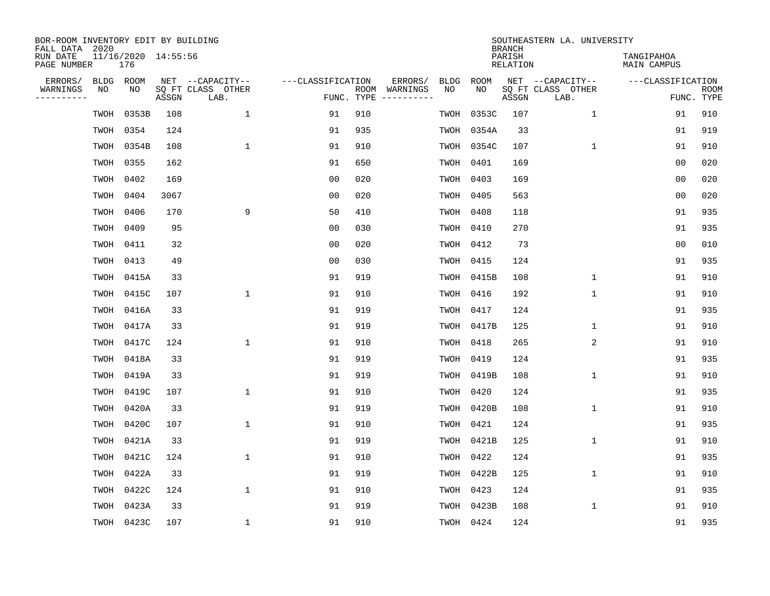| BOR-ROOM INVENTORY EDIT BY BUILDING<br>FALL DATA 2020 |      |                            |       |                           |                   |     |               |             |             | <b>BRANCH</b>             | SOUTHEASTERN LA. UNIVERSITY |                                  |                           |
|-------------------------------------------------------|------|----------------------------|-------|---------------------------|-------------------|-----|---------------|-------------|-------------|---------------------------|-----------------------------|----------------------------------|---------------------------|
| RUN DATE<br>PAGE NUMBER                               |      | 11/16/2020 14:55:56<br>176 |       |                           |                   |     |               |             |             | PARISH<br><b>RELATION</b> |                             | TANGIPAHOA<br><b>MAIN CAMPUS</b> |                           |
| ERRORS/                                               | BLDG | ROOM                       |       | NET --CAPACITY--          | ---CLASSIFICATION |     | ERRORS/       | <b>BLDG</b> | <b>ROOM</b> |                           | NET --CAPACITY--            | ---CLASSIFICATION                |                           |
| WARNINGS<br>----------                                | NO   | NO                         | ASSGN | SQ FT CLASS OTHER<br>LAB. | FUNC. TYPE        |     | ROOM WARNINGS | NO          | NO          | ASSGN                     | SQ FT CLASS OTHER<br>LAB.   |                                  | <b>ROOM</b><br>FUNC. TYPE |
|                                                       | TWOH | 0353B                      | 108   | $\mathbf{1}$              | 91                | 910 |               | TWOH        | 0353C       | 107                       | 1                           | 91                               | 910                       |
|                                                       | TWOH | 0354                       | 124   |                           | 91                | 935 |               | TWOH        | 0354A       | 33                        |                             | 91                               | 919                       |
|                                                       | TWOH | 0354B                      | 108   | $\mathbf{1}$              | 91                | 910 |               | TWOH        | 0354C       | 107                       | $\mathbf 1$                 | 91                               | 910                       |
|                                                       | TWOH | 0355                       | 162   |                           | 91                | 650 |               | TWOH        | 0401        | 169                       |                             | 0 <sub>0</sub>                   | 020                       |
|                                                       | TWOH | 0402                       | 169   |                           | 0 <sub>0</sub>    | 020 |               | TWOH        | 0403        | 169                       |                             | 0 <sub>0</sub>                   | 020                       |
|                                                       | TWOH | 0404                       | 3067  |                           | 0 <sub>0</sub>    | 020 |               | TWOH        | 0405        | 563                       |                             | 0 <sub>0</sub>                   | 020                       |
|                                                       | TWOH | 0406                       | 170   | 9                         | 50                | 410 |               | TWOH        | 0408        | 118                       |                             | 91                               | 935                       |
|                                                       | TWOH | 0409                       | 95    |                           | 0 <sub>0</sub>    | 030 |               | TWOH        | 0410        | 270                       |                             | 91                               | 935                       |
|                                                       | TWOH | 0411                       | 32    |                           | 0 <sub>0</sub>    | 020 |               | TWOH        | 0412        | 73                        |                             | 0 <sub>0</sub>                   | 010                       |
|                                                       | TWOH | 0413                       | 49    |                           | 0 <sub>0</sub>    | 030 |               | TWOH        | 0415        | 124                       |                             | 91                               | 935                       |
|                                                       | TWOH | 0415A                      | 33    |                           | 91                | 919 |               | TWOH        | 0415B       | 108                       | $\mathbf 1$                 | 91                               | 910                       |
|                                                       | TWOH | 0415C                      | 107   | $\mathbf{1}$              | 91                | 910 |               | TWOH        | 0416        | 192                       | $\mathbf 1$                 | 91                               | 910                       |
|                                                       | TWOH | 0416A                      | 33    |                           | 91                | 919 |               | TWOH        | 0417        | 124                       |                             | 91                               | 935                       |
|                                                       | TWOH | 0417A                      | 33    |                           | 91                | 919 |               | TWOH        | 0417B       | 125                       | $\mathbf 1$                 | 91                               | 910                       |
|                                                       | TWOH | 0417C                      | 124   | $\mathbf 1$               | 91                | 910 |               | TWOH        | 0418        | 265                       | 2                           | 91                               | 910                       |
|                                                       | TWOH | 0418A                      | 33    |                           | 91                | 919 |               | TWOH        | 0419        | 124                       |                             | 91                               | 935                       |
|                                                       | TWOH | 0419A                      | 33    |                           | 91                | 919 |               | TWOH        | 0419B       | 108                       | 1                           | 91                               | 910                       |
|                                                       | TWOH | 0419C                      | 107   | 1                         | 91                | 910 |               | TWOH        | 0420        | 124                       |                             | 91                               | 935                       |
|                                                       | TWOH | 0420A                      | 33    |                           | 91                | 919 |               | TWOH        | 0420B       | 108                       | $\mathbf 1$                 | 91                               | 910                       |
|                                                       | TWOH | 0420C                      | 107   | 1                         | 91                | 910 |               | TWOH        | 0421        | 124                       |                             | 91                               | 935                       |
|                                                       | TWOH | 0421A                      | 33    |                           | 91                | 919 |               | TWOH        | 0421B       | 125                       | $\mathbf 1$                 | 91                               | 910                       |
|                                                       | TWOH | 0421C                      | 124   | 1                         | 91                | 910 |               | TWOH        | 0422        | 124                       |                             | 91                               | 935                       |
|                                                       | TWOH | 0422A                      | 33    |                           | 91                | 919 |               | TWOH        | 0422B       | 125                       | $\mathbf 1$                 | 91                               | 910                       |
|                                                       | TWOH | 0422C                      | 124   | $\mathbf{1}$              | 91                | 910 |               | TWOH        | 0423        | 124                       |                             | 91                               | 935                       |
|                                                       | TWOH | 0423A                      | 33    |                           | 91                | 919 |               | TWOH        | 0423B       | 108                       | $\mathbf 1$                 | 91                               | 910                       |
|                                                       |      | TWOH 0423C                 | 107   | 1                         | 91                | 910 |               | TWOH 0424   |             | 124                       |                             | 91                               | 935                       |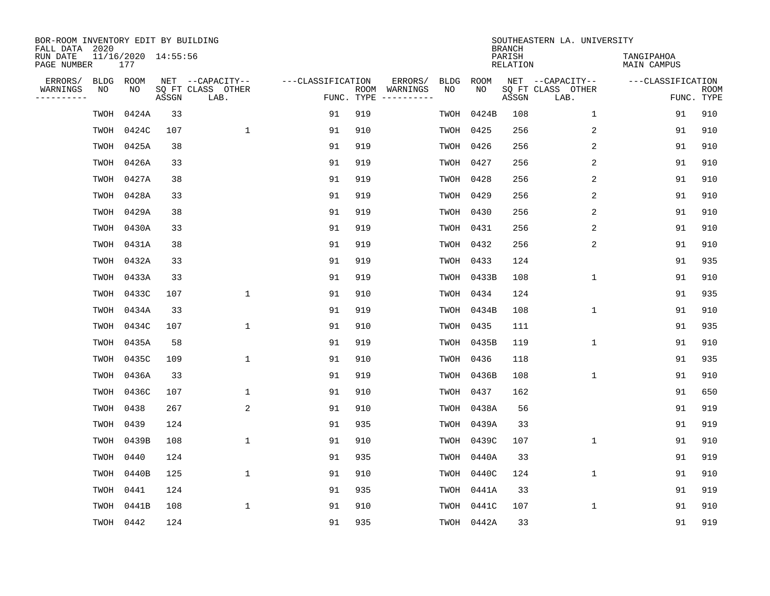| BOR-ROOM INVENTORY EDIT BY BUILDING<br>FALL DATA 2020 |      |                            |       |                           |                   |            |                              |             |             | <b>BRANCH</b>             | SOUTHEASTERN LA. UNIVERSITY |                                  |                           |
|-------------------------------------------------------|------|----------------------------|-------|---------------------------|-------------------|------------|------------------------------|-------------|-------------|---------------------------|-----------------------------|----------------------------------|---------------------------|
| RUN DATE<br>PAGE NUMBER                               |      | 11/16/2020 14:55:56<br>177 |       |                           |                   |            |                              |             |             | PARISH<br><b>RELATION</b> |                             | TANGIPAHOA<br><b>MAIN CAMPUS</b> |                           |
| ERRORS/                                               | BLDG | ROOM                       |       | NET --CAPACITY--          | ---CLASSIFICATION |            | ERRORS/                      | <b>BLDG</b> | <b>ROOM</b> |                           | NET --CAPACITY--            | ---CLASSIFICATION                |                           |
| WARNINGS<br>----------                                | ΝO   | NO                         | ASSGN | SQ FT CLASS OTHER<br>LAB. |                   | FUNC. TYPE | ROOM WARNINGS<br>----------- | NO          | NO          | ASSGN                     | SQ FT CLASS OTHER<br>LAB.   |                                  | <b>ROOM</b><br>FUNC. TYPE |
|                                                       | TWOH | 0424A                      | 33    |                           | 91                | 919        |                              | TWOH        | 0424B       | 108                       | $\mathbf{1}$                | 91                               | 910                       |
|                                                       | TWOH | 0424C                      | 107   | 1                         | 91                | 910        |                              | TWOH        | 0425        | 256                       | 2                           | 91                               | 910                       |
|                                                       | TWOH | 0425A                      | 38    |                           | 91                | 919        |                              |             | TWOH 0426   | 256                       | 2                           | 91                               | 910                       |
|                                                       | TWOH | 0426A                      | 33    |                           | 91                | 919        |                              | TWOH        | 0427        | 256                       | 2                           | 91                               | 910                       |
|                                                       | TWOH | 0427A                      | 38    |                           | 91                | 919        |                              | TWOH        | 0428        | 256                       | 2                           | 91                               | 910                       |
|                                                       |      | TWOH 0428A                 | 33    |                           | 91                | 919        |                              |             | TWOH 0429   | 256                       | 2                           | 91                               | 910                       |
|                                                       |      | TWOH 0429A                 | 38    |                           | 91                | 919        |                              | TWOH        | 0430        | 256                       | 2                           | 91                               | 910                       |
|                                                       | TWOH | 0430A                      | 33    |                           | 91                | 919        |                              |             | TWOH 0431   | 256                       | 2                           | 91                               | 910                       |
|                                                       | TWOH | 0431A                      | 38    |                           | 91                | 919        |                              | TWOH        | 0432        | 256                       | 2                           | 91                               | 910                       |
|                                                       | TWOH | 0432A                      | 33    |                           | 91                | 919        |                              | TWOH        | 0433        | 124                       |                             | 91                               | 935                       |
|                                                       | TWOH | 0433A                      | 33    |                           | 91                | 919        |                              | TWOH        | 0433B       | 108                       | $\mathbf 1$                 | 91                               | 910                       |
|                                                       | TWOH | 0433C                      | 107   | $\mathbf{1}$              | 91                | 910        |                              | TWOH        | 0434        | 124                       |                             | 91                               | 935                       |
|                                                       | TWOH | 0434A                      | 33    |                           | 91                | 919        |                              | TWOH        | 0434B       | 108                       | $\mathbf 1$                 | 91                               | 910                       |
|                                                       | TWOH | 0434C                      | 107   | $\mathbf{1}$              | 91                | 910        |                              |             | TWOH 0435   | 111                       |                             | 91                               | 935                       |
|                                                       | TWOH | 0435A                      | 58    |                           | 91                | 919        |                              | TWOH        | 0435B       | 119                       | $\mathbf 1$                 | 91                               | 910                       |
|                                                       | TWOH | 0435C                      | 109   | $\mathbf{1}$              | 91                | 910        |                              |             | TWOH 0436   | 118                       |                             | 91                               | 935                       |
|                                                       | TWOH | 0436A                      | 33    |                           | 91                | 919        |                              | TWOH        | 0436B       | 108                       | 1                           | 91                               | 910                       |
|                                                       | TWOH | 0436C                      | 107   | 1                         | 91                | 910        |                              | TWOH        | 0437        | 162                       |                             | 91                               | 650                       |
|                                                       | TWOH | 0438                       | 267   | 2                         | 91                | 910        |                              | TWOH        | 0438A       | 56                        |                             | 91                               | 919                       |
|                                                       | TWOH | 0439                       | 124   |                           | 91                | 935        |                              | TWOH        | 0439A       | 33                        |                             | 91                               | 919                       |
|                                                       | TWOH | 0439B                      | 108   | $\mathbf{1}$              | 91                | 910        |                              | TWOH        | 0439C       | 107                       | $\mathbf 1$                 | 91                               | 910                       |
|                                                       | TWOH | 0440                       | 124   |                           | 91                | 935        |                              | TWOH        | 0440A       | 33                        |                             | 91                               | 919                       |
|                                                       | TWOH | 0440B                      | 125   | $\mathbf{1}$              | 91                | 910        |                              | TWOH        | 0440C       | 124                       | $\mathbf{1}$                | 91                               | 910                       |
|                                                       | TWOH | 0441                       | 124   |                           | 91                | 935        |                              | TWOH        | 0441A       | 33                        |                             | 91                               | 919                       |
|                                                       | TWOH | 0441B                      | 108   | $\mathbf{1}$              | 91                | 910        |                              | TWOH        | 0441C       | 107                       | $\mathbf 1$                 | 91                               | 910                       |
|                                                       |      | TWOH 0442                  | 124   |                           | 91                | 935        |                              |             | TWOH 0442A  | 33                        |                             | 91                               | 919                       |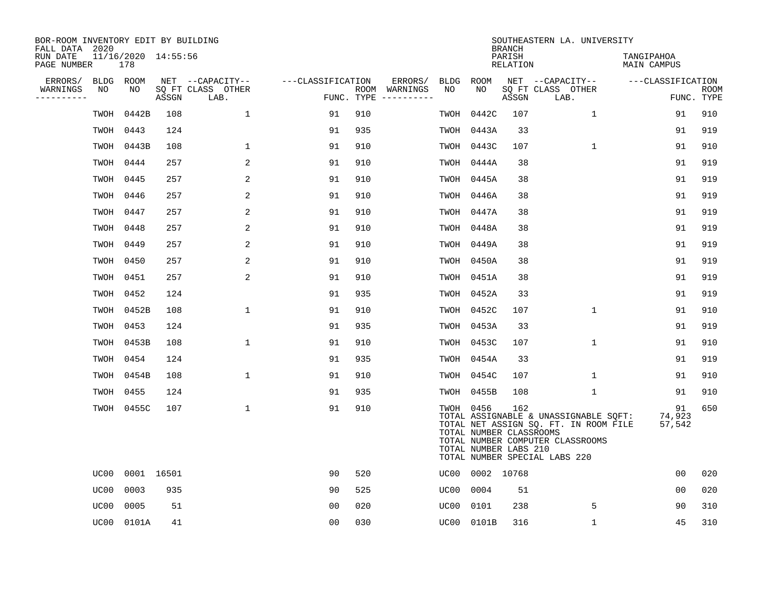| BOR-ROOM INVENTORY EDIT BY BUILDING<br>FALL DATA 2020 |      |                            |       |                           |                   |     |                                      |      |                                                               | <b>BRANCH</b>             | SOUTHEASTERN LA. UNIVERSITY                                                                                                                         |                                  |                           |
|-------------------------------------------------------|------|----------------------------|-------|---------------------------|-------------------|-----|--------------------------------------|------|---------------------------------------------------------------|---------------------------|-----------------------------------------------------------------------------------------------------------------------------------------------------|----------------------------------|---------------------------|
| RUN DATE<br>PAGE NUMBER                               |      | 11/16/2020 14:55:56<br>178 |       |                           |                   |     |                                      |      |                                                               | PARISH<br><b>RELATION</b> |                                                                                                                                                     | TANGIPAHOA<br><b>MAIN CAMPUS</b> |                           |
| ERRORS/                                               |      | BLDG ROOM                  |       | NET --CAPACITY--          | ---CLASSIFICATION |     | ERRORS/                              | BLDG | ROOM                                                          |                           | NET --CAPACITY--                                                                                                                                    | ---CLASSIFICATION                |                           |
| WARNINGS<br>----------                                | NO   | NO                         | ASSGN | SQ FT CLASS OTHER<br>LAB. |                   |     | ROOM WARNINGS<br>FUNC. TYPE $------$ | NO.  | NO.                                                           | ASSGN                     | SQ FT CLASS OTHER<br>LAB.                                                                                                                           |                                  | <b>ROOM</b><br>FUNC. TYPE |
|                                                       | TWOH | 0442B                      | 108   | $\mathbf 1$               | 91                | 910 |                                      | TWOH | 0442C                                                         | 107                       | $\mathbf{1}$                                                                                                                                        | 91                               | 910                       |
|                                                       | TWOH | 0443                       | 124   |                           | 91                | 935 |                                      |      | TWOH 0443A                                                    | 33                        |                                                                                                                                                     | 91                               | 919                       |
|                                                       | TWOH | 0443B                      | 108   | $\mathbf{1}$              | 91                | 910 |                                      |      | TWOH 0443C                                                    | 107                       | $\mathbf{1}$                                                                                                                                        | 91                               | 910                       |
|                                                       | TWOH | 0444                       | 257   | $\overline{2}$            | 91                | 910 |                                      |      | TWOH 0444A                                                    | 38                        |                                                                                                                                                     | 91                               | 919                       |
|                                                       | TWOH | 0445                       | 257   | 2                         | 91                | 910 |                                      |      | TWOH 0445A                                                    | 38                        |                                                                                                                                                     | 91                               | 919                       |
|                                                       | TWOH | 0446                       | 257   | 2                         | 91                | 910 |                                      |      | TWOH 0446A                                                    | 38                        |                                                                                                                                                     | 91                               | 919                       |
|                                                       | TWOH | 0447                       | 257   | 2                         | 91                | 910 |                                      |      | TWOH 0447A                                                    | 38                        |                                                                                                                                                     | 91                               | 919                       |
|                                                       | TWOH | 0448                       | 257   | 2                         | 91                | 910 |                                      |      | TWOH 0448A                                                    | 38                        |                                                                                                                                                     | 91                               | 919                       |
|                                                       | TWOH | 0449                       | 257   | 2                         | 91                | 910 |                                      |      | TWOH 0449A                                                    | 38                        |                                                                                                                                                     | 91                               | 919                       |
|                                                       | TWOH | 0450                       | 257   | 2                         | 91                | 910 |                                      |      | TWOH 0450A                                                    | 38                        |                                                                                                                                                     | 91                               | 919                       |
|                                                       | TWOH | 0451                       | 257   | 2                         | 91                | 910 |                                      |      | TWOH 0451A                                                    | 38                        |                                                                                                                                                     | 91                               | 919                       |
|                                                       | TWOH | 0452                       | 124   |                           | 91                | 935 |                                      |      | TWOH 0452A                                                    | 33                        |                                                                                                                                                     | 91                               | 919                       |
|                                                       | TWOH | 0452B                      | 108   | $\mathbf 1$               | 91                | 910 |                                      |      | TWOH 0452C                                                    | 107                       | 1                                                                                                                                                   | 91                               | 910                       |
|                                                       | TWOH | 0453                       | 124   |                           | 91                | 935 |                                      |      | TWOH 0453A                                                    | 33                        |                                                                                                                                                     | 91                               | 919                       |
|                                                       | TWOH | 0453B                      | 108   | $\mathbf 1$               | 91                | 910 |                                      |      | TWOH 0453C                                                    | 107                       | $\mathbf 1$                                                                                                                                         | 91                               | 910                       |
|                                                       | TWOH | 0454                       | 124   |                           | 91                | 935 |                                      |      | TWOH 0454A                                                    | 33                        |                                                                                                                                                     | 91                               | 919                       |
|                                                       | TWOH | 0454B                      | 108   | $\mathbf{1}$              | 91                | 910 |                                      |      | TWOH 0454C                                                    | 107                       | $\mathbf{1}$                                                                                                                                        | 91                               | 910                       |
|                                                       | TWOH | 0455                       | 124   |                           | 91                | 935 |                                      |      | TWOH 0455B                                                    | 108                       | 1                                                                                                                                                   | 91                               | 910                       |
|                                                       |      | TWOH 0455C                 | 107   | $\mathbf{1}$              | 91                | 910 |                                      |      | TWOH 0456<br>TOTAL NUMBER CLASSROOMS<br>TOTAL NUMBER LABS 210 | 162                       | TOTAL ASSIGNABLE & UNASSIGNABLE SQFT:<br>TOTAL NET ASSIGN SQ. FT. IN ROOM FILE<br>TOTAL NUMBER COMPUTER CLASSROOMS<br>TOTAL NUMBER SPECIAL LABS 220 | 91<br>74,923<br>57,542           | 650                       |
|                                                       | UC00 | 0001 16501                 |       |                           | 90                | 520 |                                      |      | UC00 0002 10768                                               |                           |                                                                                                                                                     | 0 <sub>0</sub>                   | 020                       |
|                                                       | UC00 | 0003                       | 935   |                           | 90                | 525 |                                      | UC00 | 0004                                                          | 51                        |                                                                                                                                                     | 00                               | 020                       |
|                                                       | UC00 | 0005                       | 51    |                           | 00                | 020 |                                      | UC00 | 0101                                                          | 238                       | 5                                                                                                                                                   | 90                               | 310                       |
|                                                       |      | UC00 0101A                 | 41    |                           | 0 <sub>0</sub>    | 030 |                                      |      | UC00 0101B                                                    | 316                       | 1                                                                                                                                                   | 45                               | 310                       |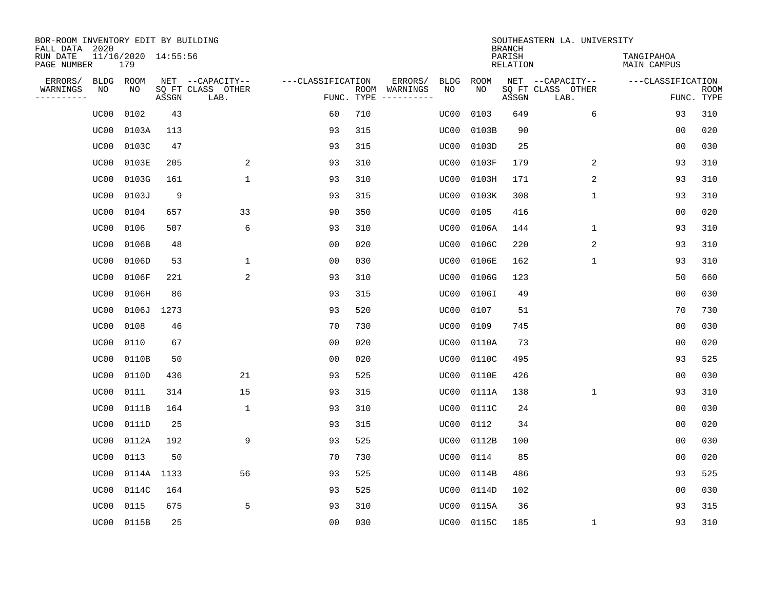| BOR-ROOM INVENTORY EDIT BY BUILDING<br>FALL DATA 2020 |             |                            |       |                           |                   |                    |                         |             |             | <b>BRANCH</b>             | SOUTHEASTERN LA. UNIVERSITY |                                  |                           |
|-------------------------------------------------------|-------------|----------------------------|-------|---------------------------|-------------------|--------------------|-------------------------|-------------|-------------|---------------------------|-----------------------------|----------------------------------|---------------------------|
| RUN DATE<br>PAGE NUMBER                               |             | 11/16/2020 14:55:56<br>179 |       |                           |                   |                    |                         |             |             | PARISH<br><b>RELATION</b> |                             | TANGIPAHOA<br><b>MAIN CAMPUS</b> |                           |
| ERRORS/                                               | <b>BLDG</b> | ROOM                       |       | NET --CAPACITY--          | ---CLASSIFICATION |                    | ERRORS/                 | <b>BLDG</b> | <b>ROOM</b> |                           | NET --CAPACITY--            | ---CLASSIFICATION                |                           |
| WARNINGS<br>----------                                | NO          | NO                         | ASSGN | SQ FT CLASS OTHER<br>LAB. |                   | ROOM<br>FUNC. TYPE | WARNINGS<br>----------- | NO          | NO          | ASSGN                     | SQ FT CLASS OTHER<br>LAB.   |                                  | <b>ROOM</b><br>FUNC. TYPE |
|                                                       | UC00        | 0102                       | 43    |                           | 60                | 710                |                         | UC00        | 0103        | 649                       | 6                           | 93                               | 310                       |
|                                                       | UC00        | 0103A                      | 113   |                           | 93                | 315                |                         | UC00        | 0103B       | 90                        |                             | 00                               | 020                       |
|                                                       | UC00        | 0103C                      | 47    |                           | 93                | 315                |                         | UC00        | 0103D       | 25                        |                             | 00                               | 030                       |
|                                                       | UC00        | 0103E                      | 205   | 2                         | 93                | 310                |                         | UC00        | 0103F       | 179                       | 2                           | 93                               | 310                       |
|                                                       | UC00        | 0103G                      | 161   | $\mathbf{1}$              | 93                | 310                |                         | UC00        | 0103H       | 171                       | 2                           | 93                               | 310                       |
|                                                       | UC00        | 0103J                      | 9     |                           | 93                | 315                |                         | UC00        | 0103K       | 308                       | $\mathbf{1}$                | 93                               | 310                       |
|                                                       | UC00        | 0104                       | 657   | 33                        | 90                | 350                |                         | UC00        | 0105        | 416                       |                             | 0 <sub>0</sub>                   | 020                       |
|                                                       | UC00        | 0106                       | 507   | 6                         | 93                | 310                |                         | UC00        | 0106A       | 144                       | 1                           | 93                               | 310                       |
|                                                       | UC00        | 0106B                      | 48    |                           | 0 <sub>0</sub>    | 020                |                         | UC00        | 0106C       | 220                       | 2                           | 93                               | 310                       |
|                                                       | UC00        | 0106D                      | 53    | 1                         | 0 <sub>0</sub>    | 030                |                         | UC00        | 0106E       | 162                       | $\mathbf 1$                 | 93                               | 310                       |
|                                                       | UC00        | 0106F                      | 221   | 2                         | 93                | 310                |                         | UC00        | 0106G       | 123                       |                             | 50                               | 660                       |
|                                                       | UC00        | 0106H                      | 86    |                           | 93                | 315                |                         | UC00        | 0106I       | 49                        |                             | 0 <sub>0</sub>                   | 030                       |
|                                                       | UC00        | 0106J                      | 1273  |                           | 93                | 520                |                         | UC00        | 0107        | 51                        |                             | 70                               | 730                       |
|                                                       | UC00        | 0108                       | 46    |                           | 70                | 730                |                         | UC00        | 0109        | 745                       |                             | 0 <sub>0</sub>                   | 030                       |
|                                                       | UC00        | 0110                       | 67    |                           | 0 <sub>0</sub>    | 020                |                         | UC00        | 0110A       | 73                        |                             | 0 <sub>0</sub>                   | 020                       |
|                                                       | UC00        | 0110B                      | 50    |                           | 0 <sub>0</sub>    | 020                |                         | UC00        | 0110C       | 495                       |                             | 93                               | 525                       |
|                                                       | UC00        | 0110D                      | 436   | 21                        | 93                | 525                |                         | UC00        | 0110E       | 426                       |                             | 0 <sub>0</sub>                   | 030                       |
|                                                       | UC00        | 0111                       | 314   | 15                        | 93                | 315                |                         | UC00        | 0111A       | 138                       | 1                           | 93                               | 310                       |
|                                                       | UC00        | 0111B                      | 164   | $\mathbf{1}$              | 93                | 310                |                         | UC00        | 0111C       | 24                        |                             | 0 <sub>0</sub>                   | 030                       |
|                                                       | UC00        | 0111D                      | 25    |                           | 93                | 315                |                         | UC00        | 0112        | 34                        |                             | 0 <sub>0</sub>                   | 020                       |
|                                                       | UC00        | 0112A                      | 192   | 9                         | 93                | 525                |                         | UC00        | 0112B       | 100                       |                             | 0 <sub>0</sub>                   | 030                       |
|                                                       | UC00        | 0113                       | 50    |                           | 70                | 730                |                         | UC00        | 0114        | 85                        |                             | 0 <sub>0</sub>                   | 020                       |
|                                                       | UC00        | 0114A 1133                 |       | 56                        | 93                | 525                |                         | UC00        | 0114B       | 486                       |                             | 93                               | 525                       |
|                                                       | UC00        | 0114C                      | 164   |                           | 93                | 525                |                         | UC00        | 0114D       | 102                       |                             | 0 <sub>0</sub>                   | 030                       |
|                                                       | UC00        | 0115                       | 675   | 5                         | 93                | 310                |                         | UC00        | 0115A       | 36                        |                             | 93                               | 315                       |
|                                                       | UC00        | 0115B                      | 25    |                           | 0 <sub>0</sub>    | 030                |                         |             | UC00 0115C  | 185                       | 1                           | 93                               | 310                       |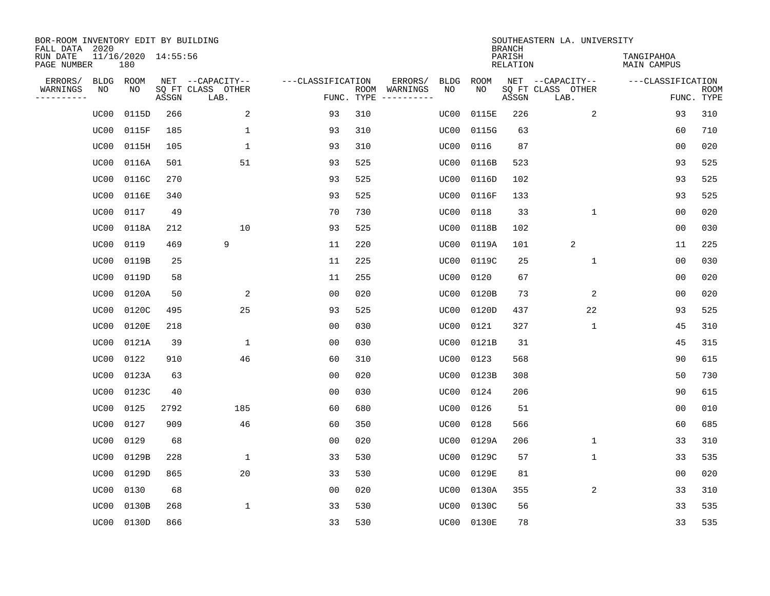| BOR-ROOM INVENTORY EDIT BY BUILDING<br>FALL DATA 2020 |                            |       |                           |                   |            |                                    |             | <b>BRANCH</b>             | SOUTHEASTERN LA. UNIVERSITY |                                  |                           |
|-------------------------------------------------------|----------------------------|-------|---------------------------|-------------------|------------|------------------------------------|-------------|---------------------------|-----------------------------|----------------------------------|---------------------------|
| RUN DATE<br>PAGE NUMBER                               | 11/16/2020 14:55:56<br>180 |       |                           |                   |            |                                    |             | PARISH<br><b>RELATION</b> |                             | TANGIPAHOA<br><b>MAIN CAMPUS</b> |                           |
| ERRORS/<br><b>BLDG</b>                                | ROOM                       |       | NET --CAPACITY--          | ---CLASSIFICATION |            | ERRORS/<br><b>BLDG</b>             | <b>ROOM</b> |                           | NET --CAPACITY--            | ---CLASSIFICATION                |                           |
| WARNINGS<br>NO<br>----------                          | NO                         | ASSGN | SQ FT CLASS OTHER<br>LAB. |                   | FUNC. TYPE | ROOM WARNINGS<br>NO<br>----------- | NO          | ASSGN                     | SQ FT CLASS OTHER<br>LAB.   |                                  | <b>ROOM</b><br>FUNC. TYPE |
| UC00                                                  | 0115D                      | 266   | 2                         | 93                | 310        | UC00                               | 0115E       | 226                       | 2                           | 93                               | 310                       |
| UC00                                                  | 0115F                      | 185   | 1                         | 93                | 310        | UC00                               | 0115G       | 63                        |                             | 60                               | 710                       |
| UC00                                                  | 0115H                      | 105   | $\mathbf{1}$              | 93                | 310        | UC00                               | 0116        | 87                        |                             | 0 <sub>0</sub>                   | 020                       |
| UC00                                                  | 0116A                      | 501   | 51                        | 93                | 525        | UC00                               | 0116B       | 523                       |                             | 93                               | 525                       |
| UC00                                                  | 0116C                      | 270   |                           | 93                | 525        | UC00                               | 0116D       | 102                       |                             | 93                               | 525                       |
| UC00                                                  | 0116E                      | 340   |                           | 93                | 525        | UC00                               | 0116F       | 133                       |                             | 93                               | 525                       |
| UC00                                                  | 0117                       | 49    |                           | 70                | 730        | UC00                               | 0118        | 33                        | $\mathbf{1}$                | 0 <sub>0</sub>                   | 020                       |
| UC00                                                  | 0118A                      | 212   | 10                        | 93                | 525        | UC00                               | 0118B       | 102                       |                             | 0 <sub>0</sub>                   | 030                       |
| UC00                                                  | 0119                       | 469   | 9                         | 11                | 220        | UC00                               | 0119A       | 101                       | 2                           | 11                               | 225                       |
| UC00                                                  | 0119B                      | 25    |                           | 11                | 225        | UC00                               | 0119C       | 25                        | $\mathbf 1$                 | 0 <sub>0</sub>                   | 030                       |
| UC00                                                  | 0119D                      | 58    |                           | 11                | 255        | UC00                               | 0120        | 67                        |                             | 0 <sub>0</sub>                   | 020                       |
| UC00                                                  | 0120A                      | 50    | 2                         | 0 <sub>0</sub>    | 020        | UC00                               | 0120B       | 73                        | 2                           | 0 <sub>0</sub>                   | 020                       |
| UC00                                                  | 0120C                      | 495   | 25                        | 93                | 525        | UC00                               | 0120D       | 437                       | 22                          | 93                               | 525                       |
| UC00                                                  | 0120E                      | 218   |                           | 00                | 030        | UC00                               | 0121        | 327                       | 1                           | 45                               | 310                       |
| UC00                                                  | 0121A                      | 39    | 1                         | 00                | 030        | UC00                               | 0121B       | 31                        |                             | 45                               | 315                       |
| UC00                                                  | 0122                       | 910   | 46                        | 60                | 310        | UC00                               | 0123        | 568                       |                             | 90                               | 615                       |
| UC00                                                  | 0123A                      | 63    |                           | 0 <sub>0</sub>    | 020        | UC00                               | 0123B       | 308                       |                             | 50                               | 730                       |
| UC00                                                  | 0123C                      | 40    |                           | 0 <sub>0</sub>    | 030        | UC00                               | 0124        | 206                       |                             | 90                               | 615                       |
| UC00                                                  | 0125                       | 2792  | 185                       | 60                | 680        | UC00                               | 0126        | 51                        |                             | 0 <sub>0</sub>                   | 010                       |
| UC00                                                  | 0127                       | 909   | 46                        | 60                | 350        | UC00                               | 0128        | 566                       |                             | 60                               | 685                       |
| UC00                                                  | 0129                       | 68    |                           | 0 <sub>0</sub>    | 020        | UC00                               | 0129A       | 206                       | $\mathbf 1$                 | 33                               | 310                       |
| UC00                                                  | 0129B                      | 228   | 1                         | 33                | 530        | UC00                               | 0129C       | 57                        | $\mathbf 1$                 | 33                               | 535                       |
| UC00                                                  | 0129D                      | 865   | 20                        | 33                | 530        | UC00                               | 0129E       | 81                        |                             | 0 <sub>0</sub>                   | 020                       |
| UC00                                                  | 0130                       | 68    |                           | 0 <sub>0</sub>    | 020        | UC00                               | 0130A       | 355                       | 2                           | 33                               | 310                       |
| UC00                                                  | 0130B                      | 268   | $\mathbf{1}$              | 33                | 530        | UC00                               | 0130C       | 56                        |                             | 33                               | 535                       |
| UC00                                                  | 0130D                      | 866   |                           | 33                | 530        | UC00                               | 0130E       | 78                        |                             | 33                               | 535                       |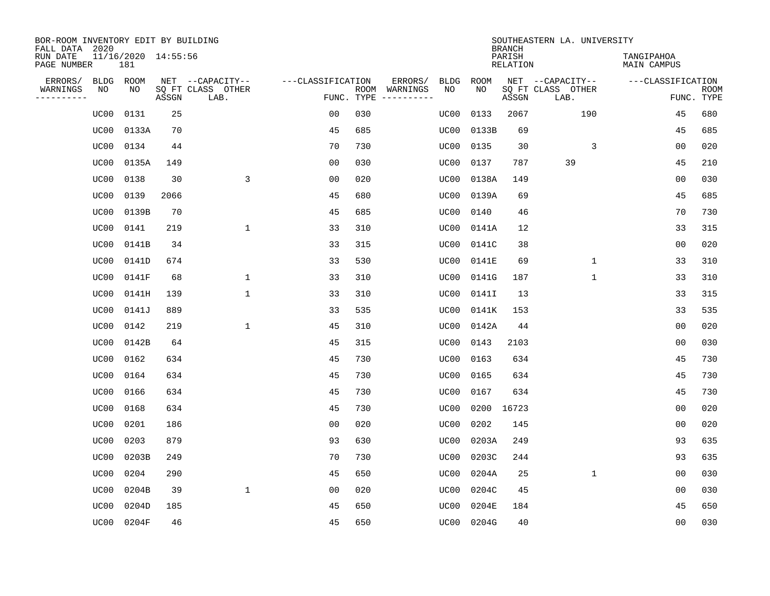| BOR-ROOM INVENTORY EDIT BY BUILDING<br>FALL DATA 2020 |      |                            |       |                           |                   |      |          |             |             | <b>BRANCH</b>             | SOUTHEASTERN LA. UNIVERSITY |                                  |                           |
|-------------------------------------------------------|------|----------------------------|-------|---------------------------|-------------------|------|----------|-------------|-------------|---------------------------|-----------------------------|----------------------------------|---------------------------|
| RUN DATE<br>PAGE NUMBER                               |      | 11/16/2020 14:55:56<br>181 |       |                           |                   |      |          |             |             | PARISH<br><b>RELATION</b> |                             | TANGIPAHOA<br><b>MAIN CAMPUS</b> |                           |
| ERRORS/                                               | BLDG | ROOM                       |       | NET --CAPACITY--          | ---CLASSIFICATION |      | ERRORS/  | <b>BLDG</b> | <b>ROOM</b> |                           | NET --CAPACITY--            | ---CLASSIFICATION                |                           |
| WARNINGS<br>----------                                | ΝO   | NO                         | ASSGN | SQ FT CLASS OTHER<br>LAB. | FUNC. TYPE        | ROOM | WARNINGS | NO          | NO          | ASSGN                     | SQ FT CLASS OTHER<br>LAB.   |                                  | <b>ROOM</b><br>FUNC. TYPE |
|                                                       | UC00 | 0131                       | 25    |                           | 00                | 030  |          | UC00        | 0133        | 2067                      | 190                         | 45                               | 680                       |
|                                                       | UC00 | 0133A                      | 70    |                           | 45                | 685  |          | UC00        | 0133B       | 69                        |                             | 45                               | 685                       |
|                                                       | UC00 | 0134                       | 44    |                           | 70                | 730  |          | UC00        | 0135        | 30                        | 3                           | 0 <sub>0</sub>                   | 020                       |
|                                                       | UC00 | 0135A                      | 149   |                           | 0 <sub>0</sub>    | 030  |          | UC00        | 0137        | 787                       | 39                          | 45                               | 210                       |
|                                                       | UC00 | 0138                       | 30    | 3                         | 0 <sub>0</sub>    | 020  |          | UC00        | 0138A       | 149                       |                             | 0 <sub>0</sub>                   | 030                       |
|                                                       | UC00 | 0139                       | 2066  |                           | 45                | 680  |          | UC00        | 0139A       | 69                        |                             | 45                               | 685                       |
|                                                       | UC00 | 0139B                      | 70    |                           | 45                | 685  |          | UC00        | 0140        | 46                        |                             | 70                               | 730                       |
|                                                       | UC00 | 0141                       | 219   | $\mathbf{1}$              | 33                | 310  |          | UC00        | 0141A       | 12                        |                             | 33                               | 315                       |
|                                                       | UC00 | 0141B                      | 34    |                           | 33                | 315  |          | UC00        | 0141C       | 38                        |                             | 0 <sub>0</sub>                   | 020                       |
|                                                       | UC00 | 0141D                      | 674   |                           | 33                | 530  |          | UC00        | 0141E       | 69                        | $\mathbf{1}$                | 33                               | 310                       |
|                                                       | UC00 | 0141F                      | 68    | $\mathbf{1}$              | 33                | 310  |          | UC00        | 0141G       | 187                       | $\mathbf 1$                 | 33                               | 310                       |
|                                                       | UC00 | 0141H                      | 139   | $\mathbf{1}$              | 33                | 310  |          | UC00        | 0141I       | 13                        |                             | 33                               | 315                       |
|                                                       | UC00 | 0141J                      | 889   |                           | 33                | 535  |          | UC00        | 0141K       | 153                       |                             | 33                               | 535                       |
|                                                       | UC00 | 0142                       | 219   | $\mathbf{1}$              | 45                | 310  |          | UC00        | 0142A       | 44                        |                             | 0 <sub>0</sub>                   | 020                       |
|                                                       | UC00 | 0142B                      | 64    |                           | 45                | 315  |          | UC00        | 0143        | 2103                      |                             | 0 <sub>0</sub>                   | 030                       |
|                                                       | UC00 | 0162                       | 634   |                           | 45                | 730  |          | UC00        | 0163        | 634                       |                             | 45                               | 730                       |
|                                                       | UC00 | 0164                       | 634   |                           | 45                | 730  |          | UC00        | 0165        | 634                       |                             | 45                               | 730                       |
|                                                       | UC00 | 0166                       | 634   |                           | 45                | 730  |          | UC00        | 0167        | 634                       |                             | 45                               | 730                       |
|                                                       | UC00 | 0168                       | 634   |                           | 45                | 730  |          | UC00        | 0200        | 16723                     |                             | 0 <sub>0</sub>                   | 020                       |
|                                                       | UC00 | 0201                       | 186   |                           | 0 <sub>0</sub>    | 020  |          | UC00        | 0202        | 145                       |                             | 0 <sub>0</sub>                   | 020                       |
|                                                       | UC00 | 0203                       | 879   |                           | 93                | 630  |          | UC00        | 0203A       | 249                       |                             | 93                               | 635                       |
|                                                       | UC00 | 0203B                      | 249   |                           | 70                | 730  |          | UC00        | 0203C       | 244                       |                             | 93                               | 635                       |
|                                                       | UC00 | 0204                       | 290   |                           | 45                | 650  |          | UC00        | 0204A       | 25                        | $\mathbf{1}$                | 0 <sub>0</sub>                   | 030                       |
|                                                       | UC00 | 0204B                      | 39    | $\mathbf{1}$              | 0 <sub>0</sub>    | 020  |          | UC00        | 0204C       | 45                        |                             | 0 <sub>0</sub>                   | 030                       |
|                                                       | UC00 | 0204D                      | 185   |                           | 45                | 650  |          | UC00        | 0204E       | 184                       |                             | 45                               | 650                       |
|                                                       | UC00 | 0204F                      | 46    |                           | 45                | 650  |          | UC00        | 0204G       | 40                        |                             | 0 <sub>0</sub>                   | 030                       |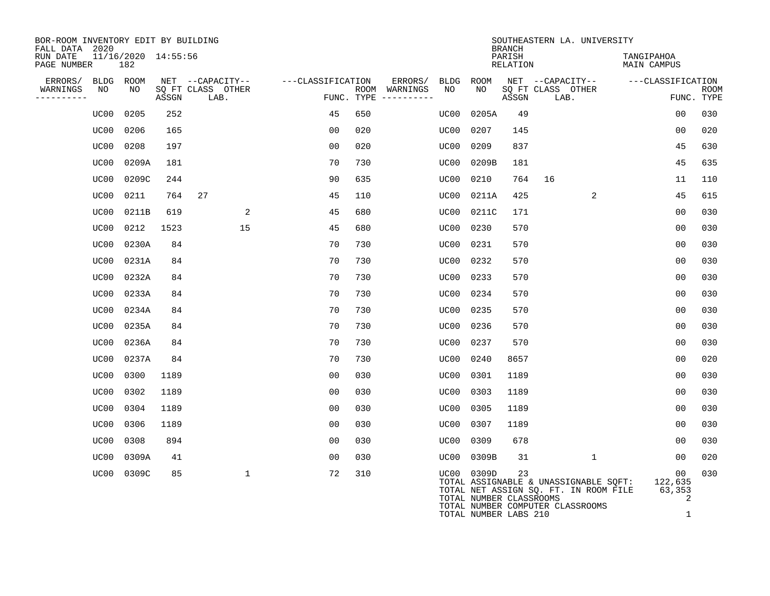| BOR-ROOM INVENTORY EDIT BY BUILDING<br>FALL DATA 2020 |                            |       |                           |                   |     |                                      |      |                                  | <b>BRANCH</b>      |                           | SOUTHEASTERN LA. UNIVERSITY                                                                                        |                           |   |                           |
|-------------------------------------------------------|----------------------------|-------|---------------------------|-------------------|-----|--------------------------------------|------|----------------------------------|--------------------|---------------------------|--------------------------------------------------------------------------------------------------------------------|---------------------------|---|---------------------------|
| RUN DATE<br>PAGE NUMBER                               | 11/16/2020 14:55:56<br>182 |       |                           |                   |     |                                      |      |                                  | PARISH<br>RELATION |                           |                                                                                                                    | TANGIPAHOA<br>MAIN CAMPUS |   |                           |
| ERRORS/                                               | BLDG ROOM                  |       | NET --CAPACITY--          | ---CLASSIFICATION |     | ERRORS/                              | BLDG | ROOM                             |                    |                           | NET --CAPACITY--                                                                                                   | ---CLASSIFICATION         |   |                           |
| WARNINGS<br>NO<br>----------                          | NO                         | ASSGN | SQ FT CLASS OTHER<br>LAB. |                   |     | ROOM WARNINGS<br>FUNC. TYPE $------$ | NO   | NO                               | ASSGN              | SQ FT CLASS OTHER<br>LAB. |                                                                                                                    |                           |   | <b>ROOM</b><br>FUNC. TYPE |
| UC00                                                  | 0205                       | 252   |                           | 45                | 650 |                                      | UC00 | 0205A                            | 49                 |                           |                                                                                                                    | 0 <sub>0</sub>            |   | 030                       |
| UC00                                                  | 0206                       | 165   |                           | 00                | 020 |                                      | UC00 | 0207                             | 145                |                           |                                                                                                                    | 0 <sub>0</sub>            |   | 020                       |
| UC00                                                  | 0208                       | 197   |                           | 0 <sub>0</sub>    | 020 |                                      | UC00 | 0209                             | 837                |                           |                                                                                                                    | 45                        |   | 630                       |
| UC00                                                  | 0209A                      | 181   |                           | 70                | 730 |                                      | UC00 | 0209B                            | 181                |                           |                                                                                                                    | 45                        |   | 635                       |
| UC00                                                  | 0209C                      | 244   |                           | 90                | 635 |                                      | UC00 | 0210                             | 764                | 16                        |                                                                                                                    | 11                        |   | 110                       |
| UC00                                                  | 0211                       | 764   | 27                        | 45                | 110 |                                      | UC00 | 0211A                            | 425                |                           | 2                                                                                                                  | 45                        |   | 615                       |
| UC00                                                  | 0211B                      | 619   | $\overline{a}$            | 45                | 680 |                                      | UC00 | 0211C                            | 171                |                           |                                                                                                                    | 0 <sub>0</sub>            |   | 030                       |
| UC00                                                  | 0212                       | 1523  | 15                        | 45                | 680 |                                      | UC00 | 0230                             | 570                |                           |                                                                                                                    | 0 <sub>0</sub>            |   | 030                       |
| UC00                                                  | 0230A                      | 84    |                           | 70                | 730 |                                      | UC00 | 0231                             | 570                |                           |                                                                                                                    | 00                        |   | 030                       |
| UC00                                                  | 0231A                      | 84    |                           | 70                | 730 |                                      | UC00 | 0232                             | 570                |                           |                                                                                                                    | 0 <sub>0</sub>            |   | 030                       |
| UC00                                                  | 0232A                      | 84    |                           | 70                | 730 |                                      | UC00 | 0233                             | 570                |                           |                                                                                                                    | 0 <sub>0</sub>            |   | 030                       |
| UC00                                                  | 0233A                      | 84    |                           | 70                | 730 |                                      | UC00 | 0234                             | 570                |                           |                                                                                                                    | 0 <sub>0</sub>            |   | 030                       |
| UC00                                                  | 0234A                      | 84    |                           | 70                | 730 |                                      | UC00 | 0235                             | 570                |                           |                                                                                                                    | 0 <sub>0</sub>            |   | 030                       |
| UC00                                                  | 0235A                      | 84    |                           | 70                | 730 |                                      | UC00 | 0236                             | 570                |                           |                                                                                                                    | 0 <sub>0</sub>            |   | 030                       |
| UC00                                                  | 0236A                      | 84    |                           | 70                | 730 |                                      | UC00 | 0237                             | 570                |                           |                                                                                                                    | 00                        |   | 030                       |
| UC00                                                  | 0237A                      | 84    |                           | 70                | 730 |                                      | UC00 | 0240                             | 8657               |                           |                                                                                                                    | 00                        |   | 020                       |
| UC00                                                  | 0300                       | 1189  |                           | 00                | 030 |                                      | UC00 | 0301                             | 1189               |                           |                                                                                                                    | 0 <sub>0</sub>            |   | 030                       |
| UC00                                                  | 0302                       | 1189  |                           | 0 <sub>0</sub>    | 030 |                                      | UC00 | 0303                             | 1189               |                           |                                                                                                                    | 0 <sub>0</sub>            |   | 030                       |
| UC00                                                  | 0304                       | 1189  |                           | 0 <sub>0</sub>    | 030 |                                      | UC00 | 0305                             | 1189               |                           |                                                                                                                    | 0 <sub>0</sub>            |   | 030                       |
| UC00                                                  | 0306                       | 1189  |                           | 0 <sub>0</sub>    | 030 |                                      | UC00 | 0307                             | 1189               |                           |                                                                                                                    | 0 <sub>0</sub>            |   | 030                       |
| UC00                                                  | 0308                       | 894   |                           | 00                | 030 |                                      | UC00 | 0309                             | 678                |                           |                                                                                                                    | 00                        |   | 030                       |
| UC00                                                  | 0309A                      | 41    |                           | 0 <sub>0</sub>    | 030 |                                      | UC00 | 0309B                            | 31                 |                           | 1                                                                                                                  | 00                        |   | 020                       |
|                                                       | UC00 0309C                 | 85    | $\mathbf{1}$              | 72                | 310 |                                      | UC00 | 0309D<br>TOTAL NUMBER CLASSROOMS | 23                 |                           | TOTAL ASSIGNABLE & UNASSIGNABLE SOFT:<br>TOTAL NET ASSIGN SQ. FT. IN ROOM FILE<br>TOTAL NUMBER COMPUTER CLASSROOMS | 00<br>122,635<br>63,353   | 2 | 030                       |

TOTAL NUMBER LABS 210 1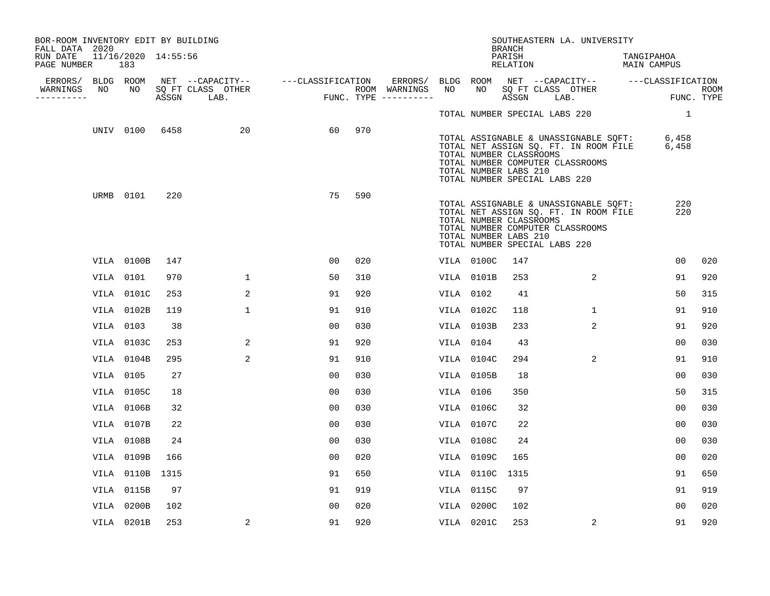| BOR-ROOM INVENTORY EDIT BY BUILDING<br>FALL DATA 2020 |           |                            |      |                   |                                                       |     |                                                      |           |                                                                                   | <b>BRANCH</b>      | SOUTHEASTERN LA. UNIVERSITY                                                                                                    |                           |                |     |
|-------------------------------------------------------|-----------|----------------------------|------|-------------------|-------------------------------------------------------|-----|------------------------------------------------------|-----------|-----------------------------------------------------------------------------------|--------------------|--------------------------------------------------------------------------------------------------------------------------------|---------------------------|----------------|-----|
| RUN DATE<br>PAGE NUMBER                               |           | 11/16/2020 14:55:56<br>183 |      |                   |                                                       |     |                                                      |           |                                                                                   | PARISH<br>RELATION |                                                                                                                                | TANGIPAHOA<br>MAIN CAMPUS |                |     |
| WARNINGS                                              | NO        | NO                         |      | SQ FT CLASS OTHER | ERRORS/ BLDG ROOM NET --CAPACITY-- ----CLASSIFICATION |     | ERRORS/ BLDG ROOM NET --CAPACITY-- ---CLASSIFICATION | NO        |                                                                                   |                    |                                                                                                                                |                           |                |     |
| ----------                                            |           |                            |      | ASSGN LAB.        | ROOM WARNINGS<br>FUNC. TYPE ---------                 |     |                                                      |           |                                                                                   |                    | NO SQ FT CLASS OTHER THE ROOM ASSGN LAB. THE ROOM                                                                              |                           |                |     |
|                                                       |           |                            |      |                   |                                                       |     |                                                      |           | TOTAL NUMBER SPECIAL LABS 220                                                     |                    |                                                                                                                                |                           | $\overline{1}$ |     |
|                                                       |           | UNIV 0100                  | 6458 | 20                | 60                                                    | 970 |                                                      |           | TOTAL NUMBER CLASSROOMS<br>TOTAL NUMBER LABS 210<br>TOTAL NUMBER SPECIAL LABS 220 |                    | TOTAL ASSIGNABLE & UNASSIGNABLE SQFT: 6,458<br>TOTAL NET ASSIGN SQ. FT. IN ROOM FILE 6,458<br>TOTAL NUMBER COMPUTER CLASSROOMS |                           |                |     |
|                                                       | URMB 0101 |                            | 220  |                   | 75                                                    | 590 |                                                      |           | TOTAL NUMBER CLASSROOMS<br>TOTAL NUMBER LABS 210<br>TOTAL NUMBER SPECIAL LABS 220 |                    | TOTAL ASSIGNABLE & UNASSIGNABLE SQFT:<br>TOTAL NET ASSIGN SQ. FT. IN ROOM FILE<br>TOTAL NUMBER COMPUTER CLASSROOMS             |                           | 220<br>220     |     |
|                                                       |           | VILA 0100B                 | 147  |                   | 00                                                    | 020 |                                                      |           | VILA 0100C                                                                        | 147                |                                                                                                                                |                           | 00             | 020 |
|                                                       | VILA 0101 |                            | 970  | $\mathbf{1}$      | 50                                                    | 310 |                                                      |           | VILA 0101B                                                                        | 253                | 2                                                                                                                              |                           | 91             | 920 |
|                                                       |           | VILA 0101C                 | 253  | 2                 | 91                                                    | 920 |                                                      | VILA 0102 |                                                                                   | 41                 |                                                                                                                                |                           | 50             | 315 |
|                                                       |           | VILA 0102B                 | 119  | $\mathbf{1}$      | 91                                                    | 910 |                                                      |           | VILA 0102C                                                                        | 118                | $\mathbf{1}$                                                                                                                   |                           | 91             | 910 |
|                                                       | VILA 0103 |                            | 38   |                   | 0 <sub>0</sub>                                        | 030 |                                                      |           | VILA 0103B                                                                        | 233                | 2                                                                                                                              |                           | 91             | 920 |
|                                                       |           | VILA 0103C                 | 253  | 2                 | 91                                                    | 920 |                                                      | VILA 0104 |                                                                                   | 43                 |                                                                                                                                |                           | 00             | 030 |
|                                                       |           | VILA 0104B                 | 295  | 2                 | 91                                                    | 910 |                                                      |           | VILA 0104C                                                                        | 294                | 2                                                                                                                              |                           | 91             | 910 |
|                                                       | VILA 0105 |                            | 27   |                   | 0 <sub>0</sub>                                        | 030 |                                                      |           | VILA 0105B                                                                        | 18                 |                                                                                                                                |                           | 0 <sub>0</sub> | 030 |
|                                                       |           | VILA 0105C                 | 18   |                   | 0 <sub>0</sub>                                        | 030 |                                                      | VILA 0106 |                                                                                   | 350                |                                                                                                                                |                           | 50             | 315 |
|                                                       |           | VILA 0106B                 | 32   |                   | 0 <sup>0</sup>                                        | 030 |                                                      |           | VILA 0106C                                                                        | 32                 |                                                                                                                                |                           | 0 <sub>0</sub> | 030 |
|                                                       |           | VILA 0107B                 | 22   |                   | 00                                                    | 030 |                                                      |           | VILA 0107C                                                                        | 22                 |                                                                                                                                |                           | 00             | 030 |
|                                                       |           | VILA 0108B                 | 24   |                   | 0 <sub>0</sub>                                        | 030 |                                                      |           | VILA 0108C                                                                        | 24                 |                                                                                                                                |                           | 00             | 030 |
|                                                       |           | VILA 0109B                 | 166  |                   | 00                                                    | 020 |                                                      |           | VILA 0109C                                                                        | 165                |                                                                                                                                |                           | 0 <sub>0</sub> | 020 |
|                                                       |           | VILA 0110B 1315            |      |                   | 91                                                    | 650 |                                                      |           | VILA 0110C 1315                                                                   |                    |                                                                                                                                |                           | 91             | 650 |
|                                                       |           | VILA 0115B                 | 97   |                   | 91                                                    | 919 |                                                      |           | VILA 0115C                                                                        | 97                 |                                                                                                                                |                           | 91             | 919 |
|                                                       |           | VILA 0200B                 | 102  |                   | 0 <sub>0</sub>                                        | 020 |                                                      |           | VILA 0200C                                                                        | 102                |                                                                                                                                |                           | 0 <sub>0</sub> | 020 |
|                                                       |           | VILA 0201B                 | 253  | 2                 | 91                                                    | 920 |                                                      |           | VILA 0201C                                                                        | 253                | 2                                                                                                                              |                           | 91             | 920 |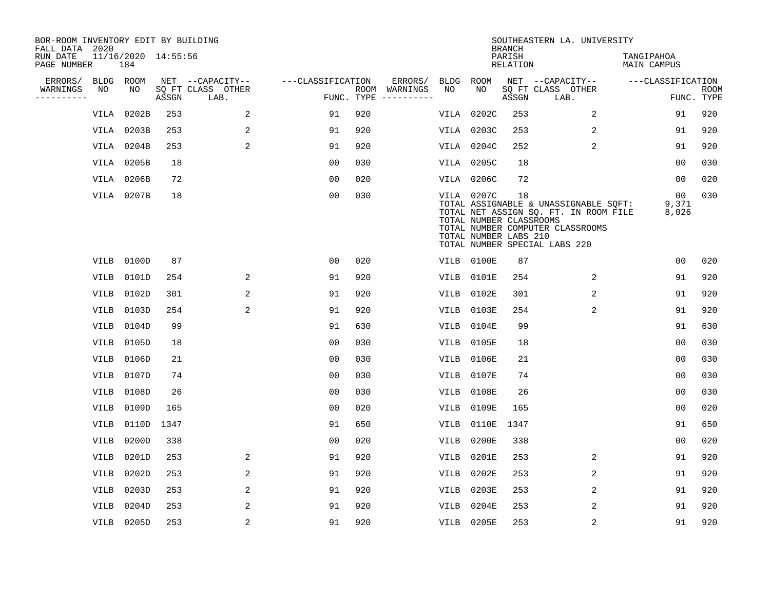| BOR-ROOM INVENTORY EDIT BY BUILDING<br>FALL DATA 2020<br>RUN DATE |                 | 11/16/2020 14:55:56 |       |                                               |                                 |     |                          |             |                                                                | <b>BRANCH</b><br>PARISH | SOUTHEASTERN LA. UNIVERSITY                                                                                                                         | TANGIPAHOA           |                           |
|-------------------------------------------------------------------|-----------------|---------------------|-------|-----------------------------------------------|---------------------------------|-----|--------------------------|-------------|----------------------------------------------------------------|-------------------------|-----------------------------------------------------------------------------------------------------------------------------------------------------|----------------------|---------------------------|
| PAGE NUMBER                                                       |                 | 184                 |       |                                               |                                 |     |                          |             |                                                                | RELATION                |                                                                                                                                                     | MAIN CAMPUS          |                           |
| ERRORS/<br>WARNINGS<br>-----------                                | BLDG ROOM<br>NO | NO                  | ASSGN | NET --CAPACITY--<br>SQ FT CLASS OTHER<br>LAB. | ---CLASSIFICATION<br>FUNC. TYPE |     | ERRORS/<br>ROOM WARNINGS | BLDG<br>NO  | ROOM<br>NO                                                     | ASSGN                   | NET --CAPACITY--<br>SQ FT CLASS OTHER<br>LAB.                                                                                                       | ---CLASSIFICATION    | <b>ROOM</b><br>FUNC. TYPE |
|                                                                   |                 | VILA 0202B          | 253   | 2                                             | 91                              | 920 |                          | VILA        | 0202C                                                          | 253                     | 2                                                                                                                                                   | 91                   | 920                       |
|                                                                   |                 | VILA 0203B          | 253   | 2                                             | 91                              | 920 |                          |             | VILA 0203C                                                     | 253                     | 2                                                                                                                                                   | 91                   | 920                       |
|                                                                   |                 | VILA 0204B          | 253   | 2                                             | 91                              | 920 |                          |             | VILA 0204C                                                     | 252                     | 2                                                                                                                                                   | 91                   | 920                       |
|                                                                   |                 | VILA 0205B          | 18    |                                               | 0 <sub>0</sub>                  | 030 |                          |             | VILA 0205C                                                     | 18                      |                                                                                                                                                     | 0 <sub>0</sub>       | 030                       |
|                                                                   |                 | VILA 0206B          | 72    |                                               | 0 <sub>0</sub>                  | 020 |                          |             | <b>VILA 0206C</b>                                              | 72                      |                                                                                                                                                     | 0 <sub>0</sub>       | 020                       |
|                                                                   |                 | VILA 0207B          | 18    |                                               | 0 <sub>0</sub>                  | 030 |                          |             | VILA 0207C<br>TOTAL NUMBER CLASSROOMS<br>TOTAL NUMBER LABS 210 | 18                      | TOTAL ASSIGNABLE & UNASSIGNABLE SQFT:<br>TOTAL NET ASSIGN SQ. FT. IN ROOM FILE<br>TOTAL NUMBER COMPUTER CLASSROOMS<br>TOTAL NUMBER SPECIAL LABS 220 | 00<br>9,371<br>8,026 | 030                       |
|                                                                   | VILB            | 0100D               | 87    |                                               | 00                              | 020 |                          |             | VILB 0100E                                                     | 87                      |                                                                                                                                                     | 0 <sub>0</sub>       | 020                       |
|                                                                   | VILB            | 0101D               | 254   | 2                                             | 91                              | 920 |                          | VILB        | 0101E                                                          | 254                     | 2                                                                                                                                                   | 91                   | 920                       |
|                                                                   | VILB            | 0102D               | 301   | 2                                             | 91                              | 920 |                          | VILB        | 0102E                                                          | 301                     | 2                                                                                                                                                   | 91                   | 920                       |
|                                                                   | <b>VILB</b>     | 0103D               | 254   | 2                                             | 91                              | 920 |                          | VILB        | 0103E                                                          | 254                     | 2                                                                                                                                                   | 91                   | 920                       |
|                                                                   | <b>VILB</b>     | 0104D               | 99    |                                               | 91                              | 630 |                          | VILB        | 0104E                                                          | 99                      |                                                                                                                                                     | 91                   | 630                       |
|                                                                   | VILB            | 0105D               | 18    |                                               | 0 <sub>0</sub>                  | 030 |                          | VILB        | 0105E                                                          | 18                      |                                                                                                                                                     | 0 <sub>0</sub>       | 030                       |
|                                                                   | VILB            | 0106D               | 21    |                                               | 0 <sub>0</sub>                  | 030 |                          | VILB        | 0106E                                                          | 21                      |                                                                                                                                                     | 0 <sub>0</sub>       | 030                       |
|                                                                   | <b>VILB</b>     | 0107D               | 74    |                                               | 0 <sub>0</sub>                  | 030 |                          | <b>VILB</b> | 0107E                                                          | 74                      |                                                                                                                                                     | 0 <sub>0</sub>       | 030                       |
|                                                                   | <b>VILB</b>     | 0108D               | 26    |                                               | 0 <sub>0</sub>                  | 030 |                          | VILB        | 0108E                                                          | 26                      |                                                                                                                                                     | 0 <sub>0</sub>       | 030                       |
|                                                                   | <b>VILB</b>     | 0109D               | 165   |                                               | 0 <sub>0</sub>                  | 020 |                          | VILB        | 0109E                                                          | 165                     |                                                                                                                                                     | 0 <sub>0</sub>       | 020                       |
|                                                                   | <b>VILB</b>     | 0110D               | 1347  |                                               | 91                              | 650 |                          | VILB        | 0110E                                                          | 1347                    |                                                                                                                                                     | 91                   | 650                       |
|                                                                   | VILB            | 0200D               | 338   |                                               | 00                              | 020 |                          | VILB        | 0200E                                                          | 338                     |                                                                                                                                                     | 0 <sub>0</sub>       | 020                       |
|                                                                   | <b>VILB</b>     | 0201D               | 253   | 2                                             | 91                              | 920 |                          | VILB        | 0201E                                                          | 253                     | 2                                                                                                                                                   | 91                   | 920                       |
|                                                                   | <b>VILB</b>     | 0202D               | 253   | 2                                             | 91                              | 920 |                          | VILB        | 0202E                                                          | 253                     | 2                                                                                                                                                   | 91                   | 920                       |
|                                                                   | VILB            | 0203D               | 253   | 2                                             | 91                              | 920 |                          | VILB        | 0203E                                                          | 253                     | 2                                                                                                                                                   | 91                   | 920                       |
|                                                                   | <b>VILB</b>     | 0204D               | 253   | 2                                             | 91                              | 920 |                          | <b>VILB</b> | 0204E                                                          | 253                     | 2                                                                                                                                                   | 91                   | 920                       |
|                                                                   |                 | VILB 0205D          | 253   | $\overline{2}$                                | 91                              | 920 |                          |             | VILB 0205E                                                     | 253                     | 2                                                                                                                                                   | 91                   | 920                       |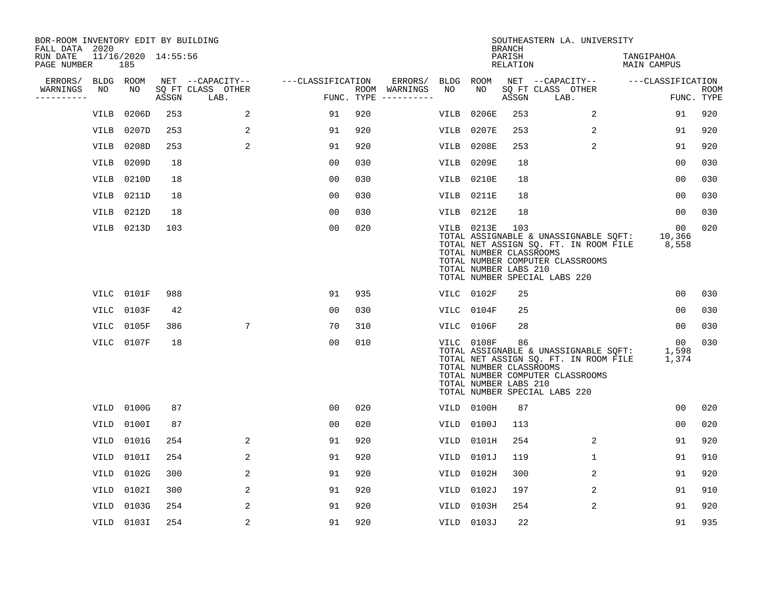| BOR-ROOM INVENTORY EDIT BY BUILDING<br>FALL DATA 2020 |             |                            |       |                           |                   |     |                                      |      |                                                                | <b>BRANCH</b>      | SOUTHEASTERN LA. UNIVERSITY                                                                                                                         |                           |                           |
|-------------------------------------------------------|-------------|----------------------------|-------|---------------------------|-------------------|-----|--------------------------------------|------|----------------------------------------------------------------|--------------------|-----------------------------------------------------------------------------------------------------------------------------------------------------|---------------------------|---------------------------|
| RUN DATE<br>PAGE NUMBER                               |             | 11/16/2020 14:55:56<br>185 |       |                           |                   |     |                                      |      |                                                                | PARISH<br>RELATION |                                                                                                                                                     | TANGIPAHOA<br>MAIN CAMPUS |                           |
| ERRORS/                                               | BLDG ROOM   |                            |       | NET --CAPACITY--          | ---CLASSIFICATION |     | ERRORS/                              | BLDG | ROOM                                                           |                    | NET --CAPACITY--                                                                                                                                    | ---CLASSIFICATION         |                           |
| WARNINGS<br>----------                                | NO          | NO                         | ASSGN | SQ FT CLASS OTHER<br>LAB. |                   |     | ROOM WARNINGS<br>FUNC. TYPE $------$ | NO   | NO                                                             | ASSGN              | SQ FT CLASS OTHER<br>LAB.                                                                                                                           |                           | <b>ROOM</b><br>FUNC. TYPE |
|                                                       | VILB        | 0206D                      | 253   | 2                         | 91                | 920 |                                      | VILB | 0206E                                                          | 253                | 2                                                                                                                                                   | 91                        | 920                       |
|                                                       | <b>VILB</b> | 0207D                      | 253   | 2                         | 91                | 920 |                                      | VILB | 0207E                                                          | 253                | 2                                                                                                                                                   | 91                        | 920                       |
|                                                       | VILB        | 0208D                      | 253   | 2                         | 91                | 920 |                                      | VILB | 0208E                                                          | 253                | 2                                                                                                                                                   | 91                        | 920                       |
|                                                       | VILB        | 0209D                      | 18    |                           | 0 <sub>0</sub>    | 030 |                                      | VILB | 0209E                                                          | 18                 |                                                                                                                                                     | 0 <sub>0</sub>            | 030                       |
|                                                       | VILB        | 0210D                      | 18    |                           | 0 <sub>0</sub>    | 030 |                                      | VILB | 0210E                                                          | 18                 |                                                                                                                                                     | 0 <sub>0</sub>            | 030                       |
|                                                       | <b>VILB</b> | 0211D                      | 18    |                           | 0 <sub>0</sub>    | 030 |                                      | VILB | 0211E                                                          | 18                 |                                                                                                                                                     | 0 <sub>0</sub>            | 030                       |
|                                                       | VILB        | 0212D                      | 18    |                           | 00                | 030 |                                      | VILB | 0212E                                                          | 18                 |                                                                                                                                                     | 0 <sub>0</sub>            | 030                       |
|                                                       |             | VILB 0213D                 | 103   |                           | 0 <sub>0</sub>    | 020 |                                      |      | VILB 0213E<br>TOTAL NUMBER CLASSROOMS<br>TOTAL NUMBER LABS 210 | 103                | TOTAL ASSIGNABLE & UNASSIGNABLE SQFT:<br>TOTAL NET ASSIGN SQ. FT. IN ROOM FILE<br>TOTAL NUMBER COMPUTER CLASSROOMS<br>TOTAL NUMBER SPECIAL LABS 220 | 00<br>10,366<br>8,558     | 020                       |
|                                                       |             | VILC 0101F                 | 988   |                           | 91                | 935 |                                      |      | VILC 0102F                                                     | 25                 |                                                                                                                                                     | 00                        | 030                       |
|                                                       | VILC        | 0103F                      | 42    |                           | 0 <sub>0</sub>    | 030 |                                      | VILC | 0104F                                                          | 25                 |                                                                                                                                                     | 0 <sub>0</sub>            | 030                       |
|                                                       | VILC        | 0105F                      | 386   | $7\phantom{.0}$           | 70                | 310 |                                      | VILC | 0106F                                                          | 28                 |                                                                                                                                                     | 0 <sub>0</sub>            | 030                       |
|                                                       |             | VILC 0107F                 | 18    |                           | 0 <sub>0</sub>    | 010 |                                      |      | VILC 0108F<br>TOTAL NUMBER CLASSROOMS<br>TOTAL NUMBER LABS 210 | 86                 | TOTAL ASSIGNABLE & UNASSIGNABLE SQFT:<br>TOTAL NET ASSIGN SQ. FT. IN ROOM FILE<br>TOTAL NUMBER COMPUTER CLASSROOMS<br>TOTAL NUMBER SPECIAL LABS 220 | 00<br>1,598<br>1,374      | 030                       |
|                                                       | VILD        | 0100G                      | 87    |                           | 0 <sub>0</sub>    | 020 |                                      |      | VILD 0100H                                                     | 87                 |                                                                                                                                                     | 0 <sub>0</sub>            | 020                       |
|                                                       | VILD        | 0100I                      | 87    |                           | 0 <sub>0</sub>    | 020 |                                      | VILD | 0100J                                                          | 113                |                                                                                                                                                     | 0 <sub>0</sub>            | 020                       |
|                                                       | VILD        | 0101G                      | 254   | 2                         | 91                | 920 |                                      | VILD | 0101H                                                          | 254                | 2                                                                                                                                                   | 91                        | 920                       |
|                                                       | VILD        | 0101I                      | 254   | 2                         | 91                | 920 |                                      | VILD | 0101J                                                          | 119                | $\mathbf{1}$                                                                                                                                        | 91                        | 910                       |
|                                                       | VILD        | 0102G                      | 300   | 2                         | 91                | 920 |                                      | VILD | 0102H                                                          | 300                | 2                                                                                                                                                   | 91                        | 920                       |
|                                                       | VILD        | 0102I                      | 300   | 2                         | 91                | 920 |                                      | VILD | 0102J                                                          | 197                | 2                                                                                                                                                   | 91                        | 910                       |
|                                                       | VILD        | 0103G                      | 254   | 2                         | 91                | 920 |                                      | VILD | 0103H                                                          | 254                | 2                                                                                                                                                   | 91                        | 920                       |
|                                                       |             | VILD 0103I                 | 254   | 2                         | 91                | 920 |                                      |      | VILD 0103J                                                     | 22                 |                                                                                                                                                     | 91                        | 935                       |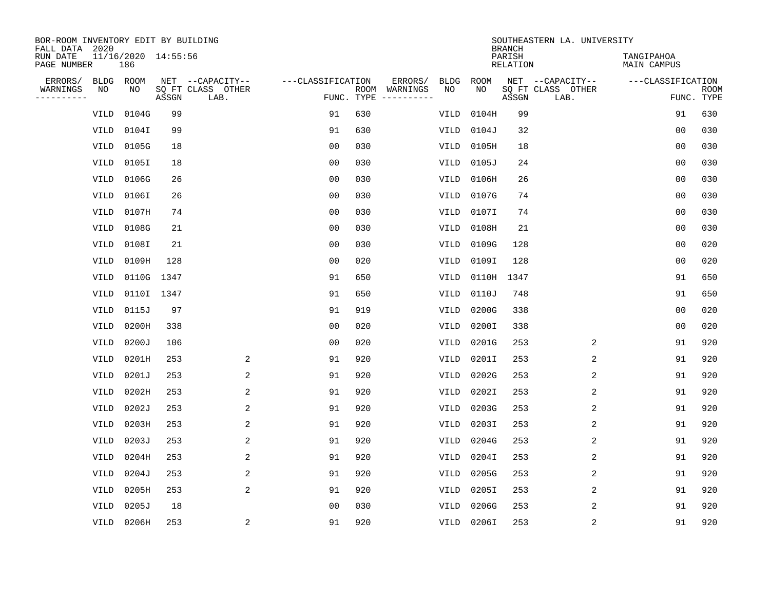| BOR-ROOM INVENTORY EDIT BY BUILDING<br>FALL DATA 2020 |                            |            |                           |                   |            |                              |             |             | <b>BRANCH</b>             | SOUTHEASTERN LA. UNIVERSITY |                                  |                           |
|-------------------------------------------------------|----------------------------|------------|---------------------------|-------------------|------------|------------------------------|-------------|-------------|---------------------------|-----------------------------|----------------------------------|---------------------------|
| RUN DATE<br>PAGE NUMBER                               | 11/16/2020 14:55:56<br>186 |            |                           |                   |            |                              |             |             | PARISH<br><b>RELATION</b> |                             | TANGIPAHOA<br><b>MAIN CAMPUS</b> |                           |
| ERRORS/<br><b>BLDG</b>                                | ROOM                       |            | NET --CAPACITY--          | ---CLASSIFICATION |            | ERRORS/                      | <b>BLDG</b> | <b>ROOM</b> |                           | NET --CAPACITY--            | ---CLASSIFICATION                |                           |
| WARNINGS<br>NO<br>----------                          | NO                         | ASSGN      | SQ FT CLASS OTHER<br>LAB. |                   | FUNC. TYPE | ROOM WARNINGS<br>----------- | NO          | NO          | ASSGN                     | SQ FT CLASS OTHER<br>LAB.   |                                  | <b>ROOM</b><br>FUNC. TYPE |
| <b>VILD</b>                                           | 0104G                      | 99         |                           | 91                | 630        |                              | VILD        | 0104H       | 99                        |                             | 91                               | 630                       |
| <b>VILD</b>                                           | 0104I                      | 99         |                           | 91                | 630        |                              | VILD        | 0104J       | 32                        |                             | 0 <sub>0</sub>                   | 030                       |
| <b>VILD</b>                                           | 0105G                      | 18         |                           | 0 <sub>0</sub>    | 030        |                              | VILD        | 0105H       | 18                        |                             | 0 <sub>0</sub>                   | 030                       |
| <b>VILD</b>                                           | 0105I                      | 18         |                           | 0 <sub>0</sub>    | 030        |                              | <b>VILD</b> | 0105J       | 24                        |                             | 0 <sub>0</sub>                   | 030                       |
| <b>VILD</b>                                           | 0106G                      | 26         |                           | 0 <sub>0</sub>    | 030        |                              | VILD        | 0106H       | 26                        |                             | 0 <sub>0</sub>                   | 030                       |
| VILD                                                  | 0106I                      | 26         |                           | 0 <sub>0</sub>    | 030        |                              | VILD        | 0107G       | 74                        |                             | 0 <sub>0</sub>                   | 030                       |
| <b>VILD</b>                                           | 0107H                      | 74         |                           | 0 <sub>0</sub>    | 030        |                              | VILD        | 0107I       | 74                        |                             | 0 <sub>0</sub>                   | 030                       |
| <b>VILD</b>                                           | 0108G                      | 21         |                           | 0 <sub>0</sub>    | 030        |                              | <b>VILD</b> | 0108H       | 21                        |                             | 0 <sub>0</sub>                   | 030                       |
| <b>VILD</b>                                           | 0108I                      | 21         |                           | 0 <sub>0</sub>    | 030        |                              | <b>VILD</b> | 0109G       | 128                       |                             | 0 <sub>0</sub>                   | 020                       |
| <b>VILD</b>                                           | 0109H                      | 128        |                           | 0 <sub>0</sub>    | 020        |                              | VILD        | 0109I       | 128                       |                             | 0 <sub>0</sub>                   | 020                       |
| <b>VILD</b>                                           |                            | 0110G 1347 |                           | 91                | 650        |                              | <b>VILD</b> | 0110H       | 1347                      |                             | 91                               | 650                       |
| <b>VILD</b>                                           |                            | 0110I 1347 |                           | 91                | 650        |                              | <b>VILD</b> | 0110J       | 748                       |                             | 91                               | 650                       |
| VILD                                                  | 0115J                      | 97         |                           | 91                | 919        |                              | VILD        | 0200G       | 338                       |                             | 0 <sub>0</sub>                   | 020                       |
| <b>VILD</b>                                           | 0200H                      | 338        |                           | 0 <sub>0</sub>    | 020        |                              | VILD        | 0200I       | 338                       |                             | 0 <sub>0</sub>                   | 020                       |
| <b>VILD</b>                                           | 0200J                      | 106        |                           | 0 <sub>0</sub>    | 020        |                              | VILD        | 0201G       | 253                       | 2                           | 91                               | 920                       |
| <b>VILD</b>                                           | 0201H                      | 253        | 2                         | 91                | 920        |                              | VILD        | 0201I       | 253                       | 2                           | 91                               | 920                       |
| <b>VILD</b>                                           | 0201J                      | 253        | 2                         | 91                | 920        |                              | <b>VILD</b> | 0202G       | 253                       | 2                           | 91                               | 920                       |
| <b>VILD</b>                                           | 0202H                      | 253        | 2                         | 91                | 920        |                              | VILD        | 0202I       | 253                       | 2                           | 91                               | 920                       |
| VILD                                                  | 0202J                      | 253        | $\overline{2}$            | 91                | 920        |                              | <b>VILD</b> | 0203G       | 253                       | 2                           | 91                               | 920                       |
| <b>VILD</b>                                           | 0203H                      | 253        | 2                         | 91                | 920        |                              | VILD        | 0203I       | 253                       | 2                           | 91                               | 920                       |
| <b>VILD</b>                                           | 0203J                      | 253        | 2                         | 91                | 920        |                              | VILD        | 0204G       | 253                       | 2                           | 91                               | 920                       |
| <b>VILD</b>                                           | 0204H                      | 253        | 2                         | 91                | 920        |                              | VILD        | 0204I       | 253                       | 2                           | 91                               | 920                       |
| <b>VILD</b>                                           | 0204J                      | 253        | 2                         | 91                | 920        |                              | VILD        | 0205G       | 253                       | 2                           | 91                               | 920                       |
| <b>VILD</b>                                           | 0205H                      | 253        | 2                         | 91                | 920        |                              | VILD        | 0205I       | 253                       | 2                           | 91                               | 920                       |
| <b>VILD</b>                                           | 0205J                      | 18         |                           | 0 <sub>0</sub>    | 030        |                              | <b>VILD</b> | 0206G       | 253                       | 2                           | 91                               | 920                       |
| VILD                                                  | 0206H                      | 253        | $\overline{c}$            | 91                | 920        |                              | VILD        | 0206I       | 253                       | 2                           | 91                               | 920                       |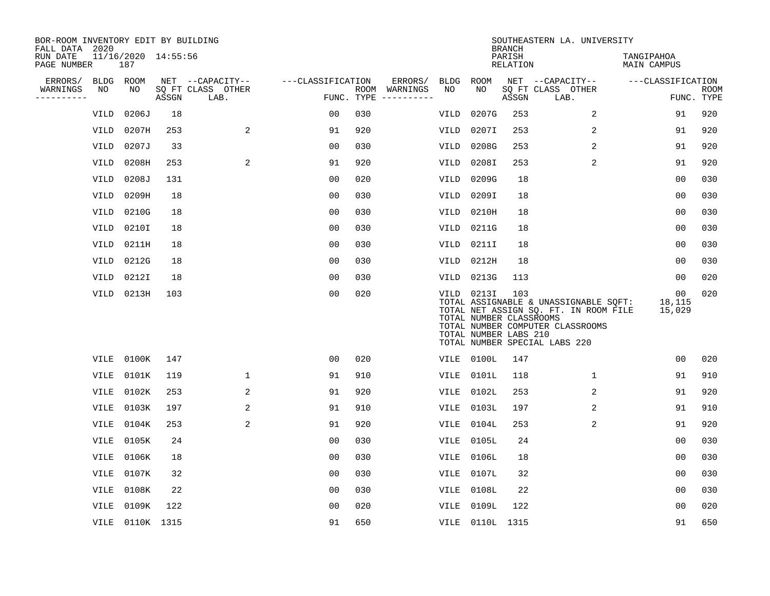| BOR-ROOM INVENTORY EDIT BY BUILDING<br>FALL DATA 2020 |             |                            |       |                           |                   |            |                                                                                                                             |             |                                                                | <b>BRANCH</b>      | SOUTHEASTERN LA. UNIVERSITY                                                                                                                         |                           |                           |
|-------------------------------------------------------|-------------|----------------------------|-------|---------------------------|-------------------|------------|-----------------------------------------------------------------------------------------------------------------------------|-------------|----------------------------------------------------------------|--------------------|-----------------------------------------------------------------------------------------------------------------------------------------------------|---------------------------|---------------------------|
| RUN DATE<br>PAGE NUMBER                               |             | 11/16/2020 14:55:56<br>187 |       |                           |                   |            |                                                                                                                             |             |                                                                | PARISH<br>RELATION |                                                                                                                                                     | TANGIPAHOA<br>MAIN CAMPUS |                           |
| ERRORS/                                               | BLDG ROOM   |                            |       | NET --CAPACITY--          | ---CLASSIFICATION |            | ERRORS/                                                                                                                     | BLDG        | ROOM                                                           |                    | NET --CAPACITY--                                                                                                                                    | ---CLASSIFICATION         |                           |
| WARNINGS<br>----------                                | NO          | NO                         | ASSGN | SQ FT CLASS OTHER<br>LAB. |                   | FUNC. TYPE | ROOM WARNINGS<br>$\begin{tabular}{ccccccccc} - & - & - & - & - & - & - & - \\ & - & - & - & - & - & - & - \\ \end{tabular}$ | NO          | NO                                                             | ASSGN              | SQ FT CLASS OTHER<br>LAB.                                                                                                                           |                           | <b>ROOM</b><br>FUNC. TYPE |
|                                                       | VILD        | 0206J                      | 18    |                           | 0 <sub>0</sub>    | 030        |                                                                                                                             | VILD        | 0207G                                                          | 253                | $\overline{a}$                                                                                                                                      | 91                        | 920                       |
|                                                       | VILD        | 0207H                      | 253   | $\overline{a}$            | 91                | 920        |                                                                                                                             | VILD        | 0207I                                                          | 253                | 2                                                                                                                                                   | 91                        | 920                       |
|                                                       | VILD        | 0207J                      | 33    |                           | 0 <sub>0</sub>    | 030        |                                                                                                                             | VILD        | 0208G                                                          | 253                | 2                                                                                                                                                   | 91                        | 920                       |
|                                                       | VILD        | 0208H                      | 253   | 2                         | 91                | 920        |                                                                                                                             | VILD        | 0208I                                                          | 253                | 2                                                                                                                                                   | 91                        | 920                       |
|                                                       | VILD        | 0208J                      | 131   |                           | 0 <sub>0</sub>    | 020        |                                                                                                                             | <b>VILD</b> | 0209G                                                          | 18                 |                                                                                                                                                     | 0 <sub>0</sub>            | 030                       |
|                                                       | VILD        | 0209H                      | 18    |                           | 0 <sub>0</sub>    | 030        |                                                                                                                             | VILD        | 0209I                                                          | 18                 |                                                                                                                                                     | 0 <sub>0</sub>            | 030                       |
|                                                       | VILD        | 0210G                      | 18    |                           | 0 <sub>0</sub>    | 030        |                                                                                                                             | VILD        | 0210H                                                          | 18                 |                                                                                                                                                     | 0 <sub>0</sub>            | 030                       |
|                                                       | VILD        | 0210I                      | 18    |                           | 0 <sub>0</sub>    | 030        |                                                                                                                             | VILD        | 0211G                                                          | 18                 |                                                                                                                                                     | 0 <sub>0</sub>            | 030                       |
|                                                       | VILD        | 0211H                      | 18    |                           | 0 <sub>0</sub>    | 030        |                                                                                                                             | <b>VILD</b> | 0211I                                                          | 18                 |                                                                                                                                                     | 00                        | 030                       |
|                                                       | VILD        | 0212G                      | 18    |                           | 00                | 030        |                                                                                                                             | VILD        | 0212H                                                          | 18                 |                                                                                                                                                     | 00                        | 030                       |
|                                                       | VILD        | 0212I                      | 18    |                           | 0 <sub>0</sub>    | 030        |                                                                                                                             | VILD        | 0213G                                                          | 113                |                                                                                                                                                     | 00                        | 020                       |
|                                                       |             | VILD 0213H                 | 103   |                           | 0 <sub>0</sub>    | 020        |                                                                                                                             |             | VILD 0213I<br>TOTAL NUMBER CLASSROOMS<br>TOTAL NUMBER LABS 210 | 103                | TOTAL ASSIGNABLE & UNASSIGNABLE SQFT:<br>TOTAL NET ASSIGN SQ. FT. IN ROOM FILE<br>TOTAL NUMBER COMPUTER CLASSROOMS<br>TOTAL NUMBER SPECIAL LABS 220 | 00<br>18,115<br>15,029    | 020                       |
|                                                       | VILE        | 0100K                      | 147   |                           | 0 <sub>0</sub>    | 020        |                                                                                                                             |             | VILE 0100L                                                     | 147                |                                                                                                                                                     | 0 <sub>0</sub>            | 020                       |
|                                                       | VILE        | 0101K                      | 119   | 1                         | 91                | 910        |                                                                                                                             | VILE        | 0101L                                                          | 118                | 1                                                                                                                                                   | 91                        | 910                       |
|                                                       | VILE        | 0102K                      | 253   | 2                         | 91                | 920        |                                                                                                                             | VILE        | 0102L                                                          | 253                | 2                                                                                                                                                   | 91                        | 920                       |
|                                                       | VILE        | 0103K                      | 197   | 2                         | 91                | 910        |                                                                                                                             | VILE        | 0103L                                                          | 197                | 2                                                                                                                                                   | 91                        | 910                       |
|                                                       | VILE        | 0104K                      | 253   | 2                         | 91                | 920        |                                                                                                                             | VILE        | 0104L                                                          | 253                | 2                                                                                                                                                   | 91                        | 920                       |
|                                                       | VILE        | 0105K                      | 24    |                           | 0 <sub>0</sub>    | 030        |                                                                                                                             | VILE        | 0105L                                                          | 24                 |                                                                                                                                                     | 0 <sub>0</sub>            | 030                       |
|                                                       | VILE        | 0106K                      | 18    |                           | 0 <sub>0</sub>    | 030        |                                                                                                                             | VILE        | 0106L                                                          | 18                 |                                                                                                                                                     | 00                        | 030                       |
|                                                       | <b>VILE</b> | 0107K                      | 32    |                           | 0 <sub>0</sub>    | 030        |                                                                                                                             | VILE        | 0107L                                                          | 32                 |                                                                                                                                                     | 0 <sub>0</sub>            | 030                       |
|                                                       | VILE        | 0108K                      | 22    |                           | 00                | 030        |                                                                                                                             | VILE        | 0108L                                                          | 22                 |                                                                                                                                                     | 0 <sub>0</sub>            | 030                       |
|                                                       | VILE        | 0109K                      | 122   |                           | 0 <sub>0</sub>    | 020        |                                                                                                                             | VILE        | 0109L                                                          | 122                |                                                                                                                                                     | 0 <sub>0</sub>            | 020                       |
|                                                       |             | VILE 0110K 1315            |       |                           | 91                | 650        |                                                                                                                             |             | VILE 0110L 1315                                                |                    |                                                                                                                                                     | 91                        | 650                       |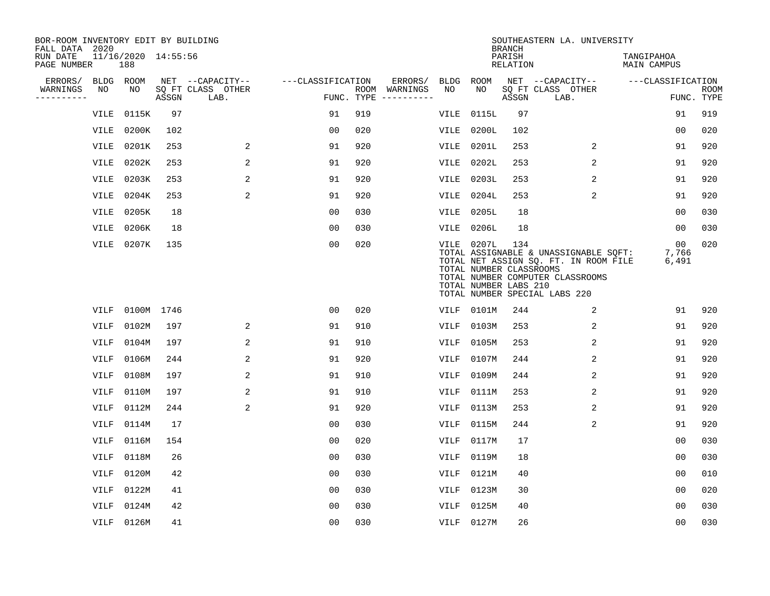| BOR-ROOM INVENTORY EDIT BY BUILDING<br>FALL DATA 2020 |             |                            |       |                           |                   |     |                                      |             |                                                                | <b>BRANCH</b>             | SOUTHEASTERN LA. UNIVERSITY                                                                                                                         |                                  |                           |
|-------------------------------------------------------|-------------|----------------------------|-------|---------------------------|-------------------|-----|--------------------------------------|-------------|----------------------------------------------------------------|---------------------------|-----------------------------------------------------------------------------------------------------------------------------------------------------|----------------------------------|---------------------------|
| RUN DATE<br>PAGE NUMBER                               |             | 11/16/2020 14:55:56<br>188 |       |                           |                   |     |                                      |             |                                                                | PARISH<br><b>RELATION</b> |                                                                                                                                                     | TANGIPAHOA<br><b>MAIN CAMPUS</b> |                           |
| ERRORS/                                               |             | BLDG ROOM                  |       | NET --CAPACITY--          | ---CLASSIFICATION |     | ERRORS/                              | <b>BLDG</b> | ROOM                                                           |                           | NET --CAPACITY--                                                                                                                                    | ---CLASSIFICATION                |                           |
| WARNINGS<br>----------                                | NO          | NO                         | ASSGN | SQ FT CLASS OTHER<br>LAB. |                   |     | ROOM WARNINGS<br>FUNC. TYPE $------$ | NO          | NO                                                             | ASSGN                     | SQ FT CLASS OTHER<br>LAB.                                                                                                                           |                                  | <b>ROOM</b><br>FUNC. TYPE |
|                                                       | VILE        | 0115K                      | 97    |                           | 91                | 919 |                                      | VILE        | 0115L                                                          | 97                        |                                                                                                                                                     | 91                               | 919                       |
|                                                       | VILE        | 0200K                      | 102   |                           | 0 <sub>0</sub>    | 020 |                                      | VILE        | 0200L                                                          | 102                       |                                                                                                                                                     | 00                               | 020                       |
|                                                       | VILE        | 0201K                      | 253   | 2                         | 91                | 920 |                                      | VILE        | 0201L                                                          | 253                       | 2                                                                                                                                                   | 91                               | 920                       |
|                                                       | VILE        | 0202K                      | 253   | 2                         | 91                | 920 |                                      | VILE        | 0202L                                                          | 253                       | 2                                                                                                                                                   | 91                               | 920                       |
|                                                       | <b>VILE</b> | 0203K                      | 253   | 2                         | 91                | 920 |                                      | VILE        | 0203L                                                          | 253                       | 2                                                                                                                                                   | 91                               | 920                       |
|                                                       | VILE        | 0204K                      | 253   | 2                         | 91                | 920 |                                      | VILE        | 0204L                                                          | 253                       | 2                                                                                                                                                   | 91                               | 920                       |
|                                                       | VILE        | 0205K                      | 18    |                           | 0 <sub>0</sub>    | 030 |                                      |             | <b>VILE 0205L</b>                                              | 18                        |                                                                                                                                                     | 0 <sub>0</sub>                   | 030                       |
|                                                       | VILE        | 0206K                      | 18    |                           | 0 <sub>0</sub>    | 030 |                                      | VILE        | 0206L                                                          | 18                        |                                                                                                                                                     | 0 <sub>0</sub>                   | 030                       |
|                                                       | VILE        | 0207K                      | 135   |                           | 0 <sub>0</sub>    | 020 |                                      |             | VILE 0207L<br>TOTAL NUMBER CLASSROOMS<br>TOTAL NUMBER LABS 210 | 134                       | TOTAL ASSIGNABLE & UNASSIGNABLE SOFT:<br>TOTAL NET ASSIGN SQ. FT. IN ROOM FILE<br>TOTAL NUMBER COMPUTER CLASSROOMS<br>TOTAL NUMBER SPECIAL LABS 220 | 00<br>7,766<br>6,491             | 020                       |
|                                                       | VILF        | 0100M 1746                 |       |                           | 00                | 020 |                                      | VILF        | 0101M                                                          | 244                       | 2                                                                                                                                                   | 91                               | 920                       |
|                                                       | <b>VILF</b> | 0102M                      | 197   | 2                         | 91                | 910 |                                      | VILF        | 0103M                                                          | 253                       | 2                                                                                                                                                   | 91                               | 920                       |
|                                                       | VILF        | 0104M                      | 197   | 2                         | 91                | 910 |                                      | VILF        | 0105M                                                          | 253                       | 2                                                                                                                                                   | 91                               | 920                       |
|                                                       | VILF        | 0106M                      | 244   | 2                         | 91                | 920 |                                      | VILF        | 0107M                                                          | 244                       | 2                                                                                                                                                   | 91                               | 920                       |
|                                                       | <b>VILF</b> | 0108M                      | 197   | 2                         | 91                | 910 |                                      | <b>VILF</b> | 0109M                                                          | 244                       | 2                                                                                                                                                   | 91                               | 920                       |
|                                                       | <b>VILF</b> | 0110M                      | 197   | 2                         | 91                | 910 |                                      | VILF        | 0111M                                                          | 253                       | 2                                                                                                                                                   | 91                               | 920                       |
|                                                       | VILF        | 0112M                      | 244   | 2                         | 91                | 920 |                                      | <b>VILF</b> | 0113M                                                          | 253                       | 2                                                                                                                                                   | 91                               | 920                       |
|                                                       | VILF        | 0114M                      | 17    |                           | 0 <sub>0</sub>    | 030 |                                      | VILF        | 0115M                                                          | 244                       | 2                                                                                                                                                   | 91                               | 920                       |
|                                                       | VILF        | 0116M                      | 154   |                           | 0 <sub>0</sub>    | 020 |                                      | VILF        | 0117M                                                          | 17                        |                                                                                                                                                     | 0 <sub>0</sub>                   | 030                       |
|                                                       | <b>VILF</b> | 0118M                      | 26    |                           | 0 <sub>0</sub>    | 030 |                                      | VILF        | 0119M                                                          | 18                        |                                                                                                                                                     | 00                               | 030                       |
|                                                       | VILF        | 0120M                      | 42    |                           | 0 <sub>0</sub>    | 030 |                                      | VILF        | 0121M                                                          | 40                        |                                                                                                                                                     | 0 <sub>0</sub>                   | 010                       |
|                                                       | VILF        | 0122M                      | 41    |                           | 0 <sub>0</sub>    | 030 |                                      | VILF        | 0123M                                                          | 30                        |                                                                                                                                                     | 0 <sub>0</sub>                   | 020                       |
|                                                       | <b>VILF</b> | 0124M                      | 42    |                           | 0 <sub>0</sub>    | 030 |                                      | <b>VILF</b> | 0125M                                                          | 40                        |                                                                                                                                                     | 0 <sub>0</sub>                   | 030                       |
|                                                       |             | VILF 0126M                 | 41    |                           | 0 <sub>0</sub>    | 030 |                                      |             | VILF 0127M                                                     | 26                        |                                                                                                                                                     | 0 <sub>0</sub>                   | 030                       |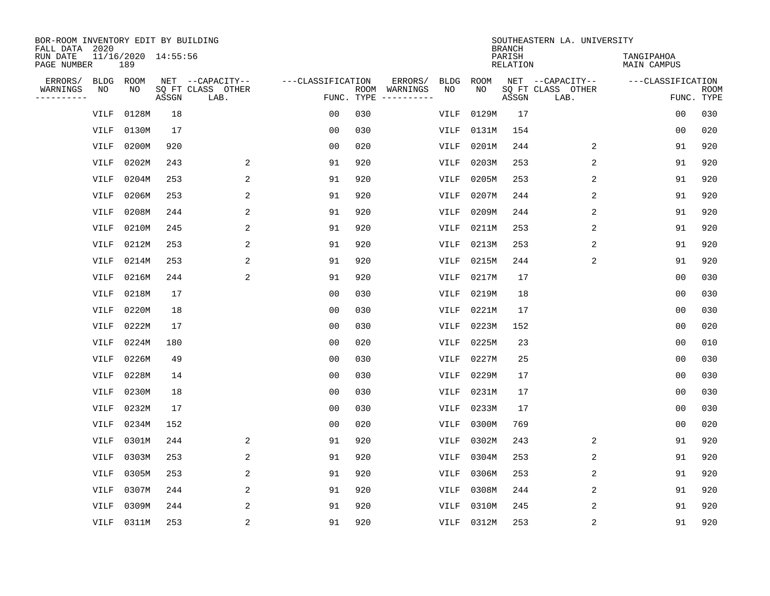| BOR-ROOM INVENTORY EDIT BY BUILDING<br>FALL DATA 2020 |             |                            |       |                           |                   |     |                                      |             |             | <b>BRANCH</b>             | SOUTHEASTERN LA. UNIVERSITY |                                  |                           |
|-------------------------------------------------------|-------------|----------------------------|-------|---------------------------|-------------------|-----|--------------------------------------|-------------|-------------|---------------------------|-----------------------------|----------------------------------|---------------------------|
| RUN DATE<br>PAGE NUMBER                               |             | 11/16/2020 14:55:56<br>189 |       |                           |                   |     |                                      |             |             | PARISH<br><b>RELATION</b> |                             | TANGIPAHOA<br><b>MAIN CAMPUS</b> |                           |
| ERRORS/                                               | <b>BLDG</b> | ROOM                       |       | NET --CAPACITY--          | ---CLASSIFICATION |     | ERRORS/                              | <b>BLDG</b> | <b>ROOM</b> |                           | NET --CAPACITY--            | ---CLASSIFICATION                |                           |
| WARNINGS<br>----------                                | NO          | NO                         | ASSGN | SQ FT CLASS OTHER<br>LAB. |                   |     | ROOM WARNINGS<br>FUNC. TYPE $------$ | NO          | NO          | ASSGN                     | SQ FT CLASS OTHER<br>LAB.   |                                  | <b>ROOM</b><br>FUNC. TYPE |
|                                                       | <b>VILF</b> | 0128M                      | 18    |                           | 0 <sub>0</sub>    | 030 |                                      | VILF        | 0129M       | 17                        |                             | 00                               | 030                       |
|                                                       | <b>VILF</b> | 0130M                      | 17    |                           | 0 <sub>0</sub>    | 030 |                                      | VILF        | 0131M       | 154                       |                             | 00                               | 020                       |
|                                                       | <b>VILF</b> | 0200M                      | 920   |                           | 0 <sub>0</sub>    | 020 |                                      | VILF        | 0201M       | 244                       | 2                           | 91                               | 920                       |
|                                                       | <b>VILF</b> | 0202M                      | 243   | 2                         | 91                | 920 |                                      | <b>VILF</b> | 0203M       | 253                       | 2                           | 91                               | 920                       |
|                                                       | <b>VILF</b> | 0204M                      | 253   | 2                         | 91                | 920 |                                      | <b>VILF</b> | 0205M       | 253                       | $\overline{2}$              | 91                               | 920                       |
|                                                       | VILF        | 0206M                      | 253   | 2                         | 91                | 920 |                                      | VILF        | 0207M       | 244                       | 2                           | 91                               | 920                       |
|                                                       | <b>VILF</b> | 0208M                      | 244   | 2                         | 91                | 920 |                                      | VILF        | 0209M       | 244                       | 2                           | 91                               | 920                       |
|                                                       | <b>VILF</b> | 0210M                      | 245   | 2                         | 91                | 920 |                                      | <b>VILF</b> | 0211M       | 253                       | 2                           | 91                               | 920                       |
|                                                       | VILF        | 0212M                      | 253   | 2                         | 91                | 920 |                                      | VILF        | 0213M       | 253                       | 2                           | 91                               | 920                       |
|                                                       | <b>VILF</b> | 0214M                      | 253   | 2                         | 91                | 920 |                                      | <b>VILF</b> | 0215M       | 244                       | 2                           | 91                               | 920                       |
|                                                       | <b>VILF</b> | 0216M                      | 244   | 2                         | 91                | 920 |                                      | VILF        | 0217M       | 17                        |                             | 0 <sub>0</sub>                   | 030                       |
|                                                       | <b>VILF</b> | 0218M                      | 17    |                           | 0 <sub>0</sub>    | 030 |                                      | <b>VILF</b> | 0219M       | 18                        |                             | 0 <sub>0</sub>                   | 030                       |
|                                                       | VILF        | 0220M                      | 18    |                           | 0 <sub>0</sub>    | 030 |                                      | VILF        | 0221M       | 17                        |                             | 0 <sub>0</sub>                   | 030                       |
|                                                       | VILF        | 0222M                      | 17    |                           | 0 <sub>0</sub>    | 030 |                                      | VILF        | 0223M       | 152                       |                             | 0 <sub>0</sub>                   | 020                       |
|                                                       | <b>VILF</b> | 0224M                      | 180   |                           | 0 <sub>0</sub>    | 020 |                                      | VILF        | 0225M       | 23                        |                             | 0 <sub>0</sub>                   | 010                       |
|                                                       | <b>VILF</b> | 0226M                      | 49    |                           | 0 <sub>0</sub>    | 030 |                                      | VILF        | 0227M       | 25                        |                             | 0 <sub>0</sub>                   | 030                       |
|                                                       | <b>VILF</b> | 0228M                      | 14    |                           | 0 <sub>0</sub>    | 030 |                                      | <b>VILF</b> | 0229M       | 17                        |                             | 0 <sub>0</sub>                   | 030                       |
|                                                       | VILF        | 0230M                      | 18    |                           | 0 <sub>0</sub>    | 030 |                                      | VILF        | 0231M       | 17                        |                             | 0 <sub>0</sub>                   | 030                       |
|                                                       | <b>VILF</b> | 0232M                      | 17    |                           | 0 <sub>0</sub>    | 030 |                                      | <b>VILF</b> | 0233M       | 17                        |                             | 0 <sub>0</sub>                   | 030                       |
|                                                       | VILF        | 0234M                      | 152   |                           | 0 <sub>0</sub>    | 020 |                                      | VILF        | 0300M       | 769                       |                             | 0 <sub>0</sub>                   | 020                       |
|                                                       | VILF        | 0301M                      | 244   | 2                         | 91                | 920 |                                      | VILF        | 0302M       | 243                       | 2                           | 91                               | 920                       |
|                                                       | <b>VILF</b> | 0303M                      | 253   | 2                         | 91                | 920 |                                      | VILF        | 0304M       | 253                       | 2                           | 91                               | 920                       |
|                                                       | VILF        | 0305M                      | 253   | 2                         | 91                | 920 |                                      | VILF        | 0306M       | 253                       | 2                           | 91                               | 920                       |
|                                                       | <b>VILF</b> | 0307M                      | 244   | 2                         | 91                | 920 |                                      | VILF        | 0308M       | 244                       | 2                           | 91                               | 920                       |
|                                                       | <b>VILF</b> | 0309M                      | 244   | 2                         | 91                | 920 |                                      | <b>VILF</b> | 0310M       | 245                       | 2                           | 91                               | 920                       |
|                                                       | VILF        | 0311M                      | 253   | 2                         | 91                | 920 |                                      | VILF        | 0312M       | 253                       | 2                           | 91                               | 920                       |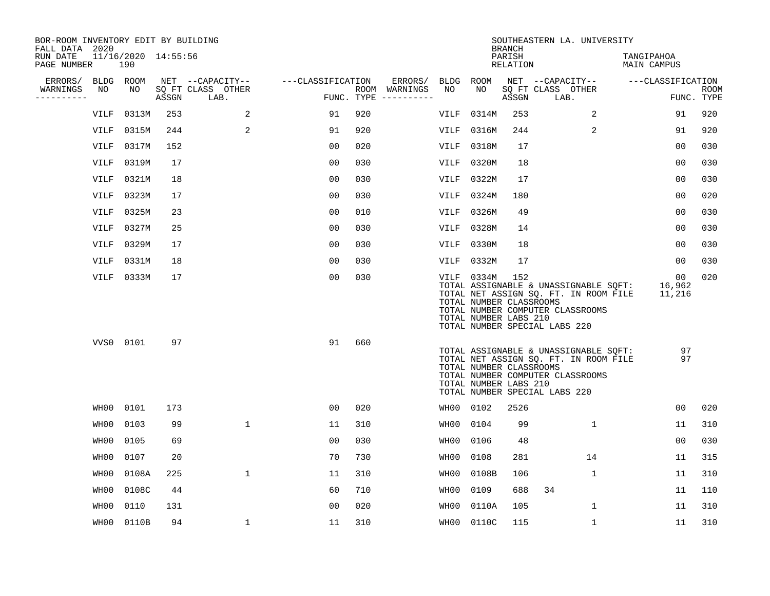| BOR-ROOM INVENTORY EDIT BY BUILDING<br>FALL DATA 2020 |             |                            |       |                           |                   |     |                                      |             |                                                                | <b>BRANCH</b>      | SOUTHEASTERN LA. UNIVERSITY                                                                                                                         |                                     |                    |
|-------------------------------------------------------|-------------|----------------------------|-------|---------------------------|-------------------|-----|--------------------------------------|-------------|----------------------------------------------------------------|--------------------|-----------------------------------------------------------------------------------------------------------------------------------------------------|-------------------------------------|--------------------|
| RUN DATE<br>PAGE NUMBER                               |             | 11/16/2020 14:55:56<br>190 |       |                           |                   |     |                                      |             |                                                                | PARISH<br>RELATION |                                                                                                                                                     | TANGIPAHOA<br>MAIN CAMPUS           |                    |
| ERRORS/                                               | BLDG ROOM   |                            |       | NET --CAPACITY--          | ---CLASSIFICATION |     | ERRORS/                              | BLDG        | ROOM                                                           |                    | NET --CAPACITY--                                                                                                                                    | ---CLASSIFICATION                   |                    |
| WARNINGS<br>----------                                | NO          | NO                         | ASSGN | SQ FT CLASS OTHER<br>LAB. |                   |     | ROOM WARNINGS<br>FUNC. TYPE $------$ | NO          | NO                                                             | ASSGN              | SQ FT CLASS OTHER<br>LAB.                                                                                                                           |                                     | ROOM<br>FUNC. TYPE |
|                                                       | VILF        | 0313M                      | 253   | 2                         | 91                | 920 |                                      | VILF        | 0314M                                                          | 253                | 2                                                                                                                                                   | 91                                  | 920                |
|                                                       | VILF        | 0315M                      | 244   | 2                         | 91                | 920 |                                      | VILF        | 0316M                                                          | 244                | 2                                                                                                                                                   | 91                                  | 920                |
|                                                       | VILF        | 0317M                      | 152   |                           | 0 <sub>0</sub>    | 020 |                                      | VILF        | 0318M                                                          | 17                 |                                                                                                                                                     | 00                                  | 030                |
|                                                       | <b>VILF</b> | 0319M                      | 17    |                           | 0 <sub>0</sub>    | 030 |                                      | VILF        | 0320M                                                          | 18                 |                                                                                                                                                     | 00                                  | 030                |
|                                                       | VILF        | 0321M                      | 18    |                           | 0 <sub>0</sub>    | 030 |                                      | VILF        | 0322M                                                          | 17                 |                                                                                                                                                     | 0 <sub>0</sub>                      | 030                |
|                                                       | VILF        | 0323M                      | 17    |                           | 0 <sub>0</sub>    | 030 |                                      | VILF        | 0324M                                                          | 180                |                                                                                                                                                     | 0 <sub>0</sub>                      | 020                |
|                                                       | VILF        | 0325M                      | 23    |                           | 0 <sub>0</sub>    | 010 |                                      | <b>VILF</b> | 0326M                                                          | 49                 |                                                                                                                                                     | 0 <sub>0</sub>                      | 030                |
|                                                       | VILF        | 0327M                      | 25    |                           | 00                | 030 |                                      | VILF        | 0328M                                                          | 14                 |                                                                                                                                                     | 0 <sub>0</sub>                      | 030                |
|                                                       | VILF        | 0329M                      | 17    |                           | 00                | 030 |                                      | VILF        | 0330M                                                          | 18                 |                                                                                                                                                     | 0 <sub>0</sub>                      | 030                |
|                                                       | VILF        | 0331M                      | 18    |                           | 0 <sub>0</sub>    | 030 |                                      | VILF        | 0332M                                                          | 17                 |                                                                                                                                                     | 00                                  | 030                |
|                                                       |             | VILF 0333M                 | 17    |                           | 0 <sub>0</sub>    | 030 |                                      |             | VILF 0334M<br>TOTAL NUMBER CLASSROOMS<br>TOTAL NUMBER LABS 210 | 152                | TOTAL ASSIGNABLE & UNASSIGNABLE SQFT:<br>TOTAL NET ASSIGN SQ. FT. IN ROOM FILE<br>TOTAL NUMBER COMPUTER CLASSROOMS<br>TOTAL NUMBER SPECIAL LABS 220 | 00 <sub>o</sub><br>16,962<br>11,216 | 020                |
|                                                       | VVS0 0101   |                            | 97    |                           | 91                | 660 |                                      |             | TOTAL NUMBER CLASSROOMS<br>TOTAL NUMBER LABS 210               |                    | TOTAL ASSIGNABLE & UNASSIGNABLE SQFT:<br>TOTAL NET ASSIGN SQ. FT. IN ROOM FILE<br>TOTAL NUMBER COMPUTER CLASSROOMS<br>TOTAL NUMBER SPECIAL LABS 220 | 97<br>97                            |                    |
|                                                       | WH00        | 0101                       | 173   |                           | 0 <sub>0</sub>    | 020 |                                      |             | WH00 0102                                                      | 2526               |                                                                                                                                                     | 0 <sub>0</sub>                      | 020                |
|                                                       | WH00        | 0103                       | 99    | $\mathbf{1}$              | 11                | 310 |                                      | WH00        | 0104                                                           | 99                 | $\mathbf{1}$                                                                                                                                        | 11                                  | 310                |
|                                                       | WH00        | 0105                       | 69    |                           | 0 <sub>0</sub>    | 030 |                                      | WH00        | 0106                                                           | 48                 |                                                                                                                                                     | 0 <sub>0</sub>                      | 030                |
|                                                       | WH00        | 0107                       | 20    |                           | 70                | 730 |                                      | WH00        | 0108                                                           | 281                | 14                                                                                                                                                  | 11                                  | 315                |
|                                                       | WH00        | 0108A                      | 225   | $\mathbf{1}$              | 11                | 310 |                                      | WH00        | 0108B                                                          | 106                | $\mathbf 1$                                                                                                                                         | 11                                  | 310                |
|                                                       | WH00        | 0108C                      | 44    |                           | 60                | 710 |                                      | WH00        | 0109                                                           | 688                | 34                                                                                                                                                  | 11                                  | 110                |
|                                                       | WH00        | 0110                       | 131   |                           | 00                | 020 |                                      | WH00        | 0110A                                                          | 105                | 1                                                                                                                                                   | 11                                  | 310                |
|                                                       |             | WH00 0110B                 | 94    | 1                         | 11                | 310 |                                      |             | WH00 0110C                                                     | 115                | 1                                                                                                                                                   | 11                                  | 310                |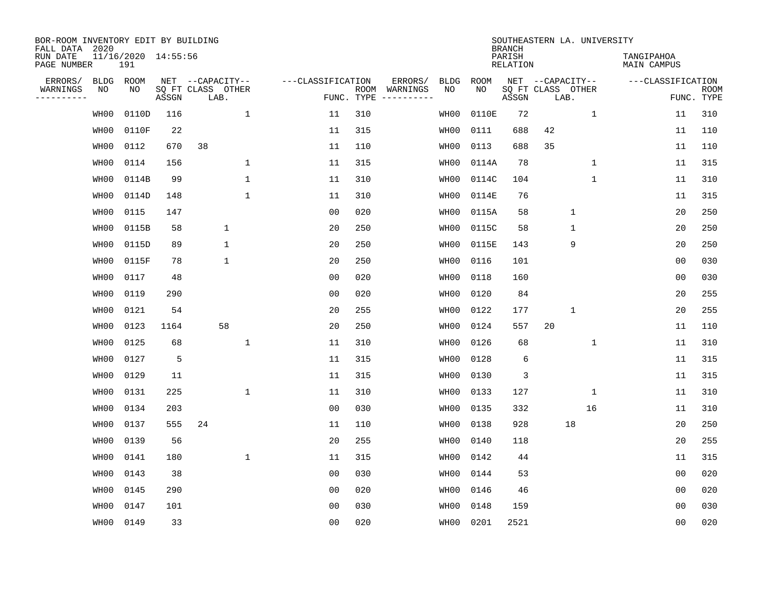| BOR-ROOM INVENTORY EDIT BY BUILDING<br>FALL DATA 2020 |             |                            |       |                           |              |                   |                    |          |             |             | <b>BRANCH</b>             | SOUTHEASTERN LA. UNIVERSITY |              |                                  |                |                           |
|-------------------------------------------------------|-------------|----------------------------|-------|---------------------------|--------------|-------------------|--------------------|----------|-------------|-------------|---------------------------|-----------------------------|--------------|----------------------------------|----------------|---------------------------|
| RUN DATE<br>PAGE NUMBER                               |             | 11/16/2020 14:55:56<br>191 |       |                           |              |                   |                    |          |             |             | PARISH<br><b>RELATION</b> |                             |              | TANGIPAHOA<br><b>MAIN CAMPUS</b> |                |                           |
| ERRORS/                                               | <b>BLDG</b> | ROOM                       |       | NET --CAPACITY--          |              | ---CLASSIFICATION |                    | ERRORS/  | <b>BLDG</b> | <b>ROOM</b> |                           | NET --CAPACITY--            |              | ---CLASSIFICATION                |                |                           |
| WARNINGS<br>----------                                | ΝO          | NO                         | ASSGN | SQ FT CLASS OTHER<br>LAB. |              |                   | ROOM<br>FUNC. TYPE | WARNINGS | NO          | NO          | ASSGN                     | SQ FT CLASS OTHER<br>LAB.   |              |                                  |                | <b>ROOM</b><br>FUNC. TYPE |
|                                                       | WH00        | 0110D                      | 116   |                           | $\mathbf 1$  | 11                | 310                |          | WH00        | 0110E       | 72                        |                             | $\mathbf 1$  | 11                               |                | 310                       |
|                                                       | WH00        | 0110F                      | 22    |                           |              | 11                | 315                |          | WH00        | 0111        | 688                       | 42                          |              | 11                               |                | 110                       |
|                                                       | WH00        | 0112                       | 670   | 38                        |              | 11                | 110                |          | WH00        | 0113        | 688                       | 35                          |              | 11                               |                | 110                       |
|                                                       | WH00        | 0114                       | 156   |                           | 1            | 11                | 315                |          | WH00        | 0114A       | 78                        |                             | $\mathbf 1$  | 11                               |                | 315                       |
|                                                       | WH00        | 0114B                      | 99    |                           | $\mathbf{1}$ | 11                | 310                |          | WH00        | 0114C       | 104                       |                             | $\mathbf{1}$ | 11                               |                | 310                       |
|                                                       | WH00        | 0114D                      | 148   |                           | $\mathbf{1}$ | 11                | 310                |          | WH00        | 0114E       | 76                        |                             |              | 11                               |                | 315                       |
|                                                       | WH00        | 0115                       | 147   |                           |              | 0 <sub>0</sub>    | 020                |          | WH00        | 0115A       | 58                        |                             | $\mathbf{1}$ |                                  | 20             | 250                       |
|                                                       | WH00        | 0115B                      | 58    | $\mathbf 1$               |              | 20                | 250                |          | WH00        | 0115C       | 58                        |                             | $\mathbf 1$  |                                  | 20             | 250                       |
|                                                       | WH00        | 0115D                      | 89    | $\mathbf 1$               |              | 20                | 250                |          | WH00        | 0115E       | 143                       |                             | 9            |                                  | 20             | 250                       |
|                                                       | WH00        | 0115F                      | 78    | 1                         |              | 20                | 250                |          | WH00        | 0116        | 101                       |                             |              |                                  | 0 <sub>0</sub> | 030                       |
|                                                       | WH00        | 0117                       | 48    |                           |              | 0 <sub>0</sub>    | 020                |          | WH00        | 0118        | 160                       |                             |              |                                  | 0 <sub>0</sub> | 030                       |
|                                                       | WH00        | 0119                       | 290   |                           |              | 0 <sub>0</sub>    | 020                |          | WH00        | 0120        | 84                        |                             |              |                                  | 20             | 255                       |
|                                                       | WH00        | 0121                       | 54    |                           |              | 20                | 255                |          | WH00        | 0122        | 177                       |                             | $\mathbf{1}$ |                                  | 20             | 255                       |
|                                                       | WH00        | 0123                       | 1164  | 58                        |              | 20                | 250                |          | WH00        | 0124        | 557                       | 20                          |              | 11                               |                | 110                       |
|                                                       | WH00        | 0125                       | 68    |                           | $\mathbf{1}$ | 11                | 310                |          | WH00        | 0126        | 68                        |                             | $\mathbf 1$  | 11                               |                | 310                       |
|                                                       | WH00        | 0127                       | 5     |                           |              | 11                | 315                |          | WH00        | 0128        | 6                         |                             |              | 11                               |                | 315                       |
|                                                       | WH00        | 0129                       | 11    |                           |              | 11                | 315                |          | WH00        | 0130        | 3                         |                             |              | 11                               |                | 315                       |
|                                                       | WH00        | 0131                       | 225   |                           | $\mathbf{1}$ | 11                | 310                |          | WH00        | 0133        | 127                       |                             | $\mathbf 1$  | 11                               |                | 310                       |
|                                                       | WH00        | 0134                       | 203   |                           |              | 0 <sub>0</sub>    | 030                |          | WH00        | 0135        | 332                       |                             | 16           | 11                               |                | 310                       |
|                                                       | WH00        | 0137                       | 555   | 24                        |              | 11                | 110                |          | WH00        | 0138        | 928                       |                             | 18           |                                  | 20             | 250                       |
|                                                       | WH00        | 0139                       | 56    |                           |              | 20                | 255                |          | WH00        | 0140        | 118                       |                             |              |                                  | 20             | 255                       |
|                                                       | WH00        | 0141                       | 180   |                           | $\mathbf{1}$ | 11                | 315                |          | WH00        | 0142        | 44                        |                             |              | 11                               |                | 315                       |
|                                                       | WH00        | 0143                       | 38    |                           |              | 0 <sub>0</sub>    | 030                |          | WH00        | 0144        | 53                        |                             |              |                                  | 0 <sub>0</sub> | 020                       |
|                                                       | WH00        | 0145                       | 290   |                           |              | 0 <sub>0</sub>    | 020                |          | WH00        | 0146        | 46                        |                             |              |                                  | 0 <sub>0</sub> | 020                       |
|                                                       | WH00        | 0147                       | 101   |                           |              | 0 <sub>0</sub>    | 030                |          | WH00        | 0148        | 159                       |                             |              | 0 <sub>0</sub>                   |                | 030                       |
|                                                       | WH00        | 0149                       | 33    |                           |              | 0 <sub>0</sub>    | 020                |          | WH00        | 0201        | 2521                      |                             |              |                                  | 0 <sub>0</sub> | 020                       |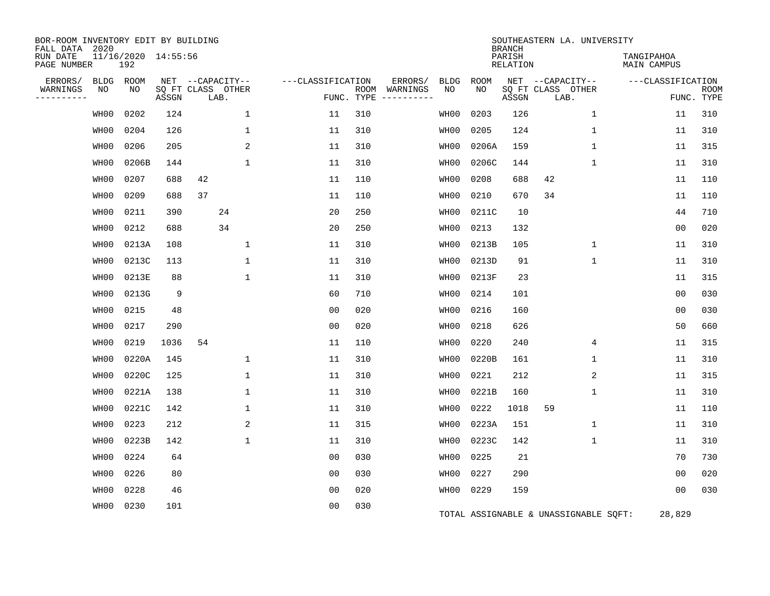| BOR-ROOM INVENTORY EDIT BY BUILDING<br>FALL DATA 2020 |      |                            |       |                           |              |                   |            |                              |             |             | <b>BRANCH</b>             | SOUTHEASTERN LA. UNIVERSITY           |              |                                  |                           |
|-------------------------------------------------------|------|----------------------------|-------|---------------------------|--------------|-------------------|------------|------------------------------|-------------|-------------|---------------------------|---------------------------------------|--------------|----------------------------------|---------------------------|
| RUN DATE<br>PAGE NUMBER                               |      | 11/16/2020 14:55:56<br>192 |       |                           |              |                   |            |                              |             |             | PARISH<br><b>RELATION</b> |                                       |              | TANGIPAHOA<br><b>MAIN CAMPUS</b> |                           |
| ERRORS/                                               | BLDG | ROOM                       |       | NET --CAPACITY--          |              | ---CLASSIFICATION |            | ERRORS/                      | <b>BLDG</b> | <b>ROOM</b> |                           | NET --CAPACITY--                      |              | ---CLASSIFICATION                |                           |
| WARNINGS<br>----------                                | NO   | NO                         | ASSGN | SQ FT CLASS OTHER<br>LAB. |              |                   | FUNC. TYPE | ROOM WARNINGS<br>----------- | NO          | NO.         | ASSGN                     | SQ FT CLASS OTHER<br>LAB.             |              |                                  | <b>ROOM</b><br>FUNC. TYPE |
|                                                       | WH00 | 0202                       | 124   |                           | 1            | 11                | 310        |                              | WH00        | 0203        | 126                       |                                       | $\mathbf{1}$ | 11                               | 310                       |
|                                                       | WH00 | 0204                       | 126   |                           | 1            | 11                | 310        |                              | WH00        | 0205        | 124                       |                                       | $\mathbf{1}$ | 11                               | 310                       |
|                                                       | WH00 | 0206                       | 205   |                           | 2            | 11                | 310        |                              | WH00        | 0206A       | 159                       |                                       | 1            | 11                               | 315                       |
|                                                       | WH00 | 0206B                      | 144   |                           | 1            | 11                | 310        |                              | WH00        | 0206C       | 144                       |                                       | $\mathbf{1}$ | 11                               | 310                       |
|                                                       | WH00 | 0207                       | 688   | 42                        |              | 11                | 110        |                              | WH00        | 0208        | 688                       | 42                                    |              | 11                               | 110                       |
|                                                       | WH00 | 0209                       | 688   | 37                        |              | 11                | 110        |                              | WH00        | 0210        | 670                       | 34                                    |              | 11                               | 110                       |
|                                                       | WH00 | 0211                       | 390   | 24                        |              | 20                | 250        |                              | WH00        | 0211C       | 10                        |                                       |              | 44                               | 710                       |
|                                                       | WH00 | 0212                       | 688   | 34                        |              | 20                | 250        |                              | WH00        | 0213        | 132                       |                                       |              | 0 <sub>0</sub>                   | 020                       |
|                                                       | WH00 | 0213A                      | 108   |                           | $\mathbf{1}$ | 11                | 310        |                              | WH00        | 0213B       | 105                       |                                       | $\mathbf{1}$ | 11                               | 310                       |
|                                                       | WH00 | 0213C                      | 113   |                           | $\mathbf{1}$ | 11                | 310        |                              | WH00        | 0213D       | 91                        |                                       | $\mathbf{1}$ | 11                               | 310                       |
|                                                       | WH00 | 0213E                      | 88    |                           | $\mathbf{1}$ | 11                | 310        |                              | WH00        | 0213F       | 23                        |                                       |              | 11                               | 315                       |
|                                                       | WH00 | 0213G                      | 9     |                           |              | 60                | 710        |                              | WH00        | 0214        | 101                       |                                       |              | 0 <sub>0</sub>                   | 030                       |
|                                                       | WH00 | 0215                       | 48    |                           |              | 0 <sub>0</sub>    | 020        |                              | WH00        | 0216        | 160                       |                                       |              | 00                               | 030                       |
|                                                       | WH00 | 0217                       | 290   |                           |              | 0 <sub>0</sub>    | 020        |                              | WH00        | 0218        | 626                       |                                       |              | 50                               | 660                       |
|                                                       | WH00 | 0219                       | 1036  | 54                        |              | 11                | 110        |                              | WH00        | 0220        | 240                       |                                       | 4            | 11                               | 315                       |
|                                                       | WH00 | 0220A                      | 145   |                           | 1            | 11                | 310        |                              | WH00        | 0220B       | 161                       |                                       | 1            | 11                               | 310                       |
|                                                       | WH00 | 0220C                      | 125   |                           | 1            | 11                | 310        |                              | WH00        | 0221        | 212                       |                                       | 2            | 11                               | 315                       |
|                                                       | WH00 | 0221A                      | 138   |                           | $\mathbf{1}$ | 11                | 310        |                              | WH00        | 0221B       | 160                       |                                       | $\mathbf 1$  | 11                               | 310                       |
|                                                       | WH00 | 0221C                      | 142   |                           | $\mathbf{1}$ | 11                | 310        |                              | WH00        | 0222        | 1018                      | 59                                    |              | 11                               | 110                       |
|                                                       | WH00 | 0223                       | 212   |                           | 2            | 11                | 315        |                              | WH00        | 0223A       | 151                       |                                       | $\mathbf 1$  | 11                               | 310                       |
|                                                       | WH00 | 0223B                      | 142   |                           | $\mathbf{1}$ | 11                | 310        |                              | WH00        | 0223C       | 142                       |                                       | $\mathbf{1}$ | 11                               | 310                       |
|                                                       | WH00 | 0224                       | 64    |                           |              | 0 <sub>0</sub>    | 030        |                              | WH00        | 0225        | 21                        |                                       |              | 70                               | 730                       |
|                                                       | WH00 | 0226                       | 80    |                           |              | 0 <sub>0</sub>    | 030        |                              | WH00        | 0227        | 290                       |                                       |              | 0 <sub>0</sub>                   | 020                       |
|                                                       | WH00 | 0228                       | 46    |                           |              | 0 <sub>0</sub>    | 020        |                              | WH00        | 0229        | 159                       |                                       |              | 0 <sub>0</sub>                   | 030                       |
|                                                       | WH00 | 0230                       | 101   |                           |              | 00                | 030        |                              |             |             |                           | TOTAL ASSIGNABLE & UNASSIGNABLE SQFT: |              | 28,829                           |                           |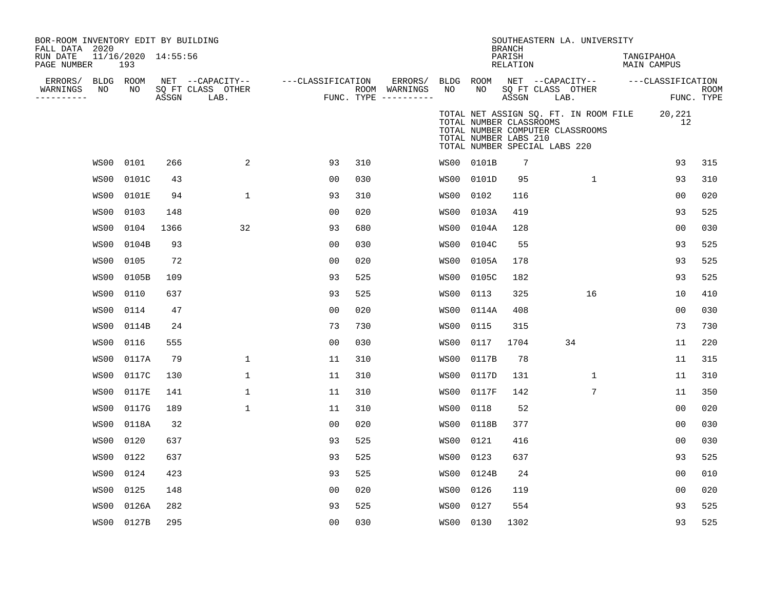| BOR-ROOM INVENTORY EDIT BY BUILDING<br>FALL DATA 2020 |      |                            |       |                                       |                   |     | SOUTHEASTERN LA. UNIVERSITY<br><b>BRANCH</b> |                 |                                                                                   |                           |      |                                                                           |  |                   |                                  |  |  |
|-------------------------------------------------------|------|----------------------------|-------|---------------------------------------|-------------------|-----|----------------------------------------------|-----------------|-----------------------------------------------------------------------------------|---------------------------|------|---------------------------------------------------------------------------|--|-------------------|----------------------------------|--|--|
| RUN DATE<br>PAGE NUMBER                               |      | 11/16/2020 14:55:56<br>193 |       |                                       |                   |     |                                              |                 |                                                                                   | PARISH<br><b>RELATION</b> |      |                                                                           |  |                   | TANGIPAHOA<br><b>MAIN CAMPUS</b> |  |  |
| ERRORS/<br>WARNINGS                                   | NO   | BLDG ROOM<br>NO            |       | NET --CAPACITY--<br>SQ FT CLASS OTHER | ---CLASSIFICATION |     | ERRORS/<br>ROOM WARNINGS                     | BLDG ROOM<br>NO | NO.                                                                               |                           |      | NET --CAPACITY--<br>SQ FT CLASS OTHER                                     |  | ---CLASSIFICATION | <b>ROOM</b>                      |  |  |
| ----------                                            |      |                            | ASSGN | LAB.                                  |                   |     | FUNC. TYPE $------$                          |                 |                                                                                   | ASSGN                     | LAB. |                                                                           |  | FUNC. TYPE        |                                  |  |  |
|                                                       |      |                            |       |                                       |                   |     |                                              |                 | TOTAL NUMBER CLASSROOMS<br>TOTAL NUMBER LABS 210<br>TOTAL NUMBER SPECIAL LABS 220 |                           |      | TOTAL NET ASSIGN SQ. FT. IN ROOM FILE<br>TOTAL NUMBER COMPUTER CLASSROOMS |  | 20,221<br>12      |                                  |  |  |
|                                                       | WS00 | 0101                       | 266   | 2                                     | 93                | 310 |                                              |                 | WS00 0101B                                                                        | 7                         |      |                                                                           |  | 93                | 315                              |  |  |
|                                                       | WS00 | 0101C                      | 43    |                                       | 0 <sub>0</sub>    | 030 |                                              | WS00            | 0101D                                                                             | 95                        |      | $\mathbf{1}$                                                              |  | 93                | 310                              |  |  |
|                                                       | WS00 | 0101E                      | 94    | $\mathbf{1}$                          | 93                | 310 |                                              | WS00            | 0102                                                                              | 116                       |      |                                                                           |  | 0 <sub>0</sub>    | 020                              |  |  |
|                                                       | WS00 | 0103                       | 148   |                                       | 0 <sub>0</sub>    | 020 |                                              | WS00            | 0103A                                                                             | 419                       |      |                                                                           |  | 93                | 525                              |  |  |
|                                                       | WS00 | 0104                       | 1366  | 32                                    | 93                | 680 |                                              | WS00            | 0104A                                                                             | 128                       |      |                                                                           |  | 0 <sub>0</sub>    | 030                              |  |  |
|                                                       | WS00 | 0104B                      | 93    |                                       | 0 <sub>0</sub>    | 030 |                                              | WS00            | 0104C                                                                             | 55                        |      |                                                                           |  | 93                | 525                              |  |  |
|                                                       | WS00 | 0105                       | 72    |                                       | 0 <sub>0</sub>    | 020 |                                              | WS00            | 0105A                                                                             | 178                       |      |                                                                           |  | 93                | 525                              |  |  |
|                                                       | WS00 | 0105B                      | 109   |                                       | 93                | 525 |                                              | WS00            | 0105C                                                                             | 182                       |      |                                                                           |  | 93                | 525                              |  |  |
|                                                       | WS00 | 0110                       | 637   |                                       | 93                | 525 |                                              | WS00            | 0113                                                                              | 325                       |      | 16                                                                        |  | 10                | 410                              |  |  |
|                                                       | WS00 | 0114                       | 47    |                                       | 0 <sub>0</sub>    | 020 |                                              | WS00            | 0114A                                                                             | 408                       |      |                                                                           |  | 0 <sub>0</sub>    | 030                              |  |  |
|                                                       | WS00 | 0114B                      | 24    |                                       | 73                | 730 |                                              | WS00            | 0115                                                                              | 315                       |      |                                                                           |  | 73                | 730                              |  |  |
|                                                       | WS00 | 0116                       | 555   |                                       | 0 <sub>0</sub>    | 030 |                                              | WS00            | 0117                                                                              | 1704                      |      | 34                                                                        |  | 11                | 220                              |  |  |
|                                                       | WS00 | 0117A                      | 79    | $\mathbf{1}$                          | 11                | 310 |                                              | WS00            | 0117B                                                                             | 78                        |      |                                                                           |  | 11                | 315                              |  |  |
|                                                       | WS00 | 0117C                      | 130   | 1                                     | 11                | 310 |                                              | WS00            | 0117D                                                                             | 131                       |      | 1                                                                         |  | 11                | 310                              |  |  |
|                                                       | WS00 | 0117E                      | 141   | $\mathbf 1$                           | 11                | 310 |                                              | WS00            | 0117F                                                                             | 142                       |      | 7                                                                         |  | 11                | 350                              |  |  |
|                                                       | WS00 | 0117G                      | 189   | $\mathbf{1}$                          | 11                | 310 |                                              | WS00            | 0118                                                                              | 52                        |      |                                                                           |  | 0 <sub>0</sub>    | 020                              |  |  |
|                                                       | WS00 | 0118A                      | 32    |                                       | 00                | 020 |                                              | WS00            | 0118B                                                                             | 377                       |      |                                                                           |  | 0 <sub>0</sub>    | 030                              |  |  |
|                                                       | WS00 | 0120                       | 637   |                                       | 93                | 525 |                                              | WS00            | 0121                                                                              | 416                       |      |                                                                           |  | 0 <sup>0</sup>    | 030                              |  |  |
|                                                       | WS00 | 0122                       | 637   |                                       | 93                | 525 |                                              | WS00            | 0123                                                                              | 637                       |      |                                                                           |  | 93                | 525                              |  |  |
|                                                       | WS00 | 0124                       | 423   |                                       | 93                | 525 |                                              | WS00            | 0124B                                                                             | 24                        |      |                                                                           |  | 0 <sub>0</sub>    | 010                              |  |  |
|                                                       | WS00 | 0125                       | 148   |                                       | 0 <sub>0</sub>    | 020 |                                              | WS00            | 0126                                                                              | 119                       |      |                                                                           |  | 0 <sub>0</sub>    | 020                              |  |  |
|                                                       | WS00 | 0126A                      | 282   |                                       | 93                | 525 |                                              | WS00            | 0127                                                                              | 554                       |      |                                                                           |  | 93                | 525                              |  |  |
|                                                       | WS00 | 0127B                      | 295   |                                       | 0 <sub>0</sub>    | 030 |                                              | WS00 0130       |                                                                                   | 1302                      |      |                                                                           |  | 93                | 525                              |  |  |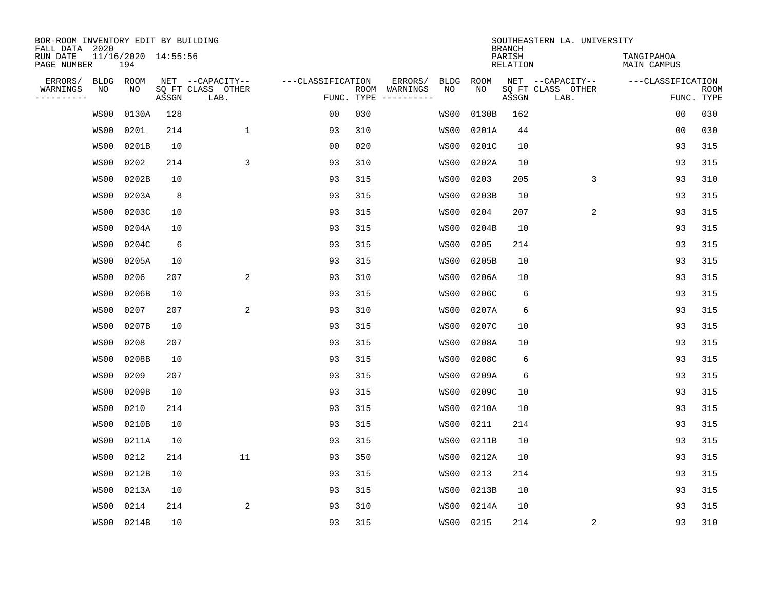| BOR-ROOM INVENTORY EDIT BY BUILDING<br>FALL DATA 2020 |      |                            |       |                           |                   |                           |                              | SOUTHEASTERN LA. UNIVERSITY<br><b>BRANCH</b> |             |       |                           |                   |                                  |  |  |
|-------------------------------------------------------|------|----------------------------|-------|---------------------------|-------------------|---------------------------|------------------------------|----------------------------------------------|-------------|-------|---------------------------|-------------------|----------------------------------|--|--|
| RUN DATE<br>PAGE NUMBER                               |      | 11/16/2020 14:55:56<br>194 |       |                           |                   | PARISH<br><b>RELATION</b> |                              |                                              |             |       |                           |                   | TANGIPAHOA<br><b>MAIN CAMPUS</b> |  |  |
| ERRORS/                                               | BLDG | ROOM                       |       | NET --CAPACITY--          | ---CLASSIFICATION |                           | ERRORS/                      | <b>BLDG</b>                                  | <b>ROOM</b> |       | NET --CAPACITY--          | ---CLASSIFICATION |                                  |  |  |
| WARNINGS<br>----------                                | ΝO   | NO                         | ASSGN | SQ FT CLASS OTHER<br>LAB. |                   | FUNC. TYPE                | ROOM WARNINGS<br>----------- | NO                                           | NO          | ASSGN | SQ FT CLASS OTHER<br>LAB. |                   | <b>ROOM</b><br>FUNC. TYPE        |  |  |
|                                                       | WS00 | 0130A                      | 128   |                           | 00                | 030                       |                              | WS00                                         | 0130B       | 162   |                           | 00                | 030                              |  |  |
|                                                       | WS00 | 0201                       | 214   | $\mathbf{1}$              | 93                | 310                       |                              | WS00                                         | 0201A       | 44    |                           | 0 <sub>0</sub>    | 030                              |  |  |
|                                                       | WS00 | 0201B                      | 10    |                           | 00                | 020                       |                              | WS00                                         | 0201C       | 10    |                           | 93                | 315                              |  |  |
|                                                       | WS00 | 0202                       | 214   | 3                         | 93                | 310                       |                              | WS00                                         | 0202A       | 10    |                           | 93                | 315                              |  |  |
|                                                       | WS00 | 0202B                      | 10    |                           | 93                | 315                       |                              | WS00                                         | 0203        | 205   | 3                         | 93                | 310                              |  |  |
|                                                       | WS00 | 0203A                      | 8     |                           | 93                | 315                       |                              | WS00                                         | 0203B       | 10    |                           | 93                | 315                              |  |  |
|                                                       | WS00 | 0203C                      | 10    |                           | 93                | 315                       |                              | WS00                                         | 0204        | 207   | 2                         | 93                | 315                              |  |  |
|                                                       | WS00 | 0204A                      | 10    |                           | 93                | 315                       |                              | WS00                                         | 0204B       | 10    |                           | 93                | 315                              |  |  |
|                                                       | WS00 | 0204C                      | 6     |                           | 93                | 315                       |                              | WS00                                         | 0205        | 214   |                           | 93                | 315                              |  |  |
|                                                       | WS00 | 0205A                      | 10    |                           | 93                | 315                       |                              | WS00                                         | 0205B       | 10    |                           | 93                | 315                              |  |  |
|                                                       | WS00 | 0206                       | 207   | 2                         | 93                | 310                       |                              | WS00                                         | 0206A       | 10    |                           | 93                | 315                              |  |  |
|                                                       | WS00 | 0206B                      | 10    |                           | 93                | 315                       |                              | WS00                                         | 0206C       | 6     |                           | 93                | 315                              |  |  |
|                                                       | WS00 | 0207                       | 207   | $\overline{a}$            | 93                | 310                       |                              | WS00                                         | 0207A       | 6     |                           | 93                | 315                              |  |  |
|                                                       | WS00 | 0207B                      | 10    |                           | 93                | 315                       |                              | WS00                                         | 0207C       | 10    |                           | 93                | 315                              |  |  |
|                                                       | WS00 | 0208                       | 207   |                           | 93                | 315                       |                              | WS00                                         | 0208A       | 10    |                           | 93                | 315                              |  |  |
|                                                       | WS00 | 0208B                      | 10    |                           | 93                | 315                       |                              | WS00                                         | 0208C       | 6     |                           | 93                | 315                              |  |  |
|                                                       | WS00 | 0209                       | 207   |                           | 93                | 315                       |                              | WS00                                         | 0209A       | 6     |                           | 93                | 315                              |  |  |
|                                                       | WS00 | 0209B                      | 10    |                           | 93                | 315                       |                              | WS00                                         | 0209C       | 10    |                           | 93                | 315                              |  |  |
|                                                       | WS00 | 0210                       | 214   |                           | 93                | 315                       |                              | WS00                                         | 0210A       | 10    |                           | 93                | 315                              |  |  |
|                                                       | WS00 | 0210B                      | 10    |                           | 93                | 315                       |                              | WS00                                         | 0211        | 214   |                           | 93                | 315                              |  |  |
|                                                       | WS00 | 0211A                      | 10    |                           | 93                | 315                       |                              | WS00                                         | 0211B       | 10    |                           | 93                | 315                              |  |  |
|                                                       | WS00 | 0212                       | 214   | 11                        | 93                | 350                       |                              | WS00                                         | 0212A       | 10    |                           | 93                | 315                              |  |  |
|                                                       | WS00 | 0212B                      | 10    |                           | 93                | 315                       |                              | WS00                                         | 0213        | 214   |                           | 93                | 315                              |  |  |
|                                                       | WS00 | 0213A                      | 10    |                           | 93                | 315                       |                              | WS00                                         | 0213B       | 10    |                           | 93                | 315                              |  |  |
|                                                       | WS00 | 0214                       | 214   | $\overline{2}$            | 93                | 310                       |                              | WS00                                         | 0214A       | 10    |                           | 93                | 315                              |  |  |
|                                                       | WS00 | 0214B                      | 10    |                           | 93                | 315                       |                              | WS00                                         | 0215        | 214   | 2                         | 93                | 310                              |  |  |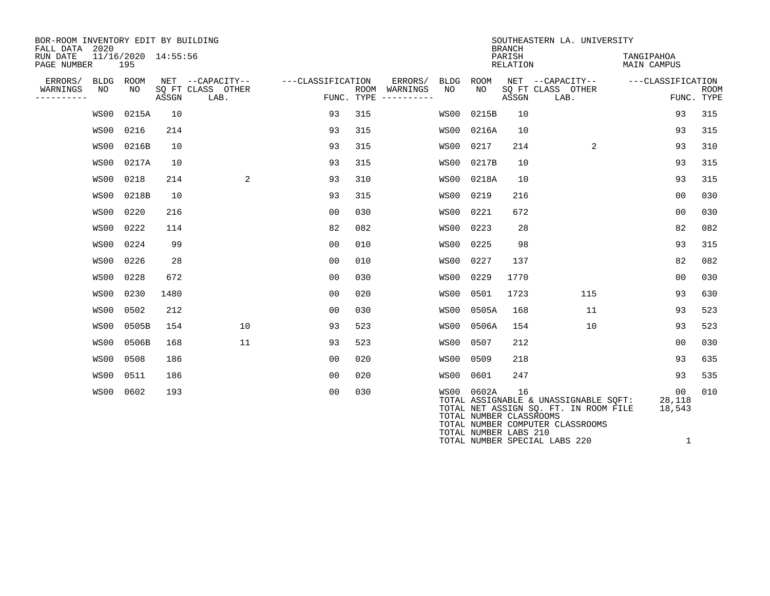| BOR-ROOM INVENTORY EDIT BY BUILDING<br>FALL DATA 2020 |            |                            |       |                                       |                   |                    |                          |            |                                                                | <b>BRANCH</b> | SOUTHEASTERN LA. UNIVERSITY                                                                                        |                        |                           |  |  |
|-------------------------------------------------------|------------|----------------------------|-------|---------------------------------------|-------------------|--------------------|--------------------------|------------|----------------------------------------------------------------|---------------|--------------------------------------------------------------------------------------------------------------------|------------------------|---------------------------|--|--|
| RUN DATE<br>PAGE NUMBER                               |            | 11/16/2020 14:55:56<br>195 |       |                                       |                   | PARISH<br>RELATION |                          |            |                                                                |               |                                                                                                                    |                        | TANGIPAHOA<br>MAIN CAMPUS |  |  |
| ERRORS/<br>WARNINGS                                   | BLDG<br>NO | ROOM<br>NO                 |       | NET --CAPACITY--<br>SQ FT CLASS OTHER | ---CLASSIFICATION |                    | ERRORS/<br>ROOM WARNINGS | BLDG<br>NO | ROOM<br>NO.                                                    |               | NET --CAPACITY--<br>SQ FT CLASS OTHER                                                                              | ---CLASSIFICATION      | <b>ROOM</b>               |  |  |
| ----------                                            |            |                            | ASSGN | LAB.                                  |                   |                    | FUNC. TYPE $------$      |            |                                                                | ASSGN         | LAB.                                                                                                               |                        | FUNC. TYPE                |  |  |
|                                                       | WS00       | 0215A                      | 10    |                                       | 93                | 315                |                          | WS00       | 0215B                                                          | 10            |                                                                                                                    | 93                     | 315                       |  |  |
|                                                       | WS00       | 0216                       | 214   |                                       | 93                | 315                |                          | WS00       | 0216A                                                          | 10            |                                                                                                                    | 93                     | 315                       |  |  |
|                                                       | WS00       | 0216B                      | 10    |                                       | 93                | 315                |                          | WS00       | 0217                                                           | 214           | 2                                                                                                                  | 93                     | 310                       |  |  |
|                                                       | WS00       | 0217A                      | 10    |                                       | 93                | 315                |                          | WS00       | 0217B                                                          | 10            |                                                                                                                    | 93                     | 315                       |  |  |
|                                                       | WS00       | 0218                       | 214   | 2                                     | 93                | 310                |                          | WS00       | 0218A                                                          | 10            |                                                                                                                    | 93                     | 315                       |  |  |
|                                                       | WS00       | 0218B                      | 10    |                                       | 93                | 315                |                          | WS00       | 0219                                                           | 216           |                                                                                                                    | 00                     | 030                       |  |  |
|                                                       | WS00       | 0220                       | 216   |                                       | 0 <sub>0</sub>    | 030                |                          | WS00       | 0221                                                           | 672           |                                                                                                                    | 0 <sub>0</sub>         | 030                       |  |  |
|                                                       | WS00       | 0222                       | 114   |                                       | 82                | 082                |                          | WS00       | 0223                                                           | 28            |                                                                                                                    | 82                     | 082                       |  |  |
|                                                       | WS00       | 0224                       | 99    |                                       | 0 <sub>0</sub>    | 010                |                          | WS00       | 0225                                                           | 98            |                                                                                                                    | 93                     | 315                       |  |  |
|                                                       | WS00       | 0226                       | 28    |                                       | 0 <sub>0</sub>    | 010                |                          | WS00       | 0227                                                           | 137           |                                                                                                                    | 82                     | 082                       |  |  |
|                                                       | WS00       | 0228                       | 672   |                                       | 0 <sub>0</sub>    | 030                |                          | WS00       | 0229                                                           | 1770          |                                                                                                                    | 0 <sub>0</sub>         | 030                       |  |  |
|                                                       | WS00       | 0230                       | 1480  |                                       | 0 <sub>0</sub>    | 020                |                          | WS00       | 0501                                                           | 1723          | 115                                                                                                                | 93                     | 630                       |  |  |
|                                                       | WS00       | 0502                       | 212   |                                       | 0 <sub>0</sub>    | 030                |                          | WS00       | 0505A                                                          | 168           | 11                                                                                                                 | 93                     | 523                       |  |  |
|                                                       | WS00       | 0505B                      | 154   | 10                                    | 93                | 523                |                          | WS00       | 0506A                                                          | 154           | 10                                                                                                                 | 93                     | 523                       |  |  |
|                                                       | WS00       | 0506B                      | 168   | 11                                    | 93                | 523                |                          | WS00       | 0507                                                           | 212           |                                                                                                                    | 0 <sub>0</sub>         | 030                       |  |  |
|                                                       | WS00       | 0508                       | 186   |                                       | 0 <sub>0</sub>    | 020                |                          | WS00       | 0509                                                           | 218           |                                                                                                                    | 93                     | 635                       |  |  |
|                                                       | WS00       | 0511                       | 186   |                                       | 0 <sub>0</sub>    | 020                |                          | WS00       | 0601                                                           | 247           |                                                                                                                    | 93                     | 535                       |  |  |
|                                                       | WS00       | 0602                       | 193   |                                       | 0 <sub>0</sub>    | 030                |                          |            | WS00 0602A<br>TOTAL NUMBER CLASSROOMS<br>TOTAL NUMBER LABS 210 | 16            | TOTAL ASSIGNABLE & UNASSIGNABLE SQFT:<br>TOTAL NET ASSIGN SQ. FT. IN ROOM FILE<br>TOTAL NUMBER COMPUTER CLASSROOMS | 00<br>28,118<br>18,543 | 010                       |  |  |

TOTAL NUMBER SPECIAL LABS 220 1